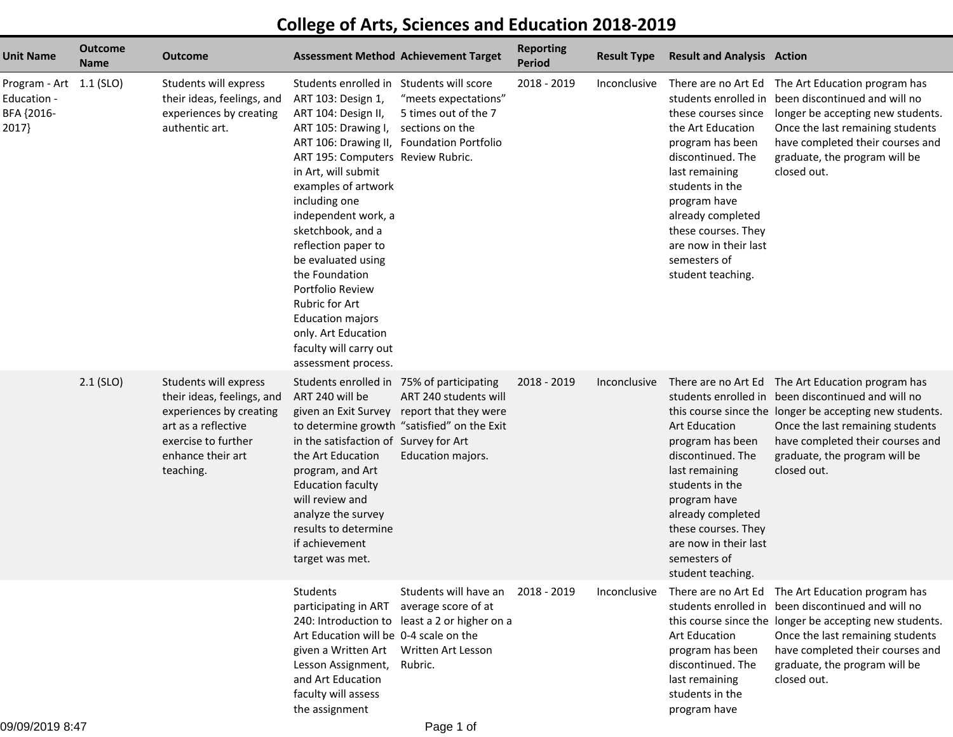## **College of Arts, Sciences and Education 2018-2019**

| <b>Unit Name</b>                                              | <b>Outcome</b><br><b>Name</b> | Outcome                                                                                                                                                        | <b>Assessment Method Achievement Target</b>                                                                                                                                                                                                                                                                                                                                                                                                                                                                       |                                                                                                                                         | <b>Reporting</b><br><b>Period</b> | <b>Result Type</b> | <b>Result and Analysis Action</b>                                                                                                                                                                                                                |                                                                                                                                                                                                                                                                                            |
|---------------------------------------------------------------|-------------------------------|----------------------------------------------------------------------------------------------------------------------------------------------------------------|-------------------------------------------------------------------------------------------------------------------------------------------------------------------------------------------------------------------------------------------------------------------------------------------------------------------------------------------------------------------------------------------------------------------------------------------------------------------------------------------------------------------|-----------------------------------------------------------------------------------------------------------------------------------------|-----------------------------------|--------------------|--------------------------------------------------------------------------------------------------------------------------------------------------------------------------------------------------------------------------------------------------|--------------------------------------------------------------------------------------------------------------------------------------------------------------------------------------------------------------------------------------------------------------------------------------------|
| Program - Art 1.1 (SLO)<br>Education -<br>BFA {2016-<br>2017} |                               | Students will express<br>their ideas, feelings, and<br>experiences by creating<br>authentic art.                                                               | Students enrolled in Students will score<br>ART 103: Design 1,<br>ART 104: Design II,<br>ART 105: Drawing I,<br>ART 106: Drawing II, Foundation Portfolio<br>ART 195: Computers Review Rubric.<br>in Art, will submit<br>examples of artwork<br>including one<br>independent work, a<br>sketchbook, and a<br>reflection paper to<br>be evaluated using<br>the Foundation<br>Portfolio Review<br>Rubric for Art<br><b>Education majors</b><br>only. Art Education<br>faculty will carry out<br>assessment process. | "meets expectations"<br>5 times out of the 7<br>sections on the                                                                         | 2018 - 2019                       | Inconclusive       | these courses since<br>the Art Education<br>program has been<br>discontinued. The<br>last remaining<br>students in the<br>program have<br>already completed<br>these courses. They<br>are now in their last<br>semesters of<br>student teaching. | There are no Art Ed The Art Education program has<br>students enrolled in been discontinued and will no<br>longer be accepting new students.<br>Once the last remaining students<br>have completed their courses and<br>graduate, the program will be<br>closed out.                       |
|                                                               | $2.1$ (SLO)                   | Students will express<br>their ideas, feelings, and<br>experiences by creating<br>art as a reflective<br>exercise to further<br>enhance their art<br>teaching. | Students enrolled in 75% of participating<br>ART 240 will be<br>in the satisfaction of Survey for Art<br>the Art Education<br>program, and Art<br><b>Education faculty</b><br>will review and<br>analyze the survey<br>results to determine<br>if achievement<br>target was met.                                                                                                                                                                                                                                  | ART 240 students will<br>given an Exit Survey report that they were<br>to determine growth "satisfied" on the Exit<br>Education majors. | 2018 - 2019                       | Inconclusive       | <b>Art Education</b><br>program has been<br>discontinued. The<br>last remaining<br>students in the<br>program have<br>already completed<br>these courses. They<br>are now in their last<br>semesters of<br>student teaching.                     | There are no Art Ed The Art Education program has<br>students enrolled in been discontinued and will no<br>this course since the longer be accepting new students.<br>Once the last remaining students<br>have completed their courses and<br>graduate, the program will be<br>closed out. |
|                                                               |                               |                                                                                                                                                                | Students<br>participating in ART<br>Art Education will be 0-4 scale on the<br>given a Written Art<br>Lesson Assignment,<br>and Art Education<br>faculty will assess<br>the assignment                                                                                                                                                                                                                                                                                                                             | Students will have an<br>average score of at<br>240: Introduction to least a 2 or higher on a<br>Written Art Lesson<br>Rubric.          | 2018 - 2019                       | Inconclusive       | <b>Art Education</b><br>program has been<br>discontinued. The<br>last remaining<br>students in the<br>program have                                                                                                                               | There are no Art Ed The Art Education program has<br>students enrolled in been discontinued and will no<br>this course since the longer be accepting new students.<br>Once the last remaining students<br>have completed their courses and<br>graduate, the program will be<br>closed out. |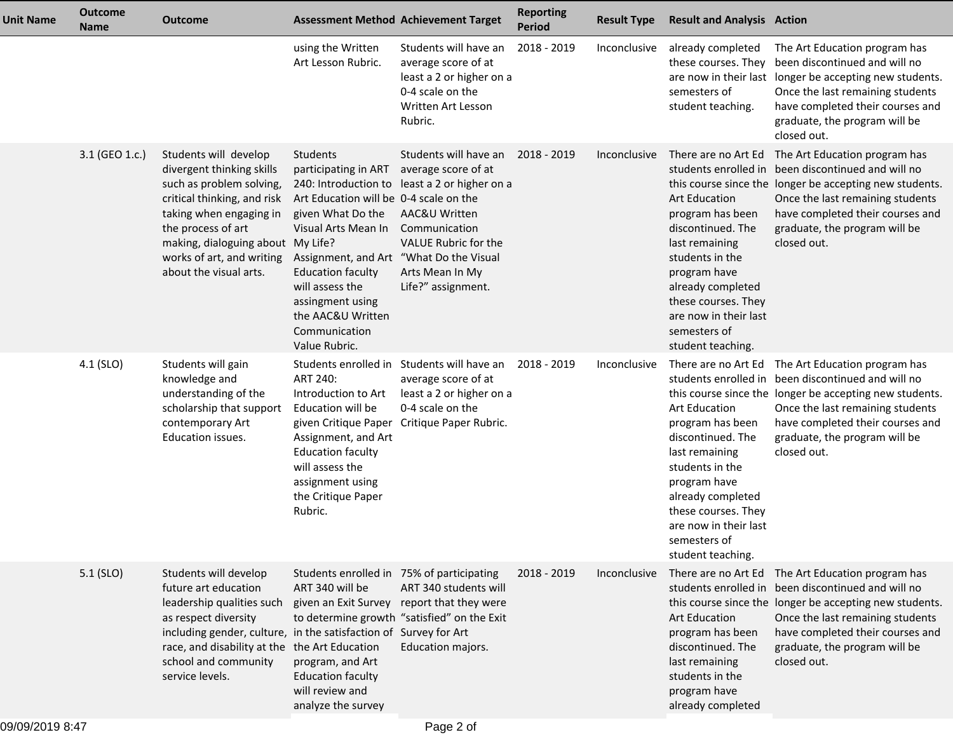| <b>Unit Name</b> | <b>Outcome</b><br><b>Name</b> | <b>Outcome</b>                                                                                                                                                                                                                                             | <b>Assessment Method Achievement Target</b>                                                                                                                                                                                                                                                                         |                                                                                                                                                                             | <b>Reporting</b><br><b>Period</b> | <b>Result Type</b> | <b>Result and Analysis Action</b>                                                                                                                                                                                                                   |                                                                                                                                                                                                                                                                                            |
|------------------|-------------------------------|------------------------------------------------------------------------------------------------------------------------------------------------------------------------------------------------------------------------------------------------------------|---------------------------------------------------------------------------------------------------------------------------------------------------------------------------------------------------------------------------------------------------------------------------------------------------------------------|-----------------------------------------------------------------------------------------------------------------------------------------------------------------------------|-----------------------------------|--------------------|-----------------------------------------------------------------------------------------------------------------------------------------------------------------------------------------------------------------------------------------------------|--------------------------------------------------------------------------------------------------------------------------------------------------------------------------------------------------------------------------------------------------------------------------------------------|
|                  |                               |                                                                                                                                                                                                                                                            | using the Written<br>Art Lesson Rubric.                                                                                                                                                                                                                                                                             | Students will have an<br>average score of at<br>least a 2 or higher on a<br>0-4 scale on the<br>Written Art Lesson<br>Rubric.                                               | 2018 - 2019                       | Inconclusive       | already completed<br>these courses. They<br>semesters of<br>student teaching.                                                                                                                                                                       | The Art Education program has<br>been discontinued and will no<br>are now in their last longer be accepting new students.<br>Once the last remaining students<br>have completed their courses and<br>graduate, the program will be<br>closed out.                                          |
|                  | 3.1 (GEO 1.c.)                | Students will develop<br>divergent thinking skills<br>such as problem solving,<br>critical thinking, and risk<br>taking when engaging in<br>the process of art<br>making, dialoguing about My Life?<br>works of art, and writing<br>about the visual arts. | Students<br>participating in ART<br>240: Introduction to<br>Art Education will be 0-4 scale on the<br>given What Do the<br>Visual Arts Mean In<br>Assignment, and Art "What Do the Visual<br><b>Education faculty</b><br>will assess the<br>assingment using<br>the AAC&U Written<br>Communication<br>Value Rubric. | Students will have an<br>average score of at<br>least a 2 or higher on a<br>AAC&U Written<br>Communication<br>VALUE Rubric for the<br>Arts Mean In My<br>Life?" assignment. | 2018 - 2019                       | Inconclusive       | There are no Art Ed<br><b>Art Education</b><br>program has been<br>discontinued. The<br>last remaining<br>students in the<br>program have<br>already completed<br>these courses. They<br>are now in their last<br>semesters of<br>student teaching. | The Art Education program has<br>students enrolled in been discontinued and will no<br>this course since the longer be accepting new students.<br>Once the last remaining students<br>have completed their courses and<br>graduate, the program will be<br>closed out.                     |
|                  | 4.1 (SLO)                     | Students will gain<br>knowledge and<br>understanding of the<br>scholarship that support<br>contemporary Art<br>Education issues.                                                                                                                           | Students enrolled in<br>ART 240:<br>Introduction to Art<br>Education will be<br>given Critique Paper<br>Assignment, and Art<br><b>Education faculty</b><br>will assess the<br>assignment using<br>the Critique Paper<br>Rubric.                                                                                     | Students will have an<br>average score of at<br>least a 2 or higher on a<br>0-4 scale on the<br>Critique Paper Rubric.                                                      | 2018 - 2019                       | Inconclusive       | Art Education<br>program has been<br>discontinued. The<br>last remaining<br>students in the<br>program have<br>already completed<br>these courses. They<br>are now in their last<br>semesters of<br>student teaching.                               | There are no Art Ed The Art Education program has<br>students enrolled in been discontinued and will no<br>this course since the longer be accepting new students.<br>Once the last remaining students<br>have completed their courses and<br>graduate, the program will be<br>closed out. |
|                  | $5.1$ (SLO)                   | Students will develop<br>future art education<br>leadership qualities such<br>as respect diversity<br>including gender, culture, in the satisfaction of<br>race, and disability at the the Art Education<br>school and community<br>service levels.        | Students enrolled in 75% of participating<br>ART 340 will be<br>given an Exit Survey<br>program, and Art<br><b>Education faculty</b><br>will review and<br>analyze the survey                                                                                                                                       | ART 340 students will<br>report that they were<br>to determine growth "satisfied" on the Exit<br>Survey for Art<br>Education majors.                                        | 2018 - 2019                       | Inconclusive       | <b>Art Education</b><br>program has been<br>discontinued. The<br>last remaining<br>students in the<br>program have<br>already completed                                                                                                             | There are no Art Ed The Art Education program has<br>students enrolled in been discontinued and will no<br>this course since the longer be accepting new students.<br>Once the last remaining students<br>have completed their courses and<br>graduate, the program will be<br>closed out. |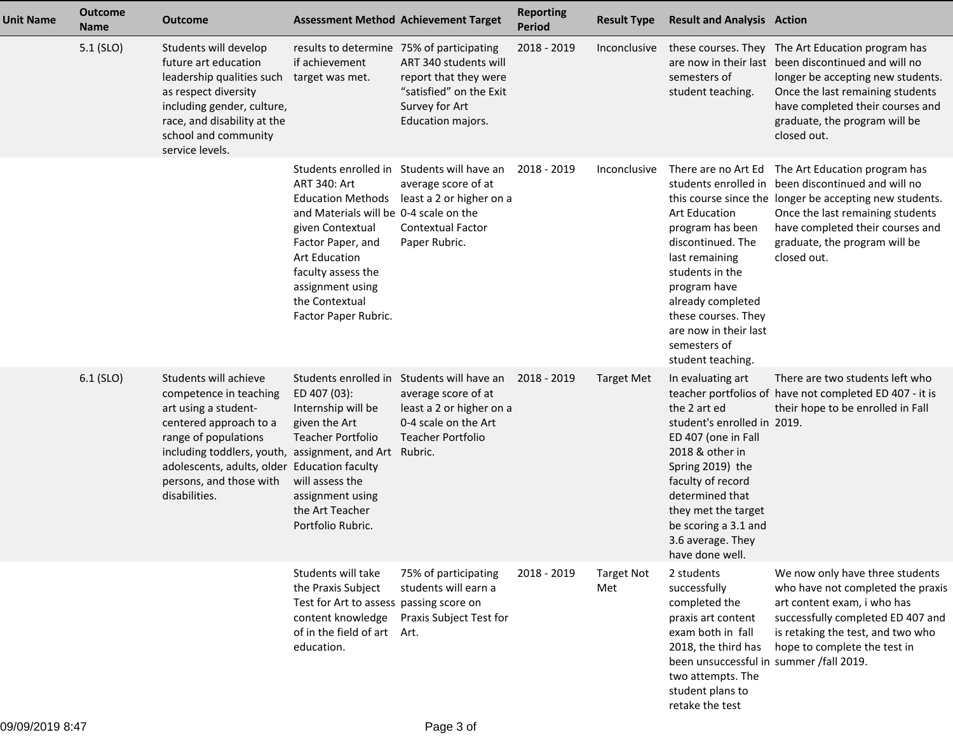| <b>Unit Name</b> | <b>Outcome</b><br><b>Name</b> | Outcome                                                                                                                                                                                                                                                                         | <b>Assessment Method Achievement Target</b>                                                                                                                                                                 |                                                                                                                                                              | <b>Reporting</b><br><b>Period</b> | <b>Result Type</b>       | <b>Result and Analysis Action</b>                                                                                                                                                                                                                             |                                                                                                                                                                                                                                                                                            |
|------------------|-------------------------------|---------------------------------------------------------------------------------------------------------------------------------------------------------------------------------------------------------------------------------------------------------------------------------|-------------------------------------------------------------------------------------------------------------------------------------------------------------------------------------------------------------|--------------------------------------------------------------------------------------------------------------------------------------------------------------|-----------------------------------|--------------------------|---------------------------------------------------------------------------------------------------------------------------------------------------------------------------------------------------------------------------------------------------------------|--------------------------------------------------------------------------------------------------------------------------------------------------------------------------------------------------------------------------------------------------------------------------------------------|
|                  | 5.1 (SLO)                     | Students will develop<br>future art education<br>leadership qualities such<br>as respect diversity<br>including gender, culture,<br>race, and disability at the<br>school and community<br>service levels.                                                                      | results to determine 75% of participating<br>if achievement<br>target was met.                                                                                                                              | ART 340 students will<br>report that they were<br>"satisfied" on the Exit<br>Survey for Art<br>Education majors.                                             | 2018 - 2019                       | Inconclusive             | semesters of<br>student teaching.                                                                                                                                                                                                                             | these courses. They The Art Education program has<br>are now in their last been discontinued and will no<br>longer be accepting new students.<br>Once the last remaining students<br>have completed their courses and<br>graduate, the program will be<br>closed out.                      |
|                  |                               |                                                                                                                                                                                                                                                                                 | ART 340: Art<br>and Materials will be 0-4 scale on the<br>given Contextual<br>Factor Paper, and<br><b>Art Education</b><br>faculty assess the<br>assignment using<br>the Contextual<br>Factor Paper Rubric. | Students enrolled in Students will have an<br>average score of at<br>Education Methods least a 2 or higher on a<br><b>Contextual Factor</b><br>Paper Rubric. | 2018 - 2019                       | Inconclusive             | <b>Art Education</b><br>program has been<br>discontinued. The<br>last remaining<br>students in the<br>program have<br>already completed<br>these courses. They<br>are now in their last<br>semesters of<br>student teaching.                                  | There are no Art Ed The Art Education program has<br>students enrolled in been discontinued and will no<br>this course since the longer be accepting new students.<br>Once the last remaining students<br>have completed their courses and<br>graduate, the program will be<br>closed out. |
|                  | 6.1 (SLO)                     | Students will achieve<br>competence in teaching<br>art using a student-<br>centered approach to a<br>range of populations<br>including toddlers, youth, assignment, and Art Rubric.<br>adolescents, adults, older Education faculty<br>persons, and those with<br>disabilities. | ED 407 (03):<br>Internship will be<br>given the Art<br><b>Teacher Portfolio</b><br>will assess the<br>assignment using<br>the Art Teacher<br>Portfolio Rubric.                                              | Students enrolled in Students will have an<br>average score of at<br>least a 2 or higher on a<br>0-4 scale on the Art<br><b>Teacher Portfolio</b>            | 2018 - 2019                       | Target Met               | In evaluating art<br>the 2 art ed<br>student's enrolled in 2019.<br>ED 407 (one in Fall<br>2018 & other in<br>Spring 2019) the<br>faculty of record<br>determined that<br>they met the target<br>be scoring a 3.1 and<br>3.6 average. They<br>have done well. | There are two students left who<br>teacher portfolios of have not completed ED 407 - it is<br>their hope to be enrolled in Fall                                                                                                                                                            |
|                  |                               |                                                                                                                                                                                                                                                                                 | Students will take<br>the Praxis Subject<br>Test for Art to assess passing score on<br>content knowledge<br>of in the field of art Art.<br>education.                                                       | 75% of participating<br>students will earn a<br>Praxis Subject Test for                                                                                      | 2018 - 2019                       | <b>Target Not</b><br>Met | 2 students<br>successfully<br>completed the<br>praxis art content<br>exam both in fall<br>2018, the third has<br>been unsuccessful in summer /fall 2019.<br>two attempts. The<br>student plans to<br>retake the test                                          | We now only have three students<br>who have not completed the praxis<br>art content exam, i who has<br>successfully completed ED 407 and<br>is retaking the test, and two who<br>hope to complete the test in                                                                              |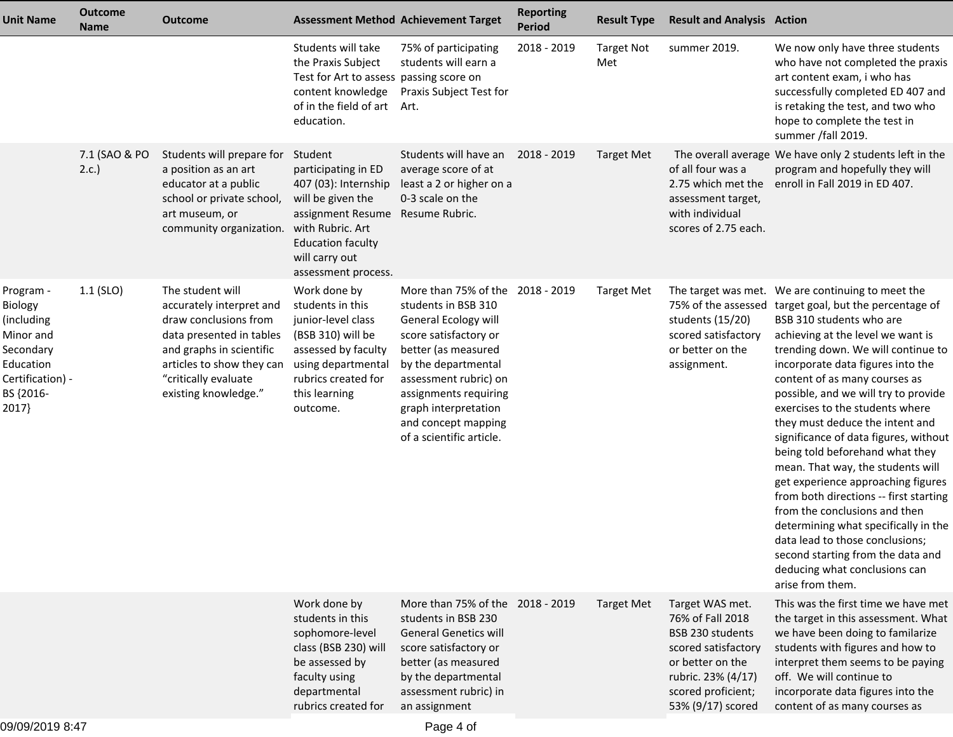| <b>Unit Name</b>                                                                                                    | <b>Outcome</b><br><b>Name</b> | <b>Outcome</b>                                                                                                                                                                                             |                                                                                                                                                                                           | <b>Assessment Method Achievement Target</b>                                                                                                                                                                                                                                         | <b>Reporting</b><br><b>Period</b> | <b>Result Type</b>       | <b>Result and Analysis Action</b>                                                                                                                                   |                                                                                                                                                                                                                                                                                                                                                                                                                                                                                                                                                                                                                                                                                                                                                                                           |
|---------------------------------------------------------------------------------------------------------------------|-------------------------------|------------------------------------------------------------------------------------------------------------------------------------------------------------------------------------------------------------|-------------------------------------------------------------------------------------------------------------------------------------------------------------------------------------------|-------------------------------------------------------------------------------------------------------------------------------------------------------------------------------------------------------------------------------------------------------------------------------------|-----------------------------------|--------------------------|---------------------------------------------------------------------------------------------------------------------------------------------------------------------|-------------------------------------------------------------------------------------------------------------------------------------------------------------------------------------------------------------------------------------------------------------------------------------------------------------------------------------------------------------------------------------------------------------------------------------------------------------------------------------------------------------------------------------------------------------------------------------------------------------------------------------------------------------------------------------------------------------------------------------------------------------------------------------------|
|                                                                                                                     |                               |                                                                                                                                                                                                            | Students will take<br>the Praxis Subject<br>Test for Art to assess passing score on<br>content knowledge<br>of in the field of art<br>education.                                          | 75% of participating<br>students will earn a<br>Praxis Subject Test for<br>Art.                                                                                                                                                                                                     | 2018 - 2019                       | <b>Target Not</b><br>Met | summer 2019.                                                                                                                                                        | We now only have three students<br>who have not completed the praxis<br>art content exam, i who has<br>successfully completed ED 407 and<br>is retaking the test, and two who<br>hope to complete the test in<br>summer /fall 2019.                                                                                                                                                                                                                                                                                                                                                                                                                                                                                                                                                       |
|                                                                                                                     | 7.1 (SAO & PO<br>2.c.         | Students will prepare for<br>a position as an art<br>educator at a public<br>school or private school,<br>art museum, or<br>community organization.                                                        | Student<br>participating in ED<br>407 (03): Internship<br>will be given the<br>assignment Resume<br>with Rubric. Art<br><b>Education faculty</b><br>will carry out<br>assessment process. | Students will have an<br>average score of at<br>least a 2 or higher on a<br>0-3 scale on the<br>Resume Rubric.                                                                                                                                                                      | 2018 - 2019                       | <b>Target Met</b>        | of all four was a<br>2.75 which met the<br>assessment target,<br>with individual<br>scores of 2.75 each.                                                            | The overall average We have only 2 students left in the<br>program and hopefully they will<br>enroll in Fall 2019 in ED 407.                                                                                                                                                                                                                                                                                                                                                                                                                                                                                                                                                                                                                                                              |
| Program -<br>Biology<br>(including<br>Minor and<br>Secondary<br>Education<br>Certification) -<br>BS {2016-<br>2017} | $1.1$ (SLO)                   | The student will<br>accurately interpret and<br>draw conclusions from<br>data presented in tables<br>and graphs in scientific<br>articles to show they can<br>"critically evaluate<br>existing knowledge." | Work done by<br>students in this<br>junior-level class<br>(BSB 310) will be<br>assessed by faculty<br>using departmental<br>rubrics created for<br>this learning<br>outcome.              | More than 75% of the 2018 - 2019<br>students in BSB 310<br>General Ecology will<br>score satisfactory or<br>better (as measured<br>by the departmental<br>assessment rubric) on<br>assignments requiring<br>graph interpretation<br>and concept mapping<br>of a scientific article. |                                   | <b>Target Met</b>        | The target was met.<br>students (15/20)<br>scored satisfactory<br>or better on the<br>assignment.                                                                   | We are continuing to meet the<br>75% of the assessed target goal, but the percentage of<br>BSB 310 students who are<br>achieving at the level we want is<br>trending down. We will continue to<br>incorporate data figures into the<br>content of as many courses as<br>possible, and we will try to provide<br>exercises to the students where<br>they must deduce the intent and<br>significance of data figures, without<br>being told beforehand what they<br>mean. That way, the students will<br>get experience approaching figures<br>from both directions -- first starting<br>from the conclusions and then<br>determining what specifically in the<br>data lead to those conclusions;<br>second starting from the data and<br>deducing what conclusions can<br>arise from them. |
|                                                                                                                     |                               |                                                                                                                                                                                                            | Work done by<br>students in this<br>sophomore-level<br>class (BSB 230) will<br>be assessed by<br>faculty using<br>departmental<br>rubrics created for                                     | More than 75% of the 2018 - 2019<br>students in BSB 230<br><b>General Genetics will</b><br>score satisfactory or<br>better (as measured<br>by the departmental<br>assessment rubric) in<br>an assignment                                                                            |                                   | <b>Target Met</b>        | Target WAS met.<br>76% of Fall 2018<br>BSB 230 students<br>scored satisfactory<br>or better on the<br>rubric. 23% (4/17)<br>scored proficient;<br>53% (9/17) scored | This was the first time we have met<br>the target in this assessment. What<br>we have been doing to familarize<br>students with figures and how to<br>interpret them seems to be paying<br>off. We will continue to<br>incorporate data figures into the<br>content of as many courses as                                                                                                                                                                                                                                                                                                                                                                                                                                                                                                 |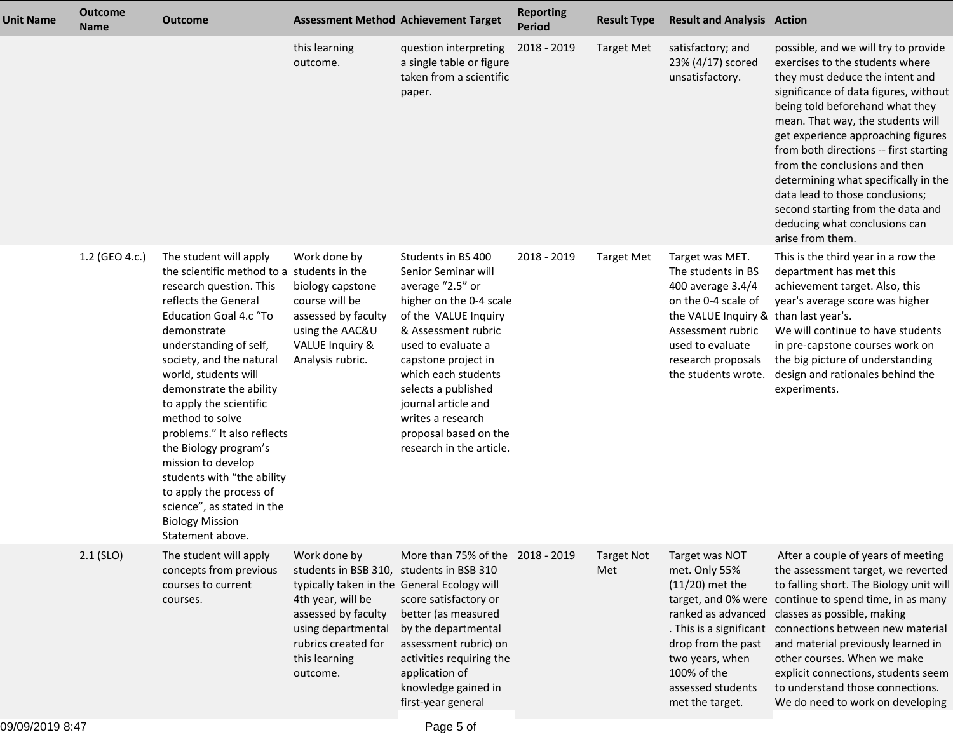| <b>Unit Name</b> | <b>Outcome</b><br><b>Name</b> | <b>Outcome</b>                                                                                                                                                                                                                                                                                                                                                                                                                                                                                                                             |                                                                                                                                                                                                           | <b>Assessment Method Achievement Target</b>                                                                                                                                                                                                                                                                                         | <b>Reporting</b><br>Period | <b>Result Type</b>       | <b>Result and Analysis Action</b>                                                                                                                                                                                |                                                                                                                                                                                                                                                                                                                                                                                                                                                                                                                   |
|------------------|-------------------------------|--------------------------------------------------------------------------------------------------------------------------------------------------------------------------------------------------------------------------------------------------------------------------------------------------------------------------------------------------------------------------------------------------------------------------------------------------------------------------------------------------------------------------------------------|-----------------------------------------------------------------------------------------------------------------------------------------------------------------------------------------------------------|-------------------------------------------------------------------------------------------------------------------------------------------------------------------------------------------------------------------------------------------------------------------------------------------------------------------------------------|----------------------------|--------------------------|------------------------------------------------------------------------------------------------------------------------------------------------------------------------------------------------------------------|-------------------------------------------------------------------------------------------------------------------------------------------------------------------------------------------------------------------------------------------------------------------------------------------------------------------------------------------------------------------------------------------------------------------------------------------------------------------------------------------------------------------|
|                  |                               |                                                                                                                                                                                                                                                                                                                                                                                                                                                                                                                                            | this learning<br>outcome.                                                                                                                                                                                 | question interpreting<br>a single table or figure<br>taken from a scientific<br>paper.                                                                                                                                                                                                                                              | 2018 - 2019                | <b>Target Met</b>        | satisfactory; and<br>23% (4/17) scored<br>unsatisfactory.                                                                                                                                                        | possible, and we will try to provide<br>exercises to the students where<br>they must deduce the intent and<br>significance of data figures, without<br>being told beforehand what they<br>mean. That way, the students will<br>get experience approaching figures<br>from both directions -- first starting<br>from the conclusions and then<br>determining what specifically in the<br>data lead to those conclusions;<br>second starting from the data and<br>deducing what conclusions can<br>arise from them. |
|                  | 1.2 (GEO 4.c.)                | The student will apply<br>the scientific method to a students in the<br>research question. This<br>reflects the General<br>Education Goal 4.c "To<br>demonstrate<br>understanding of self,<br>society, and the natural<br>world, students will<br>demonstrate the ability<br>to apply the scientific<br>method to solve<br>problems." It also reflects<br>the Biology program's<br>mission to develop<br>students with "the ability<br>to apply the process of<br>science", as stated in the<br><b>Biology Mission</b><br>Statement above. | Work done by<br>biology capstone<br>course will be<br>assessed by faculty<br>using the AAC&U<br>VALUE Inquiry &<br>Analysis rubric.                                                                       | Students in BS 400<br>Senior Seminar will<br>average "2.5" or<br>higher on the 0-4 scale<br>of the VALUE Inquiry<br>& Assessment rubric<br>used to evaluate a<br>capstone project in<br>which each students<br>selects a published<br>journal article and<br>writes a research<br>proposal based on the<br>research in the article. | 2018 - 2019                | <b>Target Met</b>        | Target was MET.<br>The students in BS<br>400 average 3.4/4<br>on the 0-4 scale of<br>the VALUE Inquiry & than last year's.<br>Assessment rubric<br>used to evaluate<br>research proposals<br>the students wrote. | This is the third year in a row the<br>department has met this<br>achievement target. Also, this<br>year's average score was higher<br>We will continue to have students<br>in pre-capstone courses work on<br>the big picture of understanding<br>design and rationales behind the<br>experiments.                                                                                                                                                                                                               |
|                  | $2.1$ (SLO)                   | The student will apply<br>concepts from previous<br>courses to current<br>courses.                                                                                                                                                                                                                                                                                                                                                                                                                                                         | Work done by<br>students in BSB 310,<br>typically taken in the General Ecology will<br>4th year, will be<br>assessed by faculty<br>using departmental<br>rubrics created for<br>this learning<br>outcome. | More than 75% of the 2018 - 2019<br>students in BSB 310<br>score satisfactory or<br>better (as measured<br>by the departmental<br>assessment rubric) on<br>activities requiring the<br>application of<br>knowledge gained in<br>first-year general                                                                                  |                            | <b>Target Not</b><br>Met | Target was NOT<br>met. Only 55%<br>$(11/20)$ met the<br>ranked as advanced<br>. This is a significant<br>drop from the past<br>two years, when<br>100% of the<br>assessed students<br>met the target.            | After a couple of years of meeting<br>the assessment target, we reverted<br>to falling short. The Biology unit will<br>target, and 0% were continue to spend time, in as many<br>classes as possible, making<br>connections between new material<br>and material previously learned in<br>other courses. When we make<br>explicit connections, students seem<br>to understand those connections.<br>We do need to work on developing                                                                              |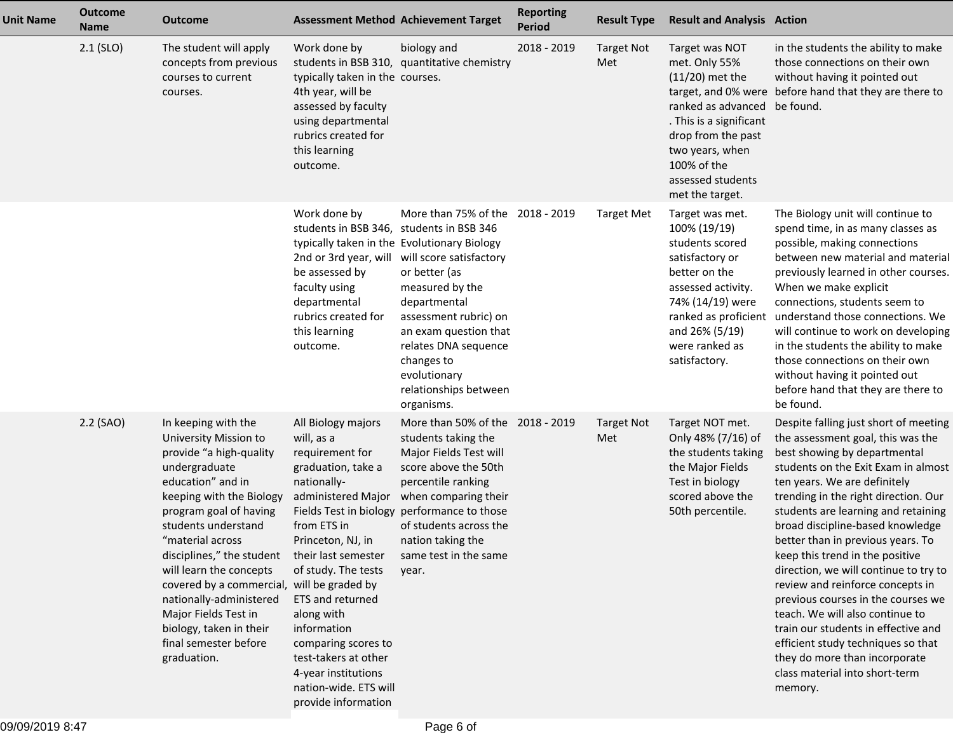| <b>Unit Name</b> | <b>Outcome</b><br><b>Name</b> | <b>Outcome</b>                                                                                                                                                                                                                                                                                                                                                                                                                             |                                                                                                                                                                                                                                                                                                                                                                                                   | <b>Assessment Method Achievement Target</b>                                                                                                                                                                                                                                          | <b>Reporting</b><br><b>Period</b> | <b>Result Type</b>       | <b>Result and Analysis Action</b>                                                                                                                                                                               |                                                                                                                                                                                                                                                                                                                                                                                                                                                                                                                                                                                                                                                                                               |
|------------------|-------------------------------|--------------------------------------------------------------------------------------------------------------------------------------------------------------------------------------------------------------------------------------------------------------------------------------------------------------------------------------------------------------------------------------------------------------------------------------------|---------------------------------------------------------------------------------------------------------------------------------------------------------------------------------------------------------------------------------------------------------------------------------------------------------------------------------------------------------------------------------------------------|--------------------------------------------------------------------------------------------------------------------------------------------------------------------------------------------------------------------------------------------------------------------------------------|-----------------------------------|--------------------------|-----------------------------------------------------------------------------------------------------------------------------------------------------------------------------------------------------------------|-----------------------------------------------------------------------------------------------------------------------------------------------------------------------------------------------------------------------------------------------------------------------------------------------------------------------------------------------------------------------------------------------------------------------------------------------------------------------------------------------------------------------------------------------------------------------------------------------------------------------------------------------------------------------------------------------|
|                  | $2.1$ (SLO)                   | The student will apply<br>concepts from previous<br>courses to current<br>courses.                                                                                                                                                                                                                                                                                                                                                         | Work done by<br>typically taken in the courses.<br>4th year, will be<br>assessed by faculty<br>using departmental<br>rubrics created for<br>this learning<br>outcome.                                                                                                                                                                                                                             | biology and<br>students in BSB 310, quantitative chemistry                                                                                                                                                                                                                           | 2018 - 2019                       | <b>Target Not</b><br>Met | Target was NOT<br>met. Only 55%<br>$(11/20)$ met the<br>ranked as advanced be found.<br>. This is a significant<br>drop from the past<br>two years, when<br>100% of the<br>assessed students<br>met the target. | in the students the ability to make<br>those connections on their own<br>without having it pointed out<br>target, and 0% were before hand that they are there to                                                                                                                                                                                                                                                                                                                                                                                                                                                                                                                              |
|                  |                               |                                                                                                                                                                                                                                                                                                                                                                                                                                            | Work done by<br>students in BSB 346, students in BSB 346<br>typically taken in the Evolutionary Biology<br>be assessed by<br>faculty using<br>departmental<br>rubrics created for<br>this learning<br>outcome.                                                                                                                                                                                    | More than 75% of the 2018 - 2019<br>2nd or 3rd year, will will score satisfactory<br>or better (as<br>measured by the<br>departmental<br>assessment rubric) on<br>an exam question that<br>relates DNA sequence<br>changes to<br>evolutionary<br>relationships between<br>organisms. |                                   | <b>Target Met</b>        | Target was met.<br>100% (19/19)<br>students scored<br>satisfactory or<br>better on the<br>assessed activity.<br>74% (14/19) were<br>ranked as proficient<br>and 26% (5/19)<br>were ranked as<br>satisfactory.   | The Biology unit will continue to<br>spend time, in as many classes as<br>possible, making connections<br>between new material and material<br>previously learned in other courses.<br>When we make explicit<br>connections, students seem to<br>understand those connections. We<br>will continue to work on developing<br>in the students the ability to make<br>those connections on their own<br>without having it pointed out<br>before hand that they are there to<br>be found.                                                                                                                                                                                                         |
|                  | 2.2 (SAO)                     | In keeping with the<br>University Mission to<br>provide "a high-quality<br>undergraduate<br>education" and in<br>keeping with the Biology<br>program goal of having<br>students understand<br>"material across<br>disciplines," the student<br>will learn the concepts<br>covered by a commercial, will be graded by<br>nationally-administered<br>Major Fields Test in<br>biology, taken in their<br>final semester before<br>graduation. | All Biology majors<br>will, as a<br>requirement for<br>graduation, take a<br>nationally-<br>administered Major<br>Fields Test in biology<br>from ETS in<br>Princeton, NJ, in<br>their last semester<br>of study. The tests<br>ETS and returned<br>along with<br>information<br>comparing scores to<br>test-takers at other<br>4-year institutions<br>nation-wide. ETS will<br>provide information | More than 50% of the 2018 - 2019<br>students taking the<br>Major Fields Test will<br>score above the 50th<br>percentile ranking<br>when comparing their<br>performance to those<br>of students across the<br>nation taking the<br>same test in the same<br>year.                     |                                   | <b>Target Not</b><br>Met | Target NOT met.<br>Only 48% (7/16) of<br>the students taking<br>the Major Fields<br>Test in biology<br>scored above the<br>50th percentile.                                                                     | Despite falling just short of meeting<br>the assessment goal, this was the<br>best showing by departmental<br>students on the Exit Exam in almost<br>ten years. We are definitely<br>trending in the right direction. Our<br>students are learning and retaining<br>broad discipline-based knowledge<br>better than in previous years. To<br>keep this trend in the positive<br>direction, we will continue to try to<br>review and reinforce concepts in<br>previous courses in the courses we<br>teach. We will also continue to<br>train our students in effective and<br>efficient study techniques so that<br>they do more than incorporate<br>class material into short-term<br>memory. |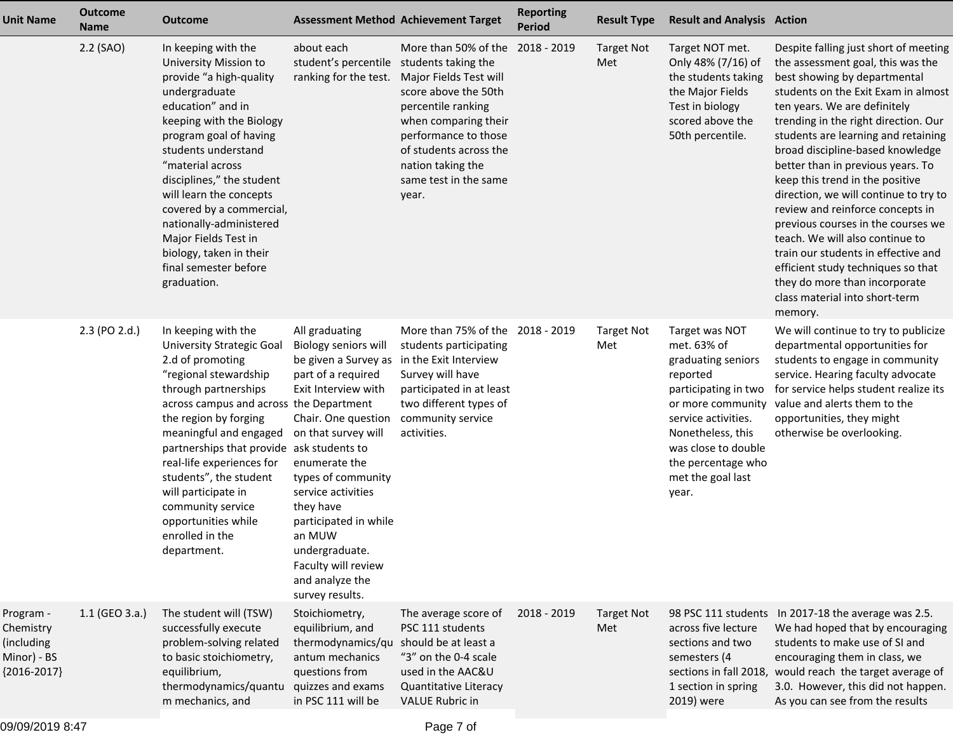| <b>Unit Name</b>                                                     | <b>Outcome</b><br><b>Name</b> | <b>Outcome</b>                                                                                                                                                                                                                                                                                                                                                                                                                      |                                                                                                                                                                                                                                                                                                                                                                         | <b>Assessment Method Achievement Target</b>                                                                                                                                                                                   | <b>Reporting</b><br><b>Period</b> | <b>Result Type</b>       | <b>Result and Analysis Action</b>                                                                                                                                                                                                   |                                                                                                                                                                                                                                                                                                                                                                                                                                                                                                                                                                                                                                                                                               |
|----------------------------------------------------------------------|-------------------------------|-------------------------------------------------------------------------------------------------------------------------------------------------------------------------------------------------------------------------------------------------------------------------------------------------------------------------------------------------------------------------------------------------------------------------------------|-------------------------------------------------------------------------------------------------------------------------------------------------------------------------------------------------------------------------------------------------------------------------------------------------------------------------------------------------------------------------|-------------------------------------------------------------------------------------------------------------------------------------------------------------------------------------------------------------------------------|-----------------------------------|--------------------------|-------------------------------------------------------------------------------------------------------------------------------------------------------------------------------------------------------------------------------------|-----------------------------------------------------------------------------------------------------------------------------------------------------------------------------------------------------------------------------------------------------------------------------------------------------------------------------------------------------------------------------------------------------------------------------------------------------------------------------------------------------------------------------------------------------------------------------------------------------------------------------------------------------------------------------------------------|
|                                                                      | 2.2 (SAO)                     | In keeping with the<br>University Mission to<br>provide "a high-quality<br>undergraduate<br>education" and in<br>keeping with the Biology<br>program goal of having<br>students understand<br>"material across<br>disciplines," the student<br>will learn the concepts<br>covered by a commercial,<br>nationally-administered<br>Major Fields Test in<br>biology, taken in their<br>final semester before<br>graduation.            | about each<br>student's percentile students taking the<br>ranking for the test.                                                                                                                                                                                                                                                                                         | More than 50% of the<br>Major Fields Test will<br>score above the 50th<br>percentile ranking<br>when comparing their<br>performance to those<br>of students across the<br>nation taking the<br>same test in the same<br>year. | 2018 - 2019                       | <b>Target Not</b><br>Met | Target NOT met.<br>Only 48% (7/16) of<br>the students taking<br>the Major Fields<br>Test in biology<br>scored above the<br>50th percentile.                                                                                         | Despite falling just short of meeting<br>the assessment goal, this was the<br>best showing by departmental<br>students on the Exit Exam in almost<br>ten years. We are definitely<br>trending in the right direction. Our<br>students are learning and retaining<br>broad discipline-based knowledge<br>better than in previous years. To<br>keep this trend in the positive<br>direction, we will continue to try to<br>review and reinforce concepts in<br>previous courses in the courses we<br>teach. We will also continue to<br>train our students in effective and<br>efficient study techniques so that<br>they do more than incorporate<br>class material into short-term<br>memory. |
|                                                                      | 2.3 (PO 2.d.)                 | In keeping with the<br><b>University Strategic Goal</b><br>2.d of promoting<br>"regional stewardship<br>through partnerships<br>across campus and across the Department<br>the region by forging<br>meaningful and engaged<br>partnerships that provide ask students to<br>real-life experiences for<br>students", the student<br>will participate in<br>community service<br>opportunities while<br>enrolled in the<br>department. | All graduating<br>Biology seniors will<br>be given a Survey as<br>part of a required<br>Exit Interview with<br>Chair. One question community service<br>on that survey will<br>enumerate the<br>types of community<br>service activities<br>they have<br>participated in while<br>an MUW<br>undergraduate.<br>Faculty will review<br>and analyze the<br>survey results. | More than 75% of the 2018 - 2019<br>students participating<br>in the Exit Interview<br>Survey will have<br>participated in at least<br>two different types of<br>activities.                                                  |                                   | <b>Target Not</b><br>Met | Target was NOT<br>met. 63% of<br>graduating seniors<br>reported<br>participating in two<br>or more community<br>service activities.<br>Nonetheless, this<br>was close to double<br>the percentage who<br>met the goal last<br>year. | We will continue to try to publicize<br>departmental opportunities for<br>students to engage in community<br>service. Hearing faculty advocate<br>for service helps student realize its<br>value and alerts them to the<br>opportunities, they might<br>otherwise be overlooking.                                                                                                                                                                                                                                                                                                                                                                                                             |
| Program -<br>Chemistry<br>(including<br>Minor) - BS<br>${2016-2017}$ | $1.1$ (GEO 3.a.)              | The student will (TSW)<br>successfully execute<br>problem-solving related<br>to basic stoichiometry,<br>equilibrium,<br>thermodynamics/quantu<br>m mechanics, and                                                                                                                                                                                                                                                                   | Stoichiometry,<br>equilibrium, and<br>thermodynamics/qu<br>antum mechanics<br>questions from<br>quizzes and exams<br>in PSC 111 will be                                                                                                                                                                                                                                 | The average score of<br>PSC 111 students<br>should be at least a<br>"3" on the 0-4 scale<br>used in the AAC&U<br>Quantitative Literacy<br><b>VALUE Rubric in</b>                                                              | 2018 - 2019                       | <b>Target Not</b><br>Met | across five lecture<br>sections and two<br>semesters (4<br>1 section in spring<br>2019) were                                                                                                                                        | 98 PSC 111 students In 2017-18 the average was 2.5.<br>We had hoped that by encouraging<br>students to make use of SI and<br>encouraging them in class, we<br>sections in fall 2018, would reach the target average of<br>3.0. However, this did not happen.<br>As you can see from the results                                                                                                                                                                                                                                                                                                                                                                                               |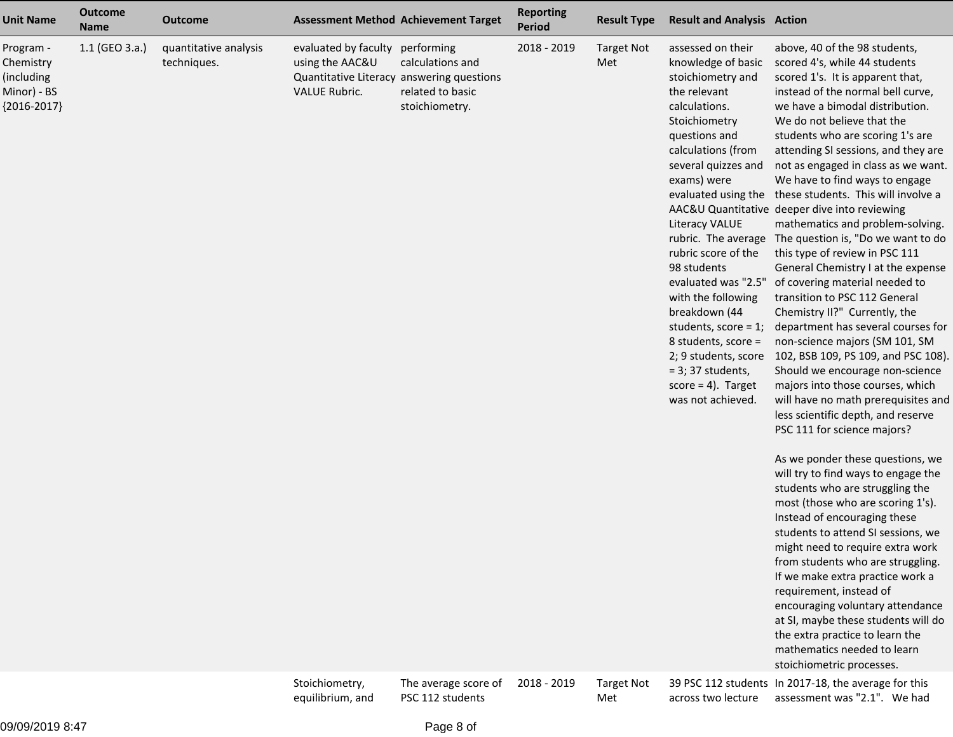| <b>Unit Name</b>                                                     | <b>Outcome</b><br><b>Name</b> | <b>Outcome</b>                       |                                                                 | <b>Assessment Method Achievement Target</b>                                                                       | <b>Reporting</b><br>Period | <b>Result Type</b>       | <b>Result and Analysis Action</b>                                                                                                                                                                                                                                                                                                                                                                                                                                       |                                                                                                                                                                                                                                                                                                                                                                                                                                                                                                                                                                                                                                                                                                                                                                                                                                                                                                                                                                                                                                                                                                                                                                                                                                                                                                                                                                                                                                                                                                                                                                                                 |
|----------------------------------------------------------------------|-------------------------------|--------------------------------------|-----------------------------------------------------------------|-------------------------------------------------------------------------------------------------------------------|----------------------------|--------------------------|-------------------------------------------------------------------------------------------------------------------------------------------------------------------------------------------------------------------------------------------------------------------------------------------------------------------------------------------------------------------------------------------------------------------------------------------------------------------------|-------------------------------------------------------------------------------------------------------------------------------------------------------------------------------------------------------------------------------------------------------------------------------------------------------------------------------------------------------------------------------------------------------------------------------------------------------------------------------------------------------------------------------------------------------------------------------------------------------------------------------------------------------------------------------------------------------------------------------------------------------------------------------------------------------------------------------------------------------------------------------------------------------------------------------------------------------------------------------------------------------------------------------------------------------------------------------------------------------------------------------------------------------------------------------------------------------------------------------------------------------------------------------------------------------------------------------------------------------------------------------------------------------------------------------------------------------------------------------------------------------------------------------------------------------------------------------------------------|
| Program -<br>Chemistry<br>(including<br>Minor) - BS<br>${2016-2017}$ | 1.1 (GEO 3.a.)                | quantitative analysis<br>techniques. | evaluated by faculty<br>using the AAC&U<br><b>VALUE Rubric.</b> | performing<br>calculations and<br>Quantitative Literacy answering questions<br>related to basic<br>stoichiometry. | 2018 - 2019                | <b>Target Not</b><br>Met | assessed on their<br>knowledge of basic<br>stoichiometry and<br>the relevant<br>calculations.<br>Stoichiometry<br>questions and<br>calculations (from<br>several quizzes and<br>exams) were<br><b>Literacy VALUE</b><br>rubric score of the<br>98 students<br>evaluated was "2.5"<br>with the following<br>breakdown (44<br>students, score = $1$ ;<br>8 students, score =<br>2; 9 students, score<br>$=$ 3; 37 students,<br>$score = 4$ ). Target<br>was not achieved. | above, 40 of the 98 students,<br>scored 4's, while 44 students<br>scored 1's. It is apparent that,<br>instead of the normal bell curve,<br>we have a bimodal distribution.<br>We do not believe that the<br>students who are scoring 1's are<br>attending SI sessions, and they are<br>not as engaged in class as we want.<br>We have to find ways to engage<br>evaluated using the these students. This will involve a<br>AAC&U Quantitative deeper dive into reviewing<br>mathematics and problem-solving.<br>rubric. The average The question is, "Do we want to do<br>this type of review in PSC 111<br>General Chemistry I at the expense<br>of covering material needed to<br>transition to PSC 112 General<br>Chemistry II?" Currently, the<br>department has several courses for<br>non-science majors (SM 101, SM<br>102, BSB 109, PS 109, and PSC 108).<br>Should we encourage non-science<br>majors into those courses, which<br>will have no math prerequisites and<br>less scientific depth, and reserve<br>PSC 111 for science majors?<br>As we ponder these questions, we<br>will try to find ways to engage the<br>students who are struggling the<br>most (those who are scoring 1's).<br>Instead of encouraging these<br>students to attend SI sessions, we<br>might need to require extra work<br>from students who are struggling.<br>If we make extra practice work a<br>requirement, instead of<br>encouraging voluntary attendance<br>at SI, maybe these students will do<br>the extra practice to learn the<br>mathematics needed to learn<br>stoichiometric processes. |
|                                                                      |                               |                                      | Stoichiometry,                                                  | The average score of                                                                                              | 2018 - 2019                | <b>Target Not</b>        |                                                                                                                                                                                                                                                                                                                                                                                                                                                                         | 39 PSC 112 students In 2017-18, the average for this                                                                                                                                                                                                                                                                                                                                                                                                                                                                                                                                                                                                                                                                                                                                                                                                                                                                                                                                                                                                                                                                                                                                                                                                                                                                                                                                                                                                                                                                                                                                            |

2018 - 2019

 Target Not Met

39 PSC 112 students In 2017-18, the average for this across two lecture assessment was "2.1". We had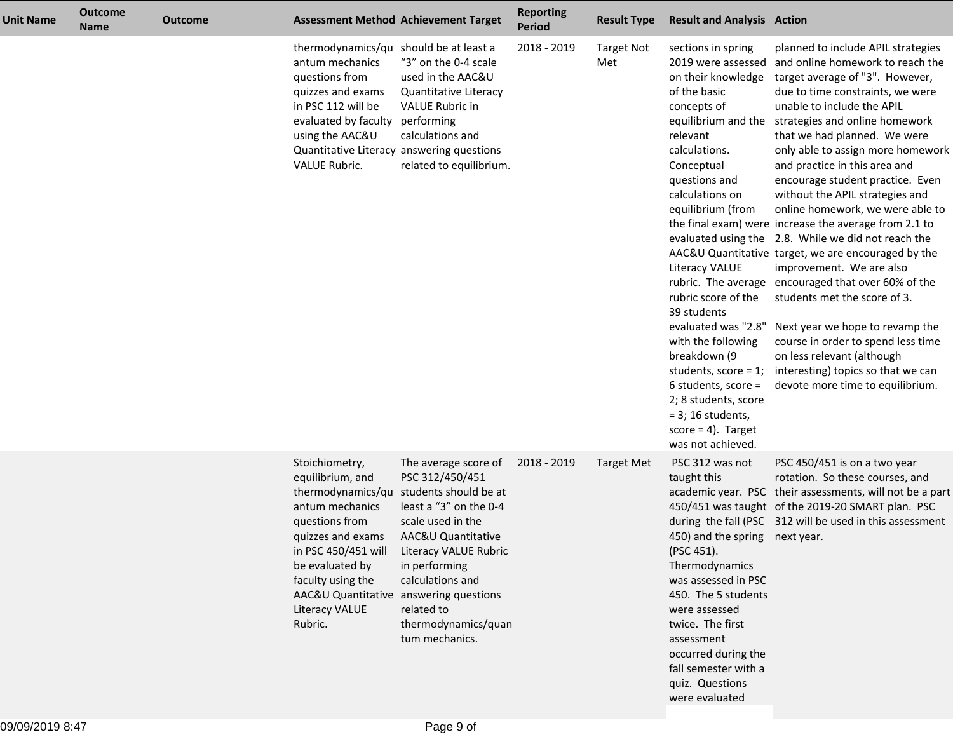| <b>Unit Name</b> | <b>Outcome</b><br><b>Name</b> | <b>Outcome</b> |                                                                                                                                                                                               | <b>Assessment Method Achievement Target</b>                                                                                                                                                                                                                                                                            | <b>Reporting</b><br><b>Period</b> | <b>Result Type</b>       | <b>Result and Analysis Action</b>                                                                                                                                                                                                                                                                                                                                                                                                                                                                  |                                                                                                                                                                                                                                                                                                                                                                                                                                                                                                                                                                                                                                                                                                                                                                                                                                                                                                           |
|------------------|-------------------------------|----------------|-----------------------------------------------------------------------------------------------------------------------------------------------------------------------------------------------|------------------------------------------------------------------------------------------------------------------------------------------------------------------------------------------------------------------------------------------------------------------------------------------------------------------------|-----------------------------------|--------------------------|----------------------------------------------------------------------------------------------------------------------------------------------------------------------------------------------------------------------------------------------------------------------------------------------------------------------------------------------------------------------------------------------------------------------------------------------------------------------------------------------------|-----------------------------------------------------------------------------------------------------------------------------------------------------------------------------------------------------------------------------------------------------------------------------------------------------------------------------------------------------------------------------------------------------------------------------------------------------------------------------------------------------------------------------------------------------------------------------------------------------------------------------------------------------------------------------------------------------------------------------------------------------------------------------------------------------------------------------------------------------------------------------------------------------------|
|                  |                               |                | thermodynamics/qu should be at least a<br>antum mechanics<br>questions from<br>quizzes and exams<br>in PSC 112 will be<br>evaluated by faculty performing<br>using the AAC&U<br>VALUE Rubric. | "3" on the 0-4 scale<br>used in the AAC&U<br>Quantitative Literacy<br><b>VALUE Rubric in</b><br>calculations and<br>Quantitative Literacy answering questions<br>related to equilibrium.                                                                                                                               | 2018 - 2019                       | <b>Target Not</b><br>Met | sections in spring<br>2019 were assessed<br>on their knowledge<br>of the basic<br>concepts of<br>equilibrium and the<br>relevant<br>calculations.<br>Conceptual<br>questions and<br>calculations on<br>equilibrium (from<br><b>Literacy VALUE</b><br>rubric score of the<br>39 students<br>evaluated was "2.8"<br>with the following<br>breakdown (9<br>students, score = $1$ ;<br>6 students, score =<br>2; 8 students, score<br>$=$ 3; 16 students,<br>$score = 4$ . Target<br>was not achieved. | planned to include APIL strategies<br>and online homework to reach the<br>target average of "3". However,<br>due to time constraints, we were<br>unable to include the APIL<br>strategies and online homework<br>that we had planned. We were<br>only able to assign more homework<br>and practice in this area and<br>encourage student practice. Even<br>without the APIL strategies and<br>online homework, we were able to<br>the final exam) were increase the average from 2.1 to<br>evaluated using the 2.8. While we did not reach the<br>AAC&U Quantitative target, we are encouraged by the<br>improvement. We are also<br>rubric. The average encouraged that over 60% of the<br>students met the score of 3.<br>Next year we hope to revamp the<br>course in order to spend less time<br>on less relevant (although<br>interesting) topics so that we can<br>devote more time to equilibrium. |
|                  |                               |                | Stoichiometry,<br>equilibrium, and<br>antum mechanics<br>questions from<br>quizzes and exams<br>in PSC 450/451 will<br>be evaluated by<br>faculty using the<br>Literacy VALUE<br>Rubric.      | The average score of<br>PSC 312/450/451<br>thermodynamics/qu students should be at<br>least a "3" on the 0-4<br>scale used in the<br>AAC&U Quantitative<br>Literacy VALUE Rubric<br>in performing<br>calculations and<br>AAC&U Quantitative answering questions<br>related to<br>thermodynamics/quan<br>tum mechanics. | 2018 - 2019                       | Target Met               | PSC 312 was not<br>taught this<br>450) and the spring next year.<br>(PSC 451).<br>Thermodynamics<br>was assessed in PSC<br>450. The 5 students<br>were assessed<br>twice. The first<br>assessment<br>occurred during the<br>fall semester with a<br>quiz. Questions<br>were evaluated                                                                                                                                                                                                              | PSC 450/451 is on a two year<br>rotation. So these courses, and<br>academic year. PSC their assessments, will not be a part<br>450/451 was taught of the 2019-20 SMART plan. PSC<br>during the fall (PSC 312 will be used in this assessment                                                                                                                                                                                                                                                                                                                                                                                                                                                                                                                                                                                                                                                              |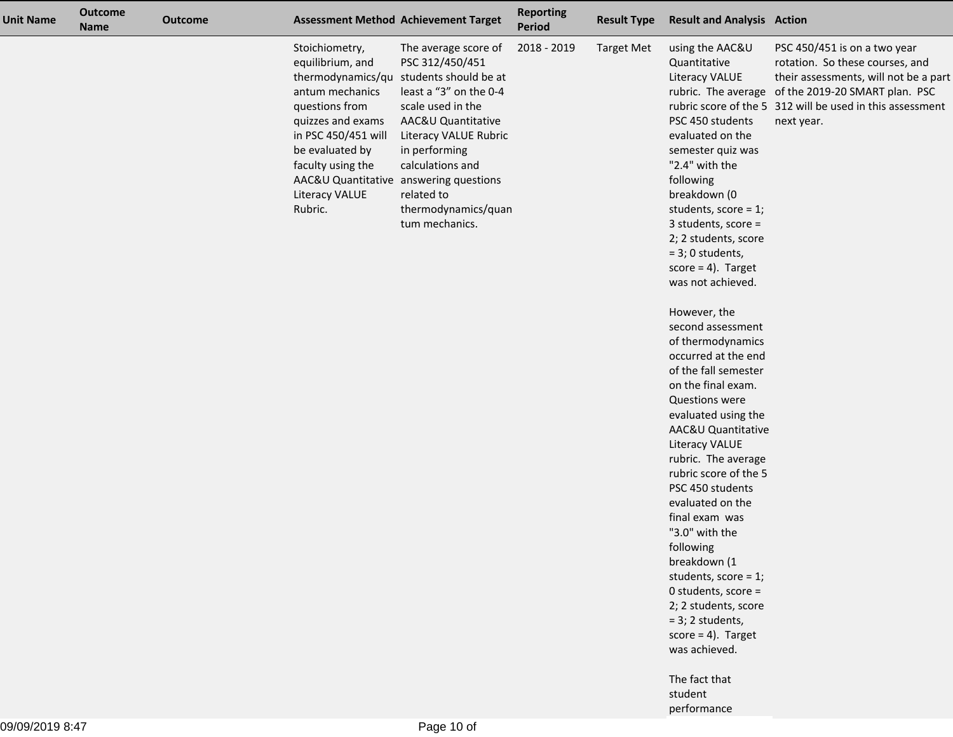| <b>Unit Name</b> | <b>Outcome</b><br><b>Name</b> | <b>Outcome</b> |                                                                                                                                                                                                                                    | <b>Assessment Method Achievement Target</b>                                                                                                                                                                                                                                  | <b>Reporting</b><br><b>Period</b> | <b>Result Type</b> | <b>Result and Analysis Action</b>                                                                                                                                                                                                                                                                                                                                                                                                                                                                                                                                                                                                                                                                                                                                                                                                     |                                                                                                                                                                                                                                           |
|------------------|-------------------------------|----------------|------------------------------------------------------------------------------------------------------------------------------------------------------------------------------------------------------------------------------------|------------------------------------------------------------------------------------------------------------------------------------------------------------------------------------------------------------------------------------------------------------------------------|-----------------------------------|--------------------|---------------------------------------------------------------------------------------------------------------------------------------------------------------------------------------------------------------------------------------------------------------------------------------------------------------------------------------------------------------------------------------------------------------------------------------------------------------------------------------------------------------------------------------------------------------------------------------------------------------------------------------------------------------------------------------------------------------------------------------------------------------------------------------------------------------------------------------|-------------------------------------------------------------------------------------------------------------------------------------------------------------------------------------------------------------------------------------------|
|                  |                               |                | Stoichiometry,<br>equilibrium, and<br>antum mechanics<br>questions from<br>quizzes and exams<br>in PSC 450/451 will<br>be evaluated by<br>faculty using the<br>AAC&U Quantitative answering questions<br>Literacy VALUE<br>Rubric. | The average score of<br>PSC 312/450/451<br>thermodynamics/qu students should be at<br>least a "3" on the 0-4<br>scale used in the<br>AAC&U Quantitative<br>Literacy VALUE Rubric<br>in performing<br>calculations and<br>related to<br>thermodynamics/quan<br>tum mechanics. | 2018 - 2019                       | <b>Target Met</b>  | using the AAC&U<br>Quantitative<br>Literacy VALUE<br>PSC 450 students<br>evaluated on the<br>semester quiz was<br>"2.4" with the<br>following<br>breakdown (0<br>students, score = $1$ ;<br>3 students, score $=$<br>2; 2 students, score<br>$= 3; 0$ students,<br>$score = 4$ . Target<br>was not achieved.<br>However, the<br>second assessment<br>of thermodynamics<br>occurred at the end<br>of the fall semester<br>on the final exam.<br><b>Questions were</b><br>evaluated using the<br>AAC&U Quantitative<br>Literacy VALUE<br>rubric. The average<br>rubric score of the 5<br>PSC 450 students<br>evaluated on the<br>final exam was<br>"3.0" with the<br>following<br>breakdown (1<br>students, score = $1$ ;<br>0 students, score =<br>2; 2 students, score<br>$= 3; 2$ students,<br>$score = 4$ . Target<br>was achieved. | PSC 450/451 is on a two year<br>rotation. So these courses, and<br>their assessments, will not be a part<br>rubric. The average of the 2019-20 SMART plan. PSC<br>rubric score of the 5 312 will be used in this assessment<br>next year. |
|                  |                               |                |                                                                                                                                                                                                                                    |                                                                                                                                                                                                                                                                              |                                   |                    | The fact that<br>student                                                                                                                                                                                                                                                                                                                                                                                                                                                                                                                                                                                                                                                                                                                                                                                                              |                                                                                                                                                                                                                                           |

performance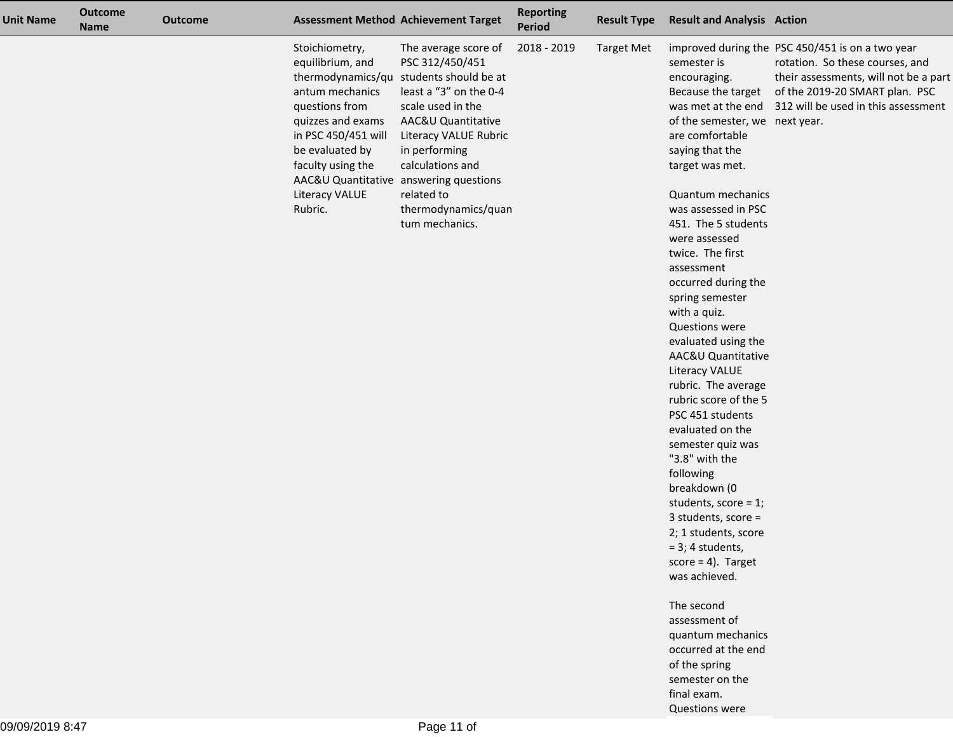| <b>Unit Name</b> | <b>Outcome</b><br><b>Name</b> | <b>Outcome</b> |                                                                                                                                                                                                                                    | <b>Assessment Method Achievement Target</b>                                                                                                                                                                                                                                  | <b>Reporting</b><br>Period | <b>Result Type</b> | <b>Result and Analysis Action</b>                                                                                                                                                                                                                                                                                                                                                                                                                                                                                                                                                                                                                                                                                                                                                                                                                               |                                                                                                                                                                                                                          |
|------------------|-------------------------------|----------------|------------------------------------------------------------------------------------------------------------------------------------------------------------------------------------------------------------------------------------|------------------------------------------------------------------------------------------------------------------------------------------------------------------------------------------------------------------------------------------------------------------------------|----------------------------|--------------------|-----------------------------------------------------------------------------------------------------------------------------------------------------------------------------------------------------------------------------------------------------------------------------------------------------------------------------------------------------------------------------------------------------------------------------------------------------------------------------------------------------------------------------------------------------------------------------------------------------------------------------------------------------------------------------------------------------------------------------------------------------------------------------------------------------------------------------------------------------------------|--------------------------------------------------------------------------------------------------------------------------------------------------------------------------------------------------------------------------|
|                  |                               |                | Stoichiometry,<br>equilibrium, and<br>antum mechanics<br>questions from<br>quizzes and exams<br>in PSC 450/451 will<br>be evaluated by<br>faculty using the<br>AAC&U Quantitative answering questions<br>Literacy VALUE<br>Rubric. | The average score of<br>PSC 312/450/451<br>thermodynamics/qu students should be at<br>least a "3" on the 0-4<br>scale used in the<br>AAC&U Quantitative<br>Literacy VALUE Rubric<br>in performing<br>calculations and<br>related to<br>thermodynamics/quan<br>tum mechanics. | 2018 - 2019                | <b>Target Met</b>  | semester is<br>encouraging.<br>Because the target<br>of the semester, we next year.<br>are comfortable<br>saying that the<br>target was met.<br>Quantum mechanics<br>was assessed in PSC<br>451. The 5 students<br>were assessed<br>twice. The first<br>assessment<br>occurred during the<br>spring semester<br>with a quiz.<br><b>Questions were</b><br>evaluated using the<br>AAC&U Quantitative<br><b>Literacy VALUE</b><br>rubric. The average<br>rubric score of the 5<br>PSC 451 students<br>evaluated on the<br>semester quiz was<br>"3.8" with the<br>following<br>breakdown (0<br>students, score = $1$ ;<br>3 students, score =<br>2; 1 students, score<br>$= 3; 4$ students,<br>$score = 4$ ). Target<br>was achieved.<br>The second<br>assessment of<br>quantum mechanics<br>occurred at the end<br>of the spring<br>semester on the<br>final exam. | improved during the PSC 450/451 is on a two year<br>rotation. So these courses, and<br>their assessments, will not be a part<br>of the 2019-20 SMART plan. PSC<br>was met at the end 312 will be used in this assessment |

Questions were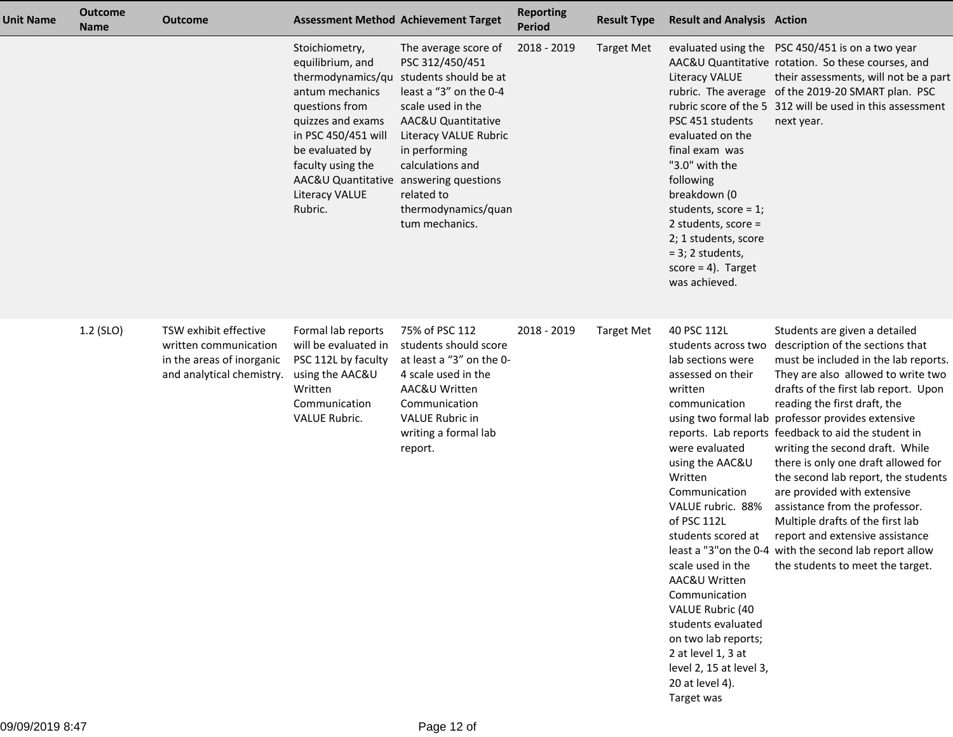| Unit Name | <b>Outcome</b><br><b>Name</b> | <b>Outcome</b>                                                                                           |                                                                                                                                                                                                                                            | <b>Assessment Method Achievement Target</b>                                                                                                                                                                                                                                       | <b>Reporting</b><br><b>Period</b> | <b>Result Type</b> | <b>Result and Analysis Action</b>                                                                                                                                                                                                                                                                                                                                                                                                             |                                                                                                                                                                                                                                                                                                                                                                                                                                                                                                                                                                                                                                                                                             |
|-----------|-------------------------------|----------------------------------------------------------------------------------------------------------|--------------------------------------------------------------------------------------------------------------------------------------------------------------------------------------------------------------------------------------------|-----------------------------------------------------------------------------------------------------------------------------------------------------------------------------------------------------------------------------------------------------------------------------------|-----------------------------------|--------------------|-----------------------------------------------------------------------------------------------------------------------------------------------------------------------------------------------------------------------------------------------------------------------------------------------------------------------------------------------------------------------------------------------------------------------------------------------|---------------------------------------------------------------------------------------------------------------------------------------------------------------------------------------------------------------------------------------------------------------------------------------------------------------------------------------------------------------------------------------------------------------------------------------------------------------------------------------------------------------------------------------------------------------------------------------------------------------------------------------------------------------------------------------------|
|           |                               |                                                                                                          | Stoichiometry,<br>equilibrium, and<br>thermodynamics/qu<br>antum mechanics<br>questions from<br>quizzes and exams<br>in PSC 450/451 will<br>be evaluated by<br>faculty using the<br>AAC&U Quantitative<br><b>Literacy VALUE</b><br>Rubric. | The average score of<br>PSC 312/450/451<br>students should be at<br>least a "3" on the 0-4<br>scale used in the<br>AAC&U Quantitative<br>Literacy VALUE Rubric<br>in performing<br>calculations and<br>answering questions<br>related to<br>thermodynamics/quan<br>tum mechanics. | 2018 - 2019                       | <b>Target Met</b>  | Literacy VALUE<br>PSC 451 students<br>evaluated on the<br>final exam was<br>"3.0" with the<br>following<br>breakdown (0<br>students, score = $1$ ;<br>2 students, score =<br>2; 1 students, score<br>$= 3$ ; 2 students,<br>$score = 4$ ). Target<br>was achieved.                                                                                                                                                                            | evaluated using the PSC 450/451 is on a two year<br>AAC&U Quantitative rotation. So these courses, and<br>their assessments, will not be a part<br>rubric. The average of the 2019-20 SMART plan. PSC<br>rubric score of the 5 312 will be used in this assessment<br>next year.                                                                                                                                                                                                                                                                                                                                                                                                            |
|           | 1.2 (SLO)                     | TSW exhibit effective<br>written communication<br>in the areas of inorganic<br>and analytical chemistry. | Formal lab reports<br>will be evaluated in<br>PSC 112L by faculty<br>using the AAC&U<br>Written<br>Communication<br>VALUE Rubric.                                                                                                          | 75% of PSC 112<br>students should score<br>at least a "3" on the 0-<br>4 scale used in the<br>AAC&U Written<br>Communication<br>VALUE Rubric in<br>writing a formal lab<br>report.                                                                                                | 2018 - 2019                       | <b>Target Met</b>  | 40 PSC 112L<br>students across two<br>lab sections were<br>assessed on their<br>written<br>communication<br>were evaluated<br>using the AAC&U<br>Written<br>Communication<br>VALUE rubric. 88%<br>of PSC 112L<br>students scored at<br>scale used in the<br>AAC&U Written<br>Communication<br>VALUE Rubric (40<br>students evaluated<br>on two lab reports;<br>2 at level 1, 3 at<br>level 2, 15 at level 3,<br>20 at level 4).<br>Target was | Students are given a detailed<br>description of the sections that<br>must be included in the lab reports.<br>They are also allowed to write two<br>drafts of the first lab report. Upon<br>reading the first draft, the<br>using two formal lab professor provides extensive<br>reports. Lab reports feedback to aid the student in<br>writing the second draft. While<br>there is only one draft allowed for<br>the second lab report, the students<br>are provided with extensive<br>assistance from the professor.<br>Multiple drafts of the first lab<br>report and extensive assistance<br>least a "3" on the 0-4 with the second lab report allow<br>the students to meet the target. |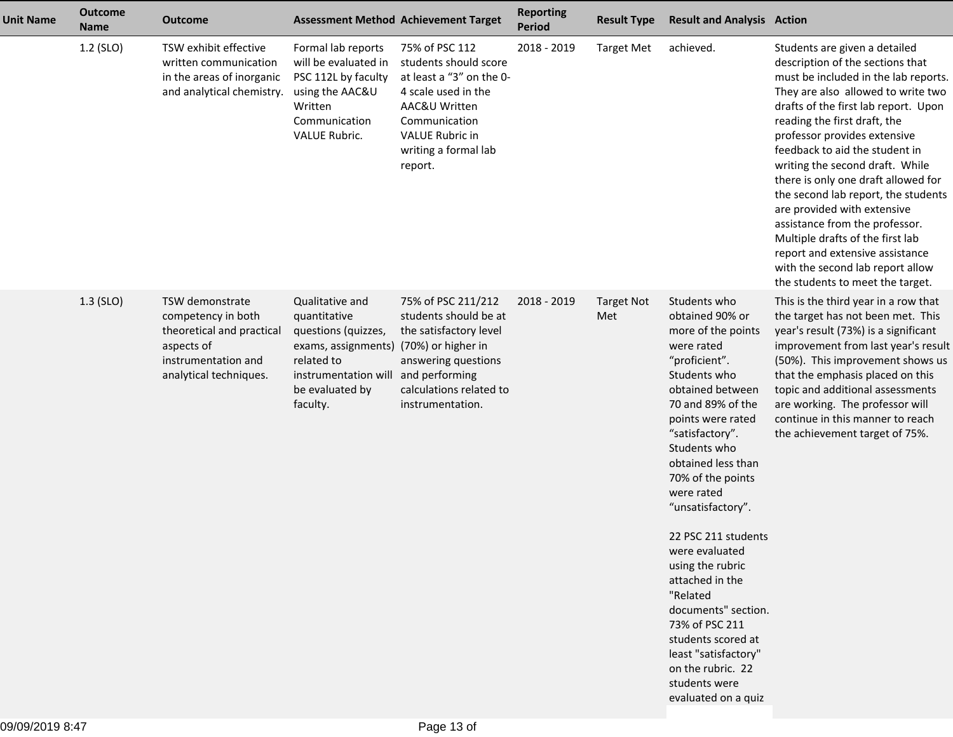| <b>Unit Name</b> | <b>Outcome</b><br><b>Name</b> | <b>Outcome</b>                                                                                                                    |                                                                                                                                                                       | <b>Assessment Method Achievement Target</b>                                                                                                                                        | <b>Reporting</b><br><b>Period</b> | <b>Result Type</b>       | <b>Result and Analysis Action</b>                                                                                                                                                                                                                                                                                                                                                                                                                                                                                                   |                                                                                                                                                                                                                                                                                                                                                                                                                                                                                                                                                                                                                            |
|------------------|-------------------------------|-----------------------------------------------------------------------------------------------------------------------------------|-----------------------------------------------------------------------------------------------------------------------------------------------------------------------|------------------------------------------------------------------------------------------------------------------------------------------------------------------------------------|-----------------------------------|--------------------------|-------------------------------------------------------------------------------------------------------------------------------------------------------------------------------------------------------------------------------------------------------------------------------------------------------------------------------------------------------------------------------------------------------------------------------------------------------------------------------------------------------------------------------------|----------------------------------------------------------------------------------------------------------------------------------------------------------------------------------------------------------------------------------------------------------------------------------------------------------------------------------------------------------------------------------------------------------------------------------------------------------------------------------------------------------------------------------------------------------------------------------------------------------------------------|
|                  | 1.2 (SLO)                     | TSW exhibit effective<br>written communication<br>in the areas of inorganic<br>and analytical chemistry.                          | Formal lab reports<br>will be evaluated in<br>PSC 112L by faculty<br>using the AAC&U<br>Written<br>Communication<br>VALUE Rubric.                                     | 75% of PSC 112<br>students should score<br>at least a "3" on the 0-<br>4 scale used in the<br>AAC&U Written<br>Communication<br>VALUE Rubric in<br>writing a formal lab<br>report. | 2018 - 2019                       | <b>Target Met</b>        | achieved.                                                                                                                                                                                                                                                                                                                                                                                                                                                                                                                           | Students are given a detailed<br>description of the sections that<br>must be included in the lab reports.<br>They are also allowed to write two<br>drafts of the first lab report. Upon<br>reading the first draft, the<br>professor provides extensive<br>feedback to aid the student in<br>writing the second draft. While<br>there is only one draft allowed for<br>the second lab report, the students<br>are provided with extensive<br>assistance from the professor.<br>Multiple drafts of the first lab<br>report and extensive assistance<br>with the second lab report allow<br>the students to meet the target. |
|                  | $1.3$ (SLO)                   | TSW demonstrate<br>competency in both<br>theoretical and practical<br>aspects of<br>instrumentation and<br>analytical techniques. | Qualitative and<br>quantitative<br>questions (quizzes,<br>exams, assignments) (70%) or higher in<br>related to<br>instrumentation will<br>be evaluated by<br>faculty. | 75% of PSC 211/212<br>students should be at<br>the satisfactory level<br>answering questions<br>and performing<br>calculations related to<br>instrumentation.                      | 2018 - 2019                       | <b>Target Not</b><br>Met | Students who<br>obtained 90% or<br>more of the points<br>were rated<br>"proficient".<br>Students who<br>obtained between<br>70 and 89% of the<br>points were rated<br>"satisfactory".<br>Students who<br>obtained less than<br>70% of the points<br>were rated<br>"unsatisfactory".<br>22 PSC 211 students<br>were evaluated<br>using the rubric<br>attached in the<br>"Related<br>documents" section.<br>73% of PSC 211<br>students scored at<br>least "satisfactory"<br>on the rubric. 22<br>students were<br>evaluated on a quiz | This is the third year in a row that<br>the target has not been met. This<br>year's result (73%) is a significant<br>improvement from last year's result<br>(50%). This improvement shows us<br>that the emphasis placed on this<br>topic and additional assessments<br>are working. The professor will<br>continue in this manner to reach<br>the achievement target of 75%.                                                                                                                                                                                                                                              |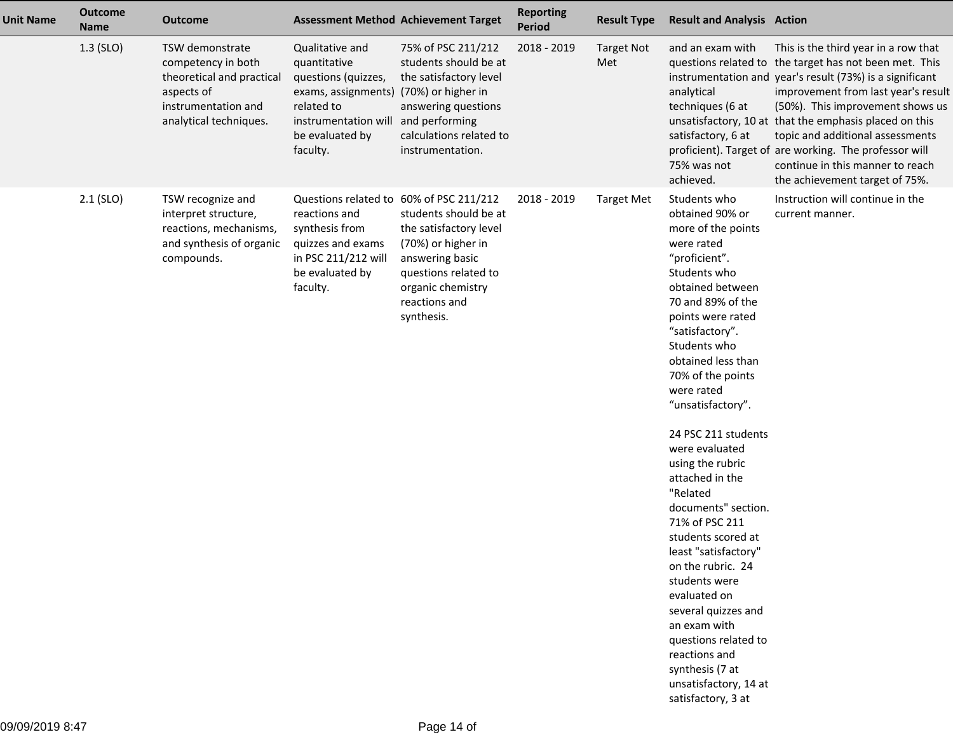| <b>Unit Name</b> | <b>Outcome</b><br><b>Name</b> | <b>Outcome</b>                                                                                                                    | <b>Assessment Method Achievement Target</b>                                                                                                                                          |                                                                                                                                                                      | <b>Reporting</b><br><b>Period</b> | <b>Result Type</b>       | <b>Result and Analysis Action</b>                                                                                                                                                                                                                                                                                                                                                                                                                                                                                                                                                                                                                                              |                                                                                                                                                                                                                                                                                                                                                                                                                                                                     |
|------------------|-------------------------------|-----------------------------------------------------------------------------------------------------------------------------------|--------------------------------------------------------------------------------------------------------------------------------------------------------------------------------------|----------------------------------------------------------------------------------------------------------------------------------------------------------------------|-----------------------------------|--------------------------|--------------------------------------------------------------------------------------------------------------------------------------------------------------------------------------------------------------------------------------------------------------------------------------------------------------------------------------------------------------------------------------------------------------------------------------------------------------------------------------------------------------------------------------------------------------------------------------------------------------------------------------------------------------------------------|---------------------------------------------------------------------------------------------------------------------------------------------------------------------------------------------------------------------------------------------------------------------------------------------------------------------------------------------------------------------------------------------------------------------------------------------------------------------|
|                  | $1.3$ (SLO)                   | TSW demonstrate<br>competency in both<br>theoretical and practical<br>aspects of<br>instrumentation and<br>analytical techniques. | Qualitative and<br>quantitative<br>questions (quizzes,<br>exams, assignments) (70%) or higher in<br>related to<br>instrumentation will and performing<br>be evaluated by<br>faculty. | 75% of PSC 211/212<br>students should be at<br>the satisfactory level<br>answering questions<br>calculations related to<br>instrumentation.                          | 2018 - 2019                       | <b>Target Not</b><br>Met | and an exam with<br>analytical<br>techniques (6 at<br>satisfactory, 6 at<br>75% was not<br>achieved.                                                                                                                                                                                                                                                                                                                                                                                                                                                                                                                                                                           | This is the third year in a row that<br>questions related to the target has not been met. This<br>instrumentation and year's result (73%) is a significant<br>improvement from last year's result<br>(50%). This improvement shows us<br>unsatisfactory, 10 at that the emphasis placed on this<br>topic and additional assessments<br>proficient). Target of are working. The professor will<br>continue in this manner to reach<br>the achievement target of 75%. |
|                  | $2.1$ (SLO)                   | TSW recognize and<br>interpret structure,<br>reactions, mechanisms,<br>and synthesis of organic<br>compounds.                     | Questions related to 60% of PSC 211/212<br>reactions and<br>synthesis from<br>quizzes and exams<br>in PSC 211/212 will<br>be evaluated by<br>faculty.                                | students should be at<br>the satisfactory level<br>(70%) or higher in<br>answering basic<br>questions related to<br>organic chemistry<br>reactions and<br>synthesis. | 2018 - 2019                       | <b>Target Met</b>        | Students who<br>obtained 90% or<br>more of the points<br>were rated<br>"proficient".<br>Students who<br>obtained between<br>70 and 89% of the<br>points were rated<br>"satisfactory".<br>Students who<br>obtained less than<br>70% of the points<br>were rated<br>"unsatisfactory".<br>24 PSC 211 students<br>were evaluated<br>using the rubric<br>attached in the<br>"Related<br>documents" section.<br>71% of PSC 211<br>students scored at<br>least "satisfactory"<br>on the rubric. 24<br>students were<br>evaluated on<br>several quizzes and<br>an exam with<br>questions related to<br>reactions and<br>synthesis (7 at<br>unsatisfactory, 14 at<br>satisfactory, 3 at | Instruction will continue in the<br>current manner.                                                                                                                                                                                                                                                                                                                                                                                                                 |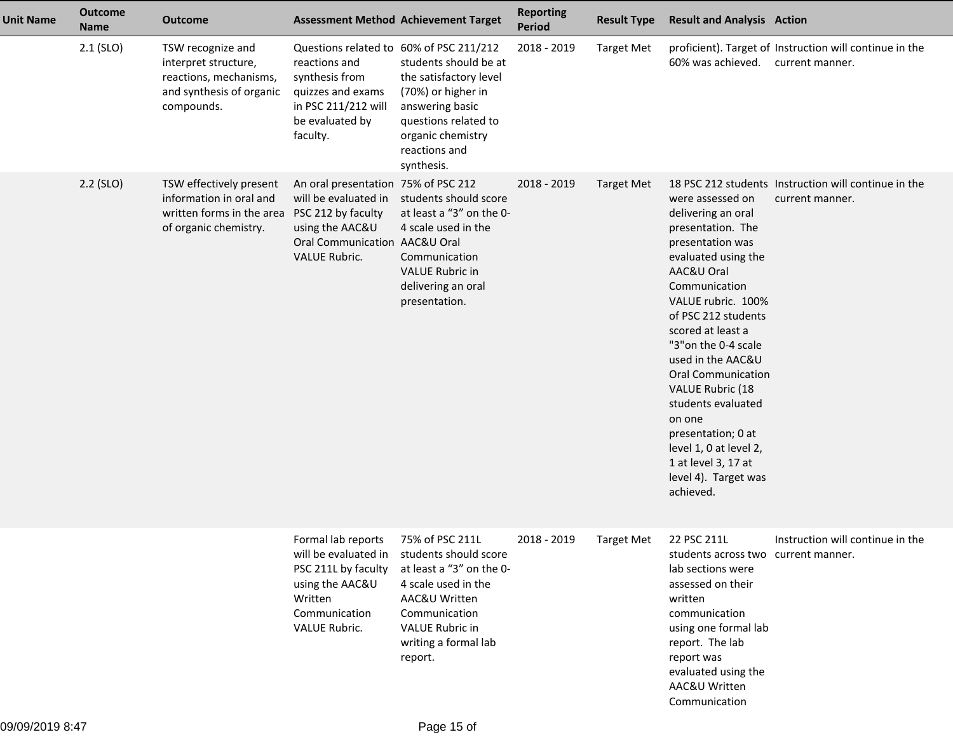| <b>Unit Name</b> | <b>Outcome</b><br><b>Name</b> | <b>Outcome</b>                                                                                                              | <b>Assessment Method Achievement Target</b>                                                                                                           |                                                                                                                                                                                            | <b>Reporting</b><br><b>Period</b> | <b>Result Type</b> | <b>Result and Analysis Action</b>                                                                                                                                                                                                                                                                                                                                                                                                                 |                                                                            |
|------------------|-------------------------------|-----------------------------------------------------------------------------------------------------------------------------|-------------------------------------------------------------------------------------------------------------------------------------------------------|--------------------------------------------------------------------------------------------------------------------------------------------------------------------------------------------|-----------------------------------|--------------------|---------------------------------------------------------------------------------------------------------------------------------------------------------------------------------------------------------------------------------------------------------------------------------------------------------------------------------------------------------------------------------------------------------------------------------------------------|----------------------------------------------------------------------------|
|                  | $2.1$ (SLO)                   | TSW recognize and<br>interpret structure,<br>reactions, mechanisms,<br>and synthesis of organic<br>compounds.               | Questions related to 60% of PSC 211/212<br>reactions and<br>synthesis from<br>quizzes and exams<br>in PSC 211/212 will<br>be evaluated by<br>faculty. | students should be at<br>the satisfactory level<br>(70%) or higher in<br>answering basic<br>questions related to<br>organic chemistry<br>reactions and<br>synthesis.                       | 2018 - 2019                       | <b>Target Met</b>  | 60% was achieved.                                                                                                                                                                                                                                                                                                                                                                                                                                 | proficient). Target of Instruction will continue in the<br>current manner. |
|                  | $2.2$ (SLO)                   | TSW effectively present<br>information in oral and<br>written forms in the area PSC 212 by faculty<br>of organic chemistry. | An oral presentation 75% of PSC 212<br>will be evaluated in<br>using the AAC&U<br>Oral Communication AAC&U Oral<br><b>VALUE Rubric.</b>               | students should score<br>at least a "3" on the 0-<br>4 scale used in the<br>Communication<br><b>VALUE Rubric in</b><br>delivering an oral<br>presentation.                                 | 2018 - 2019                       | <b>Target Met</b>  | were assessed on<br>delivering an oral<br>presentation. The<br>presentation was<br>evaluated using the<br>AAC&U Oral<br>Communication<br>VALUE rubric. 100%<br>of PSC 212 students<br>scored at least a<br>"3" on the 0-4 scale<br>used in the AAC&U<br><b>Oral Communication</b><br>VALUE Rubric (18<br>students evaluated<br>on one<br>presentation; 0 at<br>level 1, 0 at level 2,<br>1 at level 3, 17 at<br>level 4). Target was<br>achieved. | 18 PSC 212 students Instruction will continue in the<br>current manner.    |
|                  |                               |                                                                                                                             | Formal lab reports<br>will be evaluated in<br>PSC 211L by faculty<br>using the AAC&U<br>Written<br>Communication<br>VALUE Rubric.                     | 75% of PSC 211L<br>students should score<br>at least a "3" on the 0-<br>4 scale used in the<br>AAC&U Written<br>Communication<br><b>VALUE Rubric in</b><br>writing a formal lab<br>report. | 2018 - 2019                       | <b>Target Met</b>  | 22 PSC 211L<br>students across two current manner.<br>lab sections were<br>assessed on their<br>written<br>communication<br>using one formal lab<br>report. The lab<br>report was<br>evaluated using the<br>AAC&U Written<br>Communication                                                                                                                                                                                                        | Instruction will continue in the                                           |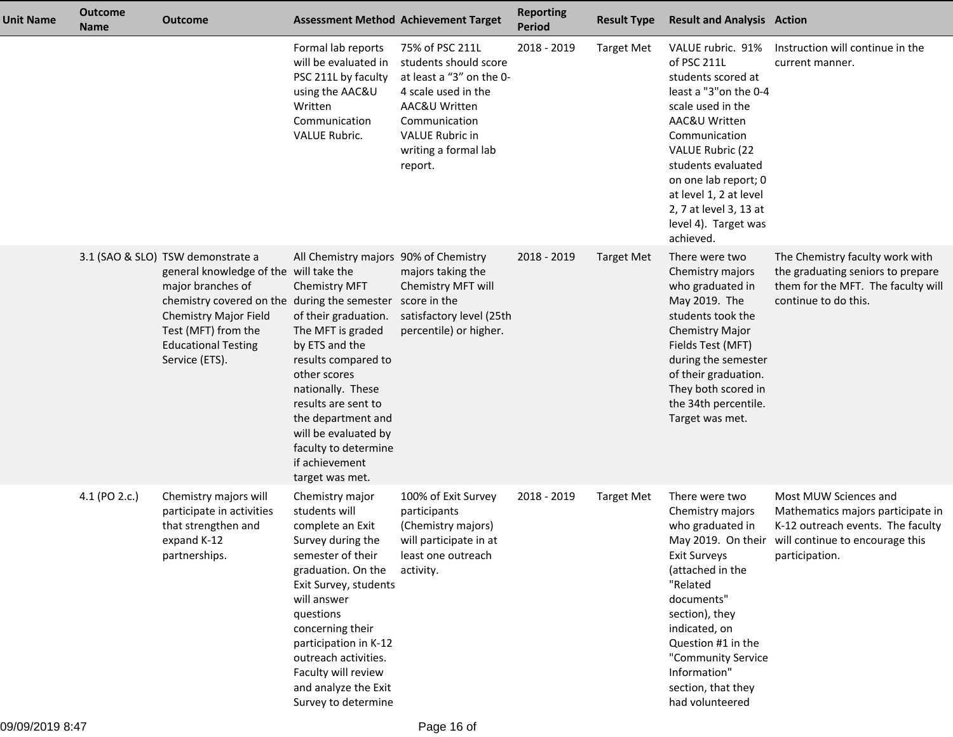| <b>Unit Name</b> | <b>Outcome</b><br><b>Name</b> | <b>Outcome</b>                                                                                                                                                                                                                                   |                                                                                                                                                                                                                                                                                                                            | <b>Assessment Method Achievement Target</b>                                                                                                                                         | <b>Reporting</b><br><b>Period</b> | <b>Result Type</b> | <b>Result and Analysis Action</b>                                                                                                                                                                                                                                                                         |                                                                                                                                                                         |
|------------------|-------------------------------|--------------------------------------------------------------------------------------------------------------------------------------------------------------------------------------------------------------------------------------------------|----------------------------------------------------------------------------------------------------------------------------------------------------------------------------------------------------------------------------------------------------------------------------------------------------------------------------|-------------------------------------------------------------------------------------------------------------------------------------------------------------------------------------|-----------------------------------|--------------------|-----------------------------------------------------------------------------------------------------------------------------------------------------------------------------------------------------------------------------------------------------------------------------------------------------------|-------------------------------------------------------------------------------------------------------------------------------------------------------------------------|
|                  |                               |                                                                                                                                                                                                                                                  | Formal lab reports<br>will be evaluated in<br>PSC 211L by faculty<br>using the AAC&U<br>Written<br>Communication<br>VALUE Rubric.                                                                                                                                                                                          | 75% of PSC 211L<br>students should score<br>at least a "3" on the 0-<br>4 scale used in the<br>AAC&U Written<br>Communication<br>VALUE Rubric in<br>writing a formal lab<br>report. | 2018 - 2019                       | <b>Target Met</b>  | VALUE rubric. 91%<br>of PSC 211L<br>students scored at<br>least a "3" on the 0-4<br>scale used in the<br>AAC&U Written<br>Communication<br><b>VALUE Rubric (22</b><br>students evaluated<br>on one lab report; 0<br>at level 1, 2 at level<br>2, 7 at level 3, 13 at<br>level 4). Target was<br>achieved. | Instruction will continue in the<br>current manner.                                                                                                                     |
|                  |                               | 3.1 (SAO & SLO) TSW demonstrate a<br>general knowledge of the will take the<br>major branches of<br>chemistry covered on the during the semester<br>Chemistry Major Field<br>Test (MFT) from the<br><b>Educational Testing</b><br>Service (ETS). | All Chemistry majors 90% of Chemistry<br><b>Chemistry MFT</b><br>of their graduation.<br>The MFT is graded<br>by ETS and the<br>results compared to<br>other scores<br>nationally. These<br>results are sent to<br>the department and<br>will be evaluated by<br>faculty to determine<br>if achievement<br>target was met. | majors taking the<br>Chemistry MFT will<br>score in the<br>satisfactory level (25th<br>percentile) or higher.                                                                       | 2018 - 2019                       | <b>Target Met</b>  | There were two<br>Chemistry majors<br>who graduated in<br>May 2019. The<br>students took the<br><b>Chemistry Major</b><br>Fields Test (MFT)<br>during the semester<br>of their graduation.<br>They both scored in<br>the 34th percentile.<br>Target was met.                                              | The Chemistry faculty work with<br>the graduating seniors to prepare<br>them for the MFT. The faculty will<br>continue to do this.                                      |
|                  | 4.1 (PO 2.c.)                 | Chemistry majors will<br>participate in activities<br>that strengthen and<br>expand K-12<br>partnerships.                                                                                                                                        | Chemistry major<br>students will<br>complete an Exit<br>Survey during the<br>semester of their<br>graduation. On the<br>Exit Survey, students<br>will answer<br>questions<br>concerning their<br>participation in K-12<br>outreach activities.<br>Faculty will review<br>and analyze the Exit<br>Survey to determine       | 100% of Exit Survey<br>participants<br>(Chemistry majors)<br>will participate in at<br>least one outreach<br>activity.                                                              | 2018 - 2019                       | <b>Target Met</b>  | There were two<br>Chemistry majors<br>who graduated in<br><b>Exit Surveys</b><br>(attached in the<br>"Related<br>documents"<br>section), they<br>indicated, on<br>Question #1 in the<br>"Community Service<br>Information"<br>section, that they<br>had volunteered                                       | Most MUW Sciences and<br>Mathematics majors participate in<br>K-12 outreach events. The faculty<br>May 2019. On their will continue to encourage this<br>participation. |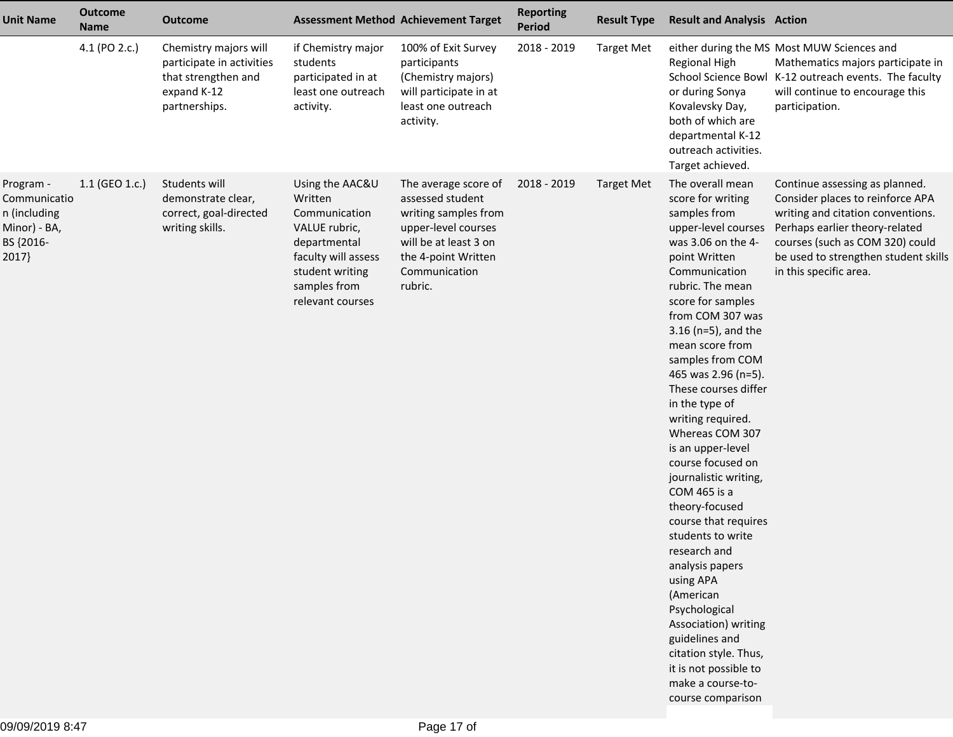| Unit Name                                                                       | <b>Outcome</b><br><b>Name</b> | <b>Outcome</b>                                                                                            |                                                                                                                                                            | <b>Assessment Method Achievement Target</b>                                                                                                                         | <b>Reporting</b><br>Period | <b>Result Type</b> | <b>Result and Analysis Action</b>                                                                                                                                                                                                                                                                                                                                                                                                                                                                                                                                                                                                                                                                                                                |                                                                                                                                                                                                                                                |
|---------------------------------------------------------------------------------|-------------------------------|-----------------------------------------------------------------------------------------------------------|------------------------------------------------------------------------------------------------------------------------------------------------------------|---------------------------------------------------------------------------------------------------------------------------------------------------------------------|----------------------------|--------------------|--------------------------------------------------------------------------------------------------------------------------------------------------------------------------------------------------------------------------------------------------------------------------------------------------------------------------------------------------------------------------------------------------------------------------------------------------------------------------------------------------------------------------------------------------------------------------------------------------------------------------------------------------------------------------------------------------------------------------------------------------|------------------------------------------------------------------------------------------------------------------------------------------------------------------------------------------------------------------------------------------------|
|                                                                                 | 4.1 (PO 2.c.)                 | Chemistry majors will<br>participate in activities<br>that strengthen and<br>expand K-12<br>partnerships. | if Chemistry major<br>students<br>participated in at<br>least one outreach<br>activity.                                                                    | 100% of Exit Survey<br>participants<br>(Chemistry majors)<br>will participate in at<br>least one outreach<br>activity.                                              | 2018 - 2019                | <b>Target Met</b>  | <b>Regional High</b><br>or during Sonya<br>Kovalevsky Day,<br>both of which are<br>departmental K-12<br>outreach activities.<br>Target achieved.                                                                                                                                                                                                                                                                                                                                                                                                                                                                                                                                                                                                 | either during the MS Most MUW Sciences and<br>Mathematics majors participate in<br>School Science Bowl K-12 outreach events. The faculty<br>will continue to encourage this<br>participation.                                                  |
| Program -<br>Communicatio<br>n (including<br>Minor) - BA,<br>BS {2016-<br>2017} | 1.1 (GEO 1.c.)                | Students will<br>demonstrate clear,<br>correct, goal-directed<br>writing skills.                          | Using the AAC&U<br>Written<br>Communication<br>VALUE rubric,<br>departmental<br>faculty will assess<br>student writing<br>samples from<br>relevant courses | The average score of<br>assessed student<br>writing samples from<br>upper-level courses<br>will be at least 3 on<br>the 4-point Written<br>Communication<br>rubric. | 2018 - 2019                | <b>Target Met</b>  | The overall mean<br>score for writing<br>samples from<br>upper-level courses<br>was 3.06 on the 4-<br>point Written<br>Communication<br>rubric. The mean<br>score for samples<br>from COM 307 was<br>$3.16$ (n=5), and the<br>mean score from<br>samples from COM<br>465 was 2.96 (n=5).<br>These courses differ<br>in the type of<br>writing required.<br>Whereas COM 307<br>is an upper-level<br>course focused on<br>journalistic writing,<br>COM 465 is a<br>theory-focused<br>course that requires<br>students to write<br>research and<br>analysis papers<br>using APA<br>(American<br>Psychological<br>Association) writing<br>guidelines and<br>citation style. Thus,<br>it is not possible to<br>make a course-to-<br>course comparison | Continue assessing as planned.<br>Consider places to reinforce APA<br>writing and citation conventions.<br>Perhaps earlier theory-related<br>courses (such as COM 320) could<br>be used to strengthen student skills<br>in this specific area. |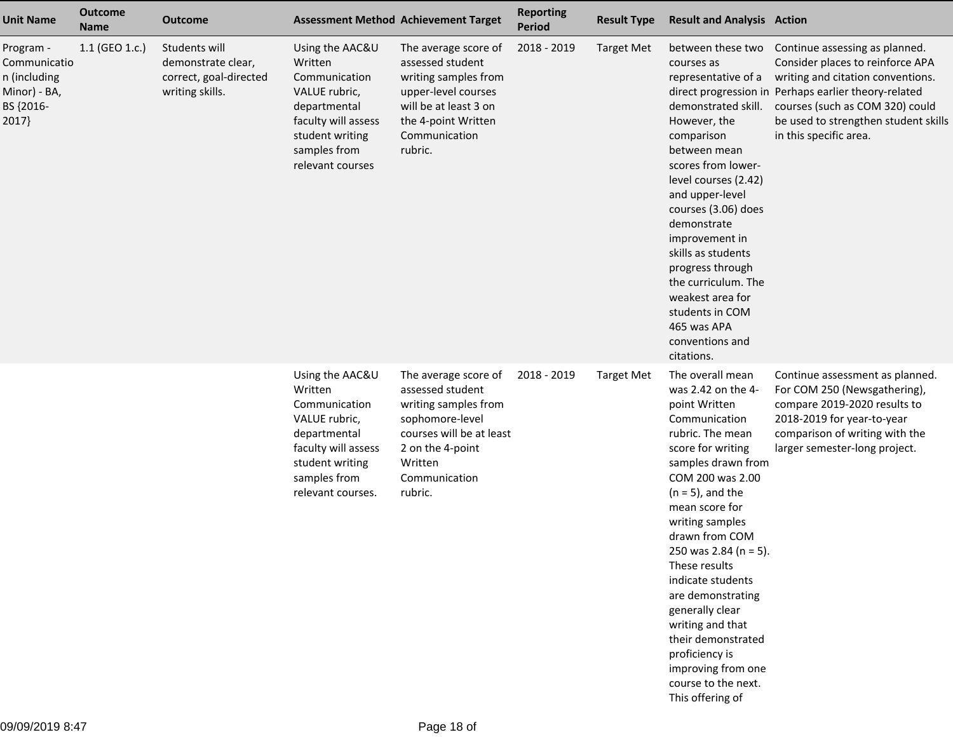| <b>Unit Name</b>                                                                | <b>Outcome</b><br><b>Name</b> | <b>Outcome</b>                                                                   |                                                                                                                                                             | <b>Assessment Method Achievement Target</b>                                                                                                                                | <b>Reporting</b><br><b>Period</b> | <b>Result Type</b> | <b>Result and Analysis Action</b>                                                                                                                                                                                                                                                                                                                                                                                                                                             |                                                                                                                                                                                                                                                                                        |
|---------------------------------------------------------------------------------|-------------------------------|----------------------------------------------------------------------------------|-------------------------------------------------------------------------------------------------------------------------------------------------------------|----------------------------------------------------------------------------------------------------------------------------------------------------------------------------|-----------------------------------|--------------------|-------------------------------------------------------------------------------------------------------------------------------------------------------------------------------------------------------------------------------------------------------------------------------------------------------------------------------------------------------------------------------------------------------------------------------------------------------------------------------|----------------------------------------------------------------------------------------------------------------------------------------------------------------------------------------------------------------------------------------------------------------------------------------|
| Program -<br>Communicatio<br>n (including<br>Minor) - BA,<br>BS {2016-<br>2017} | 1.1 (GEO 1.c.)                | Students will<br>demonstrate clear,<br>correct, goal-directed<br>writing skills. | Using the AAC&U<br>Written<br>Communication<br>VALUE rubric,<br>departmental<br>faculty will assess<br>student writing<br>samples from<br>relevant courses  | The average score of<br>assessed student<br>writing samples from<br>upper-level courses<br>will be at least 3 on<br>the 4-point Written<br>Communication<br>rubric.        | 2018 - 2019                       | <b>Target Met</b>  | courses as<br>representative of a<br>demonstrated skill.<br>However, the<br>comparison<br>between mean<br>scores from lower-<br>level courses (2.42)<br>and upper-level<br>courses (3.06) does<br>demonstrate<br>improvement in<br>skills as students<br>progress through<br>the curriculum. The<br>weakest area for<br>students in COM<br>465 was APA<br>conventions and<br>citations.                                                                                       | between these two Continue assessing as planned.<br>Consider places to reinforce APA<br>writing and citation conventions.<br>direct progression in Perhaps earlier theory-related<br>courses (such as COM 320) could<br>be used to strengthen student skills<br>in this specific area. |
|                                                                                 |                               |                                                                                  | Using the AAC&U<br>Written<br>Communication<br>VALUE rubric,<br>departmental<br>faculty will assess<br>student writing<br>samples from<br>relevant courses. | The average score of<br>assessed student<br>writing samples from<br>sophomore-level<br>courses will be at least<br>2 on the 4-point<br>Written<br>Communication<br>rubric. | 2018 - 2019                       | <b>Target Met</b>  | The overall mean<br>was 2.42 on the 4-<br>point Written<br>Communication<br>rubric. The mean<br>score for writing<br>samples drawn from<br>COM 200 was 2.00<br>$(n = 5)$ , and the<br>mean score for<br>writing samples<br>drawn from COM<br>250 was 2.84 (n = 5).<br>These results<br>indicate students<br>are demonstrating<br>generally clear<br>writing and that<br>their demonstrated<br>proficiency is<br>improving from one<br>course to the next.<br>This offering of | Continue assessment as planned.<br>For COM 250 (Newsgathering),<br>compare 2019-2020 results to<br>2018-2019 for year-to-year<br>comparison of writing with the<br>larger semester-long project.                                                                                       |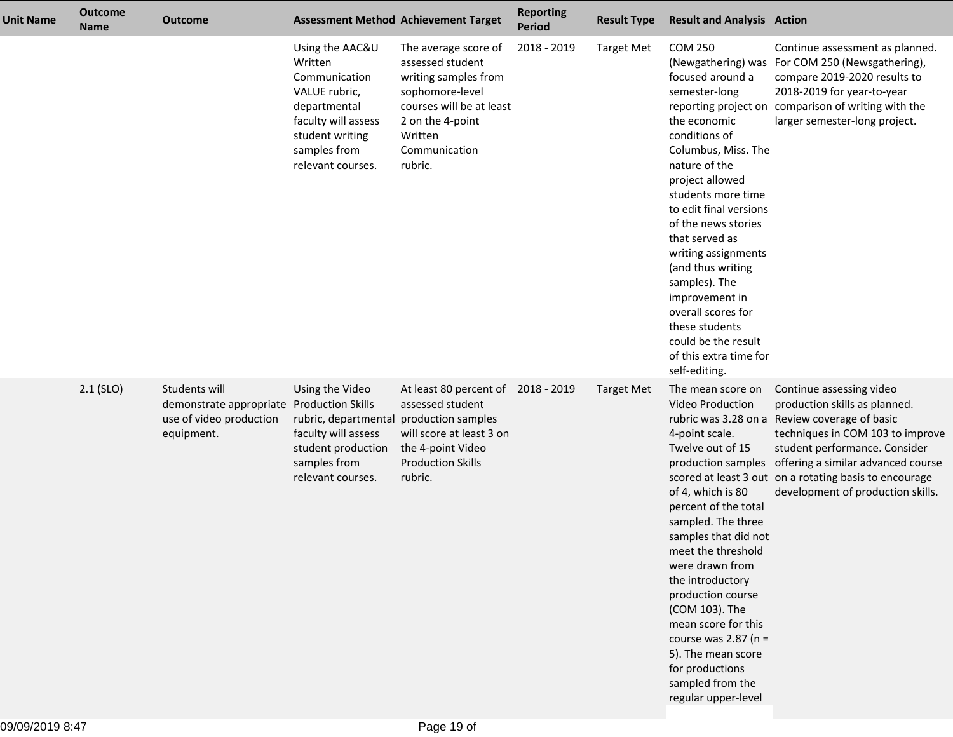| <b>Unit Name</b> | <b>Outcome</b><br><b>Name</b> | <b>Outcome</b>                                                                                      |                                                                                                                                                             | <b>Assessment Method Achievement Target</b>                                                                                                                                | <b>Reporting</b><br><b>Period</b> | <b>Result Type</b> | <b>Result and Analysis Action</b>                                                                                                                                                                                                                                                                                                                                                                                                 |                                                                                                                                                                                                                                                                                                                                         |
|------------------|-------------------------------|-----------------------------------------------------------------------------------------------------|-------------------------------------------------------------------------------------------------------------------------------------------------------------|----------------------------------------------------------------------------------------------------------------------------------------------------------------------------|-----------------------------------|--------------------|-----------------------------------------------------------------------------------------------------------------------------------------------------------------------------------------------------------------------------------------------------------------------------------------------------------------------------------------------------------------------------------------------------------------------------------|-----------------------------------------------------------------------------------------------------------------------------------------------------------------------------------------------------------------------------------------------------------------------------------------------------------------------------------------|
|                  |                               |                                                                                                     | Using the AAC&U<br>Written<br>Communication<br>VALUE rubric,<br>departmental<br>faculty will assess<br>student writing<br>samples from<br>relevant courses. | The average score of<br>assessed student<br>writing samples from<br>sophomore-level<br>courses will be at least<br>2 on the 4-point<br>Written<br>Communication<br>rubric. | 2018 - 2019                       | <b>Target Met</b>  | <b>COM 250</b><br>focused around a<br>semester-long<br>the economic<br>conditions of<br>Columbus, Miss. The<br>nature of the<br>project allowed<br>students more time<br>to edit final versions<br>of the news stories<br>that served as<br>writing assignments<br>(and thus writing<br>samples). The<br>improvement in<br>overall scores for<br>these students<br>could be the result<br>of this extra time for<br>self-editing. | Continue assessment as planned.<br>(Newgathering) was For COM 250 (Newsgathering),<br>compare 2019-2020 results to<br>2018-2019 for year-to-year<br>reporting project on comparison of writing with the<br>larger semester-long project.                                                                                                |
|                  | $2.1$ (SLO)                   | Students will<br>demonstrate appropriate Production Skills<br>use of video production<br>equipment. | Using the Video<br>rubric, departmental<br>faculty will assess<br>student production<br>samples from<br>relevant courses.                                   | At least 80 percent of 2018 - 2019<br>assessed student<br>production samples<br>will score at least 3 on<br>the 4-point Video<br><b>Production Skills</b><br>rubric.       |                                   | <b>Target Met</b>  | The mean score on<br><b>Video Production</b><br>4-point scale.<br>Twelve out of 15<br>of 4, which is 80<br>percent of the total<br>sampled. The three<br>samples that did not<br>meet the threshold<br>were drawn from<br>the introductory<br>production course<br>(COM 103). The<br>mean score for this<br>course was $2.87$ (n =<br>5). The mean score<br>for productions<br>sampled from the<br>regular upper-level            | Continue assessing video<br>production skills as planned.<br>rubric was 3.28 on a Review coverage of basic<br>techniques in COM 103 to improve<br>student performance. Consider<br>production samples offering a similar advanced course<br>scored at least 3 out on a rotating basis to encourage<br>development of production skills. |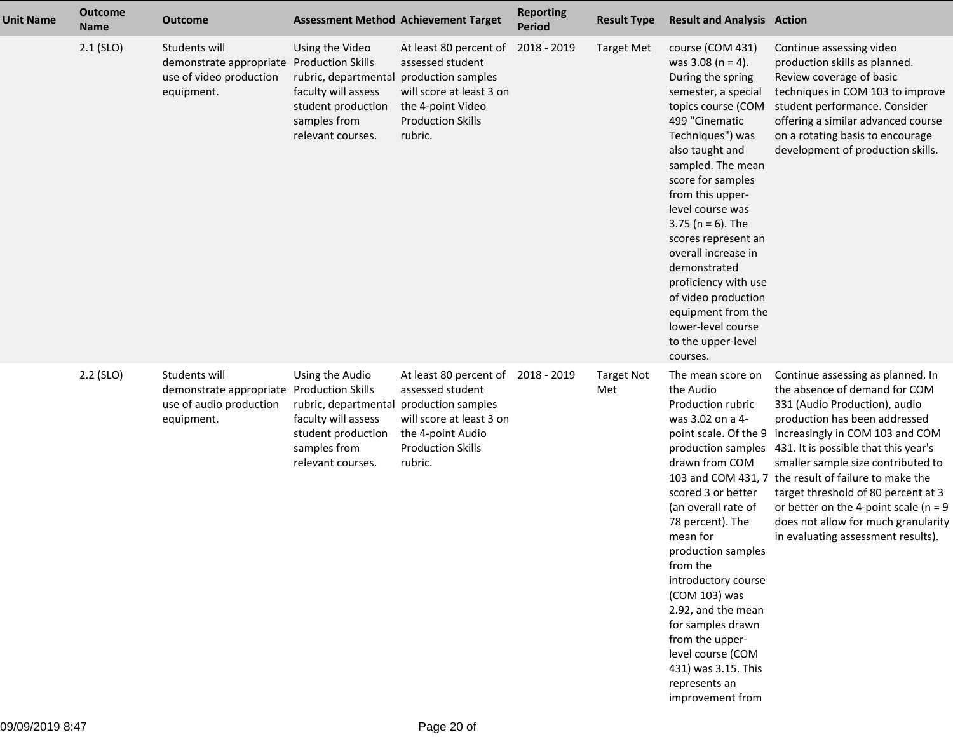| <b>Unit Name</b> | <b>Outcome</b><br><b>Name</b> | <b>Outcome</b>                                                                    |                                                                                                                                                                          | <b>Assessment Method Achievement Target</b>                                                                                        | <b>Reporting</b><br><b>Period</b> | <b>Result Type</b>       | <b>Result and Analysis Action</b>                                                                                                                                                                                                                                                                                                                                                                                                                                        |                                                                                                                                                                                                                                                                                                                                                                                                                                                                               |
|------------------|-------------------------------|-----------------------------------------------------------------------------------|--------------------------------------------------------------------------------------------------------------------------------------------------------------------------|------------------------------------------------------------------------------------------------------------------------------------|-----------------------------------|--------------------------|--------------------------------------------------------------------------------------------------------------------------------------------------------------------------------------------------------------------------------------------------------------------------------------------------------------------------------------------------------------------------------------------------------------------------------------------------------------------------|-------------------------------------------------------------------------------------------------------------------------------------------------------------------------------------------------------------------------------------------------------------------------------------------------------------------------------------------------------------------------------------------------------------------------------------------------------------------------------|
|                  | $2.1$ (SLO)                   | Students will<br>demonstrate appropriate<br>use of video production<br>equipment. | Using the Video<br><b>Production Skills</b><br>rubric, departmental production samples<br>faculty will assess<br>student production<br>samples from<br>relevant courses. | At least 80 percent of<br>assessed student<br>will score at least 3 on<br>the 4-point Video<br><b>Production Skills</b><br>rubric. | 2018 - 2019                       | <b>Target Met</b>        | course (COM 431)<br>was $3.08$ (n = 4).<br>During the spring<br>semester, a special<br>topics course (COM<br>499 "Cinematic<br>Techniques") was<br>also taught and<br>sampled. The mean<br>score for samples<br>from this upper-<br>level course was<br>3.75 ( $n = 6$ ). The<br>scores represent an<br>overall increase in<br>demonstrated<br>proficiency with use<br>of video production<br>equipment from the<br>lower-level course<br>to the upper-level<br>courses. | Continue assessing video<br>production skills as planned.<br>Review coverage of basic<br>techniques in COM 103 to improve<br>student performance. Consider<br>offering a similar advanced course<br>on a rotating basis to encourage<br>development of production skills.                                                                                                                                                                                                     |
|                  | $2.2$ (SLO)                   | Students will<br>demonstrate appropriate<br>use of audio production<br>equipment. | Using the Audio<br><b>Production Skills</b><br>rubric, departmental production samples<br>faculty will assess<br>student production<br>samples from<br>relevant courses. | At least 80 percent of<br>assessed student<br>will score at least 3 on<br>the 4-point Audio<br><b>Production Skills</b><br>rubric. | 2018 - 2019                       | <b>Target Not</b><br>Met | The mean score on<br>the Audio<br>Production rubric<br>was 3.02 on a 4-<br>point scale. Of the 9<br>production samples<br>drawn from COM<br>scored 3 or better<br>(an overall rate of<br>78 percent). The<br>mean for<br>production samples<br>from the<br>introductory course<br>(COM 103) was<br>2.92, and the mean<br>for samples drawn<br>from the upper-<br>level course (COM<br>431) was 3.15. This<br>represents an<br>improvement from                           | Continue assessing as planned. In<br>the absence of demand for COM<br>331 (Audio Production), audio<br>production has been addressed<br>increasingly in COM 103 and COM<br>431. It is possible that this year's<br>smaller sample size contributed to<br>103 and COM 431, 7 the result of failure to make the<br>target threshold of 80 percent at 3<br>or better on the 4-point scale ( $n = 9$<br>does not allow for much granularity<br>in evaluating assessment results). |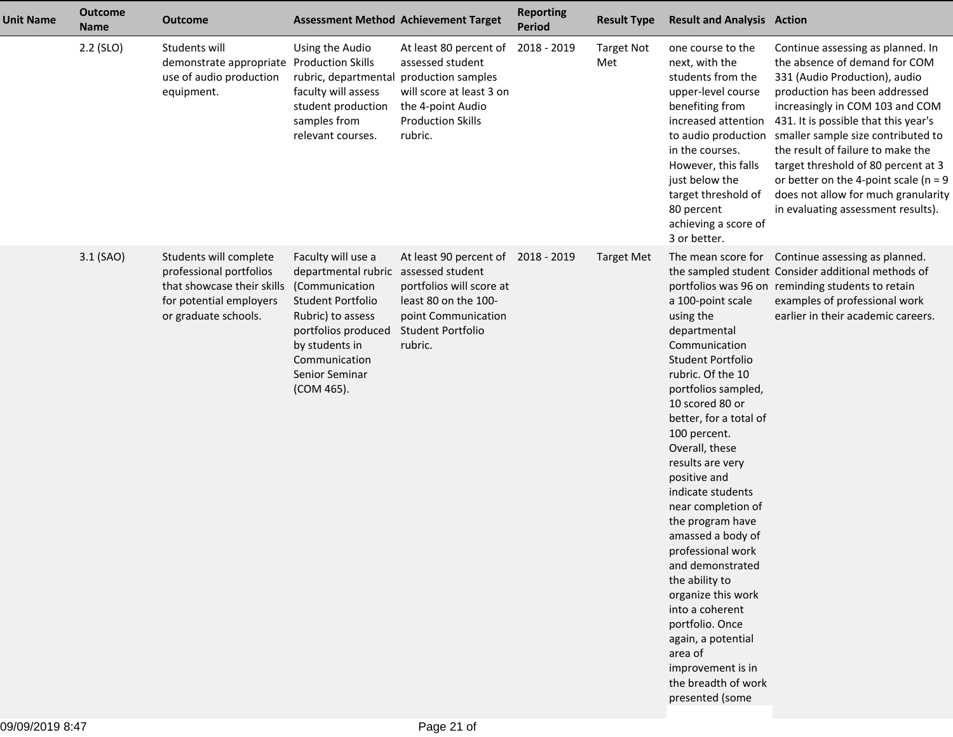| <b>Unit Name</b> | <b>Outcome</b><br><b>Name</b> | <b>Outcome</b>                                                                                                                     |                                                                                                                                                                                                                         | <b>Assessment Method Achievement Target</b>                                                                                                   | <b>Reporting</b><br><b>Period</b> | <b>Result Type</b>       | <b>Result and Analysis Action</b>                                                                                                                                                                                                                                                                                                                                                                                                                                                                                                                              |                                                                                                                                                                                                                                                                                                                                                                                                                                                            |
|------------------|-------------------------------|------------------------------------------------------------------------------------------------------------------------------------|-------------------------------------------------------------------------------------------------------------------------------------------------------------------------------------------------------------------------|-----------------------------------------------------------------------------------------------------------------------------------------------|-----------------------------------|--------------------------|----------------------------------------------------------------------------------------------------------------------------------------------------------------------------------------------------------------------------------------------------------------------------------------------------------------------------------------------------------------------------------------------------------------------------------------------------------------------------------------------------------------------------------------------------------------|------------------------------------------------------------------------------------------------------------------------------------------------------------------------------------------------------------------------------------------------------------------------------------------------------------------------------------------------------------------------------------------------------------------------------------------------------------|
|                  | 2.2 (SLO)                     | Students will<br>demonstrate appropriate<br>use of audio production<br>equipment.                                                  | Using the Audio<br><b>Production Skills</b><br>rubric, departmental production samples<br>faculty will assess<br>student production<br>samples from<br>relevant courses.                                                | At least 80 percent of<br>assessed student<br>will score at least 3 on<br>the 4-point Audio<br><b>Production Skills</b><br>rubric.            | 2018 - 2019                       | <b>Target Not</b><br>Met | one course to the<br>next, with the<br>students from the<br>upper-level course<br>benefiting from<br>increased attention<br>to audio production<br>in the courses.<br>However, this falls<br>just below the<br>target threshold of<br>80 percent<br>achieving a score of<br>3 or better.                                                                                                                                                                                                                                                                       | Continue assessing as planned. In<br>the absence of demand for COM<br>331 (Audio Production), audio<br>production has been addressed<br>increasingly in COM 103 and COM<br>431. It is possible that this year's<br>smaller sample size contributed to<br>the result of failure to make the<br>target threshold of 80 percent at 3<br>or better on the 4-point scale ( $n = 9$<br>does not allow for much granularity<br>in evaluating assessment results). |
|                  | 3.1 (SAO)                     | Students will complete<br>professional portfolios<br>that showcase their skills<br>for potential employers<br>or graduate schools. | Faculty will use a<br>departmental rubric assessed student<br>(Communication<br><b>Student Portfolio</b><br>Rubric) to assess<br>portfolios produced<br>by students in<br>Communication<br>Senior Seminar<br>(COM 465). | At least 90 percent of 2018 - 2019<br>portfolios will score at<br>least 80 on the 100-<br>point Communication<br>Student Portfolio<br>rubric. |                                   | <b>Target Met</b>        | a 100-point scale<br>using the<br>departmental<br>Communication<br>Student Portfolio<br>rubric. Of the 10<br>portfolios sampled,<br>10 scored 80 or<br>better, for a total of<br>100 percent.<br>Overall, these<br>results are very<br>positive and<br>indicate students<br>near completion of<br>the program have<br>amassed a body of<br>professional work<br>and demonstrated<br>the ability to<br>organize this work<br>into a coherent<br>portfolio. Once<br>again, a potential<br>area of<br>improvement is in<br>the breadth of work<br>presented (some | The mean score for Continue assessing as planned.<br>the sampled student Consider additional methods of<br>portfolios was 96 on reminding students to retain<br>examples of professional work<br>earlier in their academic careers.                                                                                                                                                                                                                        |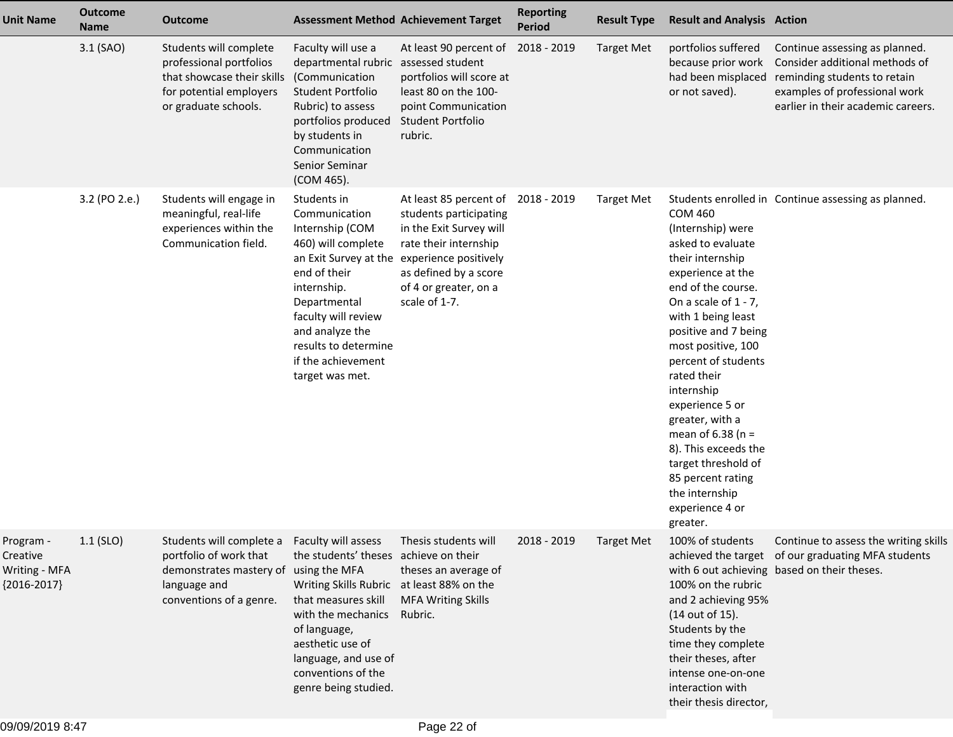| <b>Unit Name</b>                                        | <b>Outcome</b><br><b>Name</b> | <b>Outcome</b>                                                                                                                                             | <b>Assessment Method Achievement Target</b>                                                                                                                                                                                                              |                                                                                                                                                                                                  | <b>Reporting</b><br><b>Period</b> | <b>Result Type</b> | <b>Result and Analysis Action</b>                                                                                                                                                                                                                                                                                                                                                                                                                            |                                                                                                                                                                         |
|---------------------------------------------------------|-------------------------------|------------------------------------------------------------------------------------------------------------------------------------------------------------|----------------------------------------------------------------------------------------------------------------------------------------------------------------------------------------------------------------------------------------------------------|--------------------------------------------------------------------------------------------------------------------------------------------------------------------------------------------------|-----------------------------------|--------------------|--------------------------------------------------------------------------------------------------------------------------------------------------------------------------------------------------------------------------------------------------------------------------------------------------------------------------------------------------------------------------------------------------------------------------------------------------------------|-------------------------------------------------------------------------------------------------------------------------------------------------------------------------|
|                                                         | 3.1 (SAO)                     | Students will complete<br>professional portfolios<br>that showcase their skills<br>for potential employers<br>or graduate schools.                         | Faculty will use a<br>departmental rubric<br>(Communication<br>Student Portfolio<br>Rubric) to assess<br>portfolios produced<br>by students in<br>Communication<br>Senior Seminar<br>(COM 465).                                                          | At least 90 percent of<br>assessed student<br>portfolios will score at<br>least 80 on the 100-<br>point Communication<br>Student Portfolio<br>rubric.                                            | 2018 - 2019                       | <b>Target Met</b>  | portfolios suffered<br>because prior work<br>had been misplaced<br>or not saved).                                                                                                                                                                                                                                                                                                                                                                            | Continue assessing as planned.<br>Consider additional methods of<br>reminding students to retain<br>examples of professional work<br>earlier in their academic careers. |
|                                                         | 3.2 (PO 2.e.)                 | Students will engage in<br>meaningful, real-life<br>experiences within the<br>Communication field.                                                         | Students in<br>Communication<br>Internship (COM<br>460) will complete<br>an Exit Survey at the<br>end of their<br>internship.<br>Departmental<br>faculty will review<br>and analyze the<br>results to determine<br>if the achievement<br>target was met. | At least 85 percent of<br>students participating<br>in the Exit Survey will<br>rate their internship<br>experience positively<br>as defined by a score<br>of 4 or greater, on a<br>scale of 1-7. | 2018 - 2019                       | <b>Target Met</b>  | <b>COM 460</b><br>(Internship) were<br>asked to evaluate<br>their internship<br>experience at the<br>end of the course.<br>On a scale of $1 - 7$ ,<br>with 1 being least<br>positive and 7 being<br>most positive, 100<br>percent of students<br>rated their<br>internship<br>experience 5 or<br>greater, with a<br>mean of $6.38$ (n =<br>8). This exceeds the<br>target threshold of<br>85 percent rating<br>the internship<br>experience 4 or<br>greater. | Students enrolled in Continue assessing as planned.                                                                                                                     |
| Program -<br>Creative<br>Writing - MFA<br>${2016-2017}$ | $1.1$ (SLO)                   | Students will complete a Faculty will assess<br>portfolio of work that<br>demonstrates mastery of using the MFA<br>language and<br>conventions of a genre. | the students' theses achieve on their<br>Writing Skills Rubric at least 88% on the<br>that measures skill<br>with the mechanics<br>of language,<br>aesthetic use of<br>language, and use of<br>conventions of the<br>genre being studied.                | Thesis students will<br>theses an average of<br><b>MFA Writing Skills</b><br>Rubric.                                                                                                             | 2018 - 2019                       | Target Met         | 100% of students<br>100% on the rubric<br>and 2 achieving 95%<br>(14 out of 15).<br>Students by the<br>time they complete<br>their theses, after<br>intense one-on-one<br>interaction with<br>their thesis director,                                                                                                                                                                                                                                         | Continue to assess the writing skills<br>achieved the target of our graduating MFA students<br>with 6 out achieving based on their theses.                              |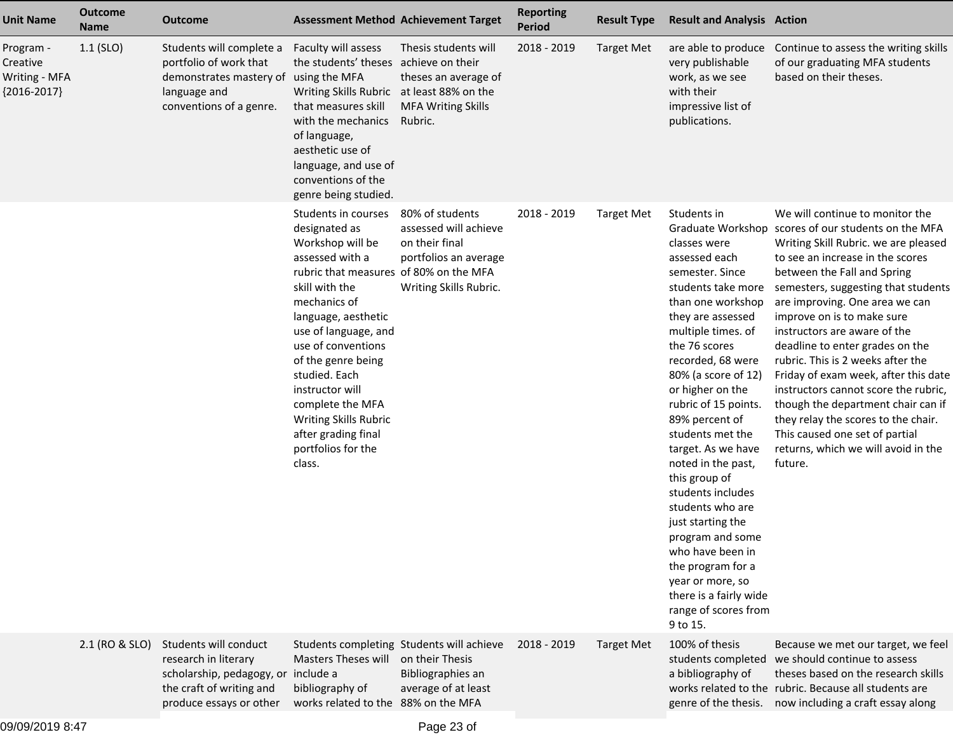| <b>Unit Name</b>                                        | <b>Outcome</b><br><b>Name</b> | <b>Outcome</b>                                                                                                                              | <b>Assessment Method Achievement Target</b>                                                                                                                                                                                                                                                                                                                                                |                                                                                                               | <b>Reporting</b><br>Period | <b>Result Type</b> | <b>Result and Analysis Action</b>                                                                                                                                                                                                                                                                                                                                                                                                                                                                                                                                              |                                                                                                                                                                                                                                                                                                                                                                                                                                                                                                                                                                                                                                                                   |
|---------------------------------------------------------|-------------------------------|---------------------------------------------------------------------------------------------------------------------------------------------|--------------------------------------------------------------------------------------------------------------------------------------------------------------------------------------------------------------------------------------------------------------------------------------------------------------------------------------------------------------------------------------------|---------------------------------------------------------------------------------------------------------------|----------------------------|--------------------|--------------------------------------------------------------------------------------------------------------------------------------------------------------------------------------------------------------------------------------------------------------------------------------------------------------------------------------------------------------------------------------------------------------------------------------------------------------------------------------------------------------------------------------------------------------------------------|-------------------------------------------------------------------------------------------------------------------------------------------------------------------------------------------------------------------------------------------------------------------------------------------------------------------------------------------------------------------------------------------------------------------------------------------------------------------------------------------------------------------------------------------------------------------------------------------------------------------------------------------------------------------|
| Program -<br>Creative<br>Writing - MFA<br>${2016-2017}$ | $1.1$ (SLO)                   | Students will complete a<br>portfolio of work that<br>demonstrates mastery of using the MFA<br>language and<br>conventions of a genre.      | Faculty will assess<br>the students' theses achieve on their<br>Writing Skills Rubric at least 88% on the<br>that measures skill<br>with the mechanics<br>of language,<br>aesthetic use of<br>language, and use of<br>conventions of the<br>genre being studied.                                                                                                                           | Thesis students will<br>theses an average of<br><b>MFA Writing Skills</b><br>Rubric.                          | 2018 - 2019                | <b>Target Met</b>  | are able to produce<br>very publishable<br>work, as we see<br>with their<br>impressive list of<br>publications.                                                                                                                                                                                                                                                                                                                                                                                                                                                                | Continue to assess the writing skills<br>of our graduating MFA students<br>based on their theses.                                                                                                                                                                                                                                                                                                                                                                                                                                                                                                                                                                 |
|                                                         |                               |                                                                                                                                             | Students in courses<br>designated as<br>Workshop will be<br>assessed with a<br>rubric that measures of 80% on the MFA<br>skill with the<br>mechanics of<br>language, aesthetic<br>use of language, and<br>use of conventions<br>of the genre being<br>studied. Each<br>instructor will<br>complete the MFA<br>Writing Skills Rubric<br>after grading final<br>portfolios for the<br>class. | 80% of students<br>assessed will achieve<br>on their final<br>portfolios an average<br>Writing Skills Rubric. | 2018 - 2019                | <b>Target Met</b>  | Students in<br>classes were<br>assessed each<br>semester. Since<br>students take more<br>than one workshop<br>they are assessed<br>multiple times. of<br>the 76 scores<br>recorded, 68 were<br>80% (a score of 12)<br>or higher on the<br>rubric of 15 points.<br>89% percent of<br>students met the<br>target. As we have<br>noted in the past,<br>this group of<br>students includes<br>students who are<br>just starting the<br>program and some<br>who have been in<br>the program for a<br>year or more, so<br>there is a fairly wide<br>range of scores from<br>9 to 15. | We will continue to monitor the<br>Graduate Workshop scores of our students on the MFA<br>Writing Skill Rubric. we are pleased<br>to see an increase in the scores<br>between the Fall and Spring<br>semesters, suggesting that students<br>are improving. One area we can<br>improve on is to make sure<br>instructors are aware of the<br>deadline to enter grades on the<br>rubric. This is 2 weeks after the<br>Friday of exam week, after this date<br>instructors cannot score the rubric,<br>though the department chair can if<br>they relay the scores to the chair.<br>This caused one set of partial<br>returns, which we will avoid in the<br>future. |
|                                                         | 2.1 (RO & SLO)                | Students will conduct<br>research in literary<br>scholarship, pedagogy, or include a<br>the craft of writing and<br>produce essays or other | Masters Theses will<br>bibliography of<br>works related to the 88% on the MFA                                                                                                                                                                                                                                                                                                              | Students completing Students will achieve<br>on their Thesis<br>Bibliographies an<br>average of at least      | 2018 - 2019                | <b>Target Met</b>  | 100% of thesis<br>a bibliography of<br>genre of the thesis.                                                                                                                                                                                                                                                                                                                                                                                                                                                                                                                    | Because we met our target, we feel<br>students completed we should continue to assess<br>theses based on the research skills<br>works related to the rubric. Because all students are<br>now including a craft essay along                                                                                                                                                                                                                                                                                                                                                                                                                                        |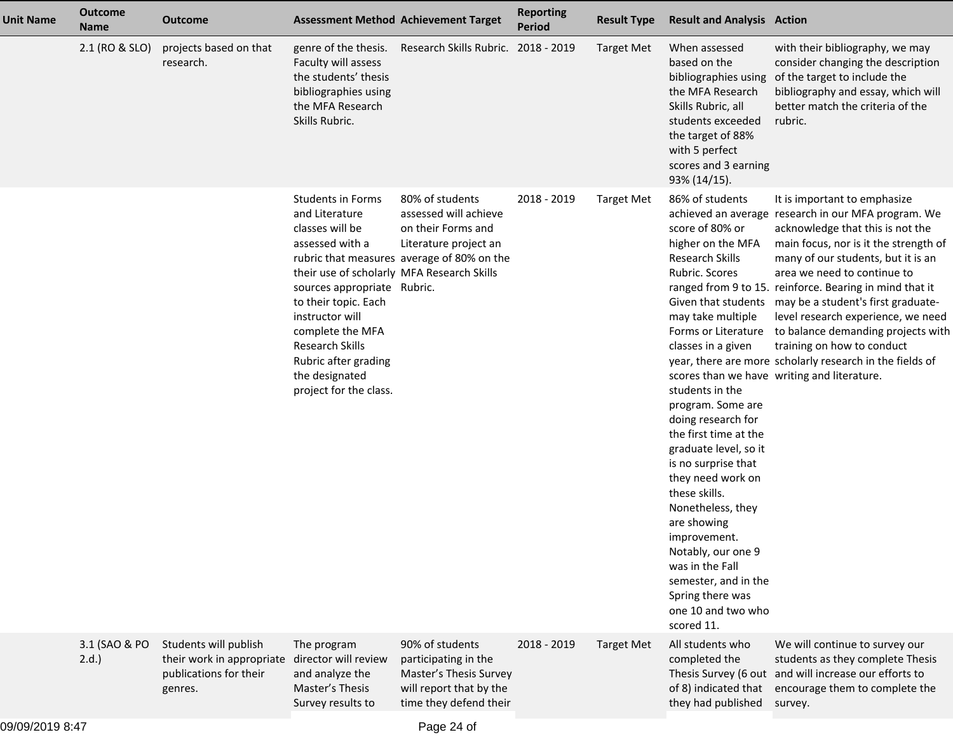| <b>Unit Name</b> | <b>Outcome</b><br><b>Name</b> | <b>Outcome</b>                                                                          |                                                                                                                                                                                                                                                                                                                            | <b>Assessment Method Achievement Target</b>                                                                                           | <b>Reporting</b><br><b>Period</b> | <b>Result Type</b> | <b>Result and Analysis Action</b>                                                                                                                                                                                                                                                                                                                                                                                                                                                                                        |                                                                                                                                                                                                                                                                                                                                                                                                                                                                                                                                                                                 |
|------------------|-------------------------------|-----------------------------------------------------------------------------------------|----------------------------------------------------------------------------------------------------------------------------------------------------------------------------------------------------------------------------------------------------------------------------------------------------------------------------|---------------------------------------------------------------------------------------------------------------------------------------|-----------------------------------|--------------------|--------------------------------------------------------------------------------------------------------------------------------------------------------------------------------------------------------------------------------------------------------------------------------------------------------------------------------------------------------------------------------------------------------------------------------------------------------------------------------------------------------------------------|---------------------------------------------------------------------------------------------------------------------------------------------------------------------------------------------------------------------------------------------------------------------------------------------------------------------------------------------------------------------------------------------------------------------------------------------------------------------------------------------------------------------------------------------------------------------------------|
|                  | 2.1 (RO & SLO)                | projects based on that<br>research.                                                     | genre of the thesis.<br>Faculty will assess<br>the students' thesis<br>bibliographies using<br>the MFA Research<br>Skills Rubric.                                                                                                                                                                                          | Research Skills Rubric. 2018 - 2019                                                                                                   |                                   | <b>Target Met</b>  | When assessed<br>based on the<br>bibliographies using<br>the MFA Research<br>Skills Rubric, all<br>students exceeded<br>the target of 88%<br>with 5 perfect<br>scores and 3 earning<br>93% (14/15).                                                                                                                                                                                                                                                                                                                      | with their bibliography, we may<br>consider changing the description<br>of the target to include the<br>bibliography and essay, which will<br>better match the criteria of the<br>rubric.                                                                                                                                                                                                                                                                                                                                                                                       |
|                  |                               |                                                                                         | <b>Students in Forms</b><br>and Literature<br>classes will be<br>assessed with a<br>their use of scholarly MFA Research Skills<br>sources appropriate Rubric.<br>to their topic. Each<br>instructor will<br>complete the MFA<br><b>Research Skills</b><br>Rubric after grading<br>the designated<br>project for the class. | 80% of students<br>assessed will achieve<br>on their Forms and<br>Literature project an<br>rubric that measures average of 80% on the | 2018 - 2019                       | <b>Target Met</b>  | 86% of students<br>score of 80% or<br>higher on the MFA<br>Research Skills<br>Rubric. Scores<br>may take multiple<br>Forms or Literature<br>classes in a given<br>students in the<br>program. Some are<br>doing research for<br>the first time at the<br>graduate level, so it<br>is no surprise that<br>they need work on<br>these skills.<br>Nonetheless, they<br>are showing<br>improvement.<br>Notably, our one 9<br>was in the Fall<br>semester, and in the<br>Spring there was<br>one 10 and two who<br>scored 11. | It is important to emphasize<br>achieved an average research in our MFA program. We<br>acknowledge that this is not the<br>main focus, nor is it the strength of<br>many of our students, but it is an<br>area we need to continue to<br>ranged from 9 to 15. reinforce. Bearing in mind that it<br>Given that students may be a student's first graduate-<br>level research experience, we need<br>to balance demanding projects with<br>training on how to conduct<br>year, there are more scholarly research in the fields of<br>scores than we have writing and literature. |
|                  | 3.1 (SAO & PO<br>2.d.         | Students will publish<br>their work in appropriate<br>publications for their<br>genres. | The program<br>director will review<br>and analyze the<br>Master's Thesis<br>Survey results to                                                                                                                                                                                                                             | 90% of students<br>participating in the<br>Master's Thesis Survey<br>will report that by the<br>time they defend their                | 2018 - 2019                       | <b>Target Met</b>  | All students who<br>completed the<br>Thesis Survey (6 out<br>of 8) indicated that<br>they had published                                                                                                                                                                                                                                                                                                                                                                                                                  | We will continue to survey our<br>students as they complete Thesis<br>and will increase our efforts to<br>encourage them to complete the<br>survey.                                                                                                                                                                                                                                                                                                                                                                                                                             |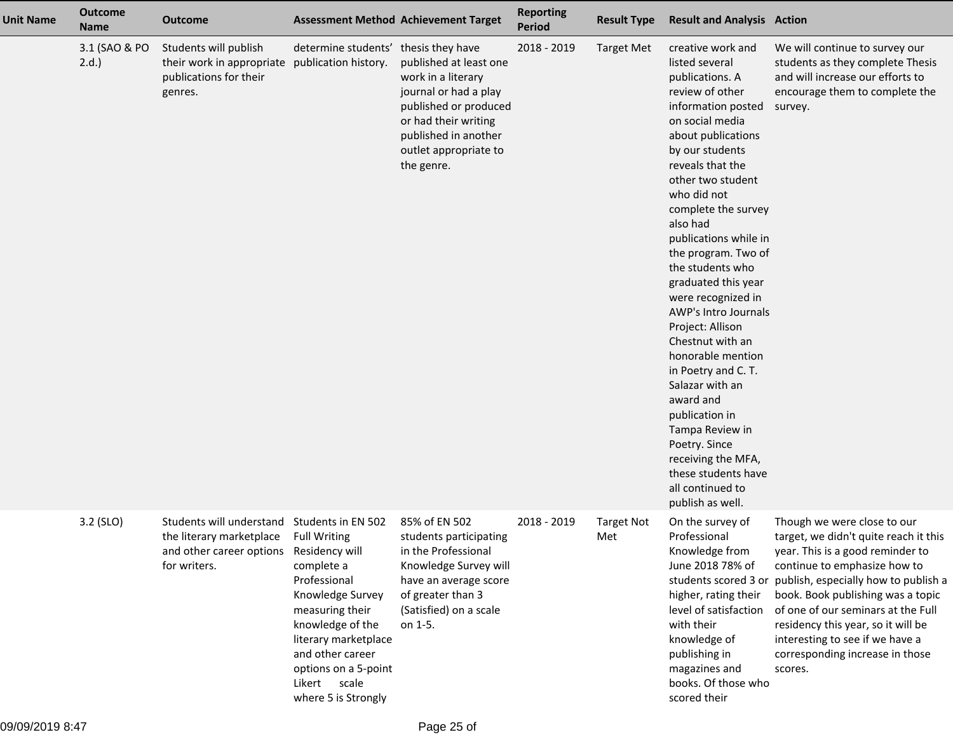| <b>Unit Name</b> | <b>Outcome</b><br><b>Name</b> | <b>Outcome</b>                                                                                   |                                                                                                                                                                                                                                                                 | <b>Assessment Method Achievement Target</b>                                                                                                                                           | <b>Reporting</b><br><b>Period</b> | <b>Result Type</b>       | <b>Result and Analysis Action</b>                                                                                                                                                                                                                                                                                                                                                                                                                                                                                                                                                                                                                              |                                                                                                                                                                                                                                                                                                                                                                                                         |
|------------------|-------------------------------|--------------------------------------------------------------------------------------------------|-----------------------------------------------------------------------------------------------------------------------------------------------------------------------------------------------------------------------------------------------------------------|---------------------------------------------------------------------------------------------------------------------------------------------------------------------------------------|-----------------------------------|--------------------------|----------------------------------------------------------------------------------------------------------------------------------------------------------------------------------------------------------------------------------------------------------------------------------------------------------------------------------------------------------------------------------------------------------------------------------------------------------------------------------------------------------------------------------------------------------------------------------------------------------------------------------------------------------------|---------------------------------------------------------------------------------------------------------------------------------------------------------------------------------------------------------------------------------------------------------------------------------------------------------------------------------------------------------------------------------------------------------|
|                  | 3.1 (SAO & PO<br>$2.d.$ )     | Students will publish<br>their work in appropriate<br>publications for their<br>genres.          | determine students' thesis they have<br>publication history.                                                                                                                                                                                                    | published at least one<br>work in a literary<br>journal or had a play<br>published or produced<br>or had their writing<br>published in another<br>outlet appropriate to<br>the genre. | 2018 - 2019                       | <b>Target Met</b>        | creative work and<br>listed several<br>publications. A<br>review of other<br>information posted<br>on social media<br>about publications<br>by our students<br>reveals that the<br>other two student<br>who did not<br>complete the survey<br>also had<br>publications while in<br>the program. Two of<br>the students who<br>graduated this year<br>were recognized in<br>AWP's Intro Journals<br>Project: Allison<br>Chestnut with an<br>honorable mention<br>in Poetry and C. T.<br>Salazar with an<br>award and<br>publication in<br>Tampa Review in<br>Poetry. Since<br>receiving the MFA,<br>these students have<br>all continued to<br>publish as well. | We will continue to survey our<br>students as they complete Thesis<br>and will increase our efforts to<br>encourage them to complete the<br>survey.                                                                                                                                                                                                                                                     |
|                  | 3.2 (SLO)                     | Students will understand<br>the literary marketplace<br>and other career options<br>for writers. | Students in EN 502<br><b>Full Writing</b><br>Residency will<br>complete a<br>Professional<br>Knowledge Survey<br>measuring their<br>knowledge of the<br>literary marketplace<br>and other career<br>options on a 5-point<br>Likert scale<br>where 5 is Strongly | 85% of EN 502<br>students participating<br>in the Professional<br>Knowledge Survey will<br>have an average score<br>of greater than 3<br>(Satisfied) on a scale<br>on 1-5.            | 2018 - 2019                       | <b>Target Not</b><br>Met | On the survey of<br>Professional<br>Knowledge from<br>June 2018 78% of<br>higher, rating their<br>level of satisfaction<br>with their<br>knowledge of<br>publishing in<br>magazines and<br>books. Of those who<br>scored their                                                                                                                                                                                                                                                                                                                                                                                                                                 | Though we were close to our<br>target, we didn't quite reach it this<br>year. This is a good reminder to<br>continue to emphasize how to<br>students scored 3 or publish, especially how to publish a<br>book. Book publishing was a topic<br>of one of our seminars at the Full<br>residency this year, so it will be<br>interesting to see if we have a<br>corresponding increase in those<br>scores. |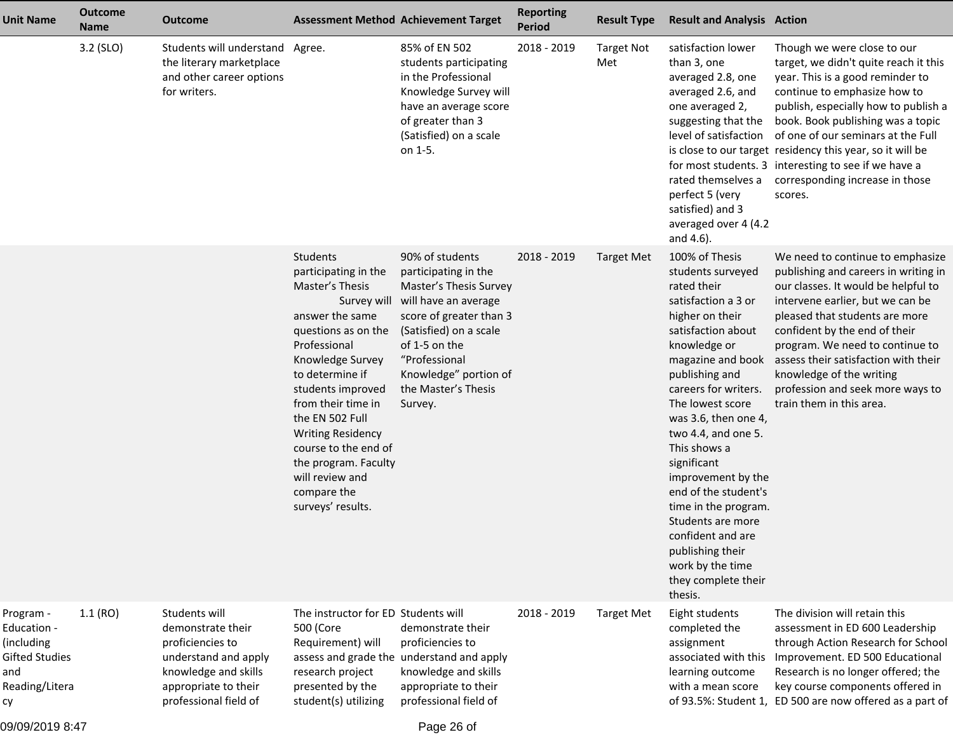| <b>Unit Name</b>                                                                               | <b>Outcome</b><br><b>Name</b> | <b>Outcome</b>                                                                                                                                          |                                                                                                                                                                                                                                                                                                                                                                      | <b>Assessment Method Achievement Target</b>                                                                                                                                                                                                 | <b>Reporting</b><br><b>Period</b> | <b>Result Type</b>       | <b>Result and Analysis Action</b>                                                                                                                                                                                                                                                                                                                                                                                                                                                             |                                                                                                                                                                                                                                                                                                                                                                                                                                                   |
|------------------------------------------------------------------------------------------------|-------------------------------|---------------------------------------------------------------------------------------------------------------------------------------------------------|----------------------------------------------------------------------------------------------------------------------------------------------------------------------------------------------------------------------------------------------------------------------------------------------------------------------------------------------------------------------|---------------------------------------------------------------------------------------------------------------------------------------------------------------------------------------------------------------------------------------------|-----------------------------------|--------------------------|-----------------------------------------------------------------------------------------------------------------------------------------------------------------------------------------------------------------------------------------------------------------------------------------------------------------------------------------------------------------------------------------------------------------------------------------------------------------------------------------------|---------------------------------------------------------------------------------------------------------------------------------------------------------------------------------------------------------------------------------------------------------------------------------------------------------------------------------------------------------------------------------------------------------------------------------------------------|
|                                                                                                | 3.2 (SLO)                     | Students will understand Agree.<br>the literary marketplace<br>and other career options<br>for writers.                                                 |                                                                                                                                                                                                                                                                                                                                                                      | 85% of EN 502<br>students participating<br>in the Professional<br>Knowledge Survey will<br>have an average score<br>of greater than 3<br>(Satisfied) on a scale<br>on 1-5.                                                                  | 2018 - 2019                       | <b>Target Not</b><br>Met | satisfaction lower<br>than 3, one<br>averaged 2.8, one<br>averaged 2.6, and<br>one averaged 2,<br>suggesting that the<br>level of satisfaction<br>perfect 5 (very<br>satisfied) and 3<br>averaged over 4 (4.2<br>and 4.6).                                                                                                                                                                                                                                                                    | Though we were close to our<br>target, we didn't quite reach it this<br>year. This is a good reminder to<br>continue to emphasize how to<br>publish, especially how to publish a<br>book. Book publishing was a topic<br>of one of our seminars at the Full<br>is close to our target residency this year, so it will be<br>for most students. 3 interesting to see if we have a<br>rated themselves a corresponding increase in those<br>scores. |
|                                                                                                |                               |                                                                                                                                                         | Students<br>participating in the<br>Master's Thesis<br>Survey will<br>answer the same<br>questions as on the<br>Professional<br>Knowledge Survey<br>to determine if<br>students improved<br>from their time in<br>the EN 502 Full<br><b>Writing Residency</b><br>course to the end of<br>the program. Faculty<br>will review and<br>compare the<br>surveys' results. | 90% of students<br>participating in the<br>Master's Thesis Survey<br>will have an average<br>score of greater than 3<br>(Satisfied) on a scale<br>of 1-5 on the<br>"Professional<br>Knowledge" portion of<br>the Master's Thesis<br>Survey. | 2018 - 2019                       | <b>Target Met</b>        | 100% of Thesis<br>students surveyed<br>rated their<br>satisfaction a 3 or<br>higher on their<br>satisfaction about<br>knowledge or<br>magazine and book<br>publishing and<br>careers for writers.<br>The lowest score<br>was 3.6, then one 4,<br>two 4.4, and one 5.<br>This shows a<br>significant<br>improvement by the<br>end of the student's<br>time in the program.<br>Students are more<br>confident and are<br>publishing their<br>work by the time<br>they complete their<br>thesis. | We need to continue to emphasize<br>publishing and careers in writing in<br>our classes. It would be helpful to<br>intervene earlier, but we can be<br>pleased that students are more<br>confident by the end of their<br>program. We need to continue to<br>assess their satisfaction with their<br>knowledge of the writing<br>profession and seek more ways to<br>train them in this area.                                                     |
| Program -<br>Education -<br>(including<br><b>Gifted Studies</b><br>and<br>Reading/Litera<br>су | 1.1(RO)                       | Students will<br>demonstrate their<br>proficiencies to<br>understand and apply<br>knowledge and skills<br>appropriate to their<br>professional field of | The instructor for ED Students will<br>500 (Core<br>Requirement) will<br>research project<br>presented by the<br>student(s) utilizing                                                                                                                                                                                                                                | demonstrate their<br>proficiencies to<br>assess and grade the understand and apply<br>knowledge and skills<br>appropriate to their<br>professional field of                                                                                 | 2018 - 2019                       | <b>Target Met</b>        | Eight students<br>completed the<br>assignment<br>associated with this<br>learning outcome<br>with a mean score                                                                                                                                                                                                                                                                                                                                                                                | The division will retain this<br>assessment in ED 600 Leadership<br>through Action Research for School<br>Improvement. ED 500 Educational<br>Research is no longer offered; the<br>key course components offered in<br>of 93.5%: Student 1, ED 500 are now offered as a part of                                                                                                                                                                   |

09/09/2019 8:47

Page 26 of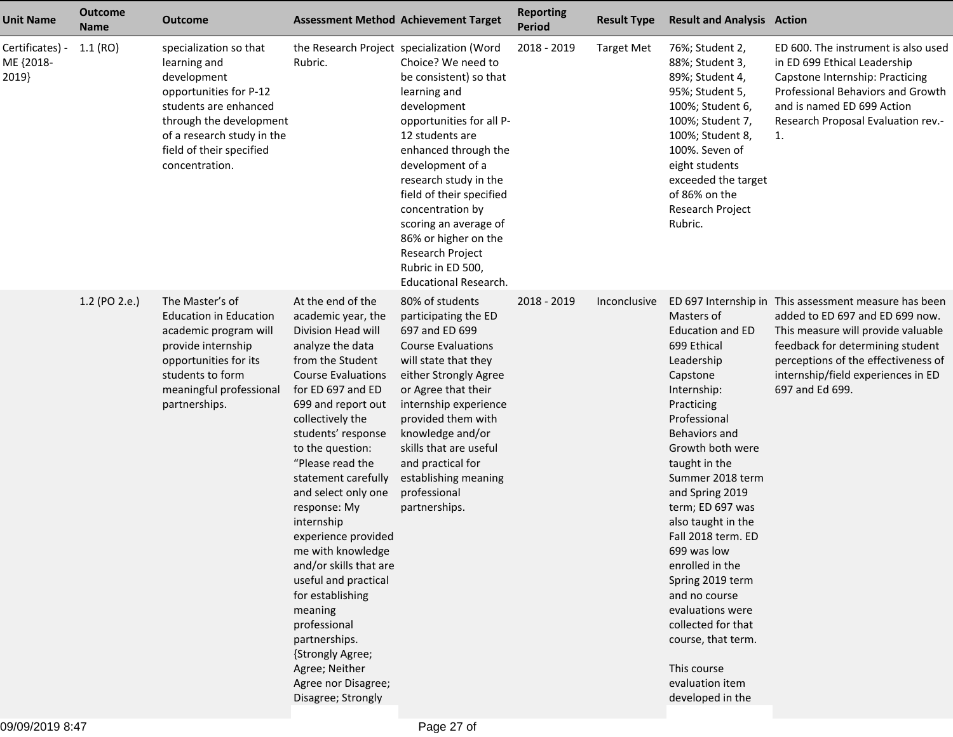| <b>Unit Name</b>                      | <b>Outcome</b><br><b>Name</b> | <b>Outcome</b>                                                                                                                                                                                                  |                                                                                                                                                                                                                                                                                                                                                                                                                                                                                                                                                                                              | <b>Assessment Method Achievement Target</b>                                                                                                                                                                                                                                                                                                                               | <b>Reporting</b><br><b>Period</b> | <b>Result Type</b> | <b>Result and Analysis Action</b>                                                                                                                                                                                                                                                                                                                                                                                                                                                     |                                                                                                                                                                                                                                                                    |
|---------------------------------------|-------------------------------|-----------------------------------------------------------------------------------------------------------------------------------------------------------------------------------------------------------------|----------------------------------------------------------------------------------------------------------------------------------------------------------------------------------------------------------------------------------------------------------------------------------------------------------------------------------------------------------------------------------------------------------------------------------------------------------------------------------------------------------------------------------------------------------------------------------------------|---------------------------------------------------------------------------------------------------------------------------------------------------------------------------------------------------------------------------------------------------------------------------------------------------------------------------------------------------------------------------|-----------------------------------|--------------------|---------------------------------------------------------------------------------------------------------------------------------------------------------------------------------------------------------------------------------------------------------------------------------------------------------------------------------------------------------------------------------------------------------------------------------------------------------------------------------------|--------------------------------------------------------------------------------------------------------------------------------------------------------------------------------------------------------------------------------------------------------------------|
| Certificates) -<br>ME {2018-<br>2019} | 1.1(RO)                       | specialization so that<br>learning and<br>development<br>opportunities for P-12<br>students are enhanced<br>through the development<br>of a research study in the<br>field of their specified<br>concentration. | the Research Project specialization (Word<br>Rubric.                                                                                                                                                                                                                                                                                                                                                                                                                                                                                                                                         | Choice? We need to<br>be consistent) so that<br>learning and<br>development<br>opportunities for all P-<br>12 students are<br>enhanced through the<br>development of a<br>research study in the<br>field of their specified<br>concentration by<br>scoring an average of<br>86% or higher on the<br>Research Project<br>Rubric in ED 500,<br><b>Educational Research.</b> | 2018 - 2019                       | <b>Target Met</b>  | 76%; Student 2,<br>88%; Student 3,<br>89%; Student 4,<br>95%; Student 5,<br>100%; Student 6,<br>100%; Student 7,<br>100%; Student 8,<br>100%. Seven of<br>eight students<br>exceeded the target<br>of 86% on the<br>Research Project<br>Rubric.                                                                                                                                                                                                                                       | ED 600. The instrument is also used<br>in ED 699 Ethical Leadership<br>Capstone Internship: Practicing<br>Professional Behaviors and Growth<br>and is named ED 699 Action<br>Research Proposal Evaluation rev.-<br>1.                                              |
|                                       | 1.2 (PO 2.e.)                 | The Master's of<br><b>Education in Education</b><br>academic program will<br>provide internship<br>opportunities for its<br>students to form<br>meaningful professional<br>partnerships.                        | At the end of the<br>academic year, the<br>Division Head will<br>analyze the data<br>from the Student<br><b>Course Evaluations</b><br>for ED 697 and ED<br>699 and report out<br>collectively the<br>students' response<br>to the question:<br>"Please read the<br>statement carefully<br>and select only one<br>response: My<br>internship<br>experience provided<br>me with knowledge<br>and/or skills that are<br>useful and practical<br>for establishing<br>meaning<br>professional<br>partnerships.<br>{Strongly Agree;<br>Agree; Neither<br>Agree nor Disagree;<br>Disagree; Strongly | 80% of students<br>participating the ED<br>697 and ED 699<br><b>Course Evaluations</b><br>will state that they<br>either Strongly Agree<br>or Agree that their<br>internship experience<br>provided them with<br>knowledge and/or<br>skills that are useful<br>and practical for<br>establishing meaning<br>professional<br>partnerships.                                 | 2018 - 2019                       | Inconclusive       | Masters of<br><b>Education and ED</b><br>699 Ethical<br>Leadership<br>Capstone<br>Internship:<br>Practicing<br>Professional<br>Behaviors and<br>Growth both were<br>taught in the<br>Summer 2018 term<br>and Spring 2019<br>term; ED 697 was<br>also taught in the<br>Fall 2018 term. ED<br>699 was low<br>enrolled in the<br>Spring 2019 term<br>and no course<br>evaluations were<br>collected for that<br>course, that term.<br>This course<br>evaluation item<br>developed in the | ED 697 Internship in This assessment measure has been<br>added to ED 697 and ED 699 now.<br>This measure will provide valuable<br>feedback for determining student<br>perceptions of the effectiveness of<br>internship/field experiences in ED<br>697 and Ed 699. |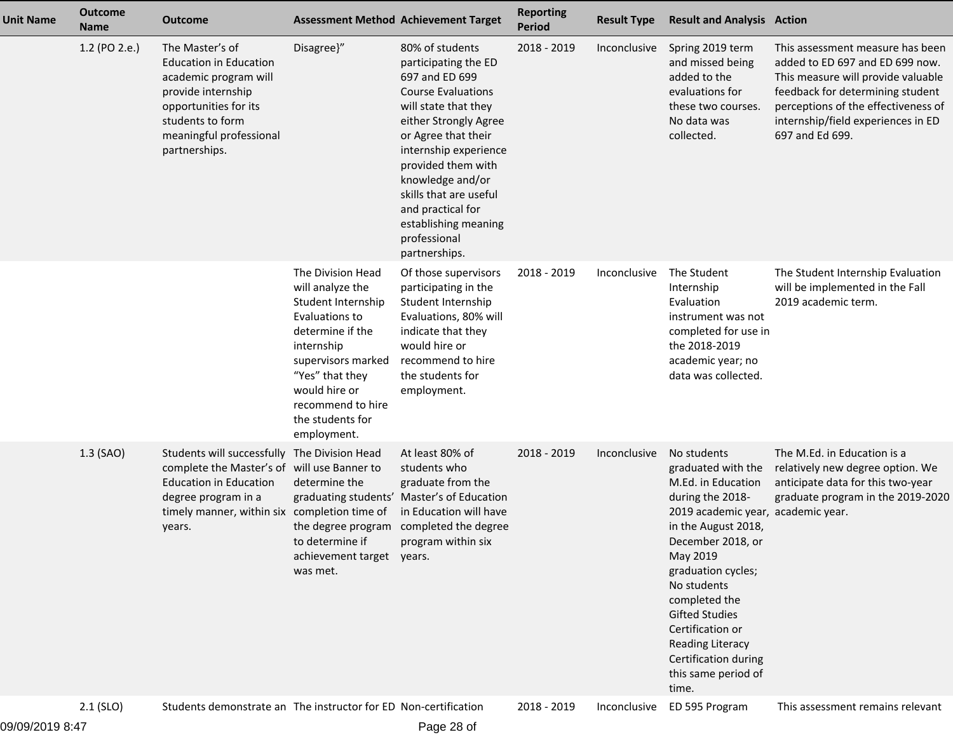| <b>Unit Name</b> | <b>Outcome</b><br><b>Name</b> | <b>Outcome</b>                                                                                                                                                                                                |                                                                                                                                                                                                                                   | <b>Assessment Method Achievement Target</b>                                                                                                                                                                                                                                                                                               | <b>Reporting</b><br><b>Period</b> | <b>Result Type</b> | <b>Result and Analysis Action</b>                                                                                                                                                                                                                                                                                                                               |                                                                                                                                                                                                                                               |
|------------------|-------------------------------|---------------------------------------------------------------------------------------------------------------------------------------------------------------------------------------------------------------|-----------------------------------------------------------------------------------------------------------------------------------------------------------------------------------------------------------------------------------|-------------------------------------------------------------------------------------------------------------------------------------------------------------------------------------------------------------------------------------------------------------------------------------------------------------------------------------------|-----------------------------------|--------------------|-----------------------------------------------------------------------------------------------------------------------------------------------------------------------------------------------------------------------------------------------------------------------------------------------------------------------------------------------------------------|-----------------------------------------------------------------------------------------------------------------------------------------------------------------------------------------------------------------------------------------------|
|                  | 1.2 (PO 2.e.)                 | The Master's of<br><b>Education in Education</b><br>academic program will<br>provide internship<br>opportunities for its<br>students to form<br>meaningful professional<br>partnerships.                      | Disagree}"                                                                                                                                                                                                                        | 80% of students<br>participating the ED<br>697 and ED 699<br><b>Course Evaluations</b><br>will state that they<br>either Strongly Agree<br>or Agree that their<br>internship experience<br>provided them with<br>knowledge and/or<br>skills that are useful<br>and practical for<br>establishing meaning<br>professional<br>partnerships. | 2018 - 2019                       | Inconclusive       | Spring 2019 term<br>and missed being<br>added to the<br>evaluations for<br>these two courses.<br>No data was<br>collected.                                                                                                                                                                                                                                      | This assessment measure has been<br>added to ED 697 and ED 699 now.<br>This measure will provide valuable<br>feedback for determining student<br>perceptions of the effectiveness of<br>internship/field experiences in ED<br>697 and Ed 699. |
|                  |                               |                                                                                                                                                                                                               | The Division Head<br>will analyze the<br>Student Internship<br>Evaluations to<br>determine if the<br>internship<br>supervisors marked<br>"Yes" that they<br>would hire or<br>recommend to hire<br>the students for<br>employment. | Of those supervisors<br>participating in the<br>Student Internship<br>Evaluations, 80% will<br>indicate that they<br>would hire or<br>recommend to hire<br>the students for<br>employment.                                                                                                                                                | 2018 - 2019                       | Inconclusive       | The Student<br>Internship<br>Evaluation<br>instrument was not<br>completed for use in<br>the 2018-2019<br>academic year; no<br>data was collected.                                                                                                                                                                                                              | The Student Internship Evaluation<br>will be implemented in the Fall<br>2019 academic term.                                                                                                                                                   |
|                  | 1.3 (SAO)                     | Students will successfully The Division Head<br>complete the Master's of will use Banner to<br><b>Education in Education</b><br>degree program in a<br>timely manner, within six completion time of<br>years. | determine the<br>to determine if<br>achievement target years.<br>was met.                                                                                                                                                         | At least 80% of<br>students who<br>graduate from the<br>graduating students' Master's of Education<br>in Education will have<br>the degree program completed the degree<br>program within six                                                                                                                                             | 2018 - 2019                       | Inconclusive       | No students<br>graduated with the<br>M.Ed. in Education<br>during the 2018-<br>2019 academic year, academic year.<br>in the August 2018,<br>December 2018, or<br>May 2019<br>graduation cycles;<br>No students<br>completed the<br><b>Gifted Studies</b><br>Certification or<br><b>Reading Literacy</b><br>Certification during<br>this same period of<br>time. | The M.Ed. in Education is a<br>relatively new degree option. We<br>anticipate data for this two-year<br>graduate program in the 2019-2020                                                                                                     |
|                  | $2.1$ (SLO)                   | Students demonstrate an The instructor for ED Non-certification                                                                                                                                               |                                                                                                                                                                                                                                   |                                                                                                                                                                                                                                                                                                                                           | 2018 - 2019                       | Inconclusive       | ED 595 Program                                                                                                                                                                                                                                                                                                                                                  | This assessment remains relevant                                                                                                                                                                                                              |

09/09/2019 8:47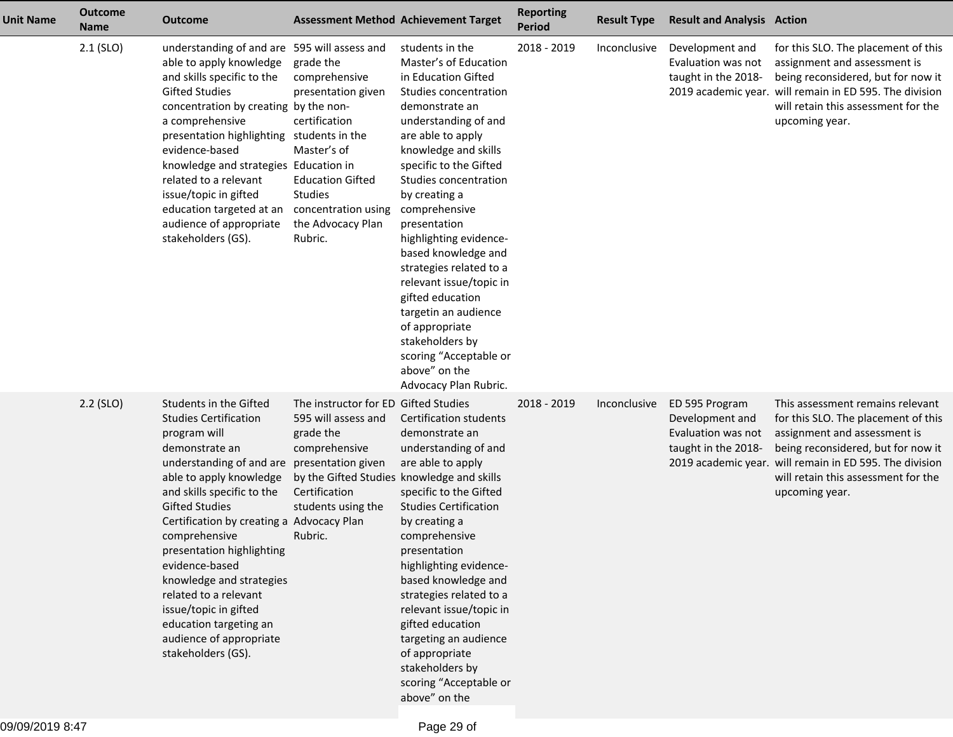| <b>Unit Name</b> | <b>Outcome</b><br><b>Name</b> | Outcome                                                                                                                                                                                                                                                                                                                                                                                                                                                                                         |                                                                                                                                                                                           | <b>Assessment Method Achievement Target</b>                                                                                                                                                                                                                                                                                                                                                                                                                                                                                                      | <b>Reporting</b><br>Period | <b>Result Type</b> | <b>Result and Analysis Action</b>                                              |                                                                                                                                                                                                                                                                   |
|------------------|-------------------------------|-------------------------------------------------------------------------------------------------------------------------------------------------------------------------------------------------------------------------------------------------------------------------------------------------------------------------------------------------------------------------------------------------------------------------------------------------------------------------------------------------|-------------------------------------------------------------------------------------------------------------------------------------------------------------------------------------------|--------------------------------------------------------------------------------------------------------------------------------------------------------------------------------------------------------------------------------------------------------------------------------------------------------------------------------------------------------------------------------------------------------------------------------------------------------------------------------------------------------------------------------------------------|----------------------------|--------------------|--------------------------------------------------------------------------------|-------------------------------------------------------------------------------------------------------------------------------------------------------------------------------------------------------------------------------------------------------------------|
|                  | $2.1$ (SLO)                   | understanding of and are 595 will assess and<br>able to apply knowledge<br>and skills specific to the<br><b>Gifted Studies</b><br>concentration by creating by the non-<br>a comprehensive<br>presentation highlighting students in the<br>evidence-based<br>knowledge and strategies Education in<br>related to a relevant<br>issue/topic in gifted<br>education targeted at an<br>audience of appropriate<br>stakeholders (GS).                                                               | grade the<br>comprehensive<br>presentation given<br>certification<br>Master's of<br><b>Education Gifted</b><br><b>Studies</b><br>concentration using<br>the Advocacy Plan<br>Rubric.      | students in the<br>Master's of Education<br>in Education Gifted<br>Studies concentration<br>demonstrate an<br>understanding of and<br>are able to apply<br>knowledge and skills<br>specific to the Gifted<br>Studies concentration<br>by creating a<br>comprehensive<br>presentation<br>highlighting evidence-<br>based knowledge and<br>strategies related to a<br>relevant issue/topic in<br>gifted education<br>targetin an audience<br>of appropriate<br>stakeholders by<br>scoring "Acceptable or<br>above" on the<br>Advocacy Plan Rubric. | 2018 - 2019                | Inconclusive       | Development and<br>Evaluation was not<br>taught in the 2018-                   | for this SLO. The placement of this<br>assignment and assessment is<br>being reconsidered, but for now it<br>2019 academic year. will remain in ED 595. The division<br>will retain this assessment for the<br>upcoming year.                                     |
|                  | $2.2$ (SLO)                   | Students in the Gifted<br><b>Studies Certification</b><br>program will<br>demonstrate an<br>understanding of and are presentation given<br>able to apply knowledge<br>and skills specific to the<br><b>Gifted Studies</b><br>Certification by creating a Advocacy Plan<br>comprehensive<br>presentation highlighting<br>evidence-based<br>knowledge and strategies<br>related to a relevant<br>issue/topic in gifted<br>education targeting an<br>audience of appropriate<br>stakeholders (GS). | The instructor for ED Gifted Studies<br>595 will assess and<br>grade the<br>comprehensive<br>by the Gifted Studies knowledge and skills<br>Certification<br>students using the<br>Rubric. | <b>Certification students</b><br>demonstrate an<br>understanding of and<br>are able to apply<br>specific to the Gifted<br><b>Studies Certification</b><br>by creating a<br>comprehensive<br>presentation<br>highlighting evidence-<br>based knowledge and<br>strategies related to a<br>relevant issue/topic in<br>gifted education<br>targeting an audience<br>of appropriate<br>stakeholders by<br>scoring "Acceptable or<br>above" on the                                                                                                     | 2018 - 2019                | Inconclusive       | ED 595 Program<br>Development and<br>Evaluation was not<br>taught in the 2018- | This assessment remains relevant<br>for this SLO. The placement of this<br>assignment and assessment is<br>being reconsidered, but for now it<br>2019 academic year. will remain in ED 595. The division<br>will retain this assessment for the<br>upcoming year. |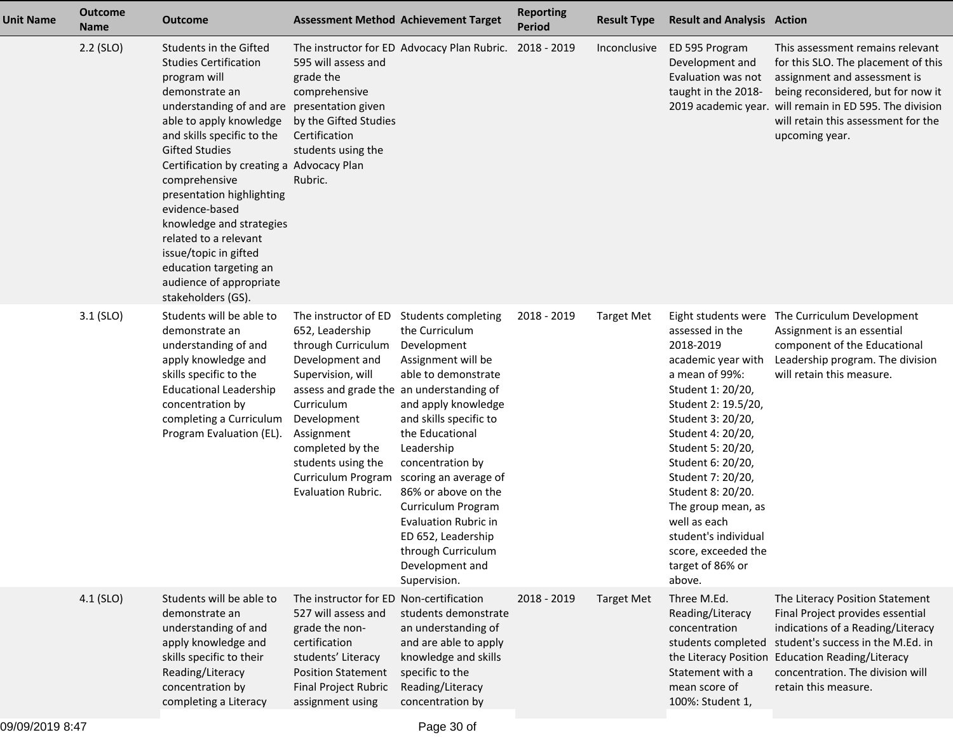| <b>Unit Name</b> | <b>Outcome</b><br><b>Name</b> | Outcome                                                                                                                                                                                                                                                                                                                                                                                                                                                                                         |                                                                                                                                                                                                                                                                                           | <b>Assessment Method Achievement Target</b>                                                                                                                                                                                                                                                                                                                                                 | <b>Reporting</b><br><b>Period</b> | <b>Result Type</b> | <b>Result and Analysis Action</b>                                                                                                                                                                                                                                                                                                                                                        |                                                                                                                                                                                                                                                                   |
|------------------|-------------------------------|-------------------------------------------------------------------------------------------------------------------------------------------------------------------------------------------------------------------------------------------------------------------------------------------------------------------------------------------------------------------------------------------------------------------------------------------------------------------------------------------------|-------------------------------------------------------------------------------------------------------------------------------------------------------------------------------------------------------------------------------------------------------------------------------------------|---------------------------------------------------------------------------------------------------------------------------------------------------------------------------------------------------------------------------------------------------------------------------------------------------------------------------------------------------------------------------------------------|-----------------------------------|--------------------|------------------------------------------------------------------------------------------------------------------------------------------------------------------------------------------------------------------------------------------------------------------------------------------------------------------------------------------------------------------------------------------|-------------------------------------------------------------------------------------------------------------------------------------------------------------------------------------------------------------------------------------------------------------------|
|                  | $2.2$ (SLO)                   | Students in the Gifted<br><b>Studies Certification</b><br>program will<br>demonstrate an<br>understanding of and are presentation given<br>able to apply knowledge<br>and skills specific to the<br><b>Gifted Studies</b><br>Certification by creating a Advocacy Plan<br>comprehensive<br>presentation highlighting<br>evidence-based<br>knowledge and strategies<br>related to a relevant<br>issue/topic in gifted<br>education targeting an<br>audience of appropriate<br>stakeholders (GS). | 595 will assess and<br>grade the<br>comprehensive<br>by the Gifted Studies<br>Certification<br>students using the<br>Rubric.                                                                                                                                                              | The instructor for ED Advocacy Plan Rubric. 2018 - 2019                                                                                                                                                                                                                                                                                                                                     |                                   | Inconclusive       | ED 595 Program<br>Development and<br>Evaluation was not<br>taught in the 2018-                                                                                                                                                                                                                                                                                                           | This assessment remains relevant<br>for this SLO. The placement of this<br>assignment and assessment is<br>being reconsidered, but for now it<br>2019 academic year. will remain in ED 595. The division<br>will retain this assessment for the<br>upcoming year. |
|                  | $3.1$ (SLO)                   | Students will be able to<br>demonstrate an<br>understanding of and<br>apply knowledge and<br>skills specific to the<br><b>Educational Leadership</b><br>concentration by<br>completing a Curriculum<br>Program Evaluation (EL).                                                                                                                                                                                                                                                                 | The instructor of ED<br>652, Leadership<br>through Curriculum<br>Development and<br>Supervision, will<br>assess and grade the an understanding of<br>Curriculum<br>Development<br>Assignment<br>completed by the<br>students using the<br>Curriculum Program<br><b>Evaluation Rubric.</b> | Students completing<br>the Curriculum<br>Development<br>Assignment will be<br>able to demonstrate<br>and apply knowledge<br>and skills specific to<br>the Educational<br>Leadership<br>concentration by<br>scoring an average of<br>86% or above on the<br>Curriculum Program<br><b>Evaluation Rubric in</b><br>ED 652, Leadership<br>through Curriculum<br>Development and<br>Supervision. | 2018 - 2019                       | <b>Target Met</b>  | Eight students were<br>assessed in the<br>2018-2019<br>academic year with<br>a mean of 99%:<br>Student 1: 20/20,<br>Student 2: 19.5/20,<br>Student 3: 20/20,<br>Student 4: 20/20,<br>Student 5: 20/20,<br>Student 6: 20/20,<br>Student 7: 20/20,<br>Student 8: 20/20.<br>The group mean, as<br>well as each<br>student's individual<br>score, exceeded the<br>target of 86% or<br>above. | The Curriculum Development<br>Assignment is an essential<br>component of the Educational<br>Leadership program. The division<br>will retain this measure.                                                                                                         |
|                  | $4.1$ (SLO)                   | Students will be able to<br>demonstrate an<br>understanding of and<br>apply knowledge and<br>skills specific to their<br>Reading/Literacy<br>concentration by<br>completing a Literacy                                                                                                                                                                                                                                                                                                          | The instructor for ED Non-certification<br>527 will assess and<br>grade the non-<br>certification<br>students' Literacy<br><b>Position Statement</b><br>Final Project Rubric<br>assignment using                                                                                          | students demonstrate<br>an understanding of<br>and are able to apply<br>knowledge and skills<br>specific to the<br>Reading/Literacy<br>concentration by                                                                                                                                                                                                                                     | 2018 - 2019                       | <b>Target Met</b>  | Three M.Ed.<br>Reading/Literacy<br>concentration<br>students completed<br>the Literacy Position<br>Statement with a<br>mean score of<br>100%: Student 1,                                                                                                                                                                                                                                 | The Literacy Position Statement<br>Final Project provides essential<br>indications of a Reading/Literacy<br>student's success in the M.Ed. in<br><b>Education Reading/Literacy</b><br>concentration. The division will<br>retain this measure.                    |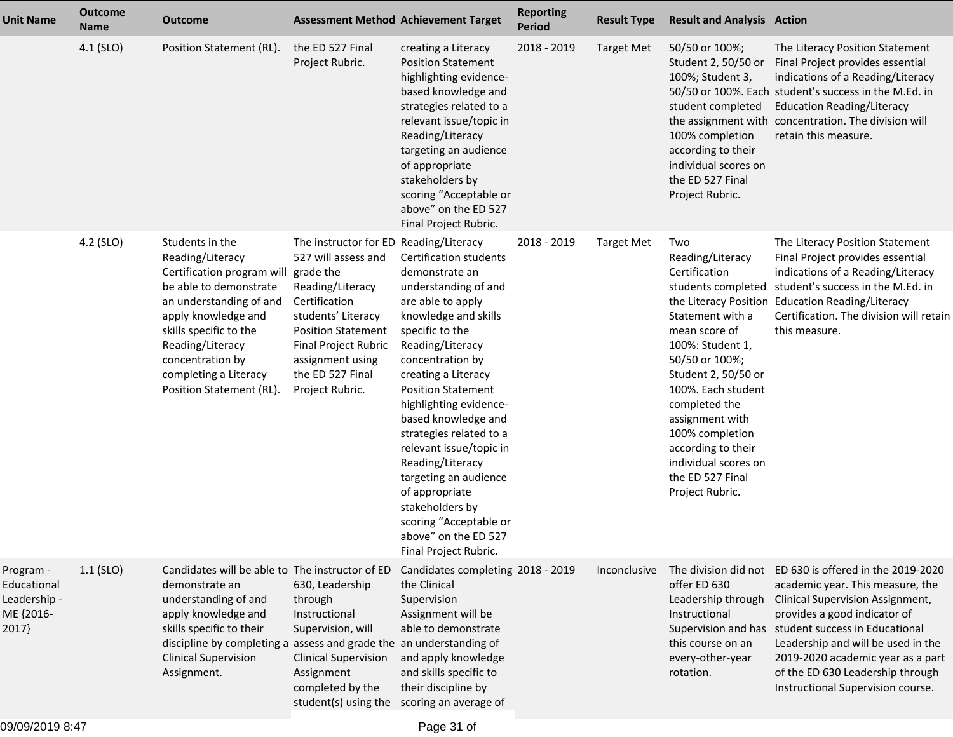| <b>Unit Name</b>                                               | <b>Outcome</b><br><b>Name</b> | <b>Outcome</b>                                                                                                                                                                                                                                                       | <b>Assessment Method Achievement Target</b>                                                                                                                                                                                                           |                                                                                                                                                                                                                                                                                                                                                                                                                                                                                                         | <b>Reporting</b><br><b>Period</b> | <b>Result Type</b> | <b>Result and Analysis Action</b>                                                                                                                                                                                                                                                                            |                                                                                                                                                                                                                                                                                                                                                      |
|----------------------------------------------------------------|-------------------------------|----------------------------------------------------------------------------------------------------------------------------------------------------------------------------------------------------------------------------------------------------------------------|-------------------------------------------------------------------------------------------------------------------------------------------------------------------------------------------------------------------------------------------------------|---------------------------------------------------------------------------------------------------------------------------------------------------------------------------------------------------------------------------------------------------------------------------------------------------------------------------------------------------------------------------------------------------------------------------------------------------------------------------------------------------------|-----------------------------------|--------------------|--------------------------------------------------------------------------------------------------------------------------------------------------------------------------------------------------------------------------------------------------------------------------------------------------------------|------------------------------------------------------------------------------------------------------------------------------------------------------------------------------------------------------------------------------------------------------------------------------------------------------------------------------------------------------|
|                                                                | 4.1 (SLO)                     | Position Statement (RL).                                                                                                                                                                                                                                             | the ED 527 Final<br>Project Rubric.                                                                                                                                                                                                                   | creating a Literacy<br><b>Position Statement</b><br>highlighting evidence-<br>based knowledge and<br>strategies related to a<br>relevant issue/topic in<br>Reading/Literacy<br>targeting an audience<br>of appropriate<br>stakeholders by<br>scoring "Acceptable or<br>above" on the ED 527<br>Final Project Rubric.                                                                                                                                                                                    | 2018 - 2019                       | <b>Target Met</b>  | 50/50 or 100%;<br>Student 2, 50/50 or<br>100%; Student 3,<br>student completed<br>100% completion<br>according to their<br>individual scores on<br>the ED 527 Final<br>Project Rubric.                                                                                                                       | The Literacy Position Statement<br>Final Project provides essential<br>indications of a Reading/Literacy<br>50/50 or 100%. Each student's success in the M.Ed. in<br><b>Education Reading/Literacy</b><br>the assignment with concentration. The division will<br>retain this measure.                                                               |
|                                                                | 4.2 (SLO)                     | Students in the<br>Reading/Literacy<br>Certification program will<br>be able to demonstrate<br>an understanding of and<br>apply knowledge and<br>skills specific to the<br>Reading/Literacy<br>concentration by<br>completing a Literacy<br>Position Statement (RL). | The instructor for ED Reading/Literacy<br>527 will assess and<br>grade the<br>Reading/Literacy<br>Certification<br>students' Literacy<br><b>Position Statement</b><br>Final Project Rubric<br>assignment using<br>the ED 527 Final<br>Project Rubric. | <b>Certification students</b><br>demonstrate an<br>understanding of and<br>are able to apply<br>knowledge and skills<br>specific to the<br>Reading/Literacy<br>concentration by<br>creating a Literacy<br><b>Position Statement</b><br>highlighting evidence-<br>based knowledge and<br>strategies related to a<br>relevant issue/topic in<br>Reading/Literacy<br>targeting an audience<br>of appropriate<br>stakeholders by<br>scoring "Acceptable or<br>above" on the ED 527<br>Final Project Rubric. | 2018 - 2019                       | <b>Target Met</b>  | Two<br>Reading/Literacy<br>Certification<br>Statement with a<br>mean score of<br>100%: Student 1,<br>50/50 or 100%;<br>Student 2, 50/50 or<br>100%. Each student<br>completed the<br>assignment with<br>100% completion<br>according to their<br>individual scores on<br>the ED 527 Final<br>Project Rubric. | The Literacy Position Statement<br>Final Project provides essential<br>indications of a Reading/Literacy<br>students completed student's success in the M.Ed. in<br>the Literacy Position Education Reading/Literacy<br>Certification. The division will retain<br>this measure.                                                                     |
| Program -<br>Educational<br>Leadership -<br>ME {2016-<br>2017} | $1.1$ (SLO)                   | Candidates will be able to The instructor of ED<br>demonstrate an<br>understanding of and<br>apply knowledge and<br>skills specific to their<br>discipline by completing a assess and grade the an understanding of<br><b>Clinical Supervision</b><br>Assignment.    | 630, Leadership<br>through<br>Instructional<br>Supervision, will<br><b>Clinical Supervision</b><br>Assignment<br>completed by the                                                                                                                     | Candidates completing 2018 - 2019<br>the Clinical<br>Supervision<br>Assignment will be<br>able to demonstrate<br>and apply knowledge<br>and skills specific to<br>their discipline by<br>student(s) using the scoring an average of                                                                                                                                                                                                                                                                     |                                   | Inconclusive       | The division did not<br>offer ED 630<br>Leadership through<br>Instructional<br>this course on an<br>every-other-year<br>rotation.                                                                                                                                                                            | ED 630 is offered in the 2019-2020<br>academic year. This measure, the<br>Clinical Supervision Assignment,<br>provides a good indicator of<br>Supervision and has student success in Educational<br>Leadership and will be used in the<br>2019-2020 academic year as a part<br>of the ED 630 Leadership through<br>Instructional Supervision course. |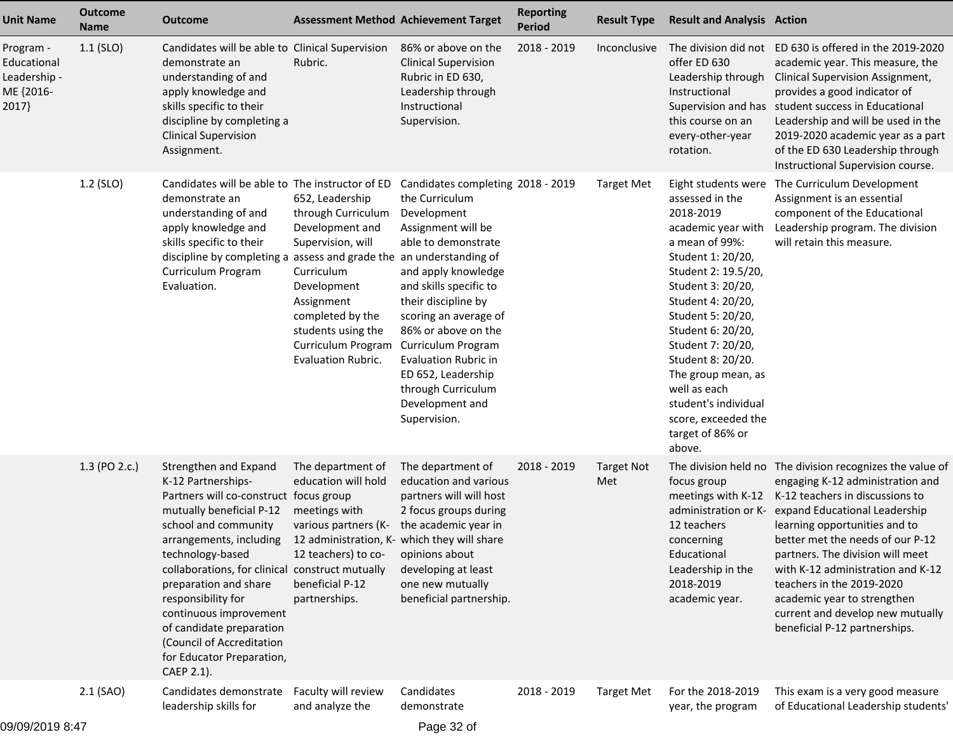| <b>Unit Name</b>                                               | <b>Outcome</b><br><b>Name</b> | <b>Outcome</b>                                                                                                                                                                                                                                                                                                                                                                                                           |                                                                                                                                                                                                                       | <b>Assessment Method Achievement Target</b>                                                                                                                                                                                                                                                                                                                                 | <b>Reporting</b><br><b>Period</b> | <b>Result Type</b>       | <b>Result and Analysis Action</b>                                                                                                                                                                                                                                                                                                                                                        |                                                                                                                                                                                                                                                                                                                                                                                                                                                  |
|----------------------------------------------------------------|-------------------------------|--------------------------------------------------------------------------------------------------------------------------------------------------------------------------------------------------------------------------------------------------------------------------------------------------------------------------------------------------------------------------------------------------------------------------|-----------------------------------------------------------------------------------------------------------------------------------------------------------------------------------------------------------------------|-----------------------------------------------------------------------------------------------------------------------------------------------------------------------------------------------------------------------------------------------------------------------------------------------------------------------------------------------------------------------------|-----------------------------------|--------------------------|------------------------------------------------------------------------------------------------------------------------------------------------------------------------------------------------------------------------------------------------------------------------------------------------------------------------------------------------------------------------------------------|--------------------------------------------------------------------------------------------------------------------------------------------------------------------------------------------------------------------------------------------------------------------------------------------------------------------------------------------------------------------------------------------------------------------------------------------------|
| Program -<br>Educational<br>Leadership -<br>ME {2016-<br>2017} | $1.1$ (SLO)                   | Candidates will be able to Clinical Supervision<br>demonstrate an<br>understanding of and<br>apply knowledge and<br>skills specific to their<br>discipline by completing a<br><b>Clinical Supervision</b><br>Assignment.                                                                                                                                                                                                 | Rubric.                                                                                                                                                                                                               | 86% or above on the<br><b>Clinical Supervision</b><br>Rubric in ED 630,<br>Leadership through<br>Instructional<br>Supervision.                                                                                                                                                                                                                                              | 2018 - 2019                       | Inconclusive             | offer ED 630<br>Leadership through<br>Instructional<br>this course on an<br>every-other-year<br>rotation.                                                                                                                                                                                                                                                                                | The division did not ED 630 is offered in the 2019-2020<br>academic year. This measure, the<br>Clinical Supervision Assignment,<br>provides a good indicator of<br>Supervision and has student success in Educational<br>Leadership and will be used in the<br>2019-2020 academic year as a part<br>of the ED 630 Leadership through<br>Instructional Supervision course.                                                                        |
|                                                                | 1.2 (SLO)                     | Candidates will be able to The instructor of ED<br>demonstrate an<br>understanding of and<br>apply knowledge and<br>skills specific to their<br>discipline by completing a assess and grade the an understanding of<br>Curriculum Program<br>Evaluation.                                                                                                                                                                 | 652, Leadership<br>through Curriculum<br>Development and<br>Supervision, will<br>Curriculum<br>Development<br>Assignment<br>completed by the<br>students using the<br>Curriculum Program<br><b>Evaluation Rubric.</b> | Candidates completing 2018 - 2019<br>the Curriculum<br>Development<br>Assignment will be<br>able to demonstrate<br>and apply knowledge<br>and skills specific to<br>their discipline by<br>scoring an average of<br>86% or above on the<br>Curriculum Program<br><b>Evaluation Rubric in</b><br>ED 652, Leadership<br>through Curriculum<br>Development and<br>Supervision. |                                   | <b>Target Met</b>        | Eight students were<br>assessed in the<br>2018-2019<br>academic year with<br>a mean of 99%:<br>Student 1: 20/20,<br>Student 2: 19.5/20,<br>Student 3: 20/20,<br>Student 4: 20/20,<br>Student 5: 20/20,<br>Student 6: 20/20,<br>Student 7: 20/20,<br>Student 8: 20/20.<br>The group mean, as<br>well as each<br>student's individual<br>score, exceeded the<br>target of 86% or<br>above. | The Curriculum Development<br>Assignment is an essential<br>component of the Educational<br>Leadership program. The division<br>will retain this measure.                                                                                                                                                                                                                                                                                        |
|                                                                | 1.3 (PO 2.c.)                 | Strengthen and Expand<br>K-12 Partnerships-<br>Partners will co-construct focus group<br>mutually beneficial P-12<br>school and community<br>arrangements, including<br>technology-based<br>collaborations, for clinical construct mutually<br>preparation and share<br>responsibility for<br>continuous improvement<br>of candidate preparation<br>(Council of Accreditation<br>for Educator Preparation,<br>CAEP 2.1). | The department of<br>education will hold<br>meetings with<br>various partners (K-<br>12 administration, K- which they will share<br>12 teachers) to co-<br>beneficial P-12<br>partnerships.                           | The department of<br>education and various<br>partners will will host<br>2 focus groups during<br>the academic year in<br>opinions about<br>developing at least<br>one new mutually<br>beneficial partnership.                                                                                                                                                              | 2018 - 2019                       | <b>Target Not</b><br>Met | focus group<br>meetings with K-12<br>administration or K-<br>12 teachers<br>concerning<br>Educational<br>Leadership in the<br>2018-2019<br>academic year.                                                                                                                                                                                                                                | The division held no The division recognizes the value of<br>engaging K-12 administration and<br>K-12 teachers in discussions to<br>expand Educational Leadership<br>learning opportunities and to<br>better met the needs of our P-12<br>partners. The division will meet<br>with K-12 administration and K-12<br>teachers in the 2019-2020<br>academic year to strengthen<br>current and develop new mutually<br>beneficial P-12 partnerships. |
|                                                                | $2.1$ (SAO)                   | Candidates demonstrate<br>leadership skills for                                                                                                                                                                                                                                                                                                                                                                          | Faculty will review<br>and analyze the                                                                                                                                                                                | Candidates<br>demonstrate                                                                                                                                                                                                                                                                                                                                                   | 2018 - 2019                       | <b>Target Met</b>        | For the 2018-2019<br>year, the program                                                                                                                                                                                                                                                                                                                                                   | This exam is a very good measure<br>of Educational Leadership students'                                                                                                                                                                                                                                                                                                                                                                          |
| 0.0000000000000                                                |                               |                                                                                                                                                                                                                                                                                                                                                                                                                          |                                                                                                                                                                                                                       | $D = 22.22$                                                                                                                                                                                                                                                                                                                                                                 |                                   |                          |                                                                                                                                                                                                                                                                                                                                                                                          |                                                                                                                                                                                                                                                                                                                                                                                                                                                  |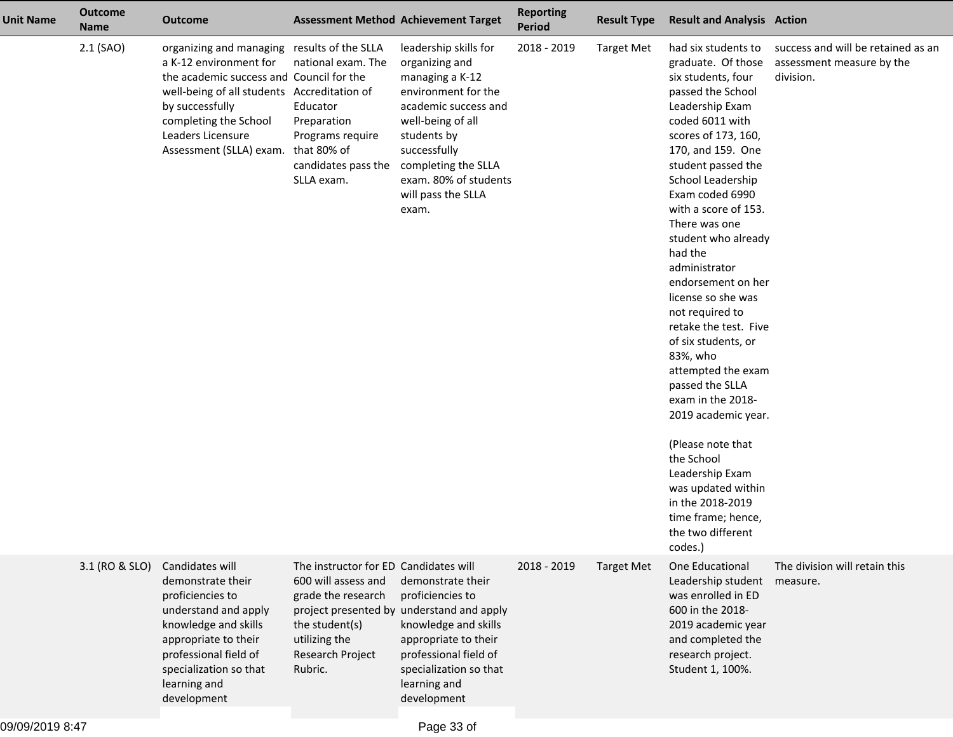| <b>Unit Name</b> | <b>Outcome</b><br><b>Name</b> | <b>Outcome</b>                                                                                                                                                                                                                                                           | <b>Assessment Method Achievement Target</b>                                                                                                          |                                                                                                                                                                                                                                              | <b>Reporting</b><br><b>Period</b> | <b>Result Type</b> | <b>Result and Analysis Action</b>                                                                                                                                                                                                                                                                                                                                                                                                                                                                                                                                                                                                                                                                      |                                                                              |
|------------------|-------------------------------|--------------------------------------------------------------------------------------------------------------------------------------------------------------------------------------------------------------------------------------------------------------------------|------------------------------------------------------------------------------------------------------------------------------------------------------|----------------------------------------------------------------------------------------------------------------------------------------------------------------------------------------------------------------------------------------------|-----------------------------------|--------------------|--------------------------------------------------------------------------------------------------------------------------------------------------------------------------------------------------------------------------------------------------------------------------------------------------------------------------------------------------------------------------------------------------------------------------------------------------------------------------------------------------------------------------------------------------------------------------------------------------------------------------------------------------------------------------------------------------------|------------------------------------------------------------------------------|
|                  | $2.1$ (SAO)                   | organizing and managing results of the SLLA<br>a K-12 environment for<br>the academic success and Council for the<br>well-being of all students Accreditation of<br>by successfully<br>completing the School<br>Leaders Licensure<br>Assessment (SLLA) exam. that 80% of | national exam. The<br>Educator<br>Preparation<br>Programs require<br>candidates pass the<br>SLLA exam.                                               | leadership skills for<br>organizing and<br>managing a K-12<br>environment for the<br>academic success and<br>well-being of all<br>students by<br>successfully<br>completing the SLLA<br>exam. 80% of students<br>will pass the SLLA<br>exam. | 2018 - 2019                       | <b>Target Met</b>  | had six students to<br>graduate. Of those<br>six students, four<br>passed the School<br>Leadership Exam<br>coded 6011 with<br>scores of 173, 160,<br>170, and 159. One<br>student passed the<br>School Leadership<br>Exam coded 6990<br>with a score of 153.<br>There was one<br>student who already<br>had the<br>administrator<br>endorsement on her<br>license so she was<br>not required to<br>retake the test. Five<br>of six students, or<br>83%, who<br>attempted the exam<br>passed the SLLA<br>exam in the 2018-<br>2019 academic year.<br>(Please note that<br>the School<br>Leadership Exam<br>was updated within<br>in the 2018-2019<br>time frame; hence,<br>the two different<br>codes.) | success and will be retained as an<br>assessment measure by the<br>division. |
|                  | 3.1 (RO & SLO)                | Candidates will<br>demonstrate their<br>proficiencies to<br>understand and apply<br>knowledge and skills<br>appropriate to their<br>professional field of<br>specialization so that<br>learning and<br>development                                                       | The instructor for ED Candidates will<br>600 will assess and<br>grade the research<br>the student(s)<br>utilizing the<br>Research Project<br>Rubric. | demonstrate their<br>proficiencies to<br>project presented by understand and apply<br>knowledge and skills<br>appropriate to their<br>professional field of<br>specialization so that<br>learning and<br>development                         | 2018 - 2019                       | <b>Target Met</b>  | One Educational<br>Leadership student<br>was enrolled in ED<br>600 in the 2018-<br>2019 academic year<br>and completed the<br>research project.<br>Student 1, 100%.                                                                                                                                                                                                                                                                                                                                                                                                                                                                                                                                    | The division will retain this<br>measure.                                    |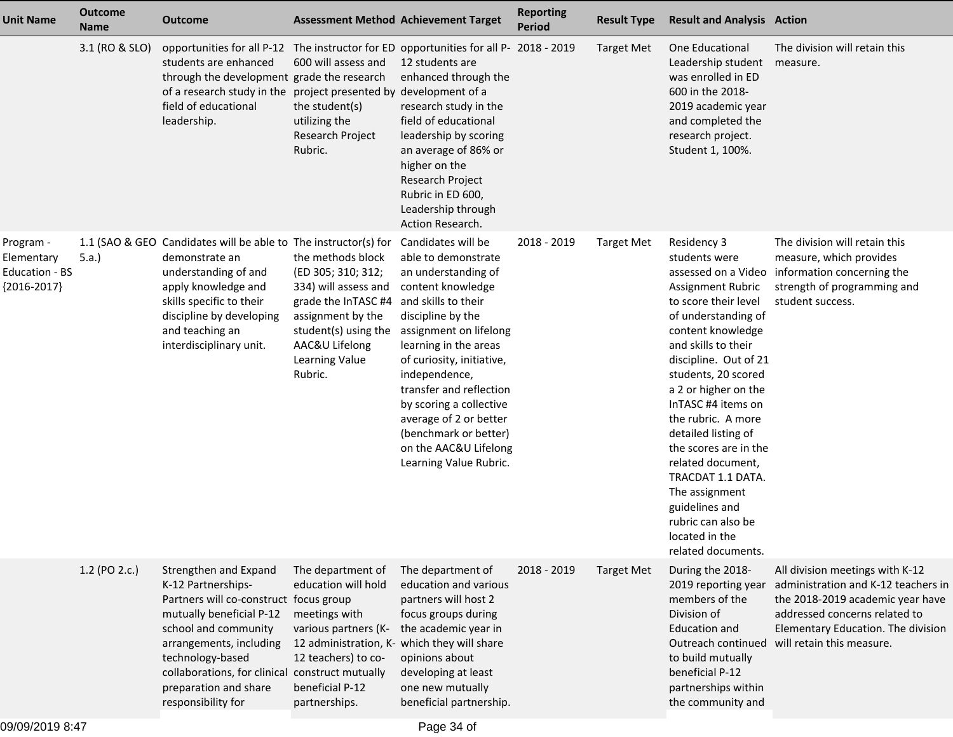| <b>Unit Name</b>                                           | <b>Outcome</b><br><b>Name</b> | <b>Outcome</b>                                                                                                                                                                                                                                                                             | <b>Assessment Method Achievement Target</b>                                                                                                                                                 |                                                                                                                                                                                                                                                                                                                                                                                                | <b>Reporting</b><br><b>Period</b> | <b>Result Type</b> | <b>Result and Analysis Action</b>                                                                                                                                                                                                                                                                                                                                                                                                                                                   |                                                                                                                                                                                                                                   |
|------------------------------------------------------------|-------------------------------|--------------------------------------------------------------------------------------------------------------------------------------------------------------------------------------------------------------------------------------------------------------------------------------------|---------------------------------------------------------------------------------------------------------------------------------------------------------------------------------------------|------------------------------------------------------------------------------------------------------------------------------------------------------------------------------------------------------------------------------------------------------------------------------------------------------------------------------------------------------------------------------------------------|-----------------------------------|--------------------|-------------------------------------------------------------------------------------------------------------------------------------------------------------------------------------------------------------------------------------------------------------------------------------------------------------------------------------------------------------------------------------------------------------------------------------------------------------------------------------|-----------------------------------------------------------------------------------------------------------------------------------------------------------------------------------------------------------------------------------|
|                                                            | 3.1 (RO & SLO)                | opportunities for all P-12 The instructor for ED opportunities for all P-<br>students are enhanced<br>through the development grade the research<br>of a research study in the project presented by<br>field of educational<br>leadership.                                                 | 600 will assess and<br>the student(s)<br>utilizing the<br>Research Project<br>Rubric.                                                                                                       | 12 students are<br>enhanced through the<br>development of a<br>research study in the<br>field of educational<br>leadership by scoring<br>an average of 86% or<br>higher on the<br>Research Project<br>Rubric in ED 600,<br>Leadership through<br>Action Research.                                                                                                                              | 2018 - 2019                       | <b>Target Met</b>  | One Educational<br>Leadership student<br>was enrolled in ED<br>600 in the 2018-<br>2019 academic year<br>and completed the<br>research project.<br>Student 1, 100%.                                                                                                                                                                                                                                                                                                                 | The division will retain this<br>measure.                                                                                                                                                                                         |
| Program -<br>Elementary<br>Education - BS<br>${2016-2017}$ | 5.a.                          | 1.1 (SAO & GEO Candidates will be able to The instructor(s) for<br>demonstrate an<br>understanding of and<br>apply knowledge and<br>skills specific to their<br>discipline by developing<br>and teaching an<br>interdisciplinary unit.                                                     | the methods block<br>(ED 305; 310; 312;<br>334) will assess and<br>grade the InTASC #4<br>assignment by the<br>student(s) using the<br>AAC&U Lifelong<br>Learning Value<br>Rubric.          | Candidates will be<br>able to demonstrate<br>an understanding of<br>content knowledge<br>and skills to their<br>discipline by the<br>assignment on lifelong<br>learning in the areas<br>of curiosity, initiative,<br>independence,<br>transfer and reflection<br>by scoring a collective<br>average of 2 or better<br>(benchmark or better)<br>on the AAC&U Lifelong<br>Learning Value Rubric. | 2018 - 2019                       | <b>Target Met</b>  | Residency 3<br>students were<br>assessed on a Video<br>Assignment Rubric<br>to score their level<br>of understanding of<br>content knowledge<br>and skills to their<br>discipline. Out of 21<br>students, 20 scored<br>a 2 or higher on the<br>InTASC #4 items on<br>the rubric. A more<br>detailed listing of<br>the scores are in the<br>related document,<br>TRACDAT 1.1 DATA.<br>The assignment<br>guidelines and<br>rubric can also be<br>located in the<br>related documents. | The division will retain this<br>measure, which provides<br>information concerning the<br>strength of programming and<br>student success.                                                                                         |
|                                                            | 1.2 (PO 2.c.)                 | Strengthen and Expand<br>K-12 Partnerships-<br>Partners will co-construct focus group<br>mutually beneficial P-12<br>school and community<br>arrangements, including<br>technology-based<br>collaborations, for clinical construct mutually<br>preparation and share<br>responsibility for | The department of<br>education will hold<br>meetings with<br>various partners (K-<br>12 administration, K- which they will share<br>12 teachers) to co-<br>beneficial P-12<br>partnerships. | The department of<br>education and various<br>partners will host 2<br>focus groups during<br>the academic year in<br>opinions about<br>developing at least<br>one new mutually<br>beneficial partnership.                                                                                                                                                                                      | 2018 - 2019                       | <b>Target Met</b>  | During the 2018-<br>2019 reporting year<br>members of the<br>Division of<br><b>Education and</b><br>to build mutually<br>beneficial P-12<br>partnerships within<br>the community and                                                                                                                                                                                                                                                                                                | All division meetings with K-12<br>administration and K-12 teachers in<br>the 2018-2019 academic year have<br>addressed concerns related to<br>Elementary Education. The division<br>Outreach continued will retain this measure. |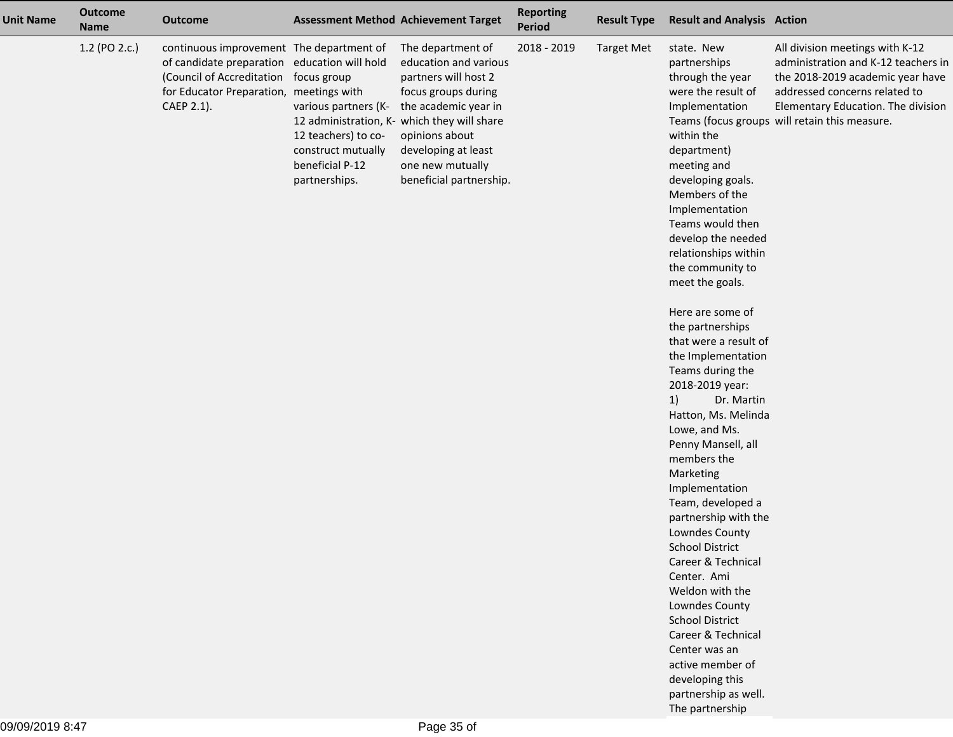| <b>Unit Name</b> | <b>Outcome</b><br><b>Name</b> | <b>Outcome</b>                                                                                                                                                                 |                                                                                                                      | <b>Assessment Method Achievement Target</b>                                                                                                                                                                                                              | <b>Reporting</b><br>Period | <b>Result Type</b> | <b>Result and Analysis Action</b>                                                                                                                                                                                                                                                                                                                                                                                                                                                                                                                                                                                                                                                                                                                                                                                                                                                        |                                                                                                                                                                                                                                    |
|------------------|-------------------------------|--------------------------------------------------------------------------------------------------------------------------------------------------------------------------------|----------------------------------------------------------------------------------------------------------------------|----------------------------------------------------------------------------------------------------------------------------------------------------------------------------------------------------------------------------------------------------------|----------------------------|--------------------|------------------------------------------------------------------------------------------------------------------------------------------------------------------------------------------------------------------------------------------------------------------------------------------------------------------------------------------------------------------------------------------------------------------------------------------------------------------------------------------------------------------------------------------------------------------------------------------------------------------------------------------------------------------------------------------------------------------------------------------------------------------------------------------------------------------------------------------------------------------------------------------|------------------------------------------------------------------------------------------------------------------------------------------------------------------------------------------------------------------------------------|
|                  | 1.2 (PO 2.c.)                 | continuous improvement The department of<br>of candidate preparation education will hold<br>(Council of Accreditation<br>for Educator Preparation, meetings with<br>CAEP 2.1). | focus group<br>various partners (K-<br>12 teachers) to co-<br>construct mutually<br>beneficial P-12<br>partnerships. | The department of<br>education and various<br>partners will host 2<br>focus groups during<br>the academic year in<br>12 administration, K- which they will share<br>opinions about<br>developing at least<br>one new mutually<br>beneficial partnership. | 2018 - 2019                | <b>Target Met</b>  | state. New<br>partnerships<br>through the year<br>were the result of<br>Implementation<br>within the<br>department)<br>meeting and<br>developing goals.<br>Members of the<br>Implementation<br>Teams would then<br>develop the needed<br>relationships within<br>the community to<br>meet the goals.<br>Here are some of<br>the partnerships<br>that were a result of<br>the Implementation<br>Teams during the<br>2018-2019 year:<br>1)<br>Dr. Martin<br>Hatton, Ms. Melinda<br>Lowe, and Ms.<br>Penny Mansell, all<br>members the<br>Marketing<br>Implementation<br>Team, developed a<br>partnership with the<br>Lowndes County<br><b>School District</b><br>Career & Technical<br>Center. Ami<br>Weldon with the<br>Lowndes County<br><b>School District</b><br>Career & Technical<br>Center was an<br>active member of<br>developing this<br>partnership as well.<br>The partnership | All division meetings with K-12<br>administration and K-12 teachers in<br>the 2018-2019 academic year have<br>addressed concerns related to<br>Elementary Education. The division<br>Teams (focus groups will retain this measure. |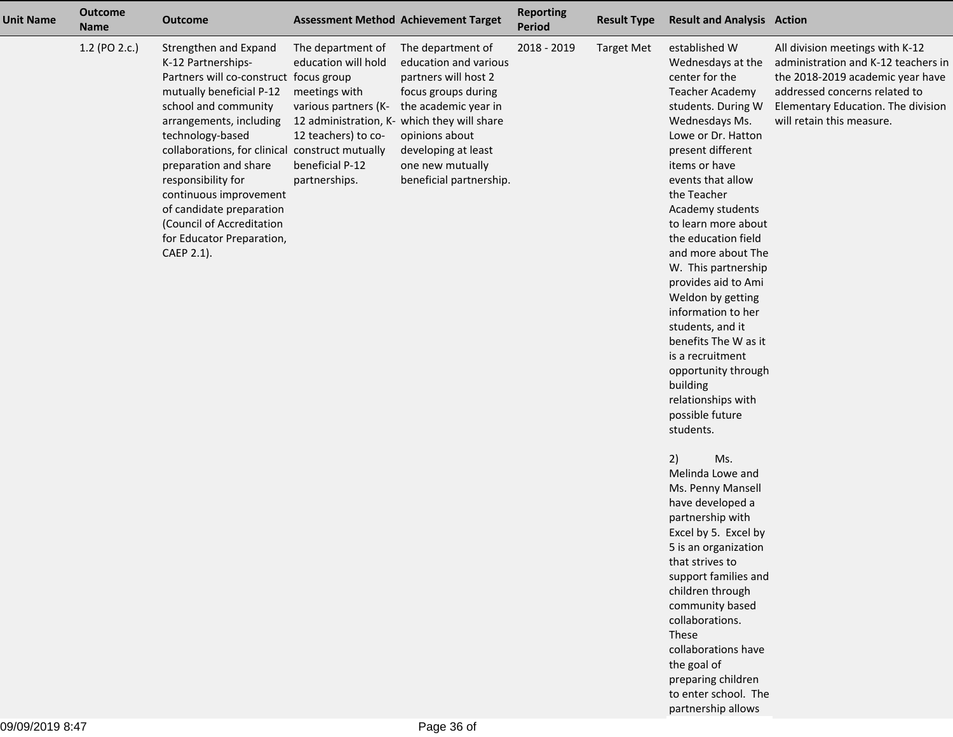| <b>Unit Name</b> | <b>Outcome</b><br><b>Name</b> | <b>Outcome</b>                                                                                                                                                                                                                                                                                                                                                                                                           |                                                                                                                                              | <b>Assessment Method Achievement Target</b>                                                                                                                                                                                                              | <b>Reporting</b><br>Period | <b>Result Type</b> | <b>Result and Analysis Action</b>                                                                                                                                                                                                                                                                                                                                                                                                                                                                                                                                                                                                                                                                                                                                             |                                                                                                                                                                                                                |
|------------------|-------------------------------|--------------------------------------------------------------------------------------------------------------------------------------------------------------------------------------------------------------------------------------------------------------------------------------------------------------------------------------------------------------------------------------------------------------------------|----------------------------------------------------------------------------------------------------------------------------------------------|----------------------------------------------------------------------------------------------------------------------------------------------------------------------------------------------------------------------------------------------------------|----------------------------|--------------------|-------------------------------------------------------------------------------------------------------------------------------------------------------------------------------------------------------------------------------------------------------------------------------------------------------------------------------------------------------------------------------------------------------------------------------------------------------------------------------------------------------------------------------------------------------------------------------------------------------------------------------------------------------------------------------------------------------------------------------------------------------------------------------|----------------------------------------------------------------------------------------------------------------------------------------------------------------------------------------------------------------|
|                  | 1.2 (PO 2.c.)                 | Strengthen and Expand<br>K-12 Partnerships-<br>Partners will co-construct focus group<br>mutually beneficial P-12<br>school and community<br>arrangements, including<br>technology-based<br>collaborations, for clinical construct mutually<br>preparation and share<br>responsibility for<br>continuous improvement<br>of candidate preparation<br>(Council of Accreditation<br>for Educator Preparation,<br>CAEP 2.1). | The department of<br>education will hold<br>meetings with<br>various partners (K-<br>12 teachers) to co-<br>beneficial P-12<br>partnerships. | The department of<br>education and various<br>partners will host 2<br>focus groups during<br>the academic year in<br>12 administration, K- which they will share<br>opinions about<br>developing at least<br>one new mutually<br>beneficial partnership. | 2018 - 2019                | <b>Target Met</b>  | established W<br>Wednesdays at the<br>center for the<br><b>Teacher Academy</b><br>students. During W<br>Wednesdays Ms.<br>Lowe or Dr. Hatton<br>present different<br>items or have<br>events that allow<br>the Teacher<br>Academy students<br>to learn more about<br>the education field<br>and more about The<br>W. This partnership<br>provides aid to Ami<br>Weldon by getting<br>information to her<br>students, and it<br>benefits The W as it<br>is a recruitment<br>opportunity through<br>building<br>relationships with<br>possible future<br>students.<br>2)<br>Ms.<br>Melinda Lowe and<br>Ms. Penny Mansell<br>have developed a<br>partnership with<br>Excel by 5. Excel by<br>5 is an organization<br>that strives to<br>support families and<br>children through | All division meetings with K-12<br>administration and K-12 teachers in<br>the 2018-2019 academic year have<br>addressed concerns related to<br>Elementary Education. The division<br>will retain this measure. |

 community basedcollaborations.

 collaborations have the goal of preparing children to enter school. Thepartnership allows

These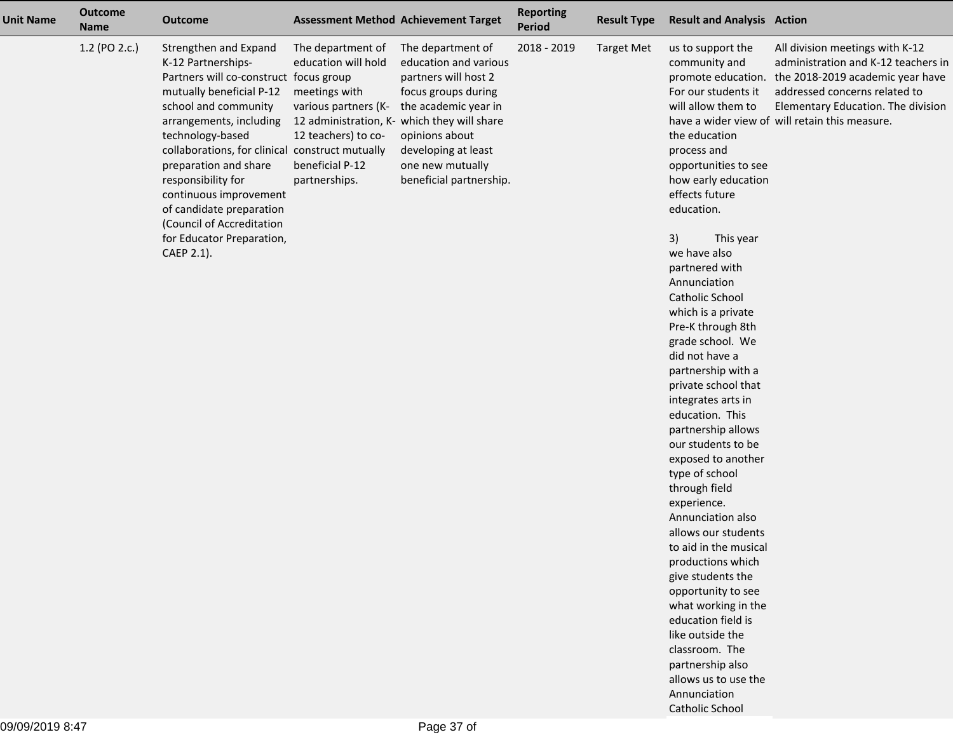| <b>Unit Name</b> | <b>Outcome</b><br><b>Name</b> | <b>Outcome</b>                                                                                                                                                                                                                                                                                                                                                                                                           |                                                                                                                                              | <b>Assessment Method Achievement Target</b>                                                                                                                                                                                                              | <b>Reporting</b><br>Period | <b>Result Type</b> | <b>Result and Analysis Action</b>                                                                                                                                                                                                                                                                                                                     |                                                                                                                                                                                                                                                        |
|------------------|-------------------------------|--------------------------------------------------------------------------------------------------------------------------------------------------------------------------------------------------------------------------------------------------------------------------------------------------------------------------------------------------------------------------------------------------------------------------|----------------------------------------------------------------------------------------------------------------------------------------------|----------------------------------------------------------------------------------------------------------------------------------------------------------------------------------------------------------------------------------------------------------|----------------------------|--------------------|-------------------------------------------------------------------------------------------------------------------------------------------------------------------------------------------------------------------------------------------------------------------------------------------------------------------------------------------------------|--------------------------------------------------------------------------------------------------------------------------------------------------------------------------------------------------------------------------------------------------------|
|                  | 1.2 (PO 2.c.)                 | Strengthen and Expand<br>K-12 Partnerships-<br>Partners will co-construct focus group<br>mutually beneficial P-12<br>school and community<br>arrangements, including<br>technology-based<br>collaborations, for clinical construct mutually<br>preparation and share<br>responsibility for<br>continuous improvement<br>of candidate preparation<br>(Council of Accreditation<br>for Educator Preparation,<br>CAEP 2.1). | The department of<br>education will hold<br>meetings with<br>various partners (K-<br>12 teachers) to co-<br>beneficial P-12<br>partnerships. | The department of<br>education and various<br>partners will host 2<br>focus groups during<br>the academic year in<br>12 administration, K- which they will share<br>opinions about<br>developing at least<br>one new mutually<br>beneficial partnership. | 2018 - 2019                | <b>Target Met</b>  | us to support the<br>community and<br>For our students it<br>will allow them to<br>the education<br>process and<br>opportunities to see<br>how early education<br>effects future<br>education.<br>3)<br>This year<br>we have also<br>partnered with<br>Annunciation<br>Catholic School<br>which is a private<br>Pre-K through 8th<br>grade school. We | All division meetings with K-12<br>administration and K-12 teachers in<br>promote education. the 2018-2019 academic year have<br>addressed concerns related to<br>Elementary Education. The division<br>have a wider view of will retain this measure. |
|                  |                               |                                                                                                                                                                                                                                                                                                                                                                                                                          |                                                                                                                                              |                                                                                                                                                                                                                                                          |                            |                    | did not have a                                                                                                                                                                                                                                                                                                                                        |                                                                                                                                                                                                                                                        |
|                  |                               |                                                                                                                                                                                                                                                                                                                                                                                                                          |                                                                                                                                              |                                                                                                                                                                                                                                                          |                            |                    | partnership with a<br>private school that                                                                                                                                                                                                                                                                                                             |                                                                                                                                                                                                                                                        |
|                  |                               |                                                                                                                                                                                                                                                                                                                                                                                                                          |                                                                                                                                              |                                                                                                                                                                                                                                                          |                            |                    | integrates arts in                                                                                                                                                                                                                                                                                                                                    |                                                                                                                                                                                                                                                        |
|                  |                               |                                                                                                                                                                                                                                                                                                                                                                                                                          |                                                                                                                                              |                                                                                                                                                                                                                                                          |                            |                    | education. This                                                                                                                                                                                                                                                                                                                                       |                                                                                                                                                                                                                                                        |
|                  |                               |                                                                                                                                                                                                                                                                                                                                                                                                                          |                                                                                                                                              |                                                                                                                                                                                                                                                          |                            |                    | partnership allows                                                                                                                                                                                                                                                                                                                                    |                                                                                                                                                                                                                                                        |
|                  |                               |                                                                                                                                                                                                                                                                                                                                                                                                                          |                                                                                                                                              |                                                                                                                                                                                                                                                          |                            |                    | our students to be<br>exposed to another                                                                                                                                                                                                                                                                                                              |                                                                                                                                                                                                                                                        |
|                  |                               |                                                                                                                                                                                                                                                                                                                                                                                                                          |                                                                                                                                              |                                                                                                                                                                                                                                                          |                            |                    | type of school                                                                                                                                                                                                                                                                                                                                        |                                                                                                                                                                                                                                                        |
|                  |                               |                                                                                                                                                                                                                                                                                                                                                                                                                          |                                                                                                                                              |                                                                                                                                                                                                                                                          |                            |                    | through field                                                                                                                                                                                                                                                                                                                                         |                                                                                                                                                                                                                                                        |
|                  |                               |                                                                                                                                                                                                                                                                                                                                                                                                                          |                                                                                                                                              |                                                                                                                                                                                                                                                          |                            |                    | experience.                                                                                                                                                                                                                                                                                                                                           |                                                                                                                                                                                                                                                        |
|                  |                               |                                                                                                                                                                                                                                                                                                                                                                                                                          |                                                                                                                                              |                                                                                                                                                                                                                                                          |                            |                    | Annunciation also                                                                                                                                                                                                                                                                                                                                     |                                                                                                                                                                                                                                                        |
|                  |                               |                                                                                                                                                                                                                                                                                                                                                                                                                          |                                                                                                                                              |                                                                                                                                                                                                                                                          |                            |                    | allows our students                                                                                                                                                                                                                                                                                                                                   |                                                                                                                                                                                                                                                        |
|                  |                               |                                                                                                                                                                                                                                                                                                                                                                                                                          |                                                                                                                                              |                                                                                                                                                                                                                                                          |                            |                    | to aid in the musical                                                                                                                                                                                                                                                                                                                                 |                                                                                                                                                                                                                                                        |
|                  |                               |                                                                                                                                                                                                                                                                                                                                                                                                                          |                                                                                                                                              |                                                                                                                                                                                                                                                          |                            |                    | productions which                                                                                                                                                                                                                                                                                                                                     |                                                                                                                                                                                                                                                        |
|                  |                               |                                                                                                                                                                                                                                                                                                                                                                                                                          |                                                                                                                                              |                                                                                                                                                                                                                                                          |                            |                    | give students the                                                                                                                                                                                                                                                                                                                                     |                                                                                                                                                                                                                                                        |
|                  |                               |                                                                                                                                                                                                                                                                                                                                                                                                                          |                                                                                                                                              |                                                                                                                                                                                                                                                          |                            |                    | opportunity to see                                                                                                                                                                                                                                                                                                                                    |                                                                                                                                                                                                                                                        |
|                  |                               |                                                                                                                                                                                                                                                                                                                                                                                                                          |                                                                                                                                              |                                                                                                                                                                                                                                                          |                            |                    | what working in the                                                                                                                                                                                                                                                                                                                                   |                                                                                                                                                                                                                                                        |
|                  |                               |                                                                                                                                                                                                                                                                                                                                                                                                                          |                                                                                                                                              |                                                                                                                                                                                                                                                          |                            |                    | education field is                                                                                                                                                                                                                                                                                                                                    |                                                                                                                                                                                                                                                        |
|                  |                               |                                                                                                                                                                                                                                                                                                                                                                                                                          |                                                                                                                                              |                                                                                                                                                                                                                                                          |                            |                    | like outside the                                                                                                                                                                                                                                                                                                                                      |                                                                                                                                                                                                                                                        |
|                  |                               |                                                                                                                                                                                                                                                                                                                                                                                                                          |                                                                                                                                              |                                                                                                                                                                                                                                                          |                            |                    | classroom. The<br>partnership also                                                                                                                                                                                                                                                                                                                    |                                                                                                                                                                                                                                                        |
|                  |                               |                                                                                                                                                                                                                                                                                                                                                                                                                          |                                                                                                                                              |                                                                                                                                                                                                                                                          |                            |                    | allows us to use the                                                                                                                                                                                                                                                                                                                                  |                                                                                                                                                                                                                                                        |
|                  |                               |                                                                                                                                                                                                                                                                                                                                                                                                                          |                                                                                                                                              |                                                                                                                                                                                                                                                          |                            |                    | Annunciation                                                                                                                                                                                                                                                                                                                                          |                                                                                                                                                                                                                                                        |

Catholic School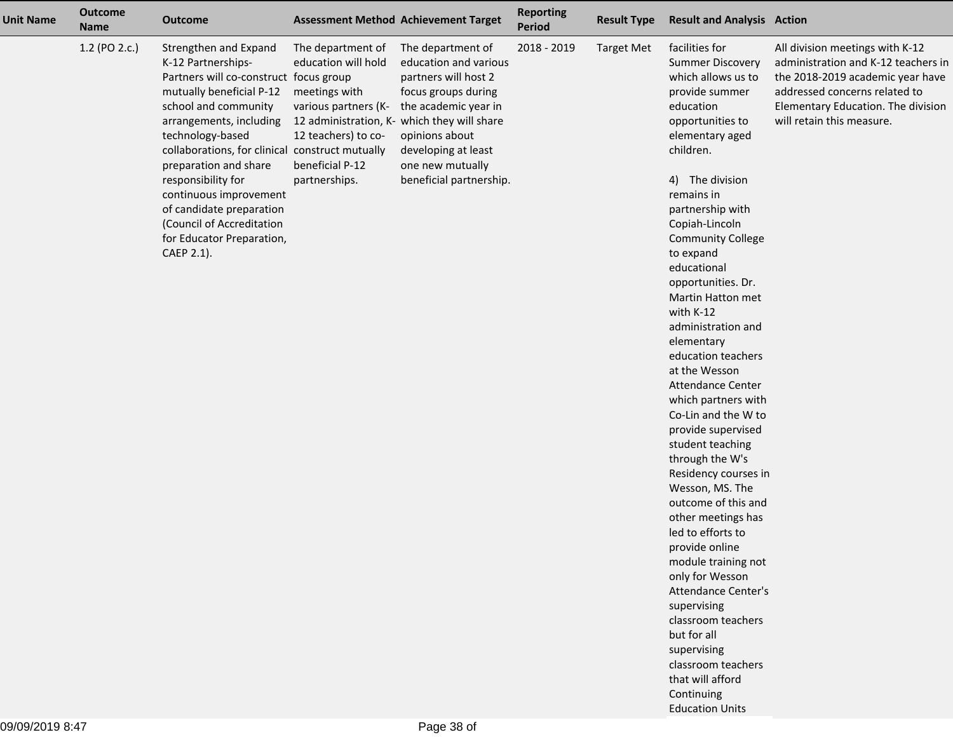| <b>Unit Name</b> | <b>Outcome</b><br><b>Name</b> | <b>Outcome</b>                                                                                                                                                                                                                                                                                                                                                                                                           |                                                                                                                                              | <b>Assessment Method Achievement Target</b>                                                                                                                                                                                                              | <b>Reporting</b><br>Period | <b>Result Type</b> | <b>Result and Analysis Action</b>                                                                                                                                                                                                                                                                                                                                                                                                                                                                                                                                                                                                                                                                                                                                                                                                                                                      |                                                                                                                                                                                                                |
|------------------|-------------------------------|--------------------------------------------------------------------------------------------------------------------------------------------------------------------------------------------------------------------------------------------------------------------------------------------------------------------------------------------------------------------------------------------------------------------------|----------------------------------------------------------------------------------------------------------------------------------------------|----------------------------------------------------------------------------------------------------------------------------------------------------------------------------------------------------------------------------------------------------------|----------------------------|--------------------|----------------------------------------------------------------------------------------------------------------------------------------------------------------------------------------------------------------------------------------------------------------------------------------------------------------------------------------------------------------------------------------------------------------------------------------------------------------------------------------------------------------------------------------------------------------------------------------------------------------------------------------------------------------------------------------------------------------------------------------------------------------------------------------------------------------------------------------------------------------------------------------|----------------------------------------------------------------------------------------------------------------------------------------------------------------------------------------------------------------|
|                  | 1.2 (PO 2.c.)                 | Strengthen and Expand<br>K-12 Partnerships-<br>Partners will co-construct focus group<br>mutually beneficial P-12<br>school and community<br>arrangements, including<br>technology-based<br>collaborations, for clinical construct mutually<br>preparation and share<br>responsibility for<br>continuous improvement<br>of candidate preparation<br>(Council of Accreditation<br>for Educator Preparation,<br>CAEP 2.1). | The department of<br>education will hold<br>meetings with<br>various partners (K-<br>12 teachers) to co-<br>beneficial P-12<br>partnerships. | The department of<br>education and various<br>partners will host 2<br>focus groups during<br>the academic year in<br>12 administration, K- which they will share<br>opinions about<br>developing at least<br>one new mutually<br>beneficial partnership. | 2018 - 2019                | <b>Target Met</b>  | facilities for<br><b>Summer Discovery</b><br>which allows us to<br>provide summer<br>education<br>opportunities to<br>elementary aged<br>children.<br>4) The division<br>remains in<br>partnership with<br>Copiah-Lincoln<br><b>Community College</b><br>to expand<br>educational<br>opportunities. Dr.<br>Martin Hatton met<br>with K-12<br>administration and<br>elementary<br>education teachers<br>at the Wesson<br>Attendance Center<br>which partners with<br>Co-Lin and the W to<br>provide supervised<br>student teaching<br>through the W's<br>Residency courses in<br>Wesson, MS. The<br>outcome of this and<br>other meetings has<br>led to efforts to<br>provide online<br>module training not<br>only for Wesson<br><b>Attendance Center's</b><br>supervising<br>classroom teachers<br>but for all<br>supervising<br>classroom teachers<br>that will afford<br>Continuing | All division meetings with K-12<br>administration and K-12 teachers in<br>the 2018-2019 academic year have<br>addressed concerns related to<br>Elementary Education. The division<br>will retain this measure. |

Education Units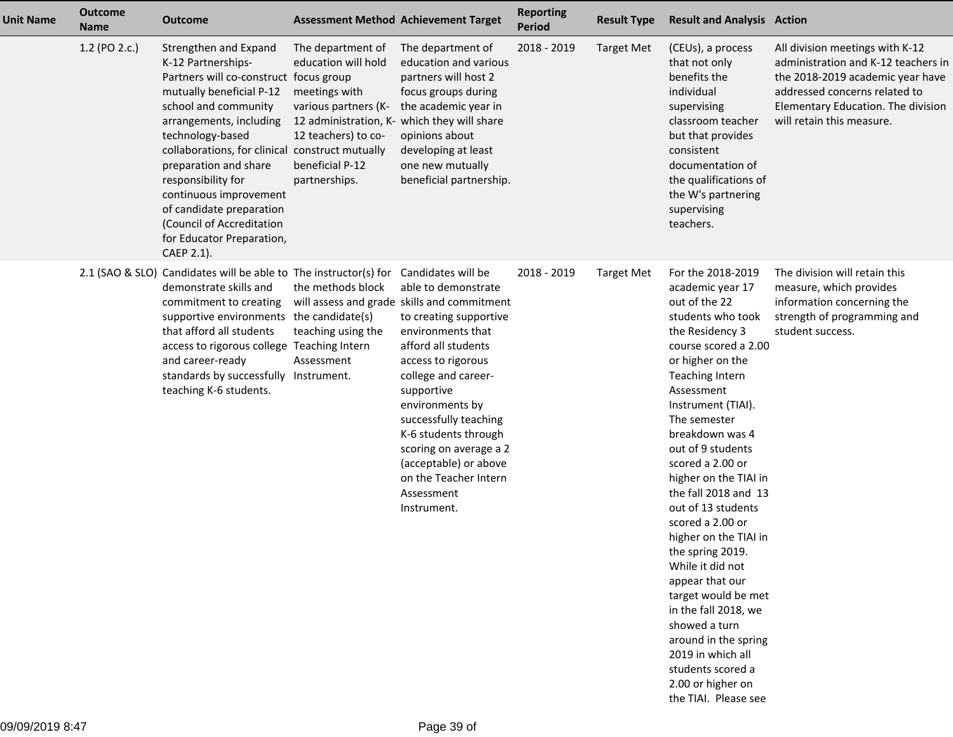| <b>Unit Name</b> | <b>Outcome</b><br><b>Name</b> | <b>Outcome</b>                                                                                                                                                                                                                                                                                                                                                                                                           |                                                                                                                                                                                             | <b>Assessment Method Achievement Target</b>                                                                                                                                                                                                                                                                                                                                                            | <b>Reporting</b><br><b>Period</b> | <b>Result Type</b> | <b>Result and Analysis Action</b>                                                                                                                                                                                                                                                                                                                                                                                                                                                                                                                                                                                                           |                                                                                                                                                                                                                |
|------------------|-------------------------------|--------------------------------------------------------------------------------------------------------------------------------------------------------------------------------------------------------------------------------------------------------------------------------------------------------------------------------------------------------------------------------------------------------------------------|---------------------------------------------------------------------------------------------------------------------------------------------------------------------------------------------|--------------------------------------------------------------------------------------------------------------------------------------------------------------------------------------------------------------------------------------------------------------------------------------------------------------------------------------------------------------------------------------------------------|-----------------------------------|--------------------|---------------------------------------------------------------------------------------------------------------------------------------------------------------------------------------------------------------------------------------------------------------------------------------------------------------------------------------------------------------------------------------------------------------------------------------------------------------------------------------------------------------------------------------------------------------------------------------------------------------------------------------------|----------------------------------------------------------------------------------------------------------------------------------------------------------------------------------------------------------------|
|                  | 1.2 (PO 2.c.)                 | Strengthen and Expand<br>K-12 Partnerships-<br>Partners will co-construct focus group<br>mutually beneficial P-12<br>school and community<br>arrangements, including<br>technology-based<br>collaborations, for clinical construct mutually<br>preparation and share<br>responsibility for<br>continuous improvement<br>of candidate preparation<br>(Council of Accreditation<br>for Educator Preparation,<br>CAEP 2.1). | The department of<br>education will hold<br>meetings with<br>various partners (K-<br>12 administration, K- which they will share<br>12 teachers) to co-<br>beneficial P-12<br>partnerships. | The department of<br>education and various<br>partners will host 2<br>focus groups during<br>the academic year in<br>opinions about<br>developing at least<br>one new mutually<br>beneficial partnership.                                                                                                                                                                                              | 2018 - 2019                       | <b>Target Met</b>  | (CEUs), a process<br>that not only<br>benefits the<br>individual<br>supervising<br>classroom teacher<br>but that provides<br>consistent<br>documentation of<br>the qualifications of<br>the W's partnering<br>supervising<br>teachers.                                                                                                                                                                                                                                                                                                                                                                                                      | All division meetings with K-12<br>administration and K-12 teachers in<br>the 2018-2019 academic year have<br>addressed concerns related to<br>Elementary Education. The division<br>will retain this measure. |
|                  |                               | 2.1 (SAO & SLO) Candidates will be able to The instructor(s) for<br>demonstrate skills and<br>commitment to creating<br>supportive environments the candidate(s)<br>that afford all students<br>access to rigorous college Teaching Intern<br>and career-ready<br>standards by successfully Instrument.<br>teaching K-6 students.                                                                                        | the methods block<br>teaching using the<br>Assessment                                                                                                                                       | Candidates will be<br>able to demonstrate<br>will assess and grade skills and commitment<br>to creating supportive<br>environments that<br>afford all students<br>access to rigorous<br>college and career-<br>supportive<br>environments by<br>successfully teaching<br>K-6 students through<br>scoring on average a 2<br>(acceptable) or above<br>on the Teacher Intern<br>Assessment<br>Instrument. | 2018 - 2019                       | <b>Target Met</b>  | For the 2018-2019<br>academic year 17<br>out of the 22<br>students who took<br>the Residency 3<br>course scored a 2.00<br>or higher on the<br>Teaching Intern<br>Assessment<br>Instrument (TIAI).<br>The semester<br>breakdown was 4<br>out of 9 students<br>scored a 2.00 or<br>higher on the TIAI in<br>the fall 2018 and 13<br>out of 13 students<br>scored a 2.00 or<br>higher on the TIAI in<br>the spring 2019.<br>While it did not<br>appear that our<br>target would be met<br>in the fall 2018, we<br>showed a turn<br>around in the spring<br>2019 in which all<br>students scored a<br>2.00 or higher on<br>the TIAI. Please see | The division will retain this<br>measure, which provides<br>information concerning the<br>strength of programming and<br>student success.                                                                      |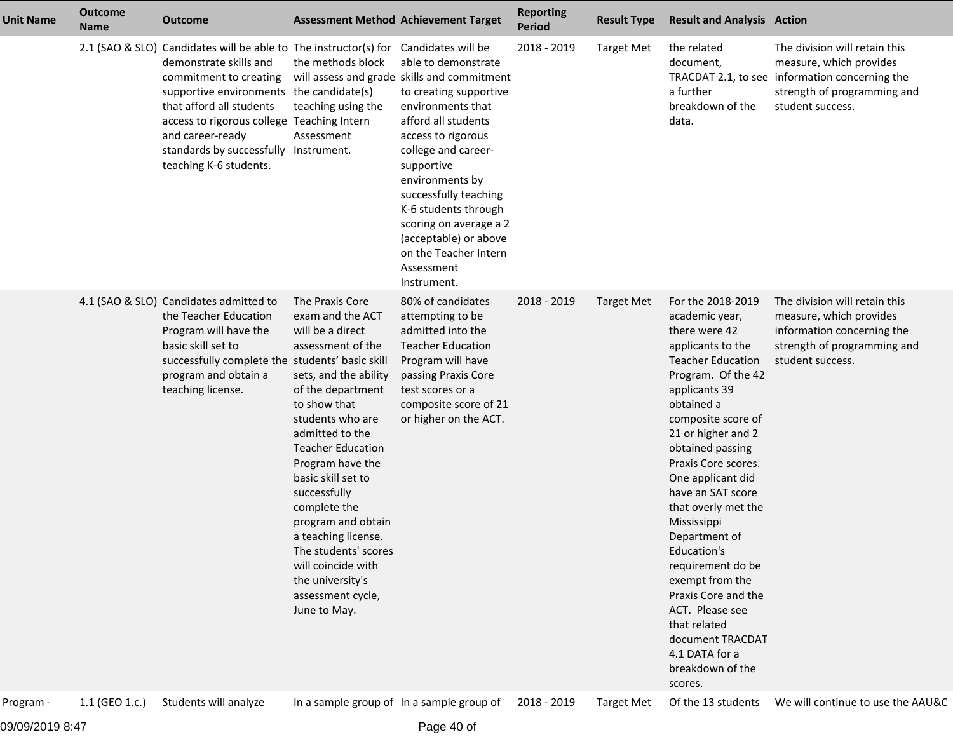| <b>Unit Name</b> | <b>Outcome</b><br><b>Name</b> | <b>Outcome</b>                                                                                                                                                                                                                                                                                                                    |                                                                                                                                                                                                                                                                                                                                                                                                                                             | <b>Assessment Method Achievement Target</b>                                                                                                                                                                                                                                                                                                                                                            | <b>Reporting</b><br><b>Period</b> | <b>Result Type</b> | <b>Result and Analysis Action</b>                                                                                                                                                                                                                                                                                                                                                                                                                                                                                                        |                                                                                                                                                               |
|------------------|-------------------------------|-----------------------------------------------------------------------------------------------------------------------------------------------------------------------------------------------------------------------------------------------------------------------------------------------------------------------------------|---------------------------------------------------------------------------------------------------------------------------------------------------------------------------------------------------------------------------------------------------------------------------------------------------------------------------------------------------------------------------------------------------------------------------------------------|--------------------------------------------------------------------------------------------------------------------------------------------------------------------------------------------------------------------------------------------------------------------------------------------------------------------------------------------------------------------------------------------------------|-----------------------------------|--------------------|------------------------------------------------------------------------------------------------------------------------------------------------------------------------------------------------------------------------------------------------------------------------------------------------------------------------------------------------------------------------------------------------------------------------------------------------------------------------------------------------------------------------------------------|---------------------------------------------------------------------------------------------------------------------------------------------------------------|
|                  |                               | 2.1 (SAO & SLO) Candidates will be able to The instructor(s) for<br>demonstrate skills and<br>commitment to creating<br>supportive environments the candidate(s)<br>that afford all students<br>access to rigorous college Teaching Intern<br>and career-ready<br>standards by successfully Instrument.<br>teaching K-6 students. | the methods block<br>teaching using the<br>Assessment                                                                                                                                                                                                                                                                                                                                                                                       | Candidates will be<br>able to demonstrate<br>will assess and grade skills and commitment<br>to creating supportive<br>environments that<br>afford all students<br>access to rigorous<br>college and career-<br>supportive<br>environments by<br>successfully teaching<br>K-6 students through<br>scoring on average a 2<br>(acceptable) or above<br>on the Teacher Intern<br>Assessment<br>Instrument. | 2018 - 2019                       | <b>Target Met</b>  | the related<br>document,<br>a further<br>breakdown of the<br>data.                                                                                                                                                                                                                                                                                                                                                                                                                                                                       | The division will retain this<br>measure, which provides<br>TRACDAT 2.1, to see information concerning the<br>strength of programming and<br>student success. |
|                  |                               | 4.1 (SAO & SLO) Candidates admitted to<br>the Teacher Education<br>Program will have the<br>basic skill set to<br>successfully complete the students' basic skill<br>program and obtain a<br>teaching license.                                                                                                                    | The Praxis Core<br>exam and the ACT<br>will be a direct<br>assessment of the<br>sets, and the ability<br>of the department<br>to show that<br>students who are<br>admitted to the<br><b>Teacher Education</b><br>Program have the<br>basic skill set to<br>successfully<br>complete the<br>program and obtain<br>a teaching license.<br>The students' scores<br>will coincide with<br>the university's<br>assessment cycle,<br>June to May. | 80% of candidates<br>attempting to be<br>admitted into the<br><b>Teacher Education</b><br>Program will have<br>passing Praxis Core<br>test scores or a<br>composite score of 21<br>or higher on the ACT.                                                                                                                                                                                               | 2018 - 2019                       | <b>Target Met</b>  | For the 2018-2019<br>academic year,<br>there were 42<br>applicants to the<br><b>Teacher Education</b><br>Program. Of the 42<br>applicants 39<br>obtained a<br>composite score of<br>21 or higher and 2<br>obtained passing<br>Praxis Core scores.<br>One applicant did<br>have an SAT score<br>that overly met the<br>Mississippi<br>Department of<br>Education's<br>requirement do be<br>exempt from the<br>Praxis Core and the<br>ACT. Please see<br>that related<br>document TRACDAT<br>4.1 DATA for a<br>breakdown of the<br>scores. | The division will retain this<br>measure, which provides<br>information concerning the<br>strength of programming and<br>student success.                     |
| Program -        | 1.1 (GEO 1.c.)                | Students will analyze                                                                                                                                                                                                                                                                                                             |                                                                                                                                                                                                                                                                                                                                                                                                                                             | In a sample group of In a sample group of                                                                                                                                                                                                                                                                                                                                                              | 2018 - 2019                       | <b>Target Met</b>  | Of the 13 students                                                                                                                                                                                                                                                                                                                                                                                                                                                                                                                       | We will continue to use the AAU&C                                                                                                                             |

09/09/2019 8:47

Page 40 of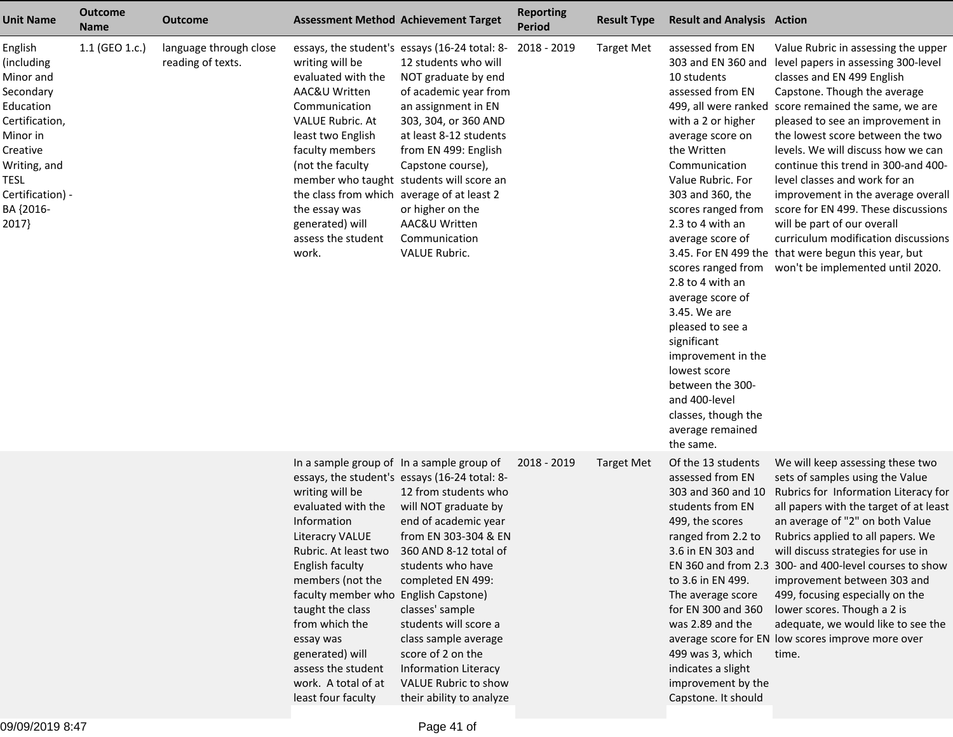| <b>Unit Name</b>                                                                                                                                                         | <b>Outcome</b><br><b>Name</b> | <b>Outcome</b>                              | <b>Assessment Method Achievement Target</b>                                                                                                                                                                                                                                                                                                                                 |                                                                                                                                                                                                                                                                                                                                                                                              | <b>Reporting</b><br><b>Period</b> | <b>Result Type</b> | <b>Result and Analysis Action</b>                                                                                                                                                                                                                                                                                                                                                                                                                                                        |                                                                                                                                                                                                                                                                                                                                                                                                                                                                                                                                                                                                                                                         |
|--------------------------------------------------------------------------------------------------------------------------------------------------------------------------|-------------------------------|---------------------------------------------|-----------------------------------------------------------------------------------------------------------------------------------------------------------------------------------------------------------------------------------------------------------------------------------------------------------------------------------------------------------------------------|----------------------------------------------------------------------------------------------------------------------------------------------------------------------------------------------------------------------------------------------------------------------------------------------------------------------------------------------------------------------------------------------|-----------------------------------|--------------------|------------------------------------------------------------------------------------------------------------------------------------------------------------------------------------------------------------------------------------------------------------------------------------------------------------------------------------------------------------------------------------------------------------------------------------------------------------------------------------------|---------------------------------------------------------------------------------------------------------------------------------------------------------------------------------------------------------------------------------------------------------------------------------------------------------------------------------------------------------------------------------------------------------------------------------------------------------------------------------------------------------------------------------------------------------------------------------------------------------------------------------------------------------|
| English<br>(including<br>Minor and<br>Secondary<br>Education<br>Certification,<br>Minor in<br>Creative<br>Writing, and<br>TESL<br>Certification) -<br>BA {2016-<br>2017} | 1.1 (GEO 1.c.)                | language through close<br>reading of texts. | writing will be<br>evaluated with the<br>AAC&U Written<br>Communication<br><b>VALUE Rubric. At</b><br>least two English<br>faculty members<br>(not the faculty<br>the class from which average of at least 2<br>the essay was<br>generated) will<br>assess the student<br>work.                                                                                             | essays, the student's essays (16-24 total: 8-<br>12 students who will<br>NOT graduate by end<br>of academic year from<br>an assignment in EN<br>303, 304, or 360 AND<br>at least 8-12 students<br>from EN 499: English<br>Capstone course),<br>member who taught students will score an<br>or higher on the<br>AAC&U Written<br>Communication<br><b>VALUE Rubric.</b>                        | 2018 - 2019                       | <b>Target Met</b>  | assessed from EN<br>10 students<br>assessed from EN<br>with a 2 or higher<br>average score on<br>the Written<br>Communication<br>Value Rubric. For<br>303 and 360, the<br>scores ranged from<br>2.3 to 4 with an<br>average score of<br>scores ranged from<br>2.8 to 4 with an<br>average score of<br>3.45. We are<br>pleased to see a<br>significant<br>improvement in the<br>lowest score<br>between the 300-<br>and 400-level<br>classes, though the<br>average remained<br>the same. | Value Rubric in assessing the upper<br>303 and EN 360 and level papers in assessing 300-level<br>classes and EN 499 English<br>Capstone. Though the average<br>499, all were ranked score remained the same, we are<br>pleased to see an improvement in<br>the lowest score between the two<br>levels. We will discuss how we can<br>continue this trend in 300-and 400-<br>level classes and work for an<br>improvement in the average overall<br>score for EN 499. These discussions<br>will be part of our overall<br>curriculum modification discussions<br>3.45. For EN 499 the that were begun this year, but<br>won't be implemented until 2020. |
|                                                                                                                                                                          |                               |                                             | In a sample group of In a sample group of<br>writing will be<br>evaluated with the<br>Information<br><b>Literacry VALUE</b><br>Rubric. At least two<br>English faculty<br>members (not the<br>faculty member who English Capstone)<br>taught the class<br>from which the<br>essay was<br>generated) will<br>assess the student<br>work. A total of at<br>least four faculty | essays, the student's essays (16-24 total: 8-<br>12 from students who<br>will NOT graduate by<br>end of academic year<br>from EN 303-304 & EN<br>360 AND 8-12 total of<br>students who have<br>completed EN 499:<br>classes' sample<br>students will score a<br>class sample average<br>score of 2 on the<br><b>Information Literacy</b><br>VALUE Rubric to show<br>their ability to analyze | 2018 - 2019                       | <b>Target Met</b>  | Of the 13 students<br>assessed from EN<br>303 and 360 and 10<br>students from EN<br>499, the scores<br>ranged from 2.2 to<br>3.6 in EN 303 and<br>EN 360 and from 2.3<br>to 3.6 in EN 499.<br>The average score<br>for EN 300 and 360<br>was 2.89 and the<br>499 was 3, which<br>indicates a slight<br>improvement by the<br>Capstone. It should                                                                                                                                         | We will keep assessing these two<br>sets of samples using the Value<br>Rubrics for Information Literacy for<br>all papers with the target of at least<br>an average of "2" on both Value<br>Rubrics applied to all papers. We<br>will discuss strategies for use in<br>300- and 400-level courses to show<br>improvement between 303 and<br>499, focusing especially on the<br>lower scores. Though a 2 is<br>adequate, we would like to see the<br>average score for EN low scores improve more over<br>time.                                                                                                                                          |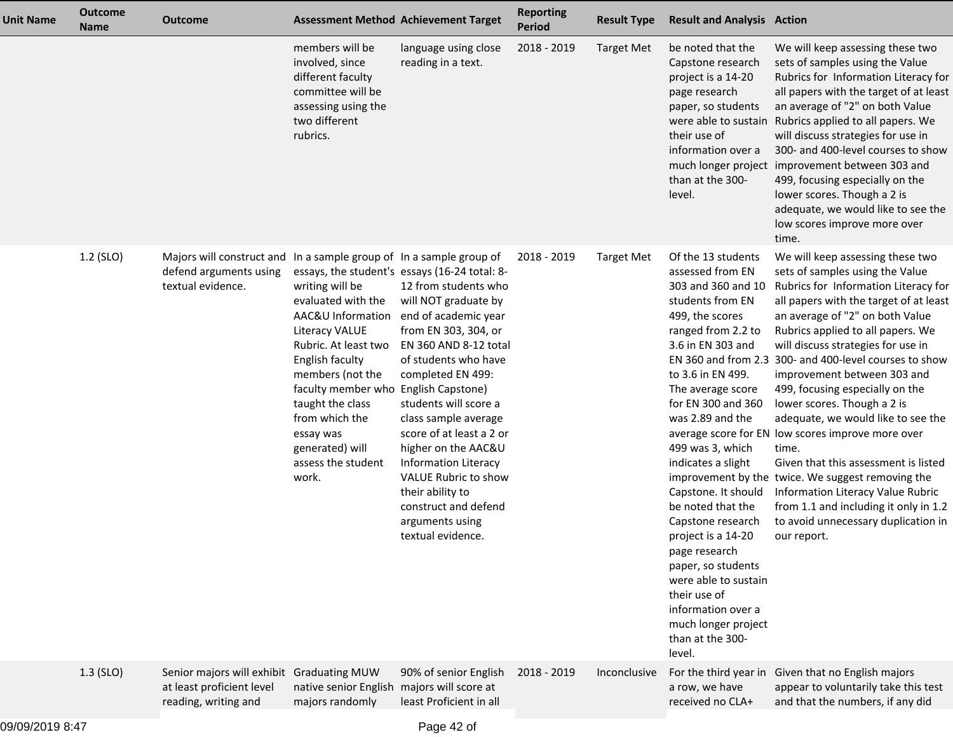| <b>Unit Name</b> | <b>Outcome</b><br><b>Name</b> | <b>Outcome</b>                                                                                 | <b>Assessment Method Achievement Target</b>                                                                                                                                                                                                                                                                             |                                                                                                                                                                                                                                                                                                                                                                                                                                                                                      | <b>Reporting</b><br><b>Period</b> | <b>Result Type</b> | <b>Result and Analysis Action</b>                                                                                                                                                                                                                                                                                                                                                                                                                                                                                             |                                                                                                                                                                                                                                                                                                                                                                                                                                                                                                                                                                                                                                                                                                                                                                     |
|------------------|-------------------------------|------------------------------------------------------------------------------------------------|-------------------------------------------------------------------------------------------------------------------------------------------------------------------------------------------------------------------------------------------------------------------------------------------------------------------------|--------------------------------------------------------------------------------------------------------------------------------------------------------------------------------------------------------------------------------------------------------------------------------------------------------------------------------------------------------------------------------------------------------------------------------------------------------------------------------------|-----------------------------------|--------------------|-------------------------------------------------------------------------------------------------------------------------------------------------------------------------------------------------------------------------------------------------------------------------------------------------------------------------------------------------------------------------------------------------------------------------------------------------------------------------------------------------------------------------------|---------------------------------------------------------------------------------------------------------------------------------------------------------------------------------------------------------------------------------------------------------------------------------------------------------------------------------------------------------------------------------------------------------------------------------------------------------------------------------------------------------------------------------------------------------------------------------------------------------------------------------------------------------------------------------------------------------------------------------------------------------------------|
|                  |                               |                                                                                                | members will be<br>involved, since<br>different faculty<br>committee will be<br>assessing using the<br>two different<br>rubrics.                                                                                                                                                                                        | language using close<br>reading in a text.                                                                                                                                                                                                                                                                                                                                                                                                                                           | 2018 - 2019                       | <b>Target Met</b>  | be noted that the<br>Capstone research<br>project is a 14-20<br>page research<br>paper, so students<br>were able to sustain<br>their use of<br>information over a<br>than at the 300-<br>level.                                                                                                                                                                                                                                                                                                                               | We will keep assessing these two<br>sets of samples using the Value<br>Rubrics for Information Literacy for<br>all papers with the target of at least<br>an average of "2" on both Value<br>Rubrics applied to all papers. We<br>will discuss strategies for use in<br>300- and 400-level courses to show<br>much longer project improvement between 303 and<br>499, focusing especially on the<br>lower scores. Though a 2 is<br>adequate, we would like to see the<br>low scores improve more over<br>time.                                                                                                                                                                                                                                                       |
|                  | 1.2 (SLO)                     | Majors will construct and<br>defend arguments using<br>textual evidence.                       | In a sample group of In a sample group of<br>writing will be<br>evaluated with the<br><b>Literacy VALUE</b><br>Rubric. At least two<br>English faculty<br>members (not the<br>faculty member who English Capstone)<br>taught the class<br>from which the<br>essay was<br>generated) will<br>assess the student<br>work. | essays, the student's essays (16-24 total: 8-<br>12 from students who<br>will NOT graduate by<br>AAC&U Information end of academic year<br>from EN 303, 304, or<br>EN 360 AND 8-12 total<br>of students who have<br>completed EN 499:<br>students will score a<br>class sample average<br>score of at least a 2 or<br>higher on the AAC&U<br><b>Information Literacy</b><br>VALUE Rubric to show<br>their ability to<br>construct and defend<br>arguments using<br>textual evidence. | 2018 - 2019                       | <b>Target Met</b>  | Of the 13 students<br>assessed from EN<br>303 and 360 and 10<br>students from EN<br>499, the scores<br>ranged from 2.2 to<br>3.6 in EN 303 and<br>to 3.6 in EN 499.<br>The average score<br>for EN 300 and 360<br>was 2.89 and the<br>499 was 3, which<br>indicates a slight<br>Capstone. It should<br>be noted that the<br>Capstone research<br>project is a 14-20<br>page research<br>paper, so students<br>were able to sustain<br>their use of<br>information over a<br>much longer project<br>than at the 300-<br>level. | We will keep assessing these two<br>sets of samples using the Value<br>Rubrics for Information Literacy for<br>all papers with the target of at least<br>an average of "2" on both Value<br>Rubrics applied to all papers. We<br>will discuss strategies for use in<br>EN 360 and from 2.3 300- and 400-level courses to show<br>improvement between 303 and<br>499, focusing especially on the<br>lower scores. Though a 2 is<br>adequate, we would like to see the<br>average score for EN low scores improve more over<br>time.<br>Given that this assessment is listed<br>improvement by the twice. We suggest removing the<br>Information Literacy Value Rubric<br>from 1.1 and including it only in 1.2<br>to avoid unnecessary duplication in<br>our report. |
|                  | $1.3$ (SLO)                   | Senior majors will exhibit Graduating MUW<br>at least proficient level<br>reading, writing and | native senior English majors will score at<br>majors randomly                                                                                                                                                                                                                                                           | 90% of senior English<br>least Proficient in all                                                                                                                                                                                                                                                                                                                                                                                                                                     | 2018 - 2019                       | Inconclusive       | For the third year in<br>a row, we have<br>received no CLA+                                                                                                                                                                                                                                                                                                                                                                                                                                                                   | Given that no English majors<br>appear to voluntarily take this test<br>and that the numbers, if any did                                                                                                                                                                                                                                                                                                                                                                                                                                                                                                                                                                                                                                                            |
|                  |                               |                                                                                                |                                                                                                                                                                                                                                                                                                                         |                                                                                                                                                                                                                                                                                                                                                                                                                                                                                      |                                   |                    |                                                                                                                                                                                                                                                                                                                                                                                                                                                                                                                               |                                                                                                                                                                                                                                                                                                                                                                                                                                                                                                                                                                                                                                                                                                                                                                     |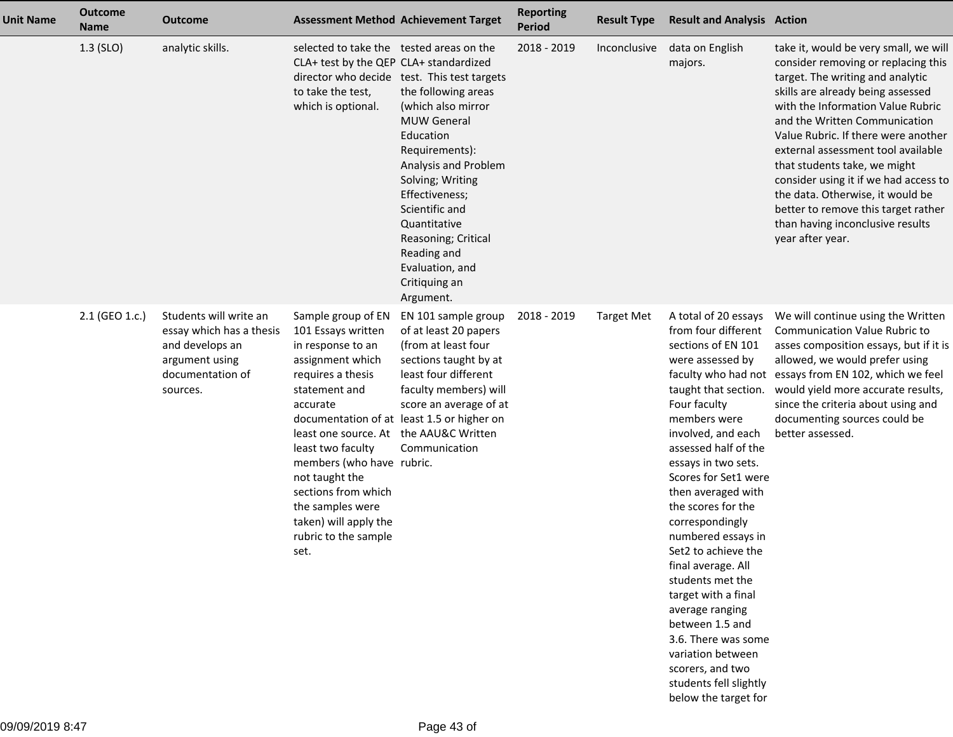| <b>Unit Name</b> | <b>Outcome</b><br><b>Name</b> | <b>Outcome</b>                                                                                                          |                                                                                                                                                                                                                                                                                                                                                       | <b>Assessment Method Achievement Target</b>                                                                                                                                                                                                                                                                                          | <b>Reporting</b><br><b>Period</b> | <b>Result Type</b> | <b>Result and Analysis Action</b>                                                                                                                                                                                                                                                                                                                                                                                                                                                                                                                                               |                                                                                                                                                                                                                                                                                                                                                                                                                                                                                                                      |
|------------------|-------------------------------|-------------------------------------------------------------------------------------------------------------------------|-------------------------------------------------------------------------------------------------------------------------------------------------------------------------------------------------------------------------------------------------------------------------------------------------------------------------------------------------------|--------------------------------------------------------------------------------------------------------------------------------------------------------------------------------------------------------------------------------------------------------------------------------------------------------------------------------------|-----------------------------------|--------------------|---------------------------------------------------------------------------------------------------------------------------------------------------------------------------------------------------------------------------------------------------------------------------------------------------------------------------------------------------------------------------------------------------------------------------------------------------------------------------------------------------------------------------------------------------------------------------------|----------------------------------------------------------------------------------------------------------------------------------------------------------------------------------------------------------------------------------------------------------------------------------------------------------------------------------------------------------------------------------------------------------------------------------------------------------------------------------------------------------------------|
|                  | 1.3 (SLO)                     | analytic skills.                                                                                                        | selected to take the tested areas on the<br>CLA+ test by the QEP CLA+ standardized<br>to take the test,<br>which is optional.                                                                                                                                                                                                                         | director who decide test. This test targets<br>the following areas<br>(which also mirror<br><b>MUW General</b><br>Education<br>Requirements):<br>Analysis and Problem<br>Solving; Writing<br>Effectiveness;<br>Scientific and<br>Quantitative<br>Reasoning; Critical<br>Reading and<br>Evaluation, and<br>Critiquing an<br>Argument. | 2018 - 2019                       | Inconclusive       | data on English<br>majors.                                                                                                                                                                                                                                                                                                                                                                                                                                                                                                                                                      | take it, would be very small, we will<br>consider removing or replacing this<br>target. The writing and analytic<br>skills are already being assessed<br>with the Information Value Rubric<br>and the Written Communication<br>Value Rubric. If there were another<br>external assessment tool available<br>that students take, we might<br>consider using it if we had access to<br>the data. Otherwise, it would be<br>better to remove this target rather<br>than having inconclusive results<br>year after year. |
|                  | 2.1 (GEO 1.c.)                | Students will write an<br>essay which has a thesis<br>and develops an<br>argument using<br>documentation of<br>sources. | Sample group of EN<br>101 Essays written<br>in response to an<br>assignment which<br>requires a thesis<br>statement and<br>accurate<br>least one source. At the AAU&C Written<br>least two faculty<br>members (who have rubric.<br>not taught the<br>sections from which<br>the samples were<br>taken) will apply the<br>rubric to the sample<br>set. | EN 101 sample group<br>of at least 20 papers<br>(from at least four<br>sections taught by at<br>least four different<br>faculty members) will<br>score an average of at<br>documentation of at least 1.5 or higher on<br>Communication                                                                                               | 2018 - 2019                       | <b>Target Met</b>  | A total of 20 essays<br>from four different<br>sections of EN 101<br>were assessed by<br>taught that section.<br>Four faculty<br>members were<br>involved, and each<br>assessed half of the<br>essays in two sets.<br>Scores for Set1 were<br>then averaged with<br>the scores for the<br>correspondingly<br>numbered essays in<br>Set2 to achieve the<br>final average. All<br>students met the<br>target with a final<br>average ranging<br>between 1.5 and<br>3.6. There was some<br>variation between<br>scorers, and two<br>students fell slightly<br>below the target for | We will continue using the Written<br><b>Communication Value Rubric to</b><br>asses composition essays, but if it is<br>allowed, we would prefer using<br>faculty who had not essays from EN 102, which we feel<br>would yield more accurate results,<br>since the criteria about using and<br>documenting sources could be<br>better assessed.                                                                                                                                                                      |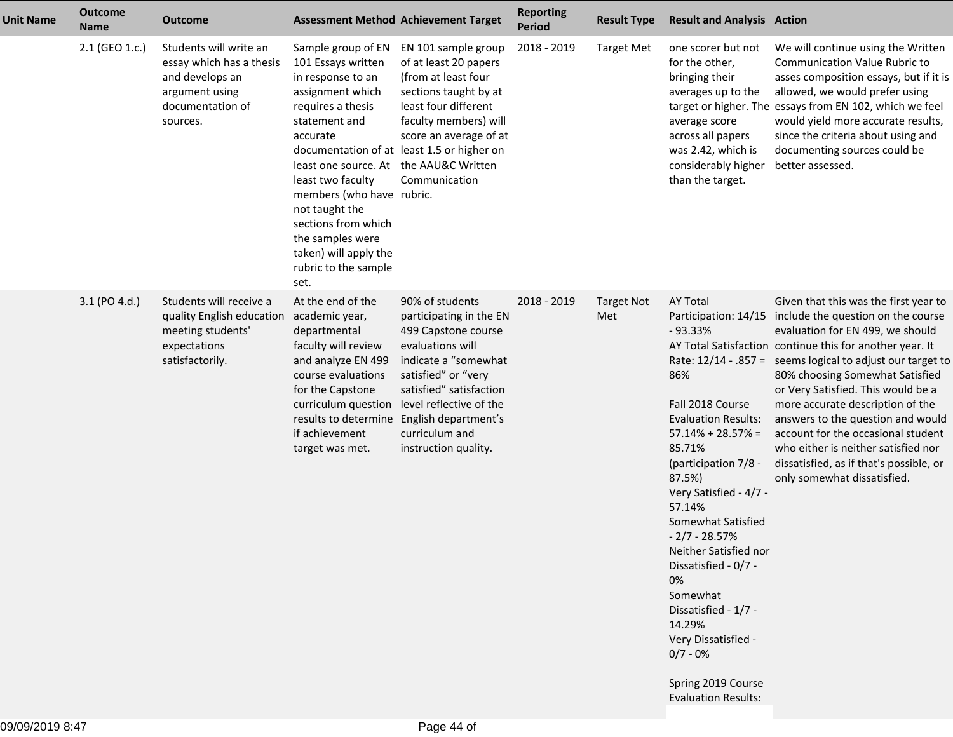| <b>Unit Name</b> | <b>Outcome</b><br><b>Name</b> | <b>Outcome</b>                                                                                                          |                                                                                                                                                                                                                                                                                                                                                       | <b>Assessment Method Achievement Target</b>                                                                                                                                                                                                                                                           | <b>Reporting</b><br><b>Period</b> | <b>Result Type</b>       | <b>Result and Analysis Action</b>                                                                                                                                                                                                                                                                                                                                                                                                     |                                                                                                                                                                                                                                                                                                                                                                                                                                                                                                                                                                         |
|------------------|-------------------------------|-------------------------------------------------------------------------------------------------------------------------|-------------------------------------------------------------------------------------------------------------------------------------------------------------------------------------------------------------------------------------------------------------------------------------------------------------------------------------------------------|-------------------------------------------------------------------------------------------------------------------------------------------------------------------------------------------------------------------------------------------------------------------------------------------------------|-----------------------------------|--------------------------|---------------------------------------------------------------------------------------------------------------------------------------------------------------------------------------------------------------------------------------------------------------------------------------------------------------------------------------------------------------------------------------------------------------------------------------|-------------------------------------------------------------------------------------------------------------------------------------------------------------------------------------------------------------------------------------------------------------------------------------------------------------------------------------------------------------------------------------------------------------------------------------------------------------------------------------------------------------------------------------------------------------------------|
|                  | 2.1 (GEO 1.c.)                | Students will write an<br>essay which has a thesis<br>and develops an<br>argument using<br>documentation of<br>sources. | Sample group of EN<br>101 Essays written<br>in response to an<br>assignment which<br>requires a thesis<br>statement and<br>accurate<br>least one source. At the AAU&C Written<br>least two faculty<br>members (who have rubric.<br>not taught the<br>sections from which<br>the samples were<br>taken) will apply the<br>rubric to the sample<br>set. | EN 101 sample group<br>of at least 20 papers<br>(from at least four<br>sections taught by at<br>least four different<br>faculty members) will<br>score an average of at<br>documentation of at least 1.5 or higher on<br>Communication                                                                | 2018 - 2019                       | <b>Target Met</b>        | one scorer but not<br>for the other,<br>bringing their<br>averages up to the<br>average score<br>across all papers<br>was 2.42, which is<br>considerably higher<br>than the target.                                                                                                                                                                                                                                                   | We will continue using the Written<br><b>Communication Value Rubric to</b><br>asses composition essays, but if it is<br>allowed, we would prefer using<br>target or higher. The essays from EN 102, which we feel<br>would yield more accurate results,<br>since the criteria about using and<br>documenting sources could be<br>better assessed.                                                                                                                                                                                                                       |
|                  | 3.1 (PO 4.d.)                 | Students will receive a<br>quality English education<br>meeting students'<br>expectations<br>satisfactorily.            | At the end of the<br>academic year,<br>departmental<br>faculty will review<br>and analyze EN 499<br>course evaluations<br>for the Capstone<br>if achievement<br>target was met.                                                                                                                                                                       | 90% of students<br>participating in the EN<br>499 Capstone course<br>evaluations will<br>indicate a "somewhat<br>satisfied" or "very<br>satisfied" satisfaction<br>curriculum question level reflective of the<br>results to determine English department's<br>curriculum and<br>instruction quality. | 2018 - 2019                       | <b>Target Not</b><br>Met | <b>AY Total</b><br>$-93.33%$<br>86%<br>Fall 2018 Course<br><b>Evaluation Results:</b><br>$57.14\% + 28.57\% =$<br>85.71%<br>(participation 7/8 -<br>87.5%)<br>Very Satisfied - 4/7 -<br>57.14%<br>Somewhat Satisfied<br>$-2/7 - 28.57%$<br>Neither Satisfied nor<br>Dissatisfied - 0/7 -<br>0%<br>Somewhat<br>Dissatisfied - 1/7 -<br>14.29%<br>Very Dissatisfied -<br>$0/7 - 0%$<br>Spring 2019 Course<br><b>Evaluation Results:</b> | Given that this was the first year to<br>Participation: 14/15 include the question on the course<br>evaluation for EN 499, we should<br>AY Total Satisfaction continue this for another year. It<br>Rate: 12/14 - .857 = seems logical to adjust our target to<br>80% choosing Somewhat Satisfied<br>or Very Satisfied. This would be a<br>more accurate description of the<br>answers to the question and would<br>account for the occasional student<br>who either is neither satisfied nor<br>dissatisfied, as if that's possible, or<br>only somewhat dissatisfied. |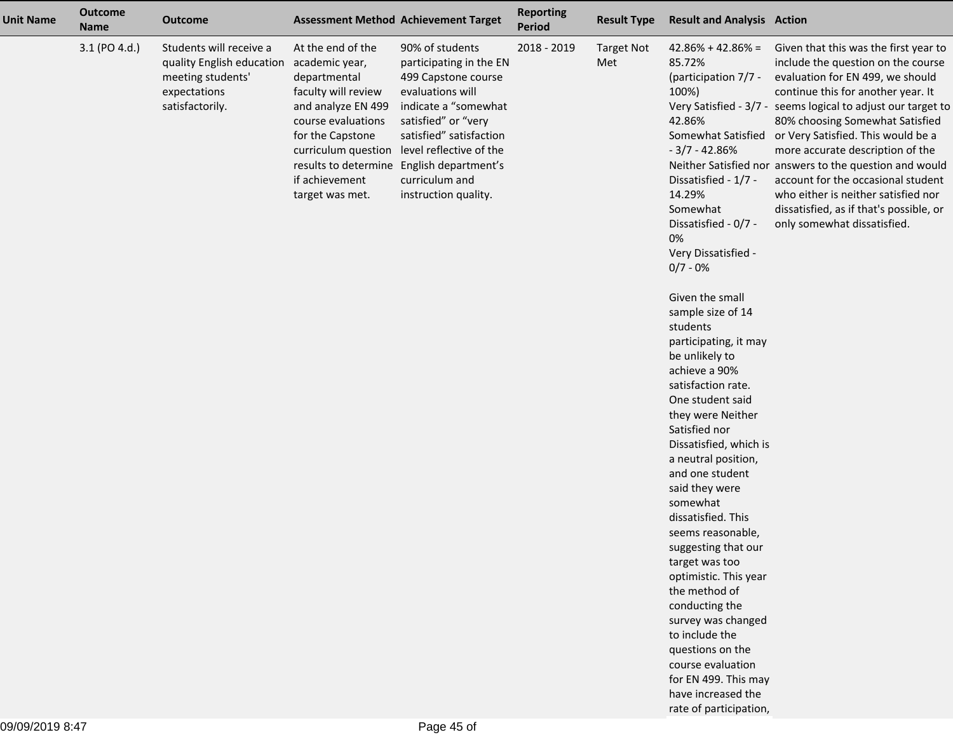| <b>Unit Name</b> | <b>Outcome</b><br><b>Name</b> | <b>Outcome</b>                                                                                                              |                                                                                                                                                               | <b>Assessment Method Achievement Target</b>                                                                                                                                                                                                                                                           | <b>Reporting</b><br>Period | <b>Result Type</b>       | <b>Result and Analysis Action</b>                                                                                                                                                                                                                                                                                                                                                                                                                                                                                                                                                                                                                                                                                                                                                               |                                                                                                                                                                                                                                                                                                                                                                                                                                                                                                                                                                         |
|------------------|-------------------------------|-----------------------------------------------------------------------------------------------------------------------------|---------------------------------------------------------------------------------------------------------------------------------------------------------------|-------------------------------------------------------------------------------------------------------------------------------------------------------------------------------------------------------------------------------------------------------------------------------------------------------|----------------------------|--------------------------|-------------------------------------------------------------------------------------------------------------------------------------------------------------------------------------------------------------------------------------------------------------------------------------------------------------------------------------------------------------------------------------------------------------------------------------------------------------------------------------------------------------------------------------------------------------------------------------------------------------------------------------------------------------------------------------------------------------------------------------------------------------------------------------------------|-------------------------------------------------------------------------------------------------------------------------------------------------------------------------------------------------------------------------------------------------------------------------------------------------------------------------------------------------------------------------------------------------------------------------------------------------------------------------------------------------------------------------------------------------------------------------|
|                  | 3.1 (PO 4.d.)                 | Students will receive a<br>quality English education academic year,<br>meeting students'<br>expectations<br>satisfactorily. | At the end of the<br>departmental<br>faculty will review<br>and analyze EN 499<br>course evaluations<br>for the Capstone<br>if achievement<br>target was met. | 90% of students<br>participating in the EN<br>499 Capstone course<br>evaluations will<br>indicate a "somewhat<br>satisfied" or "very<br>satisfied" satisfaction<br>curriculum question level reflective of the<br>results to determine English department's<br>curriculum and<br>instruction quality. | 2018 - 2019                | <b>Target Not</b><br>Met | $42.86\% + 42.86\% =$<br>85.72%<br>(participation 7/7 -<br>100%)<br>42.86%<br>$-3/7 - 42.86%$<br>Dissatisfied - 1/7 -<br>14.29%<br>Somewhat<br>Dissatisfied - 0/7 -<br>0%<br>Very Dissatisfied -<br>$0/7 - 0%$<br>Given the small<br>sample size of 14<br>students<br>participating, it may<br>be unlikely to<br>achieve a 90%<br>satisfaction rate.<br>One student said<br>they were Neither<br>Satisfied nor<br>Dissatisfied, which is<br>a neutral position,<br>and one student<br>said they were<br>somewhat<br>dissatisfied. This<br>seems reasonable,<br>suggesting that our<br>target was too<br>optimistic. This year<br>the method of<br>conducting the<br>survey was changed<br>to include the<br>questions on the<br>course evaluation<br>for EN 499. This may<br>have increased the | Given that this was the first year to<br>include the question on the course<br>evaluation for EN 499, we should<br>continue this for another year. It<br>Very Satisfied - 3/7 - seems logical to adjust our target to<br>80% choosing Somewhat Satisfied<br>Somewhat Satisfied or Very Satisfied. This would be a<br>more accurate description of the<br>Neither Satisfied nor answers to the question and would<br>account for the occasional student<br>who either is neither satisfied nor<br>dissatisfied, as if that's possible, or<br>only somewhat dissatisfied. |
|                  |                               |                                                                                                                             |                                                                                                                                                               |                                                                                                                                                                                                                                                                                                       |                            |                          | rate of participation,                                                                                                                                                                                                                                                                                                                                                                                                                                                                                                                                                                                                                                                                                                                                                                          |                                                                                                                                                                                                                                                                                                                                                                                                                                                                                                                                                                         |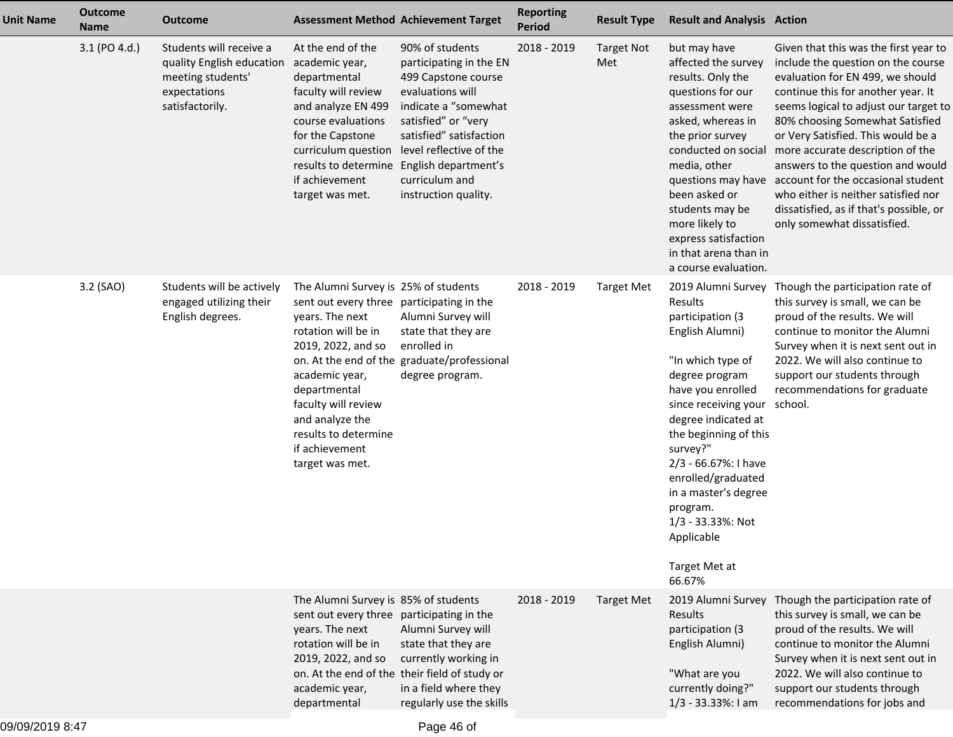| <b>Unit Name</b> | <b>Outcome</b><br><b>Name</b> | <b>Outcome</b>                                                                                               |                                                                                                                                                                                                                                                                                            | <b>Assessment Method Achievement Target</b>                                                                                                                                                               | <b>Reporting</b><br><b>Period</b> | <b>Result Type</b>       | <b>Result and Analysis Action</b>                                                                                                                                                                                                                                                                                                              |                                                                                                                                                                                                                                                                                                                                                                                                                                                                                                                                                |
|------------------|-------------------------------|--------------------------------------------------------------------------------------------------------------|--------------------------------------------------------------------------------------------------------------------------------------------------------------------------------------------------------------------------------------------------------------------------------------------|-----------------------------------------------------------------------------------------------------------------------------------------------------------------------------------------------------------|-----------------------------------|--------------------------|------------------------------------------------------------------------------------------------------------------------------------------------------------------------------------------------------------------------------------------------------------------------------------------------------------------------------------------------|------------------------------------------------------------------------------------------------------------------------------------------------------------------------------------------------------------------------------------------------------------------------------------------------------------------------------------------------------------------------------------------------------------------------------------------------------------------------------------------------------------------------------------------------|
|                  | 3.1 (PO 4.d.)                 | Students will receive a<br>quality English education<br>meeting students'<br>expectations<br>satisfactorily. | At the end of the<br>academic year,<br>departmental<br>faculty will review<br>and analyze EN 499<br>course evaluations<br>for the Capstone<br>curriculum question level reflective of the<br>results to determine English department's<br>if achievement<br>target was met.                | 90% of students<br>participating in the EN<br>499 Capstone course<br>evaluations will<br>indicate a "somewhat<br>satisfied" or "very<br>satisfied" satisfaction<br>curriculum and<br>instruction quality. | 2018 - 2019                       | <b>Target Not</b><br>Met | but may have<br>affected the survey<br>results. Only the<br>questions for our<br>assessment were<br>asked, whereas in<br>the prior survey<br>media, other<br>been asked or<br>students may be<br>more likely to<br>express satisfaction<br>in that arena than in<br>a course evaluation.                                                       | Given that this was the first year to<br>include the question on the course<br>evaluation for EN 499, we should<br>continue this for another year. It<br>seems logical to adjust our target to<br>80% choosing Somewhat Satisfied<br>or Very Satisfied. This would be a<br>conducted on social more accurate description of the<br>answers to the question and would<br>questions may have account for the occasional student<br>who either is neither satisfied nor<br>dissatisfied, as if that's possible, or<br>only somewhat dissatisfied. |
|                  | 3.2 (SAO)                     | Students will be actively<br>engaged utilizing their<br>English degrees.                                     | The Alumni Survey is 25% of students<br>sent out every three participating in the<br>years. The next<br>rotation will be in<br>2019, 2022, and so<br>academic year,<br>departmental<br>faculty will review<br>and analyze the<br>results to determine<br>if achievement<br>target was met. | Alumni Survey will<br>state that they are<br>enrolled in<br>on. At the end of the graduate/professional<br>degree program.                                                                                | 2018 - 2019                       | <b>Target Met</b>        | Results<br>participation (3<br>English Alumni)<br>"In which type of<br>degree program<br>have you enrolled<br>since receiving your<br>degree indicated at<br>the beginning of this<br>survey?"<br>2/3 - 66.67%: I have<br>enrolled/graduated<br>in a master's degree<br>program.<br>1/3 - 33.33%: Not<br>Applicable<br>Target Met at<br>66.67% | 2019 Alumni Survey Though the participation rate of<br>this survey is small, we can be<br>proud of the results. We will<br>continue to monitor the Alumni<br>Survey when it is next sent out in<br>2022. We will also continue to<br>support our students through<br>recommendations for graduate<br>school.                                                                                                                                                                                                                                   |
|                  |                               |                                                                                                              | The Alumni Survey is 85% of students<br>sent out every three participating in the<br>years. The next<br>rotation will be in<br>2019, 2022, and so<br>academic year,<br>departmental                                                                                                        | Alumni Survey will<br>state that they are<br>currently working in<br>on. At the end of the their field of study or<br>in a field where they<br>regularly use the skills                                   | 2018 - 2019                       | <b>Target Met</b>        | 2019 Alumni Survey<br>Results<br>participation (3<br>English Alumni)<br>"What are you<br>currently doing?"<br>1/3 - 33.33%: I am                                                                                                                                                                                                               | Though the participation rate of<br>this survey is small, we can be<br>proud of the results. We will<br>continue to monitor the Alumni<br>Survey when it is next sent out in<br>2022. We will also continue to<br>support our students through<br>recommendations for jobs and                                                                                                                                                                                                                                                                 |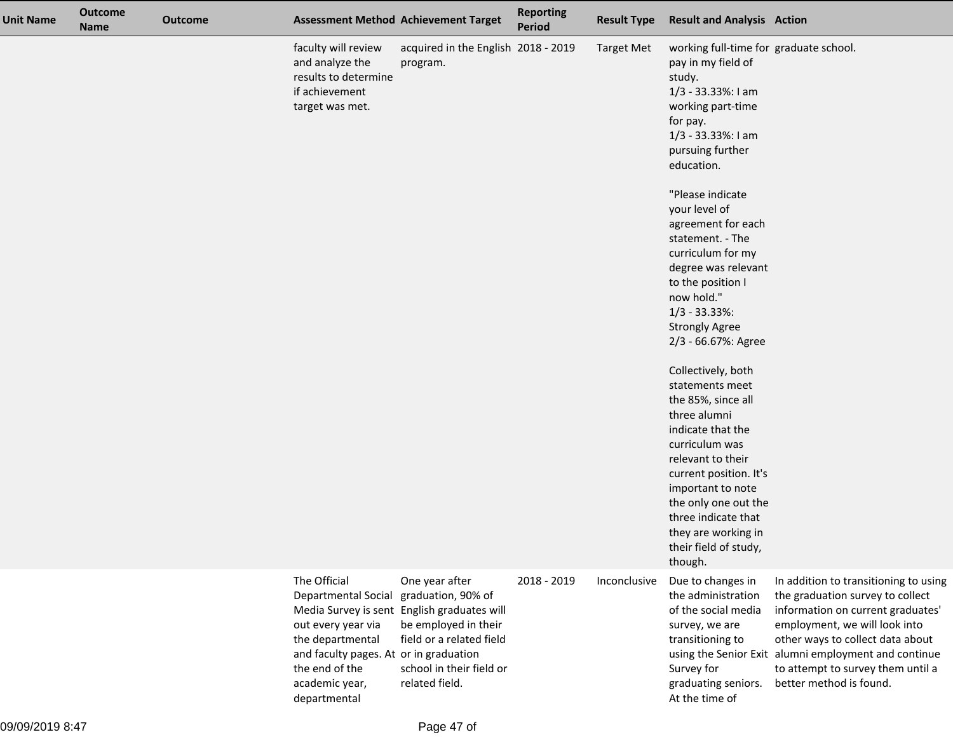| <b>Unit Name</b> | <b>Outcome</b><br><b>Name</b> | <b>Outcome</b> |                                                                                                                                                                                    | <b>Assessment Method Achievement Target</b>                                                                                                                                           | <b>Reporting</b><br><b>Period</b> | <b>Result Type</b> | <b>Result and Analysis Action</b>                                                                                                                                                                                                                                                                                                                                                                                                                                                                                                                                                                                                                                                                              |                                                                                                                                                                                                                                                                                                             |
|------------------|-------------------------------|----------------|------------------------------------------------------------------------------------------------------------------------------------------------------------------------------------|---------------------------------------------------------------------------------------------------------------------------------------------------------------------------------------|-----------------------------------|--------------------|----------------------------------------------------------------------------------------------------------------------------------------------------------------------------------------------------------------------------------------------------------------------------------------------------------------------------------------------------------------------------------------------------------------------------------------------------------------------------------------------------------------------------------------------------------------------------------------------------------------------------------------------------------------------------------------------------------------|-------------------------------------------------------------------------------------------------------------------------------------------------------------------------------------------------------------------------------------------------------------------------------------------------------------|
|                  |                               |                | faculty will review<br>and analyze the<br>results to determine<br>if achievement<br>target was met.                                                                                | acquired in the English 2018 - 2019<br>program.                                                                                                                                       |                                   | <b>Target Met</b>  | working full-time for graduate school.<br>pay in my field of<br>study.<br>1/3 - 33.33%: I am<br>working part-time<br>for pay.<br>1/3 - 33.33%: I am<br>pursuing further<br>education.<br>"Please indicate<br>your level of<br>agreement for each<br>statement. - The<br>curriculum for my<br>degree was relevant<br>to the position I<br>now hold."<br>$1/3 - 33.33%$<br><b>Strongly Agree</b><br>2/3 - 66.67%: Agree<br>Collectively, both<br>statements meet<br>the 85%, since all<br>three alumni<br>indicate that the<br>curriculum was<br>relevant to their<br>current position. It's<br>important to note<br>the only one out the<br>three indicate that<br>they are working in<br>their field of study, |                                                                                                                                                                                                                                                                                                             |
|                  |                               |                | The Official<br><b>Departmental Social</b><br>out every year via<br>the departmental<br>and faculty pages. At or in graduation<br>the end of the<br>academic year,<br>departmental | One year after<br>graduation, 90% of<br>Media Survey is sent English graduates will<br>be employed in their<br>field or a related field<br>school in their field or<br>related field. | 2018 - 2019                       | Inconclusive       | though.<br>Due to changes in<br>the administration<br>of the social media<br>survey, we are<br>transitioning to<br>Survey for<br>graduating seniors.<br>At the time of                                                                                                                                                                                                                                                                                                                                                                                                                                                                                                                                         | In addition to transitioning to using<br>the graduation survey to collect<br>information on current graduates'<br>employment, we will look into<br>other ways to collect data about<br>using the Senior Exit alumni employment and continue<br>to attempt to survey them until a<br>better method is found. |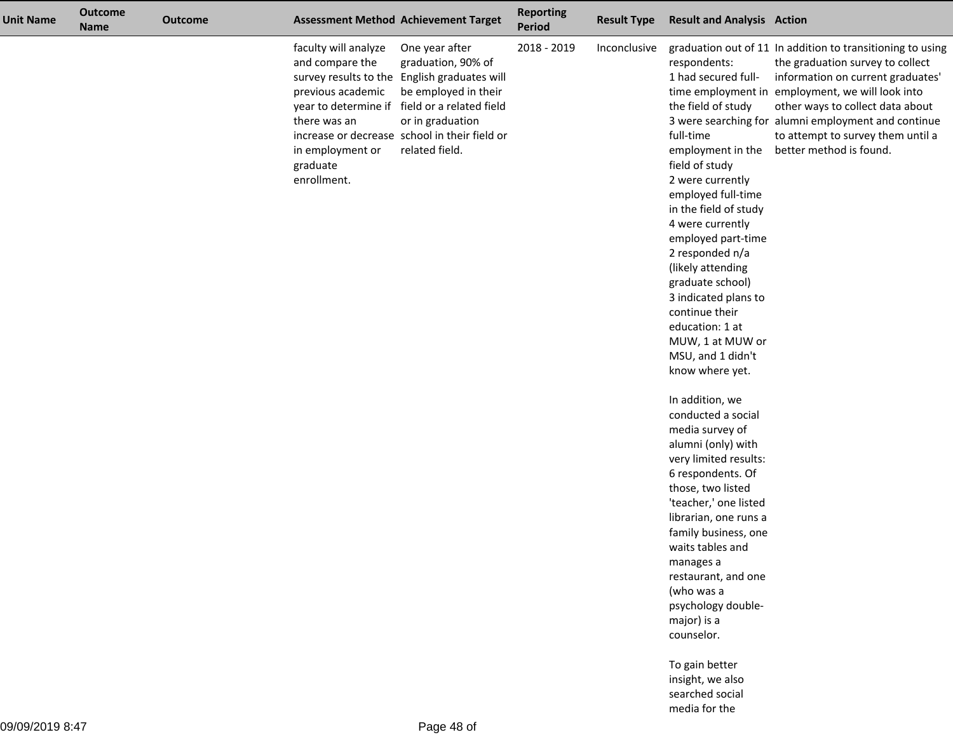| <b>Unit Name</b> | <b>Outcome</b><br><b>Name</b> | <b>Outcome</b> |                                                                                                                             | <b>Assessment Method Achievement Target</b>                                                                                                                                                                                                          | <b>Reporting</b><br><b>Period</b> | <b>Result Type</b> | <b>Result and Analysis Action</b>                                                                                                                                                                                                                                                                                                                                                                               |                                                                                                                                                                                                                                                                                                                                                    |
|------------------|-------------------------------|----------------|-----------------------------------------------------------------------------------------------------------------------------|------------------------------------------------------------------------------------------------------------------------------------------------------------------------------------------------------------------------------------------------------|-----------------------------------|--------------------|-----------------------------------------------------------------------------------------------------------------------------------------------------------------------------------------------------------------------------------------------------------------------------------------------------------------------------------------------------------------------------------------------------------------|----------------------------------------------------------------------------------------------------------------------------------------------------------------------------------------------------------------------------------------------------------------------------------------------------------------------------------------------------|
|                  |                               |                | faculty will analyze<br>and compare the<br>previous academic<br>there was an<br>in employment or<br>graduate<br>enrollment. | One year after<br>graduation, 90% of<br>survey results to the English graduates will<br>be employed in their<br>year to determine if field or a related field<br>or in graduation<br>increase or decrease school in their field or<br>related field. | 2018 - 2019                       | Inconclusive       | respondents:<br>1 had secured full-<br>the field of study<br>full-time<br>employment in the<br>field of study<br>2 were currently<br>employed full-time<br>in the field of study<br>4 were currently<br>employed part-time<br>2 responded n/a<br>(likely attending<br>graduate school)<br>3 indicated plans to<br>continue their<br>education: 1 at<br>MUW, 1 at MUW or<br>MSU, and 1 didn't<br>know where yet. | graduation out of 11 In addition to transitioning to using<br>the graduation survey to collect<br>information on current graduates'<br>time employment in employment, we will look into<br>other ways to collect data about<br>3 were searching for alumni employment and continue<br>to attempt to survey them until a<br>better method is found. |
|                  |                               |                |                                                                                                                             |                                                                                                                                                                                                                                                      |                                   |                    | In addition, we<br>conducted a social<br>media survey of<br>alumni (only) with<br>very limited results:<br>6 respondents. Of<br>those, two listed<br>'teacher,' one listed<br>librarian, one runs a<br>family business, one<br>waits tables and<br>manages a<br>restaurant, and one<br>(who was a<br>psychology double-<br>major) is a<br>counselor.                                                            |                                                                                                                                                                                                                                                                                                                                                    |
|                  |                               |                |                                                                                                                             |                                                                                                                                                                                                                                                      |                                   |                    | To gain better<br>insight, we also<br>searched social                                                                                                                                                                                                                                                                                                                                                           |                                                                                                                                                                                                                                                                                                                                                    |

media for the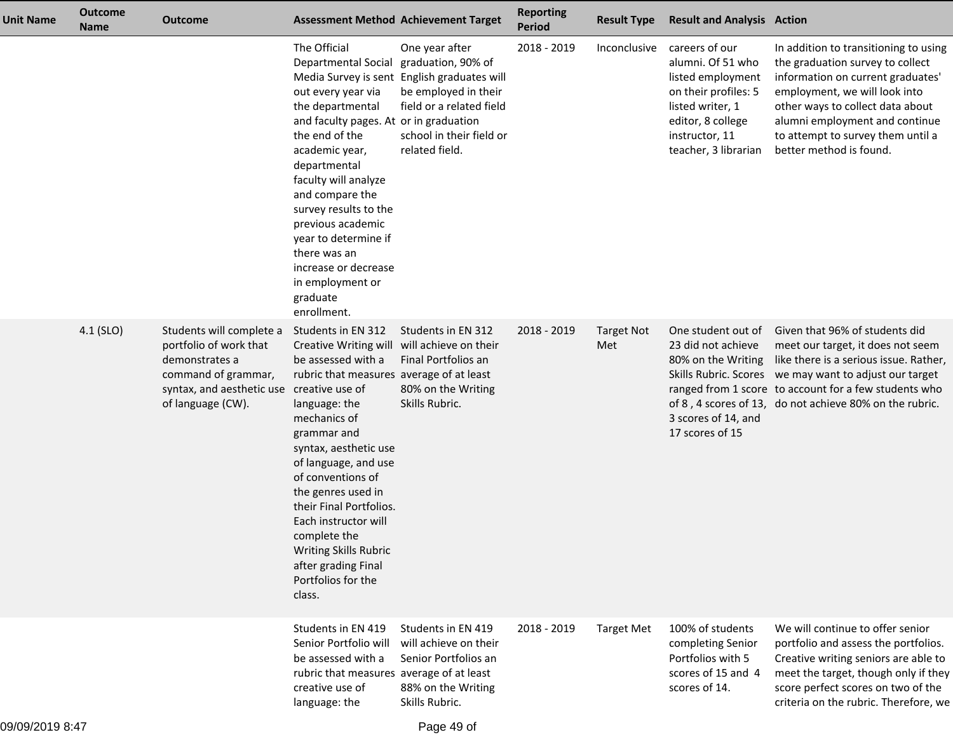| <b>Unit Name</b> | <b>Outcome</b><br><b>Name</b> | <b>Outcome</b>                                                                                                                                                |                                                                                                                                                                                                                                                                                                                                                                                                              | <b>Assessment Method Achievement Target</b>                                                                                                                      | <b>Reporting</b><br><b>Period</b> | <b>Result Type</b>       | <b>Result and Analysis Action</b>                                                                                                                                   |                                                                                                                                                                                                                                                                                             |
|------------------|-------------------------------|---------------------------------------------------------------------------------------------------------------------------------------------------------------|--------------------------------------------------------------------------------------------------------------------------------------------------------------------------------------------------------------------------------------------------------------------------------------------------------------------------------------------------------------------------------------------------------------|------------------------------------------------------------------------------------------------------------------------------------------------------------------|-----------------------------------|--------------------------|---------------------------------------------------------------------------------------------------------------------------------------------------------------------|---------------------------------------------------------------------------------------------------------------------------------------------------------------------------------------------------------------------------------------------------------------------------------------------|
|                  |                               |                                                                                                                                                               | The Official<br>Departmental Social<br>Media Survey is sent<br>out every year via<br>the departmental<br>and faculty pages. At or in graduation<br>the end of the<br>academic year,<br>departmental<br>faculty will analyze<br>and compare the<br>survey results to the<br>previous academic<br>year to determine if<br>there was an<br>increase or decrease<br>in employment or<br>graduate<br>enrollment.  | One year after<br>graduation, 90% of<br>English graduates will<br>be employed in their<br>field or a related field<br>school in their field or<br>related field. | 2018 - 2019                       | Inconclusive             | careers of our<br>alumni. Of 51 who<br>listed employment<br>on their profiles: 5<br>listed writer, 1<br>editor, 8 college<br>instructor, 11<br>teacher, 3 librarian | In addition to transitioning to using<br>the graduation survey to collect<br>information on current graduates'<br>employment, we will look into<br>other ways to collect data about<br>alumni employment and continue<br>to attempt to survey them until a<br>better method is found.       |
|                  | $4.1$ (SLO)                   | Students will complete a<br>portfolio of work that<br>demonstrates a<br>command of grammar,<br>syntax, and aesthetic use creative use of<br>of language (CW). | Students in EN 312<br>Creative Writing will<br>be assessed with a<br>rubric that measures average of at least<br>language: the<br>mechanics of<br>grammar and<br>syntax, aesthetic use<br>of language, and use<br>of conventions of<br>the genres used in<br>their Final Portfolios.<br>Each instructor will<br>complete the<br>Writing Skills Rubric<br>after grading Final<br>Portfolios for the<br>class. | Students in EN 312<br>will achieve on their<br>Final Portfolios an<br>80% on the Writing<br>Skills Rubric.                                                       | 2018 - 2019                       | <b>Target Not</b><br>Met | One student out of<br>23 did not achieve<br>80% on the Writing<br>3 scores of 14, and<br>17 scores of 15                                                            | Given that 96% of students did<br>meet our target, it does not seem<br>like there is a serious issue. Rather,<br>Skills Rubric. Scores we may want to adjust our target<br>ranged from 1 score to account for a few students who<br>of 8, 4 scores of 13, do not achieve 80% on the rubric. |
|                  |                               |                                                                                                                                                               | Students in EN 419<br>Senior Portfolio will<br>be assessed with a<br>rubric that measures average of at least<br>creative use of<br>language: the                                                                                                                                                                                                                                                            | Students in EN 419<br>will achieve on their<br>Senior Portfolios an<br>88% on the Writing<br>Skills Rubric.                                                      | 2018 - 2019                       | <b>Target Met</b>        | 100% of students<br>completing Senior<br>Portfolios with 5<br>scores of 15 and 4<br>scores of 14.                                                                   | We will continue to offer senior<br>portfolio and assess the portfolios.<br>Creative writing seniors are able to<br>meet the target, though only if they<br>score perfect scores on two of the<br>criteria on the rubric. Therefore, we                                                     |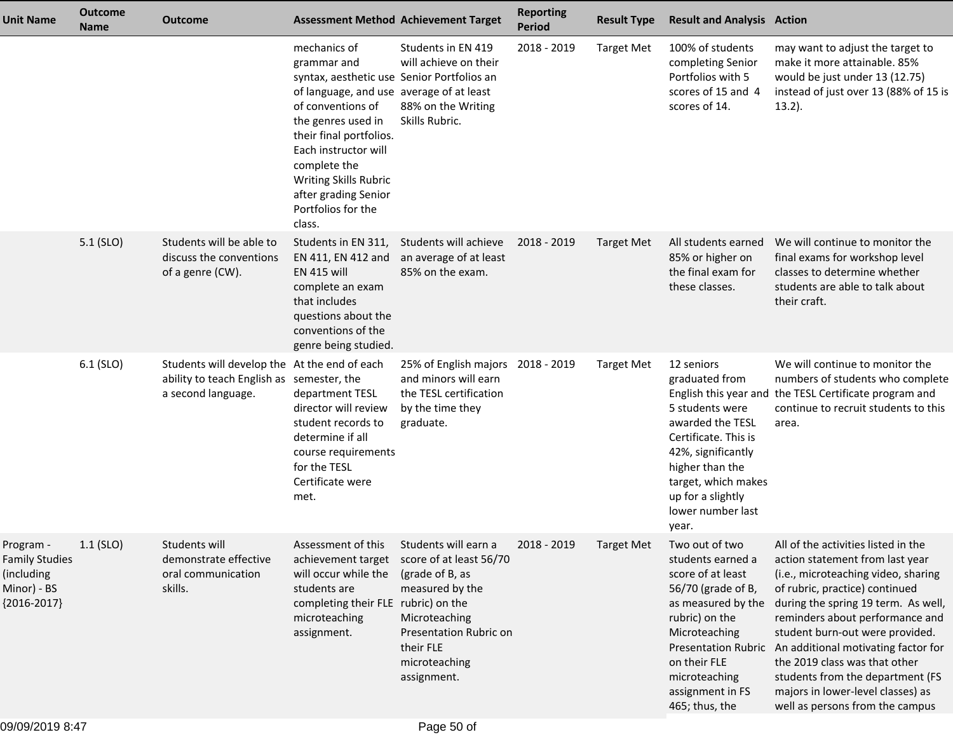| <b>Unit Name</b>                                                                 | <b>Outcome</b><br><b>Name</b> | <b>Outcome</b>                                                                                                  |                                                                                                                                                                                                                                                                                                                      | <b>Assessment Method Achievement Target</b>                                                                                                                                   | <b>Reporting</b><br><b>Period</b> | <b>Result Type</b> | <b>Result and Analysis Action</b>                                                                                                                                                                              |                                                                                                                                                                                                                                                                                                                                                                                                                                                                      |
|----------------------------------------------------------------------------------|-------------------------------|-----------------------------------------------------------------------------------------------------------------|----------------------------------------------------------------------------------------------------------------------------------------------------------------------------------------------------------------------------------------------------------------------------------------------------------------------|-------------------------------------------------------------------------------------------------------------------------------------------------------------------------------|-----------------------------------|--------------------|----------------------------------------------------------------------------------------------------------------------------------------------------------------------------------------------------------------|----------------------------------------------------------------------------------------------------------------------------------------------------------------------------------------------------------------------------------------------------------------------------------------------------------------------------------------------------------------------------------------------------------------------------------------------------------------------|
|                                                                                  |                               |                                                                                                                 | mechanics of<br>grammar and<br>syntax, aesthetic use Senior Portfolios an<br>of language, and use average of at least<br>of conventions of<br>the genres used in<br>their final portfolios.<br>Each instructor will<br>complete the<br>Writing Skills Rubric<br>after grading Senior<br>Portfolios for the<br>class. | Students in EN 419<br>will achieve on their<br>88% on the Writing<br>Skills Rubric.                                                                                           | 2018 - 2019                       | <b>Target Met</b>  | 100% of students<br>completing Senior<br>Portfolios with 5<br>scores of 15 and 4<br>scores of 14.                                                                                                              | may want to adjust the target to<br>make it more attainable. 85%<br>would be just under 13 (12.75)<br>instead of just over 13 (88% of 15 is<br>$13.2$ ).                                                                                                                                                                                                                                                                                                             |
|                                                                                  | $5.1$ (SLO)                   | Students will be able to<br>discuss the conventions<br>of a genre (CW).                                         | EN 411, EN 412 and<br><b>EN 415 will</b><br>complete an exam<br>that includes<br>questions about the<br>conventions of the<br>genre being studied.                                                                                                                                                                   | Students in EN 311, Students will achieve<br>an average of at least<br>85% on the exam.                                                                                       | 2018 - 2019                       | <b>Target Met</b>  | All students earned<br>85% or higher on<br>the final exam for<br>these classes.                                                                                                                                | We will continue to monitor the<br>final exams for workshop level<br>classes to determine whether<br>students are able to talk about<br>their craft.                                                                                                                                                                                                                                                                                                                 |
|                                                                                  | $6.1$ (SLO)                   | Students will develop the At the end of each<br>ability to teach English as semester, the<br>a second language. | department TESL<br>director will review<br>student records to<br>determine if all<br>course requirements<br>for the TESL<br>Certificate were<br>met.                                                                                                                                                                 | 25% of English majors 2018 - 2019<br>and minors will earn<br>the TESL certification<br>by the time they<br>graduate.                                                          |                                   | <b>Target Met</b>  | 12 seniors<br>graduated from<br>5 students were<br>awarded the TESL<br>Certificate. This is<br>42%, significantly<br>higher than the<br>target, which makes<br>up for a slightly<br>lower number last<br>year. | We will continue to monitor the<br>numbers of students who complete<br>English this year and the TESL Certificate program and<br>continue to recruit students to this<br>area.                                                                                                                                                                                                                                                                                       |
| Program -<br><b>Family Studies</b><br>(including<br>Minor) - BS<br>${2016-2017}$ | $1.1$ (SLO)                   | Students will<br>demonstrate effective<br>oral communication<br>skills.                                         | Assessment of this<br>achievement target<br>will occur while the<br>students are<br>completing their FLE rubric) on the<br>microteaching<br>assignment.                                                                                                                                                              | Students will earn a<br>score of at least 56/70<br>(grade of B, as<br>measured by the<br>Microteaching<br>Presentation Rubric on<br>their FLE<br>microteaching<br>assignment. | 2018 - 2019                       | <b>Target Met</b>  | Two out of two<br>students earned a<br>score of at least<br>56/70 (grade of B,<br>as measured by the<br>rubric) on the<br>Microteaching<br>on their FLE<br>microteaching<br>assignment in FS<br>465; thus, the | All of the activities listed in the<br>action statement from last year<br>(i.e., microteaching video, sharing<br>of rubric, practice) continued<br>during the spring 19 term. As well,<br>reminders about performance and<br>student burn-out were provided.<br>Presentation Rubric An additional motivating factor for<br>the 2019 class was that other<br>students from the department (FS<br>majors in lower-level classes) as<br>well as persons from the campus |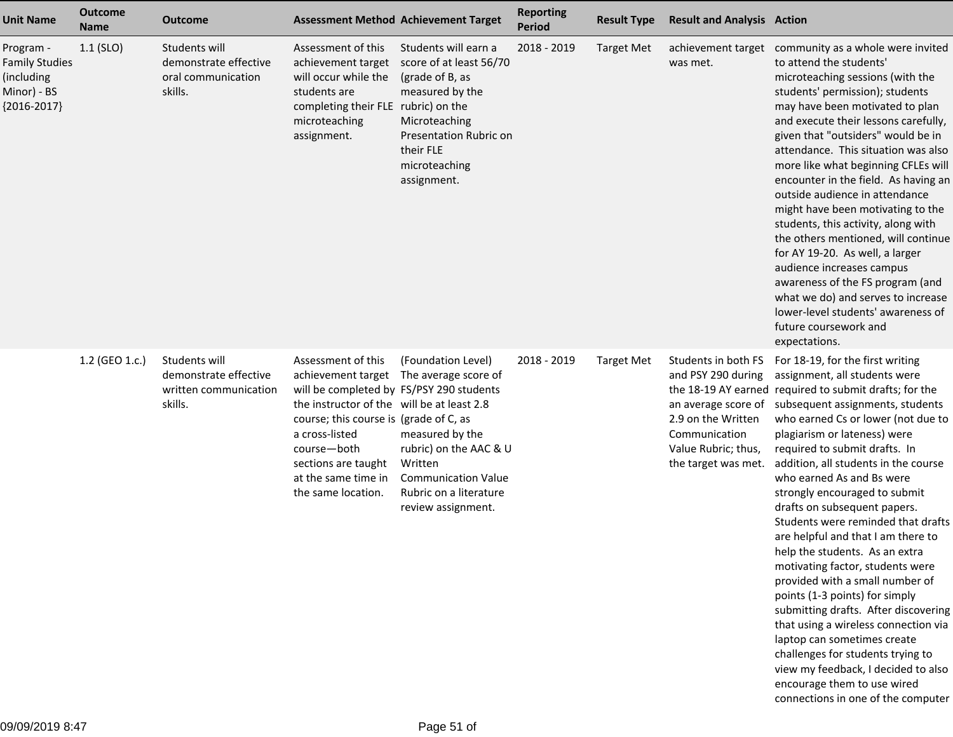| <b>Unit Name</b>                                                                 | <b>Outcome</b><br><b>Name</b> | <b>Outcome</b>                                                             | <b>Assessment Method Achievement Target</b>                                                                                                                                                                                                                                       |                                                                                                                                                                                  | <b>Reporting</b><br><b>Period</b> | <b>Result Type</b> | <b>Result and Analysis Action</b>                                                                                                                     |                                                                                                                                                                                                                                                                                                                                                                                                                                                                                                                                                                                                                                                                                                                                                                                                                                                                                                     |
|----------------------------------------------------------------------------------|-------------------------------|----------------------------------------------------------------------------|-----------------------------------------------------------------------------------------------------------------------------------------------------------------------------------------------------------------------------------------------------------------------------------|----------------------------------------------------------------------------------------------------------------------------------------------------------------------------------|-----------------------------------|--------------------|-------------------------------------------------------------------------------------------------------------------------------------------------------|-----------------------------------------------------------------------------------------------------------------------------------------------------------------------------------------------------------------------------------------------------------------------------------------------------------------------------------------------------------------------------------------------------------------------------------------------------------------------------------------------------------------------------------------------------------------------------------------------------------------------------------------------------------------------------------------------------------------------------------------------------------------------------------------------------------------------------------------------------------------------------------------------------|
| Program -<br><b>Family Studies</b><br>(including<br>Minor) - BS<br>${2016-2017}$ | $1.1$ (SLO)                   | Students will<br>demonstrate effective<br>oral communication<br>skills.    | Assessment of this<br>achievement target<br>will occur while the<br>students are<br>completing their FLE rubric) on the<br>microteaching<br>assignment.                                                                                                                           | Students will earn a<br>score of at least 56/70<br>(grade of B, as<br>measured by the<br>Microteaching<br>Presentation Rubric on<br>their FLE<br>microteaching<br>assignment.    | 2018 - 2019                       | <b>Target Met</b>  | was met.                                                                                                                                              | achievement target community as a whole were invited<br>to attend the students'<br>microteaching sessions (with the<br>students' permission); students<br>may have been motivated to plan<br>and execute their lessons carefully,<br>given that "outsiders" would be in<br>attendance. This situation was also<br>more like what beginning CFLEs will<br>encounter in the field. As having an<br>outside audience in attendance<br>might have been motivating to the<br>students, this activity, along with<br>the others mentioned, will continue<br>for AY 19-20. As well, a larger<br>audience increases campus<br>awareness of the FS program (and<br>what we do) and serves to increase<br>lower-level students' awareness of<br>future coursework and<br>expectations.                                                                                                                        |
|                                                                                  | 1.2 (GEO 1.c.)                | Students will<br>demonstrate effective<br>written communication<br>skills. | Assessment of this<br>achievement target<br>will be completed by FS/PSY 290 students<br>the instructor of the will be at least 2.8<br>course; this course is (grade of C, as<br>a cross-listed<br>course-both<br>sections are taught<br>at the same time in<br>the same location. | (Foundation Level)<br>The average score of<br>measured by the<br>rubric) on the AAC & U<br>Written<br><b>Communication Value</b><br>Rubric on a literature<br>review assignment. | 2018 - 2019                       | <b>Target Met</b>  | Students in both FS<br>and PSY 290 during<br>an average score of<br>2.9 on the Written<br>Communication<br>Value Rubric; thus,<br>the target was met. | For 18-19, for the first writing<br>assignment, all students were<br>the 18-19 AY earned required to submit drafts; for the<br>subsequent assignments, students<br>who earned Cs or lower (not due to<br>plagiarism or lateness) were<br>required to submit drafts. In<br>addition, all students in the course<br>who earned As and Bs were<br>strongly encouraged to submit<br>drafts on subsequent papers.<br>Students were reminded that drafts<br>are helpful and that I am there to<br>help the students. As an extra<br>motivating factor, students were<br>provided with a small number of<br>points (1-3 points) for simply<br>submitting drafts. After discovering<br>that using a wireless connection via<br>laptop can sometimes create<br>challenges for students trying to<br>view my feedback, I decided to also<br>encourage them to use wired<br>connections in one of the computer |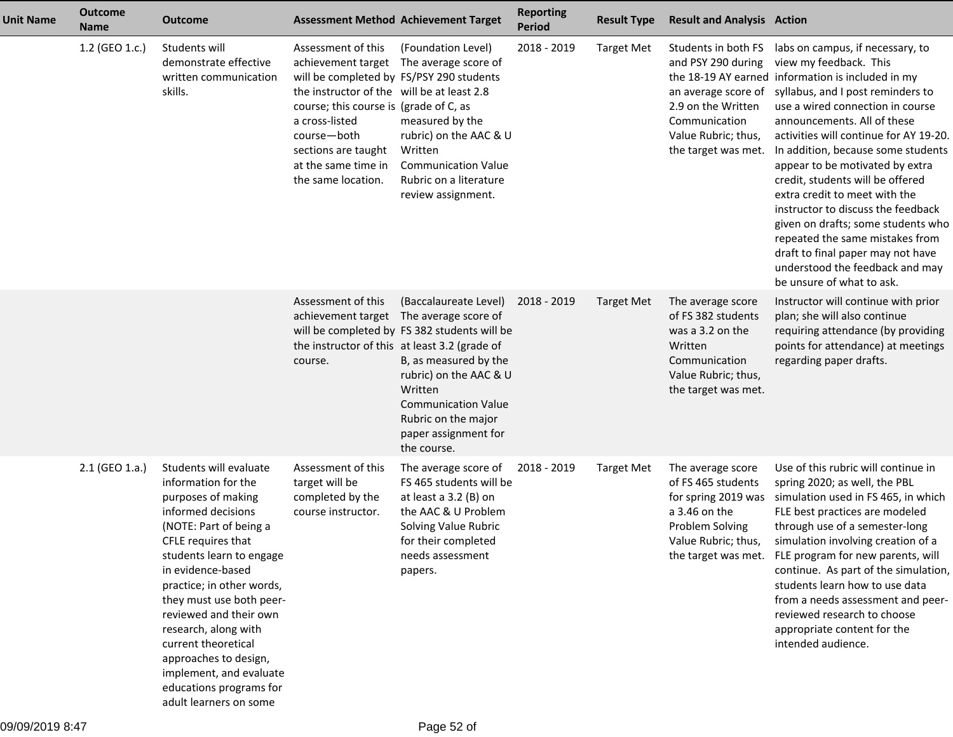| <b>Unit Name</b> | <b>Outcome</b><br><b>Name</b> | <b>Outcome</b>                                                                                                                                                                                                                                                                                                                                                                                                                        |                                                                                                                                                                                                                                                             | <b>Assessment Method Achievement Target</b>                                                                                                                                                                                                                                                                                 | <b>Reporting</b><br><b>Period</b> | <b>Result Type</b> | <b>Result and Analysis Action</b>                                                                                                     |                                                                                                                                                                                                                                                                                                                                                                                                                                                                                                                                                                                                                                                         |
|------------------|-------------------------------|---------------------------------------------------------------------------------------------------------------------------------------------------------------------------------------------------------------------------------------------------------------------------------------------------------------------------------------------------------------------------------------------------------------------------------------|-------------------------------------------------------------------------------------------------------------------------------------------------------------------------------------------------------------------------------------------------------------|-----------------------------------------------------------------------------------------------------------------------------------------------------------------------------------------------------------------------------------------------------------------------------------------------------------------------------|-----------------------------------|--------------------|---------------------------------------------------------------------------------------------------------------------------------------|---------------------------------------------------------------------------------------------------------------------------------------------------------------------------------------------------------------------------------------------------------------------------------------------------------------------------------------------------------------------------------------------------------------------------------------------------------------------------------------------------------------------------------------------------------------------------------------------------------------------------------------------------------|
|                  | 1.2 (GEO 1.c.)                | Students will<br>demonstrate effective<br>written communication<br>skills.                                                                                                                                                                                                                                                                                                                                                            | Assessment of this<br>will be completed by FS/PSY 290 students<br>the instructor of the will be at least 2.8<br>course; this course is (grade of C, as<br>a cross-listed<br>course-both<br>sections are taught<br>at the same time in<br>the same location. | (Foundation Level)<br>achievement target The average score of<br>measured by the<br>rubric) on the AAC & U<br>Written<br><b>Communication Value</b><br>Rubric on a literature<br>review assignment.                                                                                                                         | 2018 - 2019                       | <b>Target Met</b>  | and PSY 290 during<br>an average score of<br>2.9 on the Written<br>Communication<br>Value Rubric; thus,<br>the target was met.        | Students in both FS labs on campus, if necessary, to<br>view my feedback. This<br>the 18-19 AY earned information is included in my<br>syllabus, and I post reminders to<br>use a wired connection in course<br>announcements. All of these<br>activities will continue for AY 19-20.<br>In addition, because some students<br>appear to be motivated by extra<br>credit, students will be offered<br>extra credit to meet with the<br>instructor to discuss the feedback<br>given on drafts; some students who<br>repeated the same mistakes from<br>draft to final paper may not have<br>understood the feedback and may<br>be unsure of what to ask. |
|                  |                               |                                                                                                                                                                                                                                                                                                                                                                                                                                       | Assessment of this<br>course.                                                                                                                                                                                                                               | (Baccalaureate Level)<br>achievement target The average score of<br>will be completed by FS 382 students will be<br>the instructor of this at least 3.2 (grade of<br>B, as measured by the<br>rubric) on the AAC & U<br>Written<br><b>Communication Value</b><br>Rubric on the major<br>paper assignment for<br>the course. | 2018 - 2019                       | <b>Target Met</b>  | The average score<br>of FS 382 students<br>was a 3.2 on the<br>Written<br>Communication<br>Value Rubric; thus,<br>the target was met. | Instructor will continue with prior<br>plan; she will also continue<br>requiring attendance (by providing<br>points for attendance) at meetings<br>regarding paper drafts.                                                                                                                                                                                                                                                                                                                                                                                                                                                                              |
|                  | 2.1 (GEO 1.a.)                | Students will evaluate<br>information for the<br>purposes of making<br>informed decisions<br>(NOTE: Part of being a<br>CFLE requires that<br>students learn to engage<br>in evidence-based<br>practice; in other words,<br>they must use both peer-<br>reviewed and their own<br>research, along with<br>current theoretical<br>approaches to design,<br>implement, and evaluate<br>educations programs for<br>adult learners on some | Assessment of this<br>target will be<br>completed by the<br>course instructor.                                                                                                                                                                              | The average score of<br>FS 465 students will be<br>at least a 3.2 (B) on<br>the AAC & U Problem<br>Solving Value Rubric<br>for their completed<br>needs assessment<br>papers.                                                                                                                                               | 2018 - 2019                       | <b>Target Met</b>  | The average score<br>of FS 465 students<br>for spring 2019 was<br>a 3.46 on the<br>Problem Solving<br>Value Rubric; thus,             | Use of this rubric will continue in<br>spring 2020; as well, the PBL<br>simulation used in FS 465, in which<br>FLE best practices are modeled<br>through use of a semester-long<br>simulation involving creation of a<br>the target was met. FLE program for new parents, will<br>continue. As part of the simulation,<br>students learn how to use data<br>from a needs assessment and peer-<br>reviewed research to choose<br>appropriate content for the<br>intended audience.                                                                                                                                                                       |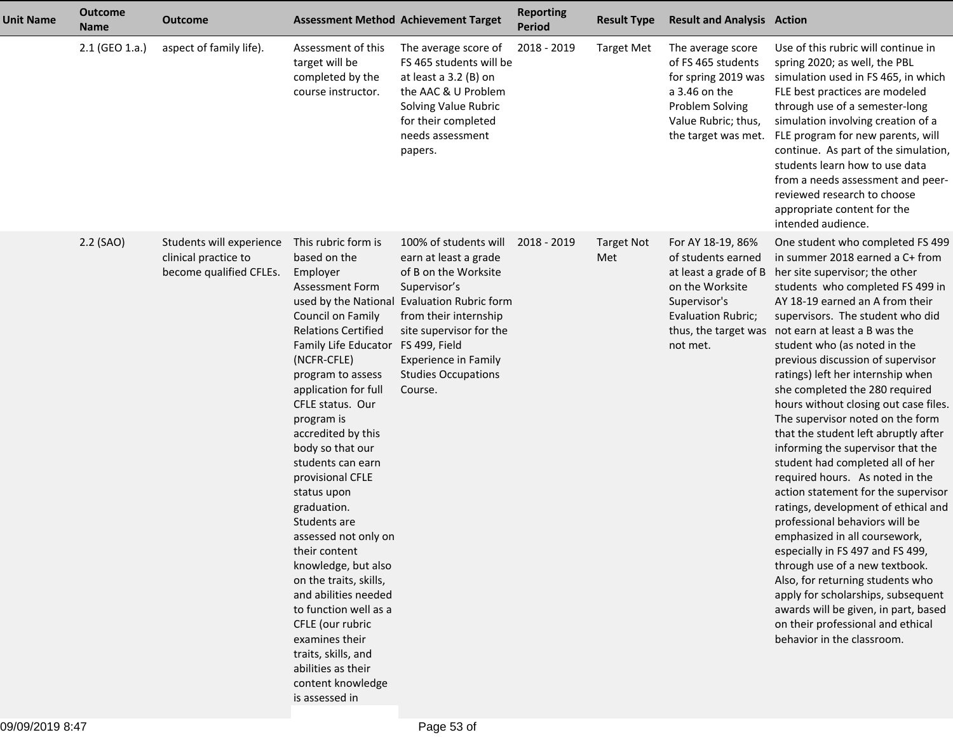| <b>Unit Name</b> | <b>Outcome</b><br><b>Name</b> | <b>Outcome</b>                                                              |                                                                                                                                                                                                                                                                                                                                                                                                                                                                                                                                                                                                                                                                        | <b>Assessment Method Achievement Target</b>                                                                                                                                                                                                                       | <b>Reporting</b><br><b>Period</b> | <b>Result Type</b>       | <b>Result and Analysis Action</b>                                                                                                                             |                                                                                                                                                                                                                                                                                                                                                                                                                                                                                                                                                                                                                                                                                                                                                                                                                                                                                                                                                                                                                                            |
|------------------|-------------------------------|-----------------------------------------------------------------------------|------------------------------------------------------------------------------------------------------------------------------------------------------------------------------------------------------------------------------------------------------------------------------------------------------------------------------------------------------------------------------------------------------------------------------------------------------------------------------------------------------------------------------------------------------------------------------------------------------------------------------------------------------------------------|-------------------------------------------------------------------------------------------------------------------------------------------------------------------------------------------------------------------------------------------------------------------|-----------------------------------|--------------------------|---------------------------------------------------------------------------------------------------------------------------------------------------------------|--------------------------------------------------------------------------------------------------------------------------------------------------------------------------------------------------------------------------------------------------------------------------------------------------------------------------------------------------------------------------------------------------------------------------------------------------------------------------------------------------------------------------------------------------------------------------------------------------------------------------------------------------------------------------------------------------------------------------------------------------------------------------------------------------------------------------------------------------------------------------------------------------------------------------------------------------------------------------------------------------------------------------------------------|
|                  | 2.1 (GEO 1.a.)                | aspect of family life).                                                     | Assessment of this<br>target will be<br>completed by the<br>course instructor.                                                                                                                                                                                                                                                                                                                                                                                                                                                                                                                                                                                         | The average score of<br>FS 465 students will be<br>at least a 3.2 (B) on<br>the AAC & U Problem<br>Solving Value Rubric<br>for their completed<br>needs assessment<br>papers.                                                                                     | 2018 - 2019                       | <b>Target Met</b>        | The average score<br>of FS 465 students<br>for spring 2019 was<br>a 3.46 on the<br>Problem Solving<br>Value Rubric; thus,<br>the target was met.              | Use of this rubric will continue in<br>spring 2020; as well, the PBL<br>simulation used in FS 465, in which<br>FLE best practices are modeled<br>through use of a semester-long<br>simulation involving creation of a<br>FLE program for new parents, will<br>continue. As part of the simulation,<br>students learn how to use data<br>from a needs assessment and peer-<br>reviewed research to choose<br>appropriate content for the<br>intended audience.                                                                                                                                                                                                                                                                                                                                                                                                                                                                                                                                                                              |
|                  | 2.2 (SAO)                     | Students will experience<br>clinical practice to<br>become qualified CFLEs. | This rubric form is<br>based on the<br>Employer<br><b>Assessment Form</b><br>Council on Family<br><b>Relations Certified</b><br>Family Life Educator FS 499, Field<br>(NCFR-CFLE)<br>program to assess<br>application for full<br>CFLE status. Our<br>program is<br>accredited by this<br>body so that our<br>students can earn<br>provisional CFLE<br>status upon<br>graduation.<br>Students are<br>assessed not only on<br>their content<br>knowledge, but also<br>on the traits, skills,<br>and abilities needed<br>to function well as a<br>CFLE (our rubric<br>examines their<br>traits, skills, and<br>abilities as their<br>content knowledge<br>is assessed in | 100% of students will<br>earn at least a grade<br>of B on the Worksite<br>Supervisor's<br>used by the National Evaluation Rubric form<br>from their internship<br>site supervisor for the<br><b>Experience in Family</b><br><b>Studies Occupations</b><br>Course. | 2018 - 2019                       | <b>Target Not</b><br>Met | For AY 18-19, 86%<br>of students earned<br>at least a grade of B<br>on the Worksite<br>Supervisor's<br>Evaluation Rubric;<br>thus, the target was<br>not met. | One student who completed FS 499<br>in summer 2018 earned a C+ from<br>her site supervisor; the other<br>students who completed FS 499 in<br>AY 18-19 earned an A from their<br>supervisors. The student who did<br>not earn at least a B was the<br>student who (as noted in the<br>previous discussion of supervisor<br>ratings) left her internship when<br>she completed the 280 required<br>hours without closing out case files.<br>The supervisor noted on the form<br>that the student left abruptly after<br>informing the supervisor that the<br>student had completed all of her<br>required hours. As noted in the<br>action statement for the supervisor<br>ratings, development of ethical and<br>professional behaviors will be<br>emphasized in all coursework,<br>especially in FS 497 and FS 499,<br>through use of a new textbook.<br>Also, for returning students who<br>apply for scholarships, subsequent<br>awards will be given, in part, based<br>on their professional and ethical<br>behavior in the classroom. |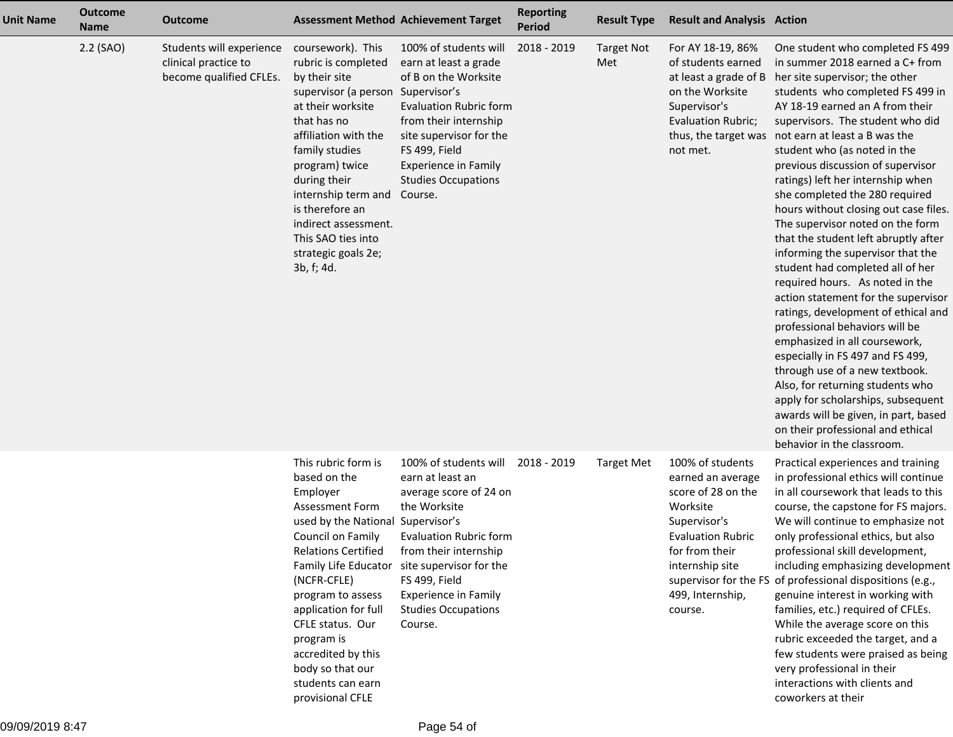| <b>Unit Name</b> | <b>Outcome</b><br><b>Name</b> | <b>Outcome</b>                                                              | <b>Assessment Method Achievement Target</b>                                                                                                                                                                                                                                                                                                                         |                                                                                                                                                                                                                                                            | <b>Reporting</b><br><b>Period</b> | <b>Result Type</b>       | <b>Result and Analysis Action</b>                                                                                                                                                       |                                                                                                                                                                                                                                                                                                                                                                                                                                                                                                                                                                                                                                                                                                                                                                                                                                                                                                                                                                                                                                                                 |
|------------------|-------------------------------|-----------------------------------------------------------------------------|---------------------------------------------------------------------------------------------------------------------------------------------------------------------------------------------------------------------------------------------------------------------------------------------------------------------------------------------------------------------|------------------------------------------------------------------------------------------------------------------------------------------------------------------------------------------------------------------------------------------------------------|-----------------------------------|--------------------------|-----------------------------------------------------------------------------------------------------------------------------------------------------------------------------------------|-----------------------------------------------------------------------------------------------------------------------------------------------------------------------------------------------------------------------------------------------------------------------------------------------------------------------------------------------------------------------------------------------------------------------------------------------------------------------------------------------------------------------------------------------------------------------------------------------------------------------------------------------------------------------------------------------------------------------------------------------------------------------------------------------------------------------------------------------------------------------------------------------------------------------------------------------------------------------------------------------------------------------------------------------------------------|
|                  | 2.2 (SAO)                     | Students will experience<br>clinical practice to<br>become qualified CFLEs. | coursework). This<br>rubric is completed<br>by their site<br>supervisor (a person Supervisor's<br>at their worksite<br>that has no<br>affiliation with the<br>family studies<br>program) twice<br>during their<br>internship term and<br>is therefore an<br>indirect assessment.<br>This SAO ties into<br>strategic goals 2e;<br>3b, f; 4d.                         | 100% of students will<br>earn at least a grade<br>of B on the Worksite<br><b>Evaluation Rubric form</b><br>from their internship<br>site supervisor for the<br>FS 499, Field<br><b>Experience in Family</b><br><b>Studies Occupations</b><br>Course.       | 2018 - 2019                       | <b>Target Not</b><br>Met | For AY 18-19, 86%<br>of students earned<br>at least a grade of B<br>on the Worksite<br>Supervisor's<br>Evaluation Rubric;<br>not met.                                                   | One student who completed FS 499<br>in summer 2018 earned a C+ from<br>her site supervisor; the other<br>students who completed FS 499 in<br>AY 18-19 earned an A from their<br>supervisors. The student who did<br>thus, the target was not earn at least a B was the<br>student who (as noted in the<br>previous discussion of supervisor<br>ratings) left her internship when<br>she completed the 280 required<br>hours without closing out case files.<br>The supervisor noted on the form<br>that the student left abruptly after<br>informing the supervisor that the<br>student had completed all of her<br>required hours. As noted in the<br>action statement for the supervisor<br>ratings, development of ethical and<br>professional behaviors will be<br>emphasized in all coursework,<br>especially in FS 497 and FS 499,<br>through use of a new textbook.<br>Also, for returning students who<br>apply for scholarships, subsequent<br>awards will be given, in part, based<br>on their professional and ethical<br>behavior in the classroom. |
|                  |                               |                                                                             | This rubric form is<br>based on the<br>Employer<br>Assessment Form<br>used by the National Supervisor's<br>Council on Family<br><b>Relations Certified</b><br>Family Life Educator<br>(NCFR-CFLE)<br>program to assess<br>application for full<br>CFLE status. Our<br>program is<br>accredited by this<br>body so that our<br>students can earn<br>provisional CFLE | 100% of students will<br>earn at least an<br>average score of 24 on<br>the Worksite<br>Evaluation Rubric form<br>from their internship<br>site supervisor for the<br>FS 499, Field<br><b>Experience in Family</b><br><b>Studies Occupations</b><br>Course. | 2018 - 2019                       | <b>Target Met</b>        | 100% of students<br>earned an average<br>score of 28 on the<br>Worksite<br>Supervisor's<br><b>Evaluation Rubric</b><br>for from their<br>internship site<br>499, Internship,<br>course. | Practical experiences and training<br>in professional ethics will continue<br>in all coursework that leads to this<br>course, the capstone for FS majors.<br>We will continue to emphasize not<br>only professional ethics, but also<br>professional skill development,<br>including emphasizing development<br>supervisor for the FS of professional dispositions (e.g.,<br>genuine interest in working with<br>families, etc.) required of CFLEs.<br>While the average score on this<br>rubric exceeded the target, and a<br>few students were praised as being<br>very professional in their<br>interactions with clients and<br>coworkers at their                                                                                                                                                                                                                                                                                                                                                                                                          |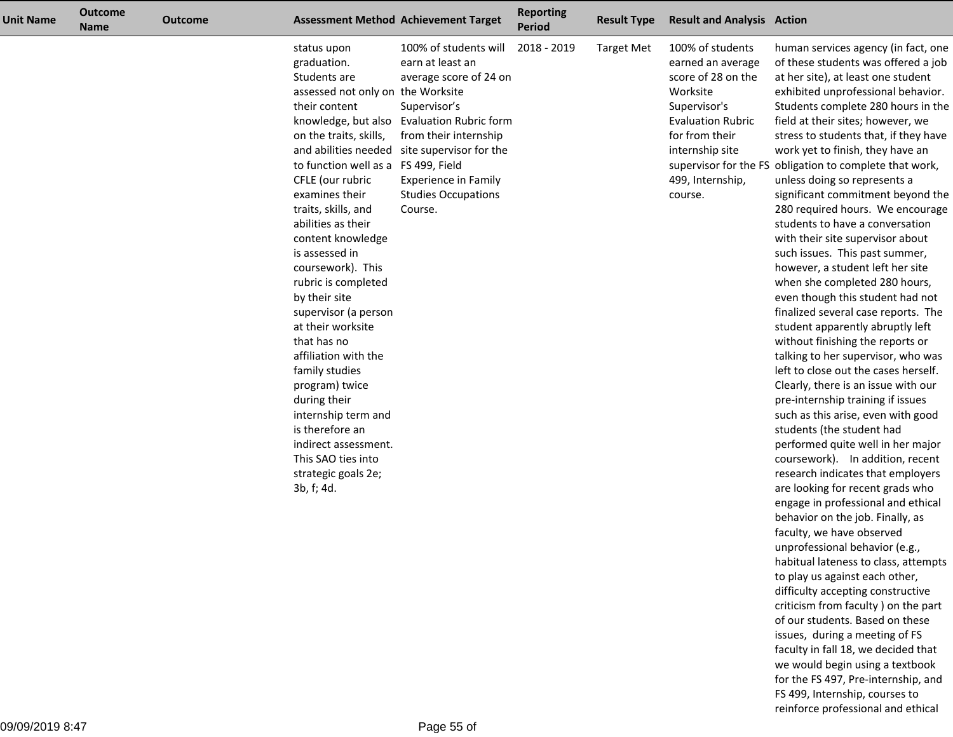| <b>Unit Name</b> | <b>Outcome</b><br><b>Name</b> | <b>Outcome</b> |                                                                                                                                                                                                                                                                                                                                                                                                                                                                                                                                                                                                                               | <b>Assessment Method Achievement Target</b>                                                                                                                                                                                                                                        | <b>Reporting</b><br><b>Period</b> | <b>Result Type</b> | <b>Result and Analysis Action</b>                                                                                                                                                       |                                                                                                                                                                                                                                                                                                                                                                                                                                                                                                                                                                                                                                                                                                                                                                                                                                                                                                                                                                                                                                                                                                                                                                                                                                                                                                                                                                                                                                                                                                   |
|------------------|-------------------------------|----------------|-------------------------------------------------------------------------------------------------------------------------------------------------------------------------------------------------------------------------------------------------------------------------------------------------------------------------------------------------------------------------------------------------------------------------------------------------------------------------------------------------------------------------------------------------------------------------------------------------------------------------------|------------------------------------------------------------------------------------------------------------------------------------------------------------------------------------------------------------------------------------------------------------------------------------|-----------------------------------|--------------------|-----------------------------------------------------------------------------------------------------------------------------------------------------------------------------------------|---------------------------------------------------------------------------------------------------------------------------------------------------------------------------------------------------------------------------------------------------------------------------------------------------------------------------------------------------------------------------------------------------------------------------------------------------------------------------------------------------------------------------------------------------------------------------------------------------------------------------------------------------------------------------------------------------------------------------------------------------------------------------------------------------------------------------------------------------------------------------------------------------------------------------------------------------------------------------------------------------------------------------------------------------------------------------------------------------------------------------------------------------------------------------------------------------------------------------------------------------------------------------------------------------------------------------------------------------------------------------------------------------------------------------------------------------------------------------------------------------|
|                  |                               |                | status upon<br>graduation.<br>Students are<br>assessed not only on the Worksite<br>their content<br>on the traits, skills,<br>to function well as a FS 499, Field<br>CFLE (our rubric<br>examines their<br>traits, skills, and<br>abilities as their<br>content knowledge<br>is assessed in<br>coursework). This<br>rubric is completed<br>by their site<br>supervisor (a person<br>at their worksite<br>that has no<br>affiliation with the<br>family studies<br>program) twice<br>during their<br>internship term and<br>is therefore an<br>indirect assessment.<br>This SAO ties into<br>strategic goals 2e;<br>3b, f; 4d. | 100% of students will<br>earn at least an<br>average score of 24 on<br>Supervisor's<br>knowledge, but also Evaluation Rubric form<br>from their internship<br>and abilities needed site supervisor for the<br><b>Experience in Family</b><br><b>Studies Occupations</b><br>Course. | 2018 - 2019                       | <b>Target Met</b>  | 100% of students<br>earned an average<br>score of 28 on the<br>Worksite<br>Supervisor's<br><b>Evaluation Rubric</b><br>for from their<br>internship site<br>499, Internship,<br>course. | human services agency (in fact, one<br>of these students was offered a job<br>at her site), at least one student<br>exhibited unprofessional behavior.<br>Students complete 280 hours in the<br>field at their sites; however, we<br>stress to students that, if they have<br>work yet to finish, they have an<br>supervisor for the FS obligation to complete that work,<br>unless doing so represents a<br>significant commitment beyond the<br>280 required hours. We encourage<br>students to have a conversation<br>with their site supervisor about<br>such issues. This past summer,<br>however, a student left her site<br>when she completed 280 hours,<br>even though this student had not<br>finalized several case reports. The<br>student apparently abruptly left<br>without finishing the reports or<br>talking to her supervisor, who was<br>left to close out the cases herself.<br>Clearly, there is an issue with our<br>pre-internship training if issues<br>such as this arise, even with good<br>students (the student had<br>performed quite well in her major<br>coursework). In addition, recent<br>research indicates that employers<br>are looking for recent grads who<br>engage in professional and ethical<br>behavior on the job. Finally, as<br>faculty, we have observed<br>unprofessional behavior (e.g.,<br>habitual lateness to class, attempts<br>to play us against each other,<br>difficulty accepting constructive<br>criticism from faculty) on the part |

of our students. Based on these issues, during a meeting of FS faculty in fall 18, we decided that we would begin using a textbook for the FS 497, Pre-internship, andFS 499, Internship, courses toreinforce professional and ethical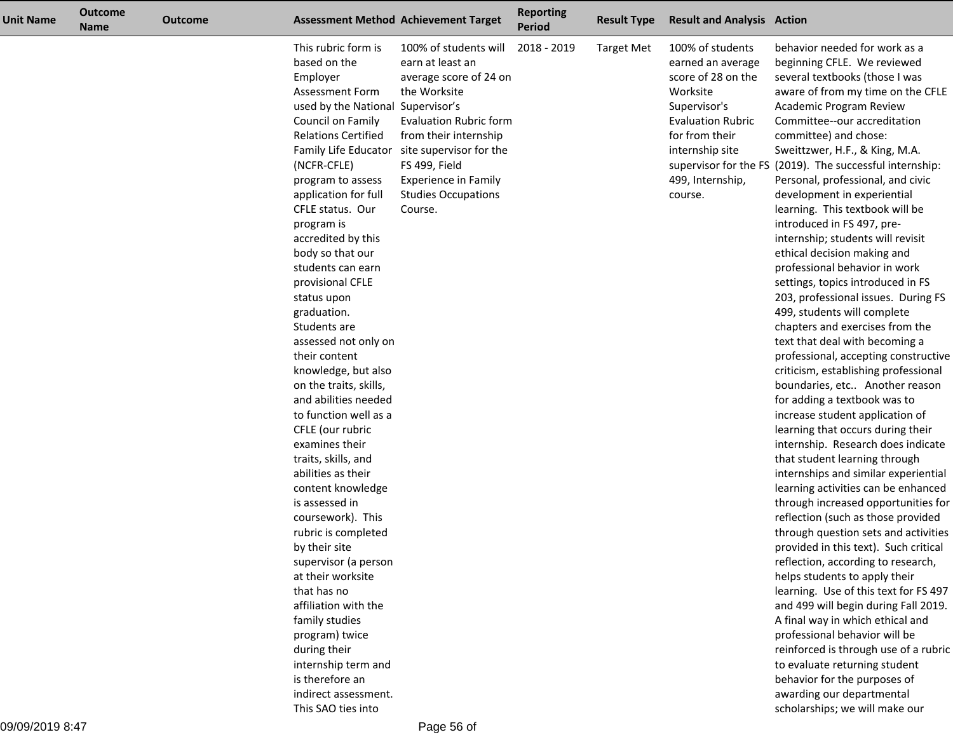| Unit Name | <b>Outcome</b><br><b>Name</b> | <b>Outcome</b> |                                                                                                                                                                                                                                                                                                                                                                                                                                                                                                                                                                                                                                                                                                                                                                                                                                   | <b>Assessment Method Achievement Target</b>                                                                                                                                                                                                                                            | <b>Reporting</b><br><b>Period</b> | <b>Result Type</b> | <b>Result and Analysis Action</b>                                                                                                                                                       |                                                                                                                                                                                                                                                                                                                                                                                                                                                                                                                                                                                                                                                                                                                                                                                                                                                                                                                                                                                                                                                                                                                                                                                                                                                                                                                                                                                                                                                                                           |
|-----------|-------------------------------|----------------|-----------------------------------------------------------------------------------------------------------------------------------------------------------------------------------------------------------------------------------------------------------------------------------------------------------------------------------------------------------------------------------------------------------------------------------------------------------------------------------------------------------------------------------------------------------------------------------------------------------------------------------------------------------------------------------------------------------------------------------------------------------------------------------------------------------------------------------|----------------------------------------------------------------------------------------------------------------------------------------------------------------------------------------------------------------------------------------------------------------------------------------|-----------------------------------|--------------------|-----------------------------------------------------------------------------------------------------------------------------------------------------------------------------------------|-------------------------------------------------------------------------------------------------------------------------------------------------------------------------------------------------------------------------------------------------------------------------------------------------------------------------------------------------------------------------------------------------------------------------------------------------------------------------------------------------------------------------------------------------------------------------------------------------------------------------------------------------------------------------------------------------------------------------------------------------------------------------------------------------------------------------------------------------------------------------------------------------------------------------------------------------------------------------------------------------------------------------------------------------------------------------------------------------------------------------------------------------------------------------------------------------------------------------------------------------------------------------------------------------------------------------------------------------------------------------------------------------------------------------------------------------------------------------------------------|
|           |                               |                | This rubric form is<br>based on the<br>Employer<br>Assessment Form<br>used by the National Supervisor's<br>Council on Family<br><b>Relations Certified</b><br>(NCFR-CFLE)<br>program to assess<br>application for full<br>CFLE status. Our<br>program is<br>accredited by this<br>body so that our<br>students can earn<br>provisional CFLE<br>status upon<br>graduation.<br>Students are<br>assessed not only on<br>their content<br>knowledge, but also<br>on the traits, skills,<br>and abilities needed<br>to function well as a<br>CFLE (our rubric<br>examines their<br>traits, skills, and<br>abilities as their<br>content knowledge<br>is assessed in<br>coursework). This<br>rubric is completed<br>by their site<br>supervisor (a person<br>at their worksite<br>that has no<br>affiliation with the<br>family studies | 100% of students will<br>earn at least an<br>average score of 24 on<br>the Worksite<br><b>Evaluation Rubric form</b><br>from their internship<br>Family Life Educator site supervisor for the<br>FS 499, Field<br><b>Experience in Family</b><br><b>Studies Occupations</b><br>Course. | 2018 - 2019                       | Target Met         | 100% of students<br>earned an average<br>score of 28 on the<br>Worksite<br>Supervisor's<br><b>Evaluation Rubric</b><br>for from their<br>internship site<br>499, Internship,<br>course. | behavior needed for work as a<br>beginning CFLE. We reviewed<br>several textbooks (those I was<br>aware of from my time on the CFLE<br>Academic Program Review<br>Committee--our accreditation<br>committee) and chose:<br>Sweittzwer, H.F., & King, M.A.<br>supervisor for the FS (2019). The successful internship:<br>Personal, professional, and civic<br>development in experiential<br>learning. This textbook will be<br>introduced in FS 497, pre-<br>internship; students will revisit<br>ethical decision making and<br>professional behavior in work<br>settings, topics introduced in FS<br>203, professional issues. During FS<br>499, students will complete<br>chapters and exercises from the<br>text that deal with becoming a<br>professional, accepting constructive<br>criticism, establishing professional<br>boundaries, etc Another reason<br>for adding a textbook was to<br>increase student application of<br>learning that occurs during their<br>internship. Research does indicate<br>that student learning through<br>internships and similar experiential<br>learning activities can be enhanced<br>through increased opportunities for<br>reflection (such as those provided<br>through question sets and activities<br>provided in this text). Such critical<br>reflection, according to research,<br>helps students to apply their<br>learning. Use of this text for FS 497<br>and 499 will begin during Fall 2019.<br>A final way in which ethical and |
|           |                               |                | program) twice<br>during their<br>internship term and                                                                                                                                                                                                                                                                                                                                                                                                                                                                                                                                                                                                                                                                                                                                                                             |                                                                                                                                                                                                                                                                                        |                                   |                    |                                                                                                                                                                                         | professional behavior will be<br>reinforced is through use of a rubric<br>to evaluate returning student                                                                                                                                                                                                                                                                                                                                                                                                                                                                                                                                                                                                                                                                                                                                                                                                                                                                                                                                                                                                                                                                                                                                                                                                                                                                                                                                                                                   |
|           |                               |                | is therefore an<br>indirect assessment.<br>This SAO ties into                                                                                                                                                                                                                                                                                                                                                                                                                                                                                                                                                                                                                                                                                                                                                                     |                                                                                                                                                                                                                                                                                        |                                   |                    |                                                                                                                                                                                         | behavior for the purposes of<br>awarding our departmental<br>scholarships; we will make our                                                                                                                                                                                                                                                                                                                                                                                                                                                                                                                                                                                                                                                                                                                                                                                                                                                                                                                                                                                                                                                                                                                                                                                                                                                                                                                                                                                               |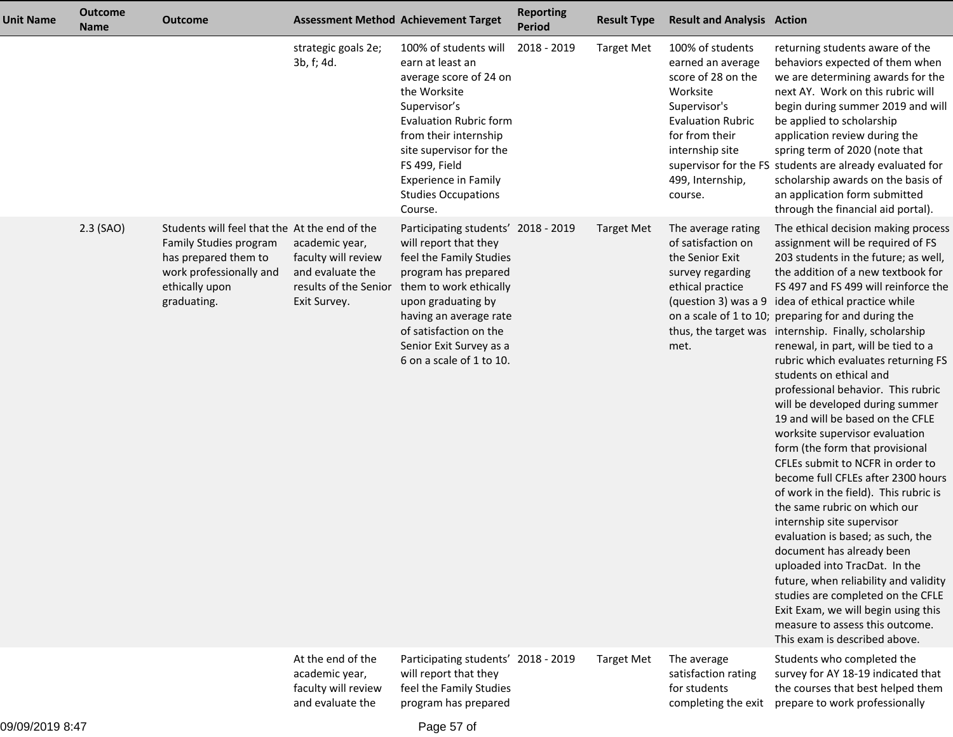| <b>Unit Name</b> | <b>Outcome</b><br><b>Name</b> | <b>Outcome</b>                                                                                                                                              |                                                                                                    | <b>Assessment Method Achievement Target</b>                                                                                                                                                                                                                                       | <b>Reporting</b><br><b>Period</b> | <b>Result Type</b> | <b>Result and Analysis Action</b>                                                                                                                                                       |                                                                                                                                                                                                                                                                                                                                                                                                                                                                                                                                                                                                                                                                                                                                                                                                                                                                                                                                                                                                                                                                                                                                               |
|------------------|-------------------------------|-------------------------------------------------------------------------------------------------------------------------------------------------------------|----------------------------------------------------------------------------------------------------|-----------------------------------------------------------------------------------------------------------------------------------------------------------------------------------------------------------------------------------------------------------------------------------|-----------------------------------|--------------------|-----------------------------------------------------------------------------------------------------------------------------------------------------------------------------------------|-----------------------------------------------------------------------------------------------------------------------------------------------------------------------------------------------------------------------------------------------------------------------------------------------------------------------------------------------------------------------------------------------------------------------------------------------------------------------------------------------------------------------------------------------------------------------------------------------------------------------------------------------------------------------------------------------------------------------------------------------------------------------------------------------------------------------------------------------------------------------------------------------------------------------------------------------------------------------------------------------------------------------------------------------------------------------------------------------------------------------------------------------|
|                  |                               |                                                                                                                                                             | strategic goals 2e;<br>3b, f; 4d.                                                                  | 100% of students will<br>earn at least an<br>average score of 24 on<br>the Worksite<br>Supervisor's<br><b>Evaluation Rubric form</b><br>from their internship<br>site supervisor for the<br>FS 499, Field<br><b>Experience in Family</b><br><b>Studies Occupations</b><br>Course. | 2018 - 2019                       | <b>Target Met</b>  | 100% of students<br>earned an average<br>score of 28 on the<br>Worksite<br>Supervisor's<br><b>Evaluation Rubric</b><br>for from their<br>internship site<br>499, Internship,<br>course. | returning students aware of the<br>behaviors expected of them when<br>we are determining awards for the<br>next AY. Work on this rubric will<br>begin during summer 2019 and will<br>be applied to scholarship<br>application review during the<br>spring term of 2020 (note that<br>supervisor for the FS students are already evaluated for<br>scholarship awards on the basis of<br>an application form submitted<br>through the financial aid portal).                                                                                                                                                                                                                                                                                                                                                                                                                                                                                                                                                                                                                                                                                    |
|                  | $2.3$ (SAO)                   | Students will feel that the At the end of the<br>Family Studies program<br>has prepared them to<br>work professionally and<br>ethically upon<br>graduating. | academic year,<br>faculty will review<br>and evaluate the<br>results of the Senior<br>Exit Survey. | Participating students' 2018 - 2019<br>will report that they<br>feel the Family Studies<br>program has prepared<br>them to work ethically<br>upon graduating by<br>having an average rate<br>of satisfaction on the<br>Senior Exit Survey as a<br>6 on a scale of 1 to 10.        |                                   | <b>Target Met</b>  | The average rating<br>of satisfaction on<br>the Senior Exit<br>survey regarding<br>ethical practice<br>met.                                                                             | The ethical decision making process<br>assignment will be required of FS<br>203 students in the future; as well,<br>the addition of a new textbook for<br>FS 497 and FS 499 will reinforce the<br>(question 3) was a 9 idea of ethical practice while<br>on a scale of 1 to 10; preparing for and during the<br>thus, the target was internship. Finally, scholarship<br>renewal, in part, will be tied to a<br>rubric which evaluates returning FS<br>students on ethical and<br>professional behavior. This rubric<br>will be developed during summer<br>19 and will be based on the CFLE<br>worksite supervisor evaluation<br>form (the form that provisional<br>CFLEs submit to NCFR in order to<br>become full CFLEs after 2300 hours<br>of work in the field). This rubric is<br>the same rubric on which our<br>internship site supervisor<br>evaluation is based; as such, the<br>document has already been<br>uploaded into TracDat. In the<br>future, when reliability and validity<br>studies are completed on the CFLE<br>Exit Exam, we will begin using this<br>measure to assess this outcome.<br>This exam is described above. |
|                  |                               |                                                                                                                                                             | At the end of the<br>academic year,<br>faculty will review<br>and evaluate the                     | Participating students' 2018 - 2019<br>will report that they<br>feel the Family Studies<br>program has prepared                                                                                                                                                                   |                                   | <b>Target Met</b>  | The average<br>satisfaction rating<br>for students<br>completing the exit                                                                                                               | Students who completed the<br>survey for AY 18-19 indicated that<br>the courses that best helped them<br>prepare to work professionally                                                                                                                                                                                                                                                                                                                                                                                                                                                                                                                                                                                                                                                                                                                                                                                                                                                                                                                                                                                                       |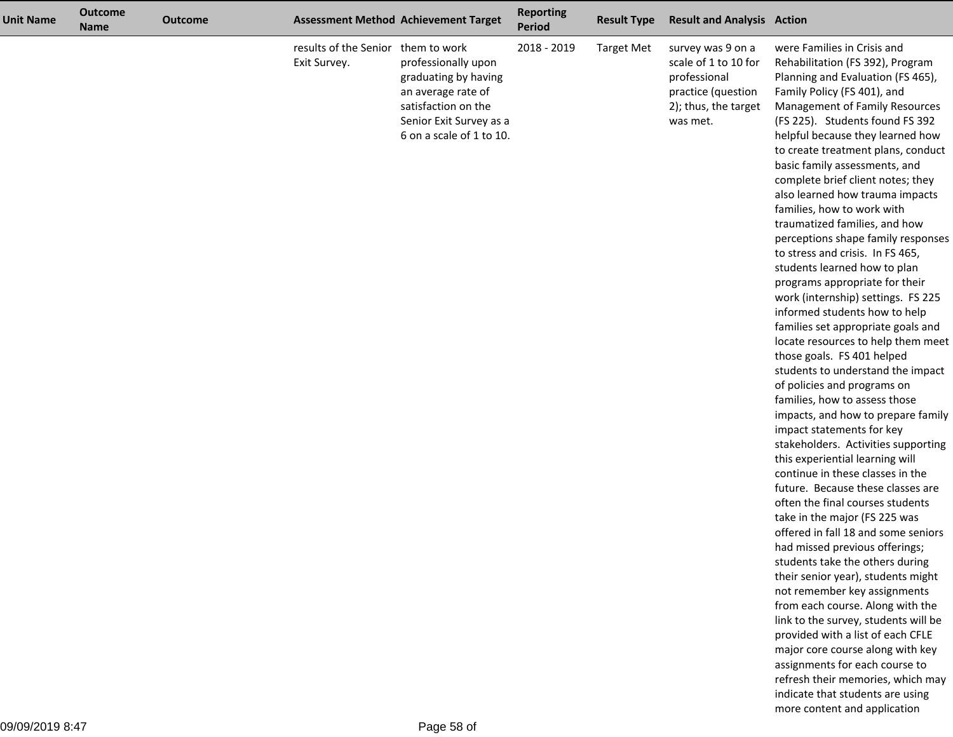| <b>Unit Name</b> | <b>Outcome</b><br><b>Name</b> | <b>Outcome</b> |                                                    | <b>Assessment Method Achievement Target</b>                                                                                                     | <b>Reporting</b><br><b>Period</b> | <b>Result Type</b> | <b>Result and Analysis Action</b>                                                                                   |                                                                                                                                                                                                                                                                                                                                                                                                                                                                                                                                                                                                                                                                                                                                                                                                                                                                                                                                                                                                                                                                                                                                                                                                                                                                                                                                                                                                                                                                                                                                                                                                                                                                           |
|------------------|-------------------------------|----------------|----------------------------------------------------|-------------------------------------------------------------------------------------------------------------------------------------------------|-----------------------------------|--------------------|---------------------------------------------------------------------------------------------------------------------|---------------------------------------------------------------------------------------------------------------------------------------------------------------------------------------------------------------------------------------------------------------------------------------------------------------------------------------------------------------------------------------------------------------------------------------------------------------------------------------------------------------------------------------------------------------------------------------------------------------------------------------------------------------------------------------------------------------------------------------------------------------------------------------------------------------------------------------------------------------------------------------------------------------------------------------------------------------------------------------------------------------------------------------------------------------------------------------------------------------------------------------------------------------------------------------------------------------------------------------------------------------------------------------------------------------------------------------------------------------------------------------------------------------------------------------------------------------------------------------------------------------------------------------------------------------------------------------------------------------------------------------------------------------------------|
|                  |                               |                | results of the Senior them to work<br>Exit Survey. | professionally upon<br>graduating by having<br>an average rate of<br>satisfaction on the<br>Senior Exit Survey as a<br>6 on a scale of 1 to 10. | 2018 - 2019                       | <b>Target Met</b>  | survey was 9 on a<br>scale of 1 to 10 for<br>professional<br>practice (question<br>2); thus, the target<br>was met. | were Families in Crisis and<br>Rehabilitation (FS 392), Program<br>Planning and Evaluation (FS 465),<br>Family Policy (FS 401), and<br>Management of Family Resources<br>(FS 225). Students found FS 392<br>helpful because they learned how<br>to create treatment plans, conduct<br>basic family assessments, and<br>complete brief client notes; they<br>also learned how trauma impacts<br>families, how to work with<br>traumatized families, and how<br>perceptions shape family responses<br>to stress and crisis. In FS 465,<br>students learned how to plan<br>programs appropriate for their<br>work (internship) settings. FS 225<br>informed students how to help<br>families set appropriate goals and<br>locate resources to help them meet<br>those goals. FS 401 helped<br>students to understand the impact<br>of policies and programs on<br>families, how to assess those<br>impacts, and how to prepare family<br>impact statements for key<br>stakeholders. Activities supporting<br>this experiential learning will<br>continue in these classes in the<br>future. Because these classes are<br>often the final courses students<br>take in the major (FS 225 was<br>offered in fall 18 and some seniors<br>had missed previous offerings;<br>students take the others during<br>their senior year), students might<br>not remember key assignments<br>from each course. Along with the<br>link to the survey, students will be<br>provided with a list of each CFLE<br>major core course along with key<br>assignments for each course to<br>refresh their memories, which may<br>indicate that students are using<br>more content and application |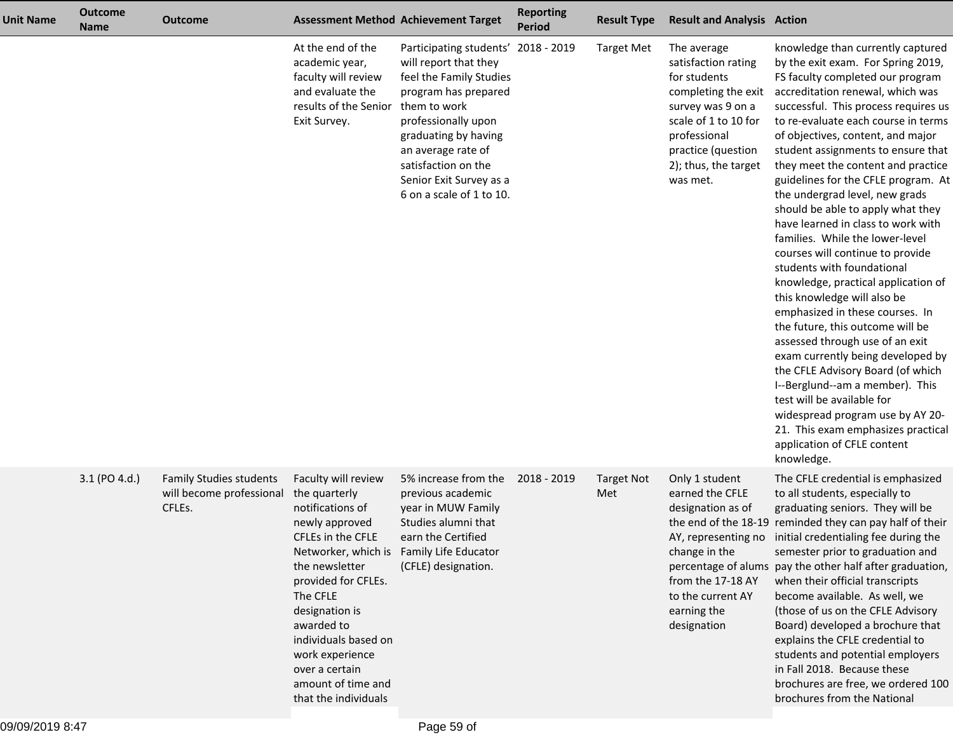| <b>Unit Name</b> | <b>Outcome</b><br><b>Name</b> | <b>Outcome</b>                                                       |                                                                                                                                                                                                                                                                                                 | <b>Assessment Method Achievement Target</b>                                                                                                                                                                                                                                        | <b>Reporting</b><br><b>Period</b> | <b>Result Type</b>       | <b>Result and Analysis Action</b>                                                                                                                                                                |                                                                                                                                                                                                                                                                                                                                                                                                                                                                                                                                                                                                                                                                                                                                                                                                                                                                                                                                                                                                                                                            |
|------------------|-------------------------------|----------------------------------------------------------------------|-------------------------------------------------------------------------------------------------------------------------------------------------------------------------------------------------------------------------------------------------------------------------------------------------|------------------------------------------------------------------------------------------------------------------------------------------------------------------------------------------------------------------------------------------------------------------------------------|-----------------------------------|--------------------------|--------------------------------------------------------------------------------------------------------------------------------------------------------------------------------------------------|------------------------------------------------------------------------------------------------------------------------------------------------------------------------------------------------------------------------------------------------------------------------------------------------------------------------------------------------------------------------------------------------------------------------------------------------------------------------------------------------------------------------------------------------------------------------------------------------------------------------------------------------------------------------------------------------------------------------------------------------------------------------------------------------------------------------------------------------------------------------------------------------------------------------------------------------------------------------------------------------------------------------------------------------------------|
|                  |                               |                                                                      | At the end of the<br>academic year,<br>faculty will review<br>and evaluate the<br>results of the Senior<br>Exit Survey.                                                                                                                                                                         | Participating students' 2018 - 2019<br>will report that they<br>feel the Family Studies<br>program has prepared<br>them to work<br>professionally upon<br>graduating by having<br>an average rate of<br>satisfaction on the<br>Senior Exit Survey as a<br>6 on a scale of 1 to 10. |                                   | <b>Target Met</b>        | The average<br>satisfaction rating<br>for students<br>completing the exit<br>survey was 9 on a<br>scale of 1 to 10 for<br>professional<br>practice (question<br>2); thus, the target<br>was met. | knowledge than currently captured<br>by the exit exam. For Spring 2019,<br>FS faculty completed our program<br>accreditation renewal, which was<br>successful. This process requires us<br>to re-evaluate each course in terms<br>of objectives, content, and major<br>student assignments to ensure that<br>they meet the content and practice<br>guidelines for the CFLE program. At<br>the undergrad level, new grads<br>should be able to apply what they<br>have learned in class to work with<br>families. While the lower-level<br>courses will continue to provide<br>students with foundational<br>knowledge, practical application of<br>this knowledge will also be<br>emphasized in these courses. In<br>the future, this outcome will be<br>assessed through use of an exit<br>exam currently being developed by<br>the CFLE Advisory Board (of which<br>I--Berglund--am a member). This<br>test will be available for<br>widespread program use by AY 20-<br>21. This exam emphasizes practical<br>application of CFLE content<br>knowledge. |
|                  | 3.1 (PO 4.d.)                 | <b>Family Studies students</b><br>will become professional<br>CFLEs. | Faculty will review<br>the quarterly<br>notifications of<br>newly approved<br>CFLEs in the CFLE<br>the newsletter<br>provided for CFLEs.<br>The CFLE<br>designation is<br>awarded to<br>individuals based on<br>work experience<br>over a certain<br>amount of time and<br>that the individuals | 5% increase from the<br>previous academic<br>year in MUW Family<br>Studies alumni that<br>earn the Certified<br>Networker, which is Family Life Educator<br>(CFLE) designation.                                                                                                    | 2018 - 2019                       | <b>Target Not</b><br>Met | Only 1 student<br>earned the CFLE<br>designation as of<br>change in the<br>from the 17-18 AY<br>to the current AY<br>earning the<br>designation                                                  | The CFLE credential is emphasized<br>to all students, especially to<br>graduating seniors. They will be<br>the end of the 18-19 reminded they can pay half of their<br>AY, representing no initial credentialing fee during the<br>semester prior to graduation and<br>percentage of alums pay the other half after graduation,<br>when their official transcripts<br>become available. As well, we<br>(those of us on the CFLE Advisory<br>Board) developed a brochure that<br>explains the CFLE credential to<br>students and potential employers<br>in Fall 2018. Because these<br>brochures are free, we ordered 100<br>brochures from the National                                                                                                                                                                                                                                                                                                                                                                                                    |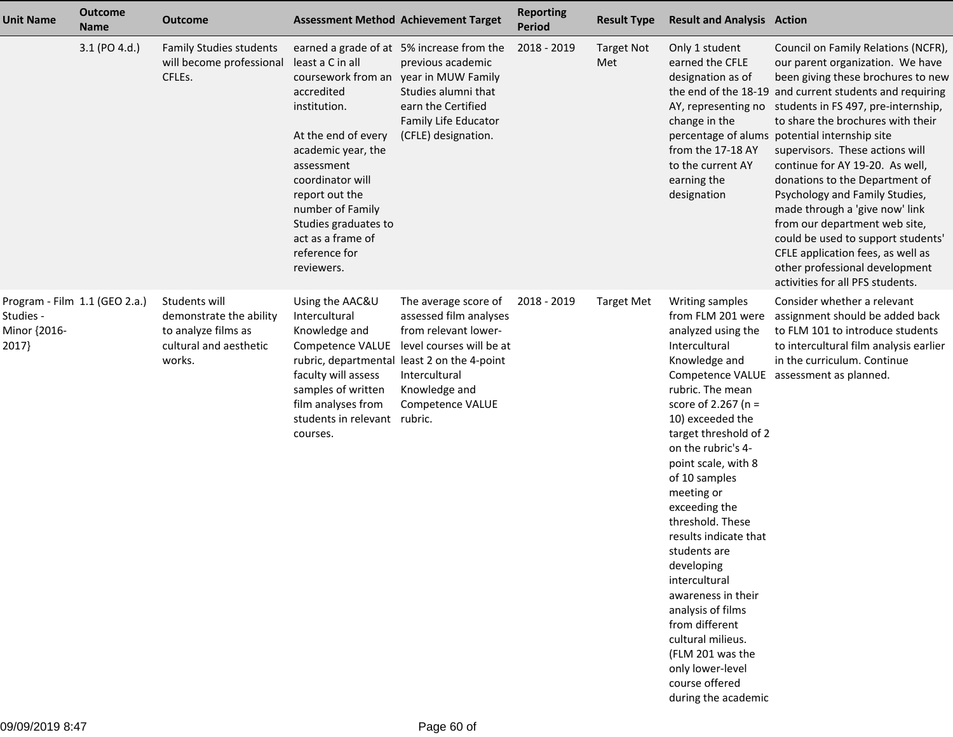| <b>Unit Name</b>                                                   | <b>Outcome</b><br><b>Name</b> | <b>Outcome</b>                                                                                      | <b>Assessment Method Achievement Target</b>                                                                                                                                                                                                                           |                                                                                                                                                                                                         | <b>Reporting</b><br>Period | <b>Result Type</b>       | <b>Result and Analysis Action</b>                                                                                                                                                                                                                                                                                                                                                                                                                                                                                                                   |                                                                                                                                                                                                                                                                                                                                                                                                                                                                                                                                                                                                                                                                                         |
|--------------------------------------------------------------------|-------------------------------|-----------------------------------------------------------------------------------------------------|-----------------------------------------------------------------------------------------------------------------------------------------------------------------------------------------------------------------------------------------------------------------------|---------------------------------------------------------------------------------------------------------------------------------------------------------------------------------------------------------|----------------------------|--------------------------|-----------------------------------------------------------------------------------------------------------------------------------------------------------------------------------------------------------------------------------------------------------------------------------------------------------------------------------------------------------------------------------------------------------------------------------------------------------------------------------------------------------------------------------------------------|-----------------------------------------------------------------------------------------------------------------------------------------------------------------------------------------------------------------------------------------------------------------------------------------------------------------------------------------------------------------------------------------------------------------------------------------------------------------------------------------------------------------------------------------------------------------------------------------------------------------------------------------------------------------------------------------|
|                                                                    | 3.1 (PO 4.d.)                 | <b>Family Studies students</b><br>will become professional<br>CFLEs.                                | least a C in all<br>coursework from an<br>accredited<br>institution.<br>At the end of every<br>academic year, the<br>assessment<br>coordinator will<br>report out the<br>number of Family<br>Studies graduates to<br>act as a frame of<br>reference for<br>reviewers. | earned a grade of at 5% increase from the<br>previous academic<br>year in MUW Family<br>Studies alumni that<br>earn the Certified<br>Family Life Educator<br>(CFLE) designation.                        | 2018 - 2019                | <b>Target Not</b><br>Met | Only 1 student<br>earned the CFLE<br>designation as of<br>change in the<br>from the 17-18 AY<br>to the current AY<br>earning the<br>designation                                                                                                                                                                                                                                                                                                                                                                                                     | Council on Family Relations (NCFR),<br>our parent organization. We have<br>been giving these brochures to new<br>the end of the 18-19 and current students and requiring<br>AY, representing no students in FS 497, pre-internship,<br>to share the brochures with their<br>percentage of alums potential internship site<br>supervisors. These actions will<br>continue for AY 19-20. As well,<br>donations to the Department of<br>Psychology and Family Studies,<br>made through a 'give now' link<br>from our department web site,<br>could be used to support students'<br>CFLE application fees, as well as<br>other professional development<br>activities for all PFS students. |
| Program - Film 1.1 (GEO 2.a.)<br>Studies -<br>Minor {2016-<br>2017 |                               | Students will<br>demonstrate the ability<br>to analyze films as<br>cultural and aesthetic<br>works. | Using the AAC&U<br>Intercultural<br>Knowledge and<br>Competence VALUE<br>faculty will assess<br>samples of written<br>film analyses from<br>students in relevant rubric.<br>courses.                                                                                  | The average score of<br>assessed film analyses<br>from relevant lower-<br>level courses will be at<br>rubric, departmental least 2 on the 4-point<br>Intercultural<br>Knowledge and<br>Competence VALUE | 2018 - 2019                | <b>Target Met</b>        | Writing samples<br>from FLM 201 were<br>analyzed using the<br>Intercultural<br>Knowledge and<br>rubric. The mean<br>score of 2.267 ( $n =$<br>10) exceeded the<br>target threshold of 2<br>on the rubric's 4-<br>point scale, with 8<br>of 10 samples<br>meeting or<br>exceeding the<br>threshold. These<br>results indicate that<br>students are<br>developing<br>intercultural<br>awareness in their<br>analysis of films<br>from different<br>cultural milieus.<br>(FLM 201 was the<br>only lower-level<br>course offered<br>during the academic | Consider whether a relevant<br>assignment should be added back<br>to FLM 101 to introduce students<br>to intercultural film analysis earlier<br>in the curriculum. Continue<br>Competence VALUE assessment as planned.                                                                                                                                                                                                                                                                                                                                                                                                                                                                  |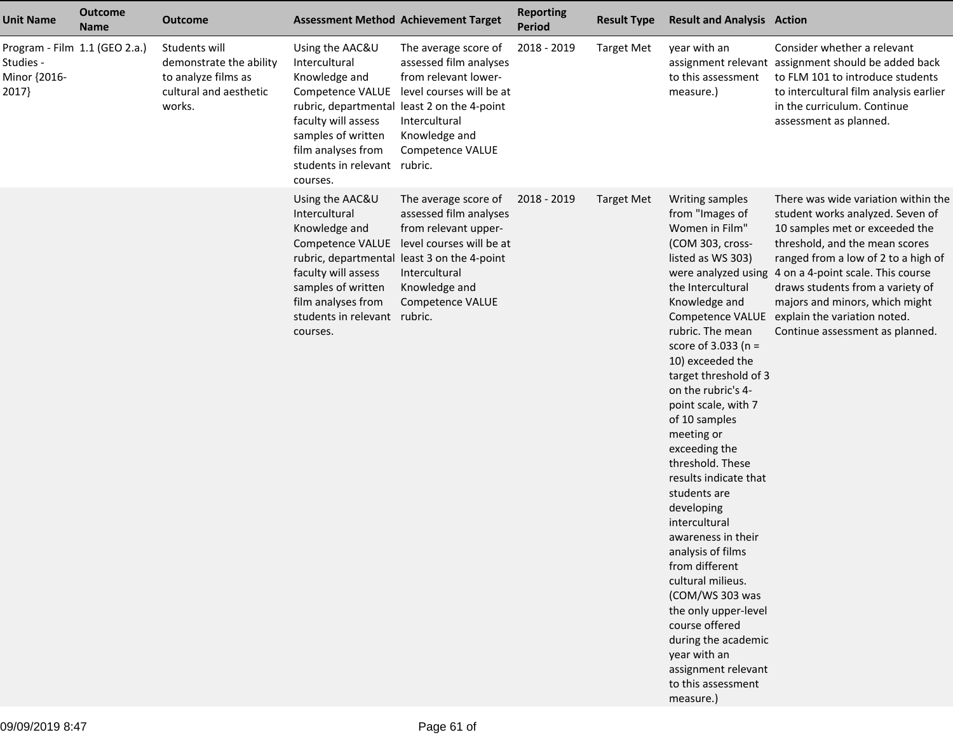| <b>Unit Name</b>                   | <b>Outcome</b><br><b>Name</b> | <b>Outcome</b>                                                                                      |                                                                                                                                                                  | <b>Assessment Method Achievement Target</b>                                                                                                                                                                              | <b>Reporting</b><br><b>Period</b> | <b>Result Type</b> | <b>Result and Analysis Action</b>                                                                                                                                                                                                                                                                                                                                                                                                                                                                                                                                                                                                                                       |                                                                                                                                                                                                                                                                                                                                                                                                       |
|------------------------------------|-------------------------------|-----------------------------------------------------------------------------------------------------|------------------------------------------------------------------------------------------------------------------------------------------------------------------|--------------------------------------------------------------------------------------------------------------------------------------------------------------------------------------------------------------------------|-----------------------------------|--------------------|-------------------------------------------------------------------------------------------------------------------------------------------------------------------------------------------------------------------------------------------------------------------------------------------------------------------------------------------------------------------------------------------------------------------------------------------------------------------------------------------------------------------------------------------------------------------------------------------------------------------------------------------------------------------------|-------------------------------------------------------------------------------------------------------------------------------------------------------------------------------------------------------------------------------------------------------------------------------------------------------------------------------------------------------------------------------------------------------|
| Studies -<br>Minor {2016-<br>2017} | Program - Film 1.1 (GEO 2.a.) | Students will<br>demonstrate the ability<br>to analyze films as<br>cultural and aesthetic<br>works. | Using the AAC&U<br>Intercultural<br>Knowledge and<br>faculty will assess<br>samples of written<br>film analyses from<br>students in relevant rubric.<br>courses. | The average score of<br>assessed film analyses<br>from relevant lower-<br>Competence VALUE level courses will be at<br>rubric, departmental least 2 on the 4-point<br>Intercultural<br>Knowledge and<br>Competence VALUE | 2018 - 2019                       | <b>Target Met</b>  | year with an<br>to this assessment<br>measure.)                                                                                                                                                                                                                                                                                                                                                                                                                                                                                                                                                                                                                         | Consider whether a relevant<br>assignment relevant assignment should be added back<br>to FLM 101 to introduce students<br>to intercultural film analysis earlier<br>in the curriculum. Continue<br>assessment as planned.                                                                                                                                                                             |
|                                    |                               |                                                                                                     | Using the AAC&U<br>Intercultural<br>Knowledge and<br>faculty will assess<br>samples of written<br>film analyses from<br>students in relevant rubric.<br>courses. | The average score of<br>assessed film analyses<br>from relevant upper-<br>Competence VALUE level courses will be at<br>rubric, departmental least 3 on the 4-point<br>Intercultural<br>Knowledge and<br>Competence VALUE | 2018 - 2019                       | <b>Target Met</b>  | Writing samples<br>from "Images of<br>Women in Film"<br>(COM 303, cross-<br>listed as WS 303)<br>the Intercultural<br>Knowledge and<br>rubric. The mean<br>score of 3.033 ( $n =$<br>10) exceeded the<br>target threshold of 3<br>on the rubric's 4-<br>point scale, with 7<br>of 10 samples<br>meeting or<br>exceeding the<br>threshold. These<br>results indicate that<br>students are<br>developing<br>intercultural<br>awareness in their<br>analysis of films<br>from different<br>cultural milieus.<br>(COM/WS 303 was<br>the only upper-level<br>course offered<br>during the academic<br>year with an<br>assignment relevant<br>to this assessment<br>measure.) | There was wide variation within the<br>student works analyzed. Seven of<br>10 samples met or exceeded the<br>threshold, and the mean scores<br>ranged from a low of 2 to a high of<br>were analyzed using 4 on a 4-point scale. This course<br>draws students from a variety of<br>majors and minors, which might<br>Competence VALUE explain the variation noted.<br>Continue assessment as planned. |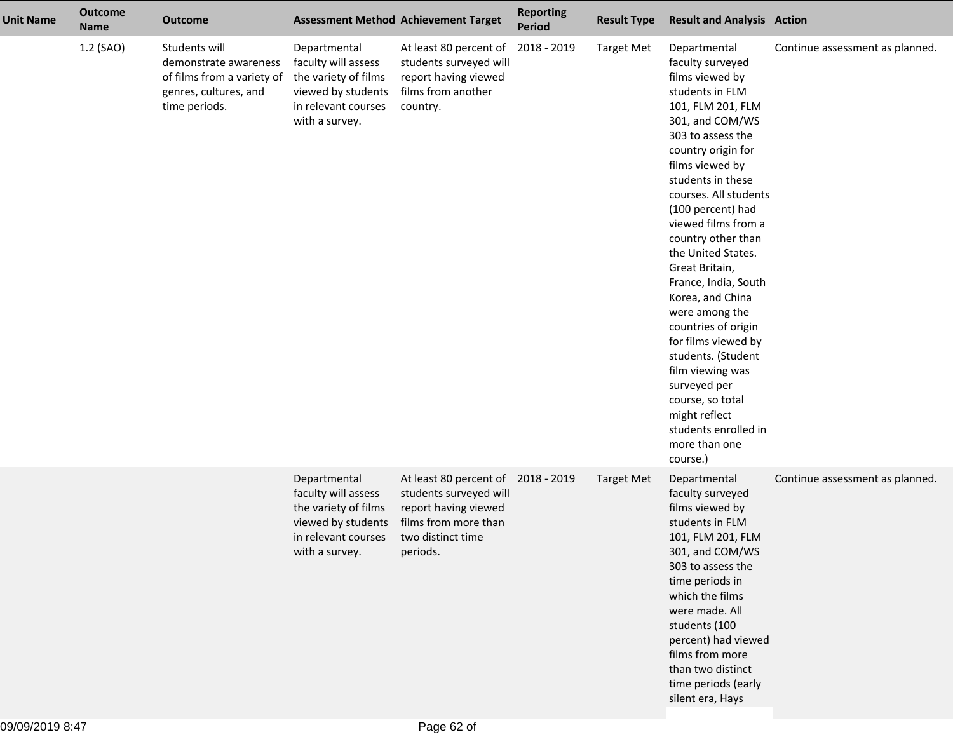| <b>Unit Name</b> | <b>Outcome</b><br><b>Name</b> | <b>Outcome</b>                                                                                                 |                                                                                                                            | <b>Assessment Method Achievement Target</b>                                                                                                   | <b>Reporting</b><br><b>Period</b> | <b>Result Type</b> | <b>Result and Analysis Action</b>                                                                                                                                                                                                                                                                                                                                                                                                                                                                                                                                                                    |                                 |
|------------------|-------------------------------|----------------------------------------------------------------------------------------------------------------|----------------------------------------------------------------------------------------------------------------------------|-----------------------------------------------------------------------------------------------------------------------------------------------|-----------------------------------|--------------------|------------------------------------------------------------------------------------------------------------------------------------------------------------------------------------------------------------------------------------------------------------------------------------------------------------------------------------------------------------------------------------------------------------------------------------------------------------------------------------------------------------------------------------------------------------------------------------------------------|---------------------------------|
|                  | 1.2 (SAO)                     | Students will<br>demonstrate awareness<br>of films from a variety of<br>genres, cultures, and<br>time periods. | Departmental<br>faculty will assess<br>the variety of films<br>viewed by students<br>in relevant courses<br>with a survey. | At least 80 percent of<br>students surveyed will<br>report having viewed<br>films from another<br>country.                                    | 2018 - 2019                       | <b>Target Met</b>  | Departmental<br>faculty surveyed<br>films viewed by<br>students in FLM<br>101, FLM 201, FLM<br>301, and COM/WS<br>303 to assess the<br>country origin for<br>films viewed by<br>students in these<br>courses. All students<br>(100 percent) had<br>viewed films from a<br>country other than<br>the United States.<br>Great Britain,<br>France, India, South<br>Korea, and China<br>were among the<br>countries of origin<br>for films viewed by<br>students. (Student<br>film viewing was<br>surveyed per<br>course, so total<br>might reflect<br>students enrolled in<br>more than one<br>course.) | Continue assessment as planned. |
|                  |                               |                                                                                                                | Departmental<br>faculty will assess<br>the variety of films<br>viewed by students<br>in relevant courses<br>with a survey. | At least 80 percent of 2018 - 2019<br>students surveyed will<br>report having viewed<br>films from more than<br>two distinct time<br>periods. |                                   | <b>Target Met</b>  | Departmental<br>faculty surveyed<br>films viewed by<br>students in FLM<br>101, FLM 201, FLM<br>301, and COM/WS<br>303 to assess the<br>time periods in<br>which the films<br>were made. All<br>students (100<br>percent) had viewed<br>films from more<br>than two distinct<br>time periods (early<br>silent era, Hays                                                                                                                                                                                                                                                                               | Continue assessment as planned. |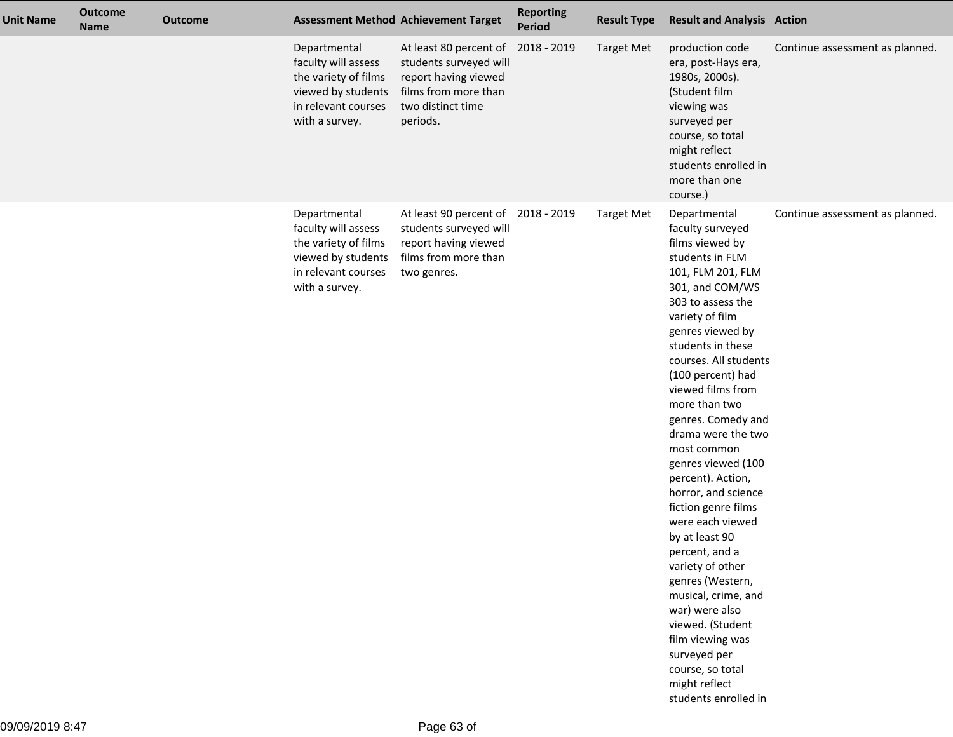| <b>Unit Name</b> | <b>Outcome</b><br><b>Name</b> | <b>Outcome</b> |                                                                                                                            | <b>Assessment Method Achievement Target</b>                                                                                       | <b>Reporting</b><br>Period | <b>Result Type</b> | <b>Result and Analysis Action</b>                                                                                                                                                                                                                                                                                                                                                                                                                                                                                                                                                                                                                                                                     |                                 |
|------------------|-------------------------------|----------------|----------------------------------------------------------------------------------------------------------------------------|-----------------------------------------------------------------------------------------------------------------------------------|----------------------------|--------------------|-------------------------------------------------------------------------------------------------------------------------------------------------------------------------------------------------------------------------------------------------------------------------------------------------------------------------------------------------------------------------------------------------------------------------------------------------------------------------------------------------------------------------------------------------------------------------------------------------------------------------------------------------------------------------------------------------------|---------------------------------|
|                  |                               |                | Departmental<br>faculty will assess<br>the variety of films<br>viewed by students<br>in relevant courses<br>with a survey. | At least 80 percent of<br>students surveyed will<br>report having viewed<br>films from more than<br>two distinct time<br>periods. | 2018 - 2019                | <b>Target Met</b>  | production code<br>era, post-Hays era,<br>1980s, 2000s).<br>(Student film<br>viewing was<br>surveyed per<br>course, so total<br>might reflect<br>students enrolled in<br>more than one<br>course.)                                                                                                                                                                                                                                                                                                                                                                                                                                                                                                    | Continue assessment as planned. |
|                  |                               |                | Departmental<br>faculty will assess<br>the variety of films<br>viewed by students<br>in relevant courses<br>with a survey. | At least 90 percent of<br>students surveyed will<br>report having viewed<br>films from more than<br>two genres.                   | 2018 - 2019                | <b>Target Met</b>  | Departmental<br>faculty surveyed<br>films viewed by<br>students in FLM<br>101, FLM 201, FLM<br>301, and COM/WS<br>303 to assess the<br>variety of film<br>genres viewed by<br>students in these<br>courses. All students<br>(100 percent) had<br>viewed films from<br>more than two<br>genres. Comedy and<br>drama were the two<br>most common<br>genres viewed (100<br>percent). Action,<br>horror, and science<br>fiction genre films<br>were each viewed<br>by at least 90<br>percent, and a<br>variety of other<br>genres (Western,<br>musical, crime, and<br>war) were also<br>viewed. (Student<br>film viewing was<br>surveyed per<br>course, so total<br>might reflect<br>students enrolled in | Continue assessment as planned. |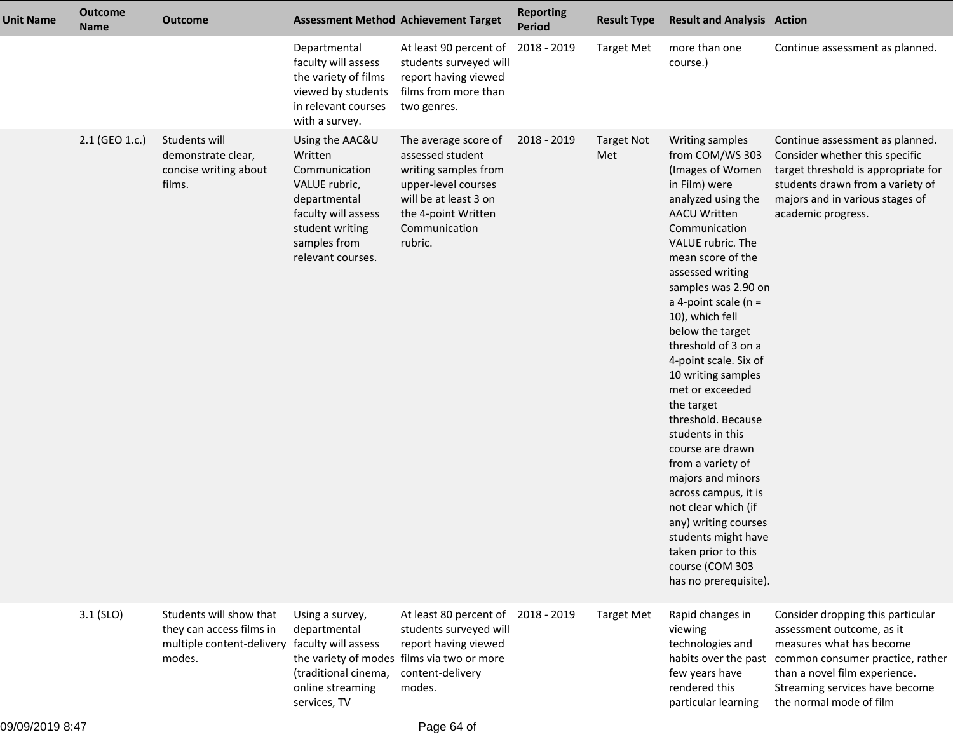| <b>Unit Name</b> | <b>Outcome</b><br><b>Name</b> | <b>Outcome</b>                                                                                                 |                                                                                                                                                             | <b>Assessment Method Achievement Target</b>                                                                                                                         | <b>Reporting</b><br><b>Period</b> | <b>Result Type</b>       | <b>Result and Analysis Action</b>                                                                                                                                                                                                                                                                                                                                                                                                                                                                                                                                                                                                                                            |                                                                                                                                                                                                                                                   |
|------------------|-------------------------------|----------------------------------------------------------------------------------------------------------------|-------------------------------------------------------------------------------------------------------------------------------------------------------------|---------------------------------------------------------------------------------------------------------------------------------------------------------------------|-----------------------------------|--------------------------|------------------------------------------------------------------------------------------------------------------------------------------------------------------------------------------------------------------------------------------------------------------------------------------------------------------------------------------------------------------------------------------------------------------------------------------------------------------------------------------------------------------------------------------------------------------------------------------------------------------------------------------------------------------------------|---------------------------------------------------------------------------------------------------------------------------------------------------------------------------------------------------------------------------------------------------|
|                  |                               |                                                                                                                | Departmental<br>faculty will assess<br>the variety of films<br>viewed by students<br>in relevant courses<br>with a survey.                                  | At least 90 percent of<br>students surveyed will<br>report having viewed<br>films from more than<br>two genres.                                                     | 2018 - 2019                       | <b>Target Met</b>        | more than one<br>course.)                                                                                                                                                                                                                                                                                                                                                                                                                                                                                                                                                                                                                                                    | Continue assessment as planned.                                                                                                                                                                                                                   |
|                  | 2.1 (GEO 1.c.)                | Students will<br>demonstrate clear,<br>concise writing about<br>films.                                         | Using the AAC&U<br>Written<br>Communication<br>VALUE rubric,<br>departmental<br>faculty will assess<br>student writing<br>samples from<br>relevant courses. | The average score of<br>assessed student<br>writing samples from<br>upper-level courses<br>will be at least 3 on<br>the 4-point Written<br>Communication<br>rubric. | 2018 - 2019                       | <b>Target Not</b><br>Met | Writing samples<br>from COM/WS 303<br>(Images of Women<br>in Film) were<br>analyzed using the<br><b>AACU Written</b><br>Communication<br>VALUE rubric. The<br>mean score of the<br>assessed writing<br>samples was 2.90 on<br>a 4-point scale ( $n =$<br>10), which fell<br>below the target<br>threshold of 3 on a<br>4-point scale. Six of<br>10 writing samples<br>met or exceeded<br>the target<br>threshold. Because<br>students in this<br>course are drawn<br>from a variety of<br>majors and minors<br>across campus, it is<br>not clear which (if<br>any) writing courses<br>students might have<br>taken prior to this<br>course (COM 303<br>has no prerequisite). | Continue assessment as planned.<br>Consider whether this specific<br>target threshold is appropriate for<br>students drawn from a variety of<br>majors and in various stages of<br>academic progress.                                             |
|                  | $3.1$ (SLO)                   | Students will show that<br>they can access films in<br>multiple content-delivery faculty will assess<br>modes. | Using a survey,<br>departmental<br>(traditional cinema,<br>online streaming<br>services, TV                                                                 | At least 80 percent of<br>students surveyed will<br>report having viewed<br>the variety of modes films via two or more<br>content-delivery<br>modes.                | 2018 - 2019                       | <b>Target Met</b>        | Rapid changes in<br>viewing<br>technologies and<br>few years have<br>rendered this<br>particular learning                                                                                                                                                                                                                                                                                                                                                                                                                                                                                                                                                                    | Consider dropping this particular<br>assessment outcome, as it<br>measures what has become<br>habits over the past common consumer practice, rather<br>than a novel film experience.<br>Streaming services have become<br>the normal mode of film |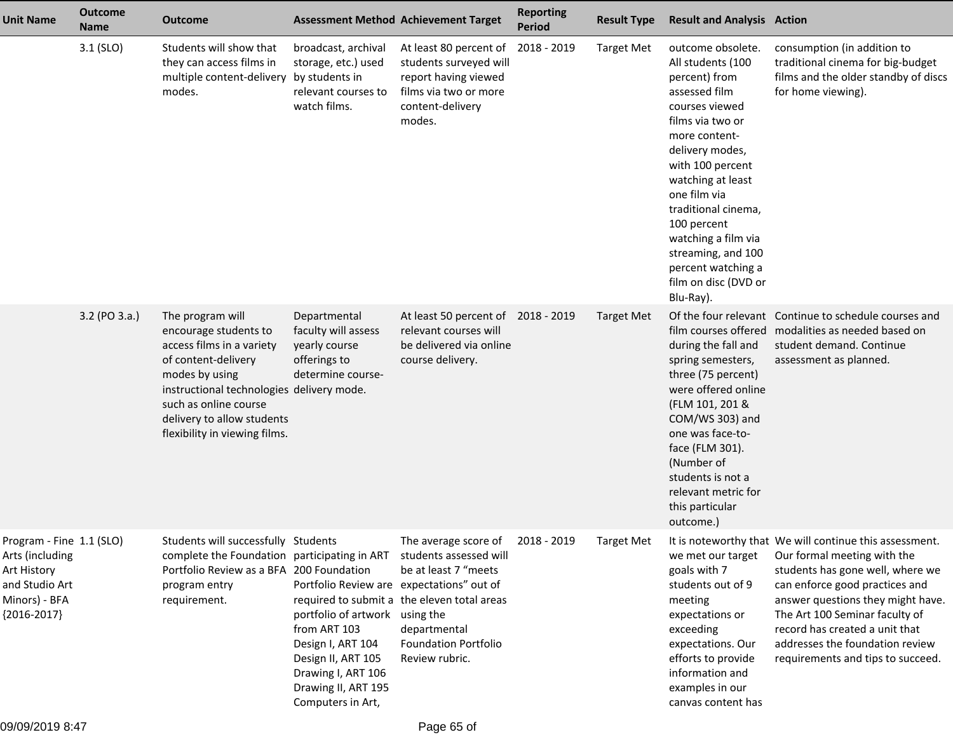| <b>Unit Name</b>                                                                                               | Outcome<br><b>Name</b> | <b>Outcome</b>                                                                                                                                                                                                                                       |                                                                                                                                                                                                          | <b>Assessment Method Achievement Target</b>                                                                                                                  | <b>Reporting</b><br><b>Period</b> | <b>Result Type</b> | <b>Result and Analysis Action</b>                                                                                                                                                                                                                                                                                                                         |                                                                                                                                                                                                                                                                                                                                               |
|----------------------------------------------------------------------------------------------------------------|------------------------|------------------------------------------------------------------------------------------------------------------------------------------------------------------------------------------------------------------------------------------------------|----------------------------------------------------------------------------------------------------------------------------------------------------------------------------------------------------------|--------------------------------------------------------------------------------------------------------------------------------------------------------------|-----------------------------------|--------------------|-----------------------------------------------------------------------------------------------------------------------------------------------------------------------------------------------------------------------------------------------------------------------------------------------------------------------------------------------------------|-----------------------------------------------------------------------------------------------------------------------------------------------------------------------------------------------------------------------------------------------------------------------------------------------------------------------------------------------|
|                                                                                                                | $3.1$ (SLO)            | Students will show that<br>they can access films in<br>multiple content-delivery by students in<br>modes.                                                                                                                                            | broadcast, archival<br>storage, etc.) used<br>relevant courses to<br>watch films.                                                                                                                        | At least 80 percent of<br>students surveyed will<br>report having viewed<br>films via two or more<br>content-delivery<br>modes.                              | 2018 - 2019                       | <b>Target Met</b>  | outcome obsolete.<br>All students (100<br>percent) from<br>assessed film<br>courses viewed<br>films via two or<br>more content-<br>delivery modes,<br>with 100 percent<br>watching at least<br>one film via<br>traditional cinema,<br>100 percent<br>watching a film via<br>streaming, and 100<br>percent watching a<br>film on disc (DVD or<br>Blu-Ray). | consumption (in addition to<br>traditional cinema for big-budget<br>films and the older standby of discs<br>for home viewing).                                                                                                                                                                                                                |
|                                                                                                                | 3.2 (PO 3.a.)          | The program will<br>encourage students to<br>access films in a variety<br>of content-delivery<br>modes by using<br>instructional technologies delivery mode.<br>such as online course<br>delivery to allow students<br>flexibility in viewing films. | Departmental<br>faculty will assess<br>yearly course<br>offerings to<br>determine course-                                                                                                                | At least 50 percent of<br>relevant courses will<br>be delivered via online<br>course delivery.                                                               | 2018 - 2019                       | <b>Target Met</b>  | during the fall and<br>spring semesters,<br>three (75 percent)<br>were offered online<br>(FLM 101, 201 &<br>COM/WS 303) and<br>one was face-to-<br>face (FLM 301).<br>(Number of<br>students is not a<br>relevant metric for<br>this particular<br>outcome.)                                                                                              | Of the four relevant Continue to schedule courses and<br>film courses offered modalities as needed based on<br>student demand. Continue<br>assessment as planned.                                                                                                                                                                             |
| Program - Fine 1.1 (SLO)<br>Arts (including<br>Art History<br>and Studio Art<br>Minors) - BFA<br>${2016-2017}$ |                        | Students will successfully Students<br>complete the Foundation participating in ART students assessed will<br>Portfolio Review as a BFA 200 Foundation<br>program entry<br>requirement.                                                              | Portfolio Review are expectations" out of<br>portfolio of artwork using the<br>from ART 103<br>Design I, ART 104<br>Design II, ART 105<br>Drawing I, ART 106<br>Drawing II, ART 195<br>Computers in Art, | The average score of<br>be at least 7 "meets<br>required to submit a the eleven total areas<br>departmental<br><b>Foundation Portfolio</b><br>Review rubric. | 2018 - 2019                       | <b>Target Met</b>  | we met our target<br>goals with 7<br>students out of 9<br>meeting<br>expectations or<br>exceeding<br>expectations. Our<br>efforts to provide<br>information and<br>examples in our<br>canvas content has                                                                                                                                                  | It is noteworthy that We will continue this assessment.<br>Our formal meeting with the<br>students has gone well, where we<br>can enforce good practices and<br>answer questions they might have.<br>The Art 100 Seminar faculty of<br>record has created a unit that<br>addresses the foundation review<br>requirements and tips to succeed. |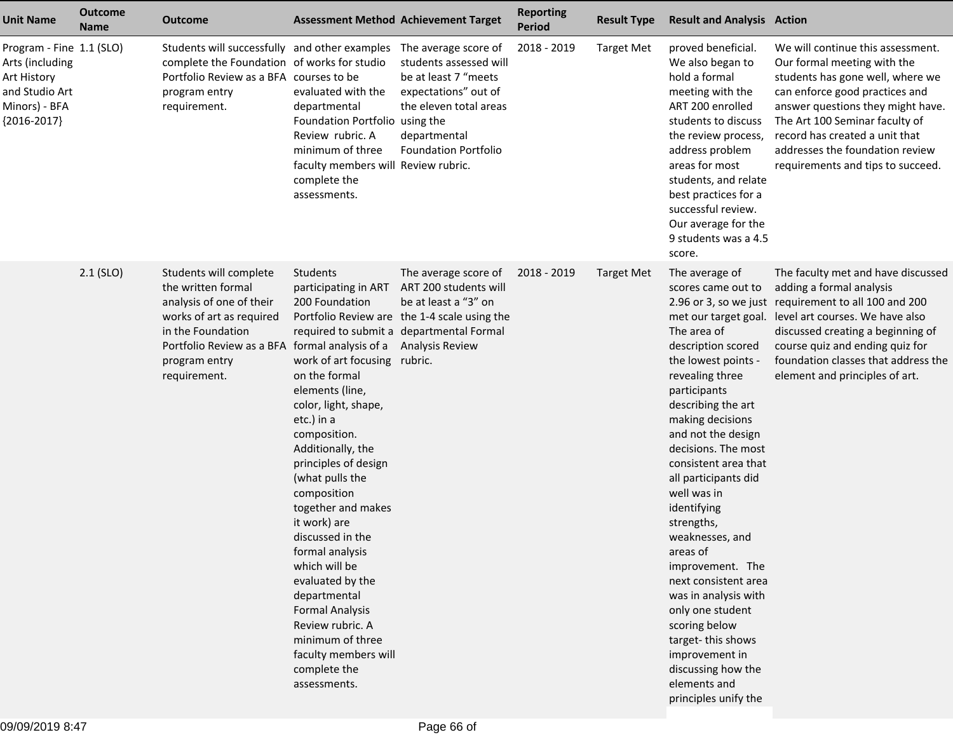| <b>Unit Name</b>                                                                                               | <b>Outcome</b><br><b>Name</b> | <b>Outcome</b>                                                                                                                                                                                               |                                                                                                                                                                                                                                                                                                                                                                                                                                                                                                                         | <b>Assessment Method Achievement Target</b>                                                                                                                                                 | <b>Reporting</b><br><b>Period</b> | <b>Result Type</b> | <b>Result and Analysis Action</b>                                                                                                                                                                                                                                                                                                                                                                                                                                                                                                                                   |                                                                                                                                                                                                                                                                                                                                 |
|----------------------------------------------------------------------------------------------------------------|-------------------------------|--------------------------------------------------------------------------------------------------------------------------------------------------------------------------------------------------------------|-------------------------------------------------------------------------------------------------------------------------------------------------------------------------------------------------------------------------------------------------------------------------------------------------------------------------------------------------------------------------------------------------------------------------------------------------------------------------------------------------------------------------|---------------------------------------------------------------------------------------------------------------------------------------------------------------------------------------------|-----------------------------------|--------------------|---------------------------------------------------------------------------------------------------------------------------------------------------------------------------------------------------------------------------------------------------------------------------------------------------------------------------------------------------------------------------------------------------------------------------------------------------------------------------------------------------------------------------------------------------------------------|---------------------------------------------------------------------------------------------------------------------------------------------------------------------------------------------------------------------------------------------------------------------------------------------------------------------------------|
| Program - Fine 1.1 (SLO)<br>Arts (including<br>Art History<br>and Studio Art<br>Minors) - BFA<br>${2016-2017}$ |                               | Students will successfully and other examples The average score of<br>complete the Foundation of works for studio<br>Portfolio Review as a BFA courses to be<br>program entry<br>requirement.                | evaluated with the<br>departmental<br>Foundation Portfolio using the<br>Review rubric. A<br>minimum of three<br>faculty members will Review rubric.<br>complete the<br>assessments.                                                                                                                                                                                                                                                                                                                                     | students assessed will<br>be at least 7 "meets<br>expectations" out of<br>the eleven total areas<br>departmental<br><b>Foundation Portfolio</b>                                             | 2018 - 2019                       | <b>Target Met</b>  | proved beneficial.<br>We also began to<br>hold a formal<br>meeting with the<br>ART 200 enrolled<br>students to discuss<br>the review process,<br>address problem<br>areas for most<br>students, and relate<br>best practices for a<br>successful review.<br>Our average for the<br>9 students was a 4.5<br>score.                                                                                                                                                                                                                                                   | We will continue this assessment.<br>Our formal meeting with the<br>students has gone well, where we<br>can enforce good practices and<br>answer questions they might have.<br>The Art 100 Seminar faculty of<br>record has created a unit that<br>addresses the foundation review<br>requirements and tips to succeed.         |
|                                                                                                                | $2.1$ (SLO)                   | Students will complete<br>the written formal<br>analysis of one of their<br>works of art as required<br>in the Foundation<br>Portfolio Review as a BFA formal analysis of a<br>program entry<br>requirement. | Students<br>participating in ART<br>200 Foundation<br>work of art focusing rubric.<br>on the formal<br>elements (line,<br>color, light, shape,<br>etc.) in a<br>composition.<br>Additionally, the<br>principles of design<br>(what pulls the<br>composition<br>together and makes<br>it work) are<br>discussed in the<br>formal analysis<br>which will be<br>evaluated by the<br>departmental<br><b>Formal Analysis</b><br>Review rubric. A<br>minimum of three<br>faculty members will<br>complete the<br>assessments. | The average score of<br>ART 200 students will<br>be at least a "3" on<br>Portfolio Review are the 1-4 scale using the<br>required to submit a departmental Formal<br><b>Analysis Review</b> | 2018 - 2019                       | <b>Target Met</b>  | The average of<br>scores came out to<br>The area of<br>description scored<br>the lowest points -<br>revealing three<br>participants<br>describing the art<br>making decisions<br>and not the design<br>decisions. The most<br>consistent area that<br>all participants did<br>well was in<br>identifying<br>strengths,<br>weaknesses, and<br>areas of<br>improvement. The<br>next consistent area<br>was in analysis with<br>only one student<br>scoring below<br>target-this shows<br>improvement in<br>discussing how the<br>elements and<br>principles unify the | The faculty met and have discussed<br>adding a formal analysis<br>2.96 or 3, so we just requirement to all 100 and 200<br>met our target goal. level art courses. We have also<br>discussed creating a beginning of<br>course quiz and ending quiz for<br>foundation classes that address the<br>element and principles of art. |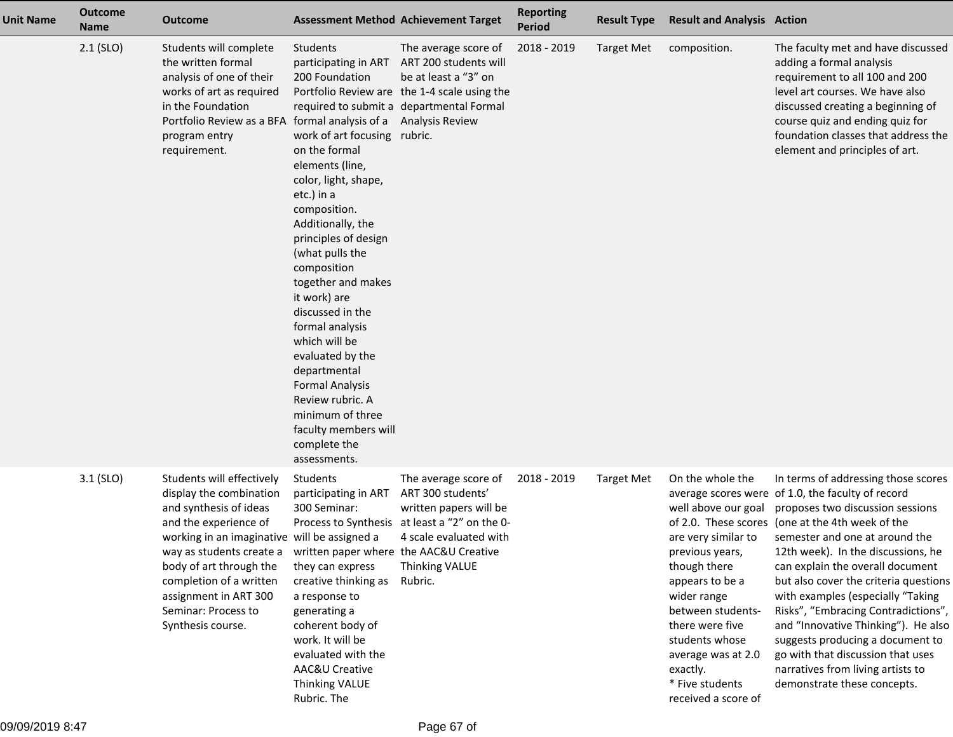| <b>Unit Name</b> | <b>Outcome</b><br><b>Name</b> | <b>Outcome</b>                                                                                                                                                                                                                                                                                                 |                                                                                                                                                                                                                                                                                                                                                                                                                                                                                                 | <b>Assessment Method Achievement Target</b>                                                                                                                                                                      | <b>Reporting</b><br><b>Period</b> | <b>Result Type</b> | <b>Result and Analysis Action</b>                                                                                                                                                                                                                                         |                                                                                                                                                                                                                                                                                                                                                                                                                                                                                                                                                                                                       |
|------------------|-------------------------------|----------------------------------------------------------------------------------------------------------------------------------------------------------------------------------------------------------------------------------------------------------------------------------------------------------------|-------------------------------------------------------------------------------------------------------------------------------------------------------------------------------------------------------------------------------------------------------------------------------------------------------------------------------------------------------------------------------------------------------------------------------------------------------------------------------------------------|------------------------------------------------------------------------------------------------------------------------------------------------------------------------------------------------------------------|-----------------------------------|--------------------|---------------------------------------------------------------------------------------------------------------------------------------------------------------------------------------------------------------------------------------------------------------------------|-------------------------------------------------------------------------------------------------------------------------------------------------------------------------------------------------------------------------------------------------------------------------------------------------------------------------------------------------------------------------------------------------------------------------------------------------------------------------------------------------------------------------------------------------------------------------------------------------------|
|                  | $2.1$ (SLO)                   | Students will complete<br>the written formal<br>analysis of one of their<br>works of art as required<br>in the Foundation<br>Portfolio Review as a BFA formal analysis of a<br>program entry<br>requirement.                                                                                                   | Students<br>200 Foundation<br>work of art focusing rubric.<br>on the formal<br>elements (line,<br>color, light, shape,<br>etc.) in a<br>composition.<br>Additionally, the<br>principles of design<br>(what pulls the<br>composition<br>together and makes<br>it work) are<br>discussed in the<br>formal analysis<br>which will be<br>evaluated by the<br>departmental<br><b>Formal Analysis</b><br>Review rubric. A<br>minimum of three<br>faculty members will<br>complete the<br>assessments. | The average score of<br>participating in ART ART 200 students will<br>be at least a "3" on<br>Portfolio Review are the 1-4 scale using the<br>required to submit a departmental Formal<br><b>Analysis Review</b> | 2018 - 2019                       | <b>Target Met</b>  | composition.                                                                                                                                                                                                                                                              | The faculty met and have discussed<br>adding a formal analysis<br>requirement to all 100 and 200<br>level art courses. We have also<br>discussed creating a beginning of<br>course quiz and ending quiz for<br>foundation classes that address the<br>element and principles of art.                                                                                                                                                                                                                                                                                                                  |
|                  | $3.1$ (SLO)                   | Students will effectively<br>display the combination<br>and synthesis of ideas<br>and the experience of<br>working in an imaginative will be assigned a<br>way as students create a<br>body of art through the<br>completion of a written<br>assignment in ART 300<br>Seminar: Process to<br>Synthesis course. | Students<br>participating in ART<br>300 Seminar:<br>written paper where the AAC&U Creative<br>they can express<br>creative thinking as<br>a response to<br>generating a<br>coherent body of<br>work. It will be<br>evaluated with the<br>AAC&U Creative<br><b>Thinking VALUE</b><br>Rubric. The                                                                                                                                                                                                 | The average score of<br>ART 300 students'<br>written papers will be<br>Process to Synthesis at least a "2" on the 0-<br>4 scale evaluated with<br><b>Thinking VALUE</b><br>Rubric.                               | 2018 - 2019                       | <b>Target Met</b>  | On the whole the<br>well above our goal<br>are very similar to<br>previous years,<br>though there<br>appears to be a<br>wider range<br>between students-<br>there were five<br>students whose<br>average was at 2.0<br>exactly.<br>* Five students<br>received a score of | In terms of addressing those scores<br>average scores were of 1.0, the faculty of record<br>proposes two discussion sessions<br>of 2.0. These scores (one at the 4th week of the<br>semester and one at around the<br>12th week). In the discussions, he<br>can explain the overall document<br>but also cover the criteria questions<br>with examples (especially "Taking<br>Risks", "Embracing Contradictions",<br>and "Innovative Thinking"). He also<br>suggests producing a document to<br>go with that discussion that uses<br>narratives from living artists to<br>demonstrate these concepts. |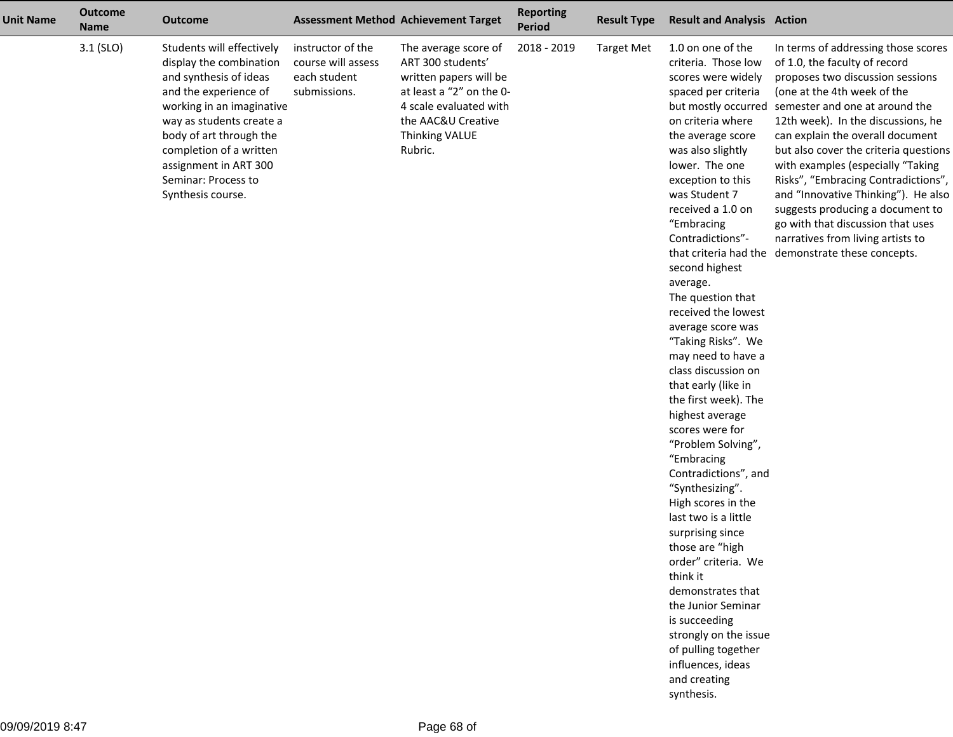| <b>Unit Name</b> | <b>Outcome</b><br><b>Name</b> | <b>Outcome</b>                                                                                                                                                                                                                                                                              |                                                                         | <b>Assessment Method Achievement Target</b>                                                                                                                                  | <b>Reporting</b><br><b>Period</b> | <b>Result Type</b> | <b>Result and Analysis Action</b>                                                                                                                                                                                                                                                                                                                                                                                                                                                                                                                                                                                                                                                                                                                                                                                                                                                                                       |                                                                                                                                                                                                                                                                                                                                                                                                                                                                                                                                                                                    |
|------------------|-------------------------------|---------------------------------------------------------------------------------------------------------------------------------------------------------------------------------------------------------------------------------------------------------------------------------------------|-------------------------------------------------------------------------|------------------------------------------------------------------------------------------------------------------------------------------------------------------------------|-----------------------------------|--------------------|-------------------------------------------------------------------------------------------------------------------------------------------------------------------------------------------------------------------------------------------------------------------------------------------------------------------------------------------------------------------------------------------------------------------------------------------------------------------------------------------------------------------------------------------------------------------------------------------------------------------------------------------------------------------------------------------------------------------------------------------------------------------------------------------------------------------------------------------------------------------------------------------------------------------------|------------------------------------------------------------------------------------------------------------------------------------------------------------------------------------------------------------------------------------------------------------------------------------------------------------------------------------------------------------------------------------------------------------------------------------------------------------------------------------------------------------------------------------------------------------------------------------|
|                  | $3.1$ (SLO)                   | Students will effectively<br>display the combination<br>and synthesis of ideas<br>and the experience of<br>working in an imaginative<br>way as students create a<br>body of art through the<br>completion of a written<br>assignment in ART 300<br>Seminar: Process to<br>Synthesis course. | instructor of the<br>course will assess<br>each student<br>submissions. | The average score of<br>ART 300 students'<br>written papers will be<br>at least a "2" on the 0-<br>4 scale evaluated with<br>the AAC&U Creative<br>Thinking VALUE<br>Rubric. | 2018 - 2019                       | <b>Target Met</b>  | 1.0 on one of the<br>criteria. Those low<br>scores were widely<br>spaced per criteria<br>but mostly occurred<br>on criteria where<br>the average score<br>was also slightly<br>lower. The one<br>exception to this<br>was Student 7<br>received a 1.0 on<br>"Embracing<br>Contradictions"-<br>second highest<br>average.<br>The question that<br>received the lowest<br>average score was<br>"Taking Risks". We<br>may need to have a<br>class discussion on<br>that early (like in<br>the first week). The<br>highest average<br>scores were for<br>"Problem Solving",<br>"Embracing<br>Contradictions", and<br>"Synthesizing".<br>High scores in the<br>last two is a little<br>surprising since<br>those are "high<br>order" criteria. We<br>think it<br>demonstrates that<br>the Junior Seminar<br>is succeeding<br>strongly on the issue<br>of pulling together<br>influences, ideas<br>and creating<br>synthesis. | In terms of addressing those scores<br>of 1.0, the faculty of record<br>proposes two discussion sessions<br>(one at the 4th week of the<br>semester and one at around the<br>12th week). In the discussions, he<br>can explain the overall document<br>but also cover the criteria questions<br>with examples (especially "Taking<br>Risks", "Embracing Contradictions",<br>and "Innovative Thinking"). He also<br>suggests producing a document to<br>go with that discussion that uses<br>narratives from living artists to<br>that criteria had the demonstrate these concepts. |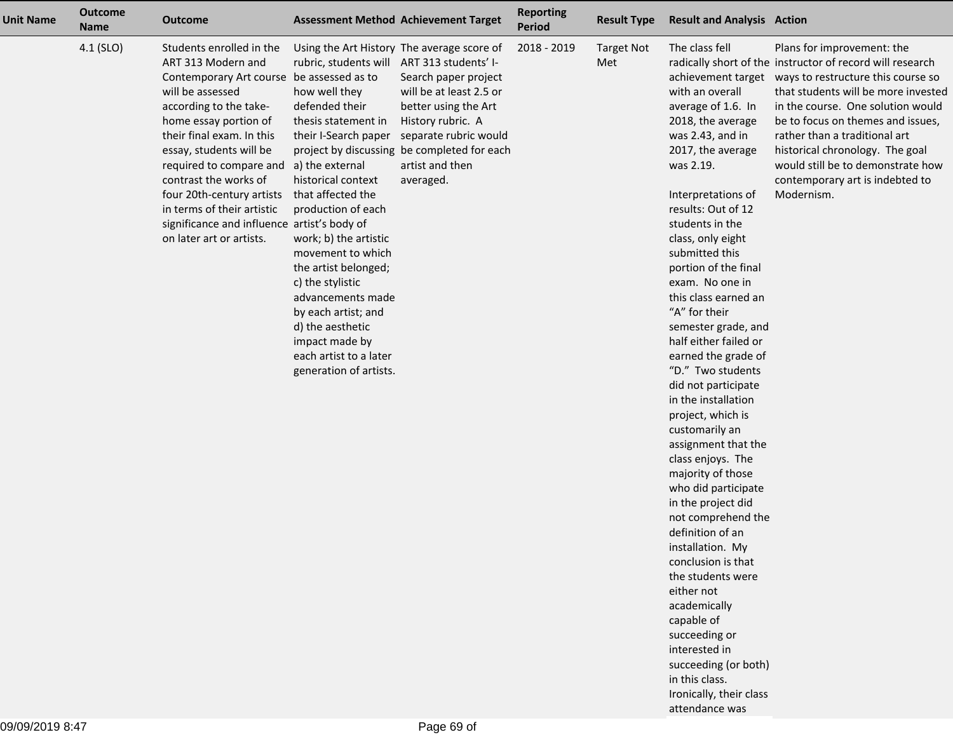| <b>Unit Name</b> | <b>Outcome</b><br><b>Name</b> | <b>Outcome</b>                                                                                                                                                                                                                                                                                                                                                                                                       |                                                                                                                                                                                                                                                                                                                                                                                                                                                  | <b>Assessment Method Achievement Target</b>                                                                                                                                                                                                        | <b>Reporting</b><br>Period | <b>Result Type</b>       | <b>Result and Analysis Action</b>                                                                                                                                                                                                                                                                                                                                                                                                                                                                                                                                                                                                                                                                                                                                                                                                                                                       |                                                                                                                                                                                                                                                                                                                                                                                                                             |
|------------------|-------------------------------|----------------------------------------------------------------------------------------------------------------------------------------------------------------------------------------------------------------------------------------------------------------------------------------------------------------------------------------------------------------------------------------------------------------------|--------------------------------------------------------------------------------------------------------------------------------------------------------------------------------------------------------------------------------------------------------------------------------------------------------------------------------------------------------------------------------------------------------------------------------------------------|----------------------------------------------------------------------------------------------------------------------------------------------------------------------------------------------------------------------------------------------------|----------------------------|--------------------------|-----------------------------------------------------------------------------------------------------------------------------------------------------------------------------------------------------------------------------------------------------------------------------------------------------------------------------------------------------------------------------------------------------------------------------------------------------------------------------------------------------------------------------------------------------------------------------------------------------------------------------------------------------------------------------------------------------------------------------------------------------------------------------------------------------------------------------------------------------------------------------------------|-----------------------------------------------------------------------------------------------------------------------------------------------------------------------------------------------------------------------------------------------------------------------------------------------------------------------------------------------------------------------------------------------------------------------------|
|                  | 4.1 (SLO)                     | Students enrolled in the<br>ART 313 Modern and<br>Contemporary Art course be assessed as to<br>will be assessed<br>according to the take-<br>home essay portion of<br>their final exam. In this<br>essay, students will be<br>required to compare and<br>contrast the works of<br>four 20th-century artists<br>in terms of their artistic<br>significance and influence artist's body of<br>on later art or artists. | rubric, students will ART 313 students' I-<br>how well they<br>defended their<br>thesis statement in<br>their I-Search paper<br>a) the external<br>historical context<br>that affected the<br>production of each<br>work; b) the artistic<br>movement to which<br>the artist belonged;<br>c) the stylistic<br>advancements made<br>by each artist; and<br>d) the aesthetic<br>impact made by<br>each artist to a later<br>generation of artists. | Using the Art History The average score of<br>Search paper project<br>will be at least 2.5 or<br>better using the Art<br>History rubric. A<br>separate rubric would<br>project by discussing be completed for each<br>artist and then<br>averaged. | 2018 - 2019                | <b>Target Not</b><br>Met | The class fell<br>with an overall<br>average of 1.6. In<br>2018, the average<br>was 2.43, and in<br>2017, the average<br>was 2.19.<br>Interpretations of<br>results: Out of 12<br>students in the<br>class, only eight<br>submitted this<br>portion of the final<br>exam. No one in<br>this class earned an<br>"A" for their<br>semester grade, and<br>half either failed or<br>earned the grade of<br>"D." Two students<br>did not participate<br>in the installation<br>project, which is<br>customarily an<br>assignment that the<br>class enjoys. The<br>majority of those<br>who did participate<br>in the project did<br>not comprehend the<br>definition of an<br>installation. My<br>conclusion is that<br>the students were<br>either not<br>academically<br>capable of<br>succeeding or<br>interested in<br>succeeding (or both)<br>in this class.<br>Ironically, their class | Plans for improvement: the<br>radically short of the instructor of record will research<br>achievement target ways to restructure this course so<br>that students will be more invested<br>in the course. One solution would<br>be to focus on themes and issues,<br>rather than a traditional art<br>historical chronology. The goal<br>would still be to demonstrate how<br>contemporary art is indebted to<br>Modernism. |

attendance was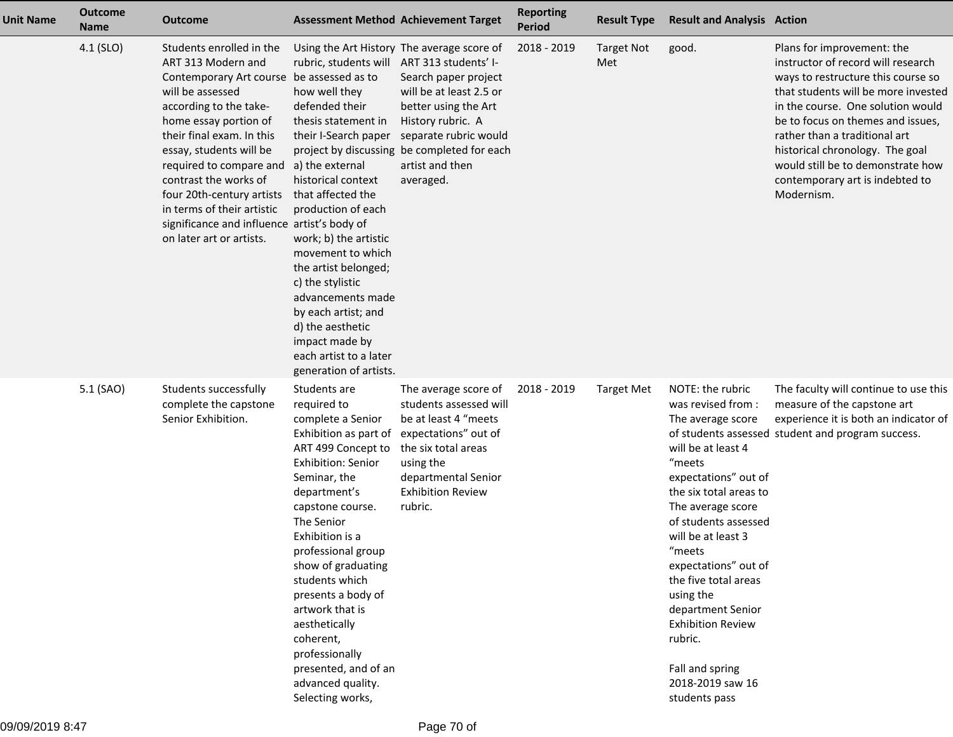| <b>Unit Name</b> | <b>Outcome</b><br><b>Name</b> | <b>Outcome</b>                                                                                                                                                                                                                                                                                                                                                                                                       | <b>Assessment Method Achievement Target</b>                                                                                                                                                                                                                                                                                                                                                                                                                                                    |                                                                                                                                                                                                      | <b>Reporting</b><br><b>Period</b> | <b>Result Type</b>       | <b>Result and Analysis Action</b>                                                                                                                                                                                                                                                                                                                                                                          |                                                                                                                                                                                                                                                                                                                                                                                   |
|------------------|-------------------------------|----------------------------------------------------------------------------------------------------------------------------------------------------------------------------------------------------------------------------------------------------------------------------------------------------------------------------------------------------------------------------------------------------------------------|------------------------------------------------------------------------------------------------------------------------------------------------------------------------------------------------------------------------------------------------------------------------------------------------------------------------------------------------------------------------------------------------------------------------------------------------------------------------------------------------|------------------------------------------------------------------------------------------------------------------------------------------------------------------------------------------------------|-----------------------------------|--------------------------|------------------------------------------------------------------------------------------------------------------------------------------------------------------------------------------------------------------------------------------------------------------------------------------------------------------------------------------------------------------------------------------------------------|-----------------------------------------------------------------------------------------------------------------------------------------------------------------------------------------------------------------------------------------------------------------------------------------------------------------------------------------------------------------------------------|
|                  | 4.1 (SLO)                     | Students enrolled in the<br>ART 313 Modern and<br>Contemporary Art course be assessed as to<br>will be assessed<br>according to the take-<br>home essay portion of<br>their final exam. In this<br>essay, students will be<br>required to compare and<br>contrast the works of<br>four 20th-century artists<br>in terms of their artistic<br>significance and influence artist's body of<br>on later art or artists. | Using the Art History The average score of<br>rubric, students will ART 313 students' I-<br>how well they<br>defended their<br>thesis statement in<br>their I-Search paper<br>a) the external<br>historical context<br>that affected the<br>production of each<br>work; b) the artistic<br>movement to which<br>the artist belonged;<br>c) the stylistic<br>advancements made<br>by each artist; and<br>d) the aesthetic<br>impact made by<br>each artist to a later<br>generation of artists. | Search paper project<br>will be at least 2.5 or<br>better using the Art<br>History rubric. A<br>separate rubric would<br>project by discussing be completed for each<br>artist and then<br>averaged. | 2018 - 2019                       | <b>Target Not</b><br>Met | good.                                                                                                                                                                                                                                                                                                                                                                                                      | Plans for improvement: the<br>instructor of record will research<br>ways to restructure this course so<br>that students will be more invested<br>in the course. One solution would<br>be to focus on themes and issues,<br>rather than a traditional art<br>historical chronology. The goal<br>would still be to demonstrate how<br>contemporary art is indebted to<br>Modernism. |
|                  | 5.1 (SAO)                     | Students successfully<br>complete the capstone<br>Senior Exhibition.                                                                                                                                                                                                                                                                                                                                                 | Students are<br>required to<br>complete a Senior<br>Exhibition as part of expectations" out of<br>ART 499 Concept to<br><b>Exhibition: Senior</b><br>Seminar, the<br>department's<br>capstone course.<br>The Senior<br>Exhibition is a<br>professional group<br>show of graduating<br>students which<br>presents a body of<br>artwork that is<br>aesthetically<br>coherent,<br>professionally<br>presented, and of an<br>advanced quality.<br>Selecting works,                                 | The average score of<br>students assessed will<br>be at least 4 "meets<br>the six total areas<br>using the<br>departmental Senior<br><b>Exhibition Review</b><br>rubric.                             | 2018 - 2019                       | <b>Target Met</b>        | NOTE: the rubric<br>was revised from:<br>The average score<br>will be at least 4<br>"meets<br>expectations" out of<br>the six total areas to<br>The average score<br>of students assessed<br>will be at least 3<br>"meets<br>expectations" out of<br>the five total areas<br>using the<br>department Senior<br><b>Exhibition Review</b><br>rubric.<br>Fall and spring<br>2018-2019 saw 16<br>students pass | The faculty will continue to use this<br>measure of the capstone art<br>experience it is both an indicator of<br>of students assessed student and program success.                                                                                                                                                                                                                |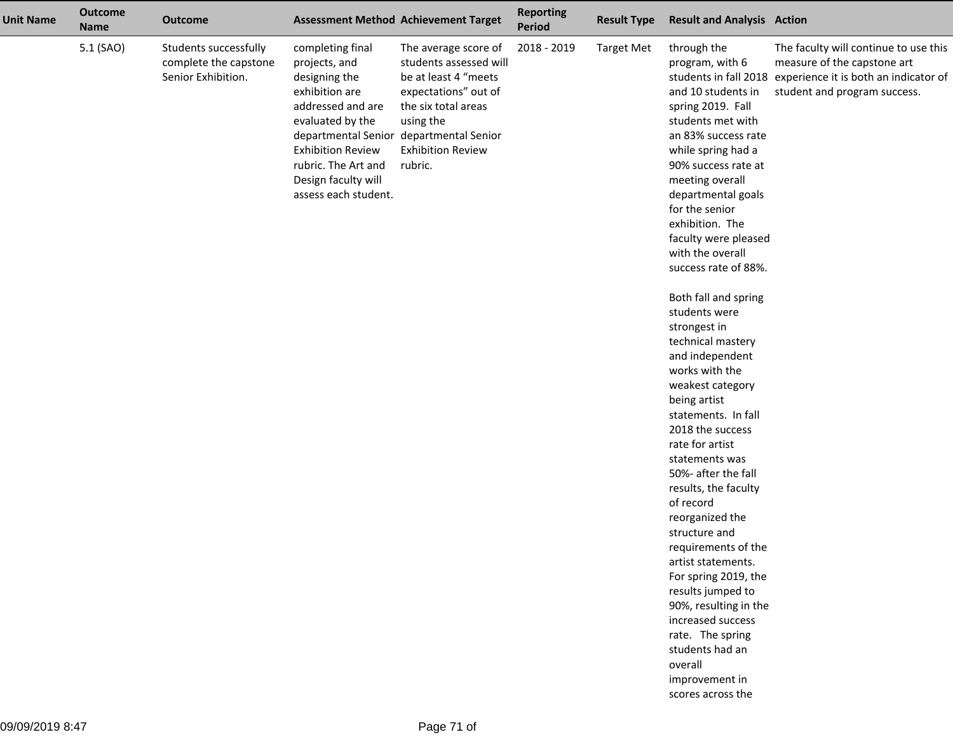| <b>Unit Name</b> | <b>Outcome</b><br><b>Name</b> | <b>Outcome</b>                                                       |                                                                                                                                                                                                                 | <b>Assessment Method Achievement Target</b>                                                                                                                                                                          | <b>Reporting</b><br>Period | <b>Result Type</b> | <b>Result and Analysis Action</b>                                                                                                                                                                                                                                                                                                                                                                                                                                                                                                                                                                                                                                                                                                                                                                                                                                                            |                                                                                                                                                                     |
|------------------|-------------------------------|----------------------------------------------------------------------|-----------------------------------------------------------------------------------------------------------------------------------------------------------------------------------------------------------------|----------------------------------------------------------------------------------------------------------------------------------------------------------------------------------------------------------------------|----------------------------|--------------------|----------------------------------------------------------------------------------------------------------------------------------------------------------------------------------------------------------------------------------------------------------------------------------------------------------------------------------------------------------------------------------------------------------------------------------------------------------------------------------------------------------------------------------------------------------------------------------------------------------------------------------------------------------------------------------------------------------------------------------------------------------------------------------------------------------------------------------------------------------------------------------------------|---------------------------------------------------------------------------------------------------------------------------------------------------------------------|
|                  | 5.1 (SAO)                     | Students successfully<br>complete the capstone<br>Senior Exhibition. | completing final<br>projects, and<br>designing the<br>exhibition are<br>addressed and are<br>evaluated by the<br><b>Exhibition Review</b><br>rubric. The Art and<br>Design faculty will<br>assess each student. | The average score of<br>students assessed will<br>be at least 4 "meets<br>expectations" out of<br>the six total areas<br>using the<br>departmental Senior departmental Senior<br><b>Exhibition Review</b><br>rubric. | 2018 - 2019                | <b>Target Met</b>  | through the<br>program, with 6<br>and 10 students in<br>spring 2019. Fall<br>students met with<br>an 83% success rate<br>while spring had a<br>90% success rate at<br>meeting overall<br>departmental goals<br>for the senior<br>exhibition. The<br>faculty were pleased<br>with the overall<br>success rate of 88%.<br>Both fall and spring<br>students were<br>strongest in<br>technical mastery<br>and independent<br>works with the<br>weakest category<br>being artist<br>statements. In fall<br>2018 the success<br>rate for artist<br>statements was<br>50%- after the fall<br>results, the faculty<br>of record<br>reorganized the<br>structure and<br>requirements of the<br>artist statements.<br>For spring 2019, the<br>results jumped to<br>90%, resulting in the<br>increased success<br>rate. The spring<br>students had an<br>overall<br>improvement in<br>scores across the | The faculty will continue to use this<br>measure of the capstone art<br>students in fall 2018 experience it is both an indicator of<br>student and program success. |
|                  |                               |                                                                      |                                                                                                                                                                                                                 |                                                                                                                                                                                                                      |                            |                    |                                                                                                                                                                                                                                                                                                                                                                                                                                                                                                                                                                                                                                                                                                                                                                                                                                                                                              |                                                                                                                                                                     |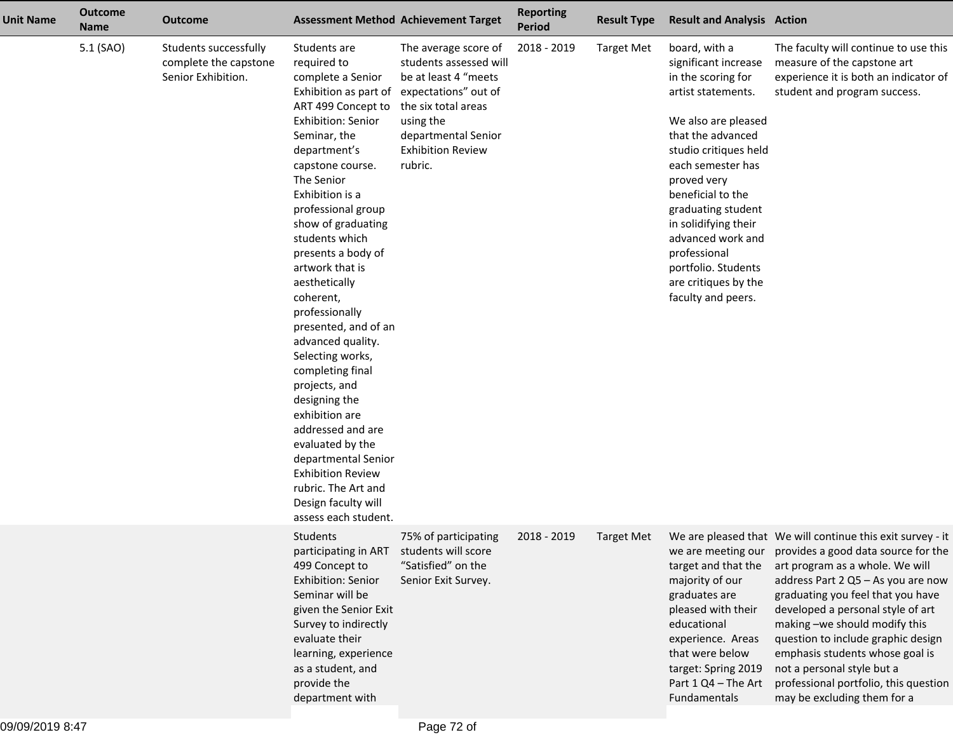| <b>Unit Name</b> | <b>Outcome</b><br><b>Name</b> | <b>Outcome</b>                                                       |                                                                                                                                                                                                                                                                                                                                                                                                                                                                                                                                                                                                                                                            | <b>Assessment Method Achievement Target</b>                                                                                                                                                                            | <b>Reporting</b><br><b>Period</b> | <b>Result Type</b> | <b>Result and Analysis Action</b>                                                                                                                                                                                                                                                                                                                                       |                                                                                                                                                                                                                                                                                                                                                                                                                                                                      |
|------------------|-------------------------------|----------------------------------------------------------------------|------------------------------------------------------------------------------------------------------------------------------------------------------------------------------------------------------------------------------------------------------------------------------------------------------------------------------------------------------------------------------------------------------------------------------------------------------------------------------------------------------------------------------------------------------------------------------------------------------------------------------------------------------------|------------------------------------------------------------------------------------------------------------------------------------------------------------------------------------------------------------------------|-----------------------------------|--------------------|-------------------------------------------------------------------------------------------------------------------------------------------------------------------------------------------------------------------------------------------------------------------------------------------------------------------------------------------------------------------------|----------------------------------------------------------------------------------------------------------------------------------------------------------------------------------------------------------------------------------------------------------------------------------------------------------------------------------------------------------------------------------------------------------------------------------------------------------------------|
|                  | 5.1 (SAO)                     | Students successfully<br>complete the capstone<br>Senior Exhibition. | Students are<br>required to<br>complete a Senior<br>ART 499 Concept to<br><b>Exhibition: Senior</b><br>Seminar, the<br>department's<br>capstone course.<br>The Senior<br>Exhibition is a<br>professional group<br>show of graduating<br>students which<br>presents a body of<br>artwork that is<br>aesthetically<br>coherent,<br>professionally<br>presented, and of an<br>advanced quality.<br>Selecting works,<br>completing final<br>projects, and<br>designing the<br>exhibition are<br>addressed and are<br>evaluated by the<br>departmental Senior<br><b>Exhibition Review</b><br>rubric. The Art and<br>Design faculty will<br>assess each student. | The average score of<br>students assessed will<br>be at least 4 "meets<br>Exhibition as part of expectations" out of<br>the six total areas<br>using the<br>departmental Senior<br><b>Exhibition Review</b><br>rubric. | 2018 - 2019                       | <b>Target Met</b>  | board, with a<br>significant increase<br>in the scoring for<br>artist statements.<br>We also are pleased<br>that the advanced<br>studio critiques held<br>each semester has<br>proved very<br>beneficial to the<br>graduating student<br>in solidifying their<br>advanced work and<br>professional<br>portfolio. Students<br>are critiques by the<br>faculty and peers. | The faculty will continue to use this<br>measure of the capstone art<br>experience it is both an indicator of<br>student and program success.                                                                                                                                                                                                                                                                                                                        |
|                  |                               |                                                                      | Students<br>participating in ART students will score<br>499 Concept to<br>Exhibition: Senior<br>Seminar will be<br>given the Senior Exit<br>Survey to indirectly<br>evaluate their<br>learning, experience<br>as a student, and<br>provide the<br>department with                                                                                                                                                                                                                                                                                                                                                                                          | 75% of participating<br>"Satisfied" on the<br>Senior Exit Survey.                                                                                                                                                      | 2018 - 2019                       | <b>Target Met</b>  | we are meeting our<br>target and that the<br>majority of our<br>graduates are<br>pleased with their<br>educational<br>experience. Areas<br>that were below<br>target: Spring 2019<br>Part 1 Q4 - The Art<br>Fundamentals                                                                                                                                                | We are pleased that We will continue this exit survey - it<br>provides a good data source for the<br>art program as a whole. We will<br>address Part 2 Q5 - As you are now<br>graduating you feel that you have<br>developed a personal style of art<br>making -we should modify this<br>question to include graphic design<br>emphasis students whose goal is<br>not a personal style but a<br>professional portfolio, this question<br>may be excluding them for a |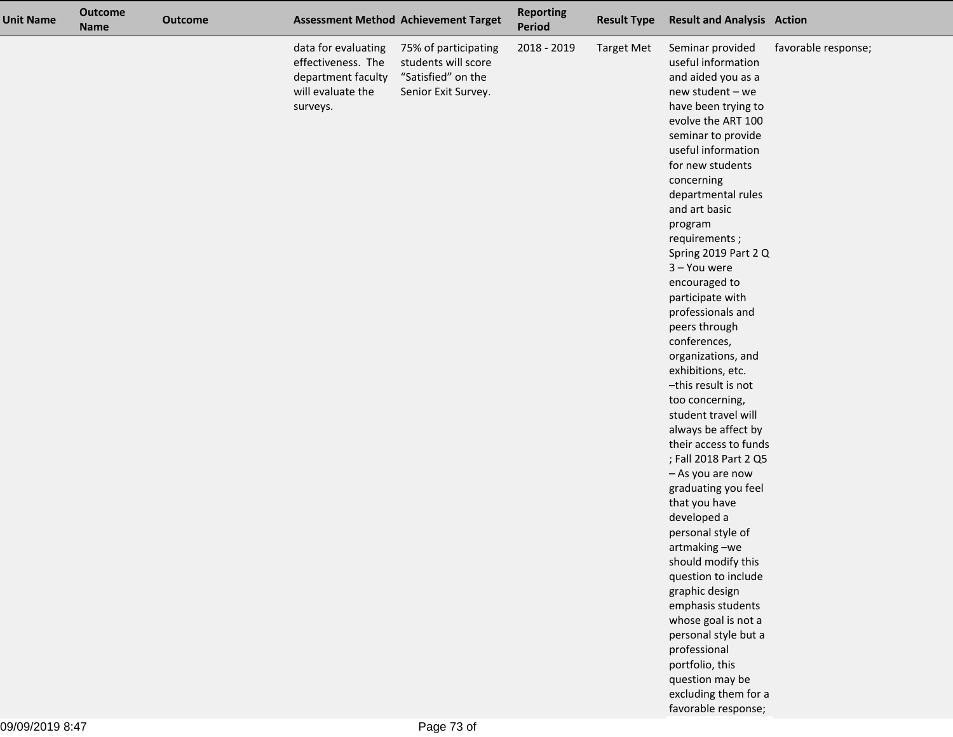| <b>Unit Name</b> | <b>Outcome</b><br><b>Name</b> | <b>Outcome</b> |                                                                                                  | <b>Assessment Method Achievement Target</b>                                              | <b>Reporting</b><br>Period | <b>Result Type</b> | <b>Result and Analysis Action</b>                                                                                                                                                                                                                                                                                                                                                                                                                                                                                                                                                                                                                                                                                                                                   |                     |
|------------------|-------------------------------|----------------|--------------------------------------------------------------------------------------------------|------------------------------------------------------------------------------------------|----------------------------|--------------------|---------------------------------------------------------------------------------------------------------------------------------------------------------------------------------------------------------------------------------------------------------------------------------------------------------------------------------------------------------------------------------------------------------------------------------------------------------------------------------------------------------------------------------------------------------------------------------------------------------------------------------------------------------------------------------------------------------------------------------------------------------------------|---------------------|
|                  |                               |                | data for evaluating<br>effectiveness. The<br>department faculty<br>will evaluate the<br>surveys. | 75% of participating<br>students will score<br>"Satisfied" on the<br>Senior Exit Survey. | 2018 - 2019                | <b>Target Met</b>  | Seminar provided<br>useful information<br>and aided you as a<br>new student - we<br>have been trying to<br>evolve the ART 100<br>seminar to provide<br>useful information<br>for new students<br>concerning<br>departmental rules<br>and art basic<br>program<br>requirements;<br>Spring 2019 Part 2 Q<br>3 - You were<br>encouraged to<br>participate with<br>professionals and<br>peers through<br>conferences,<br>organizations, and<br>exhibitions, etc.<br>-this result is not<br>too concerning,<br>student travel will<br>always be affect by<br>their access to funds<br>; Fall 2018 Part 2 Q5<br>- As you are now<br>graduating you feel<br>that you have<br>developed a<br>personal style of<br>artmaking-we<br>should modify this<br>question to include | favorable response; |
|                  |                               |                |                                                                                                  |                                                                                          |                            |                    | graphic design                                                                                                                                                                                                                                                                                                                                                                                                                                                                                                                                                                                                                                                                                                                                                      |                     |
|                  |                               |                |                                                                                                  |                                                                                          |                            |                    | emphasis students<br>whose goal is not a<br>personal style but a<br>professional<br>portfolio, this                                                                                                                                                                                                                                                                                                                                                                                                                                                                                                                                                                                                                                                                 |                     |
|                  |                               |                |                                                                                                  |                                                                                          |                            |                    | question may be<br>excluding them for a<br>favorable response;                                                                                                                                                                                                                                                                                                                                                                                                                                                                                                                                                                                                                                                                                                      |                     |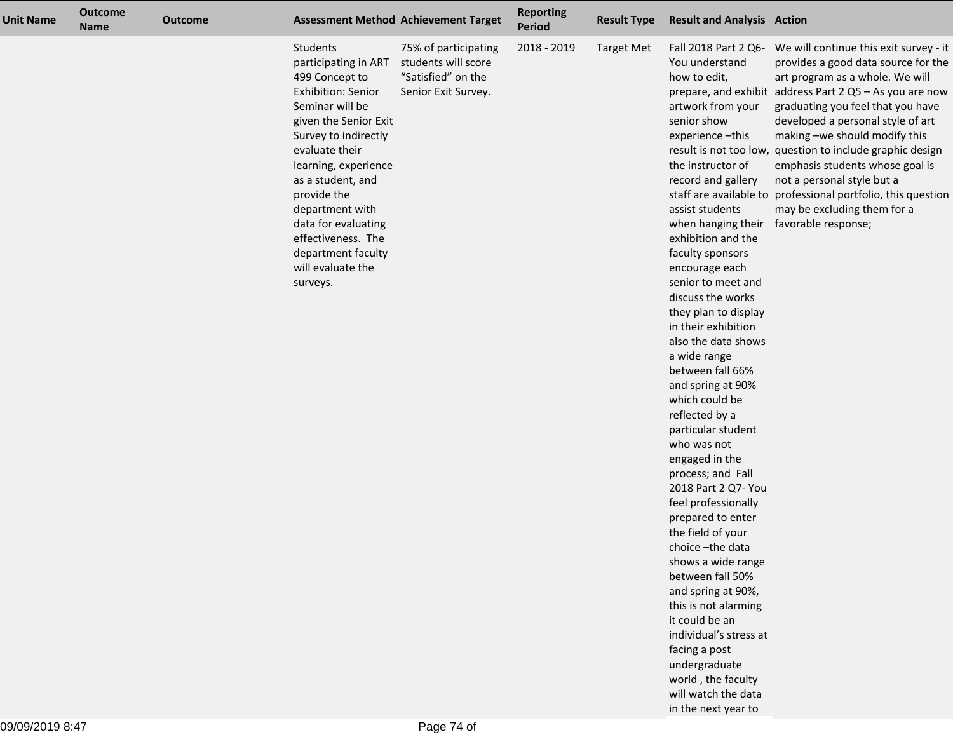| <b>Unit Name</b> | <b>Outcome</b><br><b>Name</b> | <b>Outcome</b> | <b>Assessment Method Achievement Target</b>                                                                                                                                                                                                                                                                                                              |                                                                                          | <b>Reporting</b><br><b>Period</b> | <b>Result Type</b> | <b>Result and Analysis Action</b>                                                                                                                                                                                                                                                                                                                                                                                                                                                                                                                                                                                                                                                                                                                                                                                                                                                                            |                                                                                                                                                                                                                                                                                                                                                                                                                                                                                                                                            |
|------------------|-------------------------------|----------------|----------------------------------------------------------------------------------------------------------------------------------------------------------------------------------------------------------------------------------------------------------------------------------------------------------------------------------------------------------|------------------------------------------------------------------------------------------|-----------------------------------|--------------------|--------------------------------------------------------------------------------------------------------------------------------------------------------------------------------------------------------------------------------------------------------------------------------------------------------------------------------------------------------------------------------------------------------------------------------------------------------------------------------------------------------------------------------------------------------------------------------------------------------------------------------------------------------------------------------------------------------------------------------------------------------------------------------------------------------------------------------------------------------------------------------------------------------------|--------------------------------------------------------------------------------------------------------------------------------------------------------------------------------------------------------------------------------------------------------------------------------------------------------------------------------------------------------------------------------------------------------------------------------------------------------------------------------------------------------------------------------------------|
|                  |                               |                | Students<br>participating in ART<br>499 Concept to<br><b>Exhibition: Senior</b><br>Seminar will be<br>given the Senior Exit<br>Survey to indirectly<br>evaluate their<br>learning, experience<br>as a student, and<br>provide the<br>department with<br>data for evaluating<br>effectiveness. The<br>department faculty<br>will evaluate the<br>surveys. | 75% of participating<br>students will score<br>"Satisfied" on the<br>Senior Exit Survey. | 2018 - 2019                       | <b>Target Met</b>  | Fall 2018 Part 2 Q6-<br>You understand<br>how to edit,<br>artwork from your<br>senior show<br>experience-this<br>the instructor of<br>record and gallery<br>assist students<br>when hanging their<br>exhibition and the<br>faculty sponsors<br>encourage each<br>senior to meet and<br>discuss the works<br>they plan to display<br>in their exhibition<br>also the data shows<br>a wide range<br>between fall 66%<br>and spring at 90%<br>which could be<br>reflected by a<br>particular student<br>who was not<br>engaged in the<br>process; and Fall<br>2018 Part 2 Q7- You<br>feel professionally<br>prepared to enter<br>the field of your<br>choice-the data<br>shows a wide range<br>between fall 50%<br>and spring at 90%,<br>this is not alarming<br>it could be an<br>individual's stress at<br>facing a post<br>undergraduate<br>world, the faculty<br>will watch the data<br>in the next year to | We will continue this exit survey - it<br>provides a good data source for the<br>art program as a whole. We will<br>prepare, and exhibit address Part 2 Q5 - As you are now<br>graduating you feel that you have<br>developed a personal style of art<br>making -we should modify this<br>result is not too low, question to include graphic design<br>emphasis students whose goal is<br>not a personal style but a<br>staff are available to professional portfolio, this question<br>may be excluding them for a<br>favorable response; |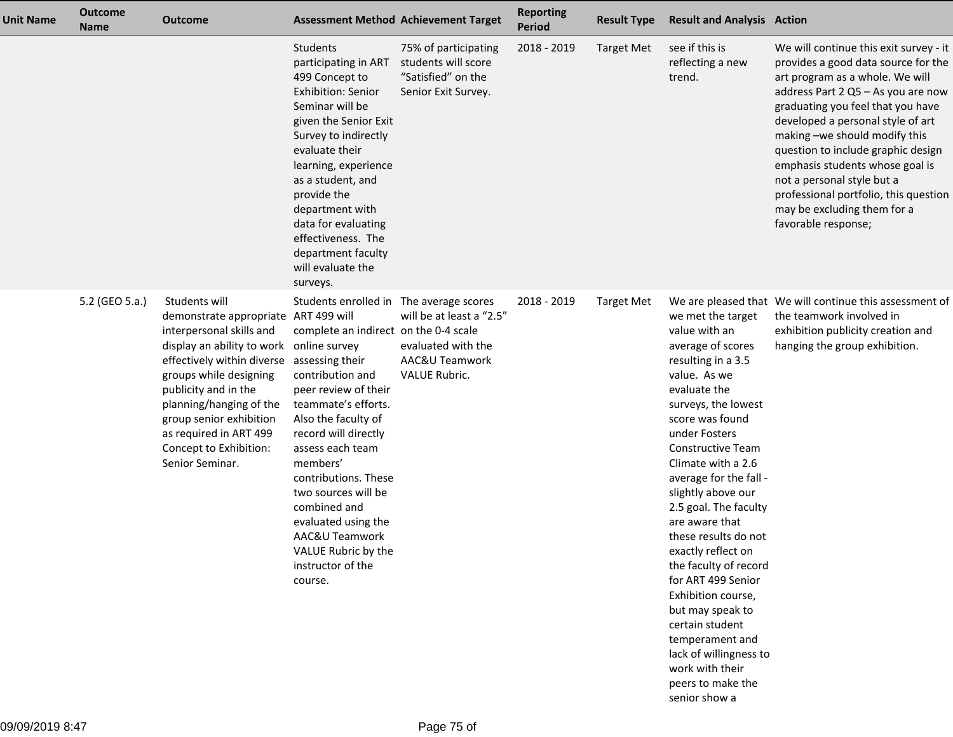| Unit Name | <b>Outcome</b><br><b>Name</b> | <b>Outcome</b>                                                                                                                                                                                                                                                                                                                                             |                                                                                                                                                                                                                                                                                                                                                                                                   | <b>Assessment Method Achievement Target</b>                                              | <b>Reporting</b><br><b>Period</b> | <b>Result Type</b> | <b>Result and Analysis Action</b>                                                                                                                                                                                                                                                                                                                                                                                                                                                                                                                                                     |                                                                                                                                                                                                                                                                                                                                                                                                                                                                         |
|-----------|-------------------------------|------------------------------------------------------------------------------------------------------------------------------------------------------------------------------------------------------------------------------------------------------------------------------------------------------------------------------------------------------------|---------------------------------------------------------------------------------------------------------------------------------------------------------------------------------------------------------------------------------------------------------------------------------------------------------------------------------------------------------------------------------------------------|------------------------------------------------------------------------------------------|-----------------------------------|--------------------|---------------------------------------------------------------------------------------------------------------------------------------------------------------------------------------------------------------------------------------------------------------------------------------------------------------------------------------------------------------------------------------------------------------------------------------------------------------------------------------------------------------------------------------------------------------------------------------|-------------------------------------------------------------------------------------------------------------------------------------------------------------------------------------------------------------------------------------------------------------------------------------------------------------------------------------------------------------------------------------------------------------------------------------------------------------------------|
|           |                               |                                                                                                                                                                                                                                                                                                                                                            | <b>Students</b><br>participating in ART<br>499 Concept to<br><b>Exhibition: Senior</b><br>Seminar will be<br>given the Senior Exit<br>Survey to indirectly<br>evaluate their<br>learning, experience<br>as a student, and<br>provide the<br>department with<br>data for evaluating<br>effectiveness. The<br>department faculty<br>will evaluate the<br>surveys.                                   | 75% of participating<br>students will score<br>"Satisfied" on the<br>Senior Exit Survey. | 2018 - 2019                       | <b>Target Met</b>  | see if this is<br>reflecting a new<br>trend.                                                                                                                                                                                                                                                                                                                                                                                                                                                                                                                                          | We will continue this exit survey - it<br>provides a good data source for the<br>art program as a whole. We will<br>address Part 2 Q5 - As you are now<br>graduating you feel that you have<br>developed a personal style of art<br>making -we should modify this<br>question to include graphic design<br>emphasis students whose goal is<br>not a personal style but a<br>professional portfolio, this question<br>may be excluding them for a<br>favorable response; |
|           | 5.2 (GEO 5.a.)                | Students will<br>demonstrate appropriate ART 499 will<br>interpersonal skills and<br>display an ability to work online survey<br>effectively within diverse assessing their<br>groups while designing<br>publicity and in the<br>planning/hanging of the<br>group senior exhibition<br>as required in ART 499<br>Concept to Exhibition:<br>Senior Seminar. | Students enrolled in The average scores<br>complete an indirect on the 0-4 scale<br>contribution and<br>peer review of their<br>teammate's efforts.<br>Also the faculty of<br>record will directly<br>assess each team<br>members'<br>contributions. These<br>two sources will be<br>combined and<br>evaluated using the<br>AAC&U Teamwork<br>VALUE Rubric by the<br>instructor of the<br>course. | will be at least a "2.5"<br>evaluated with the<br>AAC&U Teamwork<br><b>VALUE Rubric.</b> | 2018 - 2019                       | <b>Target Met</b>  | we met the target<br>value with an<br>average of scores<br>resulting in a 3.5<br>value. As we<br>evaluate the<br>surveys, the lowest<br>score was found<br>under Fosters<br><b>Constructive Team</b><br>Climate with a 2.6<br>average for the fall -<br>slightly above our<br>2.5 goal. The faculty<br>are aware that<br>these results do not<br>exactly reflect on<br>the faculty of record<br>for ART 499 Senior<br>Exhibition course,<br>but may speak to<br>certain student<br>temperament and<br>lack of willingness to<br>work with their<br>peers to make the<br>senior show a | We are pleased that We will continue this assessment of<br>the teamwork involved in<br>exhibition publicity creation and<br>hanging the group exhibition.                                                                                                                                                                                                                                                                                                               |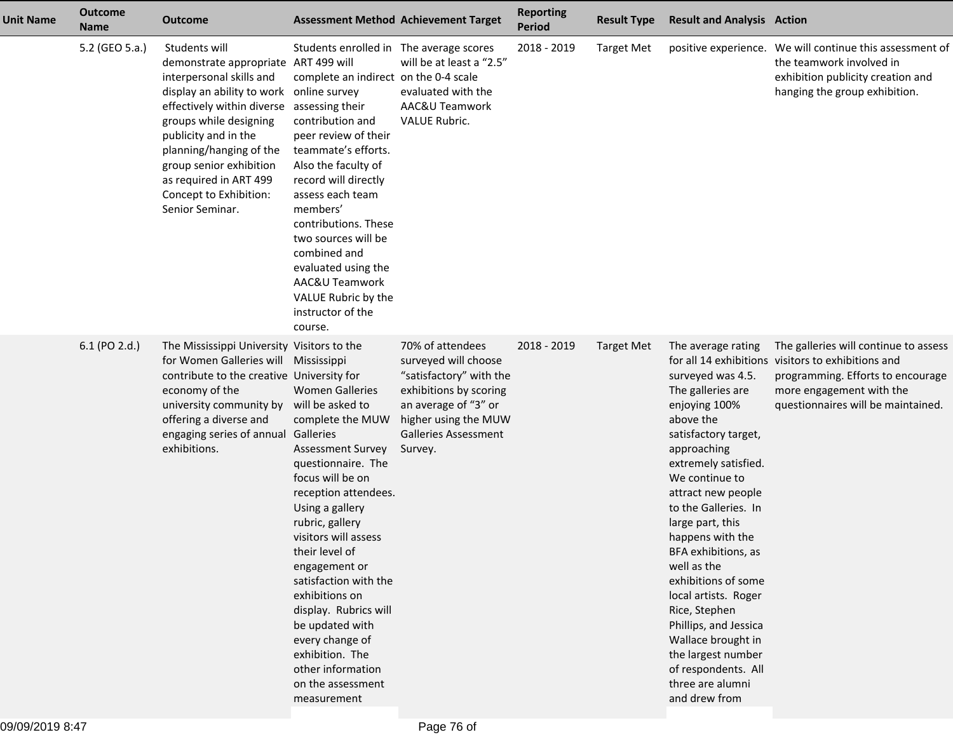| <b>Unit Name</b> | <b>Outcome</b><br><b>Name</b> | <b>Outcome</b>                                                                                                                                                                                                                                                                                                               | <b>Assessment Method Achievement Target</b>                                                                                                                                                                                                                                                                                                                                                                                                         |                                                                                                                                                                                         | <b>Reporting</b><br><b>Period</b> | <b>Result Type</b> | <b>Result and Analysis Action</b>                                                                                                                                                                                                                                                                                                                                                                                                                                                                        |                                                                                                                                                                                                    |
|------------------|-------------------------------|------------------------------------------------------------------------------------------------------------------------------------------------------------------------------------------------------------------------------------------------------------------------------------------------------------------------------|-----------------------------------------------------------------------------------------------------------------------------------------------------------------------------------------------------------------------------------------------------------------------------------------------------------------------------------------------------------------------------------------------------------------------------------------------------|-----------------------------------------------------------------------------------------------------------------------------------------------------------------------------------------|-----------------------------------|--------------------|----------------------------------------------------------------------------------------------------------------------------------------------------------------------------------------------------------------------------------------------------------------------------------------------------------------------------------------------------------------------------------------------------------------------------------------------------------------------------------------------------------|----------------------------------------------------------------------------------------------------------------------------------------------------------------------------------------------------|
|                  | 5.2 (GEO 5.a.)                | Students will<br>demonstrate appropriate ART 499 will<br>interpersonal skills and<br>display an ability to work<br>effectively within diverse<br>groups while designing<br>publicity and in the<br>planning/hanging of the<br>group senior exhibition<br>as required in ART 499<br>Concept to Exhibition:<br>Senior Seminar. | Students enrolled in The average scores<br>complete an indirect on the 0-4 scale<br>online survey<br>assessing their<br>contribution and<br>peer review of their<br>teammate's efforts.<br>Also the faculty of<br>record will directly<br>assess each team<br>members'<br>contributions. These<br>two sources will be<br>combined and<br>evaluated using the<br>AAC&U Teamwork<br>VALUE Rubric by the<br>instructor of the<br>course.               | will be at least a "2.5"<br>evaluated with the<br>AAC&U Teamwork<br><b>VALUE Rubric.</b>                                                                                                | 2018 - 2019                       | <b>Target Met</b>  |                                                                                                                                                                                                                                                                                                                                                                                                                                                                                                          | positive experience. We will continue this assessment of<br>the teamwork involved in<br>exhibition publicity creation and<br>hanging the group exhibition.                                         |
|                  | 6.1 (PO 2.d.)                 | The Mississippi University Visitors to the<br>for Women Galleries will Mississippi<br>contribute to the creative University for<br>economy of the<br>university community by<br>offering a diverse and<br>engaging series of annual Galleries<br>exhibitions.                                                                | <b>Women Galleries</b><br>will be asked to<br>complete the MUW<br><b>Assessment Survey</b><br>questionnaire. The<br>focus will be on<br>reception attendees.<br>Using a gallery<br>rubric, gallery<br>visitors will assess<br>their level of<br>engagement or<br>satisfaction with the<br>exhibitions on<br>display. Rubrics will<br>be updated with<br>every change of<br>exhibition. The<br>other information<br>on the assessment<br>measurement | 70% of attendees<br>surveyed will choose<br>"satisfactory" with the<br>exhibitions by scoring<br>an average of "3" or<br>higher using the MUW<br><b>Galleries Assessment</b><br>Survey. | 2018 - 2019                       | <b>Target Met</b>  | The average rating<br>surveyed was 4.5.<br>The galleries are<br>enjoying 100%<br>above the<br>satisfactory target,<br>approaching<br>extremely satisfied.<br>We continue to<br>attract new people<br>to the Galleries. In<br>large part, this<br>happens with the<br>BFA exhibitions, as<br>well as the<br>exhibitions of some<br>local artists. Roger<br>Rice, Stephen<br>Phillips, and Jessica<br>Wallace brought in<br>the largest number<br>of respondents. All<br>three are alumni<br>and drew from | The galleries will continue to assess<br>for all 14 exhibitions visitors to exhibitions and<br>programming. Efforts to encourage<br>more engagement with the<br>questionnaires will be maintained. |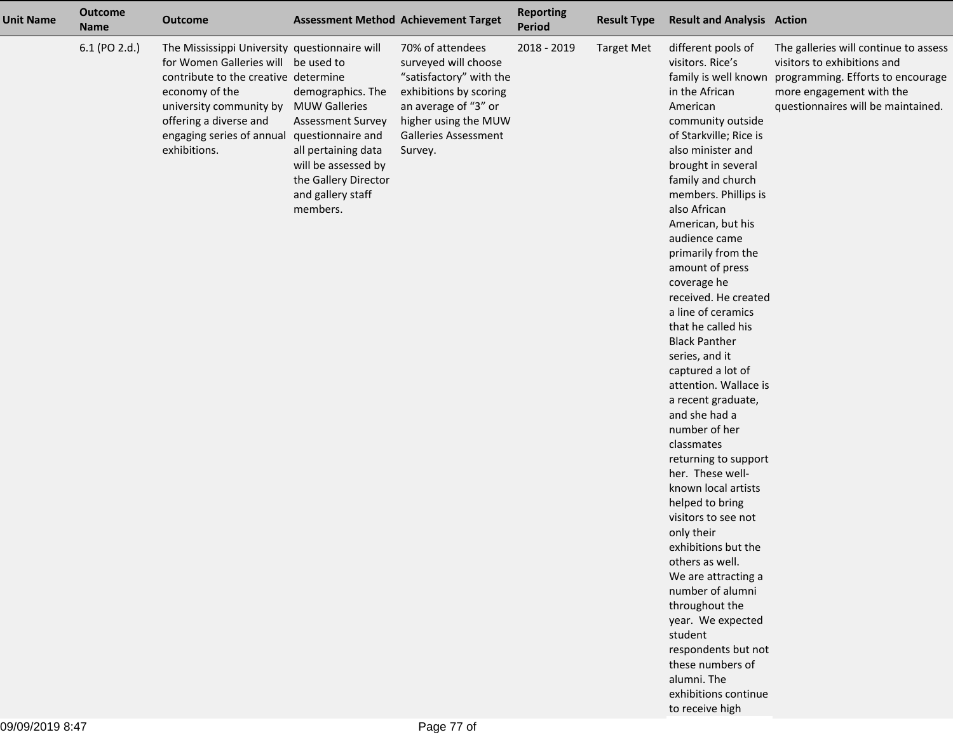| <b>Unit Name</b> | <b>Outcome</b><br><b>Name</b> | <b>Outcome</b>                                                                                                                                                                                                                                                 |                                                                                                                                                                           | <b>Assessment Method Achievement Target</b>                                                                                                                                             | <b>Reporting</b><br>Period | <b>Result Type</b> | <b>Result and Analysis Action</b>                                                                                                                                                                                                                                                                                                                                                                                                                                                                                                                                                                                                                                                                                                                                                                                                                                                                                                                          |                                                                                                                                                                             |
|------------------|-------------------------------|----------------------------------------------------------------------------------------------------------------------------------------------------------------------------------------------------------------------------------------------------------------|---------------------------------------------------------------------------------------------------------------------------------------------------------------------------|-----------------------------------------------------------------------------------------------------------------------------------------------------------------------------------------|----------------------------|--------------------|------------------------------------------------------------------------------------------------------------------------------------------------------------------------------------------------------------------------------------------------------------------------------------------------------------------------------------------------------------------------------------------------------------------------------------------------------------------------------------------------------------------------------------------------------------------------------------------------------------------------------------------------------------------------------------------------------------------------------------------------------------------------------------------------------------------------------------------------------------------------------------------------------------------------------------------------------------|-----------------------------------------------------------------------------------------------------------------------------------------------------------------------------|
|                  | 6.1 (PO 2.d.)                 | The Mississippi University questionnaire will<br>for Women Galleries will be used to<br>contribute to the creative determine<br>economy of the<br>university community by MUW Galleries<br>offering a diverse and<br>engaging series of annual<br>exhibitions. | demographics. The<br><b>Assessment Survey</b><br>questionnaire and<br>all pertaining data<br>will be assessed by<br>the Gallery Director<br>and gallery staff<br>members. | 70% of attendees<br>surveyed will choose<br>"satisfactory" with the<br>exhibitions by scoring<br>an average of "3" or<br>higher using the MUW<br><b>Galleries Assessment</b><br>Survey. | 2018 - 2019                | <b>Target Met</b>  | different pools of<br>visitors. Rice's<br>family is well known<br>in the African<br>American<br>community outside<br>of Starkville; Rice is<br>also minister and<br>brought in several<br>family and church<br>members. Phillips is<br>also African<br>American, but his<br>audience came<br>primarily from the<br>amount of press<br>coverage he<br>received. He created<br>a line of ceramics<br>that he called his<br><b>Black Panther</b><br>series, and it<br>captured a lot of<br>attention. Wallace is<br>a recent graduate,<br>and she had a<br>number of her<br>classmates<br>returning to support<br>her. These well-<br>known local artists<br>helped to bring<br>visitors to see not<br>only their<br>exhibitions but the<br>others as well.<br>We are attracting a<br>number of alumni<br>throughout the<br>year. We expected<br>student<br>respondents but not<br>these numbers of<br>alumni. The<br>exhibitions continue<br>to receive high | The galleries will continue to assess<br>visitors to exhibitions and<br>programming. Efforts to encourage<br>more engagement with the<br>questionnaires will be maintained. |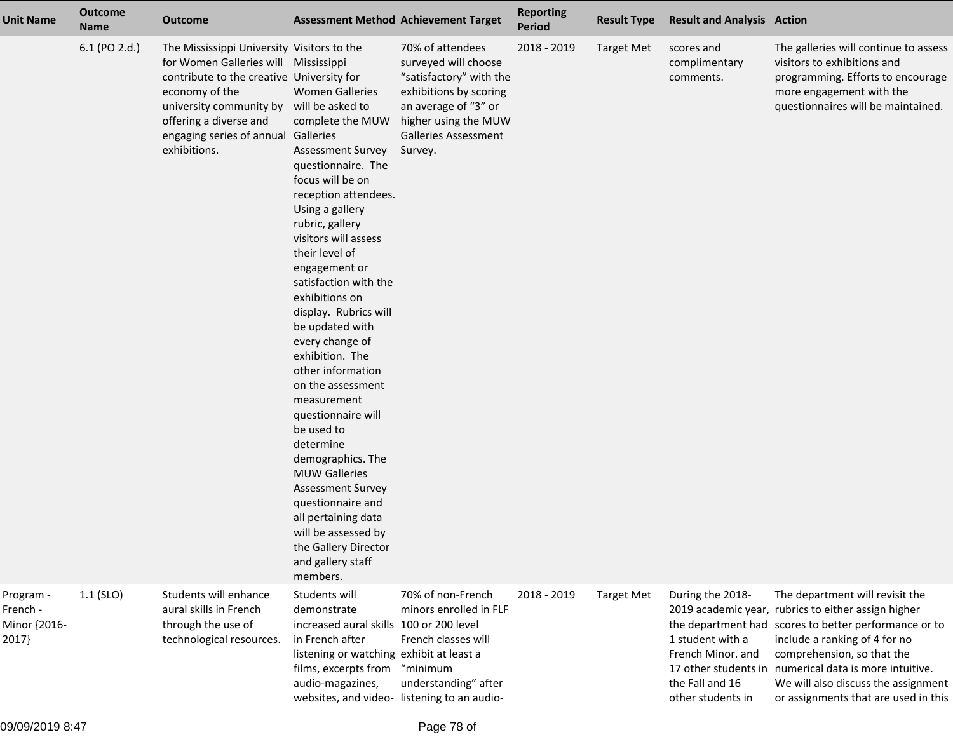| <b>Unit Name</b>                               | <b>Outcome</b><br><b>Name</b> | <b>Outcome</b>                                                                                                                                                                                                                                                                 | <b>Assessment Method Achievement Target</b>                                                                                                                                                                                                                                                                                                                                                                                                                                                                                                                                                                                                                                           |                                                                                                                                                                                         | <b>Reporting</b><br><b>Period</b> | <b>Result Type</b> | <b>Result and Analysis Action</b>                                                                 |                                                                                                                                                                                                                                                                                                                                                         |
|------------------------------------------------|-------------------------------|--------------------------------------------------------------------------------------------------------------------------------------------------------------------------------------------------------------------------------------------------------------------------------|---------------------------------------------------------------------------------------------------------------------------------------------------------------------------------------------------------------------------------------------------------------------------------------------------------------------------------------------------------------------------------------------------------------------------------------------------------------------------------------------------------------------------------------------------------------------------------------------------------------------------------------------------------------------------------------|-----------------------------------------------------------------------------------------------------------------------------------------------------------------------------------------|-----------------------------------|--------------------|---------------------------------------------------------------------------------------------------|---------------------------------------------------------------------------------------------------------------------------------------------------------------------------------------------------------------------------------------------------------------------------------------------------------------------------------------------------------|
|                                                | 6.1 (PO 2.d.)                 | The Mississippi University Visitors to the<br>for Women Galleries will Mississippi<br>contribute to the creative University for<br>economy of the<br>university community by will be asked to<br>offering a diverse and<br>engaging series of annual Galleries<br>exhibitions. | <b>Women Galleries</b><br>complete the MUW<br><b>Assessment Survey</b><br>questionnaire. The<br>focus will be on<br>reception attendees.<br>Using a gallery<br>rubric, gallery<br>visitors will assess<br>their level of<br>engagement or<br>satisfaction with the<br>exhibitions on<br>display. Rubrics will<br>be updated with<br>every change of<br>exhibition. The<br>other information<br>on the assessment<br>measurement<br>questionnaire will<br>be used to<br>determine<br>demographics. The<br><b>MUW Galleries</b><br><b>Assessment Survey</b><br>questionnaire and<br>all pertaining data<br>will be assessed by<br>the Gallery Director<br>and gallery staff<br>members. | 70% of attendees<br>surveyed will choose<br>"satisfactory" with the<br>exhibitions by scoring<br>an average of "3" or<br>higher using the MUW<br><b>Galleries Assessment</b><br>Survey. | 2018 - 2019                       | <b>Target Met</b>  | scores and<br>complimentary<br>comments.                                                          | The galleries will continue to assess<br>visitors to exhibitions and<br>programming. Efforts to encourage<br>more engagement with the<br>questionnaires will be maintained.                                                                                                                                                                             |
| Program -<br>French -<br>Minor {2016-<br>2017} | 1.1 (SLO)                     | Students will enhance<br>aural skills in French<br>through the use of<br>technological resources.                                                                                                                                                                              | Students will<br>demonstrate<br>increased aural skills 100 or 200 level<br>in French after<br>listening or watching exhibit at least a<br>films, excerpts from<br>audio-magazines,<br>websites, and video- listening to an audio-                                                                                                                                                                                                                                                                                                                                                                                                                                                     | 70% of non-French<br>minors enrolled in FLF<br>French classes will<br>"minimum<br>understanding" after                                                                                  | 2018 - 2019                       | <b>Target Met</b>  | During the 2018-<br>1 student with a<br>French Minor. and<br>the Fall and 16<br>other students in | The department will revisit the<br>2019 academic year, rubrics to either assign higher<br>the department had scores to better performance or to<br>include a ranking of 4 for no<br>comprehension, so that the<br>17 other students in numerical data is more intuitive.<br>We will also discuss the assignment<br>or assignments that are used in this |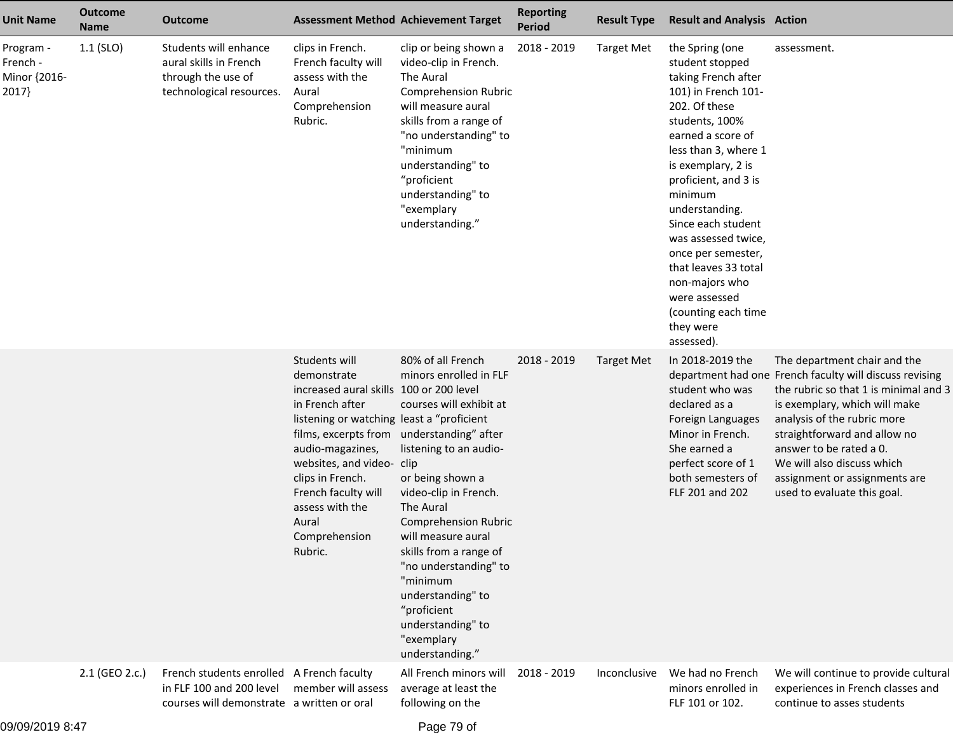| <b>Unit Name</b>                               | <b>Outcome</b><br><b>Name</b> | <b>Outcome</b>                                                                                                      | <b>Assessment Method Achievement Target</b>                                                                                                                                                                                                                                                                                              |                                                                                                                                                                                                                                                                                                                                                                          | <b>Reporting</b><br><b>Period</b> | <b>Result Type</b> | <b>Result and Analysis Action</b>                                                                                                                                                                                                                                                                                                                                                                                           |                                                                                                                                                                                                                                                                                                                                                           |
|------------------------------------------------|-------------------------------|---------------------------------------------------------------------------------------------------------------------|------------------------------------------------------------------------------------------------------------------------------------------------------------------------------------------------------------------------------------------------------------------------------------------------------------------------------------------|--------------------------------------------------------------------------------------------------------------------------------------------------------------------------------------------------------------------------------------------------------------------------------------------------------------------------------------------------------------------------|-----------------------------------|--------------------|-----------------------------------------------------------------------------------------------------------------------------------------------------------------------------------------------------------------------------------------------------------------------------------------------------------------------------------------------------------------------------------------------------------------------------|-----------------------------------------------------------------------------------------------------------------------------------------------------------------------------------------------------------------------------------------------------------------------------------------------------------------------------------------------------------|
| Program -<br>French -<br>Minor {2016-<br>2017} | $1.1$ (SLO)                   | Students will enhance<br>aural skills in French<br>through the use of<br>technological resources.                   | clips in French.<br>French faculty will<br>assess with the<br>Aural<br>Comprehension<br>Rubric.                                                                                                                                                                                                                                          | clip or being shown a<br>video-clip in French.<br>The Aural<br><b>Comprehension Rubric</b><br>will measure aural<br>skills from a range of<br>"no understanding" to<br>"minimum<br>understanding" to<br>"proficient<br>understanding" to<br>"exemplary<br>understanding."                                                                                                | 2018 - 2019                       | <b>Target Met</b>  | the Spring (one<br>student stopped<br>taking French after<br>101) in French 101-<br>202. Of these<br>students, 100%<br>earned a score of<br>less than 3, where 1<br>is exemplary, 2 is<br>proficient, and 3 is<br>minimum<br>understanding.<br>Since each student<br>was assessed twice,<br>once per semester,<br>that leaves 33 total<br>non-majors who<br>were assessed<br>(counting each time<br>they were<br>assessed). | assessment.                                                                                                                                                                                                                                                                                                                                               |
|                                                |                               |                                                                                                                     | Students will<br>demonstrate<br>increased aural skills 100 or 200 level<br>in French after<br>listening or watching least a "proficient<br>films, excerpts from understanding" after<br>audio-magazines,<br>websites, and video- clip<br>clips in French.<br>French faculty will<br>assess with the<br>Aural<br>Comprehension<br>Rubric. | 80% of all French<br>minors enrolled in FLF<br>courses will exhibit at<br>listening to an audio-<br>or being shown a<br>video-clip in French.<br>The Aural<br><b>Comprehension Rubric</b><br>will measure aural<br>skills from a range of<br>"no understanding" to<br>"minimum<br>understanding" to<br>"proficient<br>understanding" to<br>"exemplary<br>understanding." | 2018 - 2019                       | <b>Target Met</b>  | In 2018-2019 the<br>student who was<br>declared as a<br>Foreign Languages<br>Minor in French.<br>She earned a<br>perfect score of 1<br>both semesters of<br>FLF 201 and 202                                                                                                                                                                                                                                                 | The department chair and the<br>department had one French faculty will discuss revising<br>the rubric so that 1 is minimal and 3<br>is exemplary, which will make<br>analysis of the rubric more<br>straightforward and allow no<br>answer to be rated a 0.<br>We will also discuss which<br>assignment or assignments are<br>used to evaluate this goal. |
|                                                | 2.1 (GEO 2.c.)                | French students enrolled A French faculty<br>in FLF 100 and 200 level<br>courses will demonstrate a written or oral | member will assess                                                                                                                                                                                                                                                                                                                       | All French minors will<br>average at least the<br>following on the                                                                                                                                                                                                                                                                                                       | 2018 - 2019                       | Inconclusive       | We had no French<br>minors enrolled in<br>FLF 101 or 102.                                                                                                                                                                                                                                                                                                                                                                   | We will continue to provide cultural<br>experiences in French classes and<br>continue to asses students                                                                                                                                                                                                                                                   |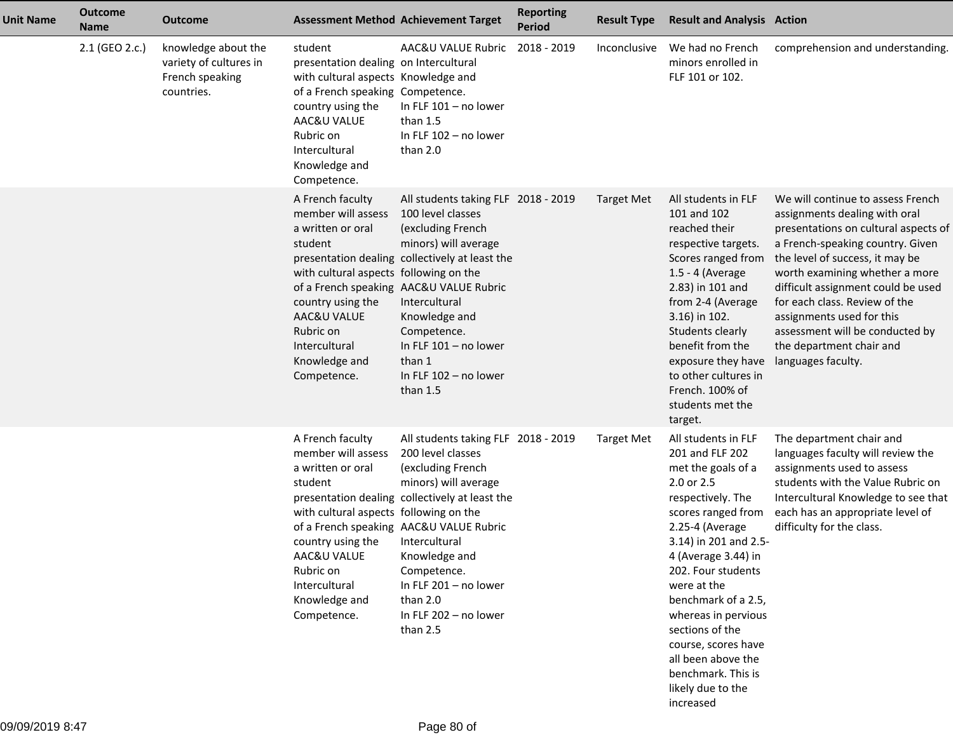| <b>Unit Name</b> | <b>Outcome</b><br><b>Name</b> | <b>Outcome</b>                                                                 |                                                                                                                                                                                                                                  | <b>Assessment Method Achievement Target</b>                                                                                                                                                                                                                                                                                     | <b>Reporting</b><br><b>Period</b> | <b>Result Type</b> | <b>Result and Analysis Action</b>                                                                                                                                                                                                                                                                                                                                                                   |                                                                                                                                                                                                                                                                                                                                                                                                              |
|------------------|-------------------------------|--------------------------------------------------------------------------------|----------------------------------------------------------------------------------------------------------------------------------------------------------------------------------------------------------------------------------|---------------------------------------------------------------------------------------------------------------------------------------------------------------------------------------------------------------------------------------------------------------------------------------------------------------------------------|-----------------------------------|--------------------|-----------------------------------------------------------------------------------------------------------------------------------------------------------------------------------------------------------------------------------------------------------------------------------------------------------------------------------------------------------------------------------------------------|--------------------------------------------------------------------------------------------------------------------------------------------------------------------------------------------------------------------------------------------------------------------------------------------------------------------------------------------------------------------------------------------------------------|
|                  | 2.1 (GEO 2.c.)                | knowledge about the<br>variety of cultures in<br>French speaking<br>countries. | student<br>presentation dealing on Intercultural<br>with cultural aspects Knowledge and<br>of a French speaking Competence.<br>country using the<br>AAC&U VALUE<br>Rubric on<br>Intercultural<br>Knowledge and<br>Competence.    | AAC&U VALUE Rubric<br>In FLF $101 - no$ lower<br>than 1.5<br>In FLF 102 - no lower<br>than 2.0                                                                                                                                                                                                                                  | 2018 - 2019                       | Inconclusive       | We had no French<br>minors enrolled in<br>FLF 101 or 102.                                                                                                                                                                                                                                                                                                                                           | comprehension and understanding.                                                                                                                                                                                                                                                                                                                                                                             |
|                  |                               |                                                                                | A French faculty<br>member will assess<br>a written or oral<br>student<br>with cultural aspects following on the<br>country using the<br>AAC&U VALUE<br>Rubric on<br>Intercultural<br>Knowledge and<br>Competence.               | All students taking FLF 2018 - 2019<br>100 level classes<br>(excluding French<br>minors) will average<br>presentation dealing collectively at least the<br>of a French speaking AAC&U VALUE Rubric<br>Intercultural<br>Knowledge and<br>Competence.<br>In FLF $101 - no$ lower<br>than 1<br>In FLF 102 - no lower<br>than $1.5$ |                                   | <b>Target Met</b>  | All students in FLF<br>101 and 102<br>reached their<br>respective targets.<br>Scores ranged from<br>1.5 - 4 (Average<br>2.83) in 101 and<br>from 2-4 (Average<br>3.16) in 102.<br>Students clearly<br>benefit from the<br>exposure they have<br>to other cultures in<br>French. 100% of<br>students met the<br>target.                                                                              | We will continue to assess French<br>assignments dealing with oral<br>presentations on cultural aspects of<br>a French-speaking country. Given<br>the level of success, it may be<br>worth examining whether a more<br>difficult assignment could be used<br>for each class. Review of the<br>assignments used for this<br>assessment will be conducted by<br>the department chair and<br>languages faculty. |
|                  |                               |                                                                                | A French faculty<br>member will assess<br>a written or oral<br>student<br>with cultural aspects following on the<br>country using the Intercultural<br>AAC&U VALUE<br>Rubric on<br>Intercultural<br>Knowledge and<br>Competence. | All students taking FLF 2018 - 2019<br>200 level classes<br>(excluding French<br>minors) will average<br>presentation dealing collectively at least the<br>of a French speaking AAC&U VALUE Rubric<br>Knowledge and<br>Competence.<br>In FLF 201 - no lower<br>than 2.0<br>In FLF 202 - no lower<br>than 2.5                    |                                   | <b>Target Met</b>  | All students in FLF<br>201 and FLF 202<br>met the goals of a<br>2.0 or 2.5<br>respectively. The<br>scores ranged from<br>2.25-4 (Average<br>3.14) in 201 and 2.5-<br>4 (Average 3.44) in<br>202. Four students<br>were at the<br>benchmark of a 2.5,<br>whereas in pervious<br>sections of the<br>course, scores have<br>all been above the<br>benchmark. This is<br>likely due to the<br>increased | The department chair and<br>languages faculty will review the<br>assignments used to assess<br>students with the Value Rubric on<br>Intercultural Knowledge to see that<br>each has an appropriate level of<br>difficulty for the class.                                                                                                                                                                     |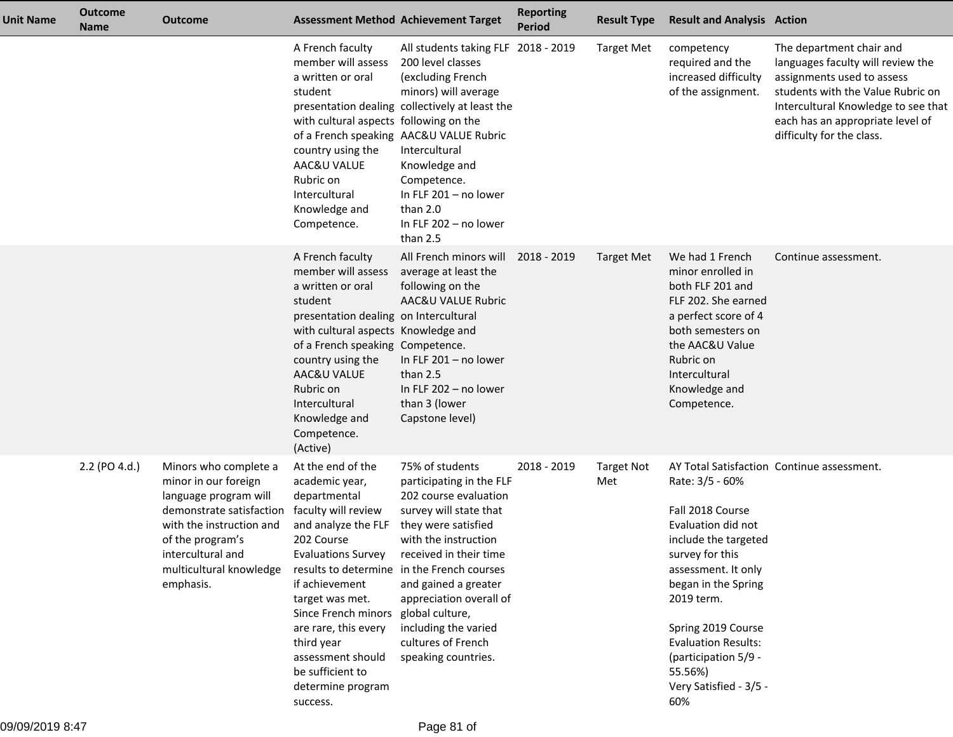| <b>Unit Name</b> | <b>Outcome</b><br><b>Name</b> | <b>Outcome</b>                                                                                                                                                                                                  |                                                                                                                                                                                                                                                                                                                                          | <b>Assessment Method Achievement Target</b>                                                                                                                                                                                                                                                                                                   | <b>Reporting</b><br><b>Period</b> | <b>Result Type</b>       | <b>Result and Analysis Action</b>                                                                                                                                                                                                                                                        |                                                                                                                                                                                                                                          |
|------------------|-------------------------------|-----------------------------------------------------------------------------------------------------------------------------------------------------------------------------------------------------------------|------------------------------------------------------------------------------------------------------------------------------------------------------------------------------------------------------------------------------------------------------------------------------------------------------------------------------------------|-----------------------------------------------------------------------------------------------------------------------------------------------------------------------------------------------------------------------------------------------------------------------------------------------------------------------------------------------|-----------------------------------|--------------------------|------------------------------------------------------------------------------------------------------------------------------------------------------------------------------------------------------------------------------------------------------------------------------------------|------------------------------------------------------------------------------------------------------------------------------------------------------------------------------------------------------------------------------------------|
|                  |                               |                                                                                                                                                                                                                 | A French faculty<br>member will assess<br>a written or oral<br>student<br>with cultural aspects following on the<br>country using the<br>AAC&U VALUE<br>Rubric on<br>Intercultural<br>Knowledge and<br>Competence.                                                                                                                       | All students taking FLF 2018 - 2019<br>200 level classes<br>(excluding French<br>minors) will average<br>presentation dealing collectively at least the<br>of a French speaking AAC&U VALUE Rubric<br>Intercultural<br>Knowledge and<br>Competence.<br>In FLF 201 - no lower<br>than 2.0<br>In FLF 202 - no lower<br>than 2.5                 |                                   | <b>Target Met</b>        | competency<br>required and the<br>increased difficulty<br>of the assignment.                                                                                                                                                                                                             | The department chair and<br>languages faculty will review the<br>assignments used to assess<br>students with the Value Rubric on<br>Intercultural Knowledge to see that<br>each has an appropriate level of<br>difficulty for the class. |
|                  |                               |                                                                                                                                                                                                                 | A French faculty<br>member will assess<br>a written or oral<br>student<br>presentation dealing on Intercultural<br>with cultural aspects Knowledge and<br>of a French speaking Competence.<br>country using the<br>AAC&U VALUE<br>Rubric on<br>Intercultural<br>Knowledge and<br>Competence.<br>(Active)                                 | All French minors will<br>average at least the<br>following on the<br>AAC&U VALUE Rubric<br>In FLF 201 - no lower<br>than 2.5<br>In FLF 202 - no lower<br>than 3 (lower<br>Capstone level)                                                                                                                                                    | 2018 - 2019                       | <b>Target Met</b>        | We had 1 French<br>minor enrolled in<br>both FLF 201 and<br>FLF 202. She earned<br>a perfect score of 4<br>both semesters on<br>the AAC&U Value<br>Rubric on<br>Intercultural<br>Knowledge and<br>Competence.                                                                            | Continue assessment.                                                                                                                                                                                                                     |
|                  | 2.2 (PO 4.d.)                 | Minors who complete a<br>minor in our foreign<br>language program will<br>demonstrate satisfaction<br>with the instruction and<br>of the program's<br>intercultural and<br>multicultural knowledge<br>emphasis. | At the end of the<br>academic year,<br>departmental<br>faculty will review<br>and analyze the FLF<br>202 Course<br><b>Evaluations Survey</b><br>if achievement<br>target was met.<br>Since French minors global culture,<br>are rare, this every<br>third year<br>assessment should<br>be sufficient to<br>determine program<br>success. | 75% of students<br>participating in the FLF<br>202 course evaluation<br>survey will state that<br>they were satisfied<br>with the instruction<br>received in their time<br>results to determine in the French courses<br>and gained a greater<br>appreciation overall of<br>including the varied<br>cultures of French<br>speaking countries. | 2018 - 2019                       | <b>Target Not</b><br>Met | Rate: 3/5 - 60%<br>Fall 2018 Course<br>Evaluation did not<br>include the targeted<br>survey for this<br>assessment. It only<br>began in the Spring<br>2019 term.<br>Spring 2019 Course<br><b>Evaluation Results:</b><br>(participation 5/9 -<br>55.56%)<br>Very Satisfied - 3/5 -<br>60% | AY Total Satisfaction Continue assessment.                                                                                                                                                                                               |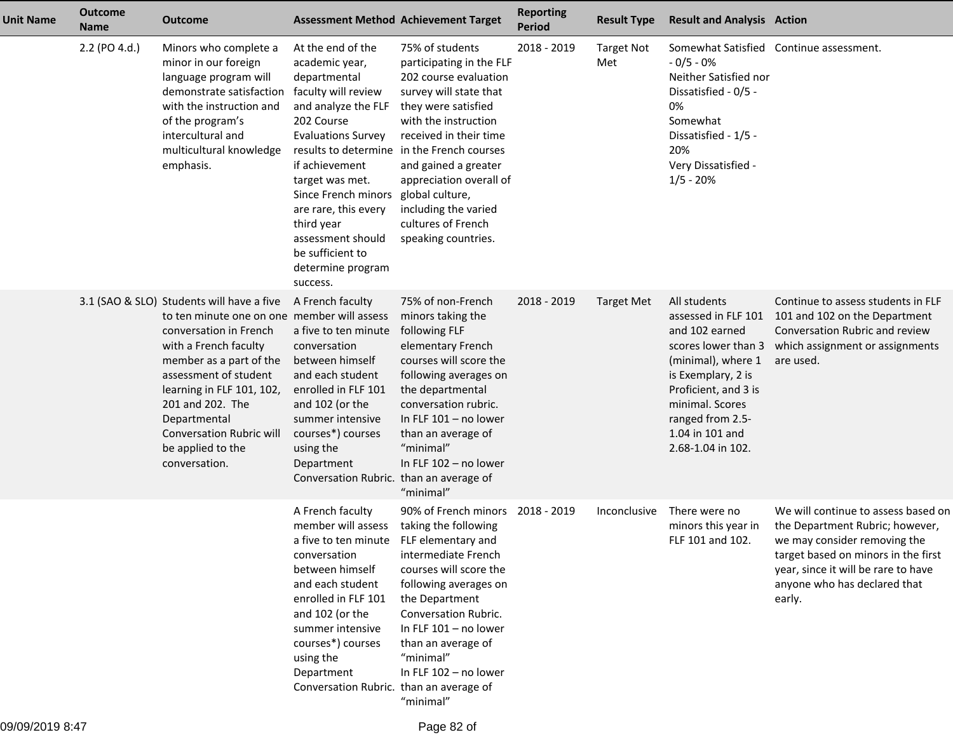| <b>Unit Name</b> | <b>Outcome</b><br><b>Name</b> | <b>Outcome</b>                                                                                                                                                                                                                                                                                                                            |                                                                                                                                                                                                                                                                                                                                          | <b>Assessment Method Achievement Target</b>                                                                                                                                                                                                                                                                                                   | <b>Reporting</b><br><b>Period</b> | <b>Result Type</b>       | <b>Result and Analysis Action</b>                                                                                                                                                                                               |                                                                                                                                                                                                                                |
|------------------|-------------------------------|-------------------------------------------------------------------------------------------------------------------------------------------------------------------------------------------------------------------------------------------------------------------------------------------------------------------------------------------|------------------------------------------------------------------------------------------------------------------------------------------------------------------------------------------------------------------------------------------------------------------------------------------------------------------------------------------|-----------------------------------------------------------------------------------------------------------------------------------------------------------------------------------------------------------------------------------------------------------------------------------------------------------------------------------------------|-----------------------------------|--------------------------|---------------------------------------------------------------------------------------------------------------------------------------------------------------------------------------------------------------------------------|--------------------------------------------------------------------------------------------------------------------------------------------------------------------------------------------------------------------------------|
|                  | 2.2 (PO 4.d.)                 | Minors who complete a<br>minor in our foreign<br>language program will<br>demonstrate satisfaction<br>with the instruction and<br>of the program's<br>intercultural and<br>multicultural knowledge<br>emphasis.                                                                                                                           | At the end of the<br>academic year,<br>departmental<br>faculty will review<br>and analyze the FLF<br>202 Course<br><b>Evaluations Survey</b><br>if achievement<br>target was met.<br>Since French minors global culture,<br>are rare, this every<br>third year<br>assessment should<br>be sufficient to<br>determine program<br>success. | 75% of students<br>participating in the FLF<br>202 course evaluation<br>survey will state that<br>they were satisfied<br>with the instruction<br>received in their time<br>results to determine in the French courses<br>and gained a greater<br>appreciation overall of<br>including the varied<br>cultures of French<br>speaking countries. | 2018 - 2019                       | <b>Target Not</b><br>Met | $-0/5 - 0%$<br>Neither Satisfied nor<br>Dissatisfied - 0/5 -<br>0%<br>Somewhat<br>Dissatisfied - 1/5 -<br>20%<br>Very Dissatisfied -<br>$1/5 - 20%$                                                                             | Somewhat Satisfied Continue assessment.                                                                                                                                                                                        |
|                  |                               | 3.1 (SAO & SLO) Students will have a five<br>to ten minute one on one member will assess<br>conversation in French<br>with a French faculty<br>member as a part of the<br>assessment of student<br>learning in FLF 101, 102,<br>201 and 202. The<br>Departmental<br><b>Conversation Rubric will</b><br>be applied to the<br>conversation. | A French faculty<br>a five to ten minute<br>conversation<br>between himself<br>and each student<br>enrolled in FLF 101<br>and 102 (or the<br>summer intensive<br>courses*) courses<br>using the<br>Department<br>Conversation Rubric. than an average of                                                                                 | 75% of non-French<br>minors taking the<br>following FLF<br>elementary French<br>courses will score the<br>following averages on<br>the departmental<br>conversation rubric.<br>In FLF $101 - no$ lower<br>than an average of<br>"minimal"<br>In FLF 102 - no lower<br>"minimal"                                                               | 2018 - 2019                       | <b>Target Met</b>        | All students<br>assessed in FLF 101<br>and 102 earned<br>scores lower than 3<br>(minimal), where 1<br>is Exemplary, 2 is<br>Proficient, and 3 is<br>minimal. Scores<br>ranged from 2.5-<br>1.04 in 101 and<br>2.68-1.04 in 102. | Continue to assess students in FLF<br>101 and 102 on the Department<br>Conversation Rubric and review<br>which assignment or assignments<br>are used.                                                                          |
|                  |                               |                                                                                                                                                                                                                                                                                                                                           | A French faculty<br>member will assess<br>a five to ten minute FLF elementary and<br>conversation<br>between himself<br>and each student<br>enrolled in FLF 101<br>and 102 (or the<br>summer intensive<br>courses*) courses<br>using the<br>Department<br>Conversation Rubric. than an average of                                        | 90% of French minors 2018 - 2019<br>taking the following<br>intermediate French<br>courses will score the<br>following averages on<br>the Department<br>Conversation Rubric.<br>In FLF $101 - no lower$<br>than an average of<br>"minimal"<br>In FLF 102 - no lower<br>"minimal"                                                              |                                   | Inconclusive             | There were no<br>minors this year in<br>FLF 101 and 102.                                                                                                                                                                        | We will continue to assess based on<br>the Department Rubric; however,<br>we may consider removing the<br>target based on minors in the first<br>year, since it will be rare to have<br>anyone who has declared that<br>early. |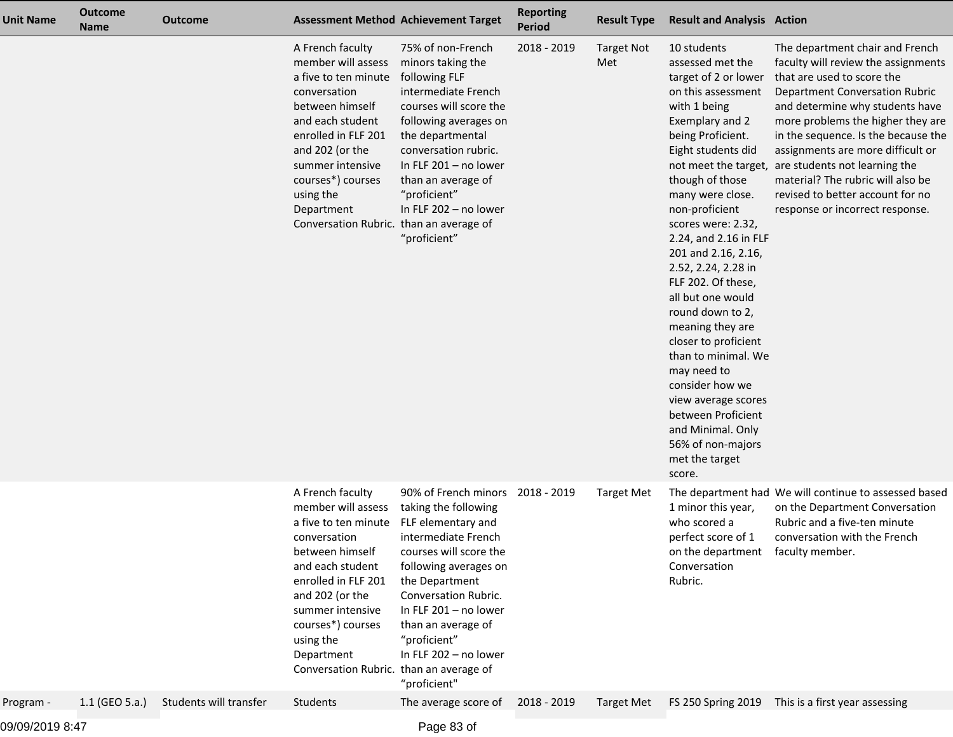| <b>Unit Name</b> | <b>Outcome</b><br><b>Name</b> | <b>Outcome</b>         |                                                                                                                                                                                                                                                                                | <b>Assessment Method Achievement Target</b>                                                                                                                                                                                                                                                                | <b>Reporting</b><br><b>Period</b> | <b>Result Type</b>       | <b>Result and Analysis Action</b>                                                                                                                                                                                                                                                                                                                                                                                                                                                                                                                                                                        |                                                                                                                                                                                                                                                                                                                                                                                                                                                                     |
|------------------|-------------------------------|------------------------|--------------------------------------------------------------------------------------------------------------------------------------------------------------------------------------------------------------------------------------------------------------------------------|------------------------------------------------------------------------------------------------------------------------------------------------------------------------------------------------------------------------------------------------------------------------------------------------------------|-----------------------------------|--------------------------|----------------------------------------------------------------------------------------------------------------------------------------------------------------------------------------------------------------------------------------------------------------------------------------------------------------------------------------------------------------------------------------------------------------------------------------------------------------------------------------------------------------------------------------------------------------------------------------------------------|---------------------------------------------------------------------------------------------------------------------------------------------------------------------------------------------------------------------------------------------------------------------------------------------------------------------------------------------------------------------------------------------------------------------------------------------------------------------|
|                  |                               |                        | A French faculty<br>member will assess<br>a five to ten minute<br>conversation<br>between himself<br>and each student<br>enrolled in FLF 201<br>and 202 (or the<br>summer intensive<br>courses*) courses<br>using the<br>Department<br>Conversation Rubric. than an average of | 75% of non-French<br>minors taking the<br>following FLF<br>intermediate French<br>courses will score the<br>following averages on<br>the departmental<br>conversation rubric.<br>In FLF 201 - no lower<br>than an average of<br>"proficient"<br>In FLF 202 - no lower<br>"proficient"                      | 2018 - 2019                       | <b>Target Not</b><br>Met | 10 students<br>assessed met the<br>target of 2 or lower<br>on this assessment<br>with 1 being<br>Exemplary and 2<br>being Proficient.<br>Eight students did<br>though of those<br>many were close.<br>non-proficient<br>scores were: 2.32,<br>2.24, and 2.16 in FLF<br>201 and 2.16, 2.16,<br>2.52, 2.24, 2.28 in<br>FLF 202. Of these,<br>all but one would<br>round down to 2,<br>meaning they are<br>closer to proficient<br>than to minimal. We<br>may need to<br>consider how we<br>view average scores<br>between Proficient<br>and Minimal. Only<br>56% of non-majors<br>met the target<br>score. | The department chair and French<br>faculty will review the assignments<br>that are used to score the<br><b>Department Conversation Rubric</b><br>and determine why students have<br>more problems the higher they are<br>in the sequence. Is the because the<br>assignments are more difficult or<br>not meet the target, are students not learning the<br>material? The rubric will also be<br>revised to better account for no<br>response or incorrect response. |
|                  |                               |                        | A French faculty<br>member will assess<br>a five to ten minute<br>conversation<br>between himself<br>and each student<br>enrolled in FLF 201<br>and 202 (or the<br>summer intensive<br>courses*) courses<br>using the<br>Department<br>Conversation Rubric. than an average of | 90% of French minors 2018 - 2019<br>taking the following<br>FLF elementary and<br>intermediate French<br>courses will score the<br>following averages on<br>the Department<br>Conversation Rubric.<br>In FLF 201 - no lower<br>than an average of<br>"proficient"<br>In FLF 202 - no lower<br>"proficient" |                                   | <b>Target Met</b>        | 1 minor this year,<br>who scored a<br>perfect score of 1<br>on the department faculty member.<br>Conversation<br>Rubric.                                                                                                                                                                                                                                                                                                                                                                                                                                                                                 | The department had We will continue to assessed based<br>on the Department Conversation<br>Rubric and a five-ten minute<br>conversation with the French                                                                                                                                                                                                                                                                                                             |
| Program -        | $1.1$ (GEO 5.a.)              | Students will transfer | Students                                                                                                                                                                                                                                                                       | The average score of                                                                                                                                                                                                                                                                                       | 2018 - 2019                       | <b>Target Met</b>        |                                                                                                                                                                                                                                                                                                                                                                                                                                                                                                                                                                                                          | FS 250 Spring 2019 This is a first year assessing                                                                                                                                                                                                                                                                                                                                                                                                                   |
|                  |                               |                        |                                                                                                                                                                                                                                                                                |                                                                                                                                                                                                                                                                                                            |                                   |                          |                                                                                                                                                                                                                                                                                                                                                                                                                                                                                                                                                                                                          |                                                                                                                                                                                                                                                                                                                                                                                                                                                                     |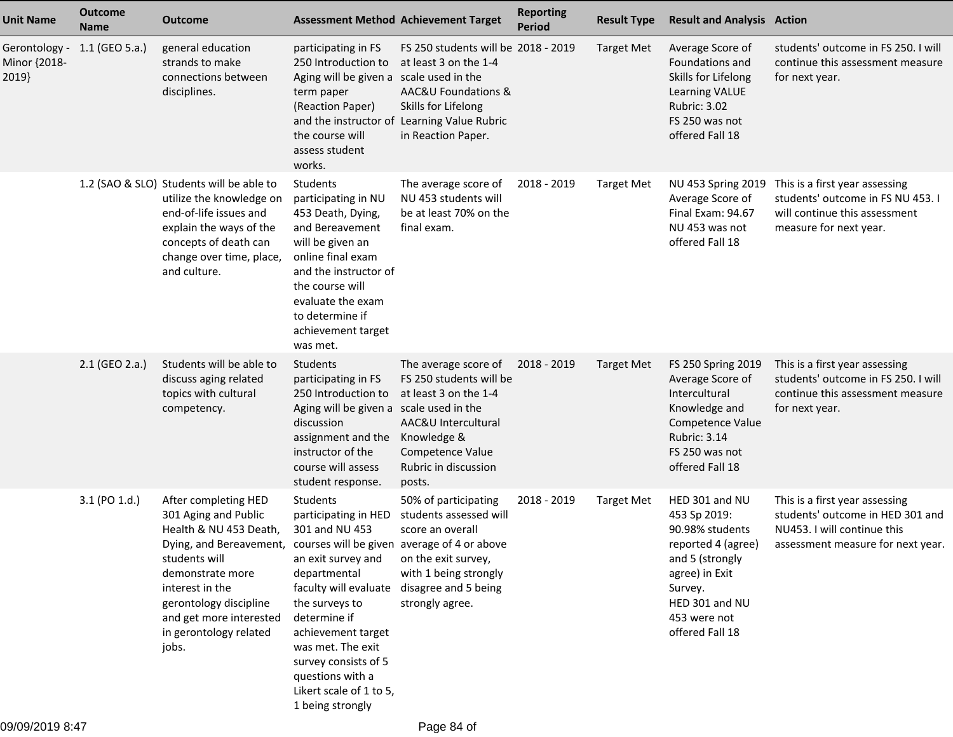| <b>Unit Name</b>                       | <b>Outcome</b><br><b>Name</b> | Outcome                                                                                                                                                                                                                                                                                       | <b>Assessment Method Achievement Target</b>                                                                                                                                                                                                                                                                    |                                                                                                                                                                                 | <b>Reporting</b><br><b>Period</b> | <b>Result Type</b> | <b>Result and Analysis Action</b>                                                                                                                                            |                                                                                                                                        |
|----------------------------------------|-------------------------------|-----------------------------------------------------------------------------------------------------------------------------------------------------------------------------------------------------------------------------------------------------------------------------------------------|----------------------------------------------------------------------------------------------------------------------------------------------------------------------------------------------------------------------------------------------------------------------------------------------------------------|---------------------------------------------------------------------------------------------------------------------------------------------------------------------------------|-----------------------------------|--------------------|------------------------------------------------------------------------------------------------------------------------------------------------------------------------------|----------------------------------------------------------------------------------------------------------------------------------------|
| Gerontology -<br>Minor {2018-<br>2019} | 1.1 (GEO 5.a.)                | general education<br>strands to make<br>connections between<br>disciplines.                                                                                                                                                                                                                   | participating in FS<br>250 Introduction to<br>Aging will be given a scale used in the<br>term paper<br>(Reaction Paper)<br>the course will<br>assess student<br>works.                                                                                                                                         | FS 250 students will be 2018 - 2019<br>at least 3 on the 1-4<br>AAC&U Foundations &<br>Skills for Lifelong<br>and the instructor of Learning Value Rubric<br>in Reaction Paper. |                                   | <b>Target Met</b>  | Average Score of<br>Foundations and<br>Skills for Lifelong<br>Learning VALUE<br>Rubric: 3.02<br>FS 250 was not<br>offered Fall 18                                            | students' outcome in FS 250. I will<br>continue this assessment measure<br>for next year.                                              |
|                                        |                               | 1.2 (SAO & SLO) Students will be able to<br>utilize the knowledge on<br>end-of-life issues and<br>explain the ways of the<br>concepts of death can<br>change over time, place,<br>and culture.                                                                                                | Students<br>participating in NU<br>453 Death, Dying,<br>and Bereavement<br>will be given an<br>online final exam<br>and the instructor of<br>the course will<br>evaluate the exam<br>to determine if<br>achievement target<br>was met.                                                                         | The average score of<br>NU 453 students will<br>be at least 70% on the<br>final exam.                                                                                           | 2018 - 2019                       | <b>Target Met</b>  | NU 453 Spring 2019<br>Average Score of<br>Final Exam: 94.67<br>NU 453 was not<br>offered Fall 18                                                                             | This is a first year assessing<br>students' outcome in FS NU 453. I<br>will continue this assessment<br>measure for next year.         |
|                                        | 2.1 (GEO 2.a.)                | Students will be able to<br>discuss aging related<br>topics with cultural<br>competency.                                                                                                                                                                                                      | Students<br>participating in FS<br>250 Introduction to<br>Aging will be given a scale used in the<br>discussion<br>assignment and the<br>instructor of the<br>course will assess<br>student response.                                                                                                          | The average score of<br>FS 250 students will be<br>at least 3 on the 1-4<br>AAC&U Intercultural<br>Knowledge &<br>Competence Value<br>Rubric in discussion<br>posts.            | 2018 - 2019                       | <b>Target Met</b>  | FS 250 Spring 2019<br>Average Score of<br>Intercultural<br>Knowledge and<br>Competence Value<br>Rubric: 3.14<br>FS 250 was not<br>offered Fall 18                            | This is a first year assessing<br>students' outcome in FS 250. I will<br>continue this assessment measure<br>for next year.            |
|                                        | 3.1 (PO 1.d.)                 | After completing HED<br>301 Aging and Public<br>Health & NU 453 Death,<br>Dying, and Bereavement, courses will be given average of 4 or above<br>students will<br>demonstrate more<br>interest in the<br>gerontology discipline<br>and get more interested<br>in gerontology related<br>jobs. | Students<br>participating in HED<br>301 and NU 453<br>an exit survey and<br>departmental<br>faculty will evaluate disagree and 5 being<br>the surveys to<br>determine if<br>achievement target<br>was met. The exit<br>survey consists of 5<br>questions with a<br>Likert scale of 1 to 5,<br>1 being strongly | 50% of participating<br>students assessed will<br>score an overall<br>on the exit survey,<br>with 1 being strongly<br>strongly agree.                                           | 2018 - 2019                       | <b>Target Met</b>  | HED 301 and NU<br>453 Sp 2019:<br>90.98% students<br>reported 4 (agree)<br>and 5 (strongly<br>agree) in Exit<br>Survey.<br>HED 301 and NU<br>453 were not<br>offered Fall 18 | This is a first year assessing<br>students' outcome in HED 301 and<br>NU453. I will continue this<br>assessment measure for next year. |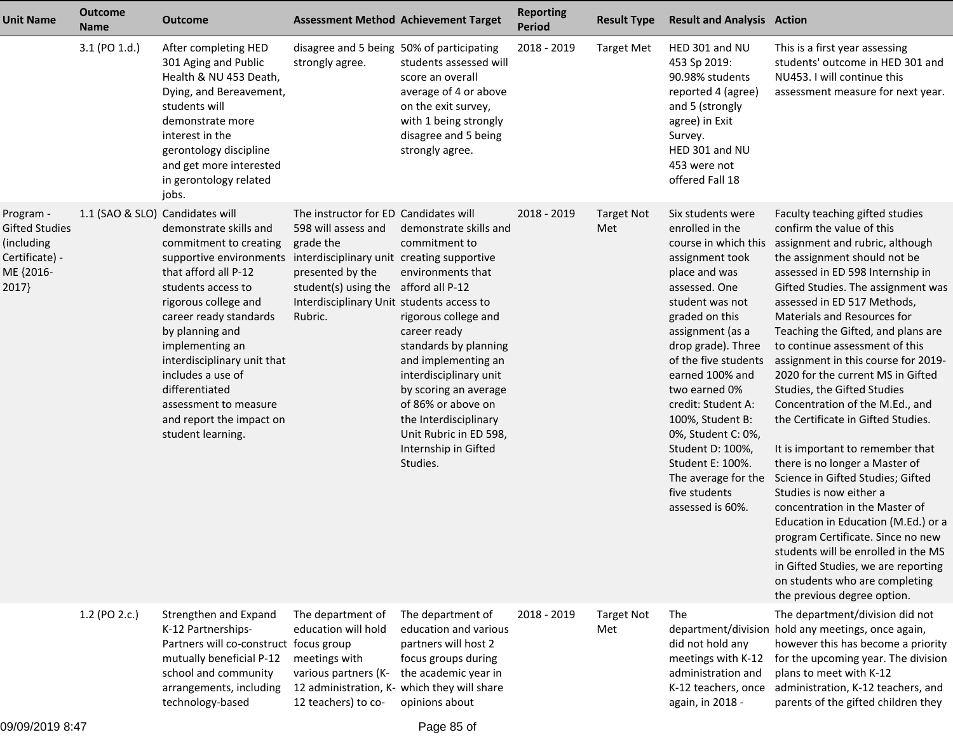| <b>Unit Name</b>                                                                  | <b>Outcome</b><br><b>Name</b>   | <b>Outcome</b>                                                                                                                                                                                                                                                                                                                                                    | <b>Assessment Method Achievement Target</b>                                                                                                                                                                                                 |                                                                                                                                                                                                                                                                                                                      | <b>Reporting</b><br><b>Period</b> | <b>Result Type</b>       | <b>Result and Analysis Action</b>                                                                                                                                                                                                                                                                                                                                                 |                                                                                                                                                                                                                                                                                                                                                                                                                                                                                                                                                                                                                                                                                                                                                                                                                                                                                                                                                                                 |
|-----------------------------------------------------------------------------------|---------------------------------|-------------------------------------------------------------------------------------------------------------------------------------------------------------------------------------------------------------------------------------------------------------------------------------------------------------------------------------------------------------------|---------------------------------------------------------------------------------------------------------------------------------------------------------------------------------------------------------------------------------------------|----------------------------------------------------------------------------------------------------------------------------------------------------------------------------------------------------------------------------------------------------------------------------------------------------------------------|-----------------------------------|--------------------------|-----------------------------------------------------------------------------------------------------------------------------------------------------------------------------------------------------------------------------------------------------------------------------------------------------------------------------------------------------------------------------------|---------------------------------------------------------------------------------------------------------------------------------------------------------------------------------------------------------------------------------------------------------------------------------------------------------------------------------------------------------------------------------------------------------------------------------------------------------------------------------------------------------------------------------------------------------------------------------------------------------------------------------------------------------------------------------------------------------------------------------------------------------------------------------------------------------------------------------------------------------------------------------------------------------------------------------------------------------------------------------|
|                                                                                   | 3.1 (PO 1.d.)                   | After completing HED<br>301 Aging and Public<br>Health & NU 453 Death,<br>Dying, and Bereavement,<br>students will<br>demonstrate more<br>interest in the<br>gerontology discipline<br>and get more interested<br>in gerontology related<br>jobs.                                                                                                                 | disagree and 5 being 50% of participating<br>strongly agree.                                                                                                                                                                                | students assessed will<br>score an overall<br>average of 4 or above<br>on the exit survey,<br>with 1 being strongly<br>disagree and 5 being<br>strongly agree.                                                                                                                                                       | 2018 - 2019                       | <b>Target Met</b>        | HED 301 and NU<br>453 Sp 2019:<br>90.98% students<br>reported 4 (agree)<br>and 5 (strongly<br>agree) in Exit<br>Survey.<br>HED 301 and NU<br>453 were not<br>offered Fall 18                                                                                                                                                                                                      | This is a first year assessing<br>students' outcome in HED 301 and<br>NU453. I will continue this<br>assessment measure for next year.                                                                                                                                                                                                                                                                                                                                                                                                                                                                                                                                                                                                                                                                                                                                                                                                                                          |
| Program -<br>Gifted Studies<br>(including<br>Certificate) -<br>ME {2016-<br>2017} | 1.1 (SAO & SLO) Candidates will | demonstrate skills and<br>commitment to creating<br>supportive environments<br>that afford all P-12<br>students access to<br>rigorous college and<br>career ready standards<br>by planning and<br>implementing an<br>interdisciplinary unit that<br>includes a use of<br>differentiated<br>assessment to measure<br>and report the impact on<br>student learning. | The instructor for ED Candidates will<br>598 will assess and<br>grade the<br>interdisciplinary unit creating supportive<br>presented by the<br>student(s) using the afford all P-12<br>Interdisciplinary Unit students access to<br>Rubric. | demonstrate skills and<br>commitment to<br>environments that<br>rigorous college and<br>career ready<br>standards by planning<br>and implementing an<br>interdisciplinary unit<br>by scoring an average<br>of 86% or above on<br>the Interdisciplinary<br>Unit Rubric in ED 598,<br>Internship in Gifted<br>Studies. | 2018 - 2019                       | Target Not<br>Met        | Six students were<br>enrolled in the<br>assignment took<br>place and was<br>assessed. One<br>student was not<br>graded on this<br>assignment (as a<br>drop grade). Three<br>of the five students<br>earned 100% and<br>two earned 0%<br>credit: Student A:<br>100%, Student B:<br>0%, Student C: 0%,<br>Student D: 100%,<br>Student E: 100%.<br>five students<br>assessed is 60%. | Faculty teaching gifted studies<br>confirm the value of this<br>course in which this assignment and rubric, although<br>the assignment should not be<br>assessed in ED 598 Internship in<br>Gifted Studies. The assignment was<br>assessed in ED 517 Methods,<br>Materials and Resources for<br>Teaching the Gifted, and plans are<br>to continue assessment of this<br>assignment in this course for 2019-<br>2020 for the current MS in Gifted<br>Studies, the Gifted Studies<br>Concentration of the M.Ed., and<br>the Certificate in Gifted Studies.<br>It is important to remember that<br>there is no longer a Master of<br>The average for the Science in Gifted Studies; Gifted<br>Studies is now either a<br>concentration in the Master of<br>Education in Education (M.Ed.) or a<br>program Certificate. Since no new<br>students will be enrolled in the MS<br>in Gifted Studies, we are reporting<br>on students who are completing<br>the previous degree option. |
|                                                                                   | 1.2 (PO 2.c.)                   | Strengthen and Expand<br>K-12 Partnerships-<br>Partners will co-construct focus group<br>mutually beneficial P-12<br>school and community<br>arrangements, including<br>technology-based                                                                                                                                                                          | The department of<br>education will hold<br>meetings with<br>various partners (K-<br>12 teachers) to co-                                                                                                                                    | The department of<br>education and various<br>partners will host 2<br>focus groups during<br>the academic year in<br>12 administration, K- which they will share<br>opinions about                                                                                                                                   | 2018 - 2019                       | <b>Target Not</b><br>Met | The<br>did not hold any<br>meetings with K-12<br>administration and<br>K-12 teachers, once<br>again, in 2018 -                                                                                                                                                                                                                                                                    | The department/division did not<br>department/division hold any meetings, once again,<br>however this has become a priority<br>for the upcoming year. The division<br>plans to meet with K-12<br>administration, K-12 teachers, and<br>parents of the gifted children they                                                                                                                                                                                                                                                                                                                                                                                                                                                                                                                                                                                                                                                                                                      |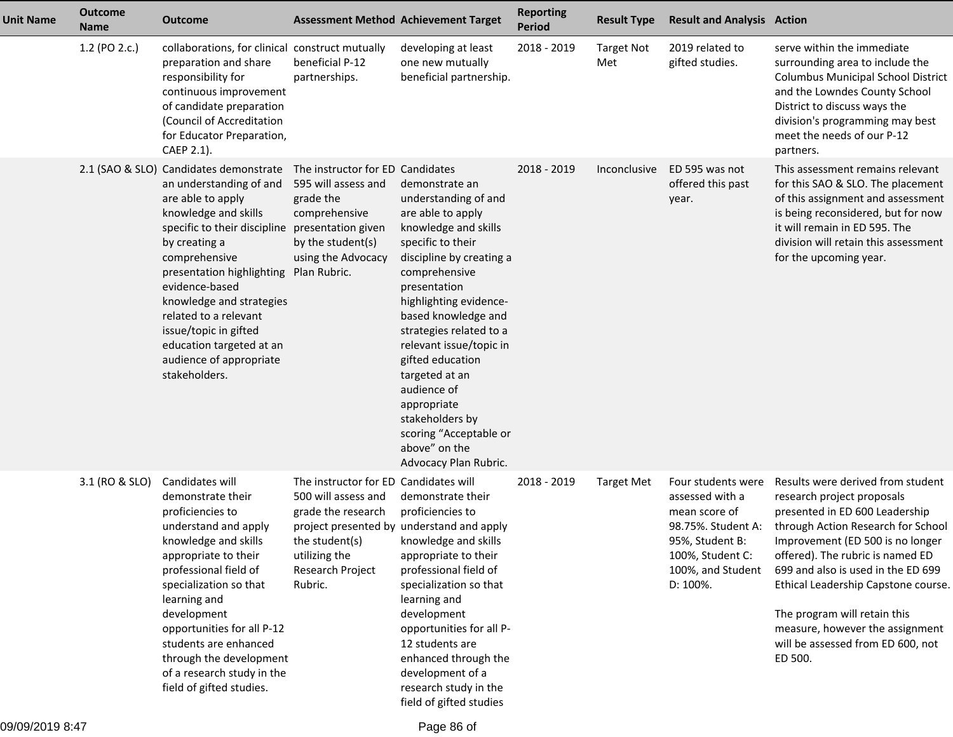| <b>Unit Name</b> | <b>Outcome</b><br><b>Name</b> | <b>Outcome</b>                                                                                                                                                                                                                                                                                                                                                                                                        |                                                                                                                                                      | <b>Assessment Method Achievement Target</b>                                                                                                                                                                                                                                                                                                                                                                                             | <b>Reporting</b><br><b>Period</b> | <b>Result Type</b>       | <b>Result and Analysis Action</b>                                                                                                                    |                                                                                                                                                                                                                                                                                                                                                                                                                 |
|------------------|-------------------------------|-----------------------------------------------------------------------------------------------------------------------------------------------------------------------------------------------------------------------------------------------------------------------------------------------------------------------------------------------------------------------------------------------------------------------|------------------------------------------------------------------------------------------------------------------------------------------------------|-----------------------------------------------------------------------------------------------------------------------------------------------------------------------------------------------------------------------------------------------------------------------------------------------------------------------------------------------------------------------------------------------------------------------------------------|-----------------------------------|--------------------------|------------------------------------------------------------------------------------------------------------------------------------------------------|-----------------------------------------------------------------------------------------------------------------------------------------------------------------------------------------------------------------------------------------------------------------------------------------------------------------------------------------------------------------------------------------------------------------|
|                  | 1.2 (PO 2.c.)                 | collaborations, for clinical construct mutually<br>preparation and share<br>responsibility for<br>continuous improvement<br>of candidate preparation<br>(Council of Accreditation<br>for Educator Preparation,<br>CAEP 2.1).                                                                                                                                                                                          | beneficial P-12<br>partnerships.                                                                                                                     | developing at least<br>one new mutually<br>beneficial partnership.                                                                                                                                                                                                                                                                                                                                                                      | 2018 - 2019                       | <b>Target Not</b><br>Met | 2019 related to<br>gifted studies.                                                                                                                   | serve within the immediate<br>surrounding area to include the<br><b>Columbus Municipal School District</b><br>and the Lowndes County School<br>District to discuss ways the<br>division's programming may best<br>meet the needs of our P-12<br>partners.                                                                                                                                                       |
|                  |                               | 2.1 (SAO & SLO) Candidates demonstrate<br>an understanding of and<br>are able to apply<br>knowledge and skills<br>specific to their discipline presentation given<br>by creating a<br>comprehensive<br>presentation highlighting Plan Rubric.<br>evidence-based<br>knowledge and strategies<br>related to a relevant<br>issue/topic in gifted<br>education targeted at an<br>audience of appropriate<br>stakeholders. | The instructor for ED Candidates<br>595 will assess and<br>grade the<br>comprehensive<br>by the student(s)<br>using the Advocacy                     | demonstrate an<br>understanding of and<br>are able to apply<br>knowledge and skills<br>specific to their<br>discipline by creating a<br>comprehensive<br>presentation<br>highlighting evidence-<br>based knowledge and<br>strategies related to a<br>relevant issue/topic in<br>gifted education<br>targeted at an<br>audience of<br>appropriate<br>stakeholders by<br>scoring "Acceptable or<br>above" on the<br>Advocacy Plan Rubric. | 2018 - 2019                       | <i>Inconclusive</i>      | ED 595 was not<br>offered this past<br>year.                                                                                                         | This assessment remains relevant<br>for this SAO & SLO. The placement<br>of this assignment and assessment<br>is being reconsidered, but for now<br>it will remain in ED 595. The<br>division will retain this assessment<br>for the upcoming year.                                                                                                                                                             |
|                  | 3.1 (RO & SLO)                | Candidates will<br>demonstrate their<br>proficiencies to<br>understand and apply<br>knowledge and skills<br>appropriate to their<br>professional field of<br>specialization so that<br>learning and<br>development<br>opportunities for all P-12<br>students are enhanced<br>through the development<br>of a research study in the<br>field of gifted studies.                                                        | The instructor for ED Candidates will<br>500 will assess and<br>grade the research<br>the student(s)<br>utilizing the<br>Research Project<br>Rubric. | demonstrate their<br>proficiencies to<br>project presented by understand and apply<br>knowledge and skills<br>appropriate to their<br>professional field of<br>specialization so that<br>learning and<br>development<br>opportunities for all P-<br>12 students are<br>enhanced through the<br>development of a<br>research study in the<br>field of gifted studies                                                                     | 2018 - 2019                       | <b>Target Met</b>        | Four students were<br>assessed with a<br>mean score of<br>98.75%. Student A:<br>95%, Student B:<br>100%, Student C:<br>100%, and Student<br>D: 100%. | Results were derived from student<br>research project proposals<br>presented in ED 600 Leadership<br>through Action Research for School<br>Improvement (ED 500 is no longer<br>offered). The rubric is named ED<br>699 and also is used in the ED 699<br>Ethical Leadership Capstone course.<br>The program will retain this<br>measure, however the assignment<br>will be assessed from ED 600, not<br>ED 500. |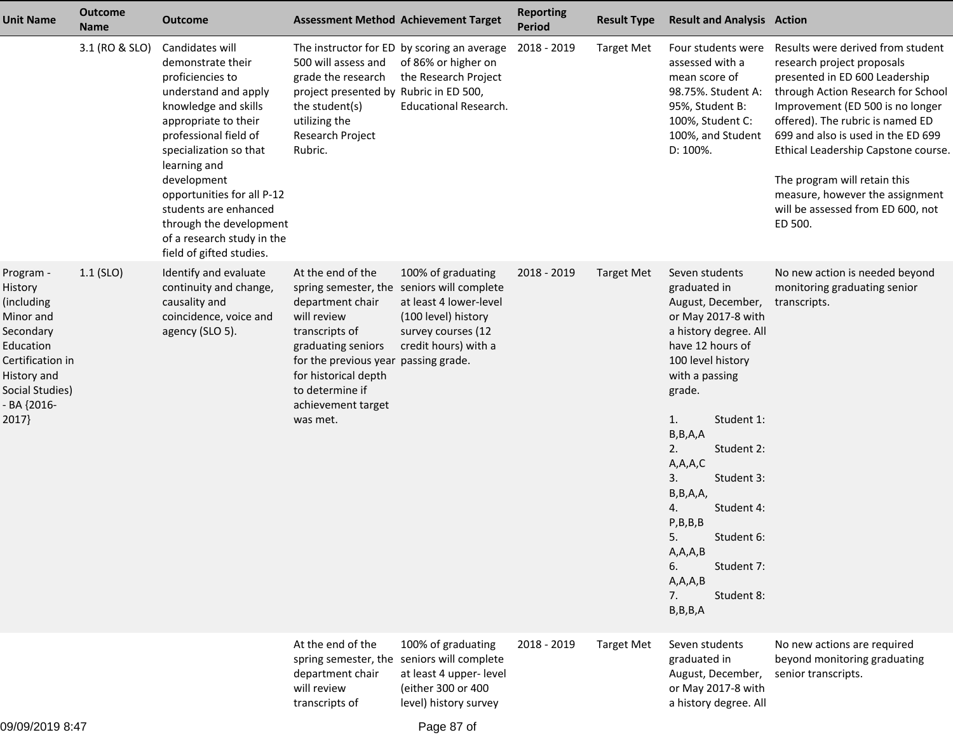| <b>Outcome</b><br><b>Unit Name</b><br><b>Name</b>                                                                                                                       | <b>Outcome</b>                                                                                                                                                                                                                                                                                                                                                 | <b>Assessment Method Achievement Target</b>                                                                                                                                                                                                                     |                                                                                                                                                          | <b>Reporting</b><br><b>Period</b> | <b>Result Type</b> | <b>Result and Analysis Action</b>                                                                                                                                                                                                                                                                                                                                                                                |                                                                                                                                                                                                                                                                                                                                                                                                                 |
|-------------------------------------------------------------------------------------------------------------------------------------------------------------------------|----------------------------------------------------------------------------------------------------------------------------------------------------------------------------------------------------------------------------------------------------------------------------------------------------------------------------------------------------------------|-----------------------------------------------------------------------------------------------------------------------------------------------------------------------------------------------------------------------------------------------------------------|----------------------------------------------------------------------------------------------------------------------------------------------------------|-----------------------------------|--------------------|------------------------------------------------------------------------------------------------------------------------------------------------------------------------------------------------------------------------------------------------------------------------------------------------------------------------------------------------------------------------------------------------------------------|-----------------------------------------------------------------------------------------------------------------------------------------------------------------------------------------------------------------------------------------------------------------------------------------------------------------------------------------------------------------------------------------------------------------|
| 3.1 (RO & SLO)                                                                                                                                                          | Candidates will<br>demonstrate their<br>proficiencies to<br>understand and apply<br>knowledge and skills<br>appropriate to their<br>professional field of<br>specialization so that<br>learning and<br>development<br>opportunities for all P-12<br>students are enhanced<br>through the development<br>of a research study in the<br>field of gifted studies. | 500 will assess and<br>grade the research<br>project presented by Rubric in ED 500,<br>the student(s)<br>utilizing the<br>Research Project<br>Rubric.                                                                                                           | The instructor for ED by scoring an average<br>of 86% or higher on<br>the Research Project<br><b>Educational Research.</b>                               | 2018 - 2019                       | <b>Target Met</b>  | Four students were<br>assessed with a<br>mean score of<br>98.75%. Student A:<br>95%, Student B:<br>100%, Student C:<br>100%, and Student<br>D: 100%.                                                                                                                                                                                                                                                             | Results were derived from student<br>research project proposals<br>presented in ED 600 Leadership<br>through Action Research for School<br>Improvement (ED 500 is no longer<br>offered). The rubric is named ED<br>699 and also is used in the ED 699<br>Ethical Leadership Capstone course.<br>The program will retain this<br>measure, however the assignment<br>will be assessed from ED 600, not<br>ED 500. |
| $1.1$ (SLO)<br>Program -<br>History<br>(including)<br>Minor and<br>Secondary<br>Education<br>Certification in<br>History and<br>Social Studies)<br>- BA {2016-<br>2017} | Identify and evaluate<br>continuity and change,<br>causality and<br>coincidence, voice and<br>agency (SLO 5).                                                                                                                                                                                                                                                  | At the end of the<br>spring semester, the seniors will complete<br>department chair<br>will review<br>transcripts of<br>graduating seniors<br>for the previous year passing grade.<br>for historical depth<br>to determine if<br>achievement target<br>was met. | 100% of graduating<br>at least 4 lower-level<br>(100 level) history<br>survey courses (12<br>credit hours) with a                                        | 2018 - 2019                       | <b>Target Met</b>  | Seven students<br>graduated in<br>August, December,<br>or May 2017-8 with<br>a history degree. All<br>have 12 hours of<br>100 level history<br>with a passing<br>grade.<br>Student 1:<br>1.<br>B, B, A, A<br>2.<br>Student 2:<br>A,A,A,C<br>Student 3:<br>3.<br>B, B, A, A,<br>Student 4:<br>4.<br>P,B,B,B<br>5.<br>Student 6:<br>A, A, A, B<br>Student 7:<br>6.<br>A, A, A, B<br>Student 8:<br>7.<br>B, B, B, A | No new action is needed beyond<br>monitoring graduating senior<br>transcripts.                                                                                                                                                                                                                                                                                                                                  |
| 09/09/2019 8:47                                                                                                                                                         |                                                                                                                                                                                                                                                                                                                                                                | At the end of the<br>department chair<br>will review<br>transcripts of                                                                                                                                                                                          | 100% of graduating<br>spring semester, the seniors will complete<br>at least 4 upper- level<br>(either 300 or 400<br>level) history survey<br>Page 87 of | 2018 - 2019                       | <b>Target Met</b>  | Seven students<br>graduated in<br>August, December,<br>or May 2017-8 with<br>a history degree. All                                                                                                                                                                                                                                                                                                               | No new actions are required<br>beyond monitoring graduating<br>senior transcripts.                                                                                                                                                                                                                                                                                                                              |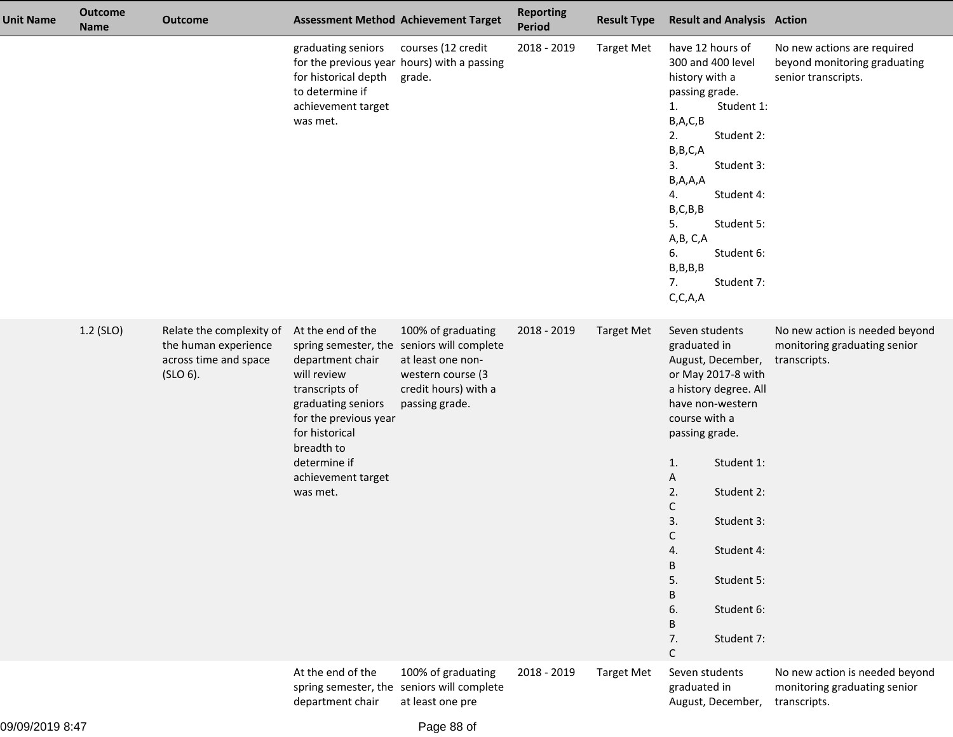| <b>Unit Name</b> | <b>Outcome</b><br><b>Name</b> | <b>Outcome</b>                                                                        |                                                                                                                                                                                                         | <b>Assessment Method Achievement Target</b>                                                                                                          | <b>Reporting</b><br><b>Period</b> | <b>Result Type</b> | <b>Result and Analysis Action</b>                                                                                                                                                                                                                                                                                                                  |                                                                                    |
|------------------|-------------------------------|---------------------------------------------------------------------------------------|---------------------------------------------------------------------------------------------------------------------------------------------------------------------------------------------------------|------------------------------------------------------------------------------------------------------------------------------------------------------|-----------------------------------|--------------------|----------------------------------------------------------------------------------------------------------------------------------------------------------------------------------------------------------------------------------------------------------------------------------------------------------------------------------------------------|------------------------------------------------------------------------------------|
|                  |                               |                                                                                       | graduating seniors<br>for historical depth grade.<br>to determine if<br>achievement target<br>was met.                                                                                                  | courses (12 credit<br>for the previous year hours) with a passing                                                                                    | 2018 - 2019                       | <b>Target Met</b>  | have 12 hours of<br>300 and 400 level<br>history with a<br>passing grade.<br>Student 1:<br>1.<br>B,A,C,B<br>Student 2:<br>2.<br>B, B, C, A<br>Student 3:<br>3.<br>B, A, A, A<br>Student 4:<br>4.<br>B, C, B, B<br>Student 5:<br>5.<br>A, B, C, A<br>6.<br>Student 6:<br>B,B,B,B<br>7.<br>Student 7:<br>C, C, A, A                                  | No new actions are required<br>beyond monitoring graduating<br>senior transcripts. |
|                  | 1.2 (SLO)                     | Relate the complexity of<br>the human experience<br>across time and space<br>(SLO 6). | At the end of the<br>department chair<br>will review<br>transcripts of<br>graduating seniors<br>for the previous year<br>for historical<br>breadth to<br>determine if<br>achievement target<br>was met. | 100% of graduating<br>spring semester, the seniors will complete<br>at least one non-<br>western course (3<br>credit hours) with a<br>passing grade. | 2018 - 2019                       | <b>Target Met</b>  | Seven students<br>graduated in<br>August, December,<br>or May 2017-8 with<br>a history degree. All<br>have non-western<br>course with a<br>passing grade.<br>Student 1:<br>1.<br>Α<br>2.<br>Student 2:<br>С<br>3.<br>Student 3:<br>C<br>Student 4:<br>4.<br>B<br>5.<br>Student 5:<br>B<br>6.<br>Student 6:<br>B<br>7.<br>Student 7:<br>$\mathsf C$ | No new action is needed beyond<br>monitoring graduating senior<br>transcripts.     |
|                  |                               |                                                                                       | At the end of the<br>spring semester, the<br>department chair                                                                                                                                           | 100% of graduating<br>seniors will complete<br>at least one pre                                                                                      | 2018 - 2019                       | <b>Target Met</b>  | Seven students<br>graduated in<br>August, December,                                                                                                                                                                                                                                                                                                | No new action is needed beyond<br>monitoring graduating senior<br>transcripts.     |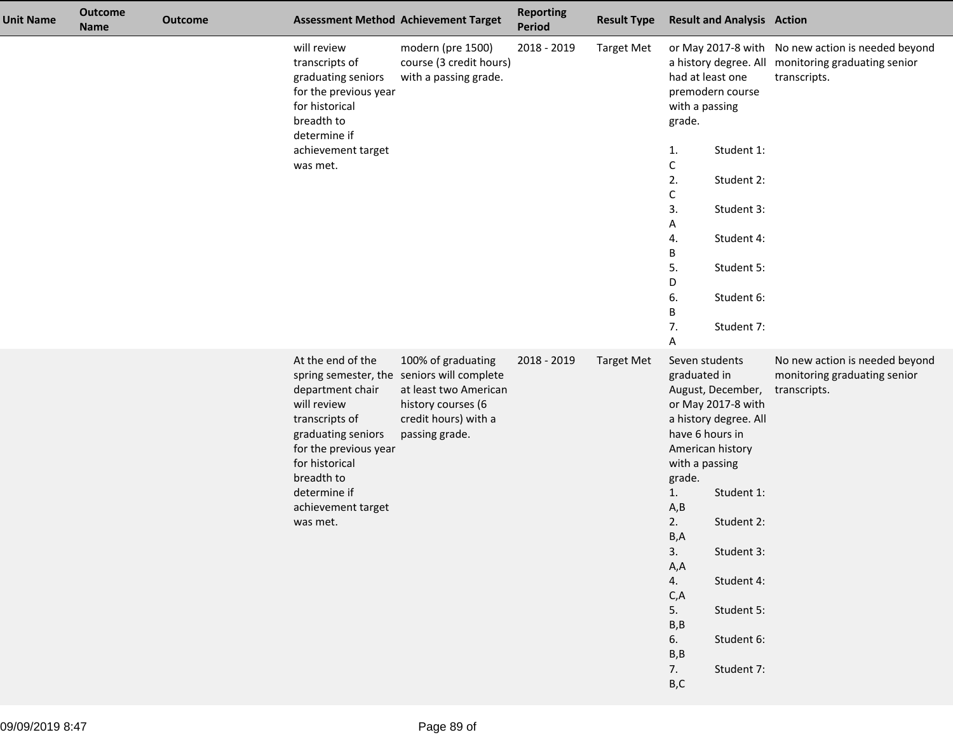| <b>Unit Name</b> | <b>Outcome</b><br><b>Name</b> | <b>Outcome</b> |                                                                                                                                                                                                         | <b>Assessment Method Achievement Target</b>                                                                                                               | <b>Reporting</b><br>Period | <b>Result Type</b> | <b>Result and Analysis Action</b>                                                                                                                                                                                                                                                                                                                                       |                                                                                                                         |
|------------------|-------------------------------|----------------|---------------------------------------------------------------------------------------------------------------------------------------------------------------------------------------------------------|-----------------------------------------------------------------------------------------------------------------------------------------------------------|----------------------------|--------------------|-------------------------------------------------------------------------------------------------------------------------------------------------------------------------------------------------------------------------------------------------------------------------------------------------------------------------------------------------------------------------|-------------------------------------------------------------------------------------------------------------------------|
|                  |                               |                | will review<br>transcripts of<br>graduating seniors<br>for the previous year<br>for historical<br>breadth to<br>determine if<br>achievement target<br>was met.                                          | modern (pre 1500)<br>course (3 credit hours)<br>with a passing grade.                                                                                     | 2018 - 2019                | <b>Target Met</b>  | had at least one<br>premodern course<br>with a passing<br>grade.<br>Student 1:<br>1.<br>С<br>2.<br>Student 2:<br>С<br>3.<br>Student 3:<br>Α<br>Student 4:<br>4.<br>В<br>5.<br>Student 5:<br>D<br>6.<br>Student 6:<br>В<br>7.<br>Student 7:<br>Α                                                                                                                         | or May 2017-8 with No new action is needed beyond<br>a history degree. All monitoring graduating senior<br>transcripts. |
|                  |                               |                | At the end of the<br>department chair<br>will review<br>transcripts of<br>graduating seniors<br>for the previous year<br>for historical<br>breadth to<br>determine if<br>achievement target<br>was met. | 100% of graduating<br>spring semester, the seniors will complete<br>at least two American<br>history courses (6<br>credit hours) with a<br>passing grade. | 2018 - 2019                | <b>Target Met</b>  | Seven students<br>graduated in<br>August, December,<br>or May 2017-8 with<br>a history degree. All<br>have 6 hours in<br>American history<br>with a passing<br>grade.<br>Student 1:<br>1.<br>A, B<br>2.<br>Student 2:<br>B, A<br>3.<br>Student 3:<br>A,A<br>Student 4:<br>4.<br>C, A<br>5.<br>Student 5:<br>B, B<br>Student 6:<br>6.<br>B, B<br>Student 7:<br>7.<br>B,C | No new action is needed beyond<br>monitoring graduating senior<br>transcripts.                                          |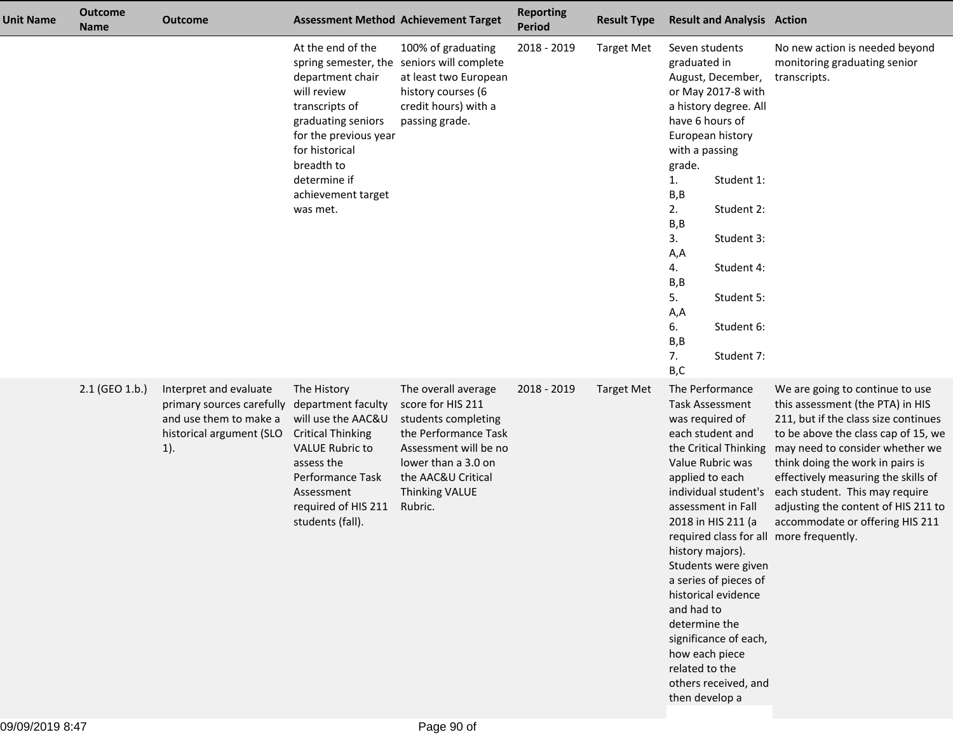| <b>Unit Name</b> | <b>Outcome</b><br><b>Name</b> | <b>Outcome</b>                                                                                                      |                                                                                                                                                                                                          | <b>Assessment Method Achievement Target</b>                                                                                                                                                | <b>Reporting</b><br>Period | <b>Result Type</b> | <b>Result and Analysis Action</b>                                                                                                                                                                                                                                                                                                                                                                                                                                                                |                                                                                                                                                                                                                                                                                                                                                                              |
|------------------|-------------------------------|---------------------------------------------------------------------------------------------------------------------|----------------------------------------------------------------------------------------------------------------------------------------------------------------------------------------------------------|--------------------------------------------------------------------------------------------------------------------------------------------------------------------------------------------|----------------------------|--------------------|--------------------------------------------------------------------------------------------------------------------------------------------------------------------------------------------------------------------------------------------------------------------------------------------------------------------------------------------------------------------------------------------------------------------------------------------------------------------------------------------------|------------------------------------------------------------------------------------------------------------------------------------------------------------------------------------------------------------------------------------------------------------------------------------------------------------------------------------------------------------------------------|
|                  |                               |                                                                                                                     | At the end of the<br>department chair<br>will review<br>transcripts of<br>graduating seniors<br>for the previous year<br>for historical<br>breadth to<br>determine if<br>achievement target<br>was met.  | 100% of graduating<br>spring semester, the seniors will complete<br>at least two European<br>history courses (6<br>credit hours) with a<br>passing grade.                                  | 2018 - 2019                | <b>Target Met</b>  | Seven students<br>graduated in<br>August, December,<br>or May 2017-8 with<br>a history degree. All<br>have 6 hours of<br>European history<br>with a passing<br>grade.<br>Student 1:<br>1.<br>B,B<br>2.<br>Student 2:<br>B, B<br>3.<br>Student 3:<br>A,A<br>4.<br>Student 4:<br>B,B<br>5.<br>Student 5:<br>A,A<br>6.<br>Student 6:<br>B, B<br>7.<br>Student 7:<br>B,C                                                                                                                             | No new action is needed beyond<br>monitoring graduating senior<br>transcripts.                                                                                                                                                                                                                                                                                               |
|                  | 2.1 (GEO 1.b.)                | Interpret and evaluate<br>primary sources carefully<br>and use them to make a<br>historical argument (SLO<br>$1$ ). | The History<br>department faculty<br>will use the AAC&U<br><b>Critical Thinking</b><br><b>VALUE Rubric to</b><br>assess the<br>Performance Task<br>Assessment<br>required of HIS 211<br>students (fall). | The overall average<br>score for HIS 211<br>students completing<br>the Performance Task<br>Assessment will be no<br>lower than a 3.0 on<br>the AAC&U Critical<br>Thinking VALUE<br>Rubric. | 2018 - 2019                | <b>Target Met</b>  | The Performance<br><b>Task Assessment</b><br>was required of<br>each student and<br>the Critical Thinking<br>Value Rubric was<br>applied to each<br>individual student's<br>assessment in Fall<br>2018 in HIS 211 (a<br>required class for all more frequently.<br>history majors).<br>Students were given<br>a series of pieces of<br>historical evidence<br>and had to<br>determine the<br>significance of each,<br>how each piece<br>related to the<br>others received, and<br>then develop a | We are going to continue to use<br>this assessment (the PTA) in HIS<br>211, but if the class size continues<br>to be above the class cap of 15, we<br>may need to consider whether we<br>think doing the work in pairs is<br>effectively measuring the skills of<br>each student. This may require<br>adjusting the content of HIS 211 to<br>accommodate or offering HIS 211 |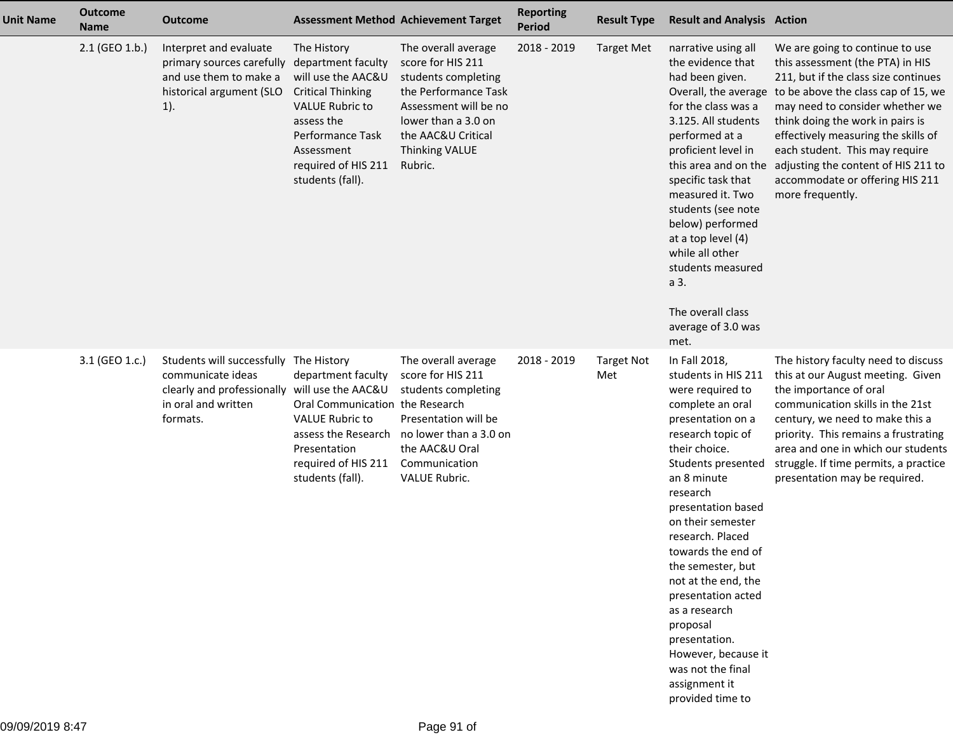| <b>Unit Name</b> | <b>Outcome</b><br><b>Name</b> | <b>Outcome</b>                                                                                                                                  |                                                                                                                                                                                                          | <b>Assessment Method Achievement Target</b>                                                                                                                                                       | <b>Reporting</b><br><b>Period</b> | <b>Result Type</b>       | <b>Result and Analysis Action</b>                                                                                                                                                                                                                                                                                                                                                                                                                                              |                                                                                                                                                                                                                                                                                                                                                                                                                                            |
|------------------|-------------------------------|-------------------------------------------------------------------------------------------------------------------------------------------------|----------------------------------------------------------------------------------------------------------------------------------------------------------------------------------------------------------|---------------------------------------------------------------------------------------------------------------------------------------------------------------------------------------------------|-----------------------------------|--------------------------|--------------------------------------------------------------------------------------------------------------------------------------------------------------------------------------------------------------------------------------------------------------------------------------------------------------------------------------------------------------------------------------------------------------------------------------------------------------------------------|--------------------------------------------------------------------------------------------------------------------------------------------------------------------------------------------------------------------------------------------------------------------------------------------------------------------------------------------------------------------------------------------------------------------------------------------|
|                  | 2.1 (GEO 1.b.)                | Interpret and evaluate<br>primary sources carefully<br>and use them to make a<br>historical argument (SLO<br>$1$ ).                             | The History<br>department faculty<br>will use the AAC&U<br><b>Critical Thinking</b><br><b>VALUE Rubric to</b><br>assess the<br>Performance Task<br>Assessment<br>required of HIS 211<br>students (fall). | The overall average<br>score for HIS 211<br>students completing<br>the Performance Task<br>Assessment will be no<br>lower than a 3.0 on<br>the AAC&U Critical<br><b>Thinking VALUE</b><br>Rubric. | 2018 - 2019                       | <b>Target Met</b>        | narrative using all<br>the evidence that<br>had been given.<br>for the class was a<br>3.125. All students<br>performed at a<br>proficient level in<br>specific task that<br>measured it. Two<br>students (see note<br>below) performed<br>at a top level (4)<br>while all other<br>students measured<br>a 3.<br>The overall class<br>average of 3.0 was<br>met.                                                                                                                | We are going to continue to use<br>this assessment (the PTA) in HIS<br>211, but if the class size continues<br>Overall, the average to be above the class cap of 15, we<br>may need to consider whether we<br>think doing the work in pairs is<br>effectively measuring the skills of<br>each student. This may require<br>this area and on the adjusting the content of HIS 211 to<br>accommodate or offering HIS 211<br>more frequently. |
|                  | 3.1 (GEO 1.c.)                | Students will successfully The History<br>communicate ideas<br>clearly and professionally will use the AAC&U<br>in oral and written<br>formats. | department faculty<br>Oral Communication the Research<br><b>VALUE Rubric to</b><br>assess the Research<br>Presentation<br>required of HIS 211<br>students (fall).                                        | The overall average<br>score for HIS 211<br>students completing<br>Presentation will be<br>no lower than a 3.0 on<br>the AAC&U Oral<br>Communication<br>VALUE Rubric.                             | 2018 - 2019                       | <b>Target Not</b><br>Met | In Fall 2018,<br>students in HIS 211<br>were required to<br>complete an oral<br>presentation on a<br>research topic of<br>their choice.<br>Students presented<br>an 8 minute<br>research<br>presentation based<br>on their semester<br>research. Placed<br>towards the end of<br>the semester, but<br>not at the end, the<br>presentation acted<br>as a research<br>proposal<br>presentation.<br>However, because it<br>was not the final<br>assignment it<br>provided time to | The history faculty need to discuss<br>this at our August meeting. Given<br>the importance of oral<br>communication skills in the 21st<br>century, we need to make this a<br>priority. This remains a frustrating<br>area and one in which our students<br>struggle. If time permits, a practice<br>presentation may be required.                                                                                                          |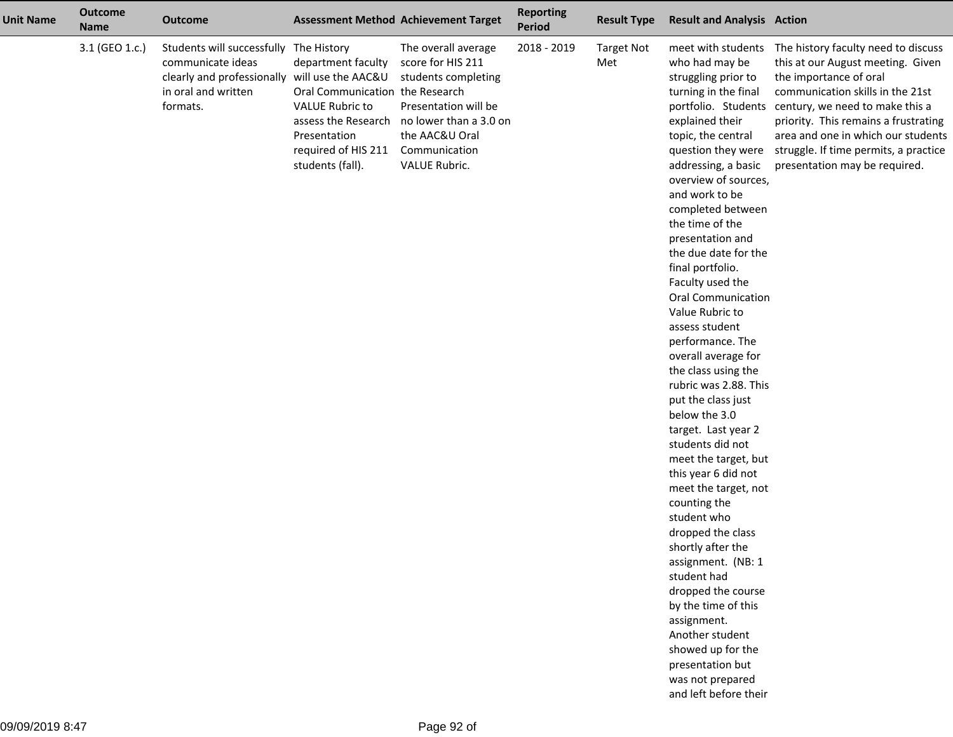| <b>Unit Name</b> | <b>Outcome</b><br><b>Name</b> | <b>Outcome</b>                                                                                                                                  | <b>Assessment Method Achievement Target</b>                                                                                                |                                                                                                                                                                                           | <b>Reporting</b><br><b>Period</b> | <b>Result Type</b>       | <b>Result and Analysis Action</b>                                                                                                                                                                                                                                                                                                                                                                                                                                                                                                                                                                                                                                                                                                                                                                                                                                                                                                                                        |                                                                                                                                                                                                                                                                                                                                   |
|------------------|-------------------------------|-------------------------------------------------------------------------------------------------------------------------------------------------|--------------------------------------------------------------------------------------------------------------------------------------------|-------------------------------------------------------------------------------------------------------------------------------------------------------------------------------------------|-----------------------------------|--------------------------|--------------------------------------------------------------------------------------------------------------------------------------------------------------------------------------------------------------------------------------------------------------------------------------------------------------------------------------------------------------------------------------------------------------------------------------------------------------------------------------------------------------------------------------------------------------------------------------------------------------------------------------------------------------------------------------------------------------------------------------------------------------------------------------------------------------------------------------------------------------------------------------------------------------------------------------------------------------------------|-----------------------------------------------------------------------------------------------------------------------------------------------------------------------------------------------------------------------------------------------------------------------------------------------------------------------------------|
|                  | 3.1 (GEO 1.c.)                | Students will successfully The History<br>communicate ideas<br>clearly and professionally will use the AAC&U<br>in oral and written<br>formats. | department faculty<br>Oral Communication the Research<br><b>VALUE Rubric to</b><br>Presentation<br>required of HIS 211<br>students (fall). | The overall average<br>score for HIS 211<br>students completing<br>Presentation will be<br>assess the Research no lower than a 3.0 on<br>the AAC&U Oral<br>Communication<br>VALUE Rubric. | 2018 - 2019                       | <b>Target Not</b><br>Met | meet with students<br>who had may be<br>struggling prior to<br>turning in the final<br>portfolio. Students<br>explained their<br>topic, the central<br>question they were<br>addressing, a basic<br>overview of sources,<br>and work to be<br>completed between<br>the time of the<br>presentation and<br>the due date for the<br>final portfolio.<br>Faculty used the<br>Oral Communication<br>Value Rubric to<br>assess student<br>performance. The<br>overall average for<br>the class using the<br>rubric was 2.88. This<br>put the class just<br>below the 3.0<br>target. Last year 2<br>students did not<br>meet the target, but<br>this year 6 did not<br>meet the target, not<br>counting the<br>student who<br>dropped the class<br>shortly after the<br>assignment. (NB: 1<br>student had<br>dropped the course<br>by the time of this<br>assignment.<br>Another student<br>showed up for the<br>presentation but<br>was not prepared<br>and left before their | The history faculty need to discuss<br>this at our August meeting. Given<br>the importance of oral<br>communication skills in the 21st<br>century, we need to make this a<br>priority. This remains a frustrating<br>area and one in which our students<br>struggle. If time permits, a practice<br>presentation may be required. |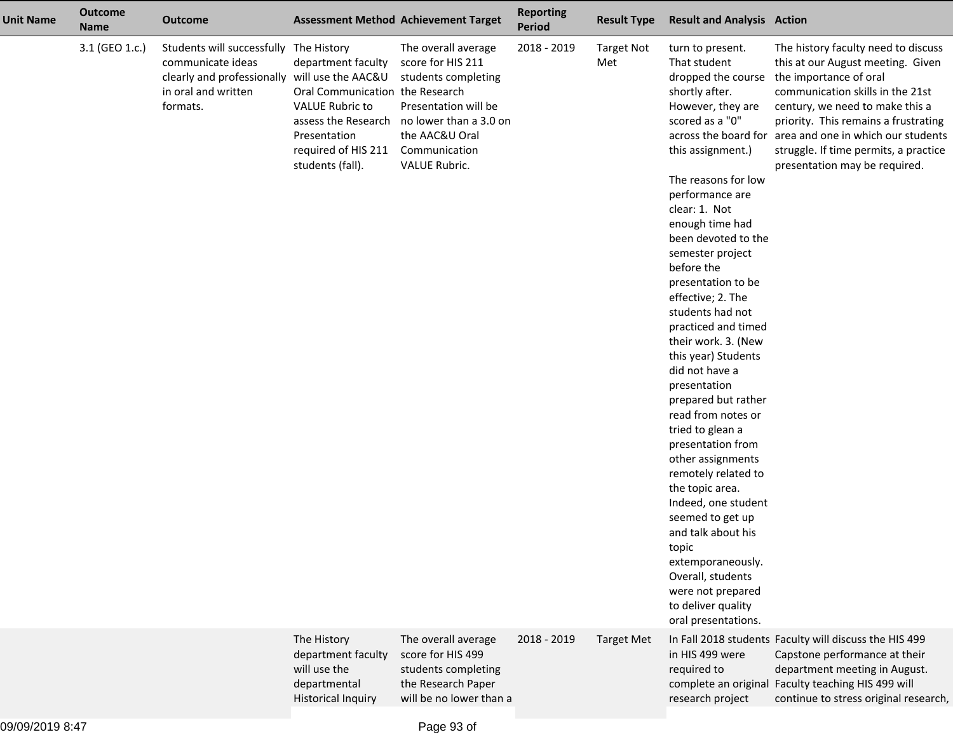| <b>Unit Name</b> | <b>Outcome</b><br><b>Name</b> | <b>Outcome</b>                                                                                                                                  |                                                                                                                                                                   | <b>Assessment Method Achievement Target</b>                                                                                                                           | <b>Reporting</b><br><b>Period</b> | <b>Result Type</b>       | <b>Result and Analysis Action</b>                                                                                                                                                                                                                                                                                                                                                                                                                                                                                                                                                                                                                                                                                                                                                             |                                                                                                                                                                                                                                                                                                                                                        |
|------------------|-------------------------------|-------------------------------------------------------------------------------------------------------------------------------------------------|-------------------------------------------------------------------------------------------------------------------------------------------------------------------|-----------------------------------------------------------------------------------------------------------------------------------------------------------------------|-----------------------------------|--------------------------|-----------------------------------------------------------------------------------------------------------------------------------------------------------------------------------------------------------------------------------------------------------------------------------------------------------------------------------------------------------------------------------------------------------------------------------------------------------------------------------------------------------------------------------------------------------------------------------------------------------------------------------------------------------------------------------------------------------------------------------------------------------------------------------------------|--------------------------------------------------------------------------------------------------------------------------------------------------------------------------------------------------------------------------------------------------------------------------------------------------------------------------------------------------------|
|                  | 3.1 (GEO 1.c.)                | Students will successfully The History<br>communicate ideas<br>clearly and professionally will use the AAC&U<br>in oral and written<br>formats. | department faculty<br>Oral Communication the Research<br><b>VALUE Rubric to</b><br>assess the Research<br>Presentation<br>required of HIS 211<br>students (fall). | The overall average<br>score for HIS 211<br>students completing<br>Presentation will be<br>no lower than a 3.0 on<br>the AAC&U Oral<br>Communication<br>VALUE Rubric. | 2018 - 2019                       | <b>Target Not</b><br>Met | turn to present.<br>That student<br>dropped the course<br>shortly after.<br>However, they are<br>scored as a "0"<br>this assignment.)<br>The reasons for low<br>performance are<br>clear: 1. Not<br>enough time had<br>been devoted to the<br>semester project<br>before the<br>presentation to be<br>effective; 2. The<br>students had not<br>practiced and timed<br>their work. 3. (New<br>this year) Students<br>did not have a<br>presentation<br>prepared but rather<br>read from notes or<br>tried to glean a<br>presentation from<br>other assignments<br>remotely related to<br>the topic area.<br>Indeed, one student<br>seemed to get up<br>and talk about his<br>topic<br>extemporaneously.<br>Overall, students<br>were not prepared<br>to deliver quality<br>oral presentations. | The history faculty need to discuss<br>this at our August meeting. Given<br>the importance of oral<br>communication skills in the 21st<br>century, we need to make this a<br>priority. This remains a frustrating<br>across the board for area and one in which our students<br>struggle. If time permits, a practice<br>presentation may be required. |
|                  |                               |                                                                                                                                                 | The History<br>department faculty<br>will use the<br>departmental<br><b>Historical Inquiry</b>                                                                    | The overall average<br>score for HIS 499<br>students completing<br>the Research Paper<br>will be no lower than a                                                      | 2018 - 2019                       | <b>Target Met</b>        | in HIS 499 were<br>required to<br>research project                                                                                                                                                                                                                                                                                                                                                                                                                                                                                                                                                                                                                                                                                                                                            | In Fall 2018 students Faculty will discuss the HIS 499<br>Capstone performance at their<br>department meeting in August.<br>complete an original Faculty teaching HIS 499 will<br>continue to stress original research,                                                                                                                                |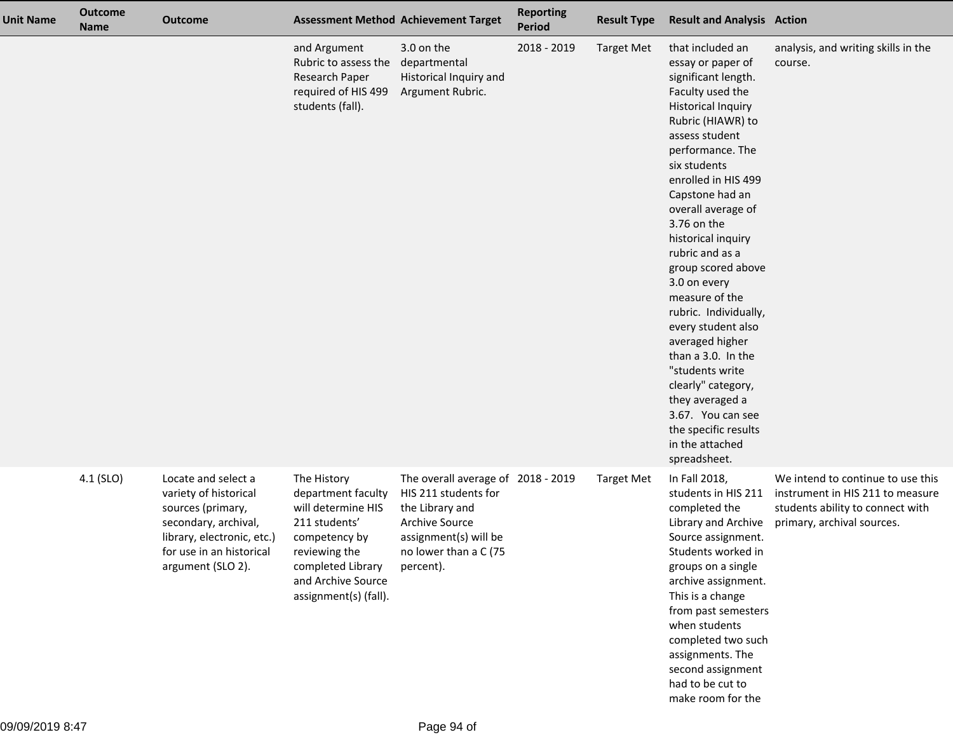| <b>Unit Name</b> | <b>Outcome</b><br><b>Name</b> | <b>Outcome</b>                                                                                                                                                           |                                                                                                                                                                                | <b>Assessment Method Achievement Target</b>                                                                                                                           | <b>Reporting</b><br><b>Period</b> | <b>Result Type</b> | <b>Result and Analysis Action</b>                                                                                                                                                                                                                                                                                                                                                                                                                                                                                                                                                                            |                                                                                                                                         |
|------------------|-------------------------------|--------------------------------------------------------------------------------------------------------------------------------------------------------------------------|--------------------------------------------------------------------------------------------------------------------------------------------------------------------------------|-----------------------------------------------------------------------------------------------------------------------------------------------------------------------|-----------------------------------|--------------------|--------------------------------------------------------------------------------------------------------------------------------------------------------------------------------------------------------------------------------------------------------------------------------------------------------------------------------------------------------------------------------------------------------------------------------------------------------------------------------------------------------------------------------------------------------------------------------------------------------------|-----------------------------------------------------------------------------------------------------------------------------------------|
|                  |                               |                                                                                                                                                                          | and Argument<br>Rubric to assess the<br>Research Paper<br>required of HIS 499<br>students (fall).                                                                              | 3.0 on the<br>departmental<br>Historical Inquiry and<br>Argument Rubric.                                                                                              | 2018 - 2019                       | <b>Target Met</b>  | that included an<br>essay or paper of<br>significant length.<br>Faculty used the<br><b>Historical Inquiry</b><br>Rubric (HIAWR) to<br>assess student<br>performance. The<br>six students<br>enrolled in HIS 499<br>Capstone had an<br>overall average of<br>3.76 on the<br>historical inquiry<br>rubric and as a<br>group scored above<br>3.0 on every<br>measure of the<br>rubric. Individually,<br>every student also<br>averaged higher<br>than a 3.0. In the<br>"students write<br>clearly" category,<br>they averaged a<br>3.67. You can see<br>the specific results<br>in the attached<br>spreadsheet. | analysis, and writing skills in the<br>course.                                                                                          |
|                  | 4.1 (SLO)                     | Locate and select a<br>variety of historical<br>sources (primary,<br>secondary, archival,<br>library, electronic, etc.)<br>for use in an historical<br>argument (SLO 2). | The History<br>department faculty<br>will determine HIS<br>211 students'<br>competency by<br>reviewing the<br>completed Library<br>and Archive Source<br>assignment(s) (fall). | The overall average of 2018 - 2019<br>HIS 211 students for<br>the Library and<br><b>Archive Source</b><br>assignment(s) will be<br>no lower than a C (75<br>percent). |                                   | <b>Target Met</b>  | In Fall 2018,<br>students in HIS 211<br>completed the<br>Library and Archive<br>Source assignment.<br>Students worked in<br>groups on a single<br>archive assignment.<br>This is a change<br>from past semesters<br>when students<br>completed two such<br>assignments. The<br>second assignment<br>had to be cut to<br>make room for the                                                                                                                                                                                                                                                                    | We intend to continue to use this<br>instrument in HIS 211 to measure<br>students ability to connect with<br>primary, archival sources. |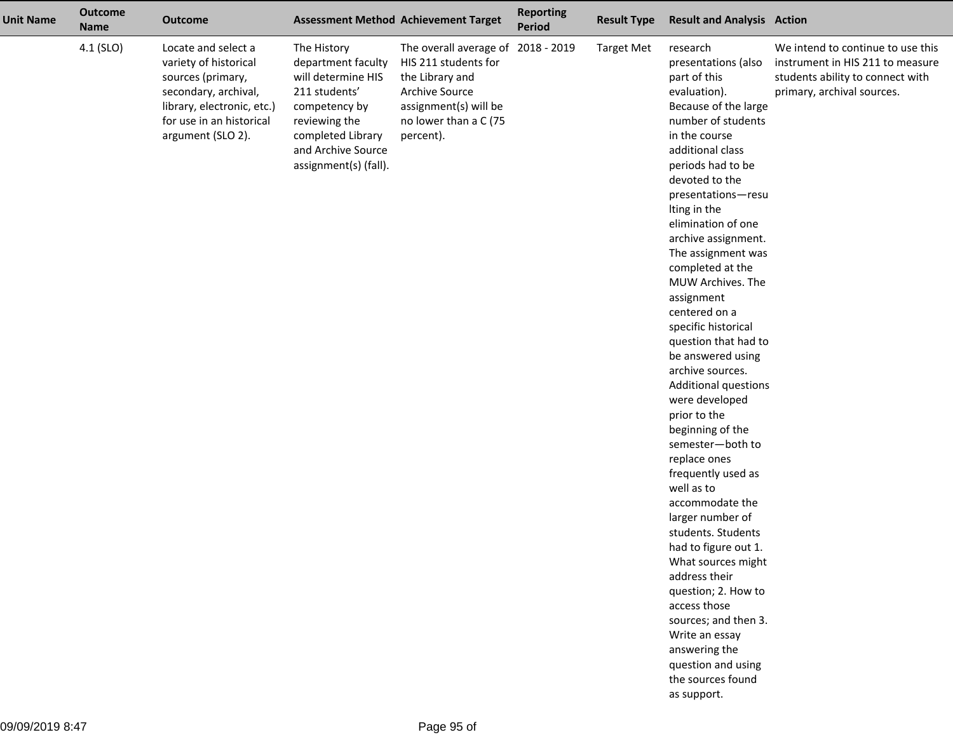| <b>Unit Name</b> | <b>Outcome</b><br><b>Name</b> | <b>Outcome</b>                                                                                                                                                           |                                                                                                                                                                                | <b>Assessment Method Achievement Target</b>                                                                                                                           | <b>Reporting</b><br><b>Period</b> | <b>Result Type</b> | <b>Result and Analysis Action</b>                                                                                                                                                                                                                                                                                                                                                                                                                                                                                                                                                                                                                                                                                                                                                                                                                                                                                       |                                                                                                                                         |
|------------------|-------------------------------|--------------------------------------------------------------------------------------------------------------------------------------------------------------------------|--------------------------------------------------------------------------------------------------------------------------------------------------------------------------------|-----------------------------------------------------------------------------------------------------------------------------------------------------------------------|-----------------------------------|--------------------|-------------------------------------------------------------------------------------------------------------------------------------------------------------------------------------------------------------------------------------------------------------------------------------------------------------------------------------------------------------------------------------------------------------------------------------------------------------------------------------------------------------------------------------------------------------------------------------------------------------------------------------------------------------------------------------------------------------------------------------------------------------------------------------------------------------------------------------------------------------------------------------------------------------------------|-----------------------------------------------------------------------------------------------------------------------------------------|
|                  | 4.1 (SLO)                     | Locate and select a<br>variety of historical<br>sources (primary,<br>secondary, archival,<br>library, electronic, etc.)<br>for use in an historical<br>argument (SLO 2). | The History<br>department faculty<br>will determine HIS<br>211 students'<br>competency by<br>reviewing the<br>completed Library<br>and Archive Source<br>assignment(s) (fall). | The overall average of 2018 - 2019<br>HIS 211 students for<br>the Library and<br><b>Archive Source</b><br>assignment(s) will be<br>no lower than a C (75<br>percent). |                                   | <b>Target Met</b>  | research<br>presentations (also<br>part of this<br>evaluation).<br>Because of the large<br>number of students<br>in the course<br>additional class<br>periods had to be<br>devoted to the<br>presentations-resu<br>Iting in the<br>elimination of one<br>archive assignment.<br>The assignment was<br>completed at the<br>MUW Archives. The<br>assignment<br>centered on a<br>specific historical<br>question that had to<br>be answered using<br>archive sources.<br><b>Additional questions</b><br>were developed<br>prior to the<br>beginning of the<br>semester-both to<br>replace ones<br>frequently used as<br>well as to<br>accommodate the<br>larger number of<br>students. Students<br>had to figure out 1.<br>What sources might<br>address their<br>question; 2. How to<br>access those<br>sources; and then 3.<br>Write an essay<br>answering the<br>question and using<br>the sources found<br>as support. | We intend to continue to use this<br>instrument in HIS 211 to measure<br>students ability to connect with<br>primary, archival sources. |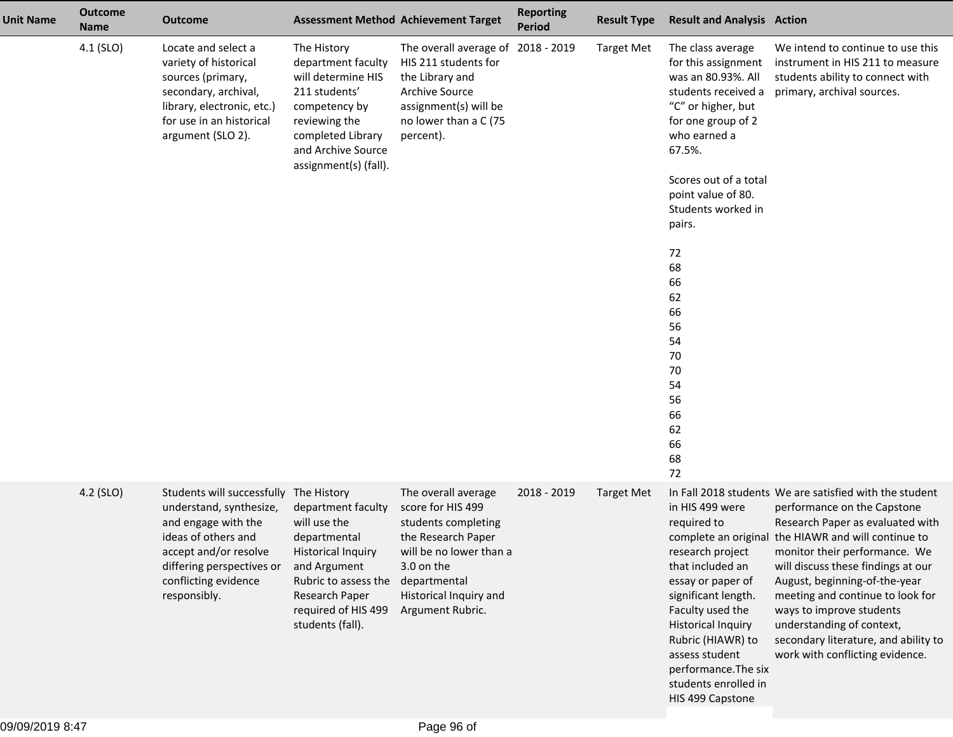| <b>Unit Name</b> | <b>Outcome</b><br><b>Name</b> | <b>Outcome</b>                                                                                                                                                                                                |                                                                                                                                                                                      | <b>Assessment Method Achievement Target</b>                                                                                                                                                  | <b>Reporting</b><br><b>Period</b> | <b>Result Type</b> | <b>Result and Analysis Action</b>                                                                                                                                                                                                                                                                                                          |                                                                                                                                                                                                                                                                                                                                                                                                                                                                   |
|------------------|-------------------------------|---------------------------------------------------------------------------------------------------------------------------------------------------------------------------------------------------------------|--------------------------------------------------------------------------------------------------------------------------------------------------------------------------------------|----------------------------------------------------------------------------------------------------------------------------------------------------------------------------------------------|-----------------------------------|--------------------|--------------------------------------------------------------------------------------------------------------------------------------------------------------------------------------------------------------------------------------------------------------------------------------------------------------------------------------------|-------------------------------------------------------------------------------------------------------------------------------------------------------------------------------------------------------------------------------------------------------------------------------------------------------------------------------------------------------------------------------------------------------------------------------------------------------------------|
|                  | 4.1 (SLO)                     | Locate and select a<br>variety of historical<br>sources (primary,<br>secondary, archival,<br>library, electronic, etc.)<br>for use in an historical<br>argument (SLO 2).                                      | The History<br>department faculty<br>will determine HIS<br>211 students'<br>competency by<br>reviewing the<br>completed Library<br>and Archive Source<br>assignment(s) (fall).       | The overall average of 2018 - 2019<br>HIS 211 students for<br>the Library and<br><b>Archive Source</b><br>assignment(s) will be<br>no lower than a C (75<br>percent).                        |                                   | <b>Target Met</b>  | The class average<br>for this assignment<br>was an 80.93%. All<br>students received a<br>"C" or higher, but<br>for one group of 2<br>who earned a<br>67.5%.<br>Scores out of a total<br>point value of 80.<br>Students worked in<br>pairs.<br>72<br>68<br>66<br>62<br>66<br>56<br>54<br>70<br>70<br>54<br>56<br>66<br>62<br>66<br>68<br>72 | We intend to continue to use this<br>instrument in HIS 211 to measure<br>students ability to connect with<br>primary, archival sources.                                                                                                                                                                                                                                                                                                                           |
|                  | 4.2 (SLO)                     | Students will successfully The History<br>understand, synthesize,<br>and engage with the<br>ideas of others and<br>accept and/or resolve<br>differing perspectives or<br>conflicting evidence<br>responsibly. | department faculty<br>will use the<br>departmental<br><b>Historical Inquiry</b><br>and Argument<br>Rubric to assess the<br>Research Paper<br>required of HIS 499<br>students (fall). | The overall average<br>score for HIS 499<br>students completing<br>the Research Paper<br>will be no lower than a<br>3.0 on the<br>departmental<br>Historical Inquiry and<br>Argument Rubric. | 2018 - 2019                       | <b>Target Met</b>  | in HIS 499 were<br>required to<br>research project<br>that included an<br>essay or paper of<br>significant length.<br>Faculty used the<br><b>Historical Inquiry</b><br>Rubric (HIAWR) to<br>assess student<br>performance. The six<br>students enrolled in<br>HIS 499 Capstone                                                             | In Fall 2018 students We are satisfied with the student<br>performance on the Capstone<br>Research Paper as evaluated with<br>complete an original the HIAWR and will continue to<br>monitor their performance. We<br>will discuss these findings at our<br>August, beginning-of-the-year<br>meeting and continue to look for<br>ways to improve students<br>understanding of context,<br>secondary literature, and ability to<br>work with conflicting evidence. |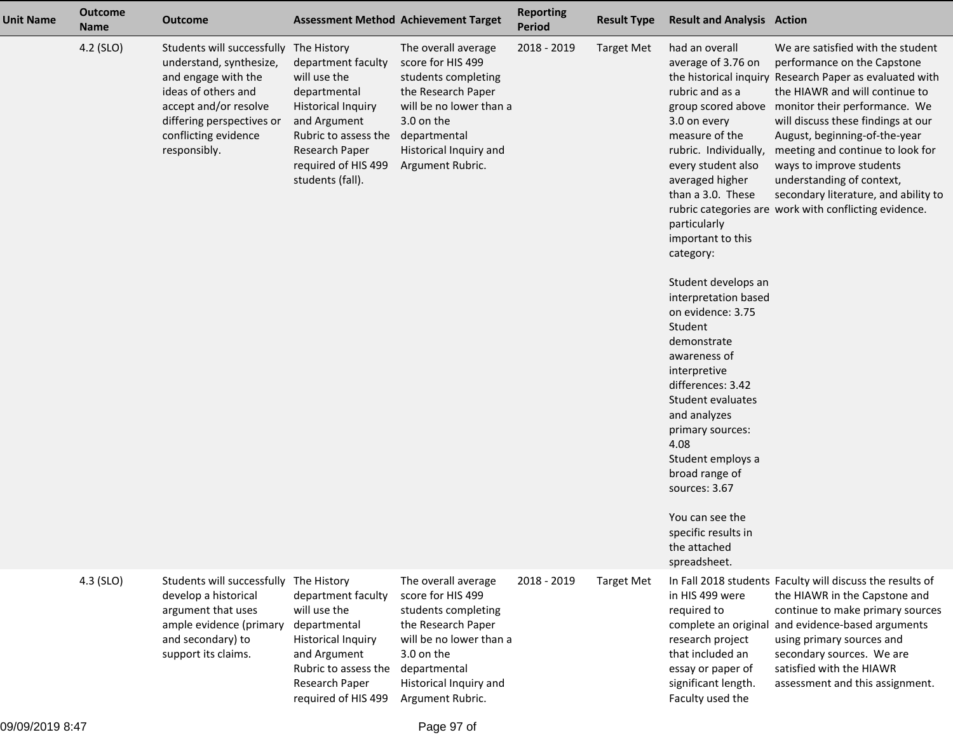| <b>Unit Name</b> | <b>Outcome</b><br><b>Name</b> | <b>Outcome</b>                                                                                                                                                                                                |                                                                                                                                                                                      | <b>Assessment Method Achievement Target</b>                                                                                                                                                  | <b>Reporting</b><br>Period | <b>Result Type</b> | <b>Result and Analysis Action</b>                                                                                                                                                                                                                                                                                                                                                                                                                                                                                                                                                        |                                                                                                                                                                                                                                                                                                                                                                                                                                                                                        |
|------------------|-------------------------------|---------------------------------------------------------------------------------------------------------------------------------------------------------------------------------------------------------------|--------------------------------------------------------------------------------------------------------------------------------------------------------------------------------------|----------------------------------------------------------------------------------------------------------------------------------------------------------------------------------------------|----------------------------|--------------------|------------------------------------------------------------------------------------------------------------------------------------------------------------------------------------------------------------------------------------------------------------------------------------------------------------------------------------------------------------------------------------------------------------------------------------------------------------------------------------------------------------------------------------------------------------------------------------------|----------------------------------------------------------------------------------------------------------------------------------------------------------------------------------------------------------------------------------------------------------------------------------------------------------------------------------------------------------------------------------------------------------------------------------------------------------------------------------------|
|                  | 4.2 (SLO)                     | Students will successfully The History<br>understand, synthesize,<br>and engage with the<br>ideas of others and<br>accept and/or resolve<br>differing perspectives or<br>conflicting evidence<br>responsibly. | department faculty<br>will use the<br>departmental<br><b>Historical Inquiry</b><br>and Argument<br>Rubric to assess the<br>Research Paper<br>required of HIS 499<br>students (fall). | The overall average<br>score for HIS 499<br>students completing<br>the Research Paper<br>will be no lower than a<br>3.0 on the<br>departmental<br>Historical Inquiry and<br>Argument Rubric. | 2018 - 2019                | <b>Target Met</b>  | had an overall<br>average of 3.76 on<br>rubric and as a<br>3.0 on every<br>measure of the<br>rubric. Individually,<br>every student also<br>averaged higher<br>than a 3.0. These<br>particularly<br>important to this<br>category:<br>Student develops an<br>interpretation based<br>on evidence: 3.75<br>Student<br>demonstrate<br>awareness of<br>interpretive<br>differences: 3.42<br>Student evaluates<br>and analyzes<br>primary sources:<br>4.08<br>Student employs a<br>broad range of<br>sources: 3.67<br>You can see the<br>specific results in<br>the attached<br>spreadsheet. | We are satisfied with the student<br>performance on the Capstone<br>the historical inquiry Research Paper as evaluated with<br>the HIAWR and will continue to<br>group scored above monitor their performance. We<br>will discuss these findings at our<br>August, beginning-of-the-year<br>meeting and continue to look for<br>ways to improve students<br>understanding of context,<br>secondary literature, and ability to<br>rubric categories are work with conflicting evidence. |
|                  | 4.3 (SLO)                     | Students will successfully<br>develop a historical<br>argument that uses<br>ample evidence (primary<br>and secondary) to<br>support its claims.                                                               | The History<br>department faculty<br>will use the<br>departmental<br><b>Historical Inquiry</b><br>and Argument<br>Rubric to assess the<br>Research Paper<br>required of HIS 499      | The overall average<br>score for HIS 499<br>students completing<br>the Research Paper<br>will be no lower than a<br>3.0 on the<br>departmental<br>Historical Inquiry and<br>Argument Rubric. | 2018 - 2019                | <b>Target Met</b>  | in HIS 499 were<br>required to<br>complete an original<br>research project<br>that included an<br>essay or paper of<br>significant length.<br>Faculty used the                                                                                                                                                                                                                                                                                                                                                                                                                           | In Fall 2018 students Faculty will discuss the results of<br>the HIAWR in the Capstone and<br>continue to make primary sources<br>and evidence-based arguments<br>using primary sources and<br>secondary sources. We are<br>satisfied with the HIAWR<br>assessment and this assignment.                                                                                                                                                                                                |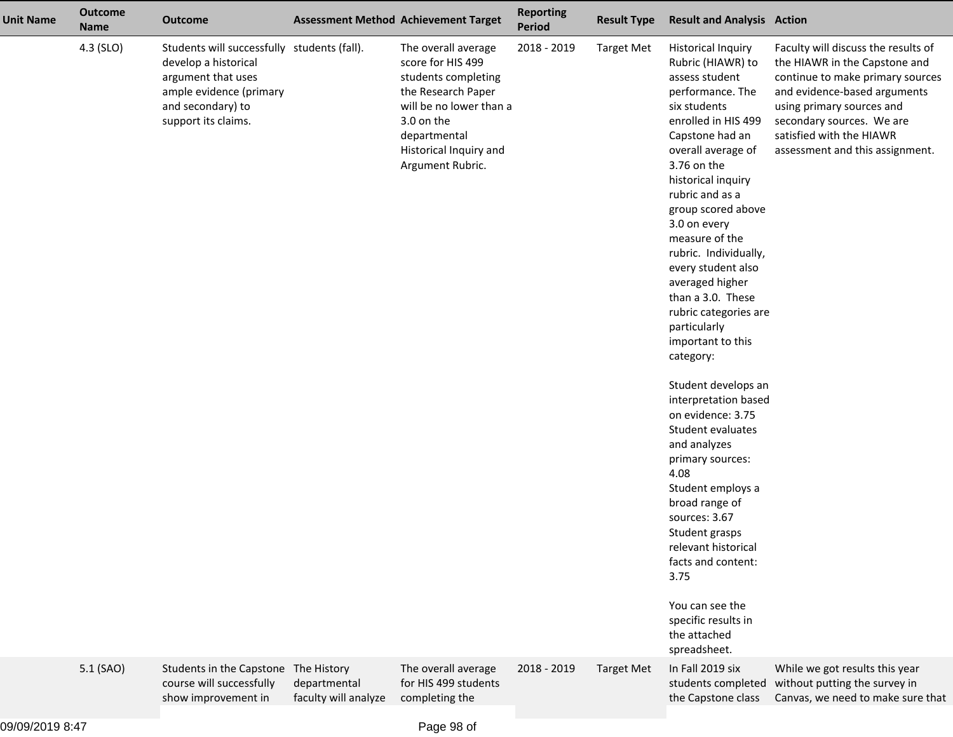| <b>Unit Name</b> | <b>Outcome</b><br><b>Name</b> | <b>Outcome</b>                                                                                                                                                   |                                                     | <b>Assessment Method Achievement Target</b>                                                                                                                                                  | <b>Reporting</b><br>Period | <b>Result Type</b> | <b>Result and Analysis Action</b>                                                                                                                                                                                                                                                                                                                                                                                                                                                                                                                                                                                                                                                                                                                                                                    |                                                                                                                                                                                                                                                                   |
|------------------|-------------------------------|------------------------------------------------------------------------------------------------------------------------------------------------------------------|-----------------------------------------------------|----------------------------------------------------------------------------------------------------------------------------------------------------------------------------------------------|----------------------------|--------------------|------------------------------------------------------------------------------------------------------------------------------------------------------------------------------------------------------------------------------------------------------------------------------------------------------------------------------------------------------------------------------------------------------------------------------------------------------------------------------------------------------------------------------------------------------------------------------------------------------------------------------------------------------------------------------------------------------------------------------------------------------------------------------------------------------|-------------------------------------------------------------------------------------------------------------------------------------------------------------------------------------------------------------------------------------------------------------------|
|                  | 4.3 (SLO)                     | Students will successfully students (fall).<br>develop a historical<br>argument that uses<br>ample evidence (primary<br>and secondary) to<br>support its claims. |                                                     | The overall average<br>score for HIS 499<br>students completing<br>the Research Paper<br>will be no lower than a<br>3.0 on the<br>departmental<br>Historical Inquiry and<br>Argument Rubric. | 2018 - 2019                | <b>Target Met</b>  | <b>Historical Inquiry</b><br>Rubric (HIAWR) to<br>assess student<br>performance. The<br>six students<br>enrolled in HIS 499<br>Capstone had an<br>overall average of<br>3.76 on the<br>historical inquiry<br>rubric and as a<br>group scored above<br>3.0 on every<br>measure of the<br>rubric. Individually,<br>every student also<br>averaged higher<br>than a 3.0. These<br>rubric categories are<br>particularly<br>important to this<br>category:<br>Student develops an<br>interpretation based<br>on evidence: 3.75<br>Student evaluates<br>and analyzes<br>primary sources:<br>4.08<br>Student employs a<br>broad range of<br>sources: 3.67<br>Student grasps<br>relevant historical<br>facts and content:<br>3.75<br>You can see the<br>specific results in<br>the attached<br>spreadsheet. | Faculty will discuss the results of<br>the HIAWR in the Capstone and<br>continue to make primary sources<br>and evidence-based arguments<br>using primary sources and<br>secondary sources. We are<br>satisfied with the HIAWR<br>assessment and this assignment. |
|                  | 5.1 (SAO)                     | Students in the Capstone<br>course will successfully<br>show improvement in                                                                                      | The History<br>departmental<br>faculty will analyze | The overall average<br>for HIS 499 students<br>completing the                                                                                                                                | 2018 - 2019                | <b>Target Met</b>  | In Fall 2019 six<br>students completed<br>the Capstone class                                                                                                                                                                                                                                                                                                                                                                                                                                                                                                                                                                                                                                                                                                                                         | While we got results this year<br>without putting the survey in<br>Canvas, we need to make sure that                                                                                                                                                              |
|                  |                               |                                                                                                                                                                  |                                                     |                                                                                                                                                                                              |                            |                    |                                                                                                                                                                                                                                                                                                                                                                                                                                                                                                                                                                                                                                                                                                                                                                                                      |                                                                                                                                                                                                                                                                   |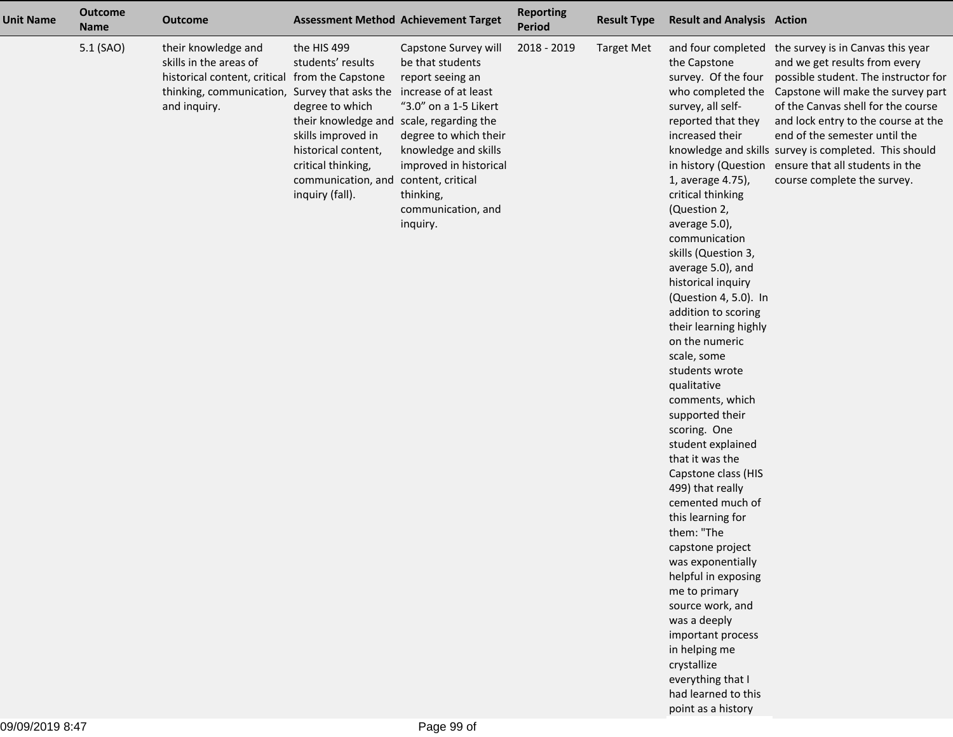| <b>Unit Name</b> | <b>Outcome</b><br><b>Name</b> | <b>Outcome</b>                                                                                                                                                   |                                                                                                                                                                                                             | <b>Assessment Method Achievement Target</b>                                                                                                                                                                                                                  | <b>Reporting</b><br>Period | <b>Result Type</b> | <b>Result and Analysis Action</b>                                                                                                                                                                                                                                                                                                                                                                                                                                                                                                                                                                                                                                                                                                                                                                                                                      |                                                                                                                                                                                                                                                                                                                                                                                                                                                     |
|------------------|-------------------------------|------------------------------------------------------------------------------------------------------------------------------------------------------------------|-------------------------------------------------------------------------------------------------------------------------------------------------------------------------------------------------------------|--------------------------------------------------------------------------------------------------------------------------------------------------------------------------------------------------------------------------------------------------------------|----------------------------|--------------------|--------------------------------------------------------------------------------------------------------------------------------------------------------------------------------------------------------------------------------------------------------------------------------------------------------------------------------------------------------------------------------------------------------------------------------------------------------------------------------------------------------------------------------------------------------------------------------------------------------------------------------------------------------------------------------------------------------------------------------------------------------------------------------------------------------------------------------------------------------|-----------------------------------------------------------------------------------------------------------------------------------------------------------------------------------------------------------------------------------------------------------------------------------------------------------------------------------------------------------------------------------------------------------------------------------------------------|
|                  | 5.1 (SAO)                     | their knowledge and<br>skills in the areas of<br>historical content, critical from the Capstone<br>thinking, communication, Survey that asks the<br>and inquiry. | the HIS 499<br>students' results<br>degree to which<br>their knowledge and scale, regarding the<br>skills improved in<br>historical content,<br>critical thinking,<br>communication, and<br>inquiry (fall). | Capstone Survey will<br>be that students<br>report seeing an<br>increase of at least<br>"3.0" on a 1-5 Likert<br>degree to which their<br>knowledge and skills<br>improved in historical<br>content, critical<br>thinking,<br>communication, and<br>inquiry. | 2018 - 2019                | <b>Target Met</b>  | the Capstone<br>survey. Of the four<br>survey, all self-<br>reported that they<br>increased their<br>1, average 4.75),<br>critical thinking<br>(Question 2,<br>average 5.0),<br>communication<br>skills (Question 3,<br>average 5.0), and<br>historical inquiry<br>(Question 4, 5.0). In<br>addition to scoring<br>their learning highly<br>on the numeric<br>scale, some<br>students wrote<br>qualitative<br>comments, which<br>supported their<br>scoring. One<br>student explained<br>that it was the<br>Capstone class (HIS<br>499) that really<br>cemented much of<br>this learning for<br>them: "The<br>capstone project<br>was exponentially<br>helpful in exposing<br>me to primary<br>source work, and<br>was a deeply<br>important process<br>in helping me<br>crystallize<br>everything that I<br>had learned to this<br>point as a history | and four completed the survey is in Canvas this year<br>and we get results from every<br>possible student. The instructor for<br>who completed the Capstone will make the survey part<br>of the Canvas shell for the course<br>and lock entry to the course at the<br>end of the semester until the<br>knowledge and skills survey is completed. This should<br>in history (Question ensure that all students in the<br>course complete the survey. |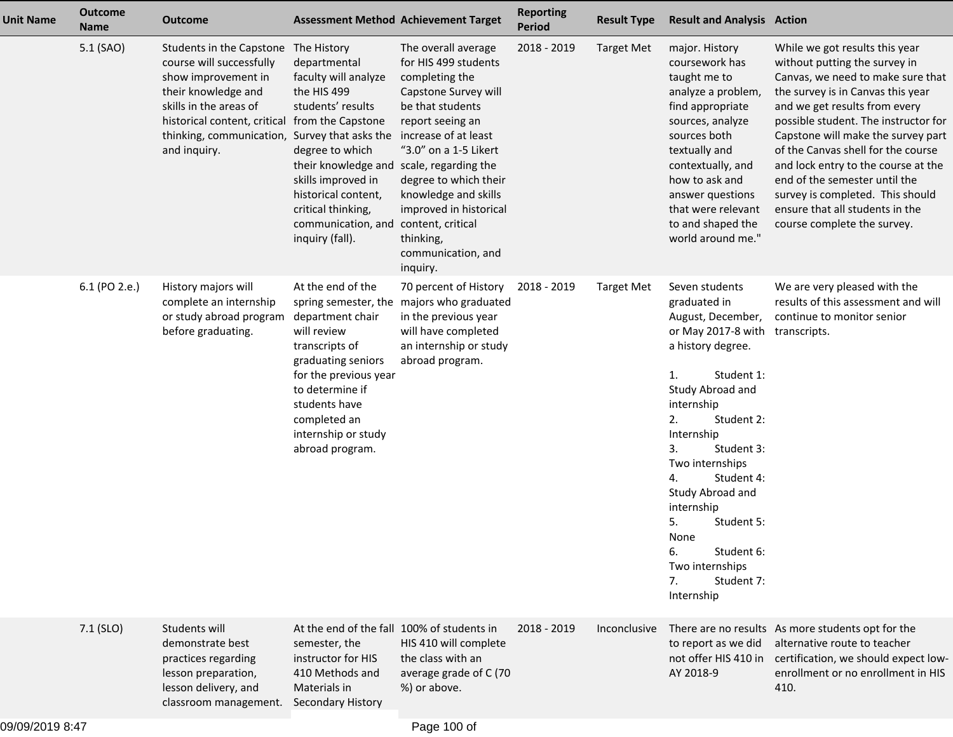| <b>Unit Name</b> | <b>Outcome</b><br><b>Name</b> | <b>Outcome</b>                                                                                                                                                                                           | <b>Assessment Method Achievement Target</b>                                                                                                                                                                                                                                                                                                            |                                                                                                                                                                                                                                                                                  | <b>Reporting</b><br><b>Period</b> | <b>Result Type</b> | <b>Result and Analysis Action</b>                                                                                                                                                                                                                                                                                                                                                        |                                                                                                                                                                                                                                                                                                                                                                                                                                                                              |
|------------------|-------------------------------|----------------------------------------------------------------------------------------------------------------------------------------------------------------------------------------------------------|--------------------------------------------------------------------------------------------------------------------------------------------------------------------------------------------------------------------------------------------------------------------------------------------------------------------------------------------------------|----------------------------------------------------------------------------------------------------------------------------------------------------------------------------------------------------------------------------------------------------------------------------------|-----------------------------------|--------------------|------------------------------------------------------------------------------------------------------------------------------------------------------------------------------------------------------------------------------------------------------------------------------------------------------------------------------------------------------------------------------------------|------------------------------------------------------------------------------------------------------------------------------------------------------------------------------------------------------------------------------------------------------------------------------------------------------------------------------------------------------------------------------------------------------------------------------------------------------------------------------|
|                  | 5.1 (SAO)                     | Students in the Capstone<br>course will successfully<br>show improvement in<br>their knowledge and<br>skills in the areas of<br>historical content, critical<br>thinking, communication,<br>and inquiry. | The History<br>departmental<br>faculty will analyze<br>the HIS 499<br>students' results<br>from the Capstone<br>Survey that asks the increase of at least<br>degree to which<br>their knowledge and scale, regarding the<br>skills improved in<br>historical content,<br>critical thinking,<br>communication, and content, critical<br>inquiry (fall). | The overall average<br>for HIS 499 students<br>completing the<br>Capstone Survey will<br>be that students<br>report seeing an<br>"3.0" on a 1-5 Likert<br>degree to which their<br>knowledge and skills<br>improved in historical<br>thinking,<br>communication, and<br>inquiry. | 2018 - 2019                       | <b>Target Met</b>  | major. History<br>coursework has<br>taught me to<br>analyze a problem,<br>find appropriate<br>sources, analyze<br>sources both<br>textually and<br>contextually, and<br>how to ask and<br>answer questions<br>that were relevant<br>to and shaped the<br>world around me."                                                                                                               | While we got results this year<br>without putting the survey in<br>Canvas, we need to make sure that<br>the survey is in Canvas this year<br>and we get results from every<br>possible student. The instructor for<br>Capstone will make the survey part<br>of the Canvas shell for the course<br>and lock entry to the course at the<br>end of the semester until the<br>survey is completed. This should<br>ensure that all students in the<br>course complete the survey. |
|                  | 6.1 (PO 2.e.)                 | History majors will<br>complete an internship<br>or study abroad program<br>before graduating.                                                                                                           | At the end of the<br>department chair<br>will review<br>transcripts of<br>graduating seniors<br>for the previous year<br>to determine if<br>students have<br>completed an<br>internship or study<br>abroad program.                                                                                                                                    | 70 percent of History<br>spring semester, the majors who graduated<br>in the previous year<br>will have completed<br>an internship or study<br>abroad program.                                                                                                                   | 2018 - 2019                       | <b>Target Met</b>  | Seven students<br>graduated in<br>August, December,<br>or May 2017-8 with<br>a history degree.<br>Student 1:<br>1.<br>Study Abroad and<br>internship<br>2.<br>Student 2:<br>Internship<br>Student 3:<br>3.<br>Two internships<br>4.<br>Student 4:<br>Study Abroad and<br>internship<br>5.<br>Student 5:<br>None<br>6.<br>Student 6:<br>Two internships<br>7.<br>Student 7:<br>Internship | We are very pleased with the<br>results of this assessment and will<br>continue to monitor senior<br>transcripts.                                                                                                                                                                                                                                                                                                                                                            |
|                  | 7.1 (SLO)                     | Students will<br>demonstrate best<br>practices regarding<br>lesson preparation,<br>lesson delivery, and<br>classroom management.                                                                         | At the end of the fall 100% of students in<br>semester, the<br>instructor for HIS<br>410 Methods and<br>Materials in<br>Secondary History                                                                                                                                                                                                              | HIS 410 will complete<br>the class with an<br>average grade of C (70<br>%) or above.                                                                                                                                                                                             | 2018 - 2019                       | Inconclusive       | to report as we did<br>not offer HIS 410 in<br>AY 2018-9                                                                                                                                                                                                                                                                                                                                 | There are no results As more students opt for the<br>alternative route to teacher<br>certification, we should expect low-<br>enrollment or no enrollment in HIS<br>410.                                                                                                                                                                                                                                                                                                      |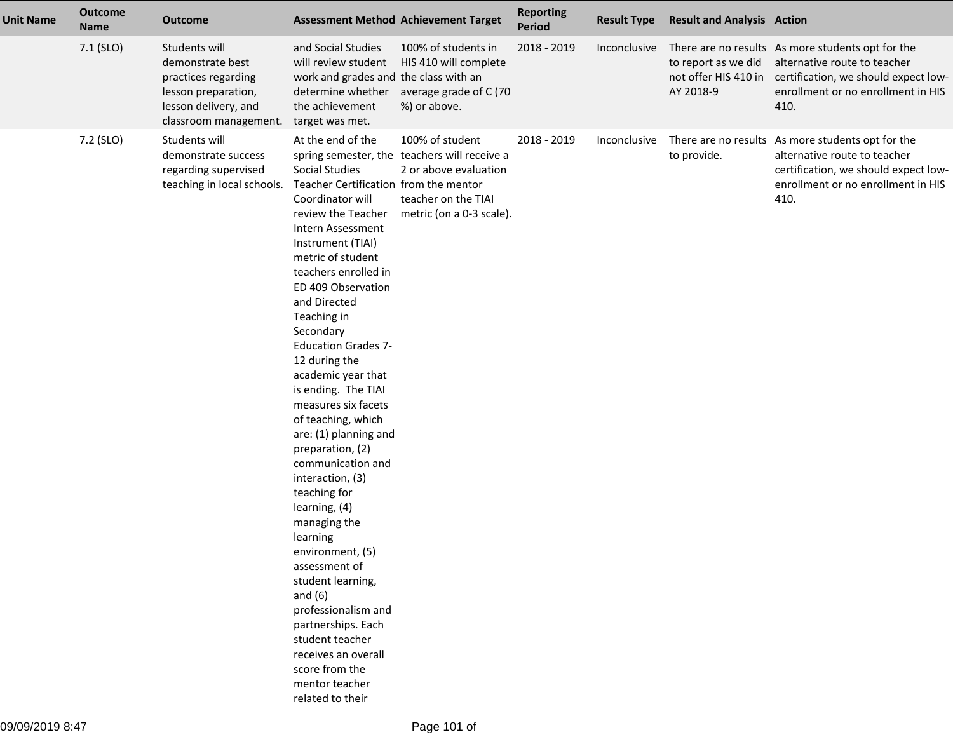| <b>Unit Name</b> | <b>Outcome</b><br><b>Name</b> | <b>Outcome</b>                                                                                                                   |                                                                                                                                                                                                                                                                                                                                                                                                                                                                                                                                                                                                                                                                                                                                                                                                   | <b>Assessment Method Achievement Target</b>                                                                                                 | <b>Reporting</b><br><b>Period</b> | <b>Result Type</b> | <b>Result and Analysis Action</b>                        |                                                                                                                                                                         |
|------------------|-------------------------------|----------------------------------------------------------------------------------------------------------------------------------|---------------------------------------------------------------------------------------------------------------------------------------------------------------------------------------------------------------------------------------------------------------------------------------------------------------------------------------------------------------------------------------------------------------------------------------------------------------------------------------------------------------------------------------------------------------------------------------------------------------------------------------------------------------------------------------------------------------------------------------------------------------------------------------------------|---------------------------------------------------------------------------------------------------------------------------------------------|-----------------------------------|--------------------|----------------------------------------------------------|-------------------------------------------------------------------------------------------------------------------------------------------------------------------------|
|                  | 7.1 (SLO)                     | Students will<br>demonstrate best<br>practices regarding<br>lesson preparation,<br>lesson delivery, and<br>classroom management. | and Social Studies<br>will review student<br>work and grades and the class with an<br>the achievement<br>target was met.                                                                                                                                                                                                                                                                                                                                                                                                                                                                                                                                                                                                                                                                          | 100% of students in<br>HIS 410 will complete<br>determine whether average grade of C (70<br>%) or above.                                    | 2018 - 2019                       | Inconclusive       | to report as we did<br>not offer HIS 410 in<br>AY 2018-9 | There are no results As more students opt for the<br>alternative route to teacher<br>certification, we should expect low-<br>enrollment or no enrollment in HIS<br>410. |
|                  | 7.2 (SLO)                     | Students will<br>demonstrate success<br>regarding supervised<br>teaching in local schools.                                       | At the end of the<br>Social Studies<br>Teacher Certification from the mentor<br>Coordinator will<br>review the Teacher<br>Intern Assessment<br>Instrument (TIAI)<br>metric of student<br>teachers enrolled in<br>ED 409 Observation<br>and Directed<br>Teaching in<br>Secondary<br><b>Education Grades 7-</b><br>12 during the<br>academic year that<br>is ending. The TIAI<br>measures six facets<br>of teaching, which<br>are: (1) planning and<br>preparation, (2)<br>communication and<br>interaction, (3)<br>teaching for<br>learning, (4)<br>managing the<br>learning<br>environment, (5)<br>assessment of<br>student learning,<br>and $(6)$<br>professionalism and<br>partnerships. Each<br>student teacher<br>receives an overall<br>score from the<br>mentor teacher<br>related to their | 100% of student<br>spring semester, the teachers will receive a<br>2 or above evaluation<br>teacher on the TIAI<br>metric (on a 0-3 scale). | 2018 - 2019                       | Inconclusive       | to provide.                                              | There are no results As more students opt for the<br>alternative route to teacher<br>certification, we should expect low-<br>enrollment or no enrollment in HIS<br>410. |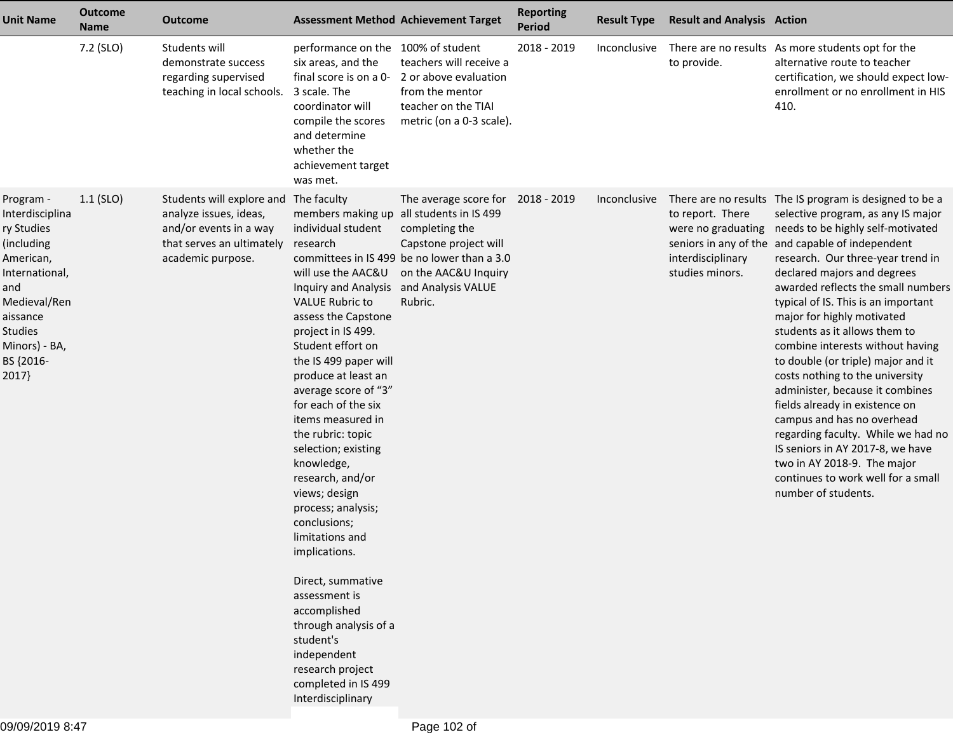| <b>Unit Name</b>                                                                                                                                                             | <b>Outcome</b><br><b>Name</b> | <b>Outcome</b>                                                                                                                  | <b>Assessment Method Achievement Target</b>                                                                                                                                                                                                                                                                                                                                                                                                                                                                                                                                                                                                                                                                                    |                                                                                                                                                    | <b>Reporting</b><br><b>Period</b> | <b>Result Type</b>  | <b>Result and Analysis Action</b>                                              |                                                                                                                                                                                                                                                                                                                                                                                                                                                                                                                                                                                                                                                                                                                                                                                              |
|------------------------------------------------------------------------------------------------------------------------------------------------------------------------------|-------------------------------|---------------------------------------------------------------------------------------------------------------------------------|--------------------------------------------------------------------------------------------------------------------------------------------------------------------------------------------------------------------------------------------------------------------------------------------------------------------------------------------------------------------------------------------------------------------------------------------------------------------------------------------------------------------------------------------------------------------------------------------------------------------------------------------------------------------------------------------------------------------------------|----------------------------------------------------------------------------------------------------------------------------------------------------|-----------------------------------|---------------------|--------------------------------------------------------------------------------|----------------------------------------------------------------------------------------------------------------------------------------------------------------------------------------------------------------------------------------------------------------------------------------------------------------------------------------------------------------------------------------------------------------------------------------------------------------------------------------------------------------------------------------------------------------------------------------------------------------------------------------------------------------------------------------------------------------------------------------------------------------------------------------------|
|                                                                                                                                                                              | 7.2 (SLO)                     | Students will<br>demonstrate success<br>regarding supervised<br>teaching in local schools.                                      | performance on the 100% of student<br>six areas, and the<br>3 scale. The<br>coordinator will<br>compile the scores<br>and determine<br>whether the<br>achievement target<br>was met.                                                                                                                                                                                                                                                                                                                                                                                                                                                                                                                                           | teachers will receive a<br>final score is on a 0- 2 or above evaluation<br>from the mentor<br>teacher on the TIAI<br>metric (on a 0-3 scale).      | 2018 - 2019                       | Inconclusive        | to provide.                                                                    | There are no results As more students opt for the<br>alternative route to teacher<br>certification, we should expect low-<br>enrollment or no enrollment in HIS<br>410.                                                                                                                                                                                                                                                                                                                                                                                                                                                                                                                                                                                                                      |
| Program -<br>Interdisciplina<br>ry Studies<br>(including<br>American,<br>International,<br>and<br>Medieval/Ren<br>aissance<br>Studies<br>Minors) - BA,<br>BS {2016-<br>2017} | $1.1$ (SLO)                   | Students will explore and<br>analyze issues, ideas,<br>and/or events in a way<br>that serves an ultimately<br>academic purpose. | The faculty<br>members making up all students in IS 499<br>individual student<br>research<br>will use the AAC&U<br>Inquiry and Analysis and Analysis VALUE<br><b>VALUE Rubric to</b><br>assess the Capstone<br>project in IS 499.<br>Student effort on<br>the IS 499 paper will<br>produce at least an<br>average score of "3"<br>for each of the six<br>items measured in<br>the rubric: topic<br>selection; existing<br>knowledge,<br>research, and/or<br>views; design<br>process; analysis;<br>conclusions;<br>limitations and<br>implications.<br>Direct, summative<br>assessment is<br>accomplished<br>through analysis of a<br>student's<br>independent<br>research project<br>completed in IS 499<br>Interdisciplinary | The average score for<br>completing the<br>Capstone project will<br>committees in IS 499 be no lower than a 3.0<br>on the AAC&U Inquiry<br>Rubric. | 2018 - 2019                       | <i>Inconclusive</i> | to report. There<br>were no graduating<br>interdisciplinary<br>studies minors. | There are no results The IS program is designed to be a<br>selective program, as any IS major<br>needs to be highly self-motivated<br>seniors in any of the and capable of independent<br>research. Our three-year trend in<br>declared majors and degrees<br>awarded reflects the small numbers<br>typical of IS. This is an important<br>major for highly motivated<br>students as it allows them to<br>combine interests without having<br>to double (or triple) major and it<br>costs nothing to the university<br>administer, because it combines<br>fields already in existence on<br>campus and has no overhead<br>regarding faculty. While we had no<br>IS seniors in AY 2017-8, we have<br>two in AY 2018-9. The major<br>continues to work well for a small<br>number of students. |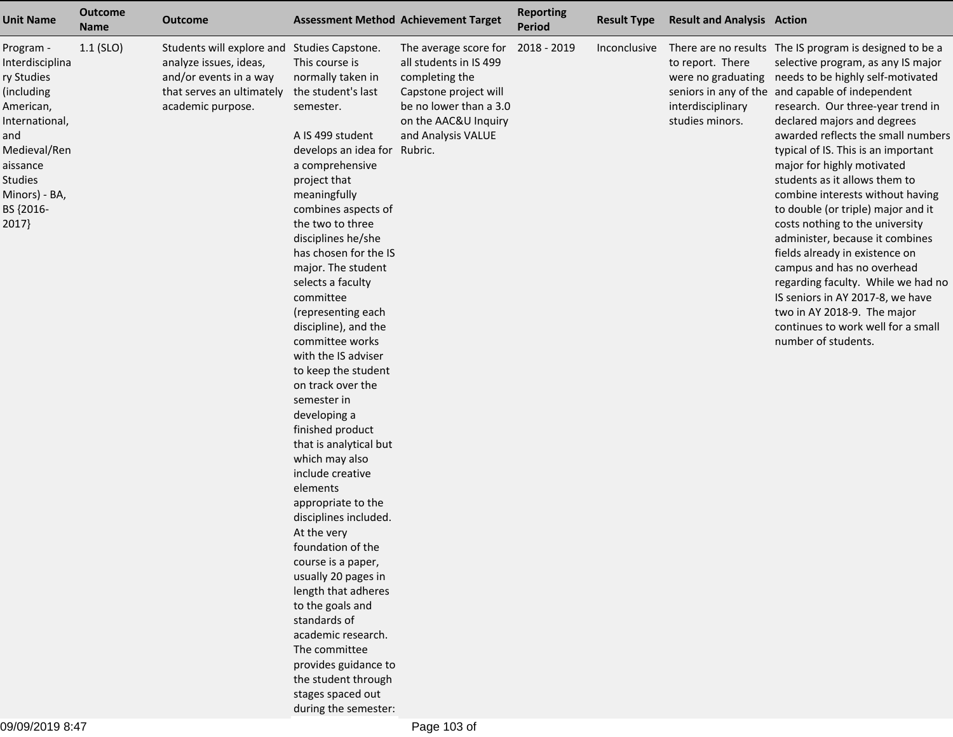| <b>Unit Name</b>                                                                                                                                                             | <b>Outcome</b><br><b>Name</b> | <b>Outcome</b>                                                                                                                                    |                                                                                                                                                                                                                                                                                                                                                                                                                                                                                                                                                                                                                                                                                                                                                                                                                                                                                                                                  | <b>Assessment Method Achievement Target</b>                                                                                                                        | <b>Reporting</b><br><b>Period</b> | <b>Result Type</b> | <b>Result and Analysis Action</b>                        |                                                                                                                                                                                                                                                                                                                                                                                                                                                                                                                                                                                                                                                                                                                                                                                                                 |
|------------------------------------------------------------------------------------------------------------------------------------------------------------------------------|-------------------------------|---------------------------------------------------------------------------------------------------------------------------------------------------|----------------------------------------------------------------------------------------------------------------------------------------------------------------------------------------------------------------------------------------------------------------------------------------------------------------------------------------------------------------------------------------------------------------------------------------------------------------------------------------------------------------------------------------------------------------------------------------------------------------------------------------------------------------------------------------------------------------------------------------------------------------------------------------------------------------------------------------------------------------------------------------------------------------------------------|--------------------------------------------------------------------------------------------------------------------------------------------------------------------|-----------------------------------|--------------------|----------------------------------------------------------|-----------------------------------------------------------------------------------------------------------------------------------------------------------------------------------------------------------------------------------------------------------------------------------------------------------------------------------------------------------------------------------------------------------------------------------------------------------------------------------------------------------------------------------------------------------------------------------------------------------------------------------------------------------------------------------------------------------------------------------------------------------------------------------------------------------------|
| Program -<br>Interdisciplina<br>ry Studies<br>(including<br>American,<br>International,<br>and<br>Medieval/Ren<br>aissance<br>Studies<br>Minors) - BA,<br>BS {2016-<br>2017} | $1.1$ (SLO)                   | Students will explore and Studies Capstone.<br>analyze issues, ideas,<br>and/or events in a way<br>that serves an ultimately<br>academic purpose. | This course is<br>normally taken in<br>the student's last<br>semester.<br>A IS 499 student<br>develops an idea for Rubric.<br>a comprehensive<br>project that<br>meaningfully<br>combines aspects of<br>the two to three<br>disciplines he/she<br>has chosen for the IS<br>major. The student<br>selects a faculty<br>committee<br>(representing each<br>discipline), and the<br>committee works<br>with the IS adviser<br>to keep the student<br>on track over the<br>semester in<br>developing a<br>finished product<br>that is analytical but<br>which may also<br>include creative<br>elements<br>appropriate to the<br>disciplines included.<br>At the very<br>foundation of the<br>course is a paper,<br>usually 20 pages in<br>length that adheres<br>to the goals and<br>standards of<br>academic research.<br>The committee<br>provides guidance to<br>the student through<br>stages spaced out<br>during the semester: | The average score for<br>all students in IS 499<br>completing the<br>Capstone project will<br>be no lower than a 3.0<br>on the AAC&U Inquiry<br>and Analysis VALUE | 2018 - 2019                       | Inconclusive       | to report. There<br>interdisciplinary<br>studies minors. | There are no results The IS program is designed to be a<br>selective program, as any IS major<br>were no graduating needs to be highly self-motivated<br>seniors in any of the and capable of independent<br>research. Our three-year trend in<br>declared majors and degrees<br>awarded reflects the small numbers<br>typical of IS. This is an important<br>major for highly motivated<br>students as it allows them to<br>combine interests without having<br>to double (or triple) major and it<br>costs nothing to the university<br>administer, because it combines<br>fields already in existence on<br>campus and has no overhead<br>regarding faculty. While we had no<br>IS seniors in AY 2017-8, we have<br>two in AY 2018-9. The major<br>continues to work well for a small<br>number of students. |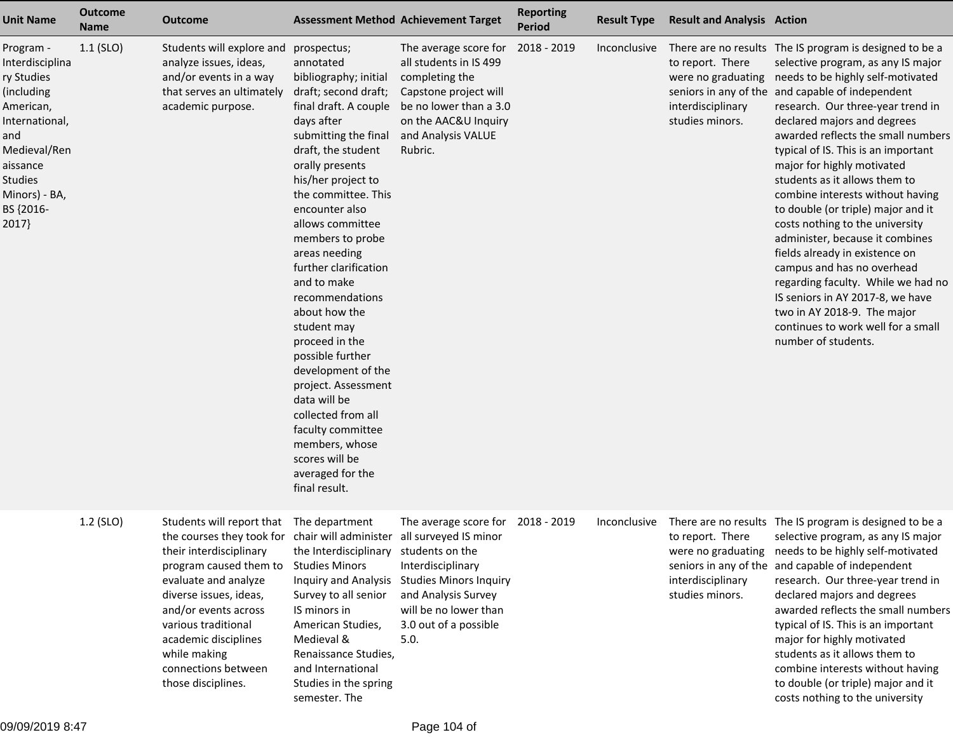| <b>Unit Name</b>                                                                                                                                                             | <b>Outcome</b><br><b>Name</b> | <b>Outcome</b>                                                                                                                                                                                                                                                                                                                                               |                                                                                                                                                                                                                                                                                                                                                                                                                                                                                                                                                                                                                                                | <b>Assessment Method Achievement Target</b>                                                                                                                                | <b>Reporting</b><br><b>Period</b> | <b>Result Type</b> | <b>Result and Analysis Action</b>                                              |                                                                                                                                                                                                                                                                                                                                                                                                                                                                                                                                                                                                                                                                                                                                                                                              |
|------------------------------------------------------------------------------------------------------------------------------------------------------------------------------|-------------------------------|--------------------------------------------------------------------------------------------------------------------------------------------------------------------------------------------------------------------------------------------------------------------------------------------------------------------------------------------------------------|------------------------------------------------------------------------------------------------------------------------------------------------------------------------------------------------------------------------------------------------------------------------------------------------------------------------------------------------------------------------------------------------------------------------------------------------------------------------------------------------------------------------------------------------------------------------------------------------------------------------------------------------|----------------------------------------------------------------------------------------------------------------------------------------------------------------------------|-----------------------------------|--------------------|--------------------------------------------------------------------------------|----------------------------------------------------------------------------------------------------------------------------------------------------------------------------------------------------------------------------------------------------------------------------------------------------------------------------------------------------------------------------------------------------------------------------------------------------------------------------------------------------------------------------------------------------------------------------------------------------------------------------------------------------------------------------------------------------------------------------------------------------------------------------------------------|
| Program -<br>Interdisciplina<br>ry Studies<br>(including<br>American,<br>International,<br>and<br>Medieval/Ren<br>aissance<br>Studies<br>Minors) - BA,<br>BS {2016-<br>2017} | $1.1$ (SLO)                   | Students will explore and<br>analyze issues, ideas,<br>and/or events in a way<br>that serves an ultimately<br>academic purpose.                                                                                                                                                                                                                              | prospectus;<br>annotated<br>bibliography; initial<br>draft; second draft;<br>final draft. A couple<br>days after<br>submitting the final and Analysis VALUE<br>draft, the student<br>orally presents<br>his/her project to<br>the committee. This<br>encounter also<br>allows committee<br>members to probe<br>areas needing<br>further clarification<br>and to make<br>recommendations<br>about how the<br>student may<br>proceed in the<br>possible further<br>development of the<br>project. Assessment<br>data will be<br>collected from all<br>faculty committee<br>members, whose<br>scores will be<br>averaged for the<br>final result. | The average score for<br>all students in IS 499<br>completing the<br>Capstone project will<br>be no lower than a 3.0<br>on the AAC&U Inquiry<br>Rubric.                    | 2018 - 2019                       | Inconclusive       | to report. There<br>were no graduating<br>interdisciplinary<br>studies minors. | There are no results The IS program is designed to be a<br>selective program, as any IS major<br>needs to be highly self-motivated<br>seniors in any of the and capable of independent<br>research. Our three-year trend in<br>declared majors and degrees<br>awarded reflects the small numbers<br>typical of IS. This is an important<br>major for highly motivated<br>students as it allows them to<br>combine interests without having<br>to double (or triple) major and it<br>costs nothing to the university<br>administer, because it combines<br>fields already in existence on<br>campus and has no overhead<br>regarding faculty. While we had no<br>IS seniors in AY 2017-8, we have<br>two in AY 2018-9. The major<br>continues to work well for a small<br>number of students. |
|                                                                                                                                                                              | 1.2 (SLO)                     | Students will report that The department<br>the courses they took for chair will administer all surveyed IS minor<br>their interdisciplinary<br>program caused them to<br>evaluate and analyze<br>diverse issues, ideas,<br>and/or events across<br>various traditional<br>academic disciplines<br>while making<br>connections between<br>those disciplines. | the Interdisciplinary students on the<br><b>Studies Minors</b><br>Survey to all senior<br>IS minors in<br>American Studies,<br>Medieval &<br>Renaissance Studies,<br>and International<br>Studies in the spring<br>semester. The                                                                                                                                                                                                                                                                                                                                                                                                               | The average score for<br>Interdisciplinary<br>Inquiry and Analysis Studies Minors Inquiry<br>and Analysis Survey<br>will be no lower than<br>3.0 out of a possible<br>5.0. | 2018 - 2019                       | Inconclusive       | to report. There<br>interdisciplinary<br>studies minors.                       | There are no results The IS program is designed to be a<br>selective program, as any IS major<br>were no graduating needs to be highly self-motivated<br>seniors in any of the and capable of independent<br>research. Our three-year trend in<br>declared majors and degrees<br>awarded reflects the small numbers<br>typical of IS. This is an important<br>major for highly motivated<br>students as it allows them to<br>combine interests without having<br>to double (or triple) major and it<br>costs nothing to the university                                                                                                                                                                                                                                                       |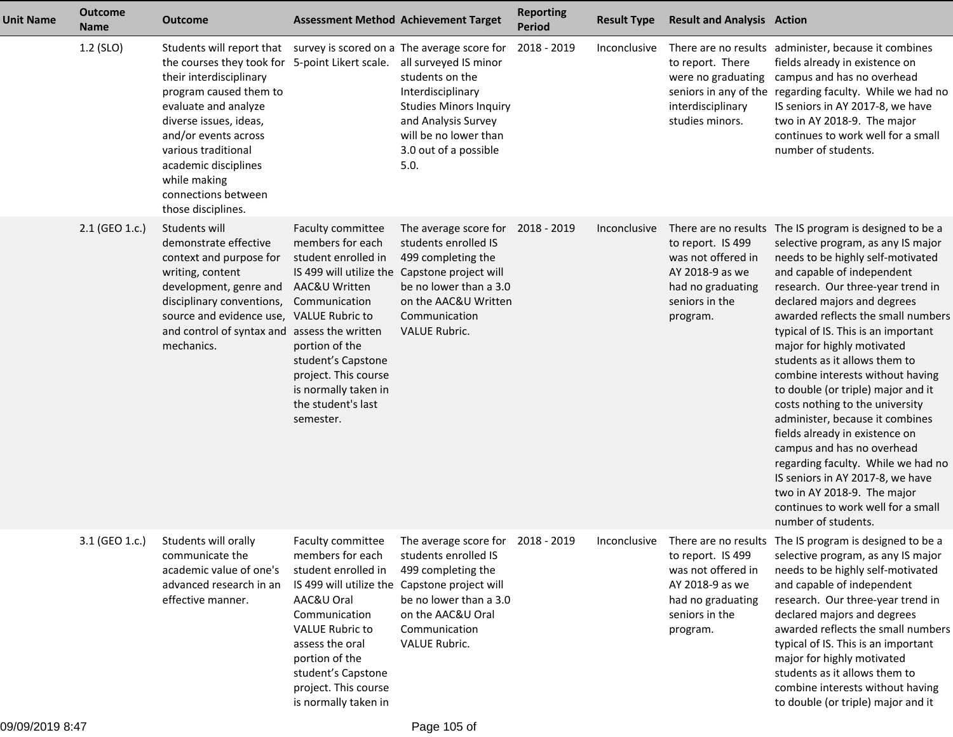| <b>Unit Name</b> | <b>Outcome</b><br><b>Name</b> | <b>Outcome</b>                                                                                                                                                                                                                                                                                                                                                                            | <b>Assessment Method Achievement Target</b>                                                                                                                                                                                                            |                                                                                                                                                                                                                             | <b>Reporting</b><br><b>Period</b> | <b>Result Type</b>  | <b>Result and Analysis Action</b>                                                                             |                                                                                                                                                                                                                                                                                                                                                                                                                                                                                                                                                                                                                                                                                                                                                                        |
|------------------|-------------------------------|-------------------------------------------------------------------------------------------------------------------------------------------------------------------------------------------------------------------------------------------------------------------------------------------------------------------------------------------------------------------------------------------|--------------------------------------------------------------------------------------------------------------------------------------------------------------------------------------------------------------------------------------------------------|-----------------------------------------------------------------------------------------------------------------------------------------------------------------------------------------------------------------------------|-----------------------------------|---------------------|---------------------------------------------------------------------------------------------------------------|------------------------------------------------------------------------------------------------------------------------------------------------------------------------------------------------------------------------------------------------------------------------------------------------------------------------------------------------------------------------------------------------------------------------------------------------------------------------------------------------------------------------------------------------------------------------------------------------------------------------------------------------------------------------------------------------------------------------------------------------------------------------|
|                  | 1.2 (SLO)                     | Students will report that survey is scored on a The average score for<br>the courses they took for 5-point Likert scale. all surveyed IS minor<br>their interdisciplinary<br>program caused them to<br>evaluate and analyze<br>diverse issues, ideas,<br>and/or events across<br>various traditional<br>academic disciplines<br>while making<br>connections between<br>those disciplines. |                                                                                                                                                                                                                                                        | students on the<br>Interdisciplinary<br><b>Studies Minors Inquiry</b><br>and Analysis Survey<br>will be no lower than<br>3.0 out of a possible<br>5.0.                                                                      | 2018 - 2019                       | Inconclusive        | to report. There<br>were no graduating<br>interdisciplinary<br>studies minors.                                | There are no results administer, because it combines<br>fields already in existence on<br>campus and has no overhead<br>seniors in any of the regarding faculty. While we had no<br>IS seniors in AY 2017-8, we have<br>two in AY 2018-9. The major<br>continues to work well for a small<br>number of students.                                                                                                                                                                                                                                                                                                                                                                                                                                                       |
|                  | 2.1 (GEO 1.c.)                | Students will<br>demonstrate effective<br>context and purpose for<br>writing, content<br>development, genre and<br>disciplinary conventions,<br>source and evidence use, VALUE Rubric to<br>and control of syntax and<br>mechanics.                                                                                                                                                       | <b>Faculty committee</b><br>members for each<br>student enrolled in<br>AAC&U Written<br>Communication<br>assess the written<br>portion of the<br>student's Capstone<br>project. This course<br>is normally taken in<br>the student's last<br>semester. | The average score for 2018 - 2019<br>students enrolled IS<br>499 completing the<br>IS 499 will utilize the Capstone project will<br>be no lower than a 3.0<br>on the AAC&U Written<br>Communication<br><b>VALUE Rubric.</b> |                                   | <i>Inconclusive</i> | to report. IS 499<br>was not offered in<br>AY 2018-9 as we<br>had no graduating<br>seniors in the<br>program. | There are no results The IS program is designed to be a<br>selective program, as any IS major<br>needs to be highly self-motivated<br>and capable of independent<br>research. Our three-year trend in<br>declared majors and degrees<br>awarded reflects the small numbers<br>typical of IS. This is an important<br>major for highly motivated<br>students as it allows them to<br>combine interests without having<br>to double (or triple) major and it<br>costs nothing to the university<br>administer, because it combines<br>fields already in existence on<br>campus and has no overhead<br>regarding faculty. While we had no<br>IS seniors in AY 2017-8, we have<br>two in AY 2018-9. The major<br>continues to work well for a small<br>number of students. |
|                  | 3.1 (GEO 1.c.)                | Students will orally<br>communicate the<br>academic value of one's<br>advanced research in an<br>effective manner.                                                                                                                                                                                                                                                                        | Faculty committee<br>members for each<br>student enrolled in<br>AAC&U Oral<br>Communication<br><b>VALUE Rubric to</b><br>assess the oral<br>portion of the<br>student's Capstone<br>project. This course<br>is normally taken in                       | The average score for 2018 - 2019<br>students enrolled IS<br>499 completing the<br>IS 499 will utilize the Capstone project will<br>be no lower than a 3.0<br>on the AAC&U Oral<br>Communication<br>VALUE Rubric.           |                                   |                     | to report. IS 499<br>was not offered in<br>AY 2018-9 as we<br>had no graduating<br>seniors in the<br>program. | Inconclusive There are no results The IS program is designed to be a<br>selective program, as any IS major<br>needs to be highly self-motivated<br>and capable of independent<br>research. Our three-year trend in<br>declared majors and degrees<br>awarded reflects the small numbers<br>typical of IS. This is an important<br>major for highly motivated<br>students as it allows them to<br>combine interests without having<br>to double (or triple) major and it                                                                                                                                                                                                                                                                                                |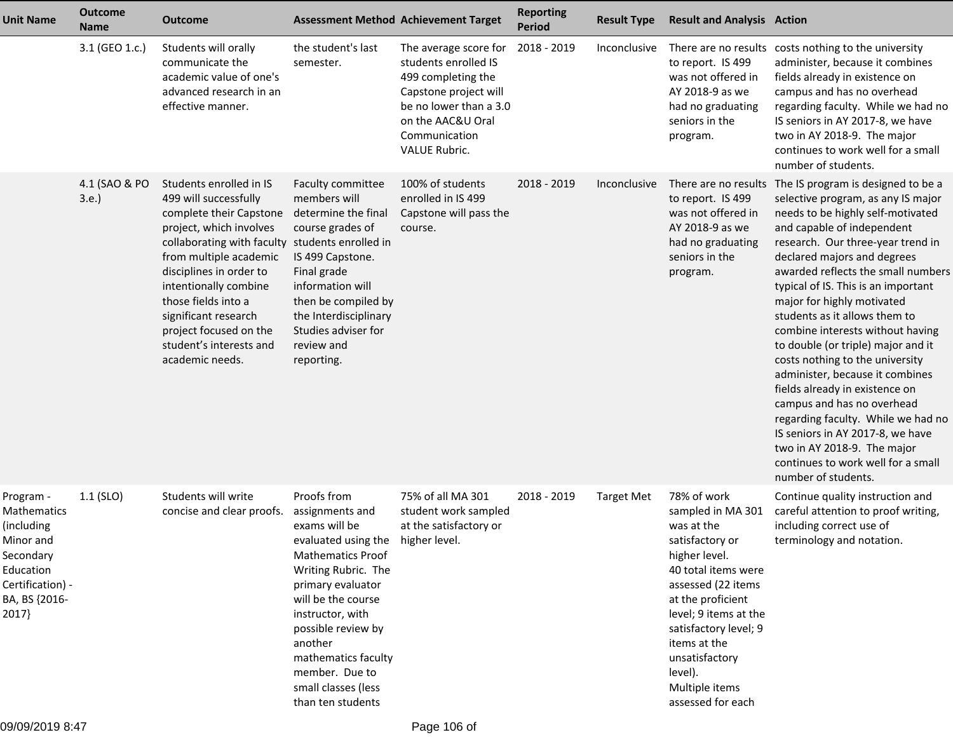| <b>Unit Name</b>                                                                                                            | <b>Outcome</b><br><b>Name</b> | Outcome                                                                                                                                                                                                                                                                                                                                                        | <b>Assessment Method Achievement Target</b>                                                                                                                                                                                                                                                                                  |                                                                                                                                                                                      | <b>Reporting</b><br><b>Period</b> | <b>Result Type</b>  | <b>Result and Analysis Action</b>                                                                                                                                                                                                                                                          |                                                                                                                                                                                                                                                                                                                                                                                                                                                                                                                                                                                                                                                                                                                                                                        |
|-----------------------------------------------------------------------------------------------------------------------------|-------------------------------|----------------------------------------------------------------------------------------------------------------------------------------------------------------------------------------------------------------------------------------------------------------------------------------------------------------------------------------------------------------|------------------------------------------------------------------------------------------------------------------------------------------------------------------------------------------------------------------------------------------------------------------------------------------------------------------------------|--------------------------------------------------------------------------------------------------------------------------------------------------------------------------------------|-----------------------------------|---------------------|--------------------------------------------------------------------------------------------------------------------------------------------------------------------------------------------------------------------------------------------------------------------------------------------|------------------------------------------------------------------------------------------------------------------------------------------------------------------------------------------------------------------------------------------------------------------------------------------------------------------------------------------------------------------------------------------------------------------------------------------------------------------------------------------------------------------------------------------------------------------------------------------------------------------------------------------------------------------------------------------------------------------------------------------------------------------------|
|                                                                                                                             | 3.1 (GEO 1.c.)                | Students will orally<br>communicate the<br>academic value of one's<br>advanced research in an<br>effective manner.                                                                                                                                                                                                                                             | the student's last<br>semester.                                                                                                                                                                                                                                                                                              | The average score for<br>students enrolled IS<br>499 completing the<br>Capstone project will<br>be no lower than a 3.0<br>on the AAC&U Oral<br>Communication<br><b>VALUE Rubric.</b> | 2018 - 2019                       | Inconclusive        | to report. IS 499<br>was not offered in<br>AY 2018-9 as we<br>had no graduating<br>seniors in the<br>program.                                                                                                                                                                              | There are no results costs nothing to the university<br>administer, because it combines<br>fields already in existence on<br>campus and has no overhead<br>regarding faculty. While we had no<br>IS seniors in AY 2017-8, we have<br>two in AY 2018-9. The major<br>continues to work well for a small<br>number of students.                                                                                                                                                                                                                                                                                                                                                                                                                                          |
|                                                                                                                             | 4.1 (SAO & PO<br>3.e.         | Students enrolled in IS<br>499 will successfully<br>complete their Capstone<br>project, which involves<br>collaborating with faculty students enrolled in<br>from multiple academic<br>disciplines in order to<br>intentionally combine<br>those fields into a<br>significant research<br>project focused on the<br>student's interests and<br>academic needs. | Faculty committee<br>members will<br>determine the final<br>course grades of<br>IS 499 Capstone.<br>Final grade<br>information will<br>then be compiled by<br>the Interdisciplinary<br>Studies adviser for<br>review and<br>reporting.                                                                                       | 100% of students<br>enrolled in IS 499<br>Capstone will pass the<br>course.                                                                                                          | 2018 - 2019                       | <i>Inconclusive</i> | to report. IS 499<br>was not offered in<br>AY 2018-9 as we<br>had no graduating<br>seniors in the<br>program.                                                                                                                                                                              | There are no results The IS program is designed to be a<br>selective program, as any IS major<br>needs to be highly self-motivated<br>and capable of independent<br>research. Our three-year trend in<br>declared majors and degrees<br>awarded reflects the small numbers<br>typical of IS. This is an important<br>major for highly motivated<br>students as it allows them to<br>combine interests without having<br>to double (or triple) major and it<br>costs nothing to the university<br>administer, because it combines<br>fields already in existence on<br>campus and has no overhead<br>regarding faculty. While we had no<br>IS seniors in AY 2017-8, we have<br>two in AY 2018-9. The major<br>continues to work well for a small<br>number of students. |
| Program -<br>Mathematics<br>(including<br>Minor and<br>Secondary<br>Education<br>Certification) -<br>BA, BS {2016-<br>2017} | $1.1$ (SLO)                   | Students will write<br>concise and clear proofs.                                                                                                                                                                                                                                                                                                               | Proofs from<br>assignments and<br>exams will be<br>evaluated using the higher level.<br><b>Mathematics Proof</b><br>Writing Rubric. The<br>primary evaluator<br>will be the course<br>instructor, with<br>possible review by<br>another<br>mathematics faculty<br>member. Due to<br>small classes (less<br>than ten students | 75% of all MA 301<br>student work sampled<br>at the satisfactory or                                                                                                                  | 2018 - 2019                       | <b>Target Met</b>   | 78% of work<br>sampled in MA 301<br>was at the<br>satisfactory or<br>higher level.<br>40 total items were<br>assessed (22 items<br>at the proficient<br>level; 9 items at the<br>satisfactory level; 9<br>items at the<br>unsatisfactory<br>level).<br>Multiple items<br>assessed for each | Continue quality instruction and<br>careful attention to proof writing,<br>including correct use of<br>terminology and notation.                                                                                                                                                                                                                                                                                                                                                                                                                                                                                                                                                                                                                                       |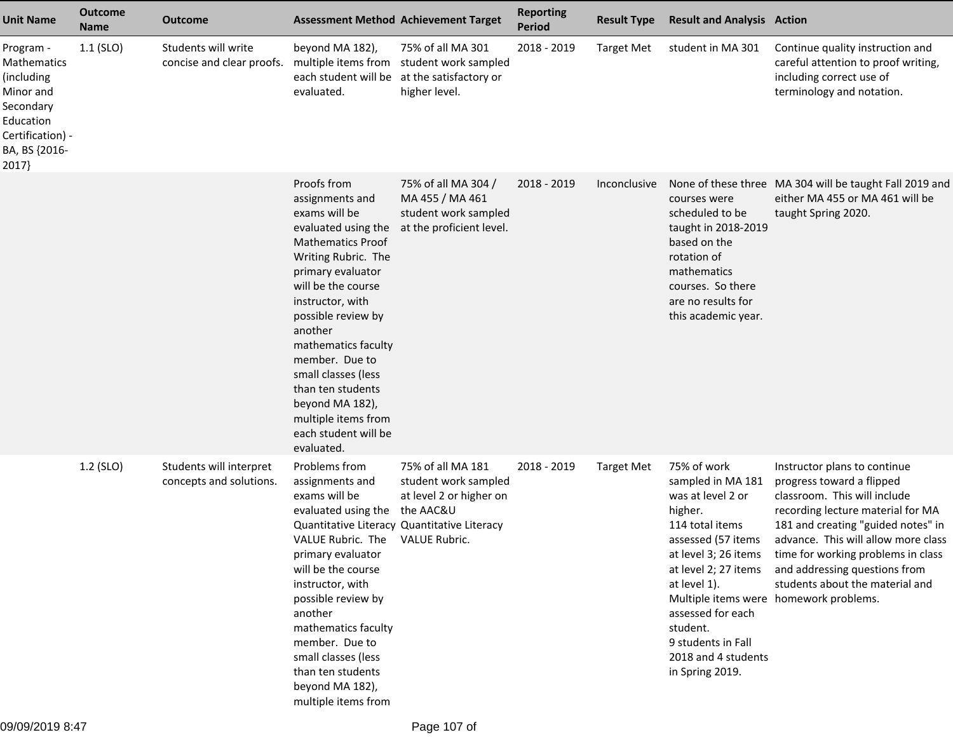| <b>Unit Name</b>                                                                                                                   | <b>Outcome</b><br><b>Name</b> | <b>Outcome</b>                                     | <b>Assessment Method Achievement Target</b>                                                                                                                                                                                                                                                                                                                                                    |                                                                                                                     | <b>Reporting</b><br><b>Period</b> | <b>Result Type</b> | <b>Result and Analysis Action</b>                                                                                                                                                                                                                                          |                                                                                                                                                                                                                                                                                                                                                                 |
|------------------------------------------------------------------------------------------------------------------------------------|-------------------------------|----------------------------------------------------|------------------------------------------------------------------------------------------------------------------------------------------------------------------------------------------------------------------------------------------------------------------------------------------------------------------------------------------------------------------------------------------------|---------------------------------------------------------------------------------------------------------------------|-----------------------------------|--------------------|----------------------------------------------------------------------------------------------------------------------------------------------------------------------------------------------------------------------------------------------------------------------------|-----------------------------------------------------------------------------------------------------------------------------------------------------------------------------------------------------------------------------------------------------------------------------------------------------------------------------------------------------------------|
| Program -<br><b>Mathematics</b><br>(including<br>Minor and<br>Secondary<br>Education<br>Certification) -<br>BA, BS {2016-<br>2017} | $1.1$ (SLO)                   | Students will write<br>concise and clear proofs.   | beyond MA 182),<br>each student will be at the satisfactory or<br>evaluated.                                                                                                                                                                                                                                                                                                                   | 75% of all MA 301<br>multiple items from student work sampled<br>higher level.                                      | 2018 - 2019                       | <b>Target Met</b>  | student in MA 301                                                                                                                                                                                                                                                          | Continue quality instruction and<br>careful attention to proof writing,<br>including correct use of<br>terminology and notation.                                                                                                                                                                                                                                |
|                                                                                                                                    |                               |                                                    | Proofs from<br>assignments and<br>exams will be<br>evaluated using the<br><b>Mathematics Proof</b><br>Writing Rubric. The<br>primary evaluator<br>will be the course<br>instructor, with<br>possible review by<br>another<br>mathematics faculty<br>member. Due to<br>small classes (less<br>than ten students<br>beyond MA 182),<br>multiple items from<br>each student will be<br>evaluated. | 75% of all MA 304 /<br>MA 455 / MA 461<br>student work sampled<br>at the proficient level.                          | 2018 - 2019                       | Inconclusive       | courses were<br>scheduled to be<br>taught in 2018-2019<br>based on the<br>rotation of<br>mathematics<br>courses. So there<br>are no results for<br>this academic year.                                                                                                     | None of these three MA 304 will be taught Fall 2019 and<br>either MA 455 or MA 461 will be<br>taught Spring 2020.                                                                                                                                                                                                                                               |
|                                                                                                                                    | 1.2 (SLO)                     | Students will interpret<br>concepts and solutions. | Problems from<br>assignments and<br>exams will be<br>evaluated using the the AAC&U<br>VALUE Rubric. The VALUE Rubric.<br>primary evaluator<br>will be the course<br>instructor, with<br>possible review by<br>another<br>mathematics faculty<br>member. Due to<br>small classes (less<br>than ten students<br>beyond MA 182),<br>multiple items from                                           | 75% of all MA 181<br>student work sampled<br>at level 2 or higher on<br>Quantitative Literacy Quantitative Literacy | 2018 - 2019                       | <b>Target Met</b>  | 75% of work<br>sampled in MA 181<br>was at level 2 or<br>higher.<br>114 total items<br>assessed (57 items<br>at level 3; 26 items<br>at level 2; 27 items<br>at level 1).<br>assessed for each<br>student.<br>9 students in Fall<br>2018 and 4 students<br>in Spring 2019. | Instructor plans to continue<br>progress toward a flipped<br>classroom. This will include<br>recording lecture material for MA<br>181 and creating "guided notes" in<br>advance. This will allow more class<br>time for working problems in class<br>and addressing questions from<br>students about the material and<br>Multiple items were homework problems. |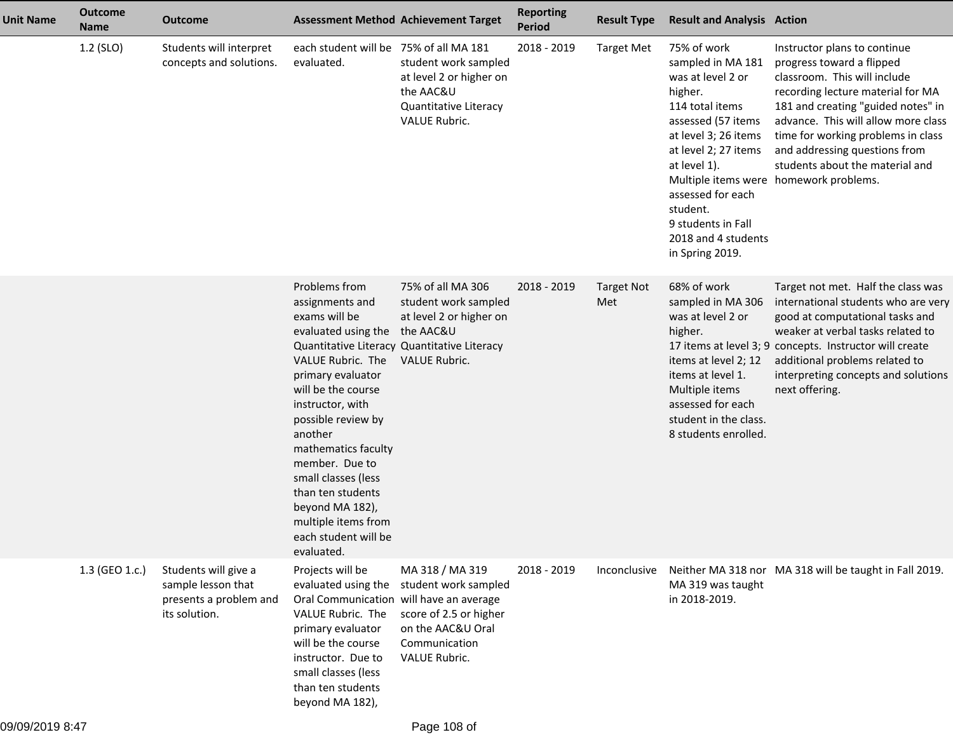| <b>Unit Name</b> | <b>Outcome</b><br><b>Name</b> | <b>Outcome</b>                                                                        | <b>Assessment Method Achievement Target</b>                                                                                                                                                                                                                                                                                                                                                                                 |                                                                                                                          | <b>Reporting</b><br><b>Period</b> | <b>Result Type</b>       | <b>Result and Analysis Action</b>                                                                                                                                                                                                                                          |                                                                                                                                                                                                                                                                                                                                                                 |
|------------------|-------------------------------|---------------------------------------------------------------------------------------|-----------------------------------------------------------------------------------------------------------------------------------------------------------------------------------------------------------------------------------------------------------------------------------------------------------------------------------------------------------------------------------------------------------------------------|--------------------------------------------------------------------------------------------------------------------------|-----------------------------------|--------------------------|----------------------------------------------------------------------------------------------------------------------------------------------------------------------------------------------------------------------------------------------------------------------------|-----------------------------------------------------------------------------------------------------------------------------------------------------------------------------------------------------------------------------------------------------------------------------------------------------------------------------------------------------------------|
|                  | 1.2 (SLO)                     | Students will interpret<br>concepts and solutions.                                    | each student will be 75% of all MA 181<br>evaluated.                                                                                                                                                                                                                                                                                                                                                                        | student work sampled<br>at level 2 or higher on<br>the AAC&U<br>Quantitative Literacy<br><b>VALUE Rubric.</b>            | 2018 - 2019                       | <b>Target Met</b>        | 75% of work<br>sampled in MA 181<br>was at level 2 or<br>higher.<br>114 total items<br>assessed (57 items<br>at level 3; 26 items<br>at level 2; 27 items<br>at level 1).<br>assessed for each<br>student.<br>9 students in Fall<br>2018 and 4 students<br>in Spring 2019. | Instructor plans to continue<br>progress toward a flipped<br>classroom. This will include<br>recording lecture material for MA<br>181 and creating "guided notes" in<br>advance. This will allow more class<br>time for working problems in class<br>and addressing questions from<br>students about the material and<br>Multiple items were homework problems. |
|                  |                               |                                                                                       | Problems from<br>assignments and<br>exams will be<br>evaluated using the the AAC&U<br>Quantitative Literacy Quantitative Literacy<br>VALUE Rubric. The<br>primary evaluator<br>will be the course<br>instructor, with<br>possible review by<br>another<br>mathematics faculty<br>member. Due to<br>small classes (less<br>than ten students<br>beyond MA 182),<br>multiple items from<br>each student will be<br>evaluated. | 75% of all MA 306<br>student work sampled<br>at level 2 or higher on<br><b>VALUE Rubric.</b>                             | 2018 - 2019                       | <b>Target Not</b><br>Met | 68% of work<br>sampled in MA 306<br>was at level 2 or<br>higher.<br>items at level 2; 12<br>items at level 1.<br>Multiple items<br>assessed for each<br>student in the class.<br>8 students enrolled.                                                                      | Target not met. Half the class was<br>international students who are very<br>good at computational tasks and<br>weaker at verbal tasks related to<br>17 items at level 3; 9 concepts. Instructor will create<br>additional problems related to<br>interpreting concepts and solutions<br>next offering.                                                         |
|                  | 1.3 (GEO 1.c.)                | Students will give a<br>sample lesson that<br>presents a problem and<br>its solution. | Projects will be<br>evaluated using the<br>Oral Communication will have an average<br>VALUE Rubric. The<br>primary evaluator<br>will be the course<br>instructor. Due to<br>small classes (less<br>than ten students<br>beyond MA 182),                                                                                                                                                                                     | MA 318 / MA 319<br>student work sampled<br>score of 2.5 or higher<br>on the AAC&U Oral<br>Communication<br>VALUE Rubric. | 2018 - 2019                       | Inconclusive             | MA 319 was taught<br>in 2018-2019.                                                                                                                                                                                                                                         | Neither MA 318 nor MA 318 will be taught in Fall 2019.                                                                                                                                                                                                                                                                                                          |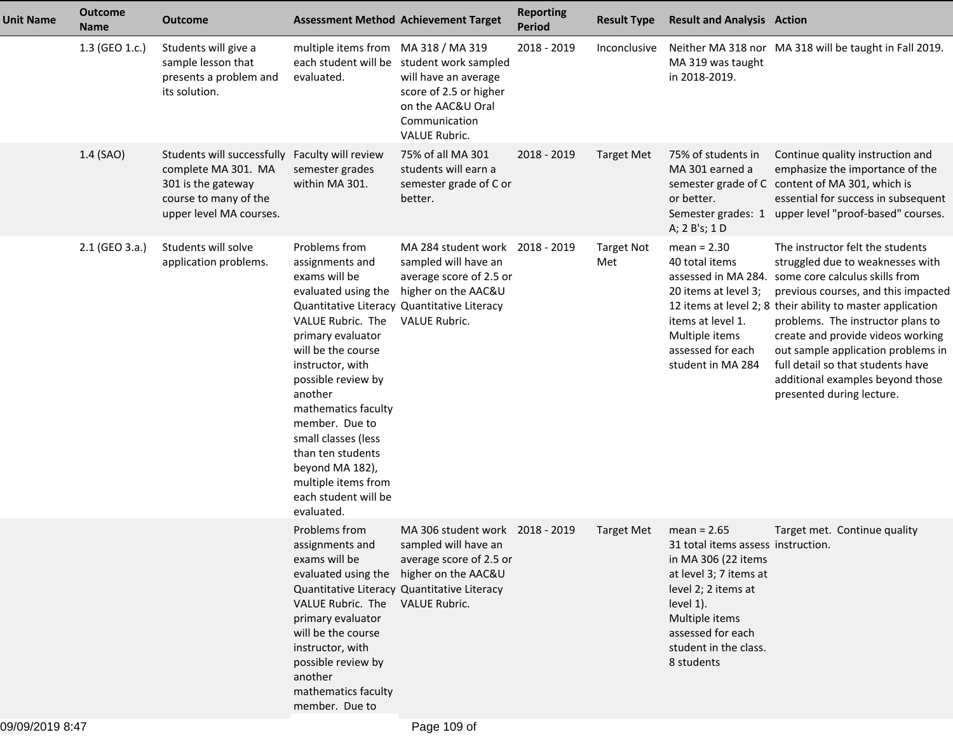| <b>Unit Name</b> | <b>Outcome</b><br><b>Name</b> | <b>Outcome</b>                                                                                                              | <b>Assessment Method Achievement Target</b>                                                                                                                                                                                                                                                                                                                        |                                                                                                                                                                              | <b>Reporting</b><br><b>Period</b> | <b>Result Type</b>       | <b>Result and Analysis Action</b>                                                                                                                                                                                      |                                                                                                                                                                                                                                                                                                                                                                                                                                   |
|------------------|-------------------------------|-----------------------------------------------------------------------------------------------------------------------------|--------------------------------------------------------------------------------------------------------------------------------------------------------------------------------------------------------------------------------------------------------------------------------------------------------------------------------------------------------------------|------------------------------------------------------------------------------------------------------------------------------------------------------------------------------|-----------------------------------|--------------------------|------------------------------------------------------------------------------------------------------------------------------------------------------------------------------------------------------------------------|-----------------------------------------------------------------------------------------------------------------------------------------------------------------------------------------------------------------------------------------------------------------------------------------------------------------------------------------------------------------------------------------------------------------------------------|
|                  | 1.3 (GEO 1.c.)                | Students will give a<br>sample lesson that<br>presents a problem and<br>its solution.                                       | multiple items from MA 318 / MA 319<br>evaluated.                                                                                                                                                                                                                                                                                                                  | each student will be student work sampled<br>will have an average<br>score of 2.5 or higher<br>on the AAC&U Oral<br>Communication<br>VALUE Rubric.                           | 2018 - 2019                       | Inconclusive             | MA 319 was taught<br>in 2018-2019.                                                                                                                                                                                     | Neither MA 318 nor MA 318 will be taught in Fall 2019.                                                                                                                                                                                                                                                                                                                                                                            |
|                  | 1.4 (SAO)                     | Students will successfully<br>complete MA 301. MA<br>301 is the gateway<br>course to many of the<br>upper level MA courses. | Faculty will review<br>semester grades<br>within MA 301.                                                                                                                                                                                                                                                                                                           | 75% of all MA 301<br>students will earn a<br>semester grade of C or<br>better.                                                                                               | 2018 - 2019                       | <b>Target Met</b>        | 75% of students in<br>MA 301 earned a<br>or better.<br>A; 2 B's; 1 D                                                                                                                                                   | Continue quality instruction and<br>emphasize the importance of the<br>semester grade of C content of MA 301, which is<br>essential for success in subsequent<br>Semester grades: 1 upper level "proof-based" courses.                                                                                                                                                                                                            |
|                  | 2.1 (GEO 3.a.)                | Students will solve<br>application problems.                                                                                | Problems from<br>assignments and<br>exams will be<br>evaluated using the<br>VALUE Rubric. The<br>primary evaluator<br>will be the course<br>instructor, with<br>possible review by<br>another<br>mathematics faculty<br>member. Due to<br>small classes (less<br>than ten students<br>beyond MA 182),<br>multiple items from<br>each student will be<br>evaluated. | MA 284 student work 2018 - 2019<br>sampled will have an<br>average score of 2.5 or<br>higher on the AAC&U<br>Quantitative Literacy Quantitative Literacy<br>VALUE Rubric.    |                                   | <b>Target Not</b><br>Met | $mean = 2.30$<br>40 total items<br>assessed in MA 284.<br>20 items at level 3;<br>items at level 1.<br>Multiple items<br>assessed for each<br>student in MA 284                                                        | The instructor felt the students<br>struggled due to weaknesses with<br>some core calculus skills from<br>previous courses, and this impacted<br>12 items at level 2; 8 their ability to master application<br>problems. The instructor plans to<br>create and provide videos working<br>out sample application problems in<br>full detail so that students have<br>additional examples beyond those<br>presented during lecture. |
|                  |                               |                                                                                                                             | Problems from<br>assignments and<br>exams will be<br>VALUE Rubric. The VALUE Rubric.<br>primary evaluator<br>will be the course<br>instructor, with<br>possible review by<br>another<br>mathematics faculty<br>member. Due to                                                                                                                                      | MA 306 student work 2018 - 2019<br>sampled will have an<br>average score of 2.5 or<br>evaluated using the higher on the AAC&U<br>Quantitative Literacy Quantitative Literacy |                                   | <b>Target Met</b>        | $mean = 2.65$<br>31 total items assess instruction.<br>in MA 306 (22 items<br>at level 3; 7 items at<br>level 2; 2 items at<br>level 1).<br>Multiple items<br>assessed for each<br>student in the class.<br>8 students | Target met. Continue quality                                                                                                                                                                                                                                                                                                                                                                                                      |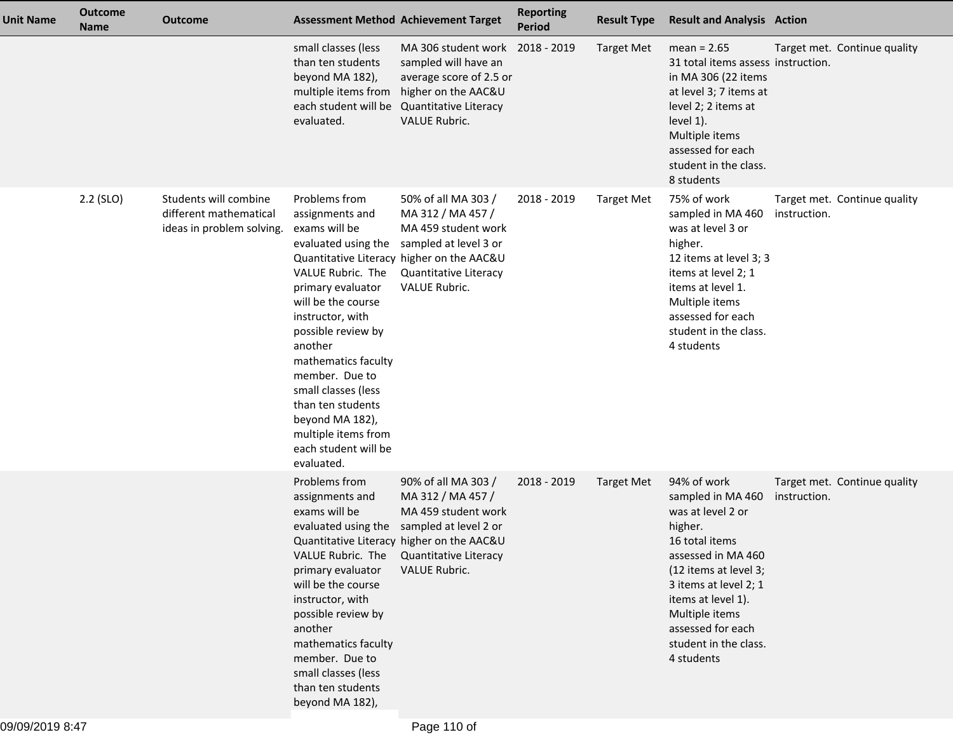| <b>Unit Name</b> | <b>Outcome</b><br><b>Name</b> | <b>Outcome</b>                                                               | <b>Assessment Method Achievement Target</b>                                                                                                                                                                                                                                                                                                                        |                                                                                                                                                                                                     | <b>Reporting</b><br><b>Period</b> | <b>Result Type</b> | <b>Result and Analysis Action</b>                                                                                                                                                                                                                              |              |                              |
|------------------|-------------------------------|------------------------------------------------------------------------------|--------------------------------------------------------------------------------------------------------------------------------------------------------------------------------------------------------------------------------------------------------------------------------------------------------------------------------------------------------------------|-----------------------------------------------------------------------------------------------------------------------------------------------------------------------------------------------------|-----------------------------------|--------------------|----------------------------------------------------------------------------------------------------------------------------------------------------------------------------------------------------------------------------------------------------------------|--------------|------------------------------|
|                  |                               |                                                                              | small classes (less<br>than ten students<br>beyond MA 182),<br>multiple items from<br>each student will be<br>evaluated.                                                                                                                                                                                                                                           | MA 306 student work 2018 - 2019<br>sampled will have an<br>average score of 2.5 or<br>higher on the AAC&U<br><b>Quantitative Literacy</b><br><b>VALUE Rubric.</b>                                   |                                   | <b>Target Met</b>  | mean = $2.65$<br>31 total items assess instruction.<br>in MA 306 (22 items<br>at level 3; 7 items at<br>level 2; 2 items at<br>level 1).<br>Multiple items<br>assessed for each<br>student in the class.<br>8 students                                         |              | Target met. Continue quality |
|                  | 2.2 (SLO)                     | Students will combine<br>different mathematical<br>ideas in problem solving. | Problems from<br>assignments and<br>exams will be<br>evaluated using the<br>VALUE Rubric. The<br>primary evaluator<br>will be the course<br>instructor, with<br>possible review by<br>another<br>mathematics faculty<br>member. Due to<br>small classes (less<br>than ten students<br>beyond MA 182),<br>multiple items from<br>each student will be<br>evaluated. | 50% of all MA 303 /<br>MA 312 / MA 457 /<br>MA 459 student work<br>sampled at level 3 or<br>Quantitative Literacy higher on the AAC&U<br><b>Quantitative Literacy</b><br>VALUE Rubric.              | 2018 - 2019                       | <b>Target Met</b>  | 75% of work<br>sampled in MA 460<br>was at level 3 or<br>higher.<br>12 items at level 3; 3<br>items at level 2; 1<br>items at level 1.<br>Multiple items<br>assessed for each<br>student in the class.<br>4 students                                           | instruction. | Target met. Continue quality |
|                  |                               |                                                                              | Problems from<br>assignments and<br>exams will be<br>VALUE Rubric. The<br>primary evaluator<br>will be the course<br>instructor, with<br>possible review by<br>another<br>mathematics faculty<br>member. Due to<br>small classes (less<br>than ten students<br>beyond MA 182),                                                                                     | 90% of all MA 303 /<br>MA 312 / MA 457 /<br>MA 459 student work<br>evaluated using the sampled at level 2 or<br>Quantitative Literacy higher on the AAC&U<br>Quantitative Literacy<br>VALUE Rubric. | 2018 - 2019                       | <b>Target Met</b>  | 94% of work<br>sampled in MA 460<br>was at level 2 or<br>higher.<br>16 total items<br>assessed in MA 460<br>(12 items at level 3;<br>3 items at level 2; 1<br>items at level 1).<br>Multiple items<br>assessed for each<br>student in the class.<br>4 students | instruction. | Target met. Continue quality |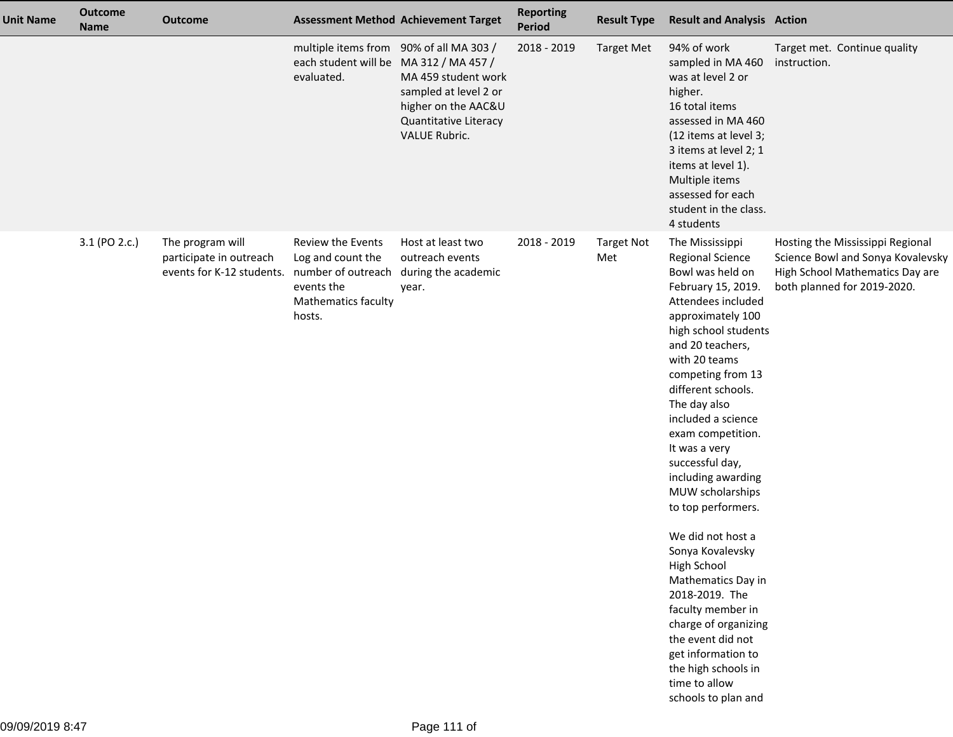| <b>Unit Name</b> | <b>Outcome</b><br><b>Name</b> | <b>Outcome</b>                                                                              |                                                                                                 | <b>Assessment Method Achievement Target</b>                                                                   | <b>Reporting</b><br><b>Period</b> | <b>Result Type</b>       | <b>Result and Analysis Action</b>                                                                                                                                                                                                                                                                                                                                                                                                                                                                                                                                                                                                                             |                                                                                                                                         |
|------------------|-------------------------------|---------------------------------------------------------------------------------------------|-------------------------------------------------------------------------------------------------|---------------------------------------------------------------------------------------------------------------|-----------------------------------|--------------------------|---------------------------------------------------------------------------------------------------------------------------------------------------------------------------------------------------------------------------------------------------------------------------------------------------------------------------------------------------------------------------------------------------------------------------------------------------------------------------------------------------------------------------------------------------------------------------------------------------------------------------------------------------------------|-----------------------------------------------------------------------------------------------------------------------------------------|
|                  |                               |                                                                                             | multiple items from 90% of all MA 303 /<br>each student will be MA 312 / MA 457 /<br>evaluated. | MA 459 student work<br>sampled at level 2 or<br>higher on the AAC&U<br>Quantitative Literacy<br>VALUE Rubric. | 2018 - 2019                       | <b>Target Met</b>        | 94% of work<br>sampled in MA 460<br>was at level 2 or<br>higher.<br>16 total items<br>assessed in MA 460<br>(12 items at level 3;<br>3 items at level 2; 1<br>items at level 1).<br>Multiple items<br>assessed for each<br>student in the class.<br>4 students                                                                                                                                                                                                                                                                                                                                                                                                | Target met. Continue quality<br>instruction.                                                                                            |
|                  | 3.1 (PO 2.c.)                 | The program will<br>participate in outreach<br>events for K-12 students. number of outreach | Review the Events<br>Log and count the<br>events the<br>Mathematics faculty<br>hosts.           | Host at least two<br>outreach events<br>during the academic<br>year.                                          | 2018 - 2019                       | <b>Target Not</b><br>Met | The Mississippi<br><b>Regional Science</b><br>Bowl was held on<br>February 15, 2019.<br>Attendees included<br>approximately 100<br>high school students<br>and 20 teachers,<br>with 20 teams<br>competing from 13<br>different schools.<br>The day also<br>included a science<br>exam competition.<br>It was a very<br>successful day,<br>including awarding<br>MUW scholarships<br>to top performers.<br>We did not host a<br>Sonya Kovalevsky<br>High School<br>Mathematics Day in<br>2018-2019. The<br>faculty member in<br>charge of organizing<br>the event did not<br>get information to<br>the high schools in<br>time to allow<br>schools to plan and | Hosting the Mississippi Regional<br>Science Bowl and Sonya Kovalevsky<br>High School Mathematics Day are<br>both planned for 2019-2020. |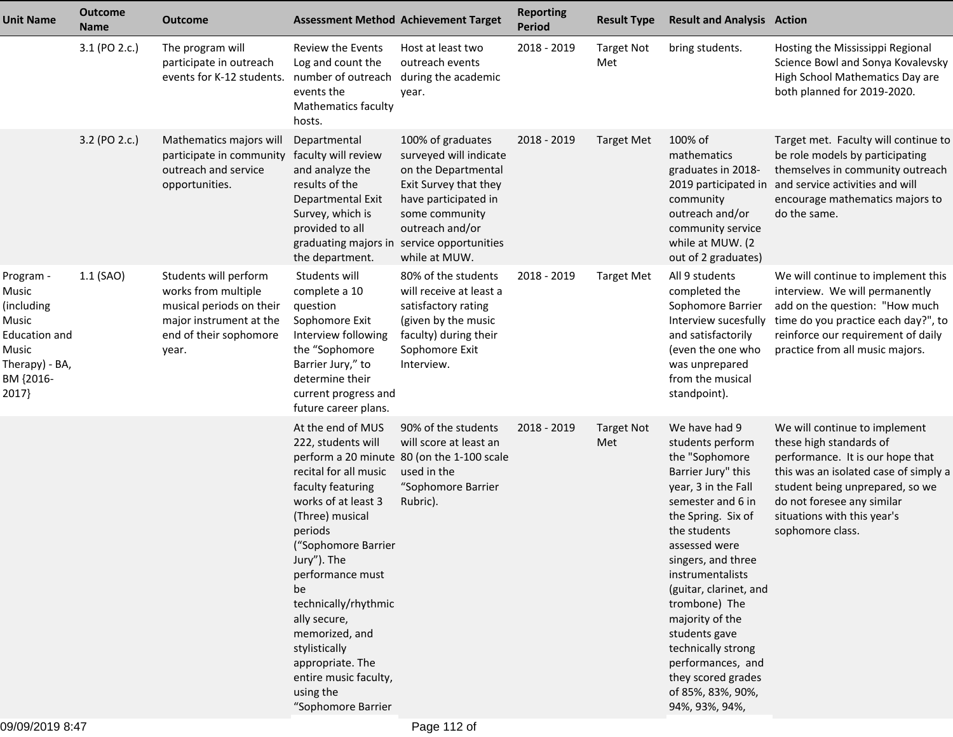| <b>Unit Name</b>                                                                                            | <b>Outcome</b><br><b>Name</b> | <b>Outcome</b>                                                                                                                         |                                                                                                                                                                                                                                                                                                                                                                       | <b>Assessment Method Achievement Target</b>                                                                                                                                                                             | <b>Reporting</b><br><b>Period</b> | <b>Result Type</b>       | <b>Result and Analysis Action</b>                                                                                                                                                                                                                                                                                                                                                                             |                                                                                                                                                                                                                                                           |
|-------------------------------------------------------------------------------------------------------------|-------------------------------|----------------------------------------------------------------------------------------------------------------------------------------|-----------------------------------------------------------------------------------------------------------------------------------------------------------------------------------------------------------------------------------------------------------------------------------------------------------------------------------------------------------------------|-------------------------------------------------------------------------------------------------------------------------------------------------------------------------------------------------------------------------|-----------------------------------|--------------------------|---------------------------------------------------------------------------------------------------------------------------------------------------------------------------------------------------------------------------------------------------------------------------------------------------------------------------------------------------------------------------------------------------------------|-----------------------------------------------------------------------------------------------------------------------------------------------------------------------------------------------------------------------------------------------------------|
|                                                                                                             | 3.1 (PO 2.c.)                 | The program will<br>participate in outreach<br>events for K-12 students.                                                               | Review the Events<br>Log and count the<br>number of outreach<br>events the<br><b>Mathematics faculty</b><br>hosts.                                                                                                                                                                                                                                                    | Host at least two<br>outreach events<br>during the academic<br>year.                                                                                                                                                    | 2018 - 2019                       | <b>Target Not</b><br>Met | bring students.                                                                                                                                                                                                                                                                                                                                                                                               | Hosting the Mississippi Regional<br>Science Bowl and Sonya Kovalevsky<br>High School Mathematics Day are<br>both planned for 2019-2020.                                                                                                                   |
|                                                                                                             | 3.2 (PO 2.c.)                 | Mathematics majors will<br>participate in community<br>outreach and service<br>opportunities.                                          | Departmental<br>faculty will review<br>and analyze the<br>results of the<br>Departmental Exit<br>Survey, which is<br>provided to all<br>the department.                                                                                                                                                                                                               | 100% of graduates<br>surveyed will indicate<br>on the Departmental<br>Exit Survey that they<br>have participated in<br>some community<br>outreach and/or<br>graduating majors in service opportunities<br>while at MUW. | 2018 - 2019                       | Target Met               | 100% of<br>mathematics<br>graduates in 2018-<br>community<br>outreach and/or<br>community service<br>while at MUW. (2<br>out of 2 graduates)                                                                                                                                                                                                                                                                  | Target met. Faculty will continue to<br>be role models by participating<br>themselves in community outreach<br>2019 participated in and service activities and will<br>encourage mathematics majors to<br>do the same.                                    |
| Program -<br>Music<br>(including<br>Music<br>Education and<br>Music<br>Therapy) - BA,<br>BM {2016-<br>2017} | $1.1$ (SAO)                   | Students will perform<br>works from multiple<br>musical periods on their<br>major instrument at the<br>end of their sophomore<br>year. | Students will<br>complete a 10<br>question<br>Sophomore Exit<br>Interview following<br>the "Sophomore<br>Barrier Jury," to<br>determine their<br>current progress and<br>future career plans.                                                                                                                                                                         | 80% of the students<br>will receive at least a<br>satisfactory rating<br>(given by the music<br>faculty) during their<br>Sophomore Exit<br>Interview.                                                                   | 2018 - 2019                       | <b>Target Met</b>        | All 9 students<br>completed the<br>Sophomore Barrier<br>Interview sucesfully<br>and satisfactorily<br>(even the one who<br>was unprepared<br>from the musical<br>standpoint).                                                                                                                                                                                                                                 | We will continue to implement this<br>interview. We will permanently<br>add on the question: "How much<br>time do you practice each day?", to<br>reinforce our requirement of daily<br>practice from all music majors.                                    |
|                                                                                                             |                               |                                                                                                                                        | At the end of MUS<br>222, students will<br>recital for all music<br>faculty featuring<br>works of at least 3<br>(Three) musical<br>periods<br>("Sophomore Barrier<br>Jury"). The<br>performance must<br>be<br>technically/rhythmic<br>ally secure,<br>memorized, and<br>stylistically<br>appropriate. The<br>entire music faculty,<br>using the<br>"Sophomore Barrier | 90% of the students<br>will score at least an<br>perform a 20 minute 80 (on the 1-100 scale<br>used in the<br>"Sophomore Barrier<br>Rubric).                                                                            | 2018 - 2019                       | <b>Target Not</b><br>Met | We have had 9<br>students perform<br>the "Sophomore<br>Barrier Jury" this<br>year, 3 in the Fall<br>semester and 6 in<br>the Spring. Six of<br>the students<br>assessed were<br>singers, and three<br>instrumentalists<br>(guitar, clarinet, and<br>trombone) The<br>majority of the<br>students gave<br>technically strong<br>performances, and<br>they scored grades<br>of 85%, 83%, 90%,<br>94%, 93%, 94%, | We will continue to implement<br>these high standards of<br>performance. It is our hope that<br>this was an isolated case of simply a<br>student being unprepared, so we<br>do not foresee any similar<br>situations with this year's<br>sophomore class. |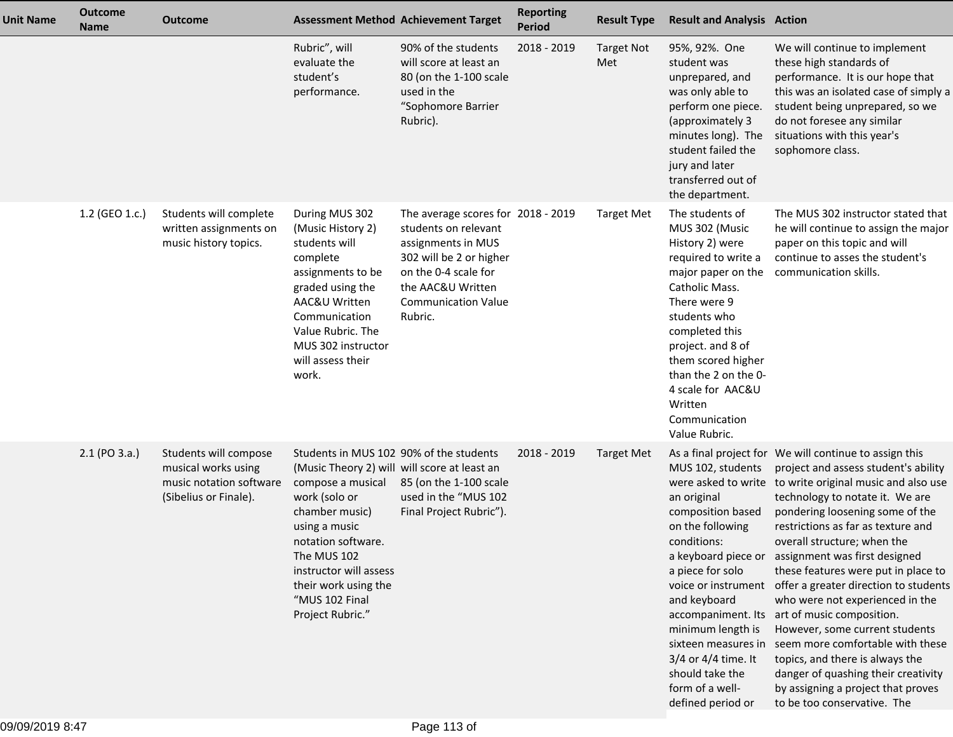| <b>Unit Name</b> | <b>Outcome</b><br><b>Name</b> | <b>Outcome</b>                                                                                   | <b>Assessment Method Achievement Target</b>                                                                                                                                                                                                                                                   |                                                                                                                                                                                                   | <b>Reporting</b><br><b>Period</b> | <b>Result Type</b>       | <b>Result and Analysis Action</b>                                                                                                                                                                                                                                                                          |                                                                                                                                                                                                                                                                                                                                                                                                                                                                                                                                                                                                                                                                                                                                                    |
|------------------|-------------------------------|--------------------------------------------------------------------------------------------------|-----------------------------------------------------------------------------------------------------------------------------------------------------------------------------------------------------------------------------------------------------------------------------------------------|---------------------------------------------------------------------------------------------------------------------------------------------------------------------------------------------------|-----------------------------------|--------------------------|------------------------------------------------------------------------------------------------------------------------------------------------------------------------------------------------------------------------------------------------------------------------------------------------------------|----------------------------------------------------------------------------------------------------------------------------------------------------------------------------------------------------------------------------------------------------------------------------------------------------------------------------------------------------------------------------------------------------------------------------------------------------------------------------------------------------------------------------------------------------------------------------------------------------------------------------------------------------------------------------------------------------------------------------------------------------|
|                  |                               |                                                                                                  | Rubric", will<br>evaluate the<br>student's<br>performance.                                                                                                                                                                                                                                    | 90% of the students<br>will score at least an<br>80 (on the 1-100 scale<br>used in the<br>"Sophomore Barrier<br>Rubric).                                                                          | 2018 - 2019                       | <b>Target Not</b><br>Met | 95%, 92%. One<br>student was<br>unprepared, and<br>was only able to<br>perform one piece.<br>(approximately 3<br>minutes long). The<br>student failed the<br>jury and later<br>transferred out of<br>the department.                                                                                       | We will continue to implement<br>these high standards of<br>performance. It is our hope that<br>this was an isolated case of simply a<br>student being unprepared, so we<br>do not foresee any similar<br>situations with this year's<br>sophomore class.                                                                                                                                                                                                                                                                                                                                                                                                                                                                                          |
|                  | 1.2 (GEO 1.c.)                | Students will complete<br>written assignments on<br>music history topics.                        | During MUS 302<br>(Music History 2)<br>students will<br>complete<br>assignments to be<br>graded using the<br>AAC&U Written<br>Communication<br>Value Rubric. The<br>MUS 302 instructor<br>will assess their<br>work.                                                                          | The average scores for 2018 - 2019<br>students on relevant<br>assignments in MUS<br>302 will be 2 or higher<br>on the 0-4 scale for<br>the AAC&U Written<br><b>Communication Value</b><br>Rubric. |                                   | <b>Target Met</b>        | The students of<br>MUS 302 (Music<br>History 2) were<br>required to write a<br>major paper on the<br>Catholic Mass.<br>There were 9<br>students who<br>completed this<br>project. and 8 of<br>them scored higher<br>than the 2 on the 0-<br>4 scale for AAC&U<br>Written<br>Communication<br>Value Rubric. | The MUS 302 instructor stated that<br>he will continue to assign the major<br>paper on this topic and will<br>continue to asses the student's<br>communication skills.                                                                                                                                                                                                                                                                                                                                                                                                                                                                                                                                                                             |
|                  | 2.1 (PO 3.a.)                 | Students will compose<br>musical works using<br>music notation software<br>(Sibelius or Finale). | Students in MUS 102 90% of the students<br>(Music Theory 2) will will score at least an<br>compose a musical<br>work (solo or<br>chamber music)<br>using a music<br>notation software.<br>The MUS 102<br>instructor will assess<br>their work using the<br>"MUS 102 Final<br>Project Rubric." | 85 (on the 1-100 scale<br>used in the "MUS 102<br>Final Project Rubric").                                                                                                                         | 2018 - 2019                       | <b>Target Met</b>        | MUS 102, students<br>an original<br>composition based<br>on the following<br>conditions:<br>a piece for solo<br>voice or instrument<br>and keyboard<br>minimum length is<br>sixteen measures in<br>3/4 or 4/4 time. It<br>should take the<br>form of a well-<br>defined period or                          | As a final project for We will continue to assign this<br>project and assess student's ability<br>were asked to write to write original music and also use<br>technology to notate it. We are<br>pondering loosening some of the<br>restrictions as far as texture and<br>overall structure; when the<br>a keyboard piece or assignment was first designed<br>these features were put in place to<br>offer a greater direction to students<br>who were not experienced in the<br>accompaniment. Its art of music composition.<br>However, some current students<br>seem more comfortable with these<br>topics, and there is always the<br>danger of quashing their creativity<br>by assigning a project that proves<br>to be too conservative. The |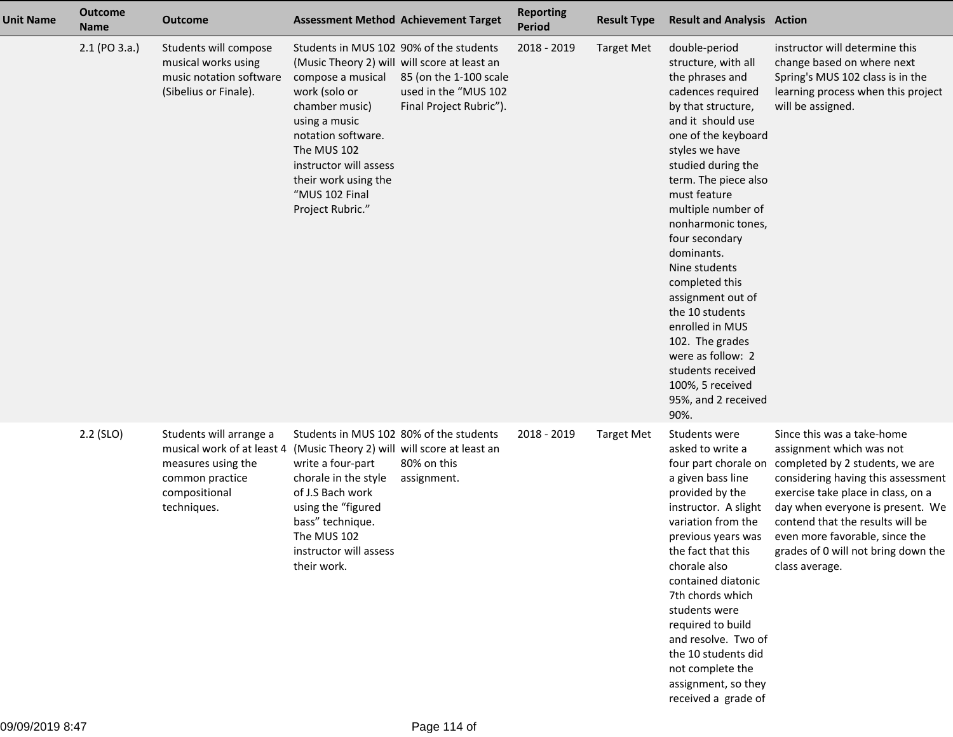| <b>Unit Name</b> | <b>Outcome</b><br><b>Name</b> | <b>Outcome</b>                                                                                                                 | <b>Assessment Method Achievement Target</b>                                                                                                                                                                                                                                                   |                                                                           | <b>Reporting</b><br><b>Period</b> | <b>Result Type</b> | <b>Result and Analysis Action</b>                                                                                                                                                                                                                                                                                                                                                                                                                                                                                        |                                                                                                                                                                                                                                                                                                                                          |
|------------------|-------------------------------|--------------------------------------------------------------------------------------------------------------------------------|-----------------------------------------------------------------------------------------------------------------------------------------------------------------------------------------------------------------------------------------------------------------------------------------------|---------------------------------------------------------------------------|-----------------------------------|--------------------|--------------------------------------------------------------------------------------------------------------------------------------------------------------------------------------------------------------------------------------------------------------------------------------------------------------------------------------------------------------------------------------------------------------------------------------------------------------------------------------------------------------------------|------------------------------------------------------------------------------------------------------------------------------------------------------------------------------------------------------------------------------------------------------------------------------------------------------------------------------------------|
|                  | 2.1 (PO 3.a.)                 | Students will compose<br>musical works using<br>music notation software<br>(Sibelius or Finale).                               | Students in MUS 102 90% of the students<br>(Music Theory 2) will will score at least an<br>compose a musical<br>work (solo or<br>chamber music)<br>using a music<br>notation software.<br>The MUS 102<br>instructor will assess<br>their work using the<br>"MUS 102 Final<br>Project Rubric." | 85 (on the 1-100 scale<br>used in the "MUS 102<br>Final Project Rubric"). | 2018 - 2019                       | <b>Target Met</b>  | double-period<br>structure, with all<br>the phrases and<br>cadences required<br>by that structure,<br>and it should use<br>one of the keyboard<br>styles we have<br>studied during the<br>term. The piece also<br>must feature<br>multiple number of<br>nonharmonic tones,<br>four secondary<br>dominants.<br>Nine students<br>completed this<br>assignment out of<br>the 10 students<br>enrolled in MUS<br>102. The grades<br>were as follow: 2<br>students received<br>100%, 5 received<br>95%, and 2 received<br>90%. | instructor will determine this<br>change based on where next<br>Spring's MUS 102 class is in the<br>learning process when this project<br>will be assigned.                                                                                                                                                                              |
|                  | $2.2$ (SLO)                   | Students will arrange a<br>musical work of at least 4<br>measures using the<br>common practice<br>compositional<br>techniques. | Students in MUS 102 80% of the students<br>(Music Theory 2) will will score at least an<br>write a four-part<br>chorale in the style<br>of J.S Bach work<br>using the "figured<br>bass" technique.<br>The MUS 102<br>instructor will assess<br>their work.                                    | 80% on this<br>assignment.                                                | 2018 - 2019                       | <b>Target Met</b>  | Students were<br>asked to write a<br>four part chorale on<br>a given bass line<br>provided by the<br>instructor. A slight<br>variation from the<br>previous years was<br>the fact that this<br>chorale also<br>contained diatonic<br>7th chords which<br>students were<br>required to build<br>and resolve. Two of<br>the 10 students did<br>not complete the<br>assignment, so they<br>received a grade of                                                                                                              | Since this was a take-home<br>assignment which was not<br>completed by 2 students, we are<br>considering having this assessment<br>exercise take place in class, on a<br>day when everyone is present. We<br>contend that the results will be<br>even more favorable, since the<br>grades of 0 will not bring down the<br>class average. |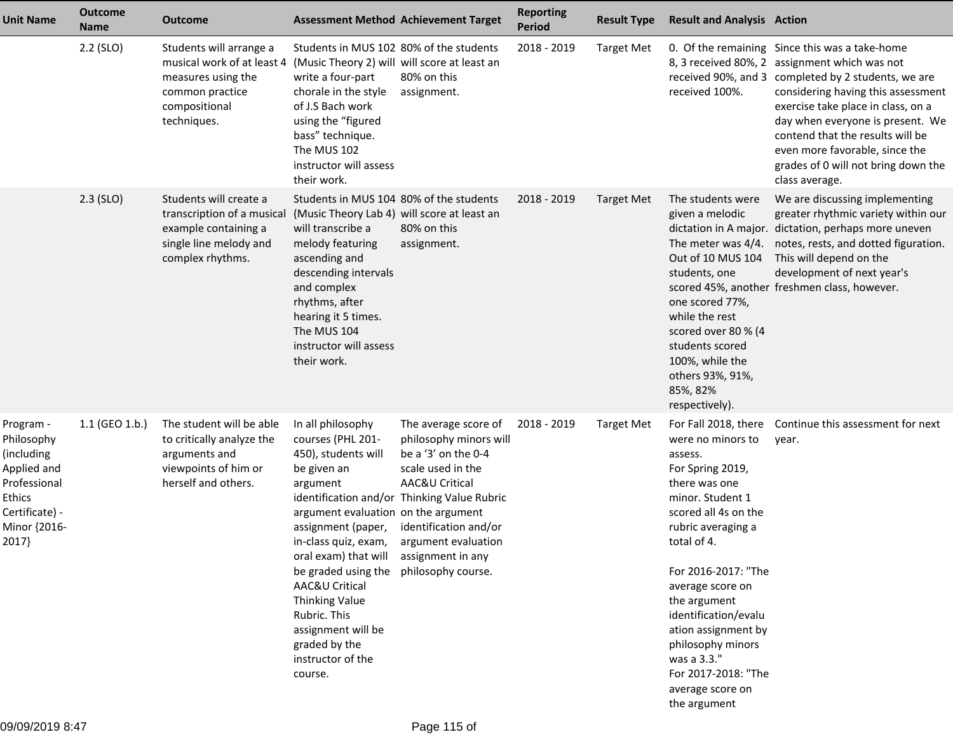| <b>Unit Name</b>                                                                                                          | <b>Outcome</b><br><b>Name</b> | <b>Outcome</b>                                                                                                                 | <b>Assessment Method Achievement Target</b>                                                                                                                                                                                                                                                                                                                                                  |                                                                                                                                                                                                             | <b>Reporting</b><br><b>Period</b> | <b>Result Type</b> | <b>Result and Analysis Action</b>                                                                                                                                                                                                                                                                                                                           |                                                                                                                                                                                                                                                                                                                                                                                                       |
|---------------------------------------------------------------------------------------------------------------------------|-------------------------------|--------------------------------------------------------------------------------------------------------------------------------|----------------------------------------------------------------------------------------------------------------------------------------------------------------------------------------------------------------------------------------------------------------------------------------------------------------------------------------------------------------------------------------------|-------------------------------------------------------------------------------------------------------------------------------------------------------------------------------------------------------------|-----------------------------------|--------------------|-------------------------------------------------------------------------------------------------------------------------------------------------------------------------------------------------------------------------------------------------------------------------------------------------------------------------------------------------------------|-------------------------------------------------------------------------------------------------------------------------------------------------------------------------------------------------------------------------------------------------------------------------------------------------------------------------------------------------------------------------------------------------------|
|                                                                                                                           | 2.2 (SLO)                     | Students will arrange a<br>musical work of at least 4<br>measures using the<br>common practice<br>compositional<br>techniques. | Students in MUS 102 80% of the students<br>(Music Theory 2) will will score at least an<br>write a four-part<br>chorale in the style<br>of J.S Bach work<br>using the "figured<br>bass" technique.<br>The MUS 102<br>instructor will assess<br>their work.                                                                                                                                   | 80% on this<br>assignment.                                                                                                                                                                                  | 2018 - 2019                       | <b>Target Met</b>  | received 100%.                                                                                                                                                                                                                                                                                                                                              | 0. Of the remaining Since this was a take-home<br>8, 3 received 80%, 2 assignment which was not<br>received 90%, and 3 completed by 2 students, we are<br>considering having this assessment<br>exercise take place in class, on a<br>day when everyone is present. We<br>contend that the results will be<br>even more favorable, since the<br>grades of 0 will not bring down the<br>class average. |
|                                                                                                                           | $2.3$ (SLO)                   | Students will create a<br>transcription of a musical<br>example containing a<br>single line melody and<br>complex rhythms.     | Students in MUS 104 80% of the students<br>(Music Theory Lab 4) will score at least an<br>will transcribe a<br>melody featuring<br>ascending and<br>descending intervals<br>and complex<br>rhythms, after<br>hearing it 5 times.<br>The MUS 104<br>instructor will assess<br>their work.                                                                                                     | 80% on this<br>assignment.                                                                                                                                                                                  | 2018 - 2019                       | Target Met         | The students were<br>given a melodic<br>The meter was 4/4.<br>Out of 10 MUS 104<br>students, one<br>one scored 77%,<br>while the rest<br>scored over 80 % (4<br>students scored<br>100%, while the<br>others 93%, 91%,<br>85%, 82%<br>respectively).                                                                                                        | We are discussing implementing<br>greater rhythmic variety within our<br>dictation in A major. dictation, perhaps more uneven<br>notes, rests, and dotted figuration.<br>This will depend on the<br>development of next year's<br>scored 45%, another freshmen class, however.                                                                                                                        |
| Program -<br>Philosophy<br>(including<br>Applied and<br>Professional<br>Ethics<br>Certificate) -<br>Minor {2016-<br>2017} | 1.1 (GEO 1.b.)                | The student will be able<br>to critically analyze the<br>arguments and<br>viewpoints of him or<br>herself and others.          | In all philosophy<br>courses (PHL 201-<br>450), students will<br>be given an<br>argument<br>argument evaluation on the argument<br>assignment (paper,<br>in-class quiz, exam,<br>oral exam) that will assignment in any<br>be graded using the philosophy course.<br>AAC&U Critical<br>Thinking Value<br>Rubric. This<br>assignment will be<br>graded by the<br>instructor of the<br>course. | The average score of<br>philosophy minors will<br>be a '3' on the 0-4<br>scale used in the<br>AAC&U Critical<br>identification and/or Thinking Value Rubric<br>identification and/or<br>argument evaluation | 2018 - 2019                       | <b>Target Met</b>  | were no minors to<br>assess.<br>For Spring 2019,<br>there was one<br>minor. Student 1<br>scored all 4s on the<br>rubric averaging a<br>total of 4.<br>For 2016-2017: "The<br>average score on<br>the argument<br>identification/evalu<br>ation assignment by<br>philosophy minors<br>was a 3.3."<br>For 2017-2018: "The<br>average score on<br>the argument | For Fall 2018, there Continue this assessment for next<br>year.                                                                                                                                                                                                                                                                                                                                       |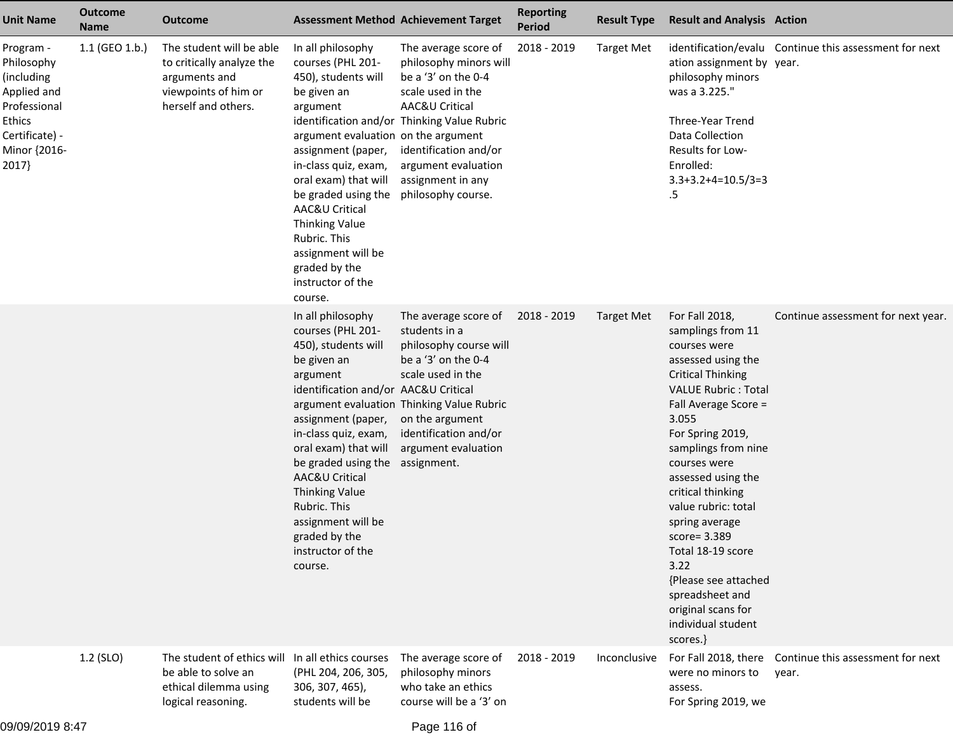| <b>Unit Name</b>                                                                                                          | <b>Outcome</b><br><b>Name</b> | Outcome                                                                                                                | <b>Assessment Method Achievement Target</b>                                                                                                                                                                                                                                                                                                                     |                                                                                                                                                                                                                                                        | <b>Reporting</b><br><b>Period</b> | <b>Result Type</b> | <b>Result and Analysis Action</b>                                                                                                                                                                                                                                                                                                                                                                                                                                   |                                                        |
|---------------------------------------------------------------------------------------------------------------------------|-------------------------------|------------------------------------------------------------------------------------------------------------------------|-----------------------------------------------------------------------------------------------------------------------------------------------------------------------------------------------------------------------------------------------------------------------------------------------------------------------------------------------------------------|--------------------------------------------------------------------------------------------------------------------------------------------------------------------------------------------------------------------------------------------------------|-----------------------------------|--------------------|---------------------------------------------------------------------------------------------------------------------------------------------------------------------------------------------------------------------------------------------------------------------------------------------------------------------------------------------------------------------------------------------------------------------------------------------------------------------|--------------------------------------------------------|
| Program -<br>Philosophy<br>(including<br>Applied and<br>Professional<br>Ethics<br>Certificate) -<br>Minor {2016-<br>2017} | 1.1 (GEO 1.b.)                | The student will be able<br>to critically analyze the<br>arguments and<br>viewpoints of him or<br>herself and others.  | In all philosophy<br>courses (PHL 201-<br>450), students will<br>be given an<br>argument<br>argument evaluation on the argument<br>assignment (paper,<br>in-class quiz, exam,<br>oral exam) that will<br>be graded using the<br>AAC&U Critical<br>Thinking Value<br>Rubric. This<br>assignment will be<br>graded by the<br>instructor of the<br>course.         | The average score of<br>philosophy minors will<br>be a '3' on the 0-4<br>scale used in the<br>AAC&U Critical<br>identification and/or Thinking Value Rubric<br>identification and/or<br>argument evaluation<br>assignment in any<br>philosophy course. | 2018 - 2019                       | <b>Target Met</b>  | ation assignment by year.<br>philosophy minors<br>was a 3.225."<br>Three-Year Trend<br>Data Collection<br>Results for Low-<br>Enrolled:<br>$3.3+3.2+4=10.5/3=3$<br>.5                                                                                                                                                                                                                                                                                               | identification/evalu Continue this assessment for next |
|                                                                                                                           |                               |                                                                                                                        | In all philosophy<br>courses (PHL 201-<br>450), students will<br>be given an<br>argument<br>identification and/or AAC&U Critical<br>assignment (paper,<br>in-class quiz, exam,<br>oral exam) that will<br>be graded using the<br>AAC&U Critical<br><b>Thinking Value</b><br>Rubric. This<br>assignment will be<br>graded by the<br>instructor of the<br>course. | The average score of<br>students in a<br>philosophy course will<br>be a '3' on the 0-4<br>scale used in the<br>argument evaluation Thinking Value Rubric<br>on the argument<br>identification and/or<br>argument evaluation<br>assignment.             | 2018 - 2019                       | <b>Target Met</b>  | For Fall 2018,<br>samplings from 11<br>courses were<br>assessed using the<br><b>Critical Thinking</b><br><b>VALUE Rubric: Total</b><br>Fall Average Score =<br>3.055<br>For Spring 2019,<br>samplings from nine<br>courses were<br>assessed using the<br>critical thinking<br>value rubric: total<br>spring average<br>score= 3.389<br>Total 18-19 score<br>3.22<br>{Please see attached<br>spreadsheet and<br>original scans for<br>individual student<br>scores.} | Continue assessment for next year.                     |
|                                                                                                                           | $1.2$ (SLO)                   | The student of ethics will In all ethics courses<br>be able to solve an<br>ethical dilemma using<br>logical reasoning. | (PHL 204, 206, 305,<br>306, 307, 465),<br>students will be                                                                                                                                                                                                                                                                                                      | The average score of<br>philosophy minors<br>who take an ethics<br>course will be a '3' on                                                                                                                                                             | 2018 - 2019                       | Inconclusive       | For Fall 2018, there<br>were no minors to<br>assess.<br>For Spring 2019, we                                                                                                                                                                                                                                                                                                                                                                                         | Continue this assessment for next<br>year.             |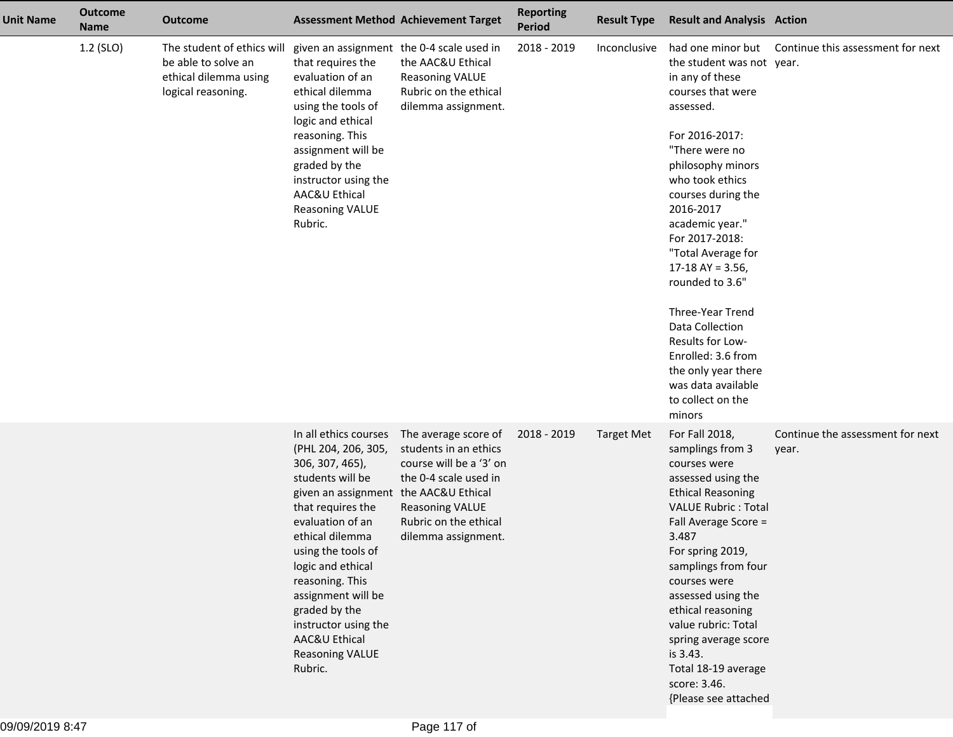| <b>Unit Name</b> | <b>Outcome</b><br><b>Name</b> | <b>Outcome</b>                                                                                   | <b>Assessment Method Achievement Target</b>                                                                                                                                                                                                                                                                                                                                 |                                                                                                                                                                             | <b>Reporting</b><br><b>Period</b> | <b>Result Type</b> | <b>Result and Analysis Action</b>                                                                                                                                                                                                                                                                                                                                                                                                                                                    |                                           |
|------------------|-------------------------------|--------------------------------------------------------------------------------------------------|-----------------------------------------------------------------------------------------------------------------------------------------------------------------------------------------------------------------------------------------------------------------------------------------------------------------------------------------------------------------------------|-----------------------------------------------------------------------------------------------------------------------------------------------------------------------------|-----------------------------------|--------------------|--------------------------------------------------------------------------------------------------------------------------------------------------------------------------------------------------------------------------------------------------------------------------------------------------------------------------------------------------------------------------------------------------------------------------------------------------------------------------------------|-------------------------------------------|
|                  | 1.2 (SLO)                     | The student of ethics will<br>be able to solve an<br>ethical dilemma using<br>logical reasoning. | given an assignment the 0-4 scale used in<br>that requires the<br>evaluation of an<br>ethical dilemma<br>using the tools of<br>logic and ethical<br>reasoning. This<br>assignment will be<br>graded by the<br>instructor using the<br>AAC&U Ethical<br><b>Reasoning VALUE</b><br>Rubric.                                                                                    | the AAC&U Ethical<br><b>Reasoning VALUE</b><br>Rubric on the ethical<br>dilemma assignment.                                                                                 | 2018 - 2019                       | Inconclusive       | had one minor but<br>the student was not year.<br>in any of these<br>courses that were<br>assessed.<br>For 2016-2017:<br>"There were no<br>philosophy minors<br>who took ethics<br>courses during the<br>2016-2017<br>academic year."<br>For 2017-2018:<br>"Total Average for<br>17-18 AY = $3.56$ ,<br>rounded to 3.6"<br>Three-Year Trend<br>Data Collection<br>Results for Low-<br>Enrolled: 3.6 from<br>the only year there<br>was data available<br>to collect on the<br>minors | Continue this assessment for next         |
|                  |                               |                                                                                                  | In all ethics courses<br>(PHL 204, 206, 305,<br>306, 307, 465),<br>students will be<br>given an assignment the AAC&U Ethical<br>that requires the<br>evaluation of an<br>ethical dilemma<br>using the tools of<br>logic and ethical<br>reasoning. This<br>assignment will be<br>graded by the<br>instructor using the<br>AAC&U Ethical<br><b>Reasoning VALUE</b><br>Rubric. | The average score of<br>students in an ethics<br>course will be a '3' on<br>the 0-4 scale used in<br><b>Reasoning VALUE</b><br>Rubric on the ethical<br>dilemma assignment. | 2018 - 2019                       | <b>Target Met</b>  | For Fall 2018,<br>samplings from 3<br>courses were<br>assessed using the<br><b>Ethical Reasoning</b><br><b>VALUE Rubric: Total</b><br>Fall Average Score =<br>3.487<br>For spring 2019,<br>samplings from four<br>courses were<br>assessed using the<br>ethical reasoning<br>value rubric: Total<br>spring average score<br>is 3.43.<br>Total 18-19 average<br>score: 3.46.<br>{Please see attached                                                                                  | Continue the assessment for next<br>year. |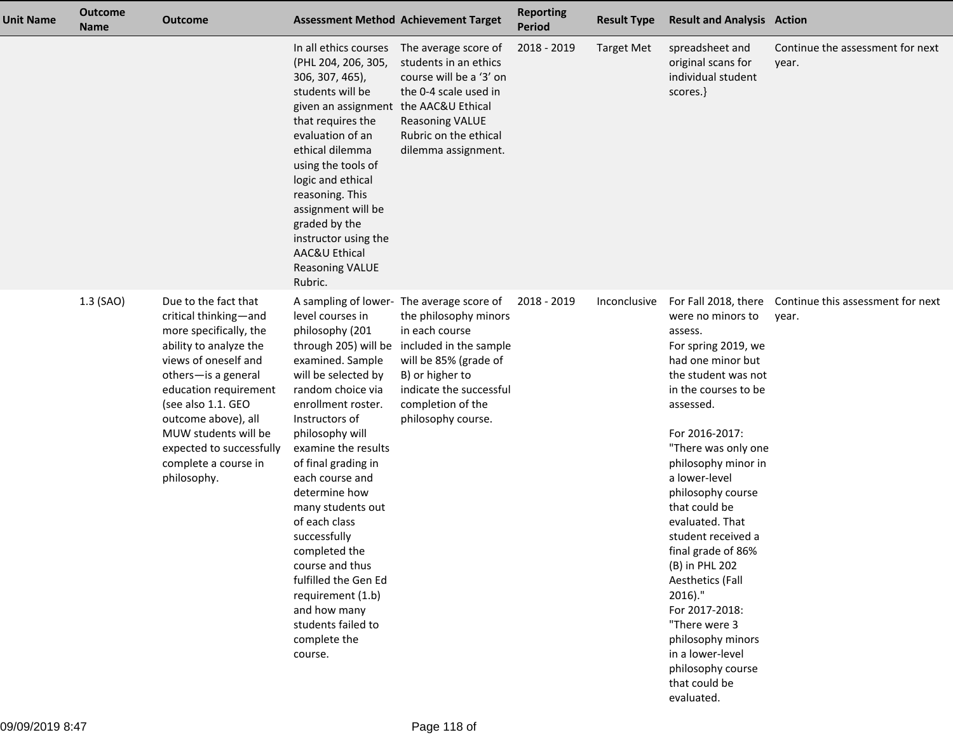| <b>Unit Name</b> | <b>Outcome</b><br><b>Name</b> | <b>Outcome</b>                                                                                                                                                                                                                                                                                                    | <b>Assessment Method Achievement Target</b>                                                                                                                                                                                                                                                                                                                                                                                                                                      |                                                                                                                                                                                                                                  | <b>Reporting</b><br>Period | <b>Result Type</b> | <b>Result and Analysis Action</b>                                                                                                                                                                                                                                                                                                                                                                                                                                                                                        |                                            |
|------------------|-------------------------------|-------------------------------------------------------------------------------------------------------------------------------------------------------------------------------------------------------------------------------------------------------------------------------------------------------------------|----------------------------------------------------------------------------------------------------------------------------------------------------------------------------------------------------------------------------------------------------------------------------------------------------------------------------------------------------------------------------------------------------------------------------------------------------------------------------------|----------------------------------------------------------------------------------------------------------------------------------------------------------------------------------------------------------------------------------|----------------------------|--------------------|--------------------------------------------------------------------------------------------------------------------------------------------------------------------------------------------------------------------------------------------------------------------------------------------------------------------------------------------------------------------------------------------------------------------------------------------------------------------------------------------------------------------------|--------------------------------------------|
|                  |                               |                                                                                                                                                                                                                                                                                                                   | In all ethics courses<br>(PHL 204, 206, 305,<br>306, 307, 465),<br>students will be<br>given an assignment<br>that requires the<br>evaluation of an<br>ethical dilemma<br>using the tools of<br>logic and ethical<br>reasoning. This<br>assignment will be<br>graded by the<br>instructor using the<br>AAC&U Ethical<br><b>Reasoning VALUE</b><br>Rubric.                                                                                                                        | The average score of<br>students in an ethics<br>course will be a '3' on<br>the 0-4 scale used in<br>the AAC&U Ethical<br><b>Reasoning VALUE</b><br>Rubric on the ethical<br>dilemma assignment.                                 | 2018 - 2019                | <b>Target Met</b>  | spreadsheet and<br>original scans for<br>individual student<br>scores.}                                                                                                                                                                                                                                                                                                                                                                                                                                                  | Continue the assessment for next<br>year.  |
|                  | 1.3 (SAO)                     | Due to the fact that<br>critical thinking-and<br>more specifically, the<br>ability to analyze the<br>views of oneself and<br>others-is a general<br>education requirement<br>(see also 1.1. GEO<br>outcome above), all<br>MUW students will be<br>expected to successfully<br>complete a course in<br>philosophy. | level courses in<br>philosophy (201<br>through 205) will be<br>examined. Sample<br>will be selected by<br>random choice via<br>enrollment roster.<br>Instructors of<br>philosophy will<br>examine the results<br>of final grading in<br>each course and<br>determine how<br>many students out<br>of each class<br>successfully<br>completed the<br>course and thus<br>fulfilled the Gen Ed<br>requirement (1.b)<br>and how many<br>students failed to<br>complete the<br>course. | A sampling of lower- The average score of<br>the philosophy minors<br>in each course<br>included in the sample<br>will be 85% (grade of<br>B) or higher to<br>indicate the successful<br>completion of the<br>philosophy course. | 2018 - 2019                | Inconclusive       | For Fall 2018, there<br>were no minors to<br>assess.<br>For spring 2019, we<br>had one minor but<br>the student was not<br>in the courses to be<br>assessed.<br>For 2016-2017:<br>"There was only one<br>philosophy minor in<br>a lower-level<br>philosophy course<br>that could be<br>evaluated. That<br>student received a<br>final grade of 86%<br>(B) in PHL 202<br>Aesthetics (Fall<br>$2016$ )."<br>For 2017-2018:<br>"There were 3<br>philosophy minors<br>in a lower-level<br>philosophy course<br>that could be | Continue this assessment for next<br>year. |

evaluated.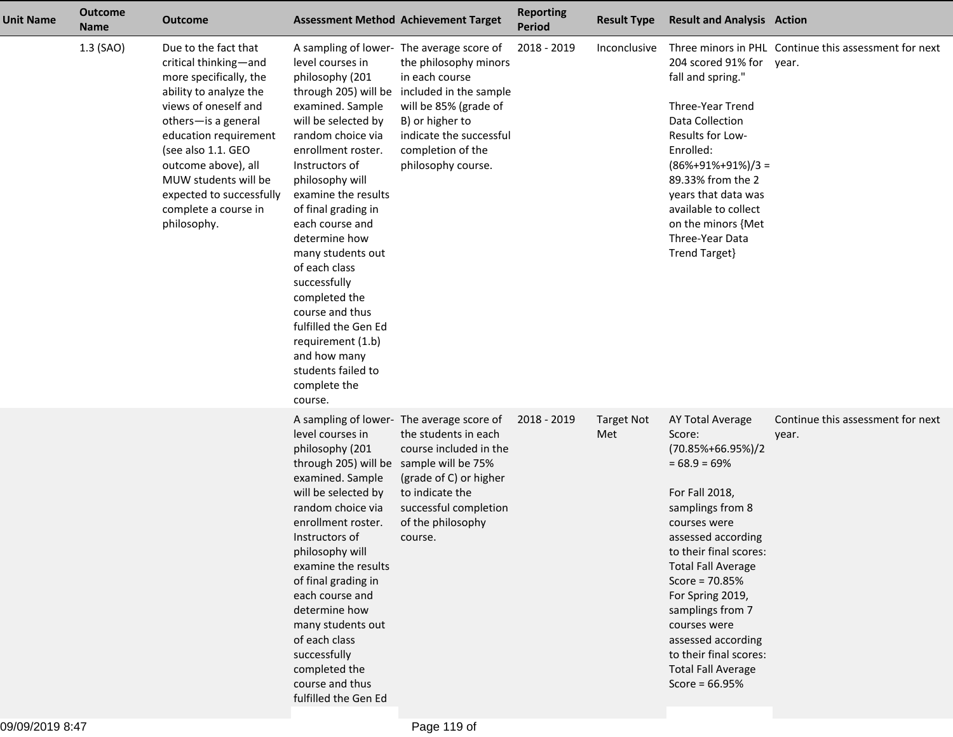| <b>Unit Name</b> | <b>Outcome</b><br><b>Name</b> | <b>Outcome</b>                                                                                                                                                                                                                                                                                                    |                                                                                                                                                                                                                                                                                                                                                                                                                                                                                  | <b>Assessment Method Achievement Target</b>                                                                                                                                                                                      | <b>Reporting</b><br><b>Period</b> | <b>Result Type</b>       | <b>Result and Analysis Action</b>                                                                                                                                                                                                                                                                                                                                                        |                                                       |
|------------------|-------------------------------|-------------------------------------------------------------------------------------------------------------------------------------------------------------------------------------------------------------------------------------------------------------------------------------------------------------------|----------------------------------------------------------------------------------------------------------------------------------------------------------------------------------------------------------------------------------------------------------------------------------------------------------------------------------------------------------------------------------------------------------------------------------------------------------------------------------|----------------------------------------------------------------------------------------------------------------------------------------------------------------------------------------------------------------------------------|-----------------------------------|--------------------------|------------------------------------------------------------------------------------------------------------------------------------------------------------------------------------------------------------------------------------------------------------------------------------------------------------------------------------------------------------------------------------------|-------------------------------------------------------|
|                  | 1.3 (SAO)                     | Due to the fact that<br>critical thinking-and<br>more specifically, the<br>ability to analyze the<br>views of oneself and<br>others-is a general<br>education requirement<br>(see also 1.1. GEO<br>outcome above), all<br>MUW students will be<br>expected to successfully<br>complete a course in<br>philosophy. | level courses in<br>philosophy (201<br>through 205) will be<br>examined. Sample<br>will be selected by<br>random choice via<br>enrollment roster.<br>Instructors of<br>philosophy will<br>examine the results<br>of final grading in<br>each course and<br>determine how<br>many students out<br>of each class<br>successfully<br>completed the<br>course and thus<br>fulfilled the Gen Ed<br>requirement (1.b)<br>and how many<br>students failed to<br>complete the<br>course. | A sampling of lower- The average score of<br>the philosophy minors<br>in each course<br>included in the sample<br>will be 85% (grade of<br>B) or higher to<br>indicate the successful<br>completion of the<br>philosophy course. | 2018 - 2019                       | Inconclusive             | 204 scored 91% for year.<br>fall and spring."<br>Three-Year Trend<br>Data Collection<br>Results for Low-<br>Enrolled:<br>$(86\% + 91\% + 91\%)/3 =$<br>89.33% from the 2<br>years that data was<br>available to collect<br>on the minors {Met<br>Three-Year Data<br>Trend Target}                                                                                                        | Three minors in PHL Continue this assessment for next |
|                  |                               |                                                                                                                                                                                                                                                                                                                   | level courses in<br>philosophy (201<br>through 205) will be<br>examined. Sample<br>will be selected by<br>random choice via<br>enrollment roster.<br>Instructors of<br>philosophy will<br>examine the results<br>of final grading in<br>each course and<br>determine how<br>many students out<br>of each class<br>successfully<br>completed the<br>course and thus<br>fulfilled the Gen Ed                                                                                       | A sampling of lower- The average score of<br>the students in each<br>course included in the<br>sample will be 75%<br>(grade of C) or higher<br>to indicate the<br>successful completion<br>of the philosophy<br>course.          | 2018 - 2019                       | <b>Target Not</b><br>Met | AY Total Average<br>Score:<br>$(70.85\% + 66.95\%)/2$<br>$= 68.9 = 69\%$<br>For Fall 2018,<br>samplings from 8<br>courses were<br>assessed according<br>to their final scores:<br><b>Total Fall Average</b><br>Score = $70.85%$<br>For Spring 2019,<br>samplings from 7<br>courses were<br>assessed according<br>to their final scores:<br><b>Total Fall Average</b><br>Score = $66.95%$ | Continue this assessment for next<br>year.            |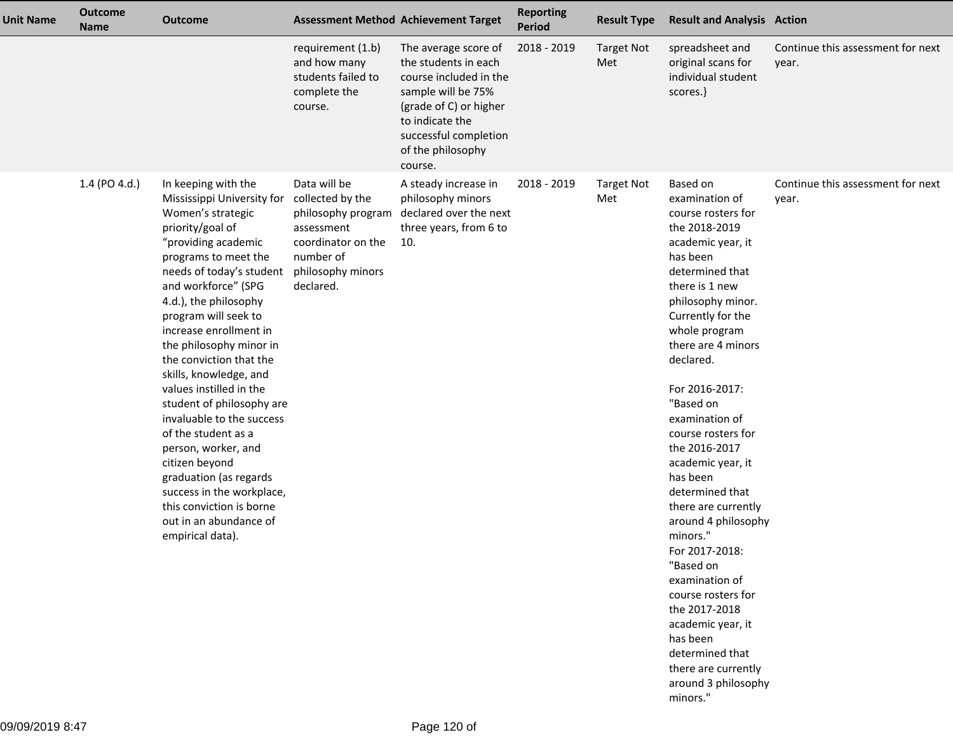| <b>Unit Name</b> | <b>Outcome</b><br><b>Name</b> | <b>Outcome</b>                                                                                                                                                                                                                                                                                                                                                                                                                                                                                                                                                                                                                                |                                                                                                                                           | <b>Assessment Method Achievement Target</b>                                                                                                                                                        | <b>Reporting</b><br>Period | <b>Result Type</b>       | <b>Result and Analysis Action</b>                                                                                                                                                                                                                                                                                                                                                                                                                                                                                                                                                                                                                 |                                            |
|------------------|-------------------------------|-----------------------------------------------------------------------------------------------------------------------------------------------------------------------------------------------------------------------------------------------------------------------------------------------------------------------------------------------------------------------------------------------------------------------------------------------------------------------------------------------------------------------------------------------------------------------------------------------------------------------------------------------|-------------------------------------------------------------------------------------------------------------------------------------------|----------------------------------------------------------------------------------------------------------------------------------------------------------------------------------------------------|----------------------------|--------------------------|---------------------------------------------------------------------------------------------------------------------------------------------------------------------------------------------------------------------------------------------------------------------------------------------------------------------------------------------------------------------------------------------------------------------------------------------------------------------------------------------------------------------------------------------------------------------------------------------------------------------------------------------------|--------------------------------------------|
|                  |                               |                                                                                                                                                                                                                                                                                                                                                                                                                                                                                                                                                                                                                                               | requirement (1.b)<br>and how many<br>students failed to<br>complete the<br>course.                                                        | The average score of<br>the students in each<br>course included in the<br>sample will be 75%<br>(grade of C) or higher<br>to indicate the<br>successful completion<br>of the philosophy<br>course. | 2018 - 2019                | <b>Target Not</b><br>Met | spreadsheet and<br>original scans for<br>individual student<br>scores.}                                                                                                                                                                                                                                                                                                                                                                                                                                                                                                                                                                           | Continue this assessment for next<br>year. |
|                  | 1.4 (PO 4.d.)                 | In keeping with the<br>Mississippi University for<br>Women's strategic<br>priority/goal of<br>"providing academic<br>programs to meet the<br>needs of today's student<br>and workforce" (SPG<br>4.d.), the philosophy<br>program will seek to<br>increase enrollment in<br>the philosophy minor in<br>the conviction that the<br>skills, knowledge, and<br>values instilled in the<br>student of philosophy are<br>invaluable to the success<br>of the student as a<br>person, worker, and<br>citizen beyond<br>graduation (as regards<br>success in the workplace,<br>this conviction is borne<br>out in an abundance of<br>empirical data). | Data will be<br>collected by the<br>philosophy program<br>assessment<br>coordinator on the<br>number of<br>philosophy minors<br>declared. | A steady increase in<br>philosophy minors<br>declared over the next<br>three years, from 6 to<br>10.                                                                                               | 2018 - 2019                | <b>Target Not</b><br>Met | Based on<br>examination of<br>course rosters for<br>the 2018-2019<br>academic year, it<br>has been<br>determined that<br>there is 1 new<br>philosophy minor.<br>Currently for the<br>whole program<br>there are 4 minors<br>declared.<br>For 2016-2017:<br>"Based on<br>examination of<br>course rosters for<br>the 2016-2017<br>academic year, it<br>has been<br>determined that<br>there are currently<br>around 4 philosophy<br>minors."<br>For 2017-2018:<br>"Based on<br>examination of<br>course rosters for<br>the 2017-2018<br>academic year, it<br>has been<br>determined that<br>there are currently<br>around 3 philosophy<br>minors." | Continue this assessment for next<br>year. |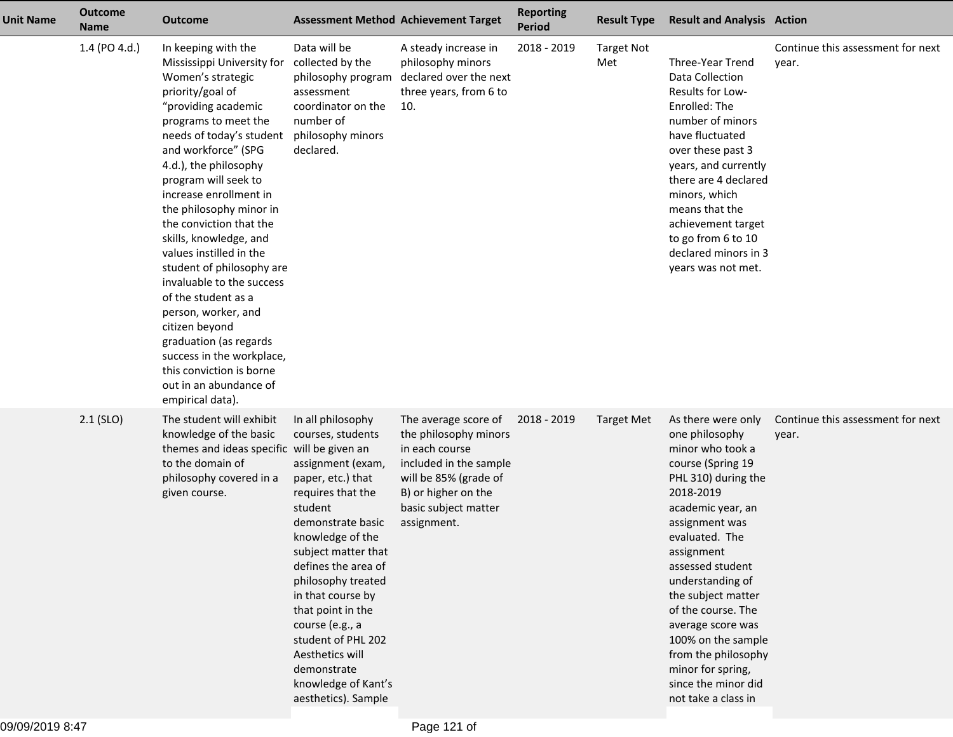| <b>Unit Name</b> | <b>Outcome</b><br><b>Name</b> | <b>Outcome</b>                                                                                                                                                                                                                                                                                                                                                                                                                                                                                                                                                                                                                                |                                                                                                                                                                                                                                                                                                                                                                                                  | <b>Assessment Method Achievement Target</b>                                                                                                                                      | <b>Reporting</b><br>Period | <b>Result Type</b>       | <b>Result and Analysis Action</b>                                                                                                                                                                                                                                                                                                                                                                                 |                                            |
|------------------|-------------------------------|-----------------------------------------------------------------------------------------------------------------------------------------------------------------------------------------------------------------------------------------------------------------------------------------------------------------------------------------------------------------------------------------------------------------------------------------------------------------------------------------------------------------------------------------------------------------------------------------------------------------------------------------------|--------------------------------------------------------------------------------------------------------------------------------------------------------------------------------------------------------------------------------------------------------------------------------------------------------------------------------------------------------------------------------------------------|----------------------------------------------------------------------------------------------------------------------------------------------------------------------------------|----------------------------|--------------------------|-------------------------------------------------------------------------------------------------------------------------------------------------------------------------------------------------------------------------------------------------------------------------------------------------------------------------------------------------------------------------------------------------------------------|--------------------------------------------|
|                  | 1.4 (PO 4.d.)                 | In keeping with the<br>Mississippi University for<br>Women's strategic<br>priority/goal of<br>"providing academic<br>programs to meet the<br>needs of today's student<br>and workforce" (SPG<br>4.d.), the philosophy<br>program will seek to<br>increase enrollment in<br>the philosophy minor in<br>the conviction that the<br>skills, knowledge, and<br>values instilled in the<br>student of philosophy are<br>invaluable to the success<br>of the student as a<br>person, worker, and<br>citizen beyond<br>graduation (as regards<br>success in the workplace,<br>this conviction is borne<br>out in an abundance of<br>empirical data). | Data will be<br>collected by the<br>philosophy program<br>assessment<br>coordinator on the<br>number of<br>philosophy minors<br>declared.                                                                                                                                                                                                                                                        | A steady increase in<br>philosophy minors<br>declared over the next<br>three years, from 6 to<br>10.                                                                             | 2018 - 2019                | <b>Target Not</b><br>Met | Three-Year Trend<br>Data Collection<br>Results for Low-<br>Enrolled: The<br>number of minors<br>have fluctuated<br>over these past 3<br>years, and currently<br>there are 4 declared<br>minors, which<br>means that the<br>achievement target<br>to go from 6 to 10<br>declared minors in 3<br>years was not met.                                                                                                 | Continue this assessment for next<br>year. |
|                  | $2.1$ (SLO)                   | The student will exhibit<br>knowledge of the basic<br>themes and ideas specific will be given an<br>to the domain of<br>philosophy covered in a<br>given course.                                                                                                                                                                                                                                                                                                                                                                                                                                                                              | In all philosophy<br>courses, students<br>assignment (exam,<br>paper, etc.) that<br>requires that the<br>student<br>demonstrate basic<br>knowledge of the<br>subject matter that<br>defines the area of<br>philosophy treated<br>in that course by<br>that point in the<br>course (e.g., a<br>student of PHL 202<br>Aesthetics will<br>demonstrate<br>knowledge of Kant's<br>aesthetics). Sample | The average score of<br>the philosophy minors<br>in each course<br>included in the sample<br>will be 85% (grade of<br>B) or higher on the<br>basic subject matter<br>assignment. | 2018 - 2019                | <b>Target Met</b>        | As there were only<br>one philosophy<br>minor who took a<br>course (Spring 19<br>PHL 310) during the<br>2018-2019<br>academic year, an<br>assignment was<br>evaluated. The<br>assignment<br>assessed student<br>understanding of<br>the subject matter<br>of the course. The<br>average score was<br>100% on the sample<br>from the philosophy<br>minor for spring,<br>since the minor did<br>not take a class in | Continue this assessment for next<br>year. |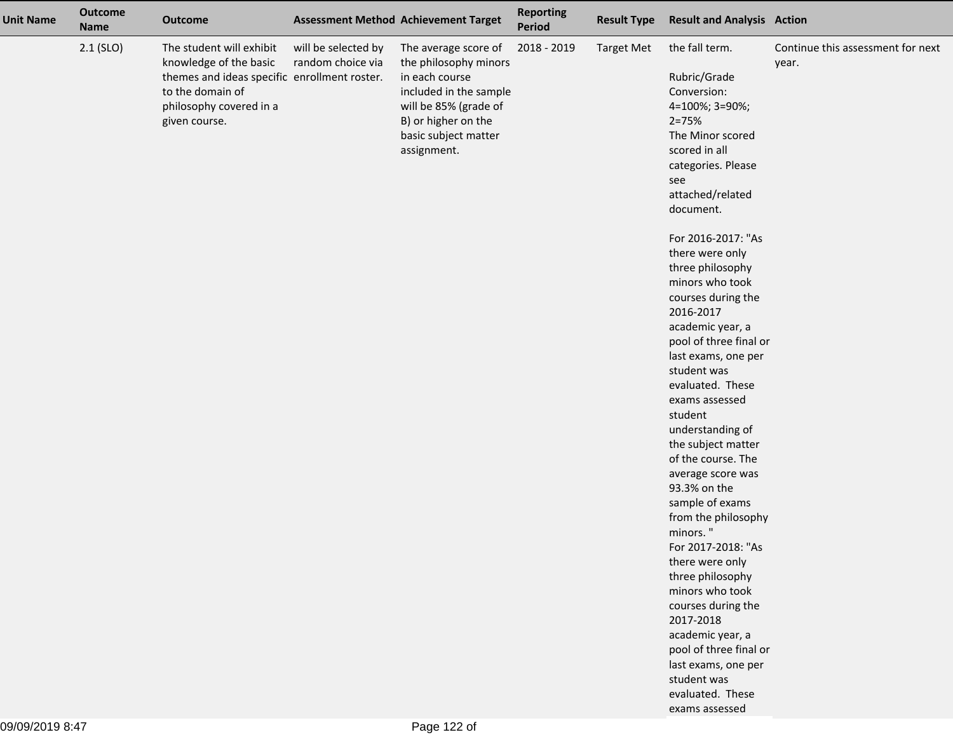| <b>Unit Name</b> | <b>Outcome</b><br><b>Name</b> | <b>Outcome</b>                                                                                                                                                     |                                          | <b>Assessment Method Achievement Target</b>                                                                                                                                      | <b>Reporting</b><br>Period | <b>Result Type</b> | <b>Result and Analysis Action</b>                                                                                                                                                                                                                                                                                                                                                                                                                                                                                                                                                                                                                                                                                                                                                                                                               |                                            |
|------------------|-------------------------------|--------------------------------------------------------------------------------------------------------------------------------------------------------------------|------------------------------------------|----------------------------------------------------------------------------------------------------------------------------------------------------------------------------------|----------------------------|--------------------|-------------------------------------------------------------------------------------------------------------------------------------------------------------------------------------------------------------------------------------------------------------------------------------------------------------------------------------------------------------------------------------------------------------------------------------------------------------------------------------------------------------------------------------------------------------------------------------------------------------------------------------------------------------------------------------------------------------------------------------------------------------------------------------------------------------------------------------------------|--------------------------------------------|
|                  | $2.1$ (SLO)                   | The student will exhibit<br>knowledge of the basic<br>themes and ideas specific enrollment roster.<br>to the domain of<br>philosophy covered in a<br>given course. | will be selected by<br>random choice via | The average score of<br>the philosophy minors<br>in each course<br>included in the sample<br>will be 85% (grade of<br>B) or higher on the<br>basic subject matter<br>assignment. | 2018 - 2019                | <b>Target Met</b>  | the fall term.<br>Rubric/Grade<br>Conversion:<br>4=100%; 3=90%;<br>$2 = 75%$<br>The Minor scored<br>scored in all<br>categories. Please<br>see<br>attached/related<br>document.<br>For 2016-2017: "As<br>there were only<br>three philosophy<br>minors who took<br>courses during the<br>2016-2017<br>academic year, a<br>pool of three final or<br>last exams, one per<br>student was<br>evaluated. These<br>exams assessed<br>student<br>understanding of<br>the subject matter<br>of the course. The<br>average score was<br>93.3% on the<br>sample of exams<br>from the philosophy<br>minors."<br>For 2017-2018: "As<br>there were only<br>three philosophy<br>minors who took<br>courses during the<br>2017-2018<br>academic year, a<br>pool of three final or<br>last exams, one per<br>student was<br>evaluated. These<br>exams assessed | Continue this assessment for next<br>year. |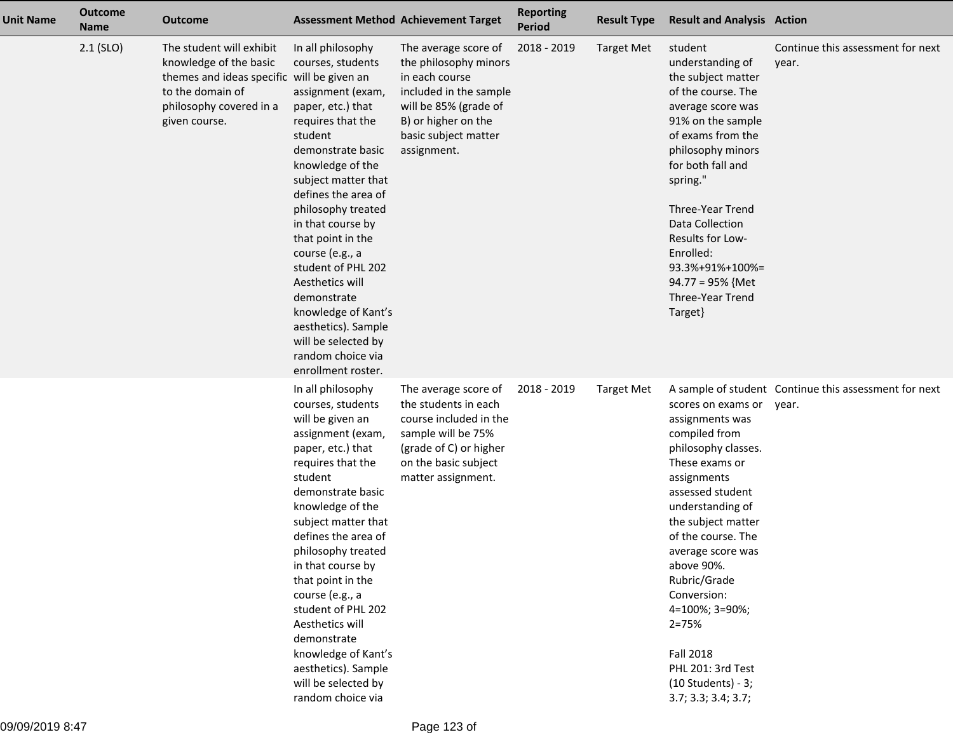| <b>Unit Name</b> | <b>Outcome</b><br><b>Name</b> | <b>Outcome</b>                                                                                                                                                   |                                                                                                                                                                                                                                                                                                                                                                                                                                                                    | <b>Assessment Method Achievement Target</b>                                                                                                                                      | <b>Reporting</b><br><b>Period</b> | <b>Result Type</b> | <b>Result and Analysis Action</b>                                                                                                                                                                                                                                                                                                                                                         |                                                                |
|------------------|-------------------------------|------------------------------------------------------------------------------------------------------------------------------------------------------------------|--------------------------------------------------------------------------------------------------------------------------------------------------------------------------------------------------------------------------------------------------------------------------------------------------------------------------------------------------------------------------------------------------------------------------------------------------------------------|----------------------------------------------------------------------------------------------------------------------------------------------------------------------------------|-----------------------------------|--------------------|-------------------------------------------------------------------------------------------------------------------------------------------------------------------------------------------------------------------------------------------------------------------------------------------------------------------------------------------------------------------------------------------|----------------------------------------------------------------|
|                  | $2.1$ (SLO)                   | The student will exhibit<br>knowledge of the basic<br>themes and ideas specific will be given an<br>to the domain of<br>philosophy covered in a<br>given course. | In all philosophy<br>courses, students<br>assignment (exam,<br>paper, etc.) that<br>requires that the<br>student<br>demonstrate basic<br>knowledge of the<br>subject matter that<br>defines the area of<br>philosophy treated<br>in that course by<br>that point in the<br>course (e.g., a<br>student of PHL 202<br>Aesthetics will<br>demonstrate<br>knowledge of Kant's<br>aesthetics). Sample<br>will be selected by<br>random choice via<br>enrollment roster. | The average score of<br>the philosophy minors<br>in each course<br>included in the sample<br>will be 85% (grade of<br>B) or higher on the<br>basic subject matter<br>assignment. | 2018 - 2019                       | <b>Target Met</b>  | student<br>understanding of<br>the subject matter<br>of the course. The<br>average score was<br>91% on the sample<br>of exams from the<br>philosophy minors<br>for both fall and<br>spring."<br>Three-Year Trend<br>Data Collection<br>Results for Low-<br>Enrolled:<br>93.3%+91%+100%=<br>$94.77 = 95\%$ {Met<br>Three-Year Trend<br>Target}                                             | Continue this assessment for next<br>year.                     |
|                  |                               |                                                                                                                                                                  | In all philosophy<br>courses, students<br>will be given an<br>assignment (exam,<br>paper, etc.) that<br>requires that the<br>student<br>demonstrate basic<br>knowledge of the<br>subject matter that<br>defines the area of<br>philosophy treated<br>in that course by<br>that point in the<br>course (e.g., a<br>student of PHL 202<br>Aesthetics will<br>demonstrate<br>knowledge of Kant's<br>aesthetics). Sample<br>will be selected by<br>random choice via   | The average score of<br>the students in each<br>course included in the<br>sample will be 75%<br>(grade of C) or higher<br>on the basic subject<br>matter assignment.             | 2018 - 2019                       | <b>Target Met</b>  | scores on exams or<br>assignments was<br>compiled from<br>philosophy classes.<br>These exams or<br>assignments<br>assessed student<br>understanding of<br>the subject matter<br>of the course. The<br>average score was<br>above 90%.<br>Rubric/Grade<br>Conversion:<br>4=100%; 3=90%;<br>$2 = 75%$<br><b>Fall 2018</b><br>PHL 201: 3rd Test<br>(10 Students) - 3;<br>3.7; 3.3; 3.4; 3.7; | A sample of student Continue this assessment for next<br>year. |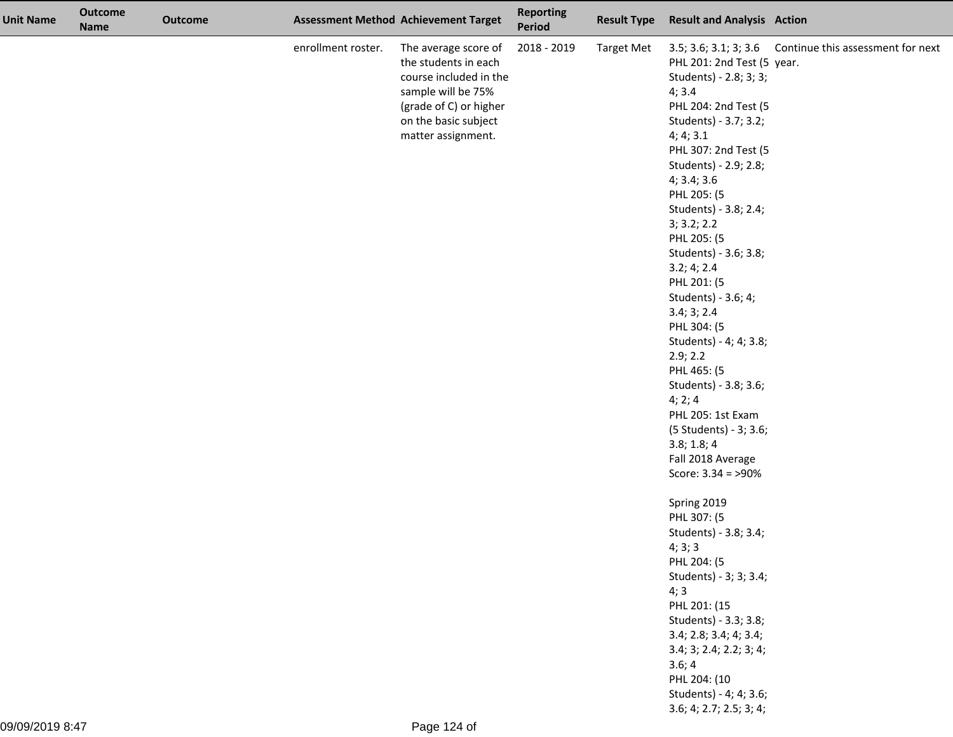| <b>Unit Name</b> | <b>Outcome</b><br><b>Name</b> | <b>Outcome</b> |                    | <b>Assessment Method Achievement Target</b>                                                                                                                          | <b>Reporting</b><br>Period | <b>Result Type</b> | <b>Result and Analysis Action</b>                                                                                                                                                                                                                                                                                                                                                                                                                                                                                                                          |                                                         |
|------------------|-------------------------------|----------------|--------------------|----------------------------------------------------------------------------------------------------------------------------------------------------------------------|----------------------------|--------------------|------------------------------------------------------------------------------------------------------------------------------------------------------------------------------------------------------------------------------------------------------------------------------------------------------------------------------------------------------------------------------------------------------------------------------------------------------------------------------------------------------------------------------------------------------------|---------------------------------------------------------|
|                  |                               |                | enrollment roster. | The average score of<br>the students in each<br>course included in the<br>sample will be 75%<br>(grade of C) or higher<br>on the basic subject<br>matter assignment. | 2018 - 2019                | <b>Target Met</b>  | PHL 201: 2nd Test (5 year.<br>Students) - 2.8; 3; 3;<br>4; 3.4<br>PHL 204: 2nd Test (5<br>Students) - 3.7; 3.2;<br>4; 4; 3.1<br>PHL 307: 2nd Test (5<br>Students) - 2.9; 2.8;<br>4; 3.4; 3.6<br>PHL 205: (5<br>Students) - 3.8; 2.4;<br>3; 3.2; 2.2<br>PHL 205: (5<br>Students) - 3.6; 3.8;<br>3.2; 4; 2.4<br>PHL 201: (5<br>Students) - 3.6; 4;<br>3.4; 3; 2.4<br>PHL 304: (5<br>Students) - 4; 4; 3.8;<br>2.9; 2.2<br>PHL 465: (5<br>Students) - 3.8; 3.6;<br>4; 2; 4<br>PHL 205: 1st Exam<br>(5 Students) - 3; 3.6;<br>3.8; 1.8; 4<br>Fall 2018 Average | 3.5; 3.6; 3.1; 3; 3.6 Continue this assessment for next |
|                  |                               |                |                    |                                                                                                                                                                      |                            |                    | Spring 2019<br>PHL 307: (5<br>Students) - 3.8; 3.4;<br>4; 3; 3<br>PHL 204: (5<br>Students) - 3; 3; 3.4;<br>4;3<br>PHL 201: (15<br>Students) - 3.3; 3.8;<br>3.4; 2.8; 3.4; 4; 3.4;<br>3.4; 3; 2.4; 2.2; 3; 4;<br>3.6; 4<br>PHL 204: (10<br>Students) - 4; 4; 3.6;<br>3.6; 4; 2.7; 2.5; 3; 4;                                                                                                                                                                                                                                                                |                                                         |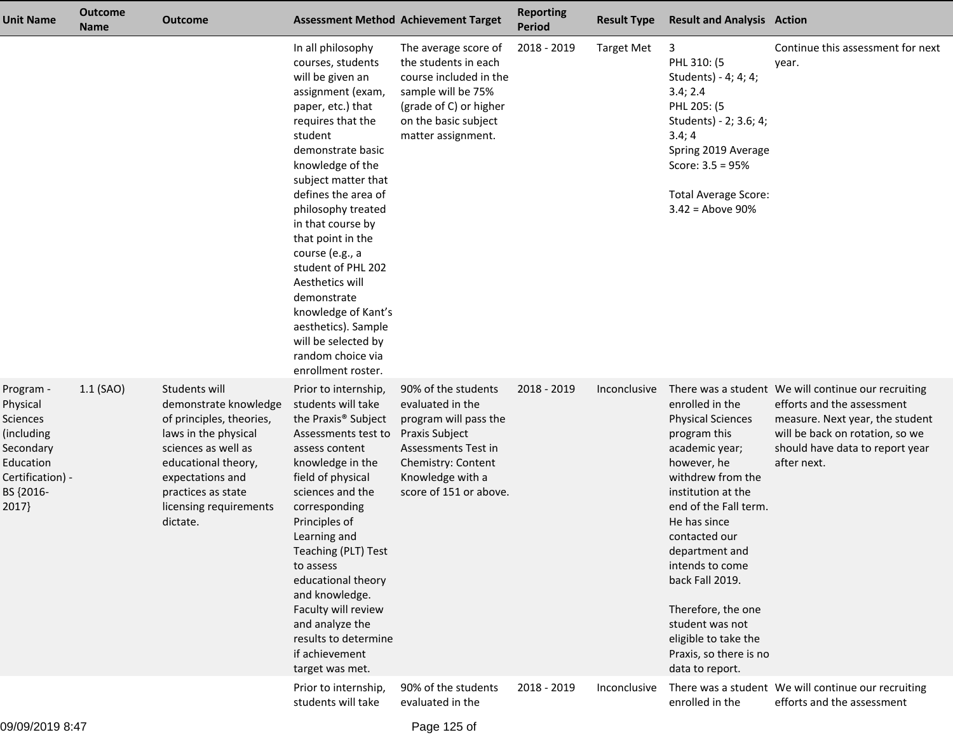| Unit Name                                                                                                           | <b>Outcome</b><br><b>Name</b> | <b>Outcome</b>                                                                                                                                                                                                           |                                                                                                                                                                                                                                                                                                                                                                                                                                                                                        | <b>Assessment Method Achievement Target</b>                                                                                                                                   | <b>Reporting</b><br><b>Period</b> | <b>Result Type</b> | <b>Result and Analysis Action</b>                                                                                                                                                                                                                                                                                                                                       |                                                                                                                                                                                                           |
|---------------------------------------------------------------------------------------------------------------------|-------------------------------|--------------------------------------------------------------------------------------------------------------------------------------------------------------------------------------------------------------------------|----------------------------------------------------------------------------------------------------------------------------------------------------------------------------------------------------------------------------------------------------------------------------------------------------------------------------------------------------------------------------------------------------------------------------------------------------------------------------------------|-------------------------------------------------------------------------------------------------------------------------------------------------------------------------------|-----------------------------------|--------------------|-------------------------------------------------------------------------------------------------------------------------------------------------------------------------------------------------------------------------------------------------------------------------------------------------------------------------------------------------------------------------|-----------------------------------------------------------------------------------------------------------------------------------------------------------------------------------------------------------|
|                                                                                                                     |                               |                                                                                                                                                                                                                          | In all philosophy<br>courses, students<br>will be given an<br>assignment (exam,<br>paper, etc.) that<br>requires that the<br>student<br>demonstrate basic<br>knowledge of the<br>subject matter that<br>defines the area of<br>philosophy treated<br>in that course by<br>that point in the<br>course (e.g., a<br>student of PHL 202<br>Aesthetics will<br>demonstrate<br>knowledge of Kant's<br>aesthetics). Sample<br>will be selected by<br>random choice via<br>enrollment roster. | The average score of<br>the students in each<br>course included in the<br>sample will be 75%<br>(grade of C) or higher<br>on the basic subject<br>matter assignment.          | 2018 - 2019                       | <b>Target Met</b>  | 3<br>PHL 310: (5<br>Students) - 4; 4; 4;<br>3.4; 2.4<br>PHL 205: (5<br>Students) - 2; 3.6; 4;<br>3.4; 4<br>Spring 2019 Average<br>Score: $3.5 = 95%$<br><b>Total Average Score:</b><br>$3.42$ = Above 90%                                                                                                                                                               | Continue this assessment for next<br>year.                                                                                                                                                                |
| Program -<br>Physical<br>Sciences<br>(including<br>Secondary<br>Education<br>Certification) -<br>BS {2016-<br>2017} | $1.1$ (SAO)                   | Students will<br>demonstrate knowledge<br>of principles, theories,<br>laws in the physical<br>sciences as well as<br>educational theory,<br>expectations and<br>practices as state<br>licensing requirements<br>dictate. | Prior to internship,<br>students will take<br>the Praxis <sup>®</sup> Subject<br>Assessments test to<br>assess content<br>knowledge in the<br>field of physical<br>sciences and the<br>corresponding<br>Principles of<br>Learning and<br>Teaching (PLT) Test<br>to assess<br>educational theory<br>and knowledge.<br>Faculty will review<br>and analyze the<br>results to determine<br>if achievement<br>target was met.                                                               | 90% of the students<br>evaluated in the<br>program will pass the<br>Praxis Subject<br>Assessments Test in<br>Chemistry: Content<br>Knowledge with a<br>score of 151 or above. | 2018 - 2019                       | Inconclusive       | enrolled in the<br><b>Physical Sciences</b><br>program this<br>academic year;<br>however, he<br>withdrew from the<br>institution at the<br>end of the Fall term.<br>He has since<br>contacted our<br>department and<br>intends to come<br>back Fall 2019.<br>Therefore, the one<br>student was not<br>eligible to take the<br>Praxis, so there is no<br>data to report. | There was a student We will continue our recruiting<br>efforts and the assessment<br>measure. Next year, the student<br>will be back on rotation, so we<br>should have data to report year<br>after next. |
|                                                                                                                     |                               |                                                                                                                                                                                                                          | Prior to internship,<br>students will take                                                                                                                                                                                                                                                                                                                                                                                                                                             | 90% of the students<br>evaluated in the                                                                                                                                       | 2018 - 2019                       | Inconclusive       | enrolled in the                                                                                                                                                                                                                                                                                                                                                         | There was a student We will continue our recruiting<br>efforts and the assessment                                                                                                                         |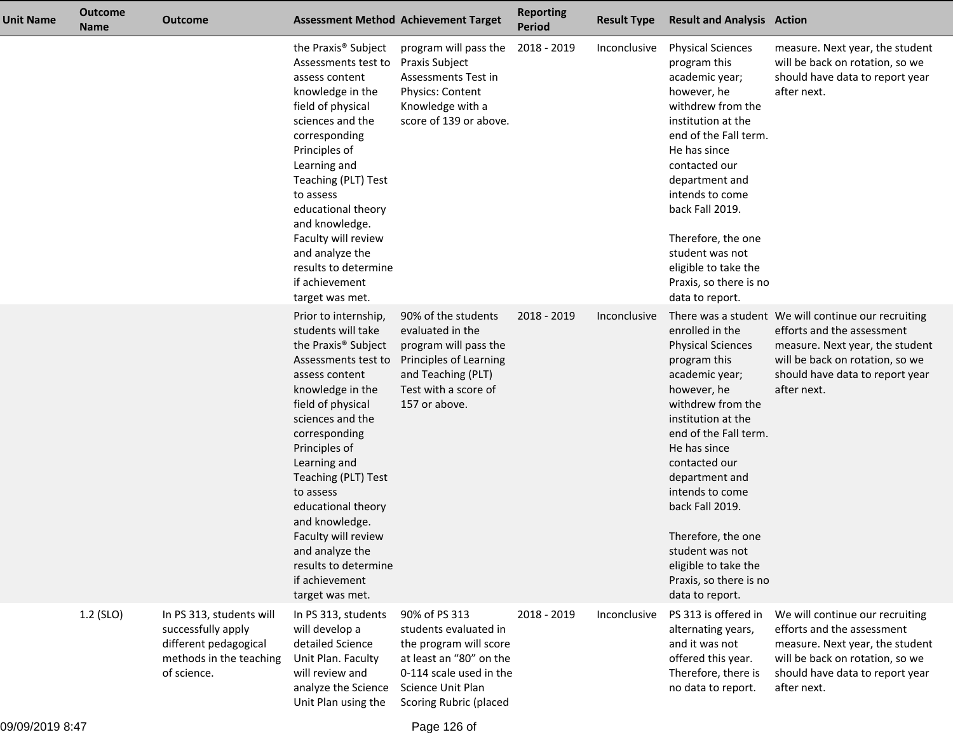| <b>Unit Name</b> | <b>Outcome</b><br><b>Name</b> | <b>Outcome</b>                                                                                                    |                                                                                                                                                                                                                                                                                                                                                                                                                          | <b>Assessment Method Achievement Target</b>                                                                                                                           | <b>Reporting</b><br><b>Period</b> | <b>Result Type</b> | <b>Result and Analysis Action</b>                                                                                                                                                                                                                                                                                                                                       |                                                                                                                                                                                                           |
|------------------|-------------------------------|-------------------------------------------------------------------------------------------------------------------|--------------------------------------------------------------------------------------------------------------------------------------------------------------------------------------------------------------------------------------------------------------------------------------------------------------------------------------------------------------------------------------------------------------------------|-----------------------------------------------------------------------------------------------------------------------------------------------------------------------|-----------------------------------|--------------------|-------------------------------------------------------------------------------------------------------------------------------------------------------------------------------------------------------------------------------------------------------------------------------------------------------------------------------------------------------------------------|-----------------------------------------------------------------------------------------------------------------------------------------------------------------------------------------------------------|
|                  |                               |                                                                                                                   | the Praxis <sup>®</sup> Subject<br>Assessments test to<br>assess content<br>knowledge in the<br>field of physical<br>sciences and the<br>corresponding<br>Principles of<br>Learning and<br>Teaching (PLT) Test<br>to assess<br>educational theory<br>and knowledge.<br>Faculty will review<br>and analyze the<br>results to determine<br>if achievement<br>target was met.                                               | program will pass the 2018 - 2019<br>Praxis Subject<br>Assessments Test in<br>Physics: Content<br>Knowledge with a<br>score of 139 or above.                          |                                   | Inconclusive       | <b>Physical Sciences</b><br>program this<br>academic year;<br>however, he<br>withdrew from the<br>institution at the<br>end of the Fall term.<br>He has since<br>contacted our<br>department and<br>intends to come<br>back Fall 2019.<br>Therefore, the one<br>student was not<br>eligible to take the<br>Praxis, so there is no<br>data to report.                    | measure. Next year, the student<br>will be back on rotation, so we<br>should have data to report year<br>after next.                                                                                      |
|                  |                               |                                                                                                                   | Prior to internship,<br>students will take<br>the Praxis <sup>®</sup> Subject<br>Assessments test to<br>assess content<br>knowledge in the<br>field of physical<br>sciences and the<br>corresponding<br>Principles of<br>Learning and<br>Teaching (PLT) Test<br>to assess<br>educational theory<br>and knowledge.<br>Faculty will review<br>and analyze the<br>results to determine<br>if achievement<br>target was met. | 90% of the students<br>evaluated in the<br>program will pass the<br>Principles of Learning<br>and Teaching (PLT)<br>Test with a score of<br>157 or above.             | 2018 - 2019                       | Inconclusive       | enrolled in the<br><b>Physical Sciences</b><br>program this<br>academic year;<br>however, he<br>withdrew from the<br>institution at the<br>end of the Fall term.<br>He has since<br>contacted our<br>department and<br>intends to come<br>back Fall 2019.<br>Therefore, the one<br>student was not<br>eligible to take the<br>Praxis, so there is no<br>data to report. | There was a student We will continue our recruiting<br>efforts and the assessment<br>measure. Next year, the student<br>will be back on rotation, so we<br>should have data to report year<br>after next. |
|                  | 1.2 (SLO)                     | In PS 313, students will<br>successfully apply<br>different pedagogical<br>methods in the teaching<br>of science. | In PS 313, students<br>will develop a<br>detailed Science<br>Unit Plan. Faculty<br>will review and<br>analyze the Science<br>Unit Plan using the                                                                                                                                                                                                                                                                         | 90% of PS 313<br>students evaluated in<br>the program will score<br>at least an "80" on the<br>0-114 scale used in the<br>Science Unit Plan<br>Scoring Rubric (placed | 2018 - 2019                       | Inconclusive       | PS 313 is offered in<br>alternating years,<br>and it was not<br>offered this year.<br>Therefore, there is<br>no data to report.                                                                                                                                                                                                                                         | We will continue our recruiting<br>efforts and the assessment<br>measure. Next year, the student<br>will be back on rotation, so we<br>should have data to report year<br>after next.                     |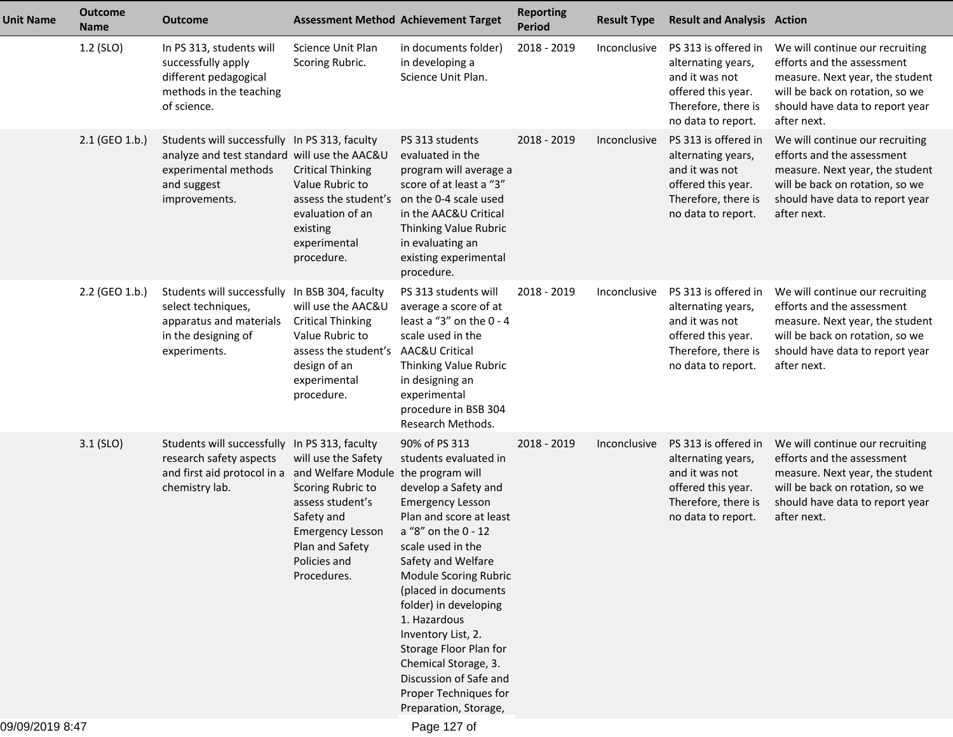| <b>Unit Name</b> | <b>Outcome</b><br><b>Name</b> | <b>Outcome</b>                                                                                                                                                |                                                                                                                                                         | <b>Assessment Method Achievement Target</b>                                                                                                                                                                                                                                                                                                                                                                                          | <b>Reporting</b><br><b>Period</b> | <b>Result Type</b> | <b>Result and Analysis Action</b>                                                                                               |                                                                                                                                                                                       |
|------------------|-------------------------------|---------------------------------------------------------------------------------------------------------------------------------------------------------------|---------------------------------------------------------------------------------------------------------------------------------------------------------|--------------------------------------------------------------------------------------------------------------------------------------------------------------------------------------------------------------------------------------------------------------------------------------------------------------------------------------------------------------------------------------------------------------------------------------|-----------------------------------|--------------------|---------------------------------------------------------------------------------------------------------------------------------|---------------------------------------------------------------------------------------------------------------------------------------------------------------------------------------|
|                  | 1.2 (SLO)                     | In PS 313, students will<br>successfully apply<br>different pedagogical<br>methods in the teaching<br>of science.                                             | Science Unit Plan<br>Scoring Rubric.                                                                                                                    | in documents folder)<br>in developing a<br>Science Unit Plan.                                                                                                                                                                                                                                                                                                                                                                        | 2018 - 2019                       | Inconclusive       | PS 313 is offered in<br>alternating years,<br>and it was not<br>offered this year.<br>Therefore, there is<br>no data to report. | We will continue our recruiting<br>efforts and the assessment<br>measure. Next year, the student<br>will be back on rotation, so we<br>should have data to report year<br>after next. |
|                  | 2.1 (GEO 1.b.)                | Students will successfully In PS 313, faculty<br>analyze and test standard will use the AAC&U<br>experimental methods<br>and suggest<br>improvements.         | <b>Critical Thinking</b><br>Value Rubric to<br>assess the student's<br>evaluation of an<br>existing<br>experimental<br>procedure.                       | PS 313 students<br>evaluated in the<br>program will average a<br>score of at least a "3"<br>on the 0-4 scale used<br>in the AAC&U Critical<br>Thinking Value Rubric<br>in evaluating an<br>existing experimental<br>procedure.                                                                                                                                                                                                       | 2018 - 2019                       | Inconclusive       | PS 313 is offered in<br>alternating years,<br>and it was not<br>offered this year.<br>Therefore, there is<br>no data to report. | We will continue our recruiting<br>efforts and the assessment<br>measure. Next year, the student<br>will be back on rotation, so we<br>should have data to report year<br>after next. |
|                  | 2.2 (GEO 1.b.)                | Students will successfully In BSB 304, faculty<br>select techniques,<br>apparatus and materials<br>in the designing of<br>experiments.                        | will use the AAC&U<br><b>Critical Thinking</b><br>Value Rubric to<br>assess the student's<br>design of an<br>experimental<br>procedure.                 | PS 313 students will<br>average a score of at<br>least a "3" on the $0 - 4$<br>scale used in the<br>AAC&U Critical<br>Thinking Value Rubric<br>in designing an<br>experimental<br>procedure in BSB 304<br>Research Methods.                                                                                                                                                                                                          | 2018 - 2019                       | Inconclusive       | PS 313 is offered in<br>alternating years,<br>and it was not<br>offered this year.<br>Therefore, there is<br>no data to report. | We will continue our recruiting<br>efforts and the assessment<br>measure. Next year, the student<br>will be back on rotation, so we<br>should have data to report year<br>after next. |
|                  | $3.1$ (SLO)                   | Students will successfully In PS 313, faculty<br>research safety aspects<br>and first aid protocol in a and Welfare Module the program will<br>chemistry lab. | will use the Safety<br>Scoring Rubric to<br>assess student's<br>Safety and<br><b>Emergency Lesson</b><br>Plan and Safety<br>Policies and<br>Procedures. | 90% of PS 313<br>students evaluated in<br>develop a Safety and<br><b>Emergency Lesson</b><br>Plan and score at least<br>a "8" on the 0 - 12<br>scale used in the<br>Safety and Welfare<br>Module Scoring Rubric<br>(placed in documents<br>folder) in developing<br>1. Hazardous<br>Inventory List, 2.<br>Storage Floor Plan for<br>Chemical Storage, 3.<br>Discussion of Safe and<br>Proper Techniques for<br>Preparation, Storage, | 2018 - 2019                       | Inconclusive       | PS 313 is offered in<br>alternating years,<br>and it was not<br>offered this year.<br>Therefore, there is<br>no data to report. | We will continue our recruiting<br>efforts and the assessment<br>measure. Next year, the student<br>will be back on rotation, so we<br>should have data to report year<br>after next. |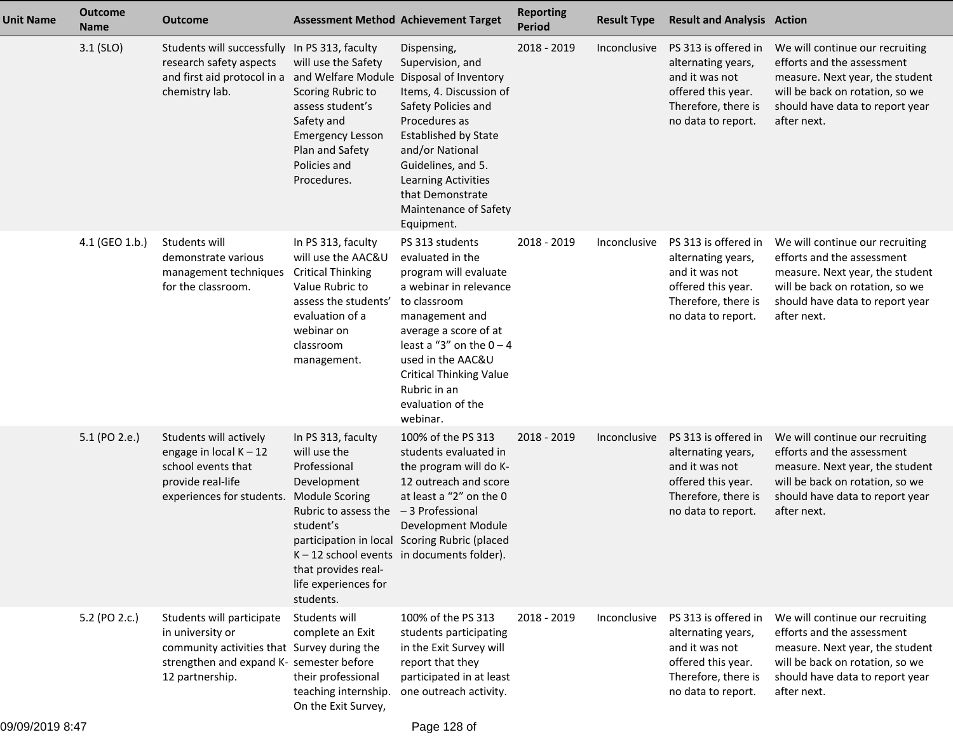| <b>Unit Name</b> | <b>Outcome</b><br><b>Name</b> | <b>Outcome</b>                                                                                                                                              |                                                                                                                                                                              | <b>Assessment Method Achievement Target</b>                                                                                                                                                                                                                                                  | <b>Reporting</b><br><b>Period</b> | <b>Result Type</b> | <b>Result and Analysis Action</b>                                                                                               |                                                                                                                                                                                       |
|------------------|-------------------------------|-------------------------------------------------------------------------------------------------------------------------------------------------------------|------------------------------------------------------------------------------------------------------------------------------------------------------------------------------|----------------------------------------------------------------------------------------------------------------------------------------------------------------------------------------------------------------------------------------------------------------------------------------------|-----------------------------------|--------------------|---------------------------------------------------------------------------------------------------------------------------------|---------------------------------------------------------------------------------------------------------------------------------------------------------------------------------------|
|                  | $3.1$ (SLO)                   | Students will successfully In PS 313, faculty<br>research safety aspects<br>and first aid protocol in a and Welfare Module<br>chemistry lab.                | will use the Safety<br>Scoring Rubric to<br>assess student's<br>Safety and<br><b>Emergency Lesson</b><br>Plan and Safety<br>Policies and<br>Procedures.                      | Dispensing,<br>Supervision, and<br>Disposal of Inventory<br>Items, 4. Discussion of<br>Safety Policies and<br>Procedures as<br><b>Established by State</b><br>and/or National<br>Guidelines, and 5.<br><b>Learning Activities</b><br>that Demonstrate<br>Maintenance of Safety<br>Equipment. | 2018 - 2019                       | Inconclusive       | PS 313 is offered in<br>alternating years,<br>and it was not<br>offered this year.<br>Therefore, there is<br>no data to report. | We will continue our recruiting<br>efforts and the assessment<br>measure. Next year, the student<br>will be back on rotation, so we<br>should have data to report year<br>after next. |
|                  | 4.1 (GEO 1.b.)                | Students will<br>demonstrate various<br>management techniques<br>for the classroom.                                                                         | In PS 313, faculty<br>will use the AAC&U<br><b>Critical Thinking</b><br>Value Rubric to<br>assess the students'<br>evaluation of a<br>webinar on<br>classroom<br>management. | PS 313 students<br>evaluated in the<br>program will evaluate<br>a webinar in relevance<br>to classroom<br>management and<br>average a score of at<br>least a "3" on the $0 - 4$<br>used in the AAC&U<br><b>Critical Thinking Value</b><br>Rubric in an<br>evaluation of the<br>webinar.      | 2018 - 2019                       | Inconclusive       | PS 313 is offered in<br>alternating years,<br>and it was not<br>offered this year.<br>Therefore, there is<br>no data to report. | We will continue our recruiting<br>efforts and the assessment<br>measure. Next year, the student<br>will be back on rotation, so we<br>should have data to report year<br>after next. |
|                  | 5.1 (PO 2.e.)                 | Students will actively<br>engage in local $K - 12$<br>school events that<br>provide real-life<br>experiences for students. Module Scoring                   | In PS 313, faculty<br>will use the<br>Professional<br>Development<br>Rubric to assess the<br>student's<br>that provides real-<br>life experiences for<br>students.           | 100% of the PS 313<br>students evaluated in<br>the program will do K-<br>12 outreach and score<br>at least a "2" on the 0<br>-3 Professional<br>Development Module<br>participation in local Scoring Rubric (placed<br>$K - 12$ school events in documents folder).                          | 2018 - 2019                       | Inconclusive       | PS 313 is offered in<br>alternating years,<br>and it was not<br>offered this year.<br>Therefore, there is<br>no data to report. | We will continue our recruiting<br>efforts and the assessment<br>measure. Next year, the student<br>will be back on rotation, so we<br>should have data to report year<br>after next. |
|                  | 5.2 (PO 2.c.)                 | Students will participate<br>in university or<br>community activities that Survey during the<br>strengthen and expand K- semester before<br>12 partnership. | Students will<br>complete an Exit<br>their professional<br>teaching internship.<br>On the Exit Survey,                                                                       | 100% of the PS 313<br>students participating<br>in the Exit Survey will<br>report that they<br>participated in at least<br>one outreach activity.                                                                                                                                            | 2018 - 2019                       | Inconclusive       | PS 313 is offered in<br>alternating years,<br>and it was not<br>offered this year.<br>Therefore, there is<br>no data to report. | We will continue our recruiting<br>efforts and the assessment<br>measure. Next year, the student<br>will be back on rotation, so we<br>should have data to report year<br>after next. |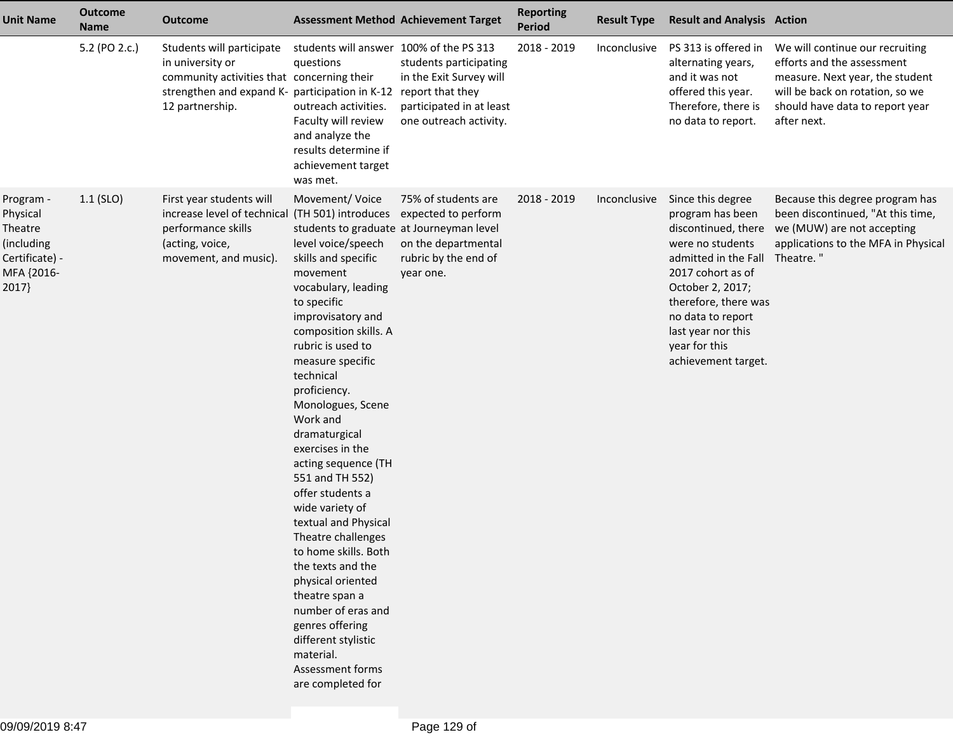| <b>Unit Name</b>                                                                        | <b>Outcome</b><br><b>Name</b> | <b>Outcome</b>                                                                                                                                                   |                                                                                                                                                                                                                                                                                                                                                                                                                                                                                                                                                                                                                                                                                                                     | <b>Assessment Method Achievement Target</b>                                                                                 | <b>Reporting</b><br>Period | <b>Result Type</b> | <b>Result and Analysis Action</b>                                                                                                                                                                                                                            |                                                                                                                                                                                       |
|-----------------------------------------------------------------------------------------|-------------------------------|------------------------------------------------------------------------------------------------------------------------------------------------------------------|---------------------------------------------------------------------------------------------------------------------------------------------------------------------------------------------------------------------------------------------------------------------------------------------------------------------------------------------------------------------------------------------------------------------------------------------------------------------------------------------------------------------------------------------------------------------------------------------------------------------------------------------------------------------------------------------------------------------|-----------------------------------------------------------------------------------------------------------------------------|----------------------------|--------------------|--------------------------------------------------------------------------------------------------------------------------------------------------------------------------------------------------------------------------------------------------------------|---------------------------------------------------------------------------------------------------------------------------------------------------------------------------------------|
|                                                                                         | 5.2 (PO 2.c.)                 | Students will participate<br>in university or<br>community activities that concerning their<br>strengthen and expand K- participation in K-12<br>12 partnership. | students will answer 100% of the PS 313<br>questions<br>outreach activities.<br>Faculty will review<br>and analyze the<br>results determine if<br>achievement target<br>was met.                                                                                                                                                                                                                                                                                                                                                                                                                                                                                                                                    | students participating<br>in the Exit Survey will<br>report that they<br>participated in at least<br>one outreach activity. | 2018 - 2019                | Inconclusive       | PS 313 is offered in<br>alternating years,<br>and it was not<br>offered this year.<br>Therefore, there is<br>no data to report.                                                                                                                              | We will continue our recruiting<br>efforts and the assessment<br>measure. Next year, the student<br>will be back on rotation, so we<br>should have data to report year<br>after next. |
| Program -<br>Physical<br>Theatre<br>(including<br>Certificate) -<br>MFA {2016-<br>2017} | $1.1$ (SLO)                   | First year students will<br>increase level of technical<br>performance skills<br>(acting, voice,<br>movement, and music).                                        | Movement/Voice<br>(TH 501) introduces<br>students to graduate at Journeyman level<br>level voice/speech<br>skills and specific<br>movement<br>vocabulary, leading<br>to specific<br>improvisatory and<br>composition skills. A<br>rubric is used to<br>measure specific<br>technical<br>proficiency.<br>Monologues, Scene<br>Work and<br>dramaturgical<br>exercises in the<br>acting sequence (TH<br>551 and TH 552)<br>offer students a<br>wide variety of<br>textual and Physical<br>Theatre challenges<br>to home skills. Both<br>the texts and the<br>physical oriented<br>theatre span a<br>number of eras and<br>genres offering<br>different stylistic<br>material.<br>Assessment forms<br>are completed for | 75% of students are<br>expected to perform<br>on the departmental<br>rubric by the end of<br>year one.                      | 2018 - 2019                | Inconclusive       | Since this degree<br>program has been<br>discontinued, there<br>were no students<br>admitted in the Fall<br>2017 cohort as of<br>October 2, 2017;<br>therefore, there was<br>no data to report<br>last year nor this<br>year for this<br>achievement target. | Because this degree program has<br>been discontinued, "At this time,<br>we (MUW) are not accepting<br>applications to the MFA in Physical<br>Theatre."                                |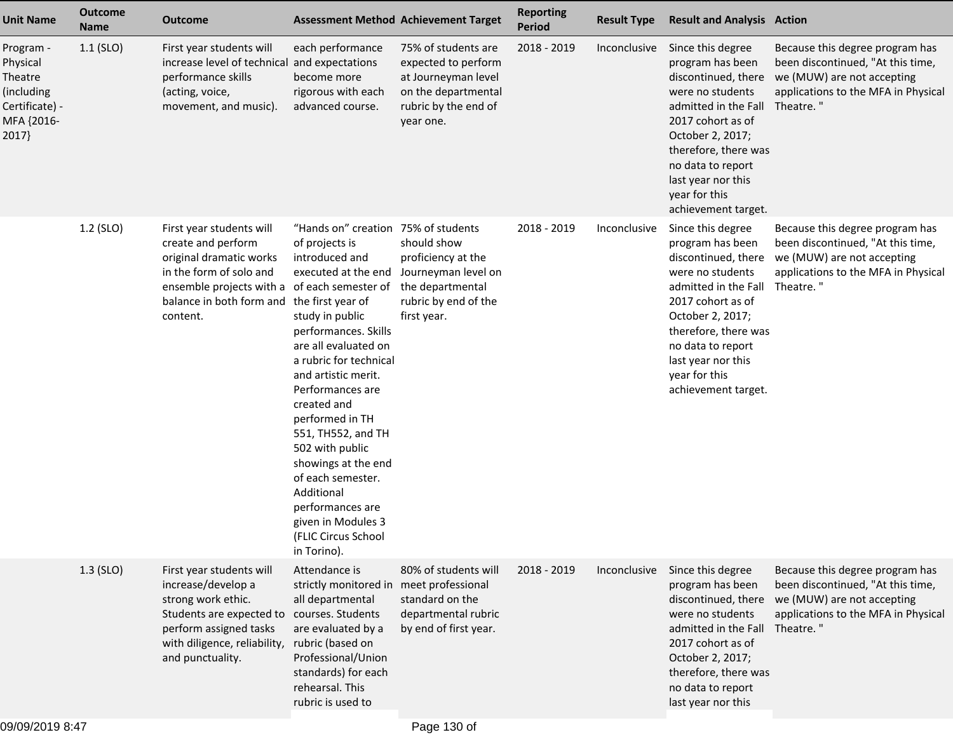| <b>Unit Name</b>                                                                       | <b>Outcome</b><br><b>Name</b> | <b>Outcome</b>                                                                                                                                                                                                 |                                                                                                                                                                                                                                                                                                                                                                                                                                                             | <b>Assessment Method Achievement Target</b>                                                                                   | <b>Reporting</b><br><b>Period</b> | <b>Result Type</b> | <b>Result and Analysis Action</b>                                                                                                                                                                                                                                      |                                                                                                                                                        |
|----------------------------------------------------------------------------------------|-------------------------------|----------------------------------------------------------------------------------------------------------------------------------------------------------------------------------------------------------------|-------------------------------------------------------------------------------------------------------------------------------------------------------------------------------------------------------------------------------------------------------------------------------------------------------------------------------------------------------------------------------------------------------------------------------------------------------------|-------------------------------------------------------------------------------------------------------------------------------|-----------------------------------|--------------------|------------------------------------------------------------------------------------------------------------------------------------------------------------------------------------------------------------------------------------------------------------------------|--------------------------------------------------------------------------------------------------------------------------------------------------------|
| Program -<br>Physical<br>Theatre<br>(including<br>Certificate) -<br>MFA {2016-<br>2017 | $1.1$ (SLO)                   | First year students will<br>increase level of technical and expectations<br>performance skills<br>(acting, voice,<br>movement, and music).                                                                     | each performance<br>become more<br>rigorous with each<br>advanced course.                                                                                                                                                                                                                                                                                                                                                                                   | 75% of students are<br>expected to perform<br>at Journeyman level<br>on the departmental<br>rubric by the end of<br>year one. | 2018 - 2019                       | Inconclusive       | Since this degree<br>program has been<br>discontinued, there<br>were no students<br>admitted in the Fall Theatre."<br>2017 cohort as of<br>October 2, 2017;<br>therefore, there was<br>no data to report<br>last year nor this<br>year for this<br>achievement target. | Because this degree program has<br>been discontinued, "At this time,<br>we (MUW) are not accepting<br>applications to the MFA in Physical              |
|                                                                                        | 1.2 (SLO)                     | First year students will<br>create and perform<br>original dramatic works<br>in the form of solo and<br>ensemble projects with a of each semester of<br>balance in both form and the first year of<br>content. | "Hands on" creation 75% of students<br>of projects is<br>introduced and<br>executed at the end<br>study in public<br>performances. Skills<br>are all evaluated on<br>a rubric for technical<br>and artistic merit.<br>Performances are<br>created and<br>performed in TH<br>551, TH552, and TH<br>502 with public<br>showings at the end<br>of each semester.<br>Additional<br>performances are<br>given in Modules 3<br>(FLIC Circus School<br>in Torino). | should show<br>proficiency at the<br>Journeyman level on<br>the departmental<br>rubric by end of the<br>first year.           | 2018 - 2019                       | Inconclusive       | Since this degree<br>program has been<br>discontinued, there<br>were no students<br>admitted in the Fall<br>2017 cohort as of<br>October 2, 2017;<br>therefore, there was<br>no data to report<br>last year nor this<br>year for this<br>achievement target.           | Because this degree program has<br>been discontinued, "At this time,<br>we (MUW) are not accepting<br>applications to the MFA in Physical<br>Theatre." |
|                                                                                        | $1.3$ (SLO)                   | First year students will<br>increase/develop a<br>strong work ethic.<br>Students are expected to<br>perform assigned tasks<br>with diligence, reliability,<br>and punctuality.                                 | Attendance is<br>strictly monitored in<br>all departmental<br>courses. Students<br>are evaluated by a<br>rubric (based on<br>Professional/Union<br>standards) for each<br>rehearsal. This<br>rubric is used to                                                                                                                                                                                                                                              | 80% of students will<br>meet professional<br>standard on the<br>departmental rubric<br>by end of first year.                  | 2018 - 2019                       | Inconclusive       | Since this degree<br>program has been<br>discontinued, there<br>were no students<br>admitted in the Fall Theatre."<br>2017 cohort as of<br>October 2, 2017;<br>therefore, there was<br>no data to report<br>last year nor this                                         | Because this degree program has<br>been discontinued, "At this time,<br>we (MUW) are not accepting<br>applications to the MFA in Physical              |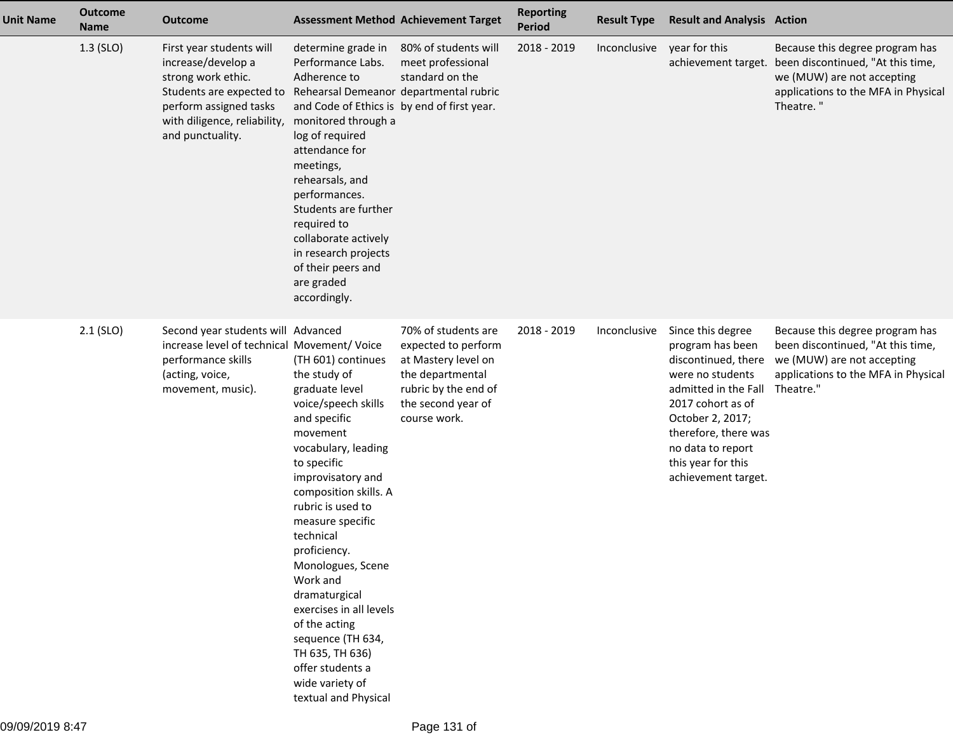| <b>Unit Name</b> | <b>Outcome</b><br><b>Name</b> | <b>Outcome</b>                                                                                                                                                                                                        |                                                                                                                                                                                                                                                                                                                                                                                                                                                                        | <b>Assessment Method Achievement Target</b>                                                                                                         | <b>Reporting</b><br><b>Period</b> | <b>Result Type</b> | <b>Result and Analysis Action</b>                                                                                                                                                                                                                     |                                                                                                                                                                            |
|------------------|-------------------------------|-----------------------------------------------------------------------------------------------------------------------------------------------------------------------------------------------------------------------|------------------------------------------------------------------------------------------------------------------------------------------------------------------------------------------------------------------------------------------------------------------------------------------------------------------------------------------------------------------------------------------------------------------------------------------------------------------------|-----------------------------------------------------------------------------------------------------------------------------------------------------|-----------------------------------|--------------------|-------------------------------------------------------------------------------------------------------------------------------------------------------------------------------------------------------------------------------------------------------|----------------------------------------------------------------------------------------------------------------------------------------------------------------------------|
|                  | $1.3$ (SLO)                   | First year students will<br>increase/develop a<br>strong work ethic.<br>Students are expected to Rehearsal Demeanor departmental rubric<br>perform assigned tasks<br>with diligence, reliability,<br>and punctuality. | determine grade in<br>Performance Labs.<br>Adherence to<br>and Code of Ethics is by end of first year.<br>monitored through a<br>log of required<br>attendance for<br>meetings,<br>rehearsals, and<br>performances.<br>Students are further<br>required to<br>collaborate actively<br>in research projects<br>of their peers and<br>are graded<br>accordingly.                                                                                                         | 80% of students will<br>meet professional<br>standard on the                                                                                        | 2018 - 2019                       | Inconclusive       | year for this                                                                                                                                                                                                                                         | Because this degree program has<br>achievement target. been discontinued, "At this time,<br>we (MUW) are not accepting<br>applications to the MFA in Physical<br>Theatre." |
|                  | $2.1$ (SLO)                   | Second year students will Advanced<br>increase level of technical Movement/ Voice<br>performance skills<br>(acting, voice,<br>movement, music).                                                                       | (TH 601) continues<br>the study of<br>graduate level<br>voice/speech skills<br>and specific<br>movement<br>vocabulary, leading<br>to specific<br>improvisatory and<br>composition skills. A<br>rubric is used to<br>measure specific<br>technical<br>proficiency.<br>Monologues, Scene<br>Work and<br>dramaturgical<br>exercises in all levels<br>of the acting<br>sequence (TH 634,<br>TH 635, TH 636)<br>offer students a<br>wide variety of<br>textual and Physical | 70% of students are<br>expected to perform<br>at Mastery level on<br>the departmental<br>rubric by the end of<br>the second year of<br>course work. | 2018 - 2019                       | Inconclusive       | Since this degree<br>program has been<br>discontinued, there<br>were no students<br>admitted in the Fall Theatre."<br>2017 cohort as of<br>October 2, 2017;<br>therefore, there was<br>no data to report<br>this year for this<br>achievement target. | Because this degree program has<br>been discontinued, "At this time,<br>we (MUW) are not accepting<br>applications to the MFA in Physical                                  |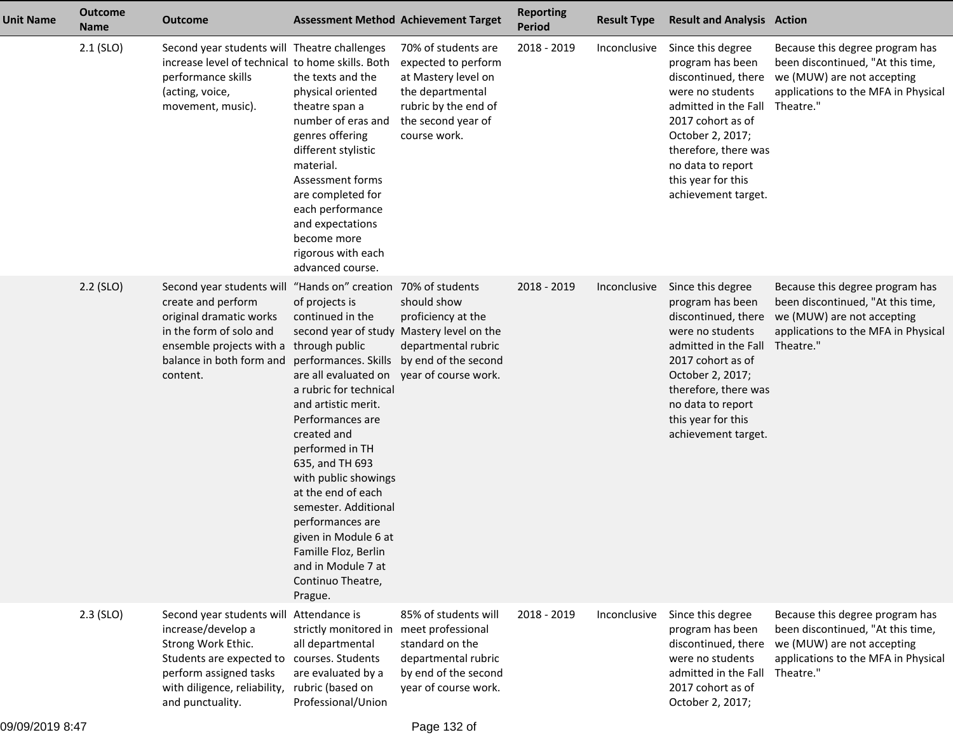| <b>Unit Name</b> | <b>Outcome</b><br><b>Name</b> | <b>Outcome</b>                                                                                                                                                                                                | <b>Assessment Method Achievement Target</b>                                                                                                                                                                                                                                                                                                                                                                                                            |                                                                                                                                                     | <b>Reporting</b><br><b>Period</b> | <b>Result Type</b> | <b>Result and Analysis Action</b>                                                                                                                                                                                                           |                                                                                                                                                        |
|------------------|-------------------------------|---------------------------------------------------------------------------------------------------------------------------------------------------------------------------------------------------------------|--------------------------------------------------------------------------------------------------------------------------------------------------------------------------------------------------------------------------------------------------------------------------------------------------------------------------------------------------------------------------------------------------------------------------------------------------------|-----------------------------------------------------------------------------------------------------------------------------------------------------|-----------------------------------|--------------------|---------------------------------------------------------------------------------------------------------------------------------------------------------------------------------------------------------------------------------------------|--------------------------------------------------------------------------------------------------------------------------------------------------------|
|                  | $2.1$ (SLO)                   | Second year students will Theatre challenges<br>increase level of technical to home skills. Both<br>performance skills<br>(acting, voice,<br>movement, music).                                                | the texts and the<br>physical oriented<br>theatre span a<br>number of eras and<br>genres offering<br>different stylistic<br>material.<br>Assessment forms<br>are completed for<br>each performance<br>and expectations<br>become more<br>rigorous with each<br>advanced course.                                                                                                                                                                        | 70% of students are<br>expected to perform<br>at Mastery level on<br>the departmental<br>rubric by the end of<br>the second year of<br>course work. | 2018 - 2019                       | Inconclusive       | Since this degree<br>program has been<br>discontinued, there<br>were no students<br>admitted in the Fall<br>2017 cohort as of<br>October 2, 2017;<br>therefore, there was<br>no data to report<br>this year for this<br>achievement target. | Because this degree program has<br>been discontinued, "At this time,<br>we (MUW) are not accepting<br>applications to the MFA in Physical<br>Theatre." |
|                  | $2.2$ (SLO)                   | Second year students will "Hands on" creation 70% of students<br>create and perform<br>original dramatic works<br>in the form of solo and<br>ensemble projects with a<br>balance in both form and<br>content. | of projects is<br>continued in the<br>second year of study<br>through public<br>performances. Skills<br>are all evaluated on<br>a rubric for technical<br>and artistic merit.<br>Performances are<br>created and<br>performed in TH<br>635, and TH 693<br>with public showings<br>at the end of each<br>semester. Additional<br>performances are<br>given in Module 6 at<br>Famille Floz, Berlin<br>and in Module 7 at<br>Continuo Theatre,<br>Prague. | should show<br>proficiency at the<br>Mastery level on the<br>departmental rubric<br>by end of the second<br>year of course work.                    | 2018 - 2019                       | Inconclusive       | Since this degree<br>program has been<br>discontinued, there<br>were no students<br>admitted in the Fall<br>2017 cohort as of<br>October 2, 2017;<br>therefore, there was<br>no data to report<br>this year for this<br>achievement target. | Because this degree program has<br>been discontinued, "At this time,<br>we (MUW) are not accepting<br>applications to the MFA in Physical<br>Theatre." |
|                  | $2.3$ (SLO)                   | Second year students will<br>increase/develop a<br>Strong Work Ethic.<br>Students are expected to<br>perform assigned tasks<br>with diligence, reliability,<br>and punctuality.                               | Attendance is<br>strictly monitored in<br>all departmental<br>courses. Students<br>are evaluated by a<br>rubric (based on<br>Professional/Union                                                                                                                                                                                                                                                                                                        | 85% of students will<br>meet professional<br>standard on the<br>departmental rubric<br>by end of the second<br>year of course work.                 | 2018 - 2019                       | Inconclusive       | Since this degree<br>program has been<br>discontinued, there<br>were no students<br>admitted in the Fall<br>2017 cohort as of<br>October 2, 2017;                                                                                           | Because this degree program has<br>been discontinued, "At this time,<br>we (MUW) are not accepting<br>applications to the MFA in Physical<br>Theatre." |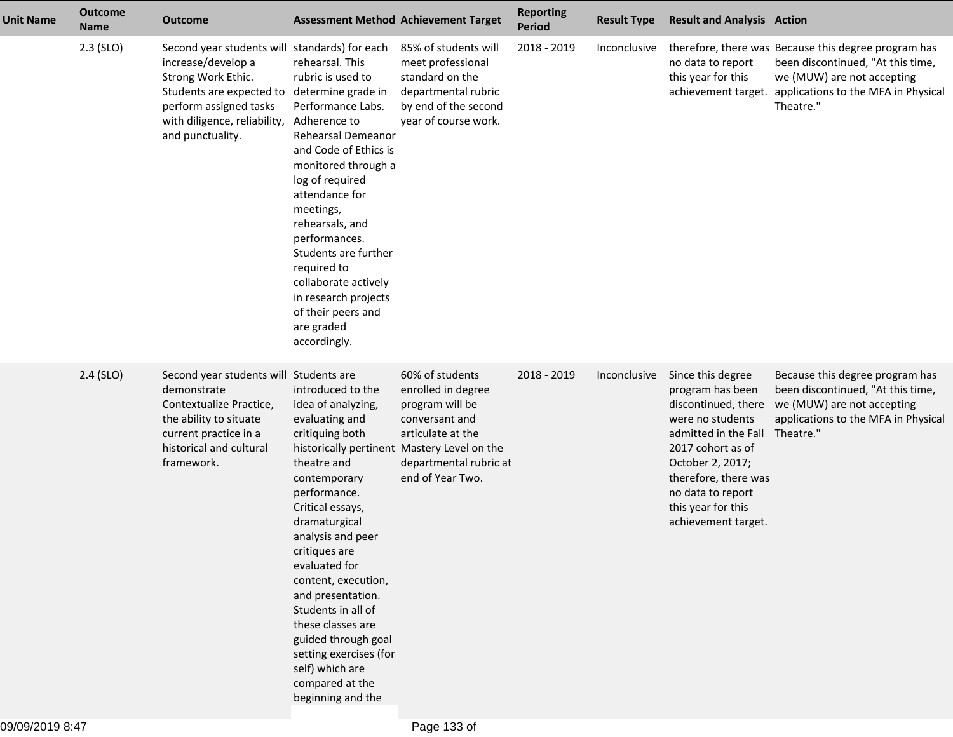| <b>Unit Name</b> | <b>Outcome</b><br><b>Name</b> | Outcome                                                                                                                                                                                             |                                                                                                                                                                                                                                                                                                                                                                                                                            | <b>Assessment Method Achievement Target</b>                                                                                                                                                  | <b>Reporting</b><br><b>Period</b> | <b>Result Type</b> | <b>Result and Analysis Action</b>                                                                                                                                                                                                           |                                                                                                                                                                             |
|------------------|-------------------------------|-----------------------------------------------------------------------------------------------------------------------------------------------------------------------------------------------------|----------------------------------------------------------------------------------------------------------------------------------------------------------------------------------------------------------------------------------------------------------------------------------------------------------------------------------------------------------------------------------------------------------------------------|----------------------------------------------------------------------------------------------------------------------------------------------------------------------------------------------|-----------------------------------|--------------------|---------------------------------------------------------------------------------------------------------------------------------------------------------------------------------------------------------------------------------------------|-----------------------------------------------------------------------------------------------------------------------------------------------------------------------------|
|                  | $2.3$ (SLO)                   | Second year students will standards) for each<br>increase/develop a<br>Strong Work Ethic.<br>Students are expected to<br>perform assigned tasks<br>with diligence, reliability,<br>and punctuality. | rehearsal. This<br>rubric is used to<br>determine grade in<br>Performance Labs.<br>Adherence to<br>Rehearsal Demeanor<br>and Code of Ethics is<br>monitored through a<br>log of required<br>attendance for<br>meetings,<br>rehearsals, and<br>performances.<br>Students are further<br>required to<br>collaborate actively<br>in research projects<br>of their peers and<br>are graded<br>accordingly.                     | 85% of students will<br>meet professional<br>standard on the<br>departmental rubric<br>by end of the second<br>year of course work.                                                          | 2018 - 2019                       | Inconclusive       | no data to report<br>this year for this<br>achievement target.                                                                                                                                                                              | therefore, there was Because this degree program has<br>been discontinued, "At this time,<br>we (MUW) are not accepting<br>applications to the MFA in Physical<br>Theatre." |
|                  | $2.4$ (SLO)                   | Second year students will Students are<br>demonstrate<br>Contextualize Practice,<br>the ability to situate<br>current practice in a<br>historical and cultural<br>framework.                        | introduced to the<br>idea of analyzing,<br>evaluating and<br>critiquing both<br>theatre and<br>contemporary<br>performance.<br>Critical essays,<br>dramaturgical<br>analysis and peer<br>critiques are<br>evaluated for<br>content, execution,<br>and presentation.<br>Students in all of<br>these classes are<br>guided through goal<br>setting exercises (for<br>self) which are<br>compared at the<br>beginning and the | 60% of students<br>enrolled in degree<br>program will be<br>conversant and<br>articulate at the<br>historically pertinent Mastery Level on the<br>departmental rubric at<br>end of Year Two. | 2018 - 2019                       | Inconclusive       | Since this degree<br>program has been<br>discontinued, there<br>were no students<br>admitted in the Fall<br>2017 cohort as of<br>October 2, 2017;<br>therefore, there was<br>no data to report<br>this year for this<br>achievement target. | Because this degree program has<br>been discontinued, "At this time,<br>we (MUW) are not accepting<br>applications to the MFA in Physical<br>Theatre."                      |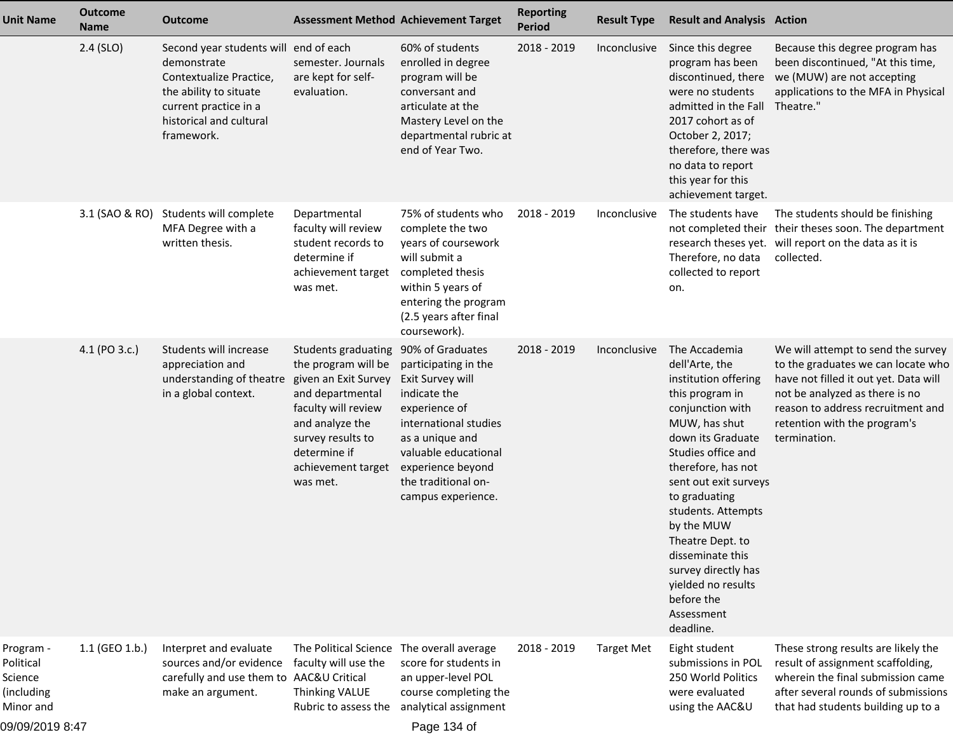| <b>Unit Name</b>                                                                | <b>Outcome</b><br><b>Name</b> | <b>Outcome</b>                                                                                                                                                              |                                                                                                                                                                                                         | <b>Assessment Method Achievement Target</b>                                                                                                                                                                                         | <b>Reporting</b><br><b>Period</b> | <b>Result Type</b> | <b>Result and Analysis Action</b>                                                                                                                                                                                                                                                                                                                                                            |                                                                                                                                                                                                                                          |
|---------------------------------------------------------------------------------|-------------------------------|-----------------------------------------------------------------------------------------------------------------------------------------------------------------------------|---------------------------------------------------------------------------------------------------------------------------------------------------------------------------------------------------------|-------------------------------------------------------------------------------------------------------------------------------------------------------------------------------------------------------------------------------------|-----------------------------------|--------------------|----------------------------------------------------------------------------------------------------------------------------------------------------------------------------------------------------------------------------------------------------------------------------------------------------------------------------------------------------------------------------------------------|------------------------------------------------------------------------------------------------------------------------------------------------------------------------------------------------------------------------------------------|
|                                                                                 | $2.4$ (SLO)                   | Second year students will end of each<br>demonstrate<br>Contextualize Practice,<br>the ability to situate<br>current practice in a<br>historical and cultural<br>framework. | semester. Journals<br>are kept for self-<br>evaluation.                                                                                                                                                 | 60% of students<br>enrolled in degree<br>program will be<br>conversant and<br>articulate at the<br>Mastery Level on the<br>departmental rubric at<br>end of Year Two.                                                               | 2018 - 2019                       | Inconclusive       | Since this degree<br>program has been<br>discontinued, there<br>were no students<br>admitted in the Fall<br>2017 cohort as of<br>October 2, 2017;<br>therefore, there was<br>no data to report<br>this year for this<br>achievement target.                                                                                                                                                  | Because this degree program has<br>been discontinued, "At this time,<br>we (MUW) are not accepting<br>applications to the MFA in Physical<br>Theatre."                                                                                   |
|                                                                                 |                               | 3.1 (SAO & RO) Students will complete<br>MFA Degree with a<br>written thesis.                                                                                               | Departmental<br>faculty will review<br>student records to<br>determine if<br>achievement target<br>was met.                                                                                             | 75% of students who<br>complete the two<br>years of coursework<br>will submit a<br>completed thesis<br>within 5 years of<br>entering the program<br>(2.5 years after final<br>coursework).                                          | 2018 - 2019                       | Inconclusive       | The students have<br>Therefore, no data<br>collected to report<br>on.                                                                                                                                                                                                                                                                                                                        | The students should be finishing<br>not completed their their theses soon. The department<br>research theses yet. will report on the data as it is<br>collected.                                                                         |
|                                                                                 | 4.1 (PO 3.c.)                 | Students will increase<br>appreciation and<br>understanding of theatre<br>in a global context.                                                                              | Students graduating<br>the program will be<br>given an Exit Survey<br>and departmental<br>faculty will review<br>and analyze the<br>survey results to<br>determine if<br>achievement target<br>was met. | 90% of Graduates<br>participating in the<br>Exit Survey will<br>indicate the<br>experience of<br>international studies<br>as a unique and<br>valuable educational<br>experience beyond<br>the traditional on-<br>campus experience. | 2018 - 2019                       | Inconclusive       | The Accademia<br>dell'Arte, the<br>institution offering<br>this program in<br>conjunction with<br>MUW, has shut<br>down its Graduate<br>Studies office and<br>therefore, has not<br>sent out exit surveys<br>to graduating<br>students. Attempts<br>by the MUW<br>Theatre Dept. to<br>disseminate this<br>survey directly has<br>yielded no results<br>before the<br>Assessment<br>deadline. | We will attempt to send the survey<br>to the graduates we can locate who<br>have not filled it out yet. Data will<br>not be analyzed as there is no<br>reason to address recruitment and<br>retention with the program's<br>termination. |
| Program -<br>Political<br>Science<br>(including<br>Minor and<br>09/09/2019 8:47 | 1.1 (GEO 1.b.)                | Interpret and evaluate<br>sources and/or evidence<br>carefully and use them to AAC&U Critical<br>make an argument.                                                          | The Political Science<br>faculty will use the<br>Thinking VALUE<br>Rubric to assess the                                                                                                                 | The overall average<br>score for students in<br>an upper-level POL<br>course completing the<br>analytical assignment<br>Page 134 of                                                                                                 | 2018 - 2019                       | <b>Target Met</b>  | Eight student<br>submissions in POL<br>250 World Politics<br>were evaluated<br>using the AAC&U                                                                                                                                                                                                                                                                                               | These strong results are likely the<br>result of assignment scaffolding,<br>wherein the final submission came<br>after several rounds of submissions<br>that had students building up to a                                               |

Page 134 of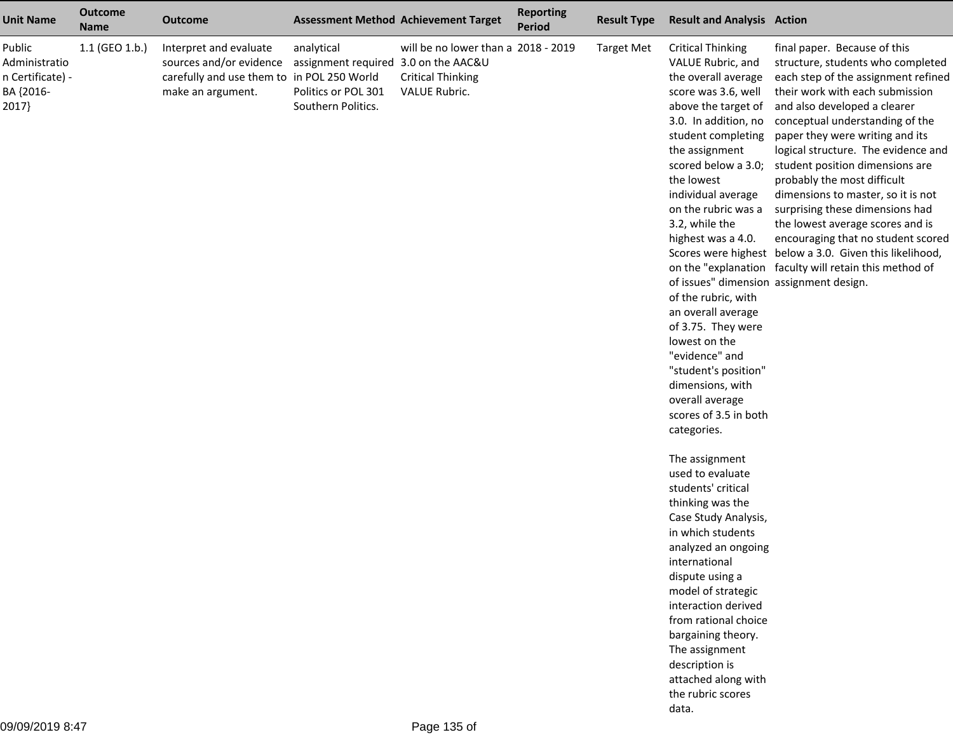| <b>Unit Name</b>                                                 | <b>Outcome</b><br><b>Name</b> | <b>Outcome</b>                                                                                                       |                                                                                                 | <b>Assessment Method Achievement Target</b>                                      | <b>Reporting</b><br><b>Period</b> | <b>Result Type</b> | <b>Result and Analysis Action</b>                                                                                                                                                                                                                                                                                                                                                                                                                                                                                                                                    |                                                                                                                                                                                                                                                                                                                                                                                                                                                                                                                                                                                                                                    |
|------------------------------------------------------------------|-------------------------------|----------------------------------------------------------------------------------------------------------------------|-------------------------------------------------------------------------------------------------|----------------------------------------------------------------------------------|-----------------------------------|--------------------|----------------------------------------------------------------------------------------------------------------------------------------------------------------------------------------------------------------------------------------------------------------------------------------------------------------------------------------------------------------------------------------------------------------------------------------------------------------------------------------------------------------------------------------------------------------------|------------------------------------------------------------------------------------------------------------------------------------------------------------------------------------------------------------------------------------------------------------------------------------------------------------------------------------------------------------------------------------------------------------------------------------------------------------------------------------------------------------------------------------------------------------------------------------------------------------------------------------|
| Public<br>Administratio<br>n Certificate) -<br>BA {2016-<br>2017 | 1.1 (GEO 1.b.)                | Interpret and evaluate<br>sources and/or evidence<br>carefully and use them to in POL 250 World<br>make an argument. | analytical<br>assignment required 3.0 on the AAC&U<br>Politics or POL 301<br>Southern Politics. | will be no lower than a 2018 - 2019<br><b>Critical Thinking</b><br>VALUE Rubric. |                                   | <b>Target Met</b>  | <b>Critical Thinking</b><br>VALUE Rubric, and<br>the overall average<br>score was 3.6, well<br>above the target of<br>3.0. In addition, no<br>student completing<br>the assignment<br>scored below a 3.0;<br>the lowest<br>individual average<br>on the rubric was a<br>3.2, while the<br>highest was a 4.0.<br>of issues" dimension assignment design.<br>of the rubric, with<br>an overall average<br>of 3.75. They were<br>lowest on the<br>"evidence" and<br>"student's position"<br>dimensions, with<br>overall average<br>scores of 3.5 in both<br>categories. | final paper. Because of this<br>structure, students who completed<br>each step of the assignment refined<br>their work with each submission<br>and also developed a clearer<br>conceptual understanding of the<br>paper they were writing and its<br>logical structure. The evidence and<br>student position dimensions are<br>probably the most difficult<br>dimensions to master, so it is not<br>surprising these dimensions had<br>the lowest average scores and is<br>encouraging that no student scored<br>Scores were highest below a 3.0. Given this likelihood,<br>on the "explanation faculty will retain this method of |
|                                                                  |                               |                                                                                                                      |                                                                                                 |                                                                                  |                                   |                    | The assignment<br>used to evaluate<br>students' critical<br>thinking was the<br>Case Study Analysis,<br>in which students<br>analyzed an ongoing<br>international<br>dispute using a<br>model of strategic<br>interaction derived<br>from rational choice<br>bargaining theory.<br>The assignment<br>description is<br>attached along with<br>the rubric scores<br>data.                                                                                                                                                                                             |                                                                                                                                                                                                                                                                                                                                                                                                                                                                                                                                                                                                                                    |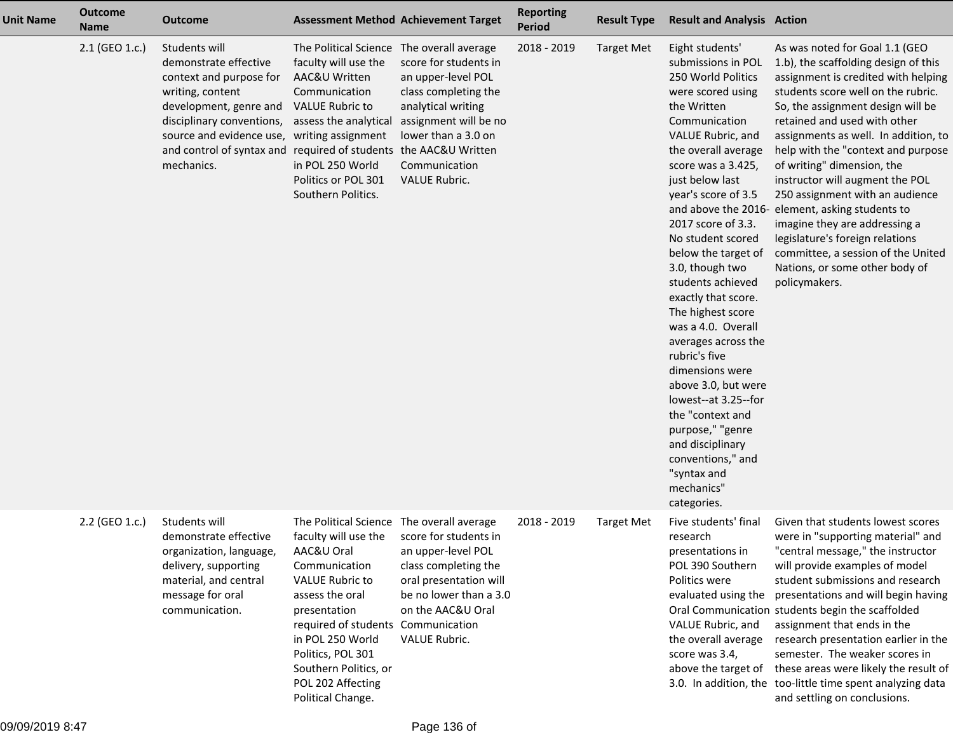| <b>Unit Name</b> | <b>Outcome</b><br><b>Name</b> | <b>Outcome</b>                                                                                                                                                                                                                         |                                                                                                                                                                                                                                                                                                   | <b>Assessment Method Achievement Target</b>                                                                                                                                        | <b>Reporting</b><br><b>Period</b> | <b>Result Type</b> | <b>Result and Analysis Action</b>                                                                                                                                                                                                                                                                                                                                                                                                                                                                                                                                                                                                               |                                                                                                                                                                                                                                                                                                                                                                                                                                                                                                                                                                                                                            |
|------------------|-------------------------------|----------------------------------------------------------------------------------------------------------------------------------------------------------------------------------------------------------------------------------------|---------------------------------------------------------------------------------------------------------------------------------------------------------------------------------------------------------------------------------------------------------------------------------------------------|------------------------------------------------------------------------------------------------------------------------------------------------------------------------------------|-----------------------------------|--------------------|-------------------------------------------------------------------------------------------------------------------------------------------------------------------------------------------------------------------------------------------------------------------------------------------------------------------------------------------------------------------------------------------------------------------------------------------------------------------------------------------------------------------------------------------------------------------------------------------------------------------------------------------------|----------------------------------------------------------------------------------------------------------------------------------------------------------------------------------------------------------------------------------------------------------------------------------------------------------------------------------------------------------------------------------------------------------------------------------------------------------------------------------------------------------------------------------------------------------------------------------------------------------------------------|
|                  | 2.1 (GEO 1.c.)                | Students will<br>demonstrate effective<br>context and purpose for<br>writing, content<br>development, genre and<br>disciplinary conventions,<br>source and evidence use, writing assignment<br>and control of syntax and<br>mechanics. | The Political Science The overall average<br>faculty will use the<br>AAC&U Written<br>Communication<br><b>VALUE Rubric to</b><br>assess the analytical<br>required of students the AAC&U Written<br>in POL 250 World<br>Politics or POL 301<br>Southern Politics.                                 | score for students in<br>an upper-level POL<br>class completing the<br>analytical writing<br>assignment will be no<br>lower than a 3.0 on<br>Communication<br><b>VALUE Rubric.</b> | 2018 - 2019                       | <b>Target Met</b>  | Eight students'<br>submissions in POL<br>250 World Politics<br>were scored using<br>the Written<br>Communication<br>VALUE Rubric, and<br>the overall average<br>score was a 3.425,<br>just below last<br>year's score of 3.5<br>2017 score of 3.3.<br>No student scored<br>below the target of<br>3.0, though two<br>students achieved<br>exactly that score.<br>The highest score<br>was a 4.0. Overall<br>averages across the<br>rubric's five<br>dimensions were<br>above 3.0, but were<br>lowest--at 3.25--for<br>the "context and<br>purpose," "genre<br>and disciplinary<br>conventions," and<br>"syntax and<br>mechanics"<br>categories. | As was noted for Goal 1.1 (GEO<br>1.b), the scaffolding design of this<br>assignment is credited with helping<br>students score well on the rubric.<br>So, the assignment design will be<br>retained and used with other<br>assignments as well. In addition, to<br>help with the "context and purpose<br>of writing" dimension, the<br>instructor will augment the POL<br>250 assignment with an audience<br>and above the 2016- element, asking students to<br>imagine they are addressing a<br>legislature's foreign relations<br>committee, a session of the United<br>Nations, or some other body of<br>policymakers. |
|                  | 2.2 (GEO 1.c.)                | Students will<br>demonstrate effective<br>organization, language,<br>delivery, supporting<br>material, and central<br>message for oral<br>communication.                                                                               | The Political Science The overall average<br>faculty will use the<br>AAC&U Oral<br>Communication<br><b>VALUE Rubric to</b><br>assess the oral<br>presentation<br>required of students<br>in POL 250 World<br>Politics, POL 301<br>Southern Politics, or<br>POL 202 Affecting<br>Political Change. | score for students in<br>an upper-level POL<br>class completing the<br>oral presentation will<br>be no lower than a 3.0<br>on the AAC&U Oral<br>Communication<br>VALUE Rubric.     | 2018 - 2019                       | <b>Target Met</b>  | Five students' final<br>research<br>presentations in<br>POL 390 Southern<br>Politics were<br>evaluated using the<br>VALUE Rubric, and<br>the overall average<br>score was 3.4,<br>above the target of                                                                                                                                                                                                                                                                                                                                                                                                                                           | Given that students lowest scores<br>were in "supporting material" and<br>"central message," the instructor<br>will provide examples of model<br>student submissions and research<br>presentations and will begin having<br>Oral Communication students begin the scaffolded<br>assignment that ends in the<br>research presentation earlier in the<br>semester. The weaker scores in<br>these areas were likely the result of<br>3.0. In addition, the too-little time spent analyzing data<br>and settling on conclusions.                                                                                               |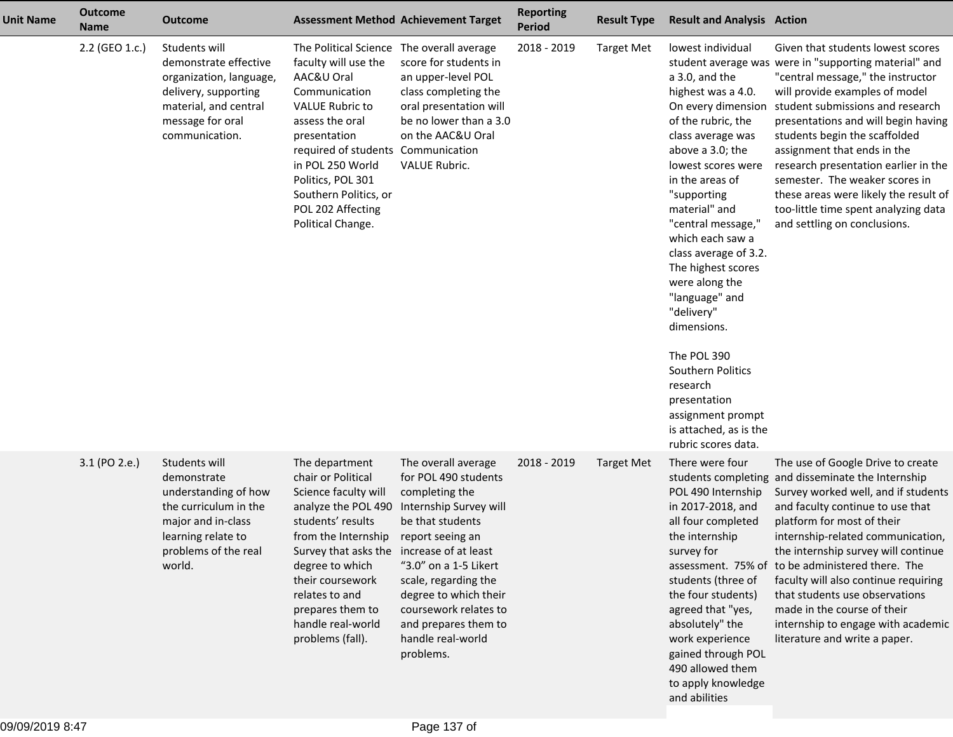| <b>Unit Name</b> | <b>Outcome</b><br><b>Name</b> | <b>Outcome</b>                                                                                                                                              |                                                                                                                                                                                                                                                                                                                 | <b>Assessment Method Achievement Target</b>                                                                                                                                                                                                                                                  | <b>Reporting</b><br><b>Period</b> | <b>Result Type</b> | <b>Result and Analysis Action</b>                                                                                                                                                                                                                                                                                                                                                                                                                                                                                       |                                                                                                                                                                                                                                                                                                                                                                                                                                                                                                                  |
|------------------|-------------------------------|-------------------------------------------------------------------------------------------------------------------------------------------------------------|-----------------------------------------------------------------------------------------------------------------------------------------------------------------------------------------------------------------------------------------------------------------------------------------------------------------|----------------------------------------------------------------------------------------------------------------------------------------------------------------------------------------------------------------------------------------------------------------------------------------------|-----------------------------------|--------------------|-------------------------------------------------------------------------------------------------------------------------------------------------------------------------------------------------------------------------------------------------------------------------------------------------------------------------------------------------------------------------------------------------------------------------------------------------------------------------------------------------------------------------|------------------------------------------------------------------------------------------------------------------------------------------------------------------------------------------------------------------------------------------------------------------------------------------------------------------------------------------------------------------------------------------------------------------------------------------------------------------------------------------------------------------|
|                  | 2.2 (GEO 1.c.)                | Students will<br>demonstrate effective<br>organization, language,<br>delivery, supporting<br>material, and central<br>message for oral<br>communication.    | The Political Science The overall average<br>faculty will use the<br>AAC&U Oral<br>Communication<br><b>VALUE Rubric to</b><br>assess the oral<br>presentation<br>required of students Communication<br>in POL 250 World<br>Politics, POL 301<br>Southern Politics, or<br>POL 202 Affecting<br>Political Change. | score for students in<br>an upper-level POL<br>class completing the<br>oral presentation will<br>be no lower than a 3.0<br>on the AAC&U Oral<br><b>VALUE Rubric.</b>                                                                                                                         | 2018 - 2019                       | <b>Target Met</b>  | lowest individual<br>a 3.0, and the<br>highest was a 4.0.<br>On every dimension<br>of the rubric, the<br>class average was<br>above a 3.0; the<br>lowest scores were<br>in the areas of<br>"supporting<br>material" and<br>"central message,"<br>which each saw a<br>class average of 3.2.<br>The highest scores<br>were along the<br>"language" and<br>"delivery"<br>dimensions.<br>The POL 390<br>Southern Politics<br>research<br>presentation<br>assignment prompt<br>is attached, as is the<br>rubric scores data. | Given that students lowest scores<br>student average was were in "supporting material" and<br>"central message," the instructor<br>will provide examples of model<br>student submissions and research<br>presentations and will begin having<br>students begin the scaffolded<br>assignment that ends in the<br>research presentation earlier in the<br>semester. The weaker scores in<br>these areas were likely the result of<br>too-little time spent analyzing data<br>and settling on conclusions.          |
|                  | 3.1 (PO 2.e.)                 | Students will<br>demonstrate<br>understanding of how<br>the curriculum in the<br>major and in-class<br>learning relate to<br>problems of the real<br>world. | The department<br>chair or Political<br>Science faculty will<br>analyze the POL 490<br>students' results<br>from the Internship<br>Survey that asks the increase of at least<br>degree to which<br>their coursework<br>relates to and<br>prepares them to<br>handle real-world<br>problems (fall).              | The overall average<br>for POL 490 students<br>completing the<br>Internship Survey will<br>be that students<br>report seeing an<br>"3.0" on a 1-5 Likert<br>scale, regarding the<br>degree to which their<br>coursework relates to<br>and prepares them to<br>handle real-world<br>problems. | 2018 - 2019                       | <b>Target Met</b>  | There were four<br>POL 490 Internship<br>in 2017-2018, and<br>all four completed<br>the internship<br>survey for<br>students (three of<br>the four students)<br>agreed that "yes,<br>absolutely" the<br>work experience<br>gained through POL<br>490 allowed them<br>to apply knowledge<br>and abilities                                                                                                                                                                                                                | The use of Google Drive to create<br>students completing and disseminate the Internship<br>Survey worked well, and if students<br>and faculty continue to use that<br>platform for most of their<br>internship-related communication,<br>the internship survey will continue<br>assessment. 75% of to be administered there. The<br>faculty will also continue requiring<br>that students use observations<br>made in the course of their<br>internship to engage with academic<br>literature and write a paper. |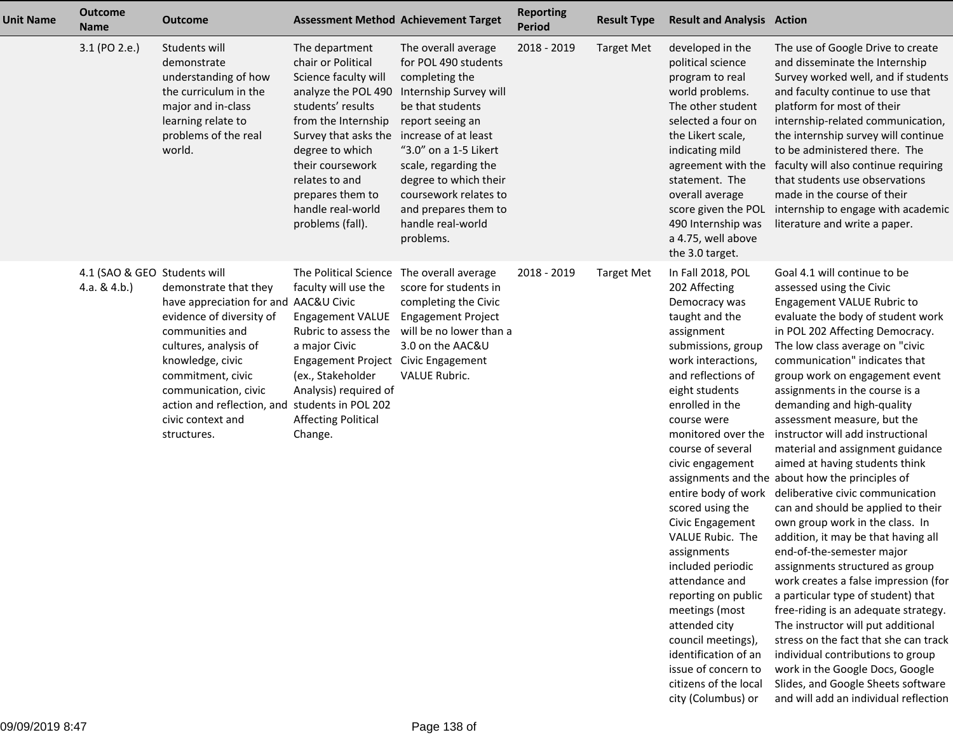| <b>Unit Name</b> | <b>Outcome</b><br><b>Name</b>                 | <b>Outcome</b>                                                                                                                                                                                                                                                                                | <b>Assessment Method Achievement Target</b>                                                                                                                                                                                                                                                        |                                                                                                                                                                                                                                                                                              | <b>Reporting</b><br><b>Period</b> | <b>Result Type</b> | <b>Result and Analysis Action</b>                                                                                                                                                                                                                                                                                                                                                                                                                                                                                                                                                               |                                                                                                                                                                                                                                                                                                                                                                                                                                                                                                                                                                                                                                                                                                                                                                                                                                                                                                                                                                                                                                                                                                                   |
|------------------|-----------------------------------------------|-----------------------------------------------------------------------------------------------------------------------------------------------------------------------------------------------------------------------------------------------------------------------------------------------|----------------------------------------------------------------------------------------------------------------------------------------------------------------------------------------------------------------------------------------------------------------------------------------------------|----------------------------------------------------------------------------------------------------------------------------------------------------------------------------------------------------------------------------------------------------------------------------------------------|-----------------------------------|--------------------|-------------------------------------------------------------------------------------------------------------------------------------------------------------------------------------------------------------------------------------------------------------------------------------------------------------------------------------------------------------------------------------------------------------------------------------------------------------------------------------------------------------------------------------------------------------------------------------------------|-------------------------------------------------------------------------------------------------------------------------------------------------------------------------------------------------------------------------------------------------------------------------------------------------------------------------------------------------------------------------------------------------------------------------------------------------------------------------------------------------------------------------------------------------------------------------------------------------------------------------------------------------------------------------------------------------------------------------------------------------------------------------------------------------------------------------------------------------------------------------------------------------------------------------------------------------------------------------------------------------------------------------------------------------------------------------------------------------------------------|
|                  | 3.1 (PO 2.e.)                                 | Students will<br>demonstrate<br>understanding of how<br>the curriculum in the<br>major and in-class<br>learning relate to<br>problems of the real<br>world.                                                                                                                                   | The department<br>chair or Political<br>Science faculty will<br>analyze the POL 490<br>students' results<br>from the Internship<br>Survey that asks the increase of at least<br>degree to which<br>their coursework<br>relates to and<br>prepares them to<br>handle real-world<br>problems (fall). | The overall average<br>for POL 490 students<br>completing the<br>Internship Survey will<br>be that students<br>report seeing an<br>"3.0" on a 1-5 Likert<br>scale, regarding the<br>degree to which their<br>coursework relates to<br>and prepares them to<br>handle real-world<br>problems. | 2018 - 2019                       | <b>Target Met</b>  | developed in the<br>political science<br>program to real<br>world problems.<br>The other student<br>selected a four on<br>the Likert scale,<br>indicating mild<br>agreement with the<br>statement. The<br>overall average<br>score given the POL<br>490 Internship was<br>a 4.75, well above<br>the 3.0 target.                                                                                                                                                                                                                                                                                 | The use of Google Drive to create<br>and disseminate the Internship<br>Survey worked well, and if students<br>and faculty continue to use that<br>platform for most of their<br>internship-related communication,<br>the internship survey will continue<br>to be administered there. The<br>faculty will also continue requiring<br>that students use observations<br>made in the course of their<br>internship to engage with academic<br>literature and write a paper.                                                                                                                                                                                                                                                                                                                                                                                                                                                                                                                                                                                                                                         |
|                  | 4.1 (SAO & GEO Students will<br>4.a. $& 4.b.$ | demonstrate that they<br>have appreciation for and AAC&U Civic<br>evidence of diversity of<br>communities and<br>cultures, analysis of<br>knowledge, civic<br>commitment, civic<br>communication, civic<br>action and reflection, and students in POL 202<br>civic context and<br>structures. | The Political Science The overall average<br>faculty will use the<br><b>Engagement VALUE</b><br>a major Civic<br>Engagement Project Civic Engagement<br>(ex., Stakeholder<br>Analysis) required of<br><b>Affecting Political</b><br>Change.                                                        | score for students in<br>completing the Civic<br><b>Engagement Project</b><br>Rubric to assess the will be no lower than a<br>3.0 on the AAC&U<br>VALUE Rubric.                                                                                                                              | 2018 - 2019                       | <b>Target Met</b>  | In Fall 2018, POL<br>202 Affecting<br>Democracy was<br>taught and the<br>assignment<br>submissions, group<br>work interactions,<br>and reflections of<br>eight students<br>enrolled in the<br>course were<br>monitored over the<br>course of several<br>civic engagement<br>entire body of work<br>scored using the<br>Civic Engagement<br>VALUE Rubic. The<br>assignments<br>included periodic<br>attendance and<br>reporting on public<br>meetings (most<br>attended city<br>council meetings),<br>identification of an<br>issue of concern to<br>citizens of the local<br>city (Columbus) or | Goal 4.1 will continue to be<br>assessed using the Civic<br>Engagement VALUE Rubric to<br>evaluate the body of student work<br>in POL 202 Affecting Democracy.<br>The low class average on "civic<br>communication" indicates that<br>group work on engagement event<br>assignments in the course is a<br>demanding and high-quality<br>assessment measure, but the<br>instructor will add instructional<br>material and assignment guidance<br>aimed at having students think<br>assignments and the about how the principles of<br>deliberative civic communication<br>can and should be applied to their<br>own group work in the class. In<br>addition, it may be that having all<br>end-of-the-semester major<br>assignments structured as group<br>work creates a false impression (for<br>a particular type of student) that<br>free-riding is an adequate strategy.<br>The instructor will put additional<br>stress on the fact that she can track<br>individual contributions to group<br>work in the Google Docs, Google<br>Slides, and Google Sheets software<br>and will add an individual reflection |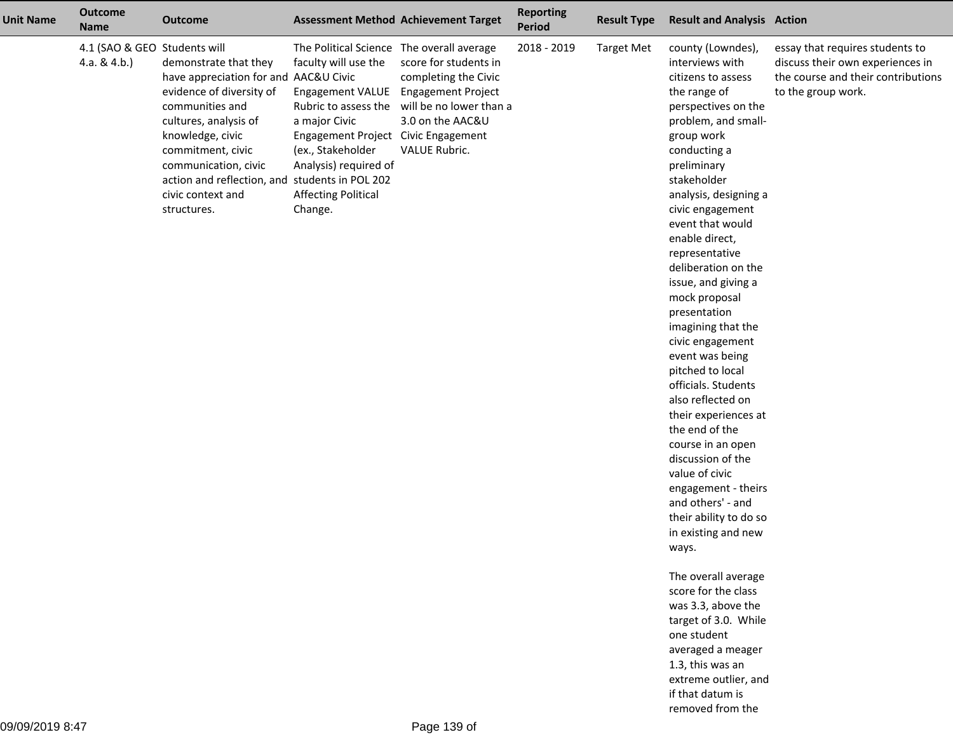| <b>Unit Name</b> | <b>Outcome</b><br><b>Name</b>                   | <b>Outcome</b>                                                                                                                                                                                                                                                                                |                                                                                                                                                                                                                                                                     | <b>Assessment Method Achievement Target</b>                                                                                                | <b>Reporting</b><br>Period | <b>Result Type</b> | <b>Result and Analysis Action</b>                                                                                                                                                                                                                                                                                                                                                                                                                                                                                                                                                                                                                                                                                                                                                                                                                                                                                                     |                                                                                                                                 |
|------------------|-------------------------------------------------|-----------------------------------------------------------------------------------------------------------------------------------------------------------------------------------------------------------------------------------------------------------------------------------------------|---------------------------------------------------------------------------------------------------------------------------------------------------------------------------------------------------------------------------------------------------------------------|--------------------------------------------------------------------------------------------------------------------------------------------|----------------------------|--------------------|---------------------------------------------------------------------------------------------------------------------------------------------------------------------------------------------------------------------------------------------------------------------------------------------------------------------------------------------------------------------------------------------------------------------------------------------------------------------------------------------------------------------------------------------------------------------------------------------------------------------------------------------------------------------------------------------------------------------------------------------------------------------------------------------------------------------------------------------------------------------------------------------------------------------------------------|---------------------------------------------------------------------------------------------------------------------------------|
|                  | 4.1 (SAO & GEO Students will<br>4.a. & $4.b.$ ) | demonstrate that they<br>have appreciation for and AAC&U Civic<br>evidence of diversity of<br>communities and<br>cultures, analysis of<br>knowledge, civic<br>commitment, civic<br>communication, civic<br>action and reflection, and students in POL 202<br>civic context and<br>structures. | The Political Science The overall average<br>faculty will use the<br><b>Engagement VALUE</b><br>Rubric to assess the<br>a major Civic<br>Engagement Project Civic Engagement<br>(ex., Stakeholder<br>Analysis) required of<br><b>Affecting Political</b><br>Change. | score for students in<br>completing the Civic<br><b>Engagement Project</b><br>will be no lower than a<br>3.0 on the AAC&U<br>VALUE Rubric. | 2018 - 2019                | <b>Target Met</b>  | county (Lowndes),<br>interviews with<br>citizens to assess<br>the range of<br>perspectives on the<br>problem, and small-<br>group work<br>conducting a<br>preliminary<br>stakeholder<br>analysis, designing a<br>civic engagement<br>event that would<br>enable direct,<br>representative<br>deliberation on the<br>issue, and giving a<br>mock proposal<br>presentation<br>imagining that the<br>civic engagement<br>event was being<br>pitched to local<br>officials. Students<br>also reflected on<br>their experiences at<br>the end of the<br>course in an open<br>discussion of the<br>value of civic<br>engagement - theirs<br>and others' - and<br>their ability to do so<br>in existing and new<br>ways.<br>The overall average<br>score for the class<br>was 3.3, above the<br>target of 3.0. While<br>one student<br>averaged a meager<br>1.3, this was an<br>extreme outlier, and<br>if that datum is<br>removed from the | essay that requires students to<br>discuss their own experiences in<br>the course and their contributions<br>to the group work. |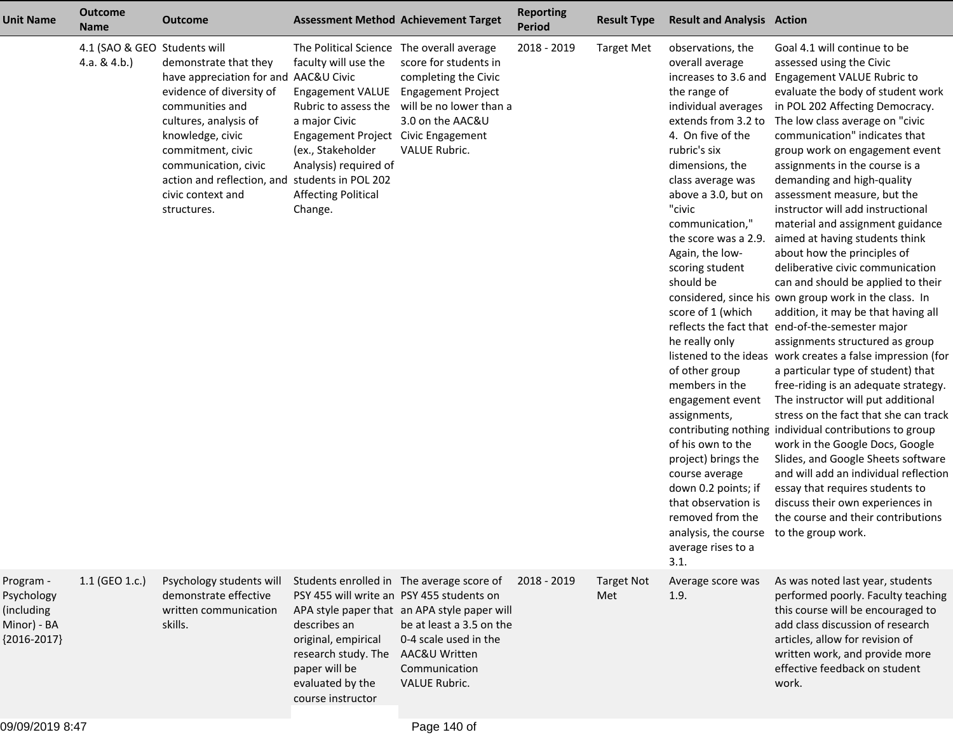| Unit Name                                                             | <b>Outcome</b><br><b>Name</b>                   | <b>Outcome</b>                                                                                                                                                                                                                                                                                | <b>Assessment Method Achievement Target</b>                                                                                                                                                                                                             |                                                                                                                                                                                  | <b>Reporting</b><br><b>Period</b> | <b>Result Type</b>       | <b>Result and Analysis Action</b>                                                                                                                                                                                                                                                                                                                                                                                                                                                                                                                                                                                                                              |                                                                                                                                                                                                                                                                                                                                                                                                                                                                                                                                                                                                                                                                                                                                                                                                                                                                                                                                                                                                                                                                                                                                                                                                                                                                                                    |
|-----------------------------------------------------------------------|-------------------------------------------------|-----------------------------------------------------------------------------------------------------------------------------------------------------------------------------------------------------------------------------------------------------------------------------------------------|---------------------------------------------------------------------------------------------------------------------------------------------------------------------------------------------------------------------------------------------------------|----------------------------------------------------------------------------------------------------------------------------------------------------------------------------------|-----------------------------------|--------------------------|----------------------------------------------------------------------------------------------------------------------------------------------------------------------------------------------------------------------------------------------------------------------------------------------------------------------------------------------------------------------------------------------------------------------------------------------------------------------------------------------------------------------------------------------------------------------------------------------------------------------------------------------------------------|----------------------------------------------------------------------------------------------------------------------------------------------------------------------------------------------------------------------------------------------------------------------------------------------------------------------------------------------------------------------------------------------------------------------------------------------------------------------------------------------------------------------------------------------------------------------------------------------------------------------------------------------------------------------------------------------------------------------------------------------------------------------------------------------------------------------------------------------------------------------------------------------------------------------------------------------------------------------------------------------------------------------------------------------------------------------------------------------------------------------------------------------------------------------------------------------------------------------------------------------------------------------------------------------------|
|                                                                       | 4.1 (SAO & GEO Students will<br>4.a. & $4.b.$ ) | demonstrate that they<br>have appreciation for and AAC&U Civic<br>evidence of diversity of<br>communities and<br>cultures, analysis of<br>knowledge, civic<br>commitment, civic<br>communication, civic<br>action and reflection, and students in POL 202<br>civic context and<br>structures. | The Political Science The overall average<br>faculty will use the<br>Engagement VALUE Engagement Project<br>a major Civic<br>Engagement Project Civic Engagement<br>(ex., Stakeholder<br>Analysis) required of<br><b>Affecting Political</b><br>Change. | score for students in<br>completing the Civic<br>Rubric to assess the will be no lower than a<br>3.0 on the AAC&U<br><b>VALUE Rubric.</b>                                        | 2018 - 2019                       | <b>Target Met</b>        | observations, the<br>overall average<br>increases to 3.6 and<br>the range of<br>individual averages<br>extends from 3.2 to<br>4. On five of the<br>rubric's six<br>dimensions, the<br>class average was<br>above a 3.0, but on<br>"civic<br>communication,"<br>the score was a 2.9.<br>Again, the low-<br>scoring student<br>should be<br>score of 1 (which<br>he really only<br>of other group<br>members in the<br>engagement event<br>assignments,<br>of his own to the<br>project) brings the<br>course average<br>down 0.2 points; if<br>that observation is<br>removed from the<br>analysis, the course to the group work.<br>average rises to a<br>3.1. | Goal 4.1 will continue to be<br>assessed using the Civic<br>Engagement VALUE Rubric to<br>evaluate the body of student work<br>in POL 202 Affecting Democracy.<br>The low class average on "civic<br>communication" indicates that<br>group work on engagement event<br>assignments in the course is a<br>demanding and high-quality<br>assessment measure, but the<br>instructor will add instructional<br>material and assignment guidance<br>aimed at having students think<br>about how the principles of<br>deliberative civic communication<br>can and should be applied to their<br>considered, since his own group work in the class. In<br>addition, it may be that having all<br>reflects the fact that end-of-the-semester major<br>assignments structured as group<br>listened to the ideas work creates a false impression (for<br>a particular type of student) that<br>free-riding is an adequate strategy.<br>The instructor will put additional<br>stress on the fact that she can track<br>contributing nothing individual contributions to group<br>work in the Google Docs, Google<br>Slides, and Google Sheets software<br>and will add an individual reflection<br>essay that requires students to<br>discuss their own experiences in<br>the course and their contributions |
| Program -<br>Psychology<br>(including<br>Minor) - BA<br>${2016-2017}$ | 1.1 (GEO 1.c.)                                  | Psychology students will<br>demonstrate effective<br>written communication<br>skills.                                                                                                                                                                                                         | PSY 455 will write an PSY 455 students on<br>describes an<br>original, empirical<br>research study. The AAC&U Written<br>paper will be<br>evaluated by the<br>course instructor                                                                         | Students enrolled in The average score of<br>APA style paper that an APA style paper will<br>be at least a 3.5 on the<br>0-4 scale used in the<br>Communication<br>VALUE Rubric. | 2018 - 2019                       | <b>Target Not</b><br>Met | Average score was<br>1.9.                                                                                                                                                                                                                                                                                                                                                                                                                                                                                                                                                                                                                                      | As was noted last year, students<br>performed poorly. Faculty teaching<br>this course will be encouraged to<br>add class discussion of research<br>articles, allow for revision of<br>written work, and provide more<br>effective feedback on student<br>work.                                                                                                                                                                                                                                                                                                                                                                                                                                                                                                                                                                                                                                                                                                                                                                                                                                                                                                                                                                                                                                     |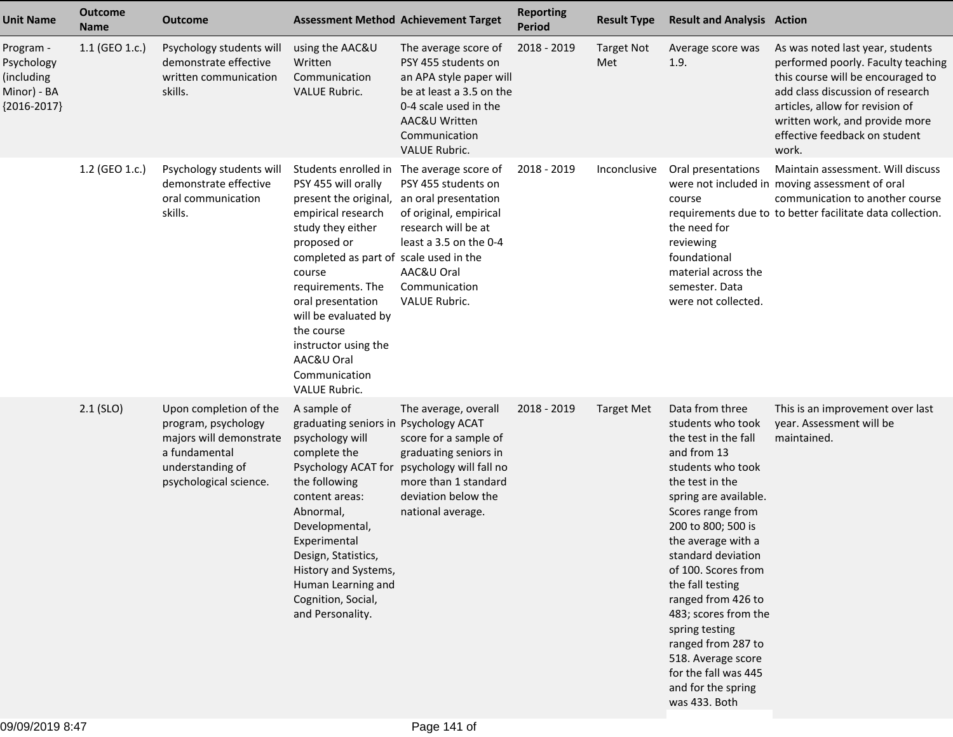| <b>Unit Name</b>                                                      | <b>Outcome</b><br><b>Name</b> | <b>Outcome</b>                                                                                                                          | <b>Assessment Method Achievement Target</b>                                                                                                                                                                                                                                                                                                                                                 |                                                                                                                                                                                       | <b>Reporting</b><br><b>Period</b> | <b>Result Type</b>       | <b>Result and Analysis Action</b>                                                                                                                                                                                                                                                                                                                                                                                                                         |                                                                                                                                                                                                                                                                |
|-----------------------------------------------------------------------|-------------------------------|-----------------------------------------------------------------------------------------------------------------------------------------|---------------------------------------------------------------------------------------------------------------------------------------------------------------------------------------------------------------------------------------------------------------------------------------------------------------------------------------------------------------------------------------------|---------------------------------------------------------------------------------------------------------------------------------------------------------------------------------------|-----------------------------------|--------------------------|-----------------------------------------------------------------------------------------------------------------------------------------------------------------------------------------------------------------------------------------------------------------------------------------------------------------------------------------------------------------------------------------------------------------------------------------------------------|----------------------------------------------------------------------------------------------------------------------------------------------------------------------------------------------------------------------------------------------------------------|
| Program -<br>Psychology<br>(including<br>Minor) - BA<br>${2016-2017}$ | 1.1 (GEO 1.c.)                | Psychology students will<br>demonstrate effective<br>written communication<br>skills.                                                   | using the AAC&U<br>Written<br>Communication<br><b>VALUE Rubric.</b>                                                                                                                                                                                                                                                                                                                         | The average score of<br>PSY 455 students on<br>an APA style paper will<br>be at least a 3.5 on the<br>0-4 scale used in the<br>AAC&U Written<br>Communication<br><b>VALUE Rubric.</b> | 2018 - 2019                       | <b>Target Not</b><br>Met | Average score was<br>1.9.                                                                                                                                                                                                                                                                                                                                                                                                                                 | As was noted last year, students<br>performed poorly. Faculty teaching<br>this course will be encouraged to<br>add class discussion of research<br>articles, allow for revision of<br>written work, and provide more<br>effective feedback on student<br>work. |
|                                                                       | 1.2 (GEO 1.c.)                | Psychology students will<br>demonstrate effective<br>oral communication<br>skills.                                                      | Students enrolled in The average score of<br>PSY 455 will orally<br>present the original, an oral presentation<br>empirical research<br>study they either<br>proposed or<br>completed as part of scale used in the<br>course<br>requirements. The<br>oral presentation<br>will be evaluated by<br>the course<br>instructor using the<br>AAC&U Oral<br>Communication<br><b>VALUE Rubric.</b> | PSY 455 students on<br>of original, empirical<br>research will be at<br>least a 3.5 on the 0-4<br>AAC&U Oral<br>Communication<br>VALUE Rubric.                                        | 2018 - 2019                       | Inconclusive             | Oral presentations<br>course<br>the need for<br>reviewing<br>foundational<br>material across the<br>semester. Data<br>were not collected.                                                                                                                                                                                                                                                                                                                 | Maintain assessment. Will discuss<br>were not included in moving assessment of oral<br>communication to another course<br>requirements due to to better facilitate data collection.                                                                            |
|                                                                       | $2.1$ (SLO)                   | Upon completion of the<br>program, psychology<br>majors will demonstrate<br>a fundamental<br>understanding of<br>psychological science. | A sample of<br>graduating seniors in Psychology ACAT<br>psychology will<br>complete the<br>Psychology ACAT for<br>the following<br>content areas:<br>Abnormal,<br>Developmental,<br>Experimental<br>Design, Statistics,<br>History and Systems,<br>Human Learning and<br>Cognition, Social,<br>and Personality.                                                                             | The average, overall<br>score for a sample of<br>graduating seniors in<br>psychology will fall no<br>more than 1 standard<br>deviation below the<br>national average.                 | 2018 - 2019                       | <b>Target Met</b>        | Data from three<br>students who took<br>the test in the fall<br>and from 13<br>students who took<br>the test in the<br>spring are available.<br>Scores range from<br>200 to 800; 500 is<br>the average with a<br>standard deviation<br>of 100. Scores from<br>the fall testing<br>ranged from 426 to<br>483; scores from the<br>spring testing<br>ranged from 287 to<br>518. Average score<br>for the fall was 445<br>and for the spring<br>was 433. Both | This is an improvement over last<br>year. Assessment will be<br>maintained.                                                                                                                                                                                    |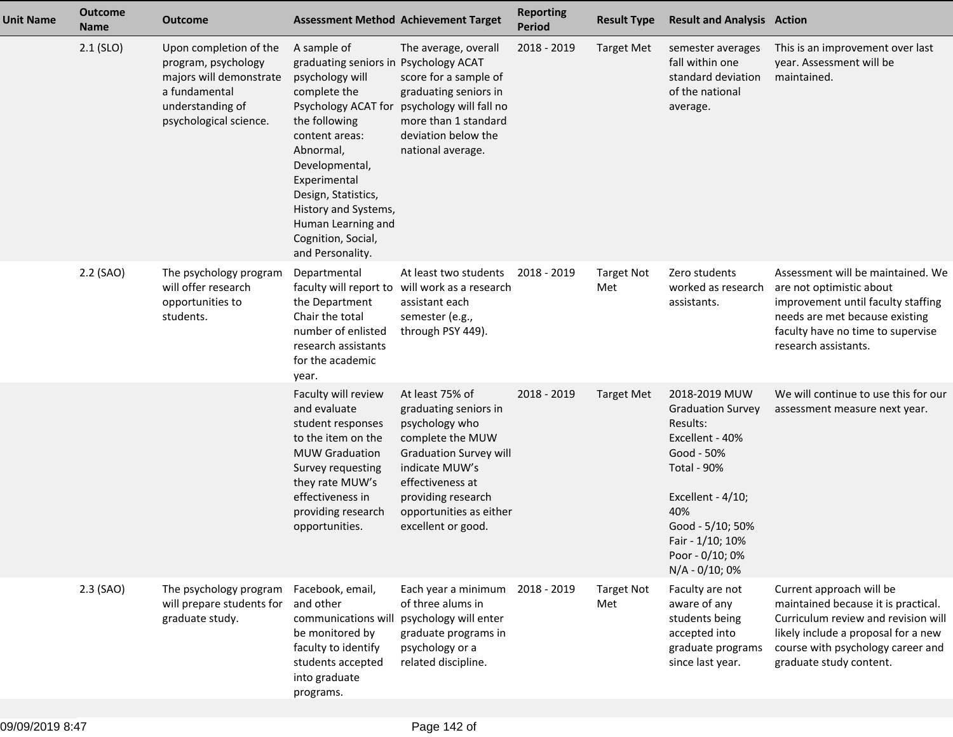| <b>Unit Name</b> | <b>Outcome</b><br><b>Name</b> | <b>Outcome</b>                                                                                                                          | <b>Assessment Method Achievement Target</b>                                                                                                                                                                                                                                                                     |                                                                                                                                                                                                                              | <b>Reporting</b><br><b>Period</b> | <b>Result Type</b>       | <b>Result and Analysis Action</b>                                                                                                                                                                                     |                                                                                                                                                                                                               |
|------------------|-------------------------------|-----------------------------------------------------------------------------------------------------------------------------------------|-----------------------------------------------------------------------------------------------------------------------------------------------------------------------------------------------------------------------------------------------------------------------------------------------------------------|------------------------------------------------------------------------------------------------------------------------------------------------------------------------------------------------------------------------------|-----------------------------------|--------------------------|-----------------------------------------------------------------------------------------------------------------------------------------------------------------------------------------------------------------------|---------------------------------------------------------------------------------------------------------------------------------------------------------------------------------------------------------------|
|                  | $2.1$ (SLO)                   | Upon completion of the<br>program, psychology<br>majors will demonstrate<br>a fundamental<br>understanding of<br>psychological science. | A sample of<br>graduating seniors in Psychology ACAT<br>psychology will<br>complete the<br>Psychology ACAT for<br>the following<br>content areas:<br>Abnormal,<br>Developmental,<br>Experimental<br>Design, Statistics,<br>History and Systems,<br>Human Learning and<br>Cognition, Social,<br>and Personality. | The average, overall<br>score for a sample of<br>graduating seniors in<br>psychology will fall no<br>more than 1 standard<br>deviation below the<br>national average.                                                        | 2018 - 2019                       | <b>Target Met</b>        | semester averages<br>fall within one<br>standard deviation<br>of the national<br>average.                                                                                                                             | This is an improvement over last<br>year. Assessment will be<br>maintained.                                                                                                                                   |
|                  | 2.2 (SAO)                     | The psychology program<br>will offer research<br>opportunities to<br>students.                                                          | Departmental<br>faculty will report to<br>the Department<br>Chair the total<br>number of enlisted<br>research assistants<br>for the academic<br>year.                                                                                                                                                           | At least two students<br>will work as a research<br>assistant each<br>semester (e.g.,<br>through PSY 449).                                                                                                                   | 2018 - 2019                       | <b>Target Not</b><br>Met | Zero students<br>worked as research<br>assistants.                                                                                                                                                                    | Assessment will be maintained. We<br>are not optimistic about<br>improvement until faculty staffing<br>needs are met because existing<br>faculty have no time to supervise<br>research assistants.            |
|                  |                               |                                                                                                                                         | Faculty will review<br>and evaluate<br>student responses<br>to the item on the<br><b>MUW Graduation</b><br>Survey requesting<br>they rate MUW's<br>effectiveness in<br>providing research<br>opportunities.                                                                                                     | At least 75% of<br>graduating seniors in<br>psychology who<br>complete the MUW<br><b>Graduation Survey will</b><br>indicate MUW's<br>effectiveness at<br>providing research<br>opportunities as either<br>excellent or good. | 2018 - 2019                       | <b>Target Met</b>        | 2018-2019 MUW<br><b>Graduation Survey</b><br>Results:<br>Excellent - 40%<br>Good - 50%<br><b>Total - 90%</b><br>Excellent - 4/10;<br>40%<br>Good - 5/10; 50%<br>Fair - 1/10; 10%<br>Poor - 0/10; 0%<br>N/A - 0/10; 0% | We will continue to use this for our<br>assessment measure next year.                                                                                                                                         |
|                  | $2.3$ (SAO)                   | The psychology program<br>will prepare students for<br>graduate study.                                                                  | Facebook, email,<br>and other<br>communications will<br>be monitored by<br>faculty to identify<br>students accepted<br>into graduate<br>programs.                                                                                                                                                               | Each year a minimum<br>of three alums in<br>psychology will enter<br>graduate programs in<br>psychology or a<br>related discipline.                                                                                          | 2018 - 2019                       | <b>Target Not</b><br>Met | Faculty are not<br>aware of any<br>students being<br>accepted into<br>graduate programs<br>since last year.                                                                                                           | Current approach will be<br>maintained because it is practical.<br>Curriculum review and revision will<br>likely include a proposal for a new<br>course with psychology career and<br>graduate study content. |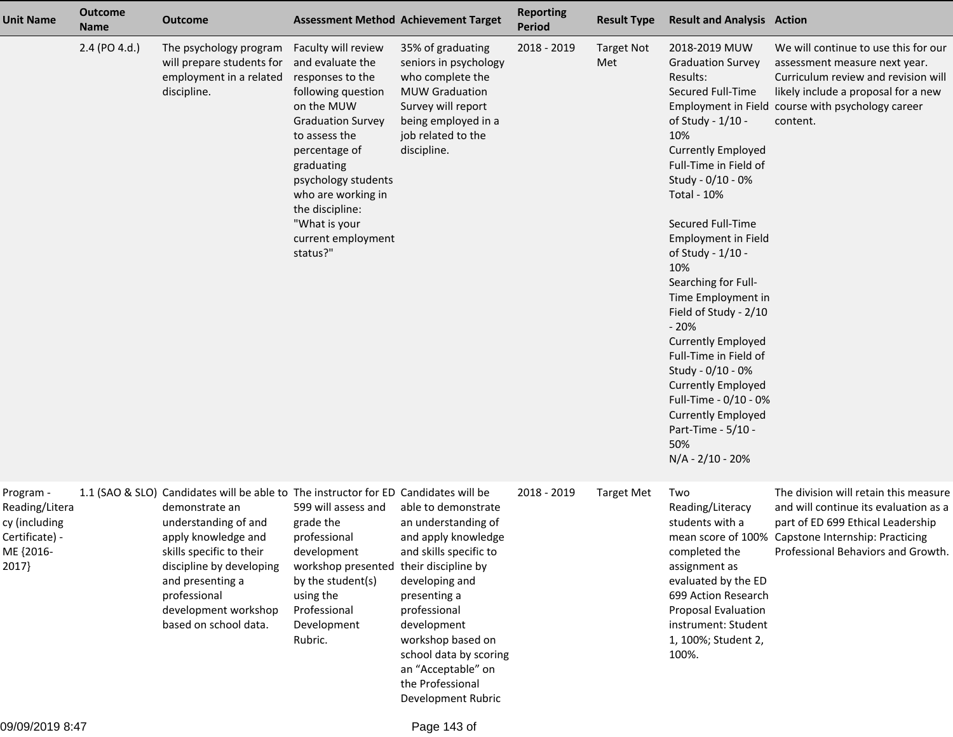| <b>Unit Name</b>                                                                     | <b>Outcome</b><br><b>Name</b> | <b>Outcome</b>                                                                                                                                                                                                                                                                                    |                                                                                                                                                                                                                                                                                                | <b>Assessment Method Achievement Target</b>                                                                                                                                                                                                                                 | <b>Reporting</b><br><b>Period</b> | <b>Result Type</b>       | <b>Result and Analysis Action</b>                                                                                                                                                                                                                                                                                                                                                                                                                                                                                                                                                       |                                                                                                                                                                                                                      |
|--------------------------------------------------------------------------------------|-------------------------------|---------------------------------------------------------------------------------------------------------------------------------------------------------------------------------------------------------------------------------------------------------------------------------------------------|------------------------------------------------------------------------------------------------------------------------------------------------------------------------------------------------------------------------------------------------------------------------------------------------|-----------------------------------------------------------------------------------------------------------------------------------------------------------------------------------------------------------------------------------------------------------------------------|-----------------------------------|--------------------------|-----------------------------------------------------------------------------------------------------------------------------------------------------------------------------------------------------------------------------------------------------------------------------------------------------------------------------------------------------------------------------------------------------------------------------------------------------------------------------------------------------------------------------------------------------------------------------------------|----------------------------------------------------------------------------------------------------------------------------------------------------------------------------------------------------------------------|
|                                                                                      | 2.4 (PO 4.d.)                 | The psychology program<br>will prepare students for<br>employment in a related<br>discipline.                                                                                                                                                                                                     | Faculty will review<br>and evaluate the<br>responses to the<br>following question<br>on the MUW<br><b>Graduation Survey</b><br>to assess the<br>percentage of<br>graduating<br>psychology students<br>who are working in<br>the discipline:<br>"What is your<br>current employment<br>status?" | 35% of graduating<br>seniors in psychology<br>who complete the<br><b>MUW Graduation</b><br>Survey will report<br>being employed in a<br>job related to the<br>discipline.                                                                                                   | 2018 - 2019                       | <b>Target Not</b><br>Met | 2018-2019 MUW<br><b>Graduation Survey</b><br>Results:<br>Secured Full-Time<br>of Study - 1/10 -<br>10%<br><b>Currently Employed</b><br>Full-Time in Field of<br>Study - 0/10 - 0%<br><b>Total - 10%</b><br>Secured Full-Time<br><b>Employment in Field</b><br>of Study - 1/10 -<br>10%<br>Searching for Full-<br>Time Employment in<br>Field of Study - 2/10<br>$-20%$<br><b>Currently Employed</b><br>Full-Time in Field of<br>Study - 0/10 - 0%<br><b>Currently Employed</b><br>Full-Time - 0/10 - 0%<br><b>Currently Employed</b><br>Part-Time - 5/10 -<br>50%<br>$N/A - 2/10 - 20%$ | We will continue to use this for our<br>assessment measure next year.<br>Curriculum review and revision will<br>likely include a proposal for a new<br>Employment in Field course with psychology career<br>content. |
| Program -<br>Reading/Litera<br>cy (including<br>Certificate) -<br>ME {2016-<br>2017} |                               | 1.1 (SAO & SLO) Candidates will be able to The instructor for ED Candidates will be<br>demonstrate an<br>understanding of and<br>apply knowledge and<br>skills specific to their<br>discipline by developing<br>and presenting a<br>professional<br>development workshop<br>based on school data. | 599 will assess and<br>grade the<br>professional<br>development<br>workshop presented their discipline by<br>by the student(s)<br>using the<br>Professional<br>Development<br>Rubric.                                                                                                          | able to demonstrate<br>an understanding of<br>and apply knowledge<br>and skills specific to<br>developing and<br>presenting a<br>professional<br>development<br>workshop based on<br>school data by scoring<br>an "Acceptable" on<br>the Professional<br>Development Rubric | 2018 - 2019                       | <b>Target Met</b>        | Two<br>Reading/Literacy<br>students with a<br>completed the<br>assignment as<br>evaluated by the ED<br>699 Action Research<br><b>Proposal Evaluation</b><br>instrument: Student<br>1, 100%; Student 2,<br>100%.                                                                                                                                                                                                                                                                                                                                                                         | The division will retain this measure<br>and will continue its evaluation as a<br>part of ED 699 Ethical Leadership<br>mean score of 100% Capstone Internship: Practicing<br>Professional Behaviors and Growth.      |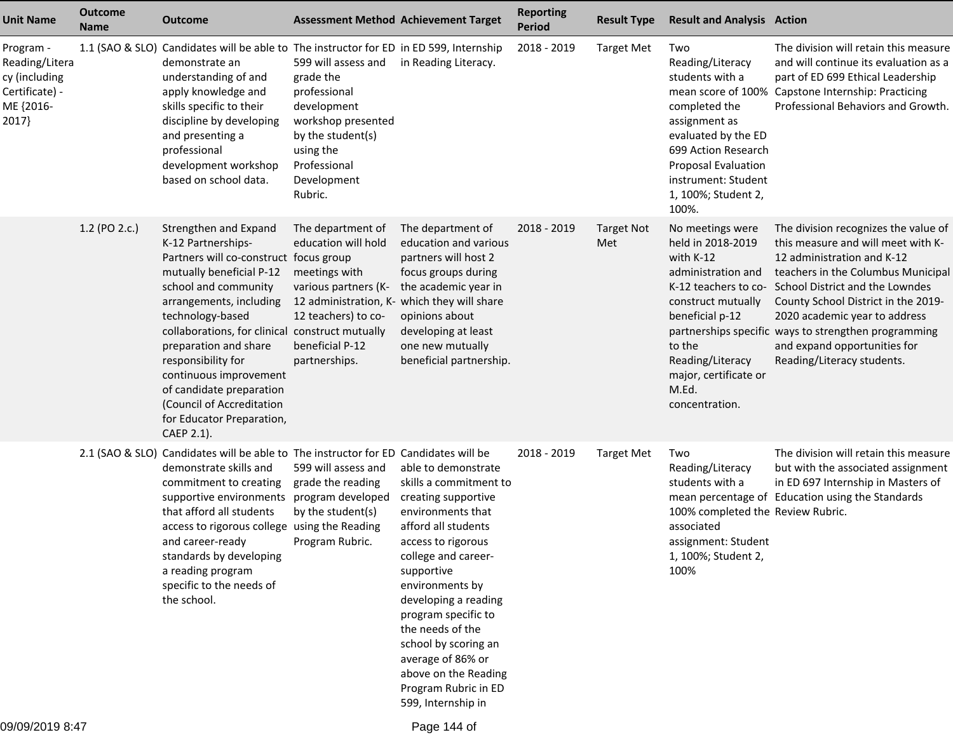| <b>Unit Name</b>                                                                     | <b>Outcome</b><br><b>Name</b> | <b>Outcome</b>                                                                                                                                                                                                                                                                                                                                                                                                           | <b>Assessment Method Achievement Target</b>                                                                                                                                                 |                                                                                                                                                                                                                                                                                                                                                                                      | <b>Reporting</b><br><b>Period</b> | <b>Result Type</b>       | <b>Result and Analysis Action</b>                                                                                                                                                                                           |                                                                                                                                                                                                                                                                                                                                                                                 |
|--------------------------------------------------------------------------------------|-------------------------------|--------------------------------------------------------------------------------------------------------------------------------------------------------------------------------------------------------------------------------------------------------------------------------------------------------------------------------------------------------------------------------------------------------------------------|---------------------------------------------------------------------------------------------------------------------------------------------------------------------------------------------|--------------------------------------------------------------------------------------------------------------------------------------------------------------------------------------------------------------------------------------------------------------------------------------------------------------------------------------------------------------------------------------|-----------------------------------|--------------------------|-----------------------------------------------------------------------------------------------------------------------------------------------------------------------------------------------------------------------------|---------------------------------------------------------------------------------------------------------------------------------------------------------------------------------------------------------------------------------------------------------------------------------------------------------------------------------------------------------------------------------|
| Program -<br>Reading/Litera<br>cy (including<br>Certificate) -<br>ME {2016-<br>2017} |                               | 1.1 (SAO & SLO) Candidates will be able to The instructor for ED in ED 599, Internship<br>demonstrate an<br>understanding of and<br>apply knowledge and<br>skills specific to their<br>discipline by developing<br>and presenting a<br>professional<br>development workshop<br>based on school data.                                                                                                                     | 599 will assess and<br>grade the<br>professional<br>development<br>workshop presented<br>by the student(s)<br>using the<br>Professional<br>Development<br>Rubric.                           | in Reading Literacy.                                                                                                                                                                                                                                                                                                                                                                 | 2018 - 2019                       | <b>Target Met</b>        | Two<br>Reading/Literacy<br>students with a<br>completed the<br>assignment as<br>evaluated by the ED<br>699 Action Research<br>Proposal Evaluation<br>instrument: Student<br>1, 100%; Student 2,<br>100%.                    | The division will retain this measure<br>and will continue its evaluation as a<br>part of ED 699 Ethical Leadership<br>mean score of 100% Capstone Internship: Practicing<br>Professional Behaviors and Growth.                                                                                                                                                                 |
|                                                                                      | 1.2 (PO 2.c.)                 | Strengthen and Expand<br>K-12 Partnerships-<br>Partners will co-construct focus group<br>mutually beneficial P-12<br>school and community<br>arrangements, including<br>technology-based<br>collaborations, for clinical construct mutually<br>preparation and share<br>responsibility for<br>continuous improvement<br>of candidate preparation<br>(Council of Accreditation<br>for Educator Preparation,<br>CAEP 2.1). | The department of<br>education will hold<br>meetings with<br>various partners (K-<br>12 administration, K- which they will share<br>12 teachers) to co-<br>beneficial P-12<br>partnerships. | The department of<br>education and various<br>partners will host 2<br>focus groups during<br>the academic year in<br>opinions about<br>developing at least<br>one new mutually<br>beneficial partnership.                                                                                                                                                                            | 2018 - 2019                       | <b>Target Not</b><br>Met | No meetings were<br>held in 2018-2019<br>with K-12<br>administration and<br>K-12 teachers to co-<br>construct mutually<br>beneficial p-12<br>to the<br>Reading/Literacy<br>major, certificate or<br>M.Ed.<br>concentration. | The division recognizes the value of<br>this measure and will meet with K-<br>12 administration and K-12<br>teachers in the Columbus Municipal<br>School District and the Lowndes<br>County School District in the 2019-<br>2020 academic year to address<br>partnerships specific ways to strengthen programming<br>and expand opportunities for<br>Reading/Literacy students. |
|                                                                                      |                               | 2.1 (SAO & SLO) Candidates will be able to The instructor for ED Candidates will be<br>demonstrate skills and<br>commitment to creating<br>supportive environments<br>that afford all students<br>access to rigorous college using the Reading<br>and career-ready<br>standards by developing<br>a reading program<br>specific to the needs of<br>the school.                                                            | 599 will assess and<br>grade the reading<br>program developed<br>by the student(s)<br>Program Rubric.                                                                                       | able to demonstrate<br>skills a commitment to<br>creating supportive<br>environments that<br>afford all students<br>access to rigorous<br>college and career-<br>supportive<br>environments by<br>developing a reading<br>program specific to<br>the needs of the<br>school by scoring an<br>average of 86% or<br>above on the Reading<br>Program Rubric in ED<br>599, Internship in | 2018 - 2019                       | <b>Target Met</b>        | Two<br>Reading/Literacy<br>students with a<br>100% completed the Review Rubric.<br>associated<br>assignment: Student<br>1, 100%; Student 2,<br>100%                                                                         | The division will retain this measure<br>but with the associated assignment<br>in ED 697 Internship in Masters of<br>mean percentage of Education using the Standards                                                                                                                                                                                                           |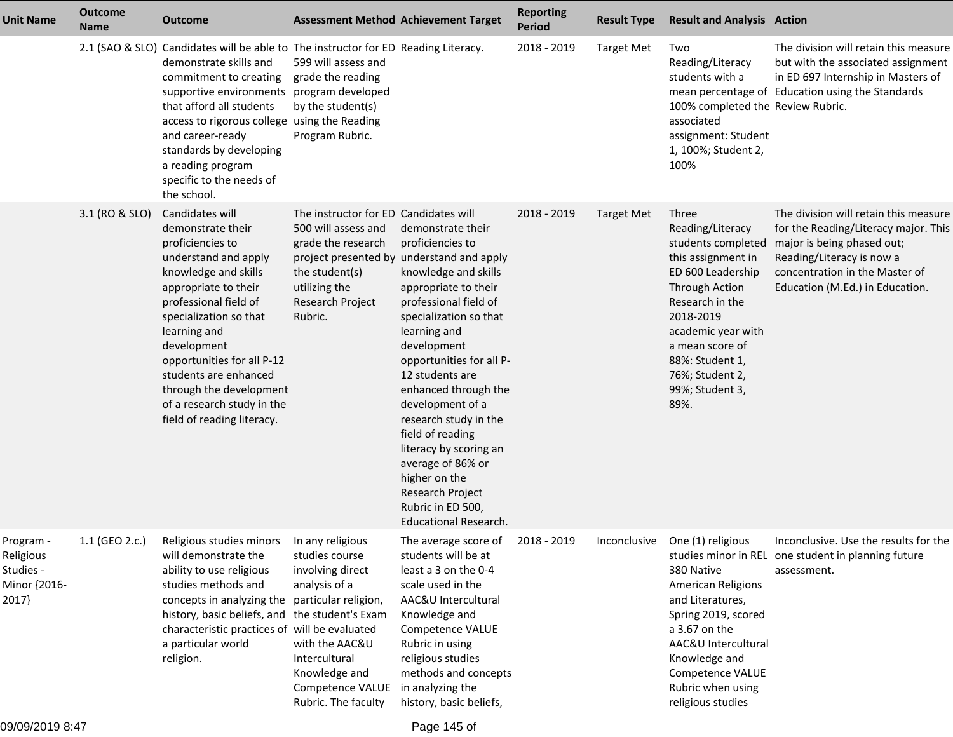| <b>Unit Name</b>                                             | <b>Outcome</b><br><b>Name</b> | <b>Outcome</b>                                                                                                                                                                                                                                                                                                                                                   | <b>Assessment Method Achievement Target</b>                                                                                                                         |                                                                                                                                                                                                                                                                                                                                                                                                                                                                                                       | <b>Reporting</b><br><b>Period</b> | <b>Result Type</b> | <b>Result and Analysis Action</b>                                                                                                                                                                                                                             |                                                                                                                                                                                                               |
|--------------------------------------------------------------|-------------------------------|------------------------------------------------------------------------------------------------------------------------------------------------------------------------------------------------------------------------------------------------------------------------------------------------------------------------------------------------------------------|---------------------------------------------------------------------------------------------------------------------------------------------------------------------|-------------------------------------------------------------------------------------------------------------------------------------------------------------------------------------------------------------------------------------------------------------------------------------------------------------------------------------------------------------------------------------------------------------------------------------------------------------------------------------------------------|-----------------------------------|--------------------|---------------------------------------------------------------------------------------------------------------------------------------------------------------------------------------------------------------------------------------------------------------|---------------------------------------------------------------------------------------------------------------------------------------------------------------------------------------------------------------|
|                                                              |                               | 2.1 (SAO & SLO) Candidates will be able to The instructor for ED Reading Literacy.<br>demonstrate skills and<br>commitment to creating<br>supportive environments<br>that afford all students<br>access to rigorous college using the Reading<br>and career-ready<br>standards by developing<br>a reading program<br>specific to the needs of<br>the school.     | 599 will assess and<br>grade the reading<br>program developed<br>by the student(s)<br>Program Rubric.                                                               |                                                                                                                                                                                                                                                                                                                                                                                                                                                                                                       | 2018 - 2019                       | <b>Target Met</b>  | Two<br>Reading/Literacy<br>students with a<br>100% completed the Review Rubric.<br>associated<br>assignment: Student<br>1, 100%; Student 2,<br>100%                                                                                                           | The division will retain this measure<br>but with the associated assignment<br>in ED 697 Internship in Masters of<br>mean percentage of Education using the Standards                                         |
|                                                              | 3.1 (RO & SLO)                | Candidates will<br>demonstrate their<br>proficiencies to<br>understand and apply<br>knowledge and skills<br>appropriate to their<br>professional field of<br>specialization so that<br>learning and<br>development<br>opportunities for all P-12<br>students are enhanced<br>through the development<br>of a research study in the<br>field of reading literacy. | The instructor for ED Candidates will<br>500 will assess and<br>grade the research<br>the student(s)<br>utilizing the<br>Research Project<br>Rubric.                | demonstrate their<br>proficiencies to<br>project presented by understand and apply<br>knowledge and skills<br>appropriate to their<br>professional field of<br>specialization so that<br>learning and<br>development<br>opportunities for all P-<br>12 students are<br>enhanced through the<br>development of a<br>research study in the<br>field of reading<br>literacy by scoring an<br>average of 86% or<br>higher on the<br>Research Project<br>Rubric in ED 500,<br><b>Educational Research.</b> | 2018 - 2019                       | <b>Target Met</b>  | Three<br>Reading/Literacy<br>students completed<br>this assignment in<br>ED 600 Leadership<br><b>Through Action</b><br>Research in the<br>2018-2019<br>academic year with<br>a mean score of<br>88%: Student 1,<br>76%; Student 2,<br>99%; Student 3,<br>89%. | The division will retain this measure<br>for the Reading/Literacy major. This<br>major is being phased out;<br>Reading/Literacy is now a<br>concentration in the Master of<br>Education (M.Ed.) in Education. |
| Program -<br>Religious<br>Studies -<br>Minor {2016-<br>2017} | 1.1 (GEO 2.c.)                | Religious studies minors  In any religious<br>will demonstrate the<br>ability to use religious<br>studies methods and<br>concepts in analyzing the particular religion,<br>history, basic beliefs, and the student's Exam<br>characteristic practices of will be evaluated<br>a particular world<br>religion.                                                    | studies course<br>involving direct<br>analysis of a<br>with the AAC&U<br>Intercultural<br>Knowledge and<br>Competence VALUE in analyzing the<br>Rubric. The faculty | The average score of 2018 - 2019<br>students will be at<br>least a 3 on the 0-4<br>scale used in the<br>AAC&U Intercultural<br>Knowledge and<br>Competence VALUE<br>Rubric in using<br>religious studies<br>methods and concepts<br>history, basic beliefs,                                                                                                                                                                                                                                           |                                   |                    | Inconclusive One (1) religious<br>380 Native<br>American Religions<br>and Literatures,<br>Spring 2019, scored<br>a 3.67 on the<br>AAC&U Intercultural<br>Knowledge and<br>Competence VALUE<br>Rubric when using<br>religious studies                          | Inconclusive. Use the results for the<br>studies minor in REL one student in planning future<br>assessment.                                                                                                   |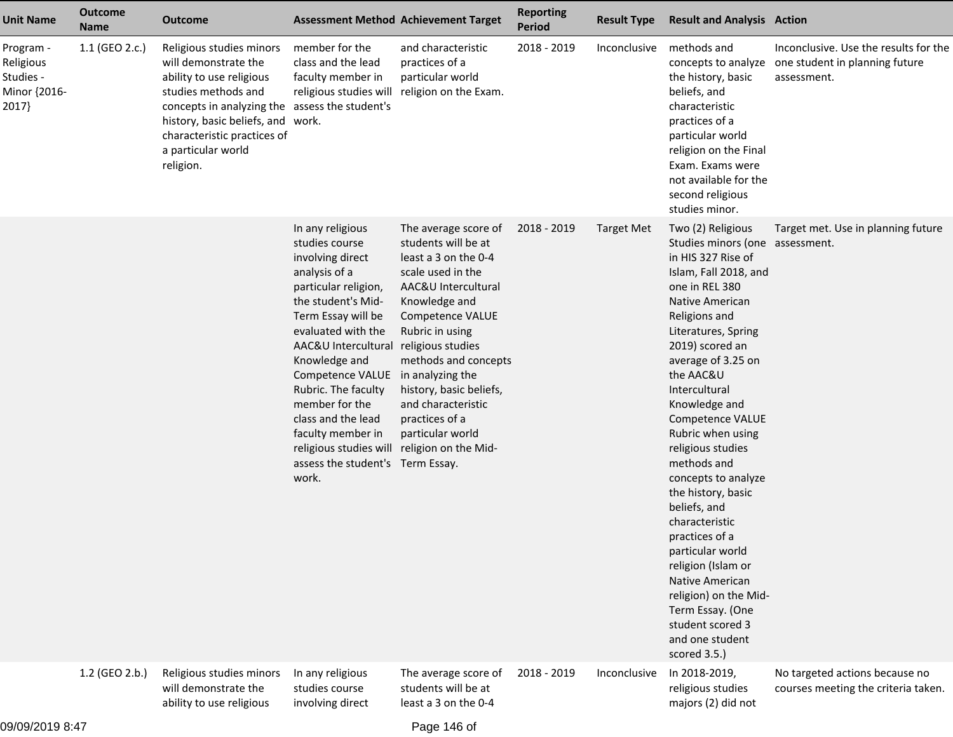| <b>Unit Name</b>                                             | <b>Outcome</b><br><b>Name</b> | <b>Outcome</b>                                                                                                                                                                                                                                               |                                                                                                                                                                                                                                                                                                                                                                                                               | <b>Assessment Method Achievement Target</b>                                                                                                                                                                                                                                                                                     | <b>Reporting</b><br><b>Period</b> | <b>Result Type</b> | <b>Result and Analysis Action</b>                                                                                                                                                                                                                                                                                                                                                                                                                                                                                                                                                                                       |                                                                                                            |
|--------------------------------------------------------------|-------------------------------|--------------------------------------------------------------------------------------------------------------------------------------------------------------------------------------------------------------------------------------------------------------|---------------------------------------------------------------------------------------------------------------------------------------------------------------------------------------------------------------------------------------------------------------------------------------------------------------------------------------------------------------------------------------------------------------|---------------------------------------------------------------------------------------------------------------------------------------------------------------------------------------------------------------------------------------------------------------------------------------------------------------------------------|-----------------------------------|--------------------|-------------------------------------------------------------------------------------------------------------------------------------------------------------------------------------------------------------------------------------------------------------------------------------------------------------------------------------------------------------------------------------------------------------------------------------------------------------------------------------------------------------------------------------------------------------------------------------------------------------------------|------------------------------------------------------------------------------------------------------------|
| Program -<br>Religious<br>Studies -<br>Minor {2016-<br>2017} | 1.1 (GEO 2.c.)                | Religious studies minors<br>will demonstrate the<br>ability to use religious<br>studies methods and<br>concepts in analyzing the assess the student's<br>history, basic beliefs, and work.<br>characteristic practices of<br>a particular world<br>religion. | member for the<br>class and the lead<br>faculty member in<br>religious studies will                                                                                                                                                                                                                                                                                                                           | and characteristic<br>practices of a<br>particular world<br>religion on the Exam.                                                                                                                                                                                                                                               | 2018 - 2019                       | Inconclusive       | methods and<br>the history, basic<br>beliefs, and<br>characteristic<br>practices of a<br>particular world<br>religion on the Final<br>Exam. Exams were<br>not available for the<br>second religious<br>studies minor.                                                                                                                                                                                                                                                                                                                                                                                                   | Inconclusive. Use the results for the<br>concepts to analyze one student in planning future<br>assessment. |
|                                                              |                               |                                                                                                                                                                                                                                                              | In any religious<br>studies course<br>involving direct<br>analysis of a<br>particular religion,<br>the student's Mid-<br>Term Essay will be<br>evaluated with the<br>AAC&U Intercultural<br>Knowledge and<br>Competence VALUE<br>Rubric. The faculty<br>member for the<br>class and the lead<br>faculty member in<br>religious studies will religion on the Mid-<br>assess the student's Term Essay.<br>work. | The average score of<br>students will be at<br>least a 3 on the 0-4<br>scale used in the<br>AAC&U Intercultural<br>Knowledge and<br>Competence VALUE<br>Rubric in using<br>religious studies<br>methods and concepts<br>in analyzing the<br>history, basic beliefs,<br>and characteristic<br>practices of a<br>particular world | 2018 - 2019                       | <b>Target Met</b>  | Two (2) Religious<br>Studies minors (one assessment.<br>in HIS 327 Rise of<br>Islam, Fall 2018, and<br>one in REL 380<br>Native American<br>Religions and<br>Literatures, Spring<br>2019) scored an<br>average of 3.25 on<br>the AAC&U<br>Intercultural<br>Knowledge and<br>Competence VALUE<br>Rubric when using<br>religious studies<br>methods and<br>concepts to analyze<br>the history, basic<br>beliefs, and<br>characteristic<br>practices of a<br>particular world<br>religion (Islam or<br>Native American<br>religion) on the Mid-<br>Term Essay. (One<br>student scored 3<br>and one student<br>scored 3.5.) | Target met. Use in planning future                                                                         |
|                                                              | 1.2 (GEO 2.b.)                | Religious studies minors<br>will demonstrate the<br>ability to use religious                                                                                                                                                                                 | In any religious<br>studies course<br>involving direct                                                                                                                                                                                                                                                                                                                                                        | The average score of<br>students will be at<br>least a 3 on the 0-4                                                                                                                                                                                                                                                             | 2018 - 2019                       | Inconclusive       | In 2018-2019,<br>religious studies<br>majors (2) did not                                                                                                                                                                                                                                                                                                                                                                                                                                                                                                                                                                | No targeted actions because no<br>courses meeting the criteria taken.                                      |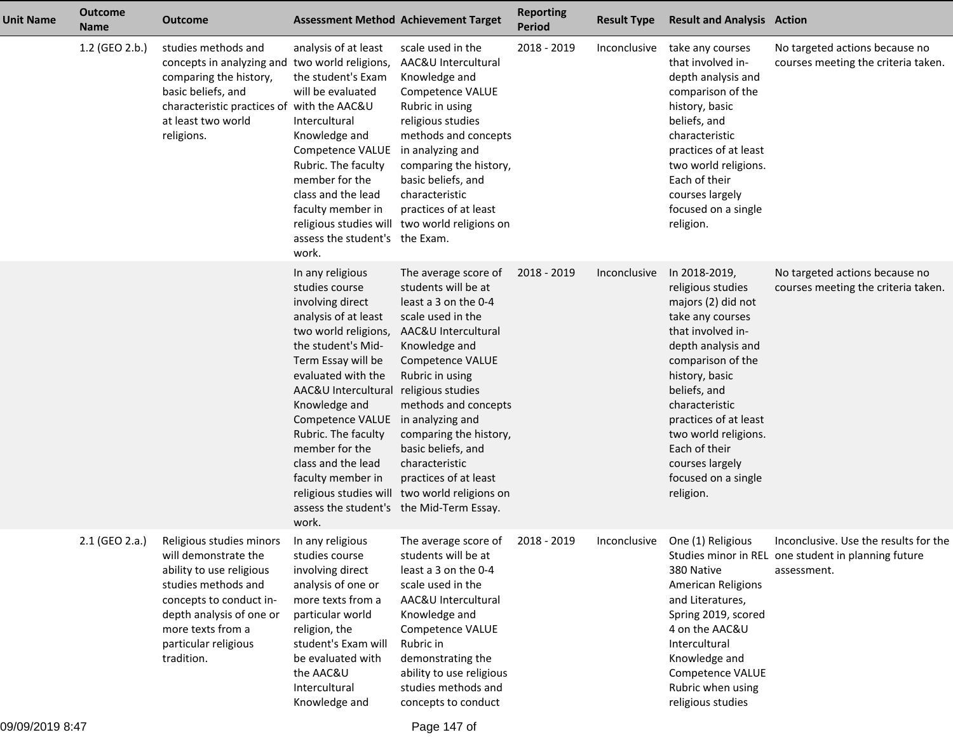| <b>Unit Name</b> | <b>Outcome</b><br><b>Name</b> | Outcome                                                                                                                                                                                                               | <b>Assessment Method Achievement Target</b>                                                                                                                                                                                                                                                                                                                                   |                                                                                                                                                                                                                                                                                                                                                                                             | <b>Reporting</b><br>Period | <b>Result Type</b> | <b>Result and Analysis Action</b>                                                                                                                                                                                                                                                                                         |                                                                                                             |
|------------------|-------------------------------|-----------------------------------------------------------------------------------------------------------------------------------------------------------------------------------------------------------------------|-------------------------------------------------------------------------------------------------------------------------------------------------------------------------------------------------------------------------------------------------------------------------------------------------------------------------------------------------------------------------------|---------------------------------------------------------------------------------------------------------------------------------------------------------------------------------------------------------------------------------------------------------------------------------------------------------------------------------------------------------------------------------------------|----------------------------|--------------------|---------------------------------------------------------------------------------------------------------------------------------------------------------------------------------------------------------------------------------------------------------------------------------------------------------------------------|-------------------------------------------------------------------------------------------------------------|
|                  | 1.2 (GEO 2.b.)                | studies methods and<br>concepts in analyzing and two world religions,<br>comparing the history,<br>basic beliefs, and<br>characteristic practices of with the AAC&U<br>at least two world<br>religions.               | analysis of at least<br>the student's Exam<br>will be evaluated<br>Intercultural<br>Knowledge and<br>Competence VALUE<br>Rubric. The faculty<br>member for the<br>class and the lead<br>faculty member in<br>assess the student's the Exam.<br>work.                                                                                                                          | scale used in the<br>AAC&U Intercultural<br>Knowledge and<br>Competence VALUE<br>Rubric in using<br>religious studies<br>methods and concepts<br>in analyzing and<br>comparing the history,<br>basic beliefs, and<br>characteristic<br>practices of at least<br>religious studies will two world religions on                                                                               | 2018 - 2019                | Inconclusive       | take any courses<br>that involved in-<br>depth analysis and<br>comparison of the<br>history, basic<br>beliefs, and<br>characteristic<br>practices of at least<br>two world religions.<br>Each of their<br>courses largely<br>focused on a single<br>religion.                                                             | No targeted actions because no<br>courses meeting the criteria taken.                                       |
|                  |                               |                                                                                                                                                                                                                       | In any religious<br>studies course<br>involving direct<br>analysis of at least<br>two world religions,<br>the student's Mid-<br>Term Essay will be<br>evaluated with the<br>AAC&U Intercultural<br>Knowledge and<br>Competence VALUE<br>Rubric. The faculty<br>member for the<br>class and the lead<br>faculty member in<br>assess the student's the Mid-Term Essay.<br>work. | The average score of<br>students will be at<br>least a 3 on the 0-4<br>scale used in the<br>AAC&U Intercultural<br>Knowledge and<br><b>Competence VALUE</b><br>Rubric in using<br>religious studies<br>methods and concepts<br>in analyzing and<br>comparing the history,<br>basic beliefs, and<br>characteristic<br>practices of at least<br>religious studies will two world religions on | 2018 - 2019                | Inconclusive       | In 2018-2019,<br>religious studies<br>majors (2) did not<br>take any courses<br>that involved in-<br>depth analysis and<br>comparison of the<br>history, basic<br>beliefs, and<br>characteristic<br>practices of at least<br>two world religions.<br>Each of their<br>courses largely<br>focused on a single<br>religion. | No targeted actions because no<br>courses meeting the criteria taken.                                       |
|                  | $2.1$ (GEO 2.a.)              | Religious studies minors<br>will demonstrate the<br>ability to use religious<br>studies methods and<br>concepts to conduct in-<br>depth analysis of one or<br>more texts from a<br>particular religious<br>tradition. | In any religious<br>studies course<br>involving direct<br>analysis of one or<br>more texts from a<br>particular world<br>religion, the<br>student's Exam will<br>be evaluated with<br>the AAC&U<br>Intercultural<br>Knowledge and                                                                                                                                             | The average score of<br>students will be at<br>least a 3 on the 0-4<br>scale used in the<br>AAC&U Intercultural<br>Knowledge and<br>Competence VALUE<br>Rubric in<br>demonstrating the<br>ability to use religious<br>studies methods and<br>concepts to conduct                                                                                                                            | 2018 - 2019                | Inconclusive       | One (1) Religious<br>380 Native<br>American Religions<br>and Literatures,<br>Spring 2019, scored<br>4 on the AAC&U<br>Intercultural<br>Knowledge and<br>Competence VALUE<br>Rubric when using<br>religious studies                                                                                                        | Inconclusive. Use the results for the<br>Studies minor in REL one student in planning future<br>assessment. |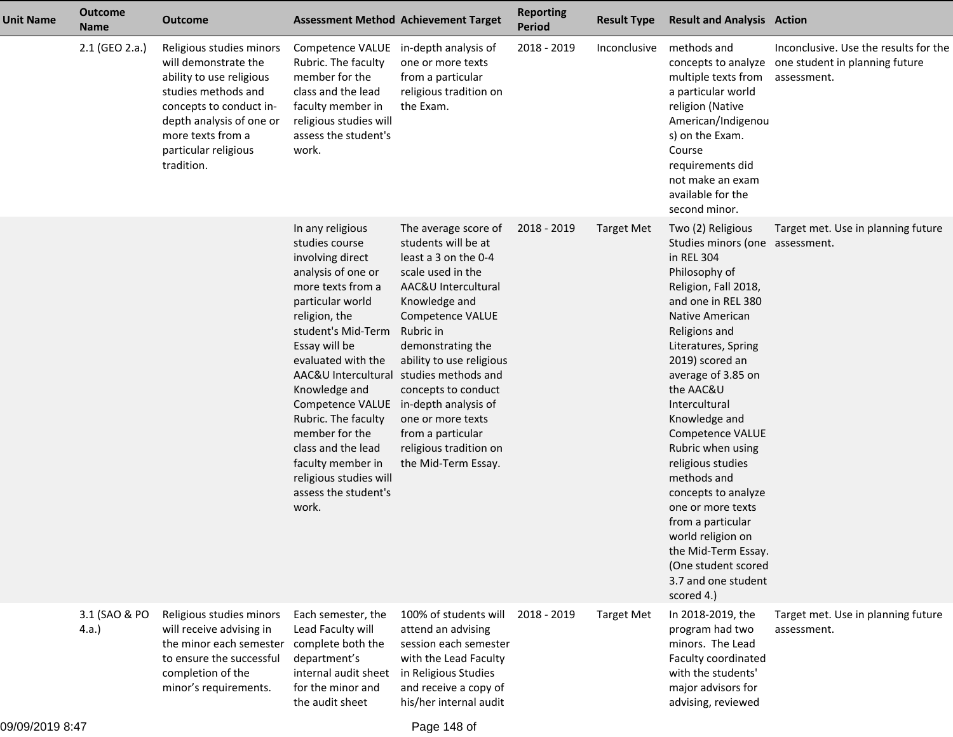| <b>Unit Name</b> | <b>Outcome</b><br><b>Name</b> | <b>Outcome</b>                                                                                                                                                                                                        | <b>Assessment Method Achievement Target</b>                                                                                                                                                                                                                                                                                                                                                                                                             |                                                                                                                                                                                                                                                                                                                                             | <b>Reporting</b><br><b>Period</b> | <b>Result Type</b> | <b>Result and Analysis Action</b>                                                                                                                                                                                                                                                                                                                                                                                                                                                                                                          |                                                                                                            |
|------------------|-------------------------------|-----------------------------------------------------------------------------------------------------------------------------------------------------------------------------------------------------------------------|---------------------------------------------------------------------------------------------------------------------------------------------------------------------------------------------------------------------------------------------------------------------------------------------------------------------------------------------------------------------------------------------------------------------------------------------------------|---------------------------------------------------------------------------------------------------------------------------------------------------------------------------------------------------------------------------------------------------------------------------------------------------------------------------------------------|-----------------------------------|--------------------|--------------------------------------------------------------------------------------------------------------------------------------------------------------------------------------------------------------------------------------------------------------------------------------------------------------------------------------------------------------------------------------------------------------------------------------------------------------------------------------------------------------------------------------------|------------------------------------------------------------------------------------------------------------|
|                  | 2.1 (GEO 2.a.)                | Religious studies minors<br>will demonstrate the<br>ability to use religious<br>studies methods and<br>concepts to conduct in-<br>depth analysis of one or<br>more texts from a<br>particular religious<br>tradition. | Competence VALUE in-depth analysis of<br>Rubric. The faculty<br>member for the<br>class and the lead<br>faculty member in<br>religious studies will<br>assess the student's<br>work.                                                                                                                                                                                                                                                                    | one or more texts<br>from a particular<br>religious tradition on<br>the Exam.                                                                                                                                                                                                                                                               | 2018 - 2019                       | Inconclusive       | methods and<br>multiple texts from<br>a particular world<br>religion (Native<br>American/Indigenou<br>s) on the Exam.<br>Course<br>requirements did<br>not make an exam<br>available for the<br>second minor.                                                                                                                                                                                                                                                                                                                              | Inconclusive. Use the results for the<br>concepts to analyze one student in planning future<br>assessment. |
|                  |                               |                                                                                                                                                                                                                       | In any religious<br>studies course<br>involving direct<br>analysis of one or<br>more texts from a<br>particular world<br>religion, the<br>student's Mid-Term<br>Essay will be<br>evaluated with the<br>AAC&U Intercultural studies methods and<br>Knowledge and<br>Competence VALUE in-depth analysis of<br>Rubric. The faculty<br>member for the<br>class and the lead<br>faculty member in<br>religious studies will<br>assess the student's<br>work. | The average score of<br>students will be at<br>least a 3 on the 0-4<br>scale used in the<br>AAC&U Intercultural<br>Knowledge and<br><b>Competence VALUE</b><br>Rubric in<br>demonstrating the<br>ability to use religious<br>concepts to conduct<br>one or more texts<br>from a particular<br>religious tradition on<br>the Mid-Term Essay. | 2018 - 2019                       | <b>Target Met</b>  | Two (2) Religious<br>Studies minors (one assessment.<br>in REL 304<br>Philosophy of<br>Religion, Fall 2018,<br>and one in REL 380<br>Native American<br>Religions and<br>Literatures, Spring<br>2019) scored an<br>average of 3.85 on<br>the AAC&U<br>Intercultural<br>Knowledge and<br>Competence VALUE<br>Rubric when using<br>religious studies<br>methods and<br>concepts to analyze<br>one or more texts<br>from a particular<br>world religion on<br>the Mid-Term Essay.<br>(One student scored<br>3.7 and one student<br>scored 4.) | Target met. Use in planning future                                                                         |
|                  | 3.1 (SAO & PO<br>4.a.         | Religious studies minors<br>will receive advising in<br>the minor each semester<br>to ensure the successful<br>completion of the<br>minor's requirements.                                                             | Each semester, the<br>Lead Faculty will<br>complete both the<br>department's<br>internal audit sheet<br>for the minor and<br>the audit sheet                                                                                                                                                                                                                                                                                                            | 100% of students will<br>attend an advising<br>session each semester<br>with the Lead Faculty<br>in Religious Studies<br>and receive a copy of<br>his/her internal audit                                                                                                                                                                    | 2018 - 2019                       | <b>Target Met</b>  | In 2018-2019, the<br>program had two<br>minors. The Lead<br>Faculty coordinated<br>with the students'<br>major advisors for<br>advising, reviewed                                                                                                                                                                                                                                                                                                                                                                                          | Target met. Use in planning future<br>assessment.                                                          |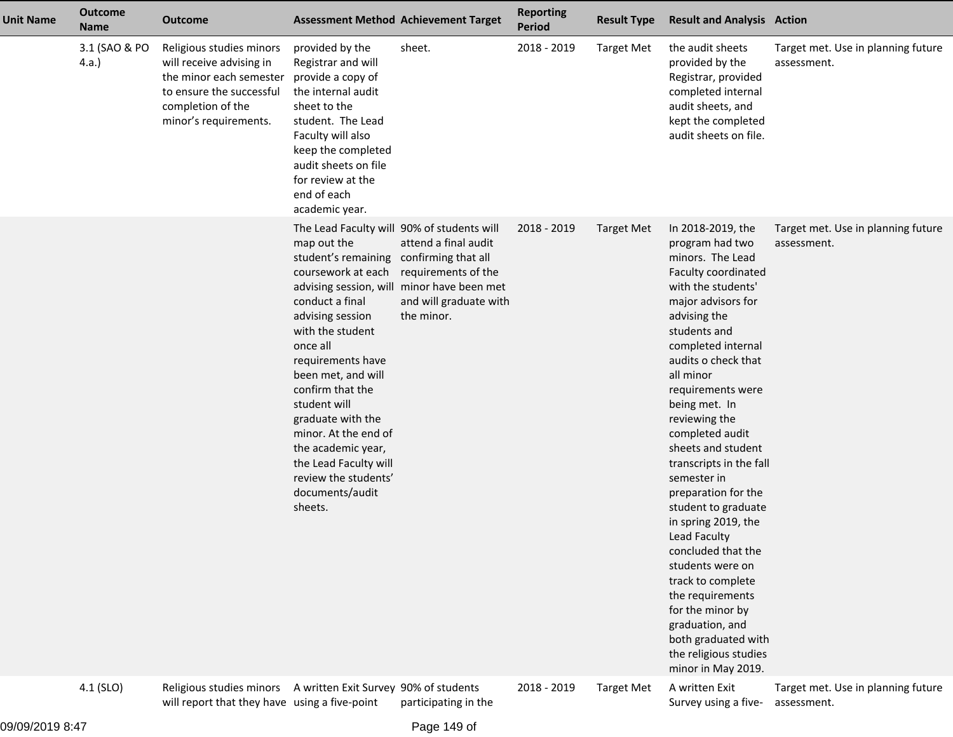| <b>Unit Name</b> | <b>Outcome</b><br><b>Name</b> | <b>Outcome</b>                                                                                                                                            |                                                                                                                                                                                                                                                                                                                                                                                                                                    | <b>Assessment Method Achievement Target</b>                                                                                       | <b>Reporting</b><br><b>Period</b> | <b>Result Type</b> | <b>Result and Analysis Action</b>                                                                                                                                                                                                                                                                                                                                                                                                                                                                                                                                                                                                                    |                                                   |
|------------------|-------------------------------|-----------------------------------------------------------------------------------------------------------------------------------------------------------|------------------------------------------------------------------------------------------------------------------------------------------------------------------------------------------------------------------------------------------------------------------------------------------------------------------------------------------------------------------------------------------------------------------------------------|-----------------------------------------------------------------------------------------------------------------------------------|-----------------------------------|--------------------|------------------------------------------------------------------------------------------------------------------------------------------------------------------------------------------------------------------------------------------------------------------------------------------------------------------------------------------------------------------------------------------------------------------------------------------------------------------------------------------------------------------------------------------------------------------------------------------------------------------------------------------------------|---------------------------------------------------|
|                  | 3.1 (SAO & PO<br>4.a.         | Religious studies minors<br>will receive advising in<br>the minor each semester<br>to ensure the successful<br>completion of the<br>minor's requirements. | provided by the<br>Registrar and will<br>provide a copy of<br>the internal audit<br>sheet to the<br>student. The Lead<br>Faculty will also<br>keep the completed<br>audit sheets on file<br>for review at the<br>end of each<br>academic year.                                                                                                                                                                                     | sheet.                                                                                                                            | 2018 - 2019                       | <b>Target Met</b>  | the audit sheets<br>provided by the<br>Registrar, provided<br>completed internal<br>audit sheets, and<br>kept the completed<br>audit sheets on file.                                                                                                                                                                                                                                                                                                                                                                                                                                                                                                 | Target met. Use in planning future<br>assessment. |
|                  |                               |                                                                                                                                                           | The Lead Faculty will 90% of students will<br>map out the<br>student's remaining confirming that all<br>coursework at each<br>conduct a final<br>advising session<br>with the student<br>once all<br>requirements have<br>been met, and will<br>confirm that the<br>student will<br>graduate with the<br>minor. At the end of<br>the academic year,<br>the Lead Faculty will<br>review the students'<br>documents/audit<br>sheets. | attend a final audit<br>requirements of the<br>advising session, will minor have been met<br>and will graduate with<br>the minor. | 2018 - 2019                       | <b>Target Met</b>  | In 2018-2019, the<br>program had two<br>minors. The Lead<br>Faculty coordinated<br>with the students'<br>major advisors for<br>advising the<br>students and<br>completed internal<br>audits o check that<br>all minor<br>requirements were<br>being met. In<br>reviewing the<br>completed audit<br>sheets and student<br>transcripts in the fall<br>semester in<br>preparation for the<br>student to graduate<br>in spring 2019, the<br>Lead Faculty<br>concluded that the<br>students were on<br>track to complete<br>the requirements<br>for the minor by<br>graduation, and<br>both graduated with<br>the religious studies<br>minor in May 2019. | Target met. Use in planning future<br>assessment. |
|                  | 4.1 (SLO)                     | Religious studies minors<br>will report that they have using a five-point                                                                                 | A written Exit Survey 90% of students                                                                                                                                                                                                                                                                                                                                                                                              | participating in the                                                                                                              | 2018 - 2019                       | <b>Target Met</b>  | A written Exit<br>Survey using a five-                                                                                                                                                                                                                                                                                                                                                                                                                                                                                                                                                                                                               | Target met. Use in planning future<br>assessment. |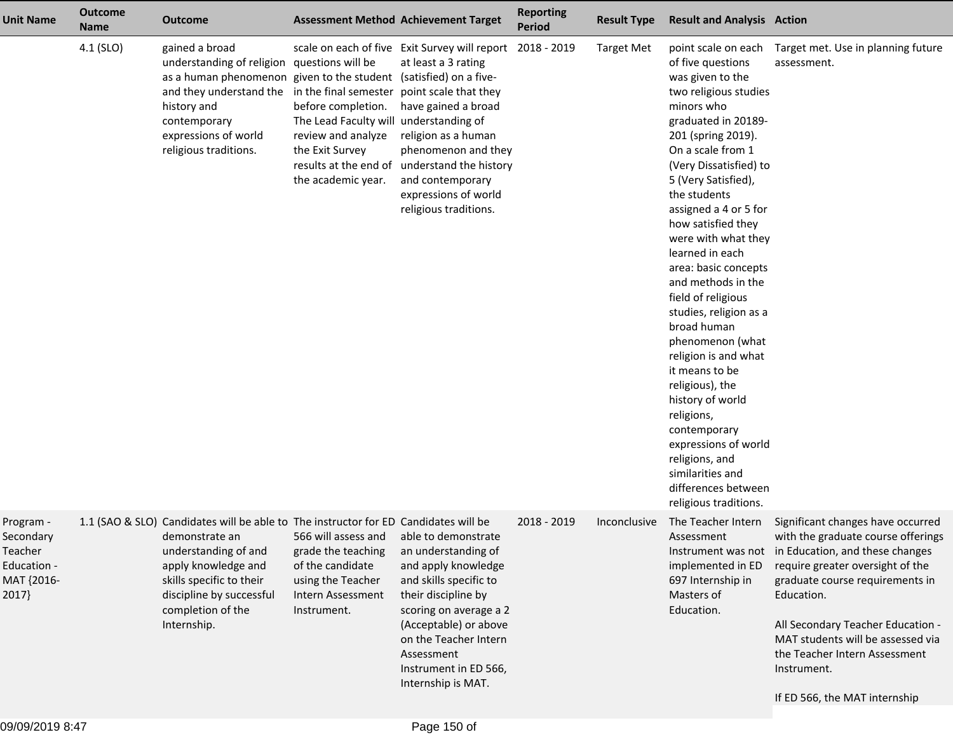| 4.1 (SLO)<br>scale on each of five Exit Survey will report 2018 - 2019<br>gained a broad<br><b>Target Met</b><br>point scale on each<br>understanding of religion questions will be<br>at least a 3 rating<br>of five questions<br>as a human phenomenon given to the student (satisfied) on a five-<br>was given to the<br>and they understand the in the final semester point scale that they<br>two religious studies<br>have gained a broad<br>history and<br>before completion.<br>minors who<br>The Lead Faculty will understanding of<br>graduated in 20189-<br>contemporary<br>expressions of world<br>review and analyze<br>religion as a human<br>201 (spring 2019).<br>On a scale from 1<br>religious traditions.<br>the Exit Survey<br>phenomenon and they<br>results at the end of<br>understand the history<br>(Very Dissatisfied) to<br>the academic year.<br>and contemporary<br>5 (Very Satisfied),<br>expressions of world<br>the students<br>religious traditions.<br>assigned a 4 or 5 for<br>how satisfied they<br>were with what they<br>learned in each<br>area: basic concepts<br>and methods in the<br>field of religious<br>studies, religion as a<br>broad human<br>phenomenon (what<br>religion is and what<br>it means to be<br>religious), the<br>history of world<br>religions,<br>contemporary<br>expressions of world<br>religions, and<br>similarities and<br>differences between<br>religious traditions.<br>1.1 (SAO & SLO) Candidates will be able to The instructor for ED Candidates will be<br>2018 - 2019<br>The Teacher Intern<br>Program -<br>Inconclusive<br>566 will assess and<br>able to demonstrate<br>demonstrate an<br>Assessment<br>Secondary<br>understanding of and<br>an understanding of<br>Instrument was not in Education, and these changes<br>Teacher<br>grade the teaching<br>apply knowledge and<br>of the candidate<br>and apply knowledge<br>Education -<br>implemented in ED<br>skills specific to their<br>and skills specific to<br>MAT {2016-<br>using the Teacher<br>697 Internship in<br>discipline by successful<br>their discipline by<br>Masters of<br>2017<br>Intern Assessment<br>Education.<br>completion of the<br>scoring on average a 2<br>Education.<br>Instrument.<br>Internship.<br>(Acceptable) or above<br>on the Teacher Intern<br>Assessment | <b>Unit Name</b> | <b>Outcome</b><br><b>Name</b> | <b>Outcome</b> | <b>Assessment Method Achievement Target</b> | <b>Reporting</b><br><b>Period</b> | <b>Result Type</b> | <b>Result and Analysis Action</b> |                                                                                                                                                                                                                                                                                                           |
|-----------------------------------------------------------------------------------------------------------------------------------------------------------------------------------------------------------------------------------------------------------------------------------------------------------------------------------------------------------------------------------------------------------------------------------------------------------------------------------------------------------------------------------------------------------------------------------------------------------------------------------------------------------------------------------------------------------------------------------------------------------------------------------------------------------------------------------------------------------------------------------------------------------------------------------------------------------------------------------------------------------------------------------------------------------------------------------------------------------------------------------------------------------------------------------------------------------------------------------------------------------------------------------------------------------------------------------------------------------------------------------------------------------------------------------------------------------------------------------------------------------------------------------------------------------------------------------------------------------------------------------------------------------------------------------------------------------------------------------------------------------------------------------------------------------------------------------------------------------------------------------------------------------------------------------------------------------------------------------------------------------------------------------------------------------------------------------------------------------------------------------------------------------------------------------------------------------------------------------------------------------------------------------------------------------------------------------|------------------|-------------------------------|----------------|---------------------------------------------|-----------------------------------|--------------------|-----------------------------------|-----------------------------------------------------------------------------------------------------------------------------------------------------------------------------------------------------------------------------------------------------------------------------------------------------------|
|                                                                                                                                                                                                                                                                                                                                                                                                                                                                                                                                                                                                                                                                                                                                                                                                                                                                                                                                                                                                                                                                                                                                                                                                                                                                                                                                                                                                                                                                                                                                                                                                                                                                                                                                                                                                                                                                                                                                                                                                                                                                                                                                                                                                                                                                                                                                   |                  |                               |                |                                             |                                   |                    |                                   | Target met. Use in planning future<br>assessment.                                                                                                                                                                                                                                                         |
| Internship is MAT.                                                                                                                                                                                                                                                                                                                                                                                                                                                                                                                                                                                                                                                                                                                                                                                                                                                                                                                                                                                                                                                                                                                                                                                                                                                                                                                                                                                                                                                                                                                                                                                                                                                                                                                                                                                                                                                                                                                                                                                                                                                                                                                                                                                                                                                                                                                |                  |                               |                | Instrument in ED 566,                       |                                   |                    |                                   | Significant changes have occurred<br>with the graduate course offerings<br>require greater oversight of the<br>graduate course requirements in<br>All Secondary Teacher Education -<br>MAT students will be assessed via<br>the Teacher Intern Assessment<br>Instrument.<br>If ED 566, the MAT internship |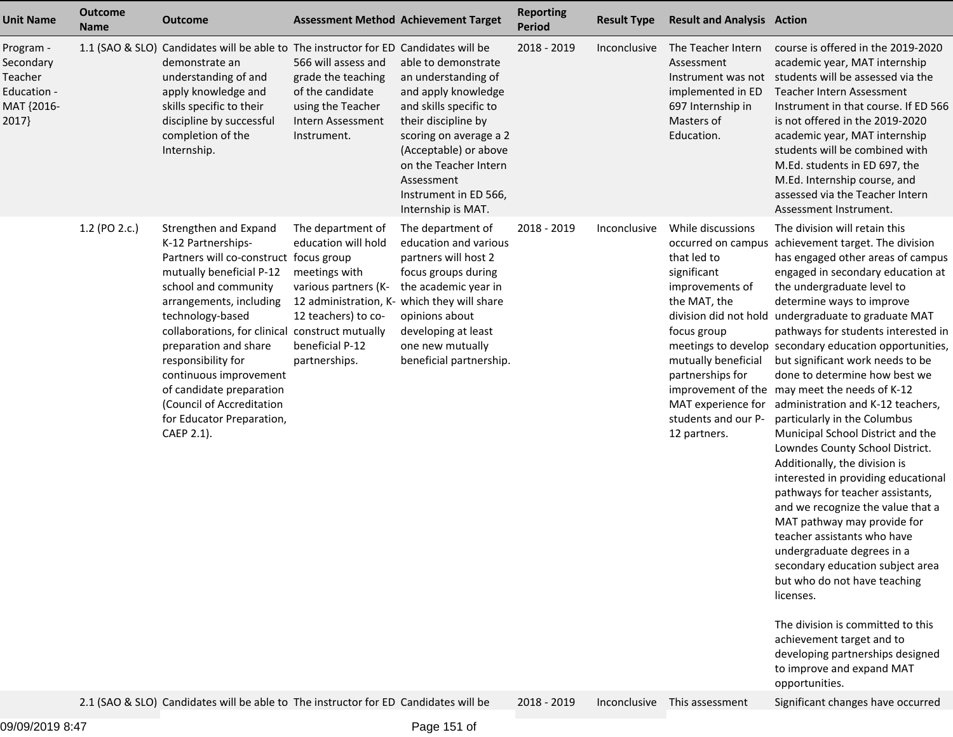| <b>Unit Name</b>                                                        | <b>Outcome</b><br><b>Name</b> | <b>Outcome</b>                                                                                                                                                                                                                                                                                                                                                                                                           | <b>Assessment Method Achievement Target</b>                                                                                                                                                 |                                                                                                                                                                                                                                                             | <b>Reporting</b><br><b>Period</b> | <b>Result Type</b> | <b>Result and Analysis Action</b>                                                                                                                                                                         |                                                                                                                                                                                                                                                                                                                                                                                                                                                                                                                                                                                                                                                                                                                                                                                                                                                                                                                                                                                                                                                                                                                                         |
|-------------------------------------------------------------------------|-------------------------------|--------------------------------------------------------------------------------------------------------------------------------------------------------------------------------------------------------------------------------------------------------------------------------------------------------------------------------------------------------------------------------------------------------------------------|---------------------------------------------------------------------------------------------------------------------------------------------------------------------------------------------|-------------------------------------------------------------------------------------------------------------------------------------------------------------------------------------------------------------------------------------------------------------|-----------------------------------|--------------------|-----------------------------------------------------------------------------------------------------------------------------------------------------------------------------------------------------------|-----------------------------------------------------------------------------------------------------------------------------------------------------------------------------------------------------------------------------------------------------------------------------------------------------------------------------------------------------------------------------------------------------------------------------------------------------------------------------------------------------------------------------------------------------------------------------------------------------------------------------------------------------------------------------------------------------------------------------------------------------------------------------------------------------------------------------------------------------------------------------------------------------------------------------------------------------------------------------------------------------------------------------------------------------------------------------------------------------------------------------------------|
| Program -<br>Secondary<br>Teacher<br>Education -<br>MAT {2016-<br>2017} |                               | 1.1 (SAO & SLO) Candidates will be able to The instructor for ED Candidates will be<br>demonstrate an<br>understanding of and<br>apply knowledge and<br>skills specific to their<br>discipline by successful<br>completion of the<br>Internship.                                                                                                                                                                         | 566 will assess and<br>grade the teaching<br>of the candidate<br>using the Teacher<br>Intern Assessment<br>Instrument.                                                                      | able to demonstrate<br>an understanding of<br>and apply knowledge<br>and skills specific to<br>their discipline by<br>scoring on average a 2<br>(Acceptable) or above<br>on the Teacher Intern<br>Assessment<br>Instrument in ED 566,<br>Internship is MAT. | 2018 - 2019                       | Inconclusive       | The Teacher Intern<br>Assessment<br>Instrument was not<br>implemented in ED<br>697 Internship in<br>Masters of<br>Education.                                                                              | course is offered in the 2019-2020<br>academic year, MAT internship<br>students will be assessed via the<br>Teacher Intern Assessment<br>Instrument in that course. If ED 566<br>is not offered in the 2019-2020<br>academic year, MAT internship<br>students will be combined with<br>M.Ed. students in ED 697, the<br>M.Ed. Internship course, and<br>assessed via the Teacher Intern<br>Assessment Instrument.                                                                                                                                                                                                                                                                                                                                                                                                                                                                                                                                                                                                                                                                                                                       |
|                                                                         | 1.2 (PO 2.c.)                 | Strengthen and Expand<br>K-12 Partnerships-<br>Partners will co-construct focus group<br>mutually beneficial P-12<br>school and community<br>arrangements, including<br>technology-based<br>collaborations, for clinical construct mutually<br>preparation and share<br>responsibility for<br>continuous improvement<br>of candidate preparation<br>(Council of Accreditation<br>for Educator Preparation,<br>CAEP 2.1). | The department of<br>education will hold<br>meetings with<br>various partners (K-<br>12 administration, K- which they will share<br>12 teachers) to co-<br>beneficial P-12<br>partnerships. | The department of<br>education and various<br>partners will host 2<br>focus groups during<br>the academic year in<br>opinions about<br>developing at least<br>one new mutually<br>beneficial partnership.                                                   | 2018 - 2019                       | Inconclusive       | While discussions<br>that led to<br>significant<br>improvements of<br>the MAT, the<br>focus group<br>mutually beneficial<br>partnerships for<br>MAT experience for<br>students and our P-<br>12 partners. | The division will retain this<br>occurred on campus achievement target. The division<br>has engaged other areas of campus<br>engaged in secondary education at<br>the undergraduate level to<br>determine ways to improve<br>division did not hold undergraduate to graduate MAT<br>pathways for students interested in<br>meetings to develop secondary education opportunities,<br>but significant work needs to be<br>done to determine how best we<br>improvement of the may meet the needs of K-12<br>administration and K-12 teachers,<br>particularly in the Columbus<br>Municipal School District and the<br>Lowndes County School District.<br>Additionally, the division is<br>interested in providing educational<br>pathways for teacher assistants,<br>and we recognize the value that a<br>MAT pathway may provide for<br>teacher assistants who have<br>undergraduate degrees in a<br>secondary education subject area<br>but who do not have teaching<br>licenses.<br>The division is committed to this<br>achievement target and to<br>developing partnerships designed<br>to improve and expand MAT<br>opportunities. |
|                                                                         |                               | 2.1 (SAO & SLO) Candidates will be able to The instructor for ED Candidates will be                                                                                                                                                                                                                                                                                                                                      |                                                                                                                                                                                             |                                                                                                                                                                                                                                                             | 2018 - 2019                       | Inconclusive       | This assessment                                                                                                                                                                                           | Significant changes have occurred                                                                                                                                                                                                                                                                                                                                                                                                                                                                                                                                                                                                                                                                                                                                                                                                                                                                                                                                                                                                                                                                                                       |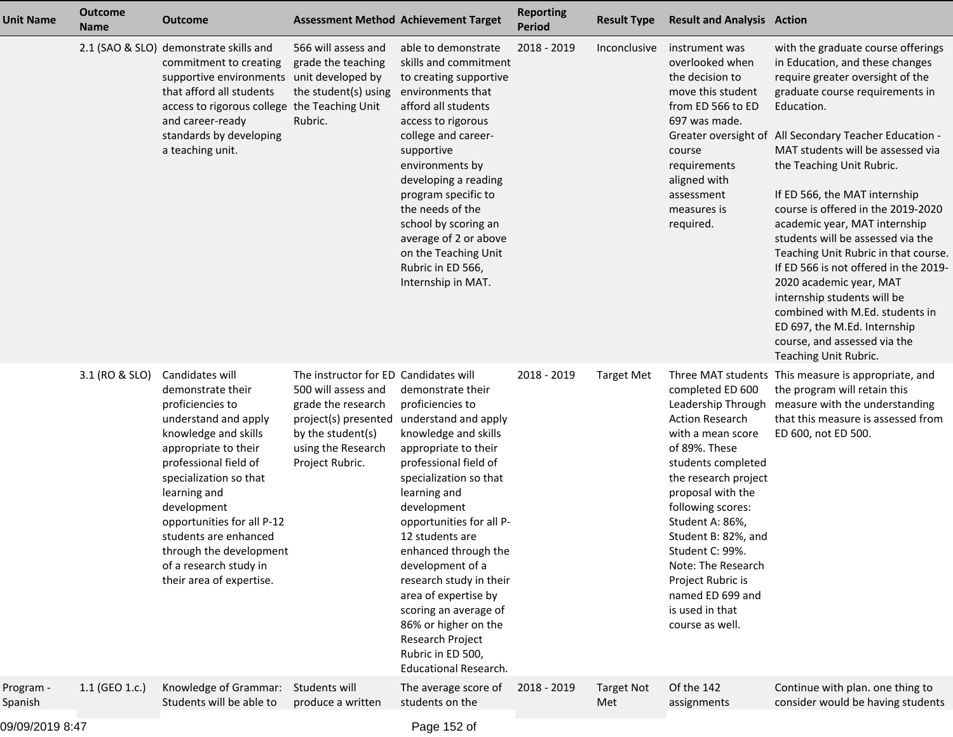| <b>Unit Name</b>     | <b>Outcome</b><br><b>Name</b> | <b>Outcome</b>                                                                                                                                                                                                                                                                                                                                             |                                                                                                                                                                          | <b>Assessment Method Achievement Target</b>                                                                                                                                                                                                                                                                                                                                                                                                                             | <b>Reporting</b><br><b>Period</b> | <b>Result Type</b>       | <b>Result and Analysis Action</b>                                                                                                                                                                                                                                                                                                          |                                                                                                                                                                                                                                                                                                                                                                                                                                                                                                                                                                                                                                                                                                            |
|----------------------|-------------------------------|------------------------------------------------------------------------------------------------------------------------------------------------------------------------------------------------------------------------------------------------------------------------------------------------------------------------------------------------------------|--------------------------------------------------------------------------------------------------------------------------------------------------------------------------|-------------------------------------------------------------------------------------------------------------------------------------------------------------------------------------------------------------------------------------------------------------------------------------------------------------------------------------------------------------------------------------------------------------------------------------------------------------------------|-----------------------------------|--------------------------|--------------------------------------------------------------------------------------------------------------------------------------------------------------------------------------------------------------------------------------------------------------------------------------------------------------------------------------------|------------------------------------------------------------------------------------------------------------------------------------------------------------------------------------------------------------------------------------------------------------------------------------------------------------------------------------------------------------------------------------------------------------------------------------------------------------------------------------------------------------------------------------------------------------------------------------------------------------------------------------------------------------------------------------------------------------|
|                      |                               | 2.1 (SAO & SLO) demonstrate skills and<br>commitment to creating<br>supportive environments unit developed by<br>that afford all students<br>access to rigorous college the Teaching Unit<br>and career-ready<br>standards by developing<br>a teaching unit.                                                                                               | 566 will assess and<br>grade the teaching<br>the student(s) using<br>Rubric.                                                                                             | able to demonstrate<br>skills and commitment<br>to creating supportive<br>environments that<br>afford all students<br>access to rigorous<br>college and career-<br>supportive<br>environments by<br>developing a reading<br>program specific to<br>the needs of the<br>school by scoring an<br>average of 2 or above<br>on the Teaching Unit<br>Rubric in ED 566,<br>Internship in MAT.                                                                                 | 2018 - 2019                       | Inconclusive             | instrument was<br>overlooked when<br>the decision to<br>move this student<br>from ED 566 to ED<br>697 was made.<br>course<br>requirements<br>aligned with<br>assessment<br>measures is<br>required.                                                                                                                                        | with the graduate course offerings<br>in Education, and these changes<br>require greater oversight of the<br>graduate course requirements in<br>Education.<br>Greater oversight of All Secondary Teacher Education -<br>MAT students will be assessed via<br>the Teaching Unit Rubric.<br>If ED 566, the MAT internship<br>course is offered in the 2019-2020<br>academic year, MAT internship<br>students will be assessed via the<br>Teaching Unit Rubric in that course.<br>If ED 566 is not offered in the 2019-<br>2020 academic year, MAT<br>internship students will be<br>combined with M.Ed. students in<br>ED 697, the M.Ed. Internship<br>course, and assessed via the<br>Teaching Unit Rubric. |
|                      | 3.1 (RO & SLO)                | Candidates will<br>demonstrate their<br>proficiencies to<br>understand and apply<br>knowledge and skills<br>appropriate to their<br>professional field of<br>specialization so that<br>learning and<br>development<br>opportunities for all P-12<br>students are enhanced<br>through the development<br>of a research study in<br>their area of expertise. | The instructor for ED Candidates will<br>500 will assess and<br>grade the research<br>project(s) presented<br>by the student(s)<br>using the Research<br>Project Rubric. | demonstrate their<br>proficiencies to<br>understand and apply<br>knowledge and skills<br>appropriate to their<br>professional field of<br>specialization so that<br>learning and<br>development<br>opportunities for all P-<br>12 students are<br>enhanced through the<br>development of a<br>research study in their<br>area of expertise by<br>scoring an average of<br>86% or higher on the<br>Research Project<br>Rubric in ED 500,<br><b>Educational Research.</b> | 2018 - 2019                       | <b>Target Met</b>        | completed ED 600<br><b>Action Research</b><br>with a mean score<br>of 89%. These<br>students completed<br>the research project<br>proposal with the<br>following scores:<br>Student A: 86%,<br>Student B: 82%, and<br>Student C: 99%.<br>Note: The Research<br>Project Rubric is<br>named ED 699 and<br>is used in that<br>course as well. | Three MAT students This measure is appropriate, and<br>the program will retain this<br>Leadership Through measure with the understanding<br>that this measure is assessed from<br>ED 600, not ED 500.                                                                                                                                                                                                                                                                                                                                                                                                                                                                                                      |
| Program -<br>Spanish | 1.1 (GEO 1.c.)                | Knowledge of Grammar:<br>Students will be able to                                                                                                                                                                                                                                                                                                          | Students will<br>produce a written                                                                                                                                       | The average score of<br>students on the                                                                                                                                                                                                                                                                                                                                                                                                                                 | 2018 - 2019                       | <b>Target Not</b><br>Met | Of the 142<br>assignments                                                                                                                                                                                                                                                                                                                  | Continue with plan. one thing to<br>consider would be having students                                                                                                                                                                                                                                                                                                                                                                                                                                                                                                                                                                                                                                      |
|                      |                               |                                                                                                                                                                                                                                                                                                                                                            |                                                                                                                                                                          |                                                                                                                                                                                                                                                                                                                                                                                                                                                                         |                                   |                          |                                                                                                                                                                                                                                                                                                                                            |                                                                                                                                                                                                                                                                                                                                                                                                                                                                                                                                                                                                                                                                                                            |

09/09/2019 8:47

Page 152 of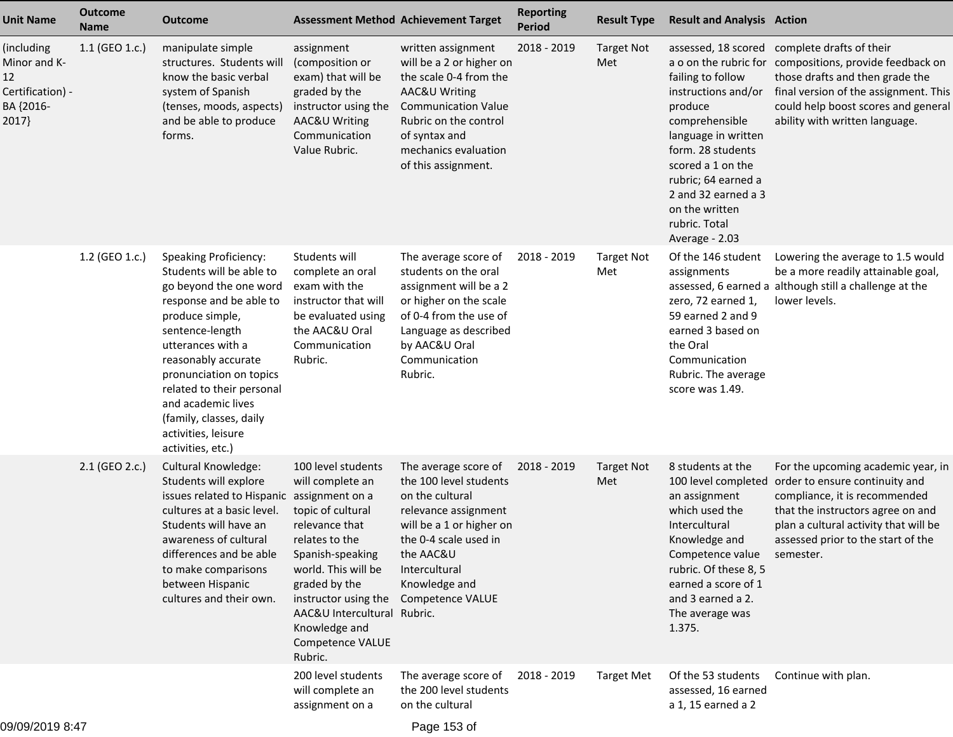| <b>Unit Name</b>                                                           | <b>Outcome</b><br><b>Name</b> | <b>Outcome</b>                                                                                                                                                                                                                                                                                                                                       | <b>Assessment Method Achievement Target</b>                                                                                                                                                                                                                               |                                                                                                                                                                                                                          | <b>Reporting</b><br><b>Period</b> | <b>Result Type</b>       | <b>Result and Analysis Action</b>                                                                                                                                                                                                                                |                                                                                                                                                                                                                                          |
|----------------------------------------------------------------------------|-------------------------------|------------------------------------------------------------------------------------------------------------------------------------------------------------------------------------------------------------------------------------------------------------------------------------------------------------------------------------------------------|---------------------------------------------------------------------------------------------------------------------------------------------------------------------------------------------------------------------------------------------------------------------------|--------------------------------------------------------------------------------------------------------------------------------------------------------------------------------------------------------------------------|-----------------------------------|--------------------------|------------------------------------------------------------------------------------------------------------------------------------------------------------------------------------------------------------------------------------------------------------------|------------------------------------------------------------------------------------------------------------------------------------------------------------------------------------------------------------------------------------------|
| (including<br>Minor and K-<br>12<br>Certification) -<br>BA {2016-<br>2017} | 1.1 (GEO 1.c.)                | manipulate simple<br>structures. Students will<br>know the basic verbal<br>system of Spanish<br>(tenses, moods, aspects)<br>and be able to produce<br>forms.                                                                                                                                                                                         | assignment<br>(composition or<br>exam) that will be<br>graded by the<br>instructor using the<br>AAC&U Writing<br>Communication<br>Value Rubric.                                                                                                                           | written assignment<br>will be a 2 or higher on<br>the scale 0-4 from the<br>AAC&U Writing<br><b>Communication Value</b><br>Rubric on the control<br>of syntax and<br>mechanics evaluation<br>of this assignment.         | 2018 - 2019                       | <b>Target Not</b><br>Met | assessed, 18 scored<br>failing to follow<br>instructions and/or<br>produce<br>comprehensible<br>language in written<br>form. 28 students<br>scored a 1 on the<br>rubric; 64 earned a<br>2 and 32 earned a 3<br>on the written<br>rubric. Total<br>Average - 2.03 | complete drafts of their<br>a o on the rubric for compositions, provide feedback on<br>those drafts and then grade the<br>final version of the assignment. This<br>could help boost scores and general<br>ability with written language. |
|                                                                            | 1.2 (GEO 1.c.)                | <b>Speaking Proficiency:</b><br>Students will be able to<br>go beyond the one word<br>response and be able to<br>produce simple,<br>sentence-length<br>utterances with a<br>reasonably accurate<br>pronunciation on topics<br>related to their personal<br>and academic lives<br>(family, classes, daily<br>activities, leisure<br>activities, etc.) | Students will<br>complete an oral<br>exam with the<br>instructor that will<br>be evaluated using<br>the AAC&U Oral<br>Communication<br>Rubric.                                                                                                                            | The average score of<br>students on the oral<br>assignment will be a 2<br>or higher on the scale<br>of 0-4 from the use of<br>Language as described<br>by AAC&U Oral<br>Communication<br>Rubric.                         | 2018 - 2019                       | <b>Target Not</b><br>Met | Of the 146 student<br>assignments<br>zero, 72 earned 1,<br>59 earned 2 and 9<br>earned 3 based on<br>the Oral<br>Communication<br>Rubric. The average<br>score was 1.49.                                                                                         | Lowering the average to 1.5 would<br>be a more readily attainable goal,<br>assessed, 6 earned a although still a challenge at the<br>lower levels.                                                                                       |
|                                                                            | 2.1 (GEO 2.c.)                | <b>Cultural Knowledge:</b><br>Students will explore<br>issues related to Hispanic assignment on a<br>cultures at a basic level.<br>Students will have an<br>awareness of cultural<br>differences and be able<br>to make comparisons<br>between Hispanic<br>cultures and their own.                                                                   | 100 level students<br>will complete an<br>topic of cultural<br>relevance that<br>relates to the<br>Spanish-speaking<br>world. This will be<br>graded by the<br>instructor using the<br>AAC&U Intercultural Rubric.<br>Knowledge and<br><b>Competence VALUE</b><br>Rubric. | The average score of<br>the 100 level students<br>on the cultural<br>relevance assignment<br>will be a 1 or higher on<br>the 0-4 scale used in<br>the AAC&U<br>Intercultural<br>Knowledge and<br><b>Competence VALUE</b> | 2018 - 2019                       | <b>Target Not</b><br>Met | 8 students at the<br>100 level completed<br>an assignment<br>which used the<br>Intercultural<br>Knowledge and<br>Competence value<br>rubric. Of these 8, 5<br>earned a score of 1<br>and 3 earned a 2.<br>The average was<br>1.375.                              | For the upcoming academic year, in<br>order to ensure continuity and<br>compliance, it is recommended<br>that the instructors agree on and<br>plan a cultural activity that will be<br>assessed prior to the start of the<br>semester.   |
|                                                                            |                               |                                                                                                                                                                                                                                                                                                                                                      | 200 level students<br>will complete an<br>assignment on a                                                                                                                                                                                                                 | The average score of<br>the 200 level students<br>on the cultural                                                                                                                                                        | 2018 - 2019                       | <b>Target Met</b>        | Of the 53 students<br>assessed, 16 earned<br>a 1, 15 earned a 2                                                                                                                                                                                                  | Continue with plan.                                                                                                                                                                                                                      |
|                                                                            |                               |                                                                                                                                                                                                                                                                                                                                                      |                                                                                                                                                                                                                                                                           |                                                                                                                                                                                                                          |                                   |                          |                                                                                                                                                                                                                                                                  |                                                                                                                                                                                                                                          |

Page 153 of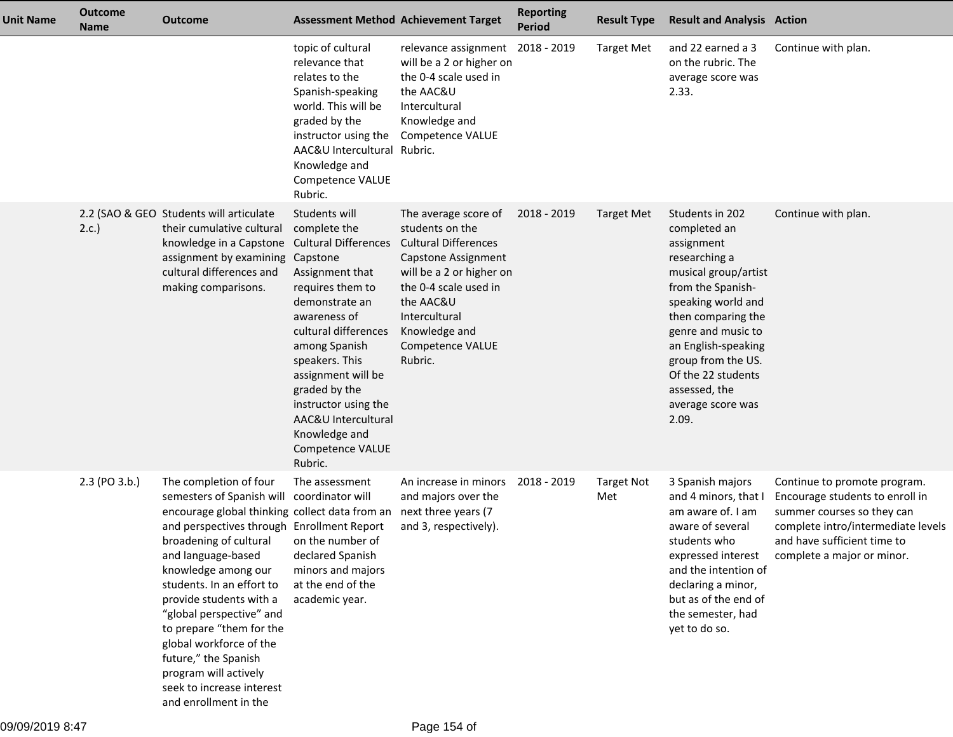| <b>Unit Name</b> | <b>Outcome</b><br><b>Name</b> | <b>Outcome</b>                                                                                                                                                                                                                                                                                                                                                                                                                                                                                                 |                                                                                                                                                                                                                                                                                                                                                    | <b>Assessment Method Achievement Target</b>                                                                                                                                                                                      | <b>Reporting</b><br><b>Period</b> | <b>Result Type</b>       | <b>Result and Analysis Action</b>                                                                                                                                                                                                                                                               |                                                                                                                                                                                                  |
|------------------|-------------------------------|----------------------------------------------------------------------------------------------------------------------------------------------------------------------------------------------------------------------------------------------------------------------------------------------------------------------------------------------------------------------------------------------------------------------------------------------------------------------------------------------------------------|----------------------------------------------------------------------------------------------------------------------------------------------------------------------------------------------------------------------------------------------------------------------------------------------------------------------------------------------------|----------------------------------------------------------------------------------------------------------------------------------------------------------------------------------------------------------------------------------|-----------------------------------|--------------------------|-------------------------------------------------------------------------------------------------------------------------------------------------------------------------------------------------------------------------------------------------------------------------------------------------|--------------------------------------------------------------------------------------------------------------------------------------------------------------------------------------------------|
|                  |                               |                                                                                                                                                                                                                                                                                                                                                                                                                                                                                                                | topic of cultural<br>relevance that<br>relates to the<br>Spanish-speaking<br>world. This will be<br>graded by the<br>instructor using the<br>AAC&U Intercultural Rubric.<br>Knowledge and<br>Competence VALUE<br>Rubric.                                                                                                                           | relevance assignment 2018 - 2019<br>will be a 2 or higher on<br>the 0-4 scale used in<br>the AAC&U<br>Intercultural<br>Knowledge and<br><b>Competence VALUE</b>                                                                  |                                   | <b>Target Met</b>        | and 22 earned a 3<br>on the rubric. The<br>average score was<br>2.33.                                                                                                                                                                                                                           | Continue with plan.                                                                                                                                                                              |
|                  | 2.c.                          | 2.2 (SAO & GEO Students will articulate<br>their cumulative cultural<br>knowledge in a Capstone<br>assignment by examining<br>cultural differences and<br>making comparisons.                                                                                                                                                                                                                                                                                                                                  | Students will<br>complete the<br><b>Cultural Differences</b><br>Capstone<br>Assignment that<br>requires them to<br>demonstrate an<br>awareness of<br>cultural differences<br>among Spanish<br>speakers. This<br>assignment will be<br>graded by the<br>instructor using the<br>AAC&U Intercultural<br>Knowledge and<br>Competence VALUE<br>Rubric. | The average score of<br>students on the<br><b>Cultural Differences</b><br>Capstone Assignment<br>will be a 2 or higher on<br>the 0-4 scale used in<br>the AAC&U<br>Intercultural<br>Knowledge and<br>Competence VALUE<br>Rubric. | 2018 - 2019                       | Target Met               | Students in 202<br>completed an<br>assignment<br>researching a<br>musical group/artist<br>from the Spanish-<br>speaking world and<br>then comparing the<br>genre and music to<br>an English-speaking<br>group from the US.<br>Of the 22 students<br>assessed, the<br>average score was<br>2.09. | Continue with plan.                                                                                                                                                                              |
|                  | 2.3 (PO 3.b.)                 | The completion of four<br>semesters of Spanish will coordinator will<br>encourage global thinking collect data from an<br>and perspectives through Enrollment Report<br>broadening of cultural on the number of<br>and language-based<br>knowledge among our<br>students. In an effort to<br>provide students with a<br>"global perspective" and<br>to prepare "them for the<br>global workforce of the<br>future," the Spanish<br>program will actively<br>seek to increase interest<br>and enrollment in the | The assessment<br>declared Spanish<br>minors and majors<br>at the end of the<br>academic year.                                                                                                                                                                                                                                                     | An increase in minors<br>and majors over the<br>next three years (7<br>and 3, respectively).                                                                                                                                     | 2018 - 2019                       | <b>Target Not</b><br>Met | 3 Spanish majors<br>and 4 minors, that I<br>am aware of. I am<br>aware of several<br>students who<br>expressed interest<br>and the intention of<br>declaring a minor,<br>but as of the end of<br>the semester, had<br>yet to do so.                                                             | Continue to promote program.<br>Encourage students to enroll in<br>summer courses so they can<br>complete intro/intermediate levels<br>and have sufficient time to<br>complete a major or minor. |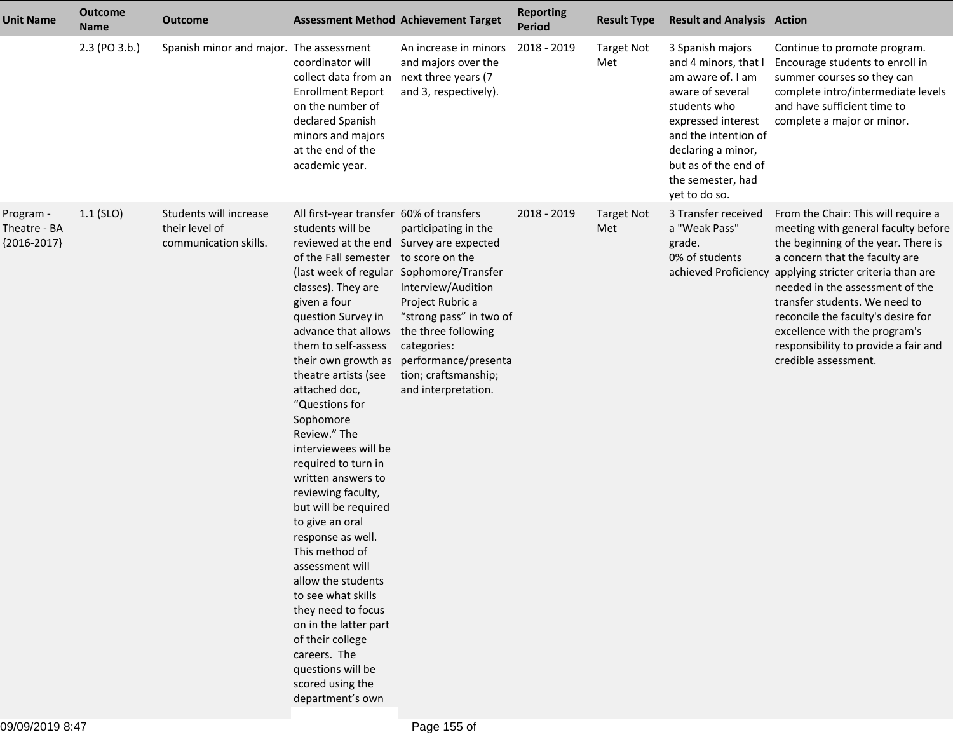| <b>Unit Name</b>                           | <b>Outcome</b><br><b>Name</b> | <b>Outcome</b>                                                    | <b>Assessment Method Achievement Target</b>                                                                                                                                                                                                                                                                                                                                                                                                                                                                                                                                                                                                                                                                                                                          |                                                                                                                                                                                                                                                    | <b>Reporting</b><br>Period | <b>Result Type</b>       | <b>Result and Analysis Action</b>                                                                                                                                                                                                   |                                                                                                                                                                                                                                                                                                                                                                                                                            |
|--------------------------------------------|-------------------------------|-------------------------------------------------------------------|----------------------------------------------------------------------------------------------------------------------------------------------------------------------------------------------------------------------------------------------------------------------------------------------------------------------------------------------------------------------------------------------------------------------------------------------------------------------------------------------------------------------------------------------------------------------------------------------------------------------------------------------------------------------------------------------------------------------------------------------------------------------|----------------------------------------------------------------------------------------------------------------------------------------------------------------------------------------------------------------------------------------------------|----------------------------|--------------------------|-------------------------------------------------------------------------------------------------------------------------------------------------------------------------------------------------------------------------------------|----------------------------------------------------------------------------------------------------------------------------------------------------------------------------------------------------------------------------------------------------------------------------------------------------------------------------------------------------------------------------------------------------------------------------|
|                                            | 2.3 (PO 3.b.)                 | Spanish minor and major. The assessment                           | coordinator will<br>collect data from an next three years (7<br><b>Enrollment Report</b><br>on the number of<br>declared Spanish<br>minors and majors<br>at the end of the<br>academic year.                                                                                                                                                                                                                                                                                                                                                                                                                                                                                                                                                                         | An increase in minors<br>and majors over the<br>and 3, respectively).                                                                                                                                                                              | 2018 - 2019                | <b>Target Not</b><br>Met | 3 Spanish majors<br>and 4 minors, that I<br>am aware of. I am<br>aware of several<br>students who<br>expressed interest<br>and the intention of<br>declaring a minor,<br>but as of the end of<br>the semester, had<br>yet to do so. | Continue to promote program.<br>Encourage students to enroll in<br>summer courses so they can<br>complete intro/intermediate levels<br>and have sufficient time to<br>complete a major or minor.                                                                                                                                                                                                                           |
| Program -<br>Theatre - BA<br>${2016-2017}$ | $1.1$ (SLO)                   | Students will increase<br>their level of<br>communication skills. | All first-year transfer 60% of transfers<br>students will be<br>reviewed at the end Survey are expected<br>of the Fall semester to score on the<br>classes). They are<br>given a four<br>question Survey in<br>advance that allows<br>them to self-assess<br>their own growth as<br>theatre artists (see<br>attached doc,<br>"Questions for<br>Sophomore<br>Review." The<br>interviewees will be<br>required to turn in<br>written answers to<br>reviewing faculty,<br>but will be required<br>to give an oral<br>response as well.<br>This method of<br>assessment will<br>allow the students<br>to see what skills<br>they need to focus<br>on in the latter part<br>of their college<br>careers. The<br>questions will be<br>scored using the<br>department's own | participating in the<br>(last week of regular Sophomore/Transfer<br>Interview/Audition<br>Project Rubric a<br>"strong pass" in two of<br>the three following<br>categories:<br>performance/presenta<br>tion; craftsmanship;<br>and interpretation. | 2018 - 2019                | <b>Target Not</b><br>Met | 3 Transfer received<br>a "Weak Pass"<br>grade.<br>0% of students                                                                                                                                                                    | From the Chair: This will require a<br>meeting with general faculty before<br>the beginning of the year. There is<br>a concern that the faculty are<br>achieved Proficiency applying stricter criteria than are<br>needed in the assessment of the<br>transfer students. We need to<br>reconcile the faculty's desire for<br>excellence with the program's<br>responsibility to provide a fair and<br>credible assessment. |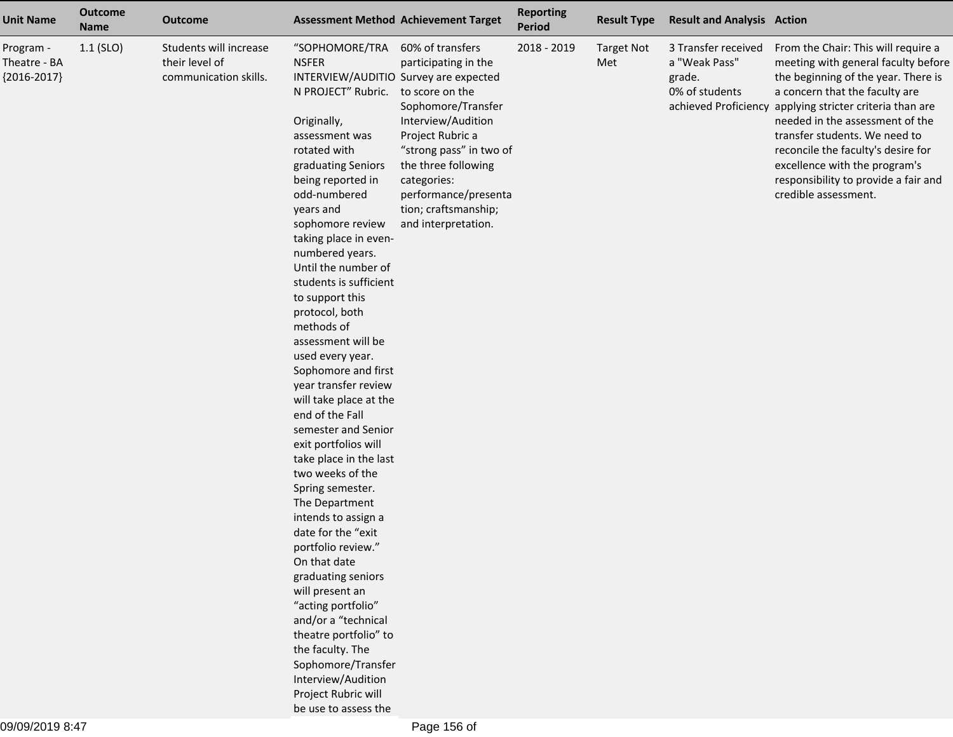| <b>Unit Name</b>                           | <b>Outcome</b><br><b>Name</b> | <b>Outcome</b>                                                    |                                                                                                                                                                                                                                                                                                                                                                                                                                                                                                                                                                                                                                                                                                                                                                                                                                                                                                                                                                                                      | <b>Assessment Method Achievement Target</b>                                                                                                                                                                                                      | <b>Reporting</b><br>Period | <b>Result Type</b>       | <b>Result and Analysis Action</b>                                |                                                                                                                                                                                                                                                                                                                                                                                                                            |
|--------------------------------------------|-------------------------------|-------------------------------------------------------------------|------------------------------------------------------------------------------------------------------------------------------------------------------------------------------------------------------------------------------------------------------------------------------------------------------------------------------------------------------------------------------------------------------------------------------------------------------------------------------------------------------------------------------------------------------------------------------------------------------------------------------------------------------------------------------------------------------------------------------------------------------------------------------------------------------------------------------------------------------------------------------------------------------------------------------------------------------------------------------------------------------|--------------------------------------------------------------------------------------------------------------------------------------------------------------------------------------------------------------------------------------------------|----------------------------|--------------------------|------------------------------------------------------------------|----------------------------------------------------------------------------------------------------------------------------------------------------------------------------------------------------------------------------------------------------------------------------------------------------------------------------------------------------------------------------------------------------------------------------|
| Program -<br>Theatre - BA<br>${2016-2017}$ | $1.1$ (SLO)                   | Students will increase<br>their level of<br>communication skills. | "SOPHOMORE/TRA<br><b>NSFER</b><br>INTERVIEW/AUDITIO Survey are expected<br>N PROJECT" Rubric. to score on the<br>Originally,<br>assessment was<br>rotated with<br>graduating Seniors<br>being reported in<br>odd-numbered<br>years and<br>sophomore review<br>taking place in even-<br>numbered years.<br>Until the number of<br>students is sufficient<br>to support this<br>protocol, both<br>methods of<br>assessment will be<br>used every year.<br>Sophomore and first<br>year transfer review<br>will take place at the<br>end of the Fall<br>semester and Senior<br>exit portfolios will<br>take place in the last<br>two weeks of the<br>Spring semester.<br>The Department<br>intends to assign a<br>date for the "exit<br>portfolio review."<br>On that date<br>graduating seniors<br>will present an<br>"acting portfolio"<br>and/or a "technical<br>theatre portfolio" to<br>the faculty. The<br>Sophomore/Transfer<br>Interview/Audition<br>Project Rubric will<br>be use to assess the | 60% of transfers<br>participating in the<br>Sophomore/Transfer<br>Interview/Audition<br>Project Rubric a<br>"strong pass" in two of<br>the three following<br>categories:<br>performance/presenta<br>tion; craftsmanship;<br>and interpretation. | 2018 - 2019                | <b>Target Not</b><br>Met | 3 Transfer received<br>a "Weak Pass"<br>grade.<br>0% of students | From the Chair: This will require a<br>meeting with general faculty before<br>the beginning of the year. There is<br>a concern that the faculty are<br>achieved Proficiency applying stricter criteria than are<br>needed in the assessment of the<br>transfer students. We need to<br>reconcile the faculty's desire for<br>excellence with the program's<br>responsibility to provide a fair and<br>credible assessment. |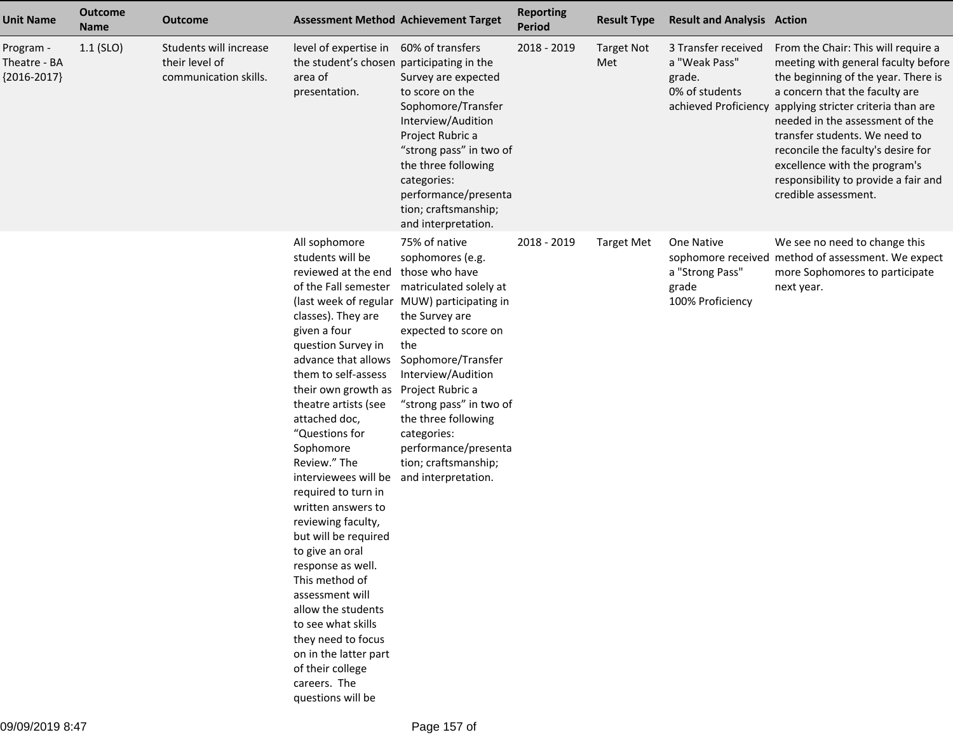| <b>Unit Name</b>                           | <b>Outcome</b><br><b>Name</b> | <b>Outcome</b>                                                    |                                                                                                                                                                                                                                                                                                                                                                                                                                                                                                                                                                                                                                                                                           | <b>Assessment Method Achievement Target</b>                                                                                                                                                                                                                                                                                                   | <b>Reporting</b><br><b>Period</b> | <b>Result Type</b>       | <b>Result and Analysis Action</b>                                |                                                                                                                                                                                                                                                                                                                                                                                                                            |
|--------------------------------------------|-------------------------------|-------------------------------------------------------------------|-------------------------------------------------------------------------------------------------------------------------------------------------------------------------------------------------------------------------------------------------------------------------------------------------------------------------------------------------------------------------------------------------------------------------------------------------------------------------------------------------------------------------------------------------------------------------------------------------------------------------------------------------------------------------------------------|-----------------------------------------------------------------------------------------------------------------------------------------------------------------------------------------------------------------------------------------------------------------------------------------------------------------------------------------------|-----------------------------------|--------------------------|------------------------------------------------------------------|----------------------------------------------------------------------------------------------------------------------------------------------------------------------------------------------------------------------------------------------------------------------------------------------------------------------------------------------------------------------------------------------------------------------------|
| Program -<br>Theatre - BA<br>${2016-2017}$ | $1.1$ (SLO)                   | Students will increase<br>their level of<br>communication skills. | level of expertise in 60% of transfers<br>the student's chosen participating in the<br>area of<br>presentation.                                                                                                                                                                                                                                                                                                                                                                                                                                                                                                                                                                           | Survey are expected<br>to score on the<br>Sophomore/Transfer<br>Interview/Audition<br>Project Rubric a<br>"strong pass" in two of<br>the three following<br>categories:<br>performance/presenta<br>tion; craftsmanship;<br>and interpretation.                                                                                                | 2018 - 2019                       | <b>Target Not</b><br>Met | 3 Transfer received<br>a "Weak Pass"<br>grade.<br>0% of students | From the Chair: This will require a<br>meeting with general faculty before<br>the beginning of the year. There is<br>a concern that the faculty are<br>achieved Proficiency applying stricter criteria than are<br>needed in the assessment of the<br>transfer students. We need to<br>reconcile the faculty's desire for<br>excellence with the program's<br>responsibility to provide a fair and<br>credible assessment. |
|                                            |                               |                                                                   | All sophomore<br>students will be<br>reviewed at the end those who have<br>classes). They are<br>given a four<br>question Survey in<br>advance that allows<br>them to self-assess<br>their own growth as Project Rubric a<br>theatre artists (see<br>attached doc,<br>"Questions for<br>Sophomore<br>Review." The<br>interviewees will be and interpretation.<br>required to turn in<br>written answers to<br>reviewing faculty,<br>but will be required<br>to give an oral<br>response as well.<br>This method of<br>assessment will<br>allow the students<br>to see what skills<br>they need to focus<br>on in the latter part<br>of their college<br>careers. The<br>questions will be | 75% of native<br>sophomores (e.g.<br>of the Fall semester matriculated solely at<br>(last week of regular MUW) participating in<br>the Survey are<br>expected to score on<br>the<br>Sophomore/Transfer<br>Interview/Audition<br>"strong pass" in two of<br>the three following<br>categories:<br>performance/presenta<br>tion; craftsmanship; | 2018 - 2019                       | <b>Target Met</b>        | One Native<br>a "Strong Pass"<br>grade<br>100% Proficiency       | We see no need to change this<br>sophomore received method of assessment. We expect<br>more Sophomores to participate<br>next year.                                                                                                                                                                                                                                                                                        |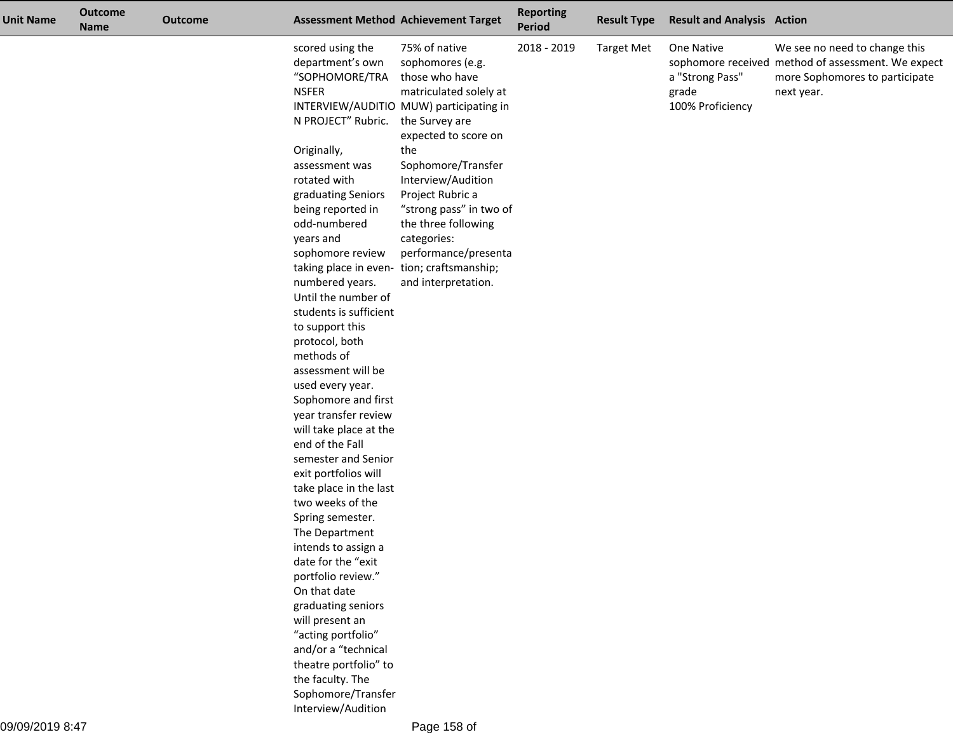| <b>Unit Name</b> | <b>Outcome</b><br><b>Name</b> | <b>Outcome</b> |                                                                                              | <b>Assessment Method Achievement Target</b>                                                                                                                        | <b>Reporting</b><br><b>Period</b> | <b>Result Type</b> | <b>Result and Analysis Action</b>                          |                                                                                                                                     |
|------------------|-------------------------------|----------------|----------------------------------------------------------------------------------------------|--------------------------------------------------------------------------------------------------------------------------------------------------------------------|-----------------------------------|--------------------|------------------------------------------------------------|-------------------------------------------------------------------------------------------------------------------------------------|
|                  |                               |                | scored using the<br>department's own<br>"SOPHOMORE/TRA<br><b>NSFER</b><br>N PROJECT" Rubric. | 75% of native<br>sophomores (e.g.<br>those who have<br>matriculated solely at<br>INTERVIEW/AUDITIO MUW) participating in<br>the Survey are<br>expected to score on | 2018 - 2019                       | <b>Target Met</b>  | One Native<br>a "Strong Pass"<br>grade<br>100% Proficiency | We see no need to change this<br>sophomore received method of assessment. We expect<br>more Sophomores to participate<br>next year. |
|                  |                               |                | Originally,                                                                                  | the                                                                                                                                                                |                                   |                    |                                                            |                                                                                                                                     |
|                  |                               |                | assessment was                                                                               | Sophomore/Transfer                                                                                                                                                 |                                   |                    |                                                            |                                                                                                                                     |
|                  |                               |                | rotated with                                                                                 | Interview/Audition                                                                                                                                                 |                                   |                    |                                                            |                                                                                                                                     |
|                  |                               |                | graduating Seniors                                                                           | Project Rubric a                                                                                                                                                   |                                   |                    |                                                            |                                                                                                                                     |
|                  |                               |                | being reported in                                                                            | "strong pass" in two of                                                                                                                                            |                                   |                    |                                                            |                                                                                                                                     |
|                  |                               |                | odd-numbered<br>years and                                                                    | the three following<br>categories:                                                                                                                                 |                                   |                    |                                                            |                                                                                                                                     |
|                  |                               |                | sophomore review                                                                             | performance/presenta                                                                                                                                               |                                   |                    |                                                            |                                                                                                                                     |
|                  |                               |                | taking place in even- tion; craftsmanship;                                                   |                                                                                                                                                                    |                                   |                    |                                                            |                                                                                                                                     |
|                  |                               |                | numbered years.                                                                              | and interpretation.                                                                                                                                                |                                   |                    |                                                            |                                                                                                                                     |
|                  |                               |                | Until the number of                                                                          |                                                                                                                                                                    |                                   |                    |                                                            |                                                                                                                                     |
|                  |                               |                | students is sufficient                                                                       |                                                                                                                                                                    |                                   |                    |                                                            |                                                                                                                                     |
|                  |                               |                | to support this                                                                              |                                                                                                                                                                    |                                   |                    |                                                            |                                                                                                                                     |
|                  |                               |                | protocol, both                                                                               |                                                                                                                                                                    |                                   |                    |                                                            |                                                                                                                                     |
|                  |                               |                | methods of                                                                                   |                                                                                                                                                                    |                                   |                    |                                                            |                                                                                                                                     |
|                  |                               |                | assessment will be<br>used every year.                                                       |                                                                                                                                                                    |                                   |                    |                                                            |                                                                                                                                     |
|                  |                               |                | Sophomore and first                                                                          |                                                                                                                                                                    |                                   |                    |                                                            |                                                                                                                                     |
|                  |                               |                | year transfer review                                                                         |                                                                                                                                                                    |                                   |                    |                                                            |                                                                                                                                     |
|                  |                               |                | will take place at the                                                                       |                                                                                                                                                                    |                                   |                    |                                                            |                                                                                                                                     |
|                  |                               |                | end of the Fall                                                                              |                                                                                                                                                                    |                                   |                    |                                                            |                                                                                                                                     |
|                  |                               |                | semester and Senior                                                                          |                                                                                                                                                                    |                                   |                    |                                                            |                                                                                                                                     |
|                  |                               |                | exit portfolios will                                                                         |                                                                                                                                                                    |                                   |                    |                                                            |                                                                                                                                     |
|                  |                               |                | take place in the last                                                                       |                                                                                                                                                                    |                                   |                    |                                                            |                                                                                                                                     |
|                  |                               |                | two weeks of the                                                                             |                                                                                                                                                                    |                                   |                    |                                                            |                                                                                                                                     |
|                  |                               |                | Spring semester.<br>The Department                                                           |                                                                                                                                                                    |                                   |                    |                                                            |                                                                                                                                     |
|                  |                               |                | intends to assign a                                                                          |                                                                                                                                                                    |                                   |                    |                                                            |                                                                                                                                     |
|                  |                               |                | date for the "exit                                                                           |                                                                                                                                                                    |                                   |                    |                                                            |                                                                                                                                     |
|                  |                               |                | portfolio review."                                                                           |                                                                                                                                                                    |                                   |                    |                                                            |                                                                                                                                     |
|                  |                               |                | On that date                                                                                 |                                                                                                                                                                    |                                   |                    |                                                            |                                                                                                                                     |
|                  |                               |                | graduating seniors                                                                           |                                                                                                                                                                    |                                   |                    |                                                            |                                                                                                                                     |
|                  |                               |                | will present an                                                                              |                                                                                                                                                                    |                                   |                    |                                                            |                                                                                                                                     |
|                  |                               |                | "acting portfolio"                                                                           |                                                                                                                                                                    |                                   |                    |                                                            |                                                                                                                                     |
|                  |                               |                | and/or a "technical                                                                          |                                                                                                                                                                    |                                   |                    |                                                            |                                                                                                                                     |
|                  |                               |                | theatre portfolio" to                                                                        |                                                                                                                                                                    |                                   |                    |                                                            |                                                                                                                                     |
|                  |                               |                | the faculty. The                                                                             |                                                                                                                                                                    |                                   |                    |                                                            |                                                                                                                                     |
|                  |                               |                | Sophomore/Transfer<br>Interview/Audition                                                     |                                                                                                                                                                    |                                   |                    |                                                            |                                                                                                                                     |
|                  |                               |                |                                                                                              |                                                                                                                                                                    |                                   |                    |                                                            |                                                                                                                                     |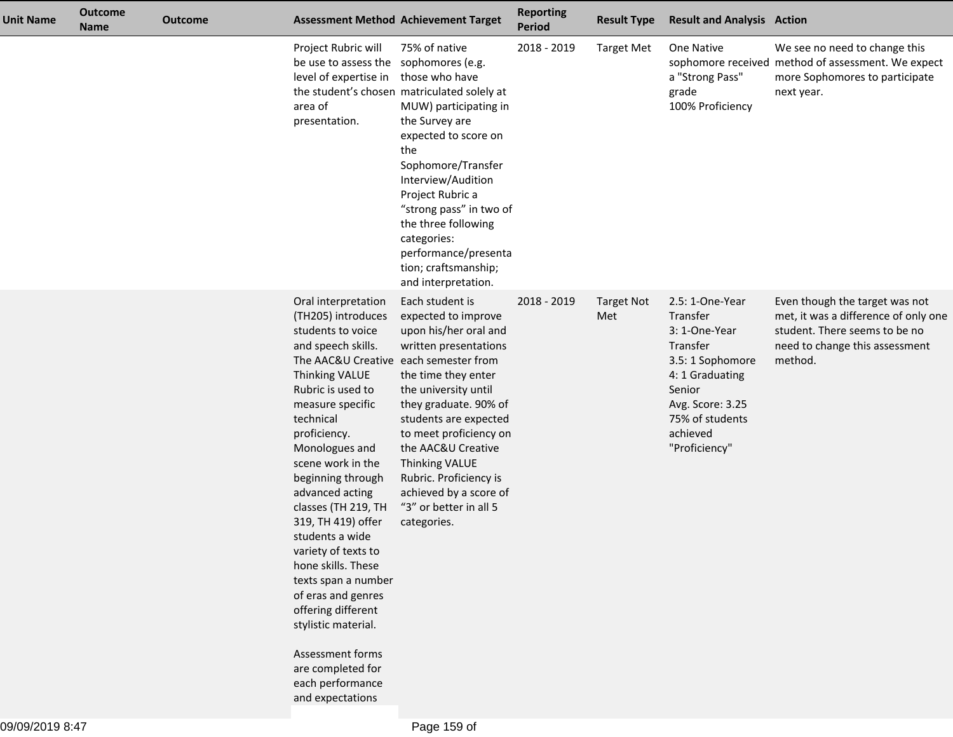| <b>Unit Name</b> | <b>Outcome</b><br><b>Name</b> | <b>Outcome</b> |                                                                                                                                                                                                                                                                                                                                                                                                                                                                                                                                                                           | <b>Assessment Method Achievement Target</b>                                                                                                                                                                                                                                                                                                                                    | <b>Reporting</b><br><b>Period</b> | <b>Result Type</b>       | <b>Result and Analysis Action</b>                                                                                                                                             |                                                                                                                                                      |
|------------------|-------------------------------|----------------|---------------------------------------------------------------------------------------------------------------------------------------------------------------------------------------------------------------------------------------------------------------------------------------------------------------------------------------------------------------------------------------------------------------------------------------------------------------------------------------------------------------------------------------------------------------------------|--------------------------------------------------------------------------------------------------------------------------------------------------------------------------------------------------------------------------------------------------------------------------------------------------------------------------------------------------------------------------------|-----------------------------------|--------------------------|-------------------------------------------------------------------------------------------------------------------------------------------------------------------------------|------------------------------------------------------------------------------------------------------------------------------------------------------|
|                  |                               |                | Project Rubric will<br>be use to assess the sophomores (e.g.<br>level of expertise in<br>area of<br>presentation.                                                                                                                                                                                                                                                                                                                                                                                                                                                         | 75% of native<br>those who have<br>the student's chosen matriculated solely at<br>MUW) participating in<br>the Survey are<br>expected to score on<br>the<br>Sophomore/Transfer<br>Interview/Audition<br>Project Rubric a<br>"strong pass" in two of<br>the three following<br>categories:<br>performance/presenta<br>tion; craftsmanship;<br>and interpretation.               | 2018 - 2019                       | <b>Target Met</b>        | One Native<br>a "Strong Pass"<br>grade<br>100% Proficiency                                                                                                                    | We see no need to change this<br>sophomore received method of assessment. We expect<br>more Sophomores to participate<br>next year.                  |
|                  |                               |                | Oral interpretation<br>(TH205) introduces<br>students to voice<br>and speech skills.<br>The AAC&U Creative<br>Thinking VALUE<br>Rubric is used to<br>measure specific<br>technical<br>proficiency.<br>Monologues and<br>scene work in the<br>beginning through<br>advanced acting<br>classes (TH 219, TH<br>319, TH 419) offer<br>students a wide<br>variety of texts to<br>hone skills. These<br>texts span a number<br>of eras and genres<br>offering different<br>stylistic material.<br>Assessment forms<br>are completed for<br>each performance<br>and expectations | Each student is<br>expected to improve<br>upon his/her oral and<br>written presentations<br>each semester from<br>the time they enter<br>the university until<br>they graduate. 90% of<br>students are expected<br>to meet proficiency on<br>the AAC&U Creative<br>Thinking VALUE<br>Rubric. Proficiency is<br>achieved by a score of<br>"3" or better in all 5<br>categories. | 2018 - 2019                       | <b>Target Not</b><br>Met | 2.5: 1-One-Year<br>Transfer<br>3: 1-One-Year<br>Transfer<br>3.5: 1 Sophomore<br>4: 1 Graduating<br>Senior<br>Avg. Score: 3.25<br>75% of students<br>achieved<br>"Proficiency" | Even though the target was not<br>met, it was a difference of only one<br>student. There seems to be no<br>need to change this assessment<br>method. |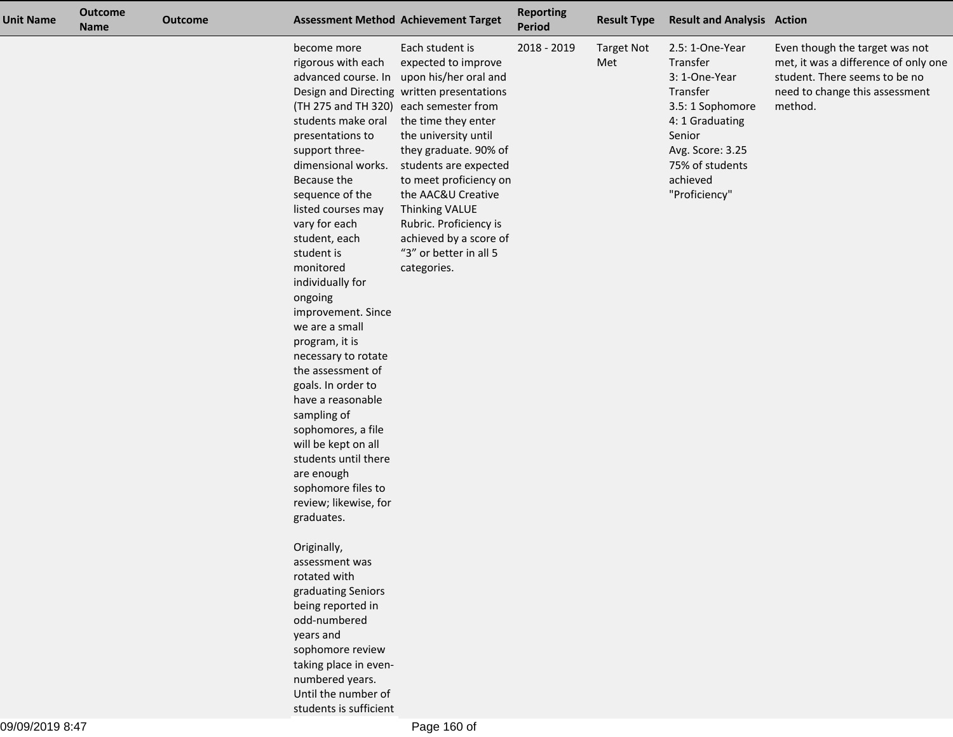| <b>Unit Name</b> | <b>Outcome</b><br><b>Name</b> | <b>Outcome</b> |                                                                                                                                                                                                                                                                                                                                                                                                                                                                                                                                                                                         | <b>Assessment Method Achievement Target</b>                                                                                                                                                                                                                                                                                                                                                                                                 | <b>Reporting</b><br>Period | <b>Result Type</b>       | <b>Result and Analysis Action</b>                                                                                                                                             |                                                                                                                                                      |
|------------------|-------------------------------|----------------|-----------------------------------------------------------------------------------------------------------------------------------------------------------------------------------------------------------------------------------------------------------------------------------------------------------------------------------------------------------------------------------------------------------------------------------------------------------------------------------------------------------------------------------------------------------------------------------------|---------------------------------------------------------------------------------------------------------------------------------------------------------------------------------------------------------------------------------------------------------------------------------------------------------------------------------------------------------------------------------------------------------------------------------------------|----------------------------|--------------------------|-------------------------------------------------------------------------------------------------------------------------------------------------------------------------------|------------------------------------------------------------------------------------------------------------------------------------------------------|
|                  |                               |                | become more<br>rigorous with each<br>students make oral<br>presentations to<br>support three-<br>dimensional works.<br>Because the<br>sequence of the<br>listed courses may<br>vary for each<br>student, each<br>student is<br>monitored<br>individually for<br>ongoing<br>improvement. Since<br>we are a small<br>program, it is<br>necessary to rotate<br>the assessment of<br>goals. In order to<br>have a reasonable<br>sampling of<br>sophomores, a file<br>will be kept on all<br>students until there<br>are enough<br>sophomore files to<br>review; likewise, for<br>graduates. | Each student is<br>expected to improve<br>advanced course. In upon his/her oral and<br>Design and Directing written presentations<br>(TH 275 and TH 320) each semester from<br>the time they enter<br>the university until<br>they graduate. 90% of<br>students are expected<br>to meet proficiency on<br>the AAC&U Creative<br>Thinking VALUE<br>Rubric. Proficiency is<br>achieved by a score of<br>"3" or better in all 5<br>categories. | 2018 - 2019                | <b>Target Not</b><br>Met | 2.5: 1-One-Year<br>Transfer<br>3: 1-One-Year<br>Transfer<br>3.5: 1 Sophomore<br>4: 1 Graduating<br>Senior<br>Avg. Score: 3.25<br>75% of students<br>achieved<br>"Proficiency" | Even though the target was not<br>met, it was a difference of only one<br>student. There seems to be no<br>need to change this assessment<br>method. |
|                  |                               |                | Originally,<br>assessment was<br>rotated with<br>graduating Seniors<br>being reported in<br>odd-numbered<br>years and<br>sophomore review<br>taking place in even-<br>numbered years.<br>Until the number of<br>students is sufficient                                                                                                                                                                                                                                                                                                                                                  |                                                                                                                                                                                                                                                                                                                                                                                                                                             |                            |                          |                                                                                                                                                                               |                                                                                                                                                      |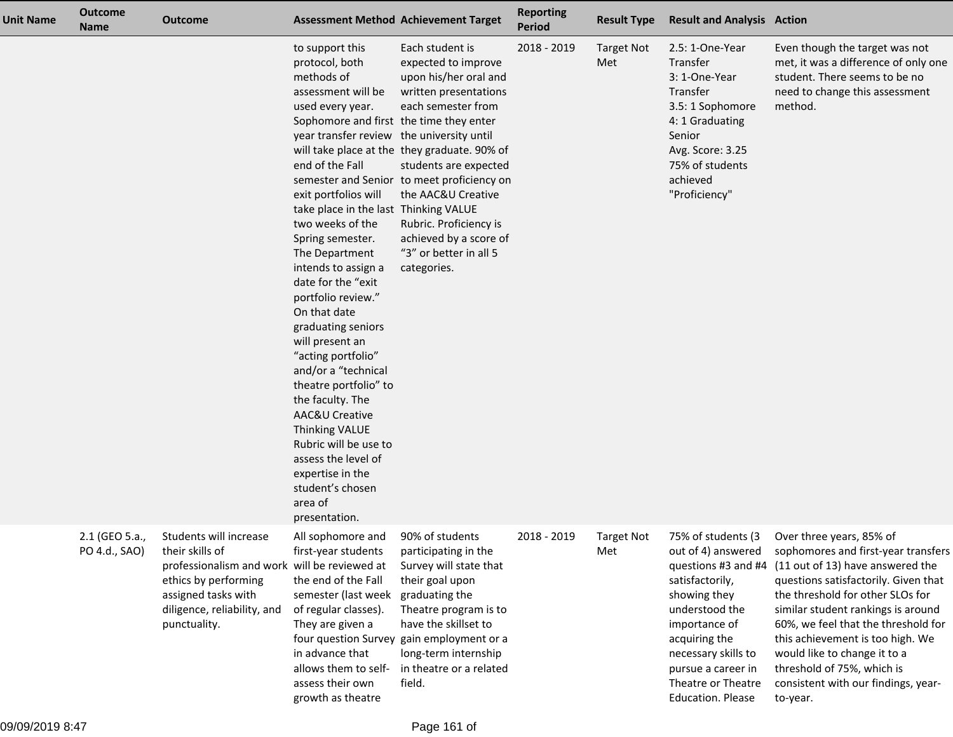| Unit Name | <b>Outcome</b><br><b>Name</b>   | <b>Outcome</b>                                                                                                                                                                          |                                                                                                                                                                                                                                                                                                                                                                                                                                                                                                                                                                                                                                                                                                       | <b>Assessment Method Achievement Target</b>                                                                                                                                                                                                                                                                                                                                       | <b>Reporting</b><br><b>Period</b> | <b>Result Type</b>       | <b>Result and Analysis Action</b>                                                                                                                                                                                                              |                                                                                                                                                                                                                                                                                                                                                                                                                   |
|-----------|---------------------------------|-----------------------------------------------------------------------------------------------------------------------------------------------------------------------------------------|-------------------------------------------------------------------------------------------------------------------------------------------------------------------------------------------------------------------------------------------------------------------------------------------------------------------------------------------------------------------------------------------------------------------------------------------------------------------------------------------------------------------------------------------------------------------------------------------------------------------------------------------------------------------------------------------------------|-----------------------------------------------------------------------------------------------------------------------------------------------------------------------------------------------------------------------------------------------------------------------------------------------------------------------------------------------------------------------------------|-----------------------------------|--------------------------|------------------------------------------------------------------------------------------------------------------------------------------------------------------------------------------------------------------------------------------------|-------------------------------------------------------------------------------------------------------------------------------------------------------------------------------------------------------------------------------------------------------------------------------------------------------------------------------------------------------------------------------------------------------------------|
|           |                                 |                                                                                                                                                                                         | to support this<br>protocol, both<br>methods of<br>assessment will be<br>used every year.<br>Sophomore and first the time they enter<br>year transfer review the university until<br>end of the Fall<br>exit portfolios will<br>take place in the last<br>two weeks of the<br>Spring semester.<br>The Department<br>intends to assign a<br>date for the "exit<br>portfolio review."<br>On that date<br>graduating seniors<br>will present an<br>"acting portfolio"<br>and/or a "technical<br>theatre portfolio" to<br>the faculty. The<br>AAC&U Creative<br><b>Thinking VALUE</b><br>Rubric will be use to<br>assess the level of<br>expertise in the<br>student's chosen<br>area of<br>presentation. | Each student is<br>expected to improve<br>upon his/her oral and<br>written presentations<br>each semester from<br>will take place at the they graduate. 90% of<br>students are expected<br>semester and Senior to meet proficiency on<br>the AAC&U Creative<br><b>Thinking VALUE</b><br>Rubric. Proficiency is<br>achieved by a score of<br>"3" or better in all 5<br>categories. | 2018 - 2019                       | <b>Target Not</b><br>Met | 2.5: 1-One-Year<br>Transfer<br>3: 1-One-Year<br>Transfer<br>3.5: 1 Sophomore<br>4: 1 Graduating<br>Senior<br>Avg. Score: 3.25<br>75% of students<br>achieved<br>"Proficiency"                                                                  | Even though the target was not<br>met, it was a difference of only one<br>student. There seems to be no<br>need to change this assessment<br>method.                                                                                                                                                                                                                                                              |
|           | 2.1 (GEO 5.a.,<br>PO 4.d., SAO) | Students will increase<br>their skills of<br>professionalism and work will be reviewed at<br>ethics by performing<br>assigned tasks with<br>diligence, reliability, and<br>punctuality. | All sophomore and<br>first-year students<br>the end of the Fall<br>semester (last week<br>of regular classes).<br>They are given a<br>in advance that<br>allows them to self-<br>assess their own<br>growth as theatre                                                                                                                                                                                                                                                                                                                                                                                                                                                                                | 90% of students<br>participating in the<br>Survey will state that<br>their goal upon<br>graduating the<br>Theatre program is to<br>have the skillset to<br>four question Survey gain employment or a<br>long-term internship<br>in theatre or a related<br>field.                                                                                                                 | 2018 - 2019                       | <b>Target Not</b><br>Met | 75% of students (3<br>out of 4) answered<br>questions #3 and #4<br>satisfactorily,<br>showing they<br>understood the<br>importance of<br>acquiring the<br>necessary skills to<br>pursue a career in<br>Theatre or Theatre<br>Education. Please | Over three years, 85% of<br>sophomores and first-year transfers<br>(11 out of 13) have answered the<br>questions satisfactorily. Given that<br>the threshold for other SLOs for<br>similar student rankings is around<br>60%, we feel that the threshold for<br>this achievement is too high. We<br>would like to change it to a<br>threshold of 75%, which is<br>consistent with our findings, year-<br>to-year. |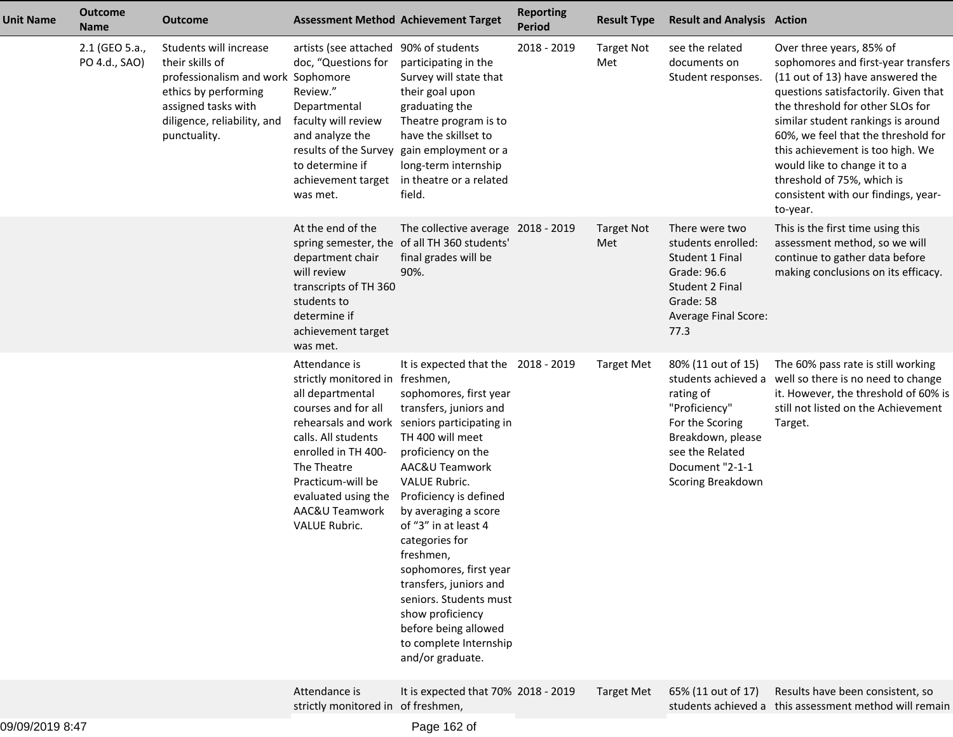| <b>Unit Name</b> | <b>Outcome</b><br><b>Name</b>   | <b>Outcome</b>                                                                                                                                                                |                                                                                                                                                                                                                                         | <b>Assessment Method Achievement Target</b>                                                                                                                                                                                                                                                                                                                                                                                                                                                                  | <b>Reporting</b><br><b>Period</b> | <b>Result Type</b>       | <b>Result and Analysis Action</b>                                                                                                                                          |                                                                                                                                                                                                                                                                                                                                                                                                                   |
|------------------|---------------------------------|-------------------------------------------------------------------------------------------------------------------------------------------------------------------------------|-----------------------------------------------------------------------------------------------------------------------------------------------------------------------------------------------------------------------------------------|--------------------------------------------------------------------------------------------------------------------------------------------------------------------------------------------------------------------------------------------------------------------------------------------------------------------------------------------------------------------------------------------------------------------------------------------------------------------------------------------------------------|-----------------------------------|--------------------------|----------------------------------------------------------------------------------------------------------------------------------------------------------------------------|-------------------------------------------------------------------------------------------------------------------------------------------------------------------------------------------------------------------------------------------------------------------------------------------------------------------------------------------------------------------------------------------------------------------|
|                  | 2.1 (GEO 5.a.,<br>PO 4.d., SAO) | Students will increase<br>their skills of<br>professionalism and work Sophomore<br>ethics by performing<br>assigned tasks with<br>diligence, reliability, and<br>punctuality. | artists (see attached 90% of students<br>doc, "Questions for<br>Review."<br>Departmental<br>faculty will review<br>and analyze the<br>to determine if<br>achievement target<br>was met.                                                 | participating in the<br>Survey will state that<br>their goal upon<br>graduating the<br>Theatre program is to<br>have the skillset to<br>results of the Survey gain employment or a<br>long-term internship<br>in theatre or a related<br>field.                                                                                                                                                                                                                                                              | 2018 - 2019                       | <b>Target Not</b><br>Met | see the related<br>documents on<br>Student responses.                                                                                                                      | Over three years, 85% of<br>sophomores and first-year transfers<br>(11 out of 13) have answered the<br>questions satisfactorily. Given that<br>the threshold for other SLOs for<br>similar student rankings is around<br>60%, we feel that the threshold for<br>this achievement is too high. We<br>would like to change it to a<br>threshold of 75%, which is<br>consistent with our findings, year-<br>to-year. |
|                  |                                 |                                                                                                                                                                               | At the end of the<br>department chair<br>will review<br>transcripts of TH 360<br>students to<br>determine if<br>achievement target<br>was met.                                                                                          | The collective average 2018 - 2019<br>spring semester, the of all TH 360 students'<br>final grades will be<br>90%.                                                                                                                                                                                                                                                                                                                                                                                           |                                   | <b>Target Not</b><br>Met | There were two<br>students enrolled:<br>Student 1 Final<br>Grade: 96.6<br><b>Student 2 Final</b><br>Grade: 58<br>Average Final Score:<br>77.3                              | This is the first time using this<br>assessment method, so we will<br>continue to gather data before<br>making conclusions on its efficacy.                                                                                                                                                                                                                                                                       |
|                  |                                 |                                                                                                                                                                               | Attendance is<br>strictly monitored in freshmen,<br>all departmental<br>courses and for all<br>calls. All students<br>enrolled in TH 400-<br>The Theatre<br>Practicum-will be<br>evaluated using the<br>AAC&U Teamwork<br>VALUE Rubric. | It is expected that the 2018 - 2019<br>sophomores, first year<br>transfers, juniors and<br>rehearsals and work seniors participating in<br>TH 400 will meet<br>proficiency on the<br>AAC&U Teamwork<br><b>VALUE Rubric.</b><br>Proficiency is defined<br>by averaging a score<br>of "3" in at least 4<br>categories for<br>freshmen,<br>sophomores, first year<br>transfers, juniors and<br>seniors. Students must<br>show proficiency<br>before being allowed<br>to complete Internship<br>and/or graduate. |                                   | <b>Target Met</b>        | 80% (11 out of 15)<br>students achieved a<br>rating of<br>"Proficiency"<br>For the Scoring<br>Breakdown, please<br>see the Related<br>Document "2-1-1<br>Scoring Breakdown | The 60% pass rate is still working<br>well so there is no need to change<br>it. However, the threshold of 60% is<br>still not listed on the Achievement<br>Target.                                                                                                                                                                                                                                                |
|                  |                                 |                                                                                                                                                                               | Attendance is<br>strictly monitored in of freshmen,                                                                                                                                                                                     | It is expected that 70% 2018 - 2019                                                                                                                                                                                                                                                                                                                                                                                                                                                                          |                                   | <b>Target Met</b>        | 65% (11 out of 17)                                                                                                                                                         | Results have been consistent, so<br>students achieved a this assessment method will remain                                                                                                                                                                                                                                                                                                                        |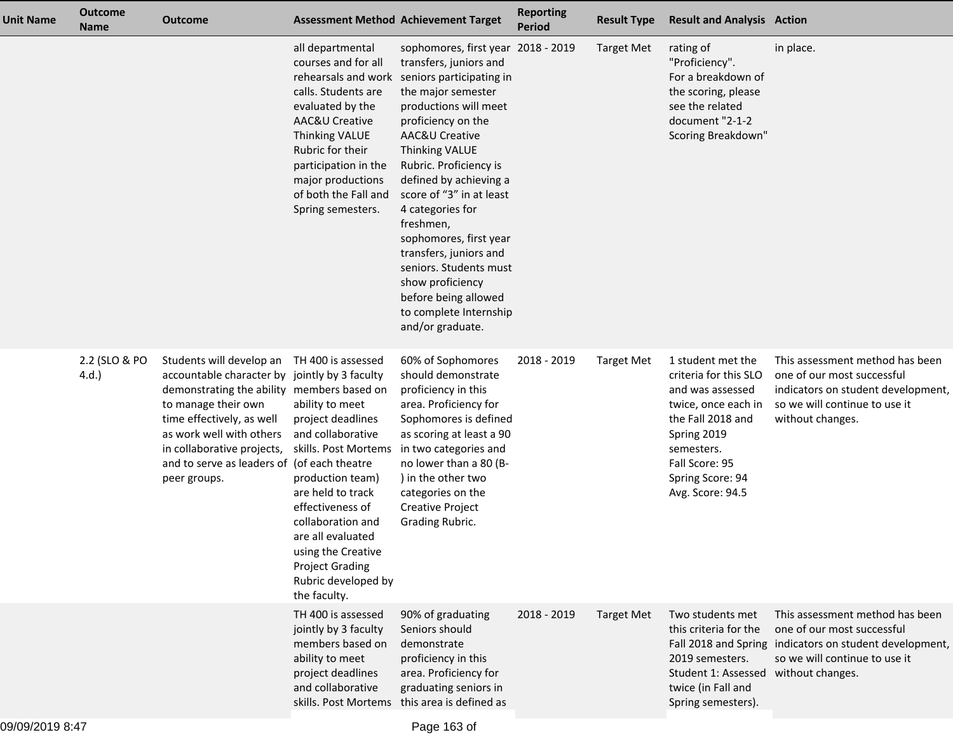| <b>Unit Name</b> | <b>Outcome</b><br><b>Name</b> | <b>Outcome</b>                                                                                                                                                                                                                                                                                       |                                                                                                                                                                                                                                                                                                       | <b>Assessment Method Achievement Target</b>                                                                                                                                                                                                                                                                                                                                                                                                                                                                    | <b>Reporting</b><br><b>Period</b> | <b>Result Type</b> | <b>Result and Analysis Action</b>                                                                                                                                                                 |                                                                                                                                                                               |
|------------------|-------------------------------|------------------------------------------------------------------------------------------------------------------------------------------------------------------------------------------------------------------------------------------------------------------------------------------------------|-------------------------------------------------------------------------------------------------------------------------------------------------------------------------------------------------------------------------------------------------------------------------------------------------------|----------------------------------------------------------------------------------------------------------------------------------------------------------------------------------------------------------------------------------------------------------------------------------------------------------------------------------------------------------------------------------------------------------------------------------------------------------------------------------------------------------------|-----------------------------------|--------------------|---------------------------------------------------------------------------------------------------------------------------------------------------------------------------------------------------|-------------------------------------------------------------------------------------------------------------------------------------------------------------------------------|
|                  |                               |                                                                                                                                                                                                                                                                                                      | all departmental<br>courses and for all<br>calls. Students are<br>evaluated by the<br>AAC&U Creative<br>Thinking VALUE<br>Rubric for their<br>participation in the<br>major productions<br>of both the Fall and<br>Spring semesters.                                                                  | sophomores, first year 2018 - 2019<br>transfers, juniors and<br>rehearsals and work seniors participating in<br>the major semester<br>productions will meet<br>proficiency on the<br>AAC&U Creative<br>Thinking VALUE<br>Rubric. Proficiency is<br>defined by achieving a<br>score of "3" in at least<br>4 categories for<br>freshmen,<br>sophomores, first year<br>transfers, juniors and<br>seniors. Students must<br>show proficiency<br>before being allowed<br>to complete Internship<br>and/or graduate. |                                   | <b>Target Met</b>  | rating of<br>"Proficiency".<br>For a breakdown of<br>the scoring, please<br>see the related<br>document "2-1-2<br>Scoring Breakdown"                                                              | in place.                                                                                                                                                                     |
|                  | 2.2 (SLO & PO<br>4.d.         | Students will develop an<br>accountable character by jointly by 3 faculty<br>demonstrating the ability members based on<br>to manage their own<br>time effectively, as well<br>as work well with others<br>in collaborative projects,<br>and to serve as leaders of (of each theatre<br>peer groups. | TH 400 is assessed<br>ability to meet<br>project deadlines<br>and collaborative<br>skills. Post Mortems<br>production team)<br>are held to track<br>effectiveness of<br>collaboration and<br>are all evaluated<br>using the Creative<br><b>Project Grading</b><br>Rubric developed by<br>the faculty. | 60% of Sophomores<br>should demonstrate<br>proficiency in this<br>area. Proficiency for<br>Sophomores is defined<br>as scoring at least a 90<br>in two categories and<br>no lower than a 80 (B-<br>) in the other two<br>categories on the<br><b>Creative Project</b><br>Grading Rubric.                                                                                                                                                                                                                       | 2018 - 2019                       | <b>Target Met</b>  | 1 student met the<br>criteria for this SLO<br>and was assessed<br>twice, once each in<br>the Fall 2018 and<br>Spring 2019<br>semesters.<br>Fall Score: 95<br>Spring Score: 94<br>Avg. Score: 94.5 | This assessment method has been<br>one of our most successful<br>indicators on student development,<br>so we will continue to use it<br>without changes.                      |
|                  |                               |                                                                                                                                                                                                                                                                                                      | TH 400 is assessed<br>jointly by 3 faculty<br>members based on<br>ability to meet<br>project deadlines<br>and collaborative                                                                                                                                                                           | 90% of graduating<br>Seniors should<br>demonstrate<br>proficiency in this<br>area. Proficiency for<br>graduating seniors in<br>skills. Post Mortems this area is defined as                                                                                                                                                                                                                                                                                                                                    | 2018 - 2019                       | <b>Target Met</b>  | Two students met<br>this criteria for the<br>2019 semesters.<br>Student 1: Assessed<br>twice (in Fall and<br>Spring semesters).                                                                   | This assessment method has been<br>one of our most successful<br>Fall 2018 and Spring indicators on student development,<br>so we will continue to use it<br>without changes. |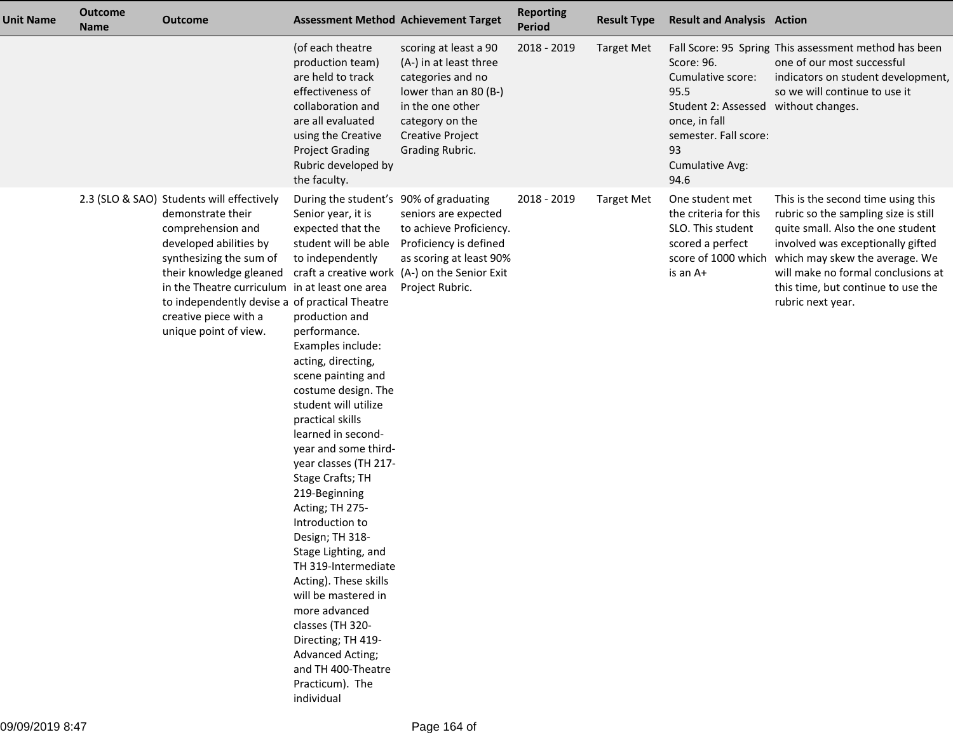| <b>Unit Name</b> | <b>Outcome</b><br><b>Name</b> | <b>Outcome</b>                                                                                                                                                                                                                                                                                                            |                                                                                                                                                                                                                                                                                                                                                                                                                                                                                                                                                                                                                                                                                                                     | <b>Assessment Method Achievement Target</b>                                                                                                                                        | <b>Reporting</b><br><b>Period</b> | <b>Result Type</b> | <b>Result and Analysis Action</b>                                                                                                                          |                                                                                                                                                                                                                                                                                                             |
|------------------|-------------------------------|---------------------------------------------------------------------------------------------------------------------------------------------------------------------------------------------------------------------------------------------------------------------------------------------------------------------------|---------------------------------------------------------------------------------------------------------------------------------------------------------------------------------------------------------------------------------------------------------------------------------------------------------------------------------------------------------------------------------------------------------------------------------------------------------------------------------------------------------------------------------------------------------------------------------------------------------------------------------------------------------------------------------------------------------------------|------------------------------------------------------------------------------------------------------------------------------------------------------------------------------------|-----------------------------------|--------------------|------------------------------------------------------------------------------------------------------------------------------------------------------------|-------------------------------------------------------------------------------------------------------------------------------------------------------------------------------------------------------------------------------------------------------------------------------------------------------------|
|                  |                               |                                                                                                                                                                                                                                                                                                                           | (of each theatre<br>production team)<br>are held to track<br>effectiveness of<br>collaboration and<br>are all evaluated<br>using the Creative<br><b>Project Grading</b><br>Rubric developed by<br>the faculty.                                                                                                                                                                                                                                                                                                                                                                                                                                                                                                      | scoring at least a 90<br>(A-) in at least three<br>categories and no<br>lower than an 80 (B-)<br>in the one other<br>category on the<br><b>Creative Project</b><br>Grading Rubric. | 2018 - 2019                       | <b>Target Met</b>  | Score: 96.<br>Cumulative score:<br>95.5<br>Student 2: Assessed without changes.<br>once, in fall<br>semester. Fall score:<br>93<br>Cumulative Avg:<br>94.6 | Fall Score: 95 Spring This assessment method has been<br>one of our most successful<br>indicators on student development,<br>so we will continue to use it                                                                                                                                                  |
|                  |                               | 2.3 (SLO & SAO) Students will effectively<br>demonstrate their<br>comprehension and<br>developed abilities by<br>synthesizing the sum of<br>their knowledge gleaned<br>in the Theatre curriculum in at least one area<br>to independently devise a of practical Theatre<br>creative piece with a<br>unique point of view. | During the student's 90% of graduating<br>Senior year, it is<br>expected that the<br>student will be able<br>to independently<br>production and<br>performance.<br>Examples include:<br>acting, directing,<br>scene painting and<br>costume design. The<br>student will utilize<br>practical skills<br>learned in second-<br>year and some third-<br>year classes (TH 217-<br>Stage Crafts; TH<br>219-Beginning<br>Acting; TH 275-<br>Introduction to<br>Design; TH 318-<br>Stage Lighting, and<br>TH 319-Intermediate<br>Acting). These skills<br>will be mastered in<br>more advanced<br>classes (TH 320-<br>Directing; TH 419-<br><b>Advanced Acting;</b><br>and TH 400-Theatre<br>Practicum). The<br>individual | seniors are expected<br>to achieve Proficiency.<br>Proficiency is defined<br>as scoring at least 90%<br>craft a creative work (A-) on the Senior Exit<br>Project Rubric.           | 2018 - 2019                       | <b>Target Met</b>  | One student met<br>the criteria for this<br>SLO. This student<br>scored a perfect<br>is an A+                                                              | This is the second time using this<br>rubric so the sampling size is still<br>quite small. Also the one student<br>involved was exceptionally gifted<br>score of 1000 which which may skew the average. We<br>will make no formal conclusions at<br>this time, but continue to use the<br>rubric next year. |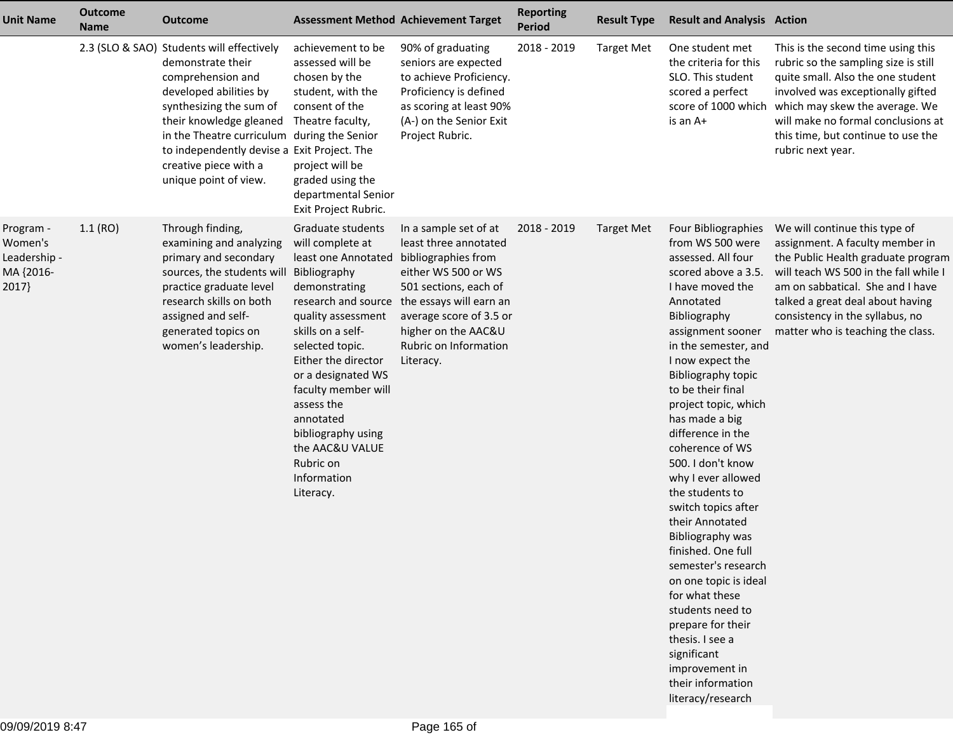| <b>Unit Name</b>                                           | <b>Outcome</b><br><b>Name</b> | <b>Outcome</b>                                                                                                                                                                                                                                                                                                      |                                                                                                                                                                                                                                                                                                                                                                  | <b>Assessment Method Achievement Target</b>                                                                                                                                                                                           | <b>Reporting</b><br><b>Period</b> | <b>Result Type</b> | <b>Result and Analysis Action</b>                                                                                                                                                                                                                                                                                                                                                                                                                                                                                                                                                                                                                                                              |                                                                                                                                                                                                                                                                                                 |
|------------------------------------------------------------|-------------------------------|---------------------------------------------------------------------------------------------------------------------------------------------------------------------------------------------------------------------------------------------------------------------------------------------------------------------|------------------------------------------------------------------------------------------------------------------------------------------------------------------------------------------------------------------------------------------------------------------------------------------------------------------------------------------------------------------|---------------------------------------------------------------------------------------------------------------------------------------------------------------------------------------------------------------------------------------|-----------------------------------|--------------------|------------------------------------------------------------------------------------------------------------------------------------------------------------------------------------------------------------------------------------------------------------------------------------------------------------------------------------------------------------------------------------------------------------------------------------------------------------------------------------------------------------------------------------------------------------------------------------------------------------------------------------------------------------------------------------------------|-------------------------------------------------------------------------------------------------------------------------------------------------------------------------------------------------------------------------------------------------------------------------------------------------|
|                                                            |                               | 2.3 (SLO & SAO) Students will effectively<br>demonstrate their<br>comprehension and<br>developed abilities by<br>synthesizing the sum of<br>their knowledge gleaned<br>in the Theatre curriculum during the Senior<br>to independently devise a Exit Project. The<br>creative piece with a<br>unique point of view. | achievement to be<br>assessed will be<br>chosen by the<br>student, with the<br>consent of the<br>Theatre faculty,<br>project will be<br>graded using the<br>departmental Senior<br>Exit Project Rubric.                                                                                                                                                          | 90% of graduating<br>seniors are expected<br>to achieve Proficiency.<br>Proficiency is defined<br>as scoring at least 90%<br>(A-) on the Senior Exit<br>Project Rubric.                                                               | 2018 - 2019                       | <b>Target Met</b>  | One student met<br>the criteria for this<br>SLO. This student<br>scored a perfect<br>score of 1000 which<br>is an A+                                                                                                                                                                                                                                                                                                                                                                                                                                                                                                                                                                           | This is the second time using this<br>rubric so the sampling size is still<br>quite small. Also the one student<br>involved was exceptionally gifted<br>which may skew the average. We<br>will make no formal conclusions at<br>this time, but continue to use the<br>rubric next year.         |
| Program -<br>Women's<br>Leadership -<br>MA {2016-<br>2017} | 1.1(RO)                       | Through finding,<br>examining and analyzing<br>primary and secondary<br>sources, the students will<br>practice graduate level<br>research skills on both<br>assigned and self-<br>generated topics on<br>women's leadership.                                                                                        | Graduate students<br>will complete at<br>least one Annotated bibliographies from<br>Bibliography<br>demonstrating<br>quality assessment<br>skills on a self-<br>selected topic.<br>Either the director<br>or a designated WS<br>faculty member will<br>assess the<br>annotated<br>bibliography using<br>the AAC&U VALUE<br>Rubric on<br>Information<br>Literacy. | In a sample set of at<br>least three annotated<br>either WS 500 or WS<br>501 sections, each of<br>research and source the essays will earn an<br>average score of 3.5 or<br>higher on the AAC&U<br>Rubric on Information<br>Literacy. | 2018 - 2019                       | <b>Target Met</b>  | Four Bibliographies<br>from WS 500 were<br>assessed. All four<br>scored above a 3.5.<br>I have moved the<br>Annotated<br>Bibliography<br>assignment sooner<br>in the semester, and<br>I now expect the<br>Bibliography topic<br>to be their final<br>project topic, which<br>has made a big<br>difference in the<br>coherence of WS<br>500. I don't know<br>why I ever allowed<br>the students to<br>switch topics after<br>their Annotated<br>Bibliography was<br>finished. One full<br>semester's research<br>on one topic is ideal<br>for what these<br>students need to<br>prepare for their<br>thesis. I see a<br>significant<br>improvement in<br>their information<br>literacy/research | We will continue this type of<br>assignment. A faculty member in<br>the Public Health graduate program<br>will teach WS 500 in the fall while I<br>am on sabbatical. She and I have<br>talked a great deal about having<br>consistency in the syllabus, no<br>matter who is teaching the class. |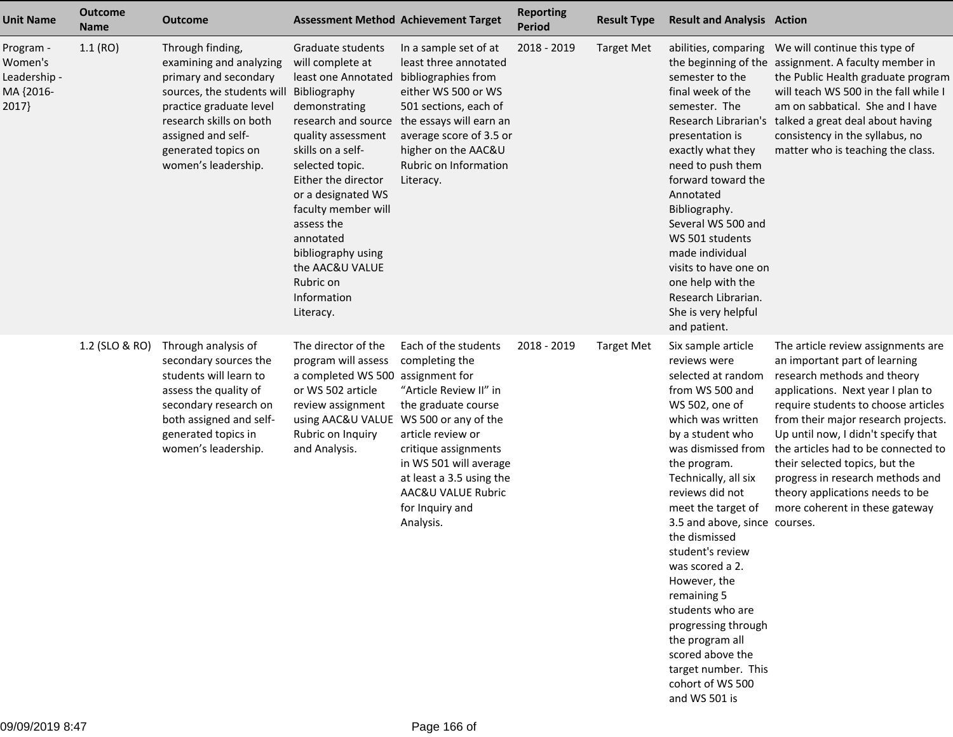| <b>Unit Name</b>                                          | <b>Outcome</b><br><b>Name</b> | <b>Outcome</b>                                                                                                                                                                                                               |                                                                                                                                                                                                                                                                                                                                                                     | <b>Assessment Method Achievement Target</b>                                                                                                                                                                                                                                                                  | <b>Reporting</b><br><b>Period</b> | <b>Result Type</b> | <b>Result and Analysis Action</b>                                                                                                                                                                                                                                                                                                                                                                                                                                                                                   |                                                                                                                                                                                                                                                                                                                                                                                                                                                |
|-----------------------------------------------------------|-------------------------------|------------------------------------------------------------------------------------------------------------------------------------------------------------------------------------------------------------------------------|---------------------------------------------------------------------------------------------------------------------------------------------------------------------------------------------------------------------------------------------------------------------------------------------------------------------------------------------------------------------|--------------------------------------------------------------------------------------------------------------------------------------------------------------------------------------------------------------------------------------------------------------------------------------------------------------|-----------------------------------|--------------------|---------------------------------------------------------------------------------------------------------------------------------------------------------------------------------------------------------------------------------------------------------------------------------------------------------------------------------------------------------------------------------------------------------------------------------------------------------------------------------------------------------------------|------------------------------------------------------------------------------------------------------------------------------------------------------------------------------------------------------------------------------------------------------------------------------------------------------------------------------------------------------------------------------------------------------------------------------------------------|
| Program -<br>Women's<br>Leadership -<br>MA {2016-<br>2017 | 1.1(RO)                       | Through finding,<br>examining and analyzing<br>primary and secondary<br>sources, the students will<br>practice graduate level<br>research skills on both<br>assigned and self-<br>generated topics on<br>women's leadership. | Graduate students<br>will complete at<br>least one Annotated<br>Bibliography<br>demonstrating<br>research and source<br>quality assessment<br>skills on a self-<br>selected topic.<br>Either the director<br>or a designated WS<br>faculty member will<br>assess the<br>annotated<br>bibliography using<br>the AAC&U VALUE<br>Rubric on<br>Information<br>Literacy. | In a sample set of at<br>least three annotated<br>bibliographies from<br>either WS 500 or WS<br>501 sections, each of<br>the essays will earn an<br>average score of 3.5 or<br>higher on the AAC&U<br>Rubric on Information<br>Literacy.                                                                     | 2018 - 2019                       | <b>Target Met</b>  | abilities, comparing<br>semester to the<br>final week of the<br>semester. The<br>presentation is<br>exactly what they<br>need to push them<br>forward toward the<br>Annotated<br>Bibliography.<br>Several WS 500 and<br>WS 501 students<br>made individual<br>visits to have one on<br>one help with the<br>Research Librarian.<br>She is very helpful<br>and patient.                                                                                                                                              | We will continue this type of<br>the beginning of the assignment. A faculty member in<br>the Public Health graduate program<br>will teach WS 500 in the fall while I<br>am on sabbatical. She and I have<br>Research Librarian's talked a great deal about having<br>consistency in the syllabus, no<br>matter who is teaching the class.                                                                                                      |
|                                                           | 1.2 (SLO & RO)                | Through analysis of<br>secondary sources the<br>students will learn to<br>assess the quality of<br>secondary research on<br>both assigned and self-<br>generated topics in<br>women's leadership.                            | The director of the<br>program will assess<br>a completed WS 500<br>or WS 502 article<br>review assignment<br>Rubric on Inquiry<br>and Analysis.                                                                                                                                                                                                                    | Each of the students<br>completing the<br>assignment for<br>"Article Review II" in<br>the graduate course<br>using AAC&U VALUE WS 500 or any of the<br>article review or<br>critique assignments<br>in WS 501 will average<br>at least a 3.5 using the<br>AAC&U VALUE Rubric<br>for Inquiry and<br>Analysis. | 2018 - 2019                       | <b>Target Met</b>  | Six sample article<br>reviews were<br>selected at random<br>from WS 500 and<br>WS 502, one of<br>which was written<br>by a student who<br>was dismissed from<br>the program.<br>Technically, all six<br>reviews did not<br>meet the target of<br>3.5 and above, since courses.<br>the dismissed<br>student's review<br>was scored a 2.<br>However, the<br>remaining 5<br>students who are<br>progressing through<br>the program all<br>scored above the<br>target number. This<br>cohort of WS 500<br>and WS 501 is | The article review assignments are<br>an important part of learning<br>research methods and theory<br>applications. Next year I plan to<br>require students to choose articles<br>from their major research projects.<br>Up until now, I didn't specify that<br>the articles had to be connected to<br>their selected topics, but the<br>progress in research methods and<br>theory applications needs to be<br>more coherent in these gateway |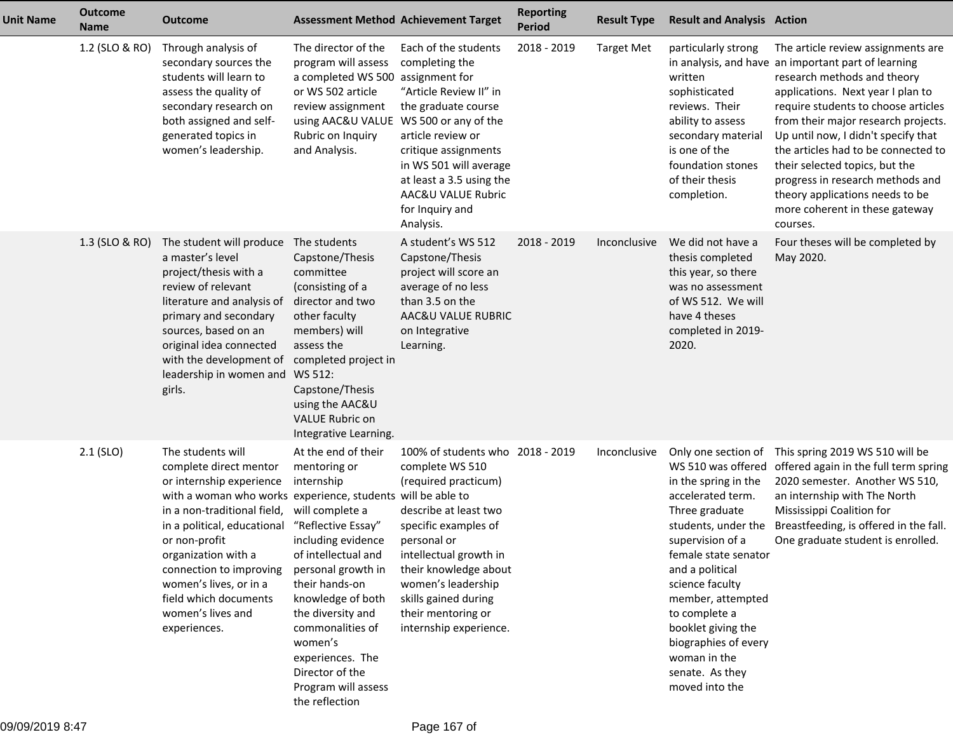| <b>Unit Name</b> | <b>Outcome</b><br><b>Name</b> | <b>Outcome</b>                                                                                                                                                                                                                                                                                                                                                  |                                                                                                                                                                                                                                                                                                                                          | <b>Assessment Method Achievement Target</b>                                                                                                                                                                                                                                                  | <b>Reporting</b><br><b>Period</b> | <b>Result Type</b> | <b>Result and Analysis Action</b>                                                                                                                                                                                                                                                                                                                          |                                                                                                                                                                                                                                                                                                                                                                                                                                                                                  |
|------------------|-------------------------------|-----------------------------------------------------------------------------------------------------------------------------------------------------------------------------------------------------------------------------------------------------------------------------------------------------------------------------------------------------------------|------------------------------------------------------------------------------------------------------------------------------------------------------------------------------------------------------------------------------------------------------------------------------------------------------------------------------------------|----------------------------------------------------------------------------------------------------------------------------------------------------------------------------------------------------------------------------------------------------------------------------------------------|-----------------------------------|--------------------|------------------------------------------------------------------------------------------------------------------------------------------------------------------------------------------------------------------------------------------------------------------------------------------------------------------------------------------------------------|----------------------------------------------------------------------------------------------------------------------------------------------------------------------------------------------------------------------------------------------------------------------------------------------------------------------------------------------------------------------------------------------------------------------------------------------------------------------------------|
|                  | 1.2 (SLO & RO)                | Through analysis of<br>secondary sources the<br>students will learn to<br>assess the quality of<br>secondary research on<br>both assigned and self-<br>generated topics in<br>women's leadership.                                                                                                                                                               | The director of the<br>program will assess<br>a completed WS 500<br>or WS 502 article<br>review assignment<br>using AAC&U VALUE<br>Rubric on Inquiry<br>and Analysis.                                                                                                                                                                    | Each of the students<br>completing the<br>assignment for<br>"Article Review II" in<br>the graduate course<br>WS 500 or any of the<br>article review or<br>critique assignments<br>in WS 501 will average<br>at least a 3.5 using the<br>AAC&U VALUE Rubric<br>for Inquiry and<br>Analysis.   | 2018 - 2019                       | <b>Target Met</b>  | particularly strong<br>written<br>sophisticated<br>reviews. Their<br>ability to assess<br>secondary material<br>is one of the<br>foundation stones<br>of their thesis<br>completion.                                                                                                                                                                       | The article review assignments are<br>in analysis, and have an important part of learning<br>research methods and theory<br>applications. Next year I plan to<br>require students to choose articles<br>from their major research projects.<br>Up until now, I didn't specify that<br>the articles had to be connected to<br>their selected topics, but the<br>progress in research methods and<br>theory applications needs to be<br>more coherent in these gateway<br>courses. |
|                  | 1.3 (SLO & RO)                | The student will produce The students<br>a master's level<br>project/thesis with a<br>review of relevant<br>literature and analysis of<br>primary and secondary<br>sources, based on an<br>original idea connected<br>with the development of<br>leadership in women and<br>girls.                                                                              | Capstone/Thesis<br>committee<br>(consisting of a<br>director and two<br>other faculty<br>members) will<br>assess the<br>completed project in<br>WS 512:<br>Capstone/Thesis<br>using the AAC&U<br><b>VALUE Rubric on</b><br>Integrative Learning.                                                                                         | A student's WS 512<br>Capstone/Thesis<br>project will score an<br>average of no less<br>than 3.5 on the<br>AAC&U VALUE RUBRIC<br>on Integrative<br>Learning.                                                                                                                                 | 2018 - 2019                       | Inconclusive       | We did not have a<br>thesis completed<br>this year, so there<br>was no assessment<br>of WS 512. We will<br>have 4 theses<br>completed in 2019-<br>2020.                                                                                                                                                                                                    | Four theses will be completed by<br>May 2020.                                                                                                                                                                                                                                                                                                                                                                                                                                    |
|                  | $2.1$ (SLO)                   | The students will<br>complete direct mentor<br>or internship experience<br>with a woman who works experience, students will be able to<br>in a non-traditional field,<br>in a political, educational<br>or non-profit<br>organization with a<br>connection to improving<br>women's lives, or in a<br>field which documents<br>women's lives and<br>experiences. | At the end of their<br>mentoring or<br>internship<br>will complete a<br>"Reflective Essay"<br>including evidence<br>of intellectual and<br>personal growth in<br>their hands-on<br>knowledge of both<br>the diversity and<br>commonalities of<br>women's<br>experiences. The<br>Director of the<br>Program will assess<br>the reflection | 100% of students who 2018 - 2019<br>complete WS 510<br>(required practicum)<br>describe at least two<br>specific examples of<br>personal or<br>intellectual growth in<br>their knowledge about<br>women's leadership<br>skills gained during<br>their mentoring or<br>internship experience. |                                   | Inconclusive       | Only one section of<br>WS 510 was offered<br>in the spring in the<br>accelerated term.<br>Three graduate<br>students, under the<br>supervision of a<br>female state senator<br>and a political<br>science faculty<br>member, attempted<br>to complete a<br>booklet giving the<br>biographies of every<br>woman in the<br>senate. As they<br>moved into the | This spring 2019 WS 510 will be<br>offered again in the full term spring<br>2020 semester. Another WS 510,<br>an internship with The North<br>Mississippi Coalition for<br>Breastfeeding, is offered in the fall.<br>One graduate student is enrolled.                                                                                                                                                                                                                           |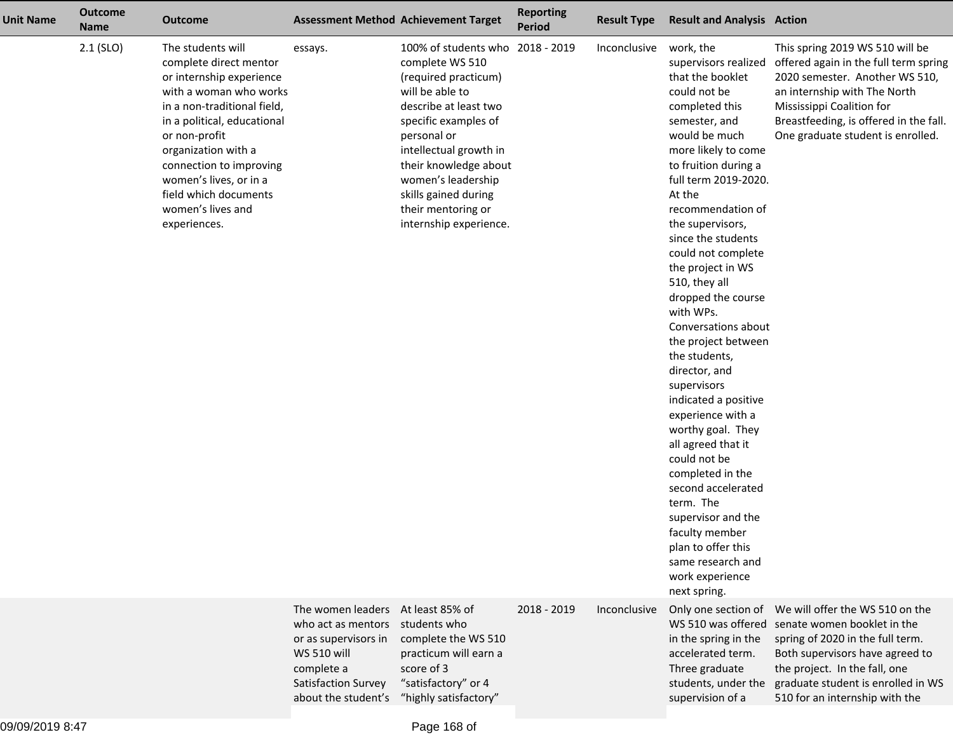| <b>Unit Name</b> | <b>Outcome</b><br><b>Name</b> | <b>Outcome</b>                                                                                                                                                                                                                                                                                                             |                                                                                                                                                                   | <b>Assessment Method Achievement Target</b>                                                                                                                                                                                                                                                                     | <b>Reporting</b><br><b>Period</b> | <b>Result Type</b> | <b>Result and Analysis Action</b>                                                                                                                                                                                                                                                                                                                                                                                                                                                                                                                                                                                                                                                                                                    |                                                                                                                                                                                                                                                                                        |
|------------------|-------------------------------|----------------------------------------------------------------------------------------------------------------------------------------------------------------------------------------------------------------------------------------------------------------------------------------------------------------------------|-------------------------------------------------------------------------------------------------------------------------------------------------------------------|-----------------------------------------------------------------------------------------------------------------------------------------------------------------------------------------------------------------------------------------------------------------------------------------------------------------|-----------------------------------|--------------------|--------------------------------------------------------------------------------------------------------------------------------------------------------------------------------------------------------------------------------------------------------------------------------------------------------------------------------------------------------------------------------------------------------------------------------------------------------------------------------------------------------------------------------------------------------------------------------------------------------------------------------------------------------------------------------------------------------------------------------------|----------------------------------------------------------------------------------------------------------------------------------------------------------------------------------------------------------------------------------------------------------------------------------------|
|                  | $2.1$ (SLO)                   | The students will<br>complete direct mentor<br>or internship experience<br>with a woman who works<br>in a non-traditional field,<br>in a political, educational<br>or non-profit<br>organization with a<br>connection to improving<br>women's lives, or in a<br>field which documents<br>women's lives and<br>experiences. | essays.                                                                                                                                                           | 100% of students who 2018 - 2019<br>complete WS 510<br>(required practicum)<br>will be able to<br>describe at least two<br>specific examples of<br>personal or<br>intellectual growth in<br>their knowledge about<br>women's leadership<br>skills gained during<br>their mentoring or<br>internship experience. |                                   | Inconclusive       | work, the<br>that the booklet<br>could not be<br>completed this<br>semester, and<br>would be much<br>more likely to come<br>to fruition during a<br>full term 2019-2020.<br>At the<br>recommendation of<br>the supervisors,<br>since the students<br>could not complete<br>the project in WS<br>510, they all<br>dropped the course<br>with WPs.<br>Conversations about<br>the project between<br>the students,<br>director, and<br>supervisors<br>indicated a positive<br>experience with a<br>worthy goal. They<br>all agreed that it<br>could not be<br>completed in the<br>second accelerated<br>term. The<br>supervisor and the<br>faculty member<br>plan to offer this<br>same research and<br>work experience<br>next spring. | This spring 2019 WS 510 will be<br>supervisors realized offered again in the full term spring<br>2020 semester. Another WS 510,<br>an internship with The North<br>Mississippi Coalition for<br>Breastfeeding, is offered in the fall.<br>One graduate student is enrolled.            |
|                  |                               |                                                                                                                                                                                                                                                                                                                            | The women leaders At least 85% of<br>who act as mentors<br>or as supervisors in<br><b>WS 510 will</b><br>complete a<br>Satisfaction Survey<br>about the student's | students who<br>complete the WS 510<br>practicum will earn a<br>score of 3<br>"satisfactory" or 4<br>"highly satisfactory"                                                                                                                                                                                      | $2018 - 2019$                     | Inconclusive       | WS 510 was offered<br>in the spring in the<br>accelerated term.<br>Three graduate<br>supervision of a                                                                                                                                                                                                                                                                                                                                                                                                                                                                                                                                                                                                                                | Only one section of We will offer the WS 510 on the<br>senate women booklet in the<br>spring of 2020 in the full term.<br>Both supervisors have agreed to<br>the project. In the fall, one<br>students, under the graduate student is enrolled in WS<br>510 for an internship with the |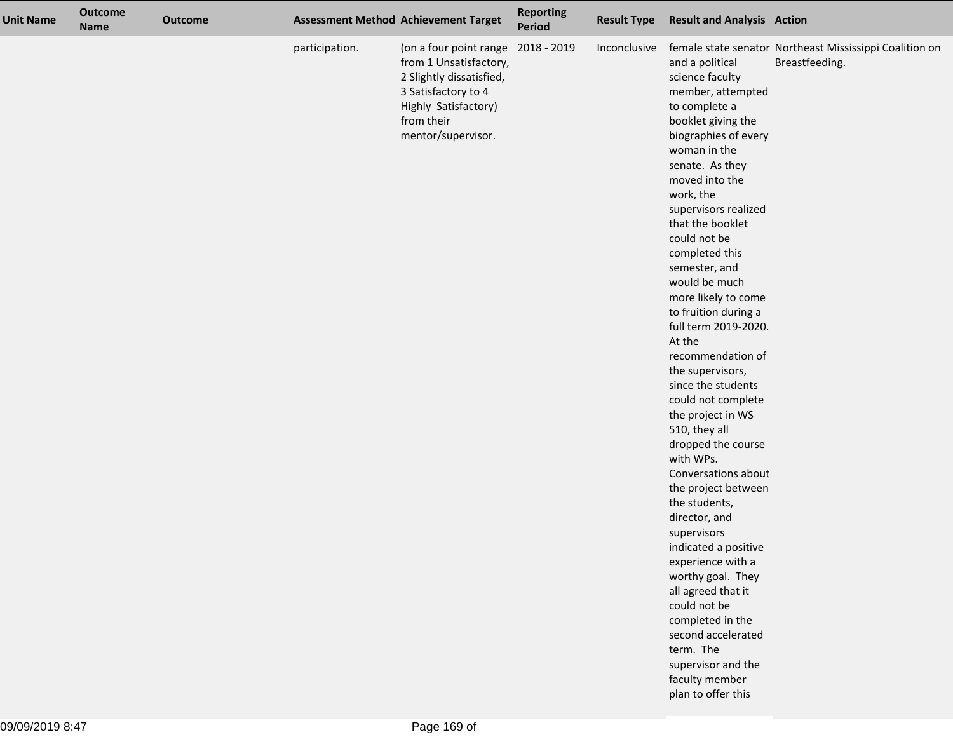| <b>Unit Name</b> | <b>Outcome</b><br><b>Name</b> | <b>Outcome</b> |                | <b>Assessment Method Achievement Target</b>                                                                                                                                 | <b>Reporting</b><br>Period | <b>Result Type</b> | <b>Result and Analysis Action</b>                                                                                                                                                                                                                                                                                                                                                                                                                                                                                                                                                                                                                                                                                                                                                                                                                                                   |                                                                           |
|------------------|-------------------------------|----------------|----------------|-----------------------------------------------------------------------------------------------------------------------------------------------------------------------------|----------------------------|--------------------|-------------------------------------------------------------------------------------------------------------------------------------------------------------------------------------------------------------------------------------------------------------------------------------------------------------------------------------------------------------------------------------------------------------------------------------------------------------------------------------------------------------------------------------------------------------------------------------------------------------------------------------------------------------------------------------------------------------------------------------------------------------------------------------------------------------------------------------------------------------------------------------|---------------------------------------------------------------------------|
|                  |                               |                | participation. | (on a four point range 2018 - 2019<br>from 1 Unsatisfactory,<br>2 Slightly dissatisfied,<br>3 Satisfactory to 4<br>Highly Satisfactory)<br>from their<br>mentor/supervisor. |                            | Inconclusive       | and a political<br>science faculty<br>member, attempted<br>to complete a<br>booklet giving the<br>biographies of every<br>woman in the<br>senate. As they<br>moved into the<br>work, the<br>supervisors realized<br>that the booklet<br>could not be<br>completed this<br>semester, and<br>would be much<br>more likely to come<br>to fruition during a<br>full term 2019-2020.<br>At the<br>recommendation of<br>the supervisors,<br>since the students<br>could not complete<br>the project in WS<br>510, they all<br>dropped the course<br>with WPs.<br>Conversations about<br>the project between<br>the students,<br>director, and<br>supervisors<br>indicated a positive<br>experience with a<br>worthy goal. They<br>all agreed that it<br>could not be<br>completed in the<br>second accelerated<br>term. The<br>supervisor and the<br>faculty member<br>plan to offer this | female state senator Northeast Mississippi Coalition on<br>Breastfeeding. |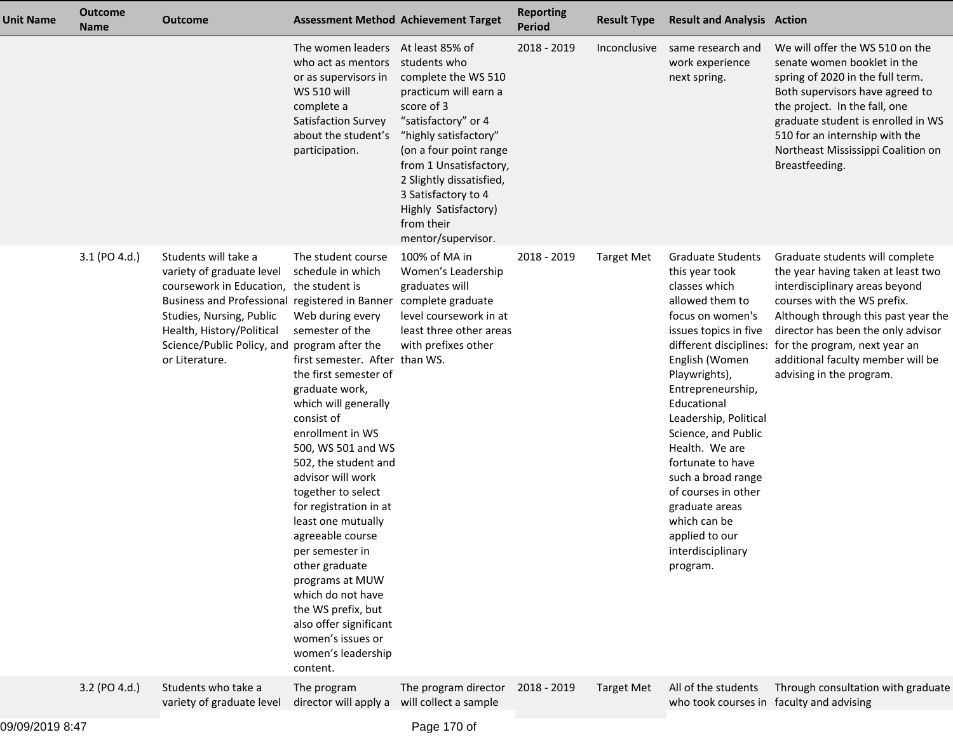| <b>Unit Name</b> | <b>Outcome</b><br><b>Name</b> | <b>Outcome</b>                                                                                                                                                                                                                                                                              | <b>Assessment Method Achievement Target</b>                                                                                                                                                                                                                                                                                                                                                                                                                                                                                                                            |                                                                                                                                                                                                                                                                               | <b>Reporting</b><br><b>Period</b> | <b>Result Type</b> | <b>Result and Analysis Action</b>                                                                                                                                                                                                                                                                                                                                                                                           |                                                                                                                                                                                                                                                                                                                                              |
|------------------|-------------------------------|---------------------------------------------------------------------------------------------------------------------------------------------------------------------------------------------------------------------------------------------------------------------------------------------|------------------------------------------------------------------------------------------------------------------------------------------------------------------------------------------------------------------------------------------------------------------------------------------------------------------------------------------------------------------------------------------------------------------------------------------------------------------------------------------------------------------------------------------------------------------------|-------------------------------------------------------------------------------------------------------------------------------------------------------------------------------------------------------------------------------------------------------------------------------|-----------------------------------|--------------------|-----------------------------------------------------------------------------------------------------------------------------------------------------------------------------------------------------------------------------------------------------------------------------------------------------------------------------------------------------------------------------------------------------------------------------|----------------------------------------------------------------------------------------------------------------------------------------------------------------------------------------------------------------------------------------------------------------------------------------------------------------------------------------------|
|                  |                               |                                                                                                                                                                                                                                                                                             | The women leaders At least 85% of<br>who act as mentors students who<br>or as supervisors in<br><b>WS 510 will</b><br>complete a<br>Satisfaction Survey<br>about the student's<br>participation.                                                                                                                                                                                                                                                                                                                                                                       | complete the WS 510<br>practicum will earn a<br>score of 3<br>"satisfactory" or 4<br>"highly satisfactory"<br>(on a four point range<br>from 1 Unsatisfactory,<br>2 Slightly dissatisfied,<br>3 Satisfactory to 4<br>Highly Satisfactory)<br>from their<br>mentor/supervisor. | 2018 - 2019                       | Inconclusive       | same research and<br>work experience<br>next spring.                                                                                                                                                                                                                                                                                                                                                                        | We will offer the WS 510 on the<br>senate women booklet in the<br>spring of 2020 in the full term.<br>Both supervisors have agreed to<br>the project. In the fall, one<br>graduate student is enrolled in WS<br>510 for an internship with the<br>Northeast Mississippi Coalition on<br>Breastfeeding.                                       |
|                  | 3.1 (PO 4.d.)                 | Students will take a<br>variety of graduate level<br>coursework in Education, the student is<br>Business and Professional registered in Banner complete graduate<br>Studies, Nursing, Public<br>Health, History/Political<br>Science/Public Policy, and program after the<br>or Literature. | The student course<br>schedule in which<br>Web during every<br>semester of the<br>first semester. After than WS.<br>the first semester of<br>graduate work,<br>which will generally<br>consist of<br>enrollment in WS<br>500, WS 501 and WS<br>502, the student and<br>advisor will work<br>together to select<br>for registration in at<br>least one mutually<br>agreeable course<br>per semester in<br>other graduate<br>programs at MUW<br>which do not have<br>the WS prefix, but<br>also offer significant<br>women's issues or<br>women's leadership<br>content. | 100% of MA in<br>Women's Leadership<br>graduates will<br>level coursework in at<br>least three other areas<br>with prefixes other                                                                                                                                             | 2018 - 2019                       | <b>Target Met</b>  | <b>Graduate Students</b><br>this year took<br>classes which<br>allowed them to<br>focus on women's<br>issues topics in five<br>English (Women<br>Playwrights),<br>Entrepreneurship,<br>Educational<br>Leadership, Political<br>Science, and Public<br>Health. We are<br>fortunate to have<br>such a broad range<br>of courses in other<br>graduate areas<br>which can be<br>applied to our<br>interdisciplinary<br>program. | Graduate students will complete<br>the year having taken at least two<br>interdisciplinary areas beyond<br>courses with the WS prefix.<br>Although through this past year the<br>director has been the only advisor<br>different disciplines: for the program, next year an<br>additional faculty member will be<br>advising in the program. |
|                  | 3.2 (PO 4.d.)                 | Students who take a<br>variety of graduate level                                                                                                                                                                                                                                            | The program<br>director will apply a                                                                                                                                                                                                                                                                                                                                                                                                                                                                                                                                   | The program director<br>will collect a sample                                                                                                                                                                                                                                 | 2018 - 2019                       | <b>Target Met</b>  | All of the students<br>who took courses in faculty and advising                                                                                                                                                                                                                                                                                                                                                             | Through consultation with graduate                                                                                                                                                                                                                                                                                                           |
|                  |                               |                                                                                                                                                                                                                                                                                             |                                                                                                                                                                                                                                                                                                                                                                                                                                                                                                                                                                        |                                                                                                                                                                                                                                                                               |                                   |                    |                                                                                                                                                                                                                                                                                                                                                                                                                             |                                                                                                                                                                                                                                                                                                                                              |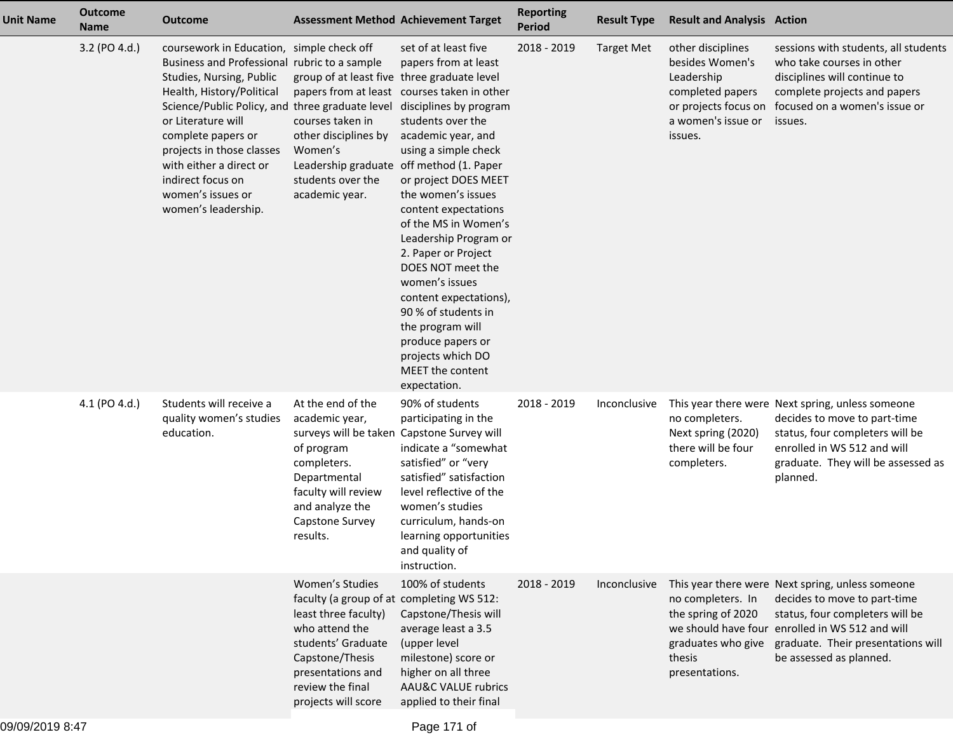| <b>Unit Name</b> | <b>Outcome</b><br><b>Name</b> | <b>Outcome</b>                                                                                                                                                                                                                                                                                                                                                             |                                                                                                                                                                                                                 | <b>Assessment Method Achievement Target</b>                                                                                                                                                                                                                                                                                                                                                                                                                                                                                      | <b>Reporting</b><br><b>Period</b> | <b>Result Type</b> | <b>Result and Analysis Action</b>                                                                                               |                                                                                                                                                                                                                                         |
|------------------|-------------------------------|----------------------------------------------------------------------------------------------------------------------------------------------------------------------------------------------------------------------------------------------------------------------------------------------------------------------------------------------------------------------------|-----------------------------------------------------------------------------------------------------------------------------------------------------------------------------------------------------------------|----------------------------------------------------------------------------------------------------------------------------------------------------------------------------------------------------------------------------------------------------------------------------------------------------------------------------------------------------------------------------------------------------------------------------------------------------------------------------------------------------------------------------------|-----------------------------------|--------------------|---------------------------------------------------------------------------------------------------------------------------------|-----------------------------------------------------------------------------------------------------------------------------------------------------------------------------------------------------------------------------------------|
|                  | 3.2 (PO 4.d.)                 | coursework in Education, simple check off<br>Business and Professional rubric to a sample<br>Studies, Nursing, Public<br>Health, History/Political<br>Science/Public Policy, and three graduate level<br>or Literature will<br>complete papers or<br>projects in those classes<br>with either a direct or<br>indirect focus on<br>women's issues or<br>women's leadership. | group of at least five three graduate level<br>courses taken in<br>other disciplines by<br>Women's<br>Leadership graduate off method (1. Paper<br>students over the<br>academic year.                           | set of at least five<br>papers from at least<br>papers from at least courses taken in other<br>disciplines by program<br>students over the<br>academic year, and<br>using a simple check<br>or project DOES MEET<br>the women's issues<br>content expectations<br>of the MS in Women's<br>Leadership Program or<br>2. Paper or Project<br>DOES NOT meet the<br>women's issues<br>content expectations),<br>90 % of students in<br>the program will<br>produce papers or<br>projects which DO<br>MEET the content<br>expectation. | 2018 - 2019                       | <b>Target Met</b>  | other disciplines<br>besides Women's<br>Leadership<br>completed papers<br>or projects focus on<br>a women's issue or<br>issues. | sessions with students, all students<br>who take courses in other<br>disciplines will continue to<br>complete projects and papers<br>focused on a women's issue or<br>issues.                                                           |
|                  | 4.1 (PO 4.d.)                 | Students will receive a<br>quality women's studies<br>education.                                                                                                                                                                                                                                                                                                           | At the end of the<br>academic year,<br>surveys will be taken Capstone Survey will<br>of program<br>completers.<br>Departmental<br>faculty will review<br>and analyze the<br>Capstone Survey<br>results.         | 90% of students<br>participating in the<br>indicate a "somewhat<br>satisfied" or "very<br>satisfied" satisfaction<br>level reflective of the<br>women's studies<br>curriculum, hands-on<br>learning opportunities<br>and quality of<br>instruction.                                                                                                                                                                                                                                                                              | 2018 - 2019                       | Inconclusive       | no completers.<br>Next spring (2020)<br>there will be four<br>completers.                                                       | This year there were Next spring, unless someone<br>decides to move to part-time<br>status, four completers will be<br>enrolled in WS 512 and will<br>graduate. They will be assessed as<br>planned.                                    |
|                  |                               |                                                                                                                                                                                                                                                                                                                                                                            | Women's Studies<br>faculty (a group of at completing WS 512:<br>least three faculty)<br>who attend the<br>students' Graduate<br>Capstone/Thesis<br>presentations and<br>review the final<br>projects will score | 100% of students<br>Capstone/Thesis will<br>average least a 3.5<br>(upper level<br>milestone) score or<br>higher on all three<br>AAU&C VALUE rubrics<br>applied to their final                                                                                                                                                                                                                                                                                                                                                   | 2018 - 2019                       | Inconclusive       | no completers. In<br>the spring of 2020<br>graduates who give<br>thesis<br>presentations.                                       | This year there were Next spring, unless someone<br>decides to move to part-time<br>status, four completers will be<br>we should have four enrolled in WS 512 and will<br>graduate. Their presentations will<br>be assessed as planned. |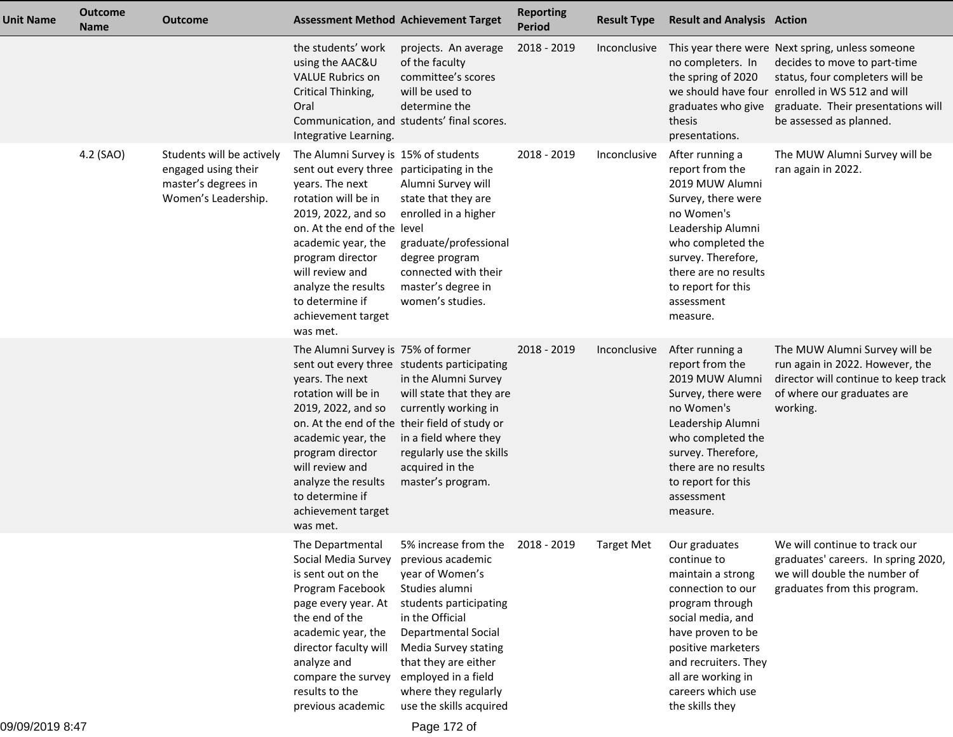| <b>Unit Name</b> | <b>Outcome</b><br><b>Name</b> | <b>Outcome</b>                                                                                 | <b>Assessment Method Achievement Target</b>                                                                                                                                                                                                                                                                               |                                                                                                                                                                                                                                                                                                        | <b>Reporting</b><br><b>Period</b> | <b>Result Type</b> | <b>Result and Analysis Action</b>                                                                                                                                                                                                                          |                                                                                                                                                                                                                                         |
|------------------|-------------------------------|------------------------------------------------------------------------------------------------|---------------------------------------------------------------------------------------------------------------------------------------------------------------------------------------------------------------------------------------------------------------------------------------------------------------------------|--------------------------------------------------------------------------------------------------------------------------------------------------------------------------------------------------------------------------------------------------------------------------------------------------------|-----------------------------------|--------------------|------------------------------------------------------------------------------------------------------------------------------------------------------------------------------------------------------------------------------------------------------------|-----------------------------------------------------------------------------------------------------------------------------------------------------------------------------------------------------------------------------------------|
|                  |                               |                                                                                                | the students' work<br>using the AAC&U<br><b>VALUE Rubrics on</b><br>Critical Thinking,<br>Oral<br>Integrative Learning.                                                                                                                                                                                                   | projects. An average<br>of the faculty<br>committee's scores<br>will be used to<br>determine the<br>Communication, and students' final scores.                                                                                                                                                         | 2018 - 2019                       | Inconclusive       | no completers. In<br>the spring of 2020<br>graduates who give<br>thesis<br>presentations.                                                                                                                                                                  | This year there were Next spring, unless someone<br>decides to move to part-time<br>status, four completers will be<br>we should have four enrolled in WS 512 and will<br>graduate. Their presentations will<br>be assessed as planned. |
|                  | 4.2 (SAO)                     | Students will be actively<br>engaged using their<br>master's degrees in<br>Women's Leadership. | The Alumni Survey is 15% of students<br>sent out every three participating in the<br>years. The next<br>rotation will be in<br>2019, 2022, and so<br>on. At the end of the level<br>academic year, the<br>program director<br>will review and<br>analyze the results<br>to determine if<br>achievement target<br>was met. | Alumni Survey will<br>state that they are<br>enrolled in a higher<br>graduate/professional<br>degree program<br>connected with their<br>master's degree in<br>women's studies.                                                                                                                         | 2018 - 2019                       | Inconclusive       | After running a<br>report from the<br>2019 MUW Alumni<br>Survey, there were<br>no Women's<br>Leadership Alumni<br>who completed the<br>survey. Therefore,<br>there are no results<br>to report for this<br>assessment<br>measure.                          | The MUW Alumni Survey will be<br>ran again in 2022.                                                                                                                                                                                     |
|                  |                               |                                                                                                | The Alumni Survey is 75% of former<br>years. The next<br>rotation will be in<br>2019, 2022, and so<br>academic year, the<br>program director<br>will review and<br>analyze the results<br>to determine if<br>achievement target<br>was met.                                                                               | sent out every three students participating<br>in the Alumni Survey<br>will state that they are<br>currently working in<br>on. At the end of the their field of study or<br>in a field where they<br>regularly use the skills<br>acquired in the<br>master's program.                                  | 2018 - 2019                       | Inconclusive       | After running a<br>report from the<br>2019 MUW Alumni<br>Survey, there were<br>no Women's<br>Leadership Alumni<br>who completed the<br>survey. Therefore,<br>there are no results<br>to report for this<br>assessment<br>measure.                          | The MUW Alumni Survey will be<br>run again in 2022. However, the<br>director will continue to keep track<br>of where our graduates are<br>working.                                                                                      |
|                  |                               |                                                                                                | The Departmental<br>Social Media Survey<br>is sent out on the<br>Program Facebook<br>page every year. At<br>the end of the<br>academic year, the<br>director faculty will<br>analyze and<br>compare the survey<br>results to the<br>previous academic                                                                     | 5% increase from the 2018 - 2019<br>previous academic<br>year of Women's<br>Studies alumni<br>students participating<br>in the Official<br><b>Departmental Social</b><br><b>Media Survey stating</b><br>that they are either<br>employed in a field<br>where they regularly<br>use the skills acquired |                                   |                    | Target Met Our graduates<br>continue to<br>maintain a strong<br>connection to our<br>program through<br>social media, and<br>have proven to be<br>positive marketers<br>and recruiters. They<br>all are working in<br>careers which use<br>the skills they | We will continue to track our<br>graduates' careers. In spring 2020,<br>we will double the number of<br>graduates from this program.                                                                                                    |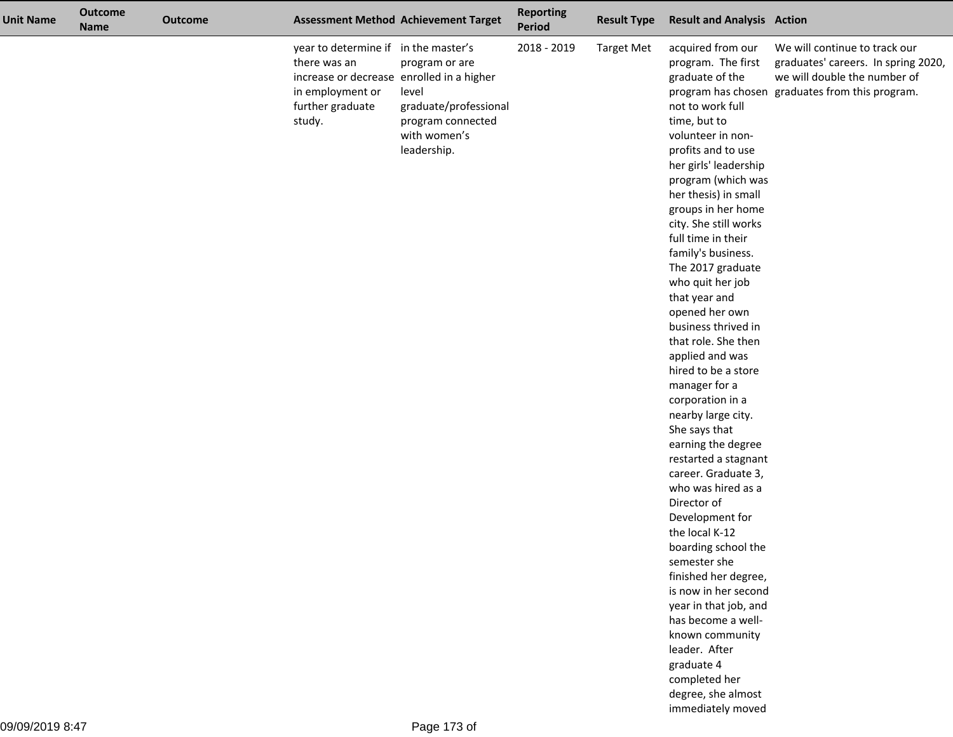| <b>Unit Name</b> | <b>Outcome</b><br><b>Name</b> | <b>Outcome</b> |                                                                                                                                                     | <b>Assessment Method Achievement Target</b>                                                          | <b>Reporting</b><br>Period | <b>Result Type</b> | <b>Result and Analysis Action</b>                                                                                                                                                                                                                                                                                                                                                                                                                                                                                                                                                                                                                                                                                                                                                                                                                                                                                                                              |                                                                                                                                                         |
|------------------|-------------------------------|----------------|-----------------------------------------------------------------------------------------------------------------------------------------------------|------------------------------------------------------------------------------------------------------|----------------------------|--------------------|----------------------------------------------------------------------------------------------------------------------------------------------------------------------------------------------------------------------------------------------------------------------------------------------------------------------------------------------------------------------------------------------------------------------------------------------------------------------------------------------------------------------------------------------------------------------------------------------------------------------------------------------------------------------------------------------------------------------------------------------------------------------------------------------------------------------------------------------------------------------------------------------------------------------------------------------------------------|---------------------------------------------------------------------------------------------------------------------------------------------------------|
|                  |                               |                | year to determine if in the master's<br>there was an<br>increase or decrease enrolled in a higher<br>in employment or<br>further graduate<br>study. | program or are<br>level<br>graduate/professional<br>program connected<br>with women's<br>leadership. | 2018 - 2019                | <b>Target Met</b>  | acquired from our<br>program. The first<br>graduate of the<br>not to work full<br>time, but to<br>volunteer in non-<br>profits and to use<br>her girls' leadership<br>program (which was<br>her thesis) in small<br>groups in her home<br>city. She still works<br>full time in their<br>family's business.<br>The 2017 graduate<br>who quit her job<br>that year and<br>opened her own<br>business thrived in<br>that role. She then<br>applied and was<br>hired to be a store<br>manager for a<br>corporation in a<br>nearby large city.<br>She says that<br>earning the degree<br>restarted a stagnant<br>career. Graduate 3,<br>who was hired as a<br>Director of<br>Development for<br>the local K-12<br>boarding school the<br>semester she<br>finished her degree,<br>is now in her second<br>year in that job, and<br>has become a well-<br>known community<br>leader. After<br>graduate 4<br>completed her<br>degree, she almost<br>immediately moved | We will continue to track our<br>graduates' careers. In spring 2020,<br>we will double the number of<br>program has chosen graduates from this program. |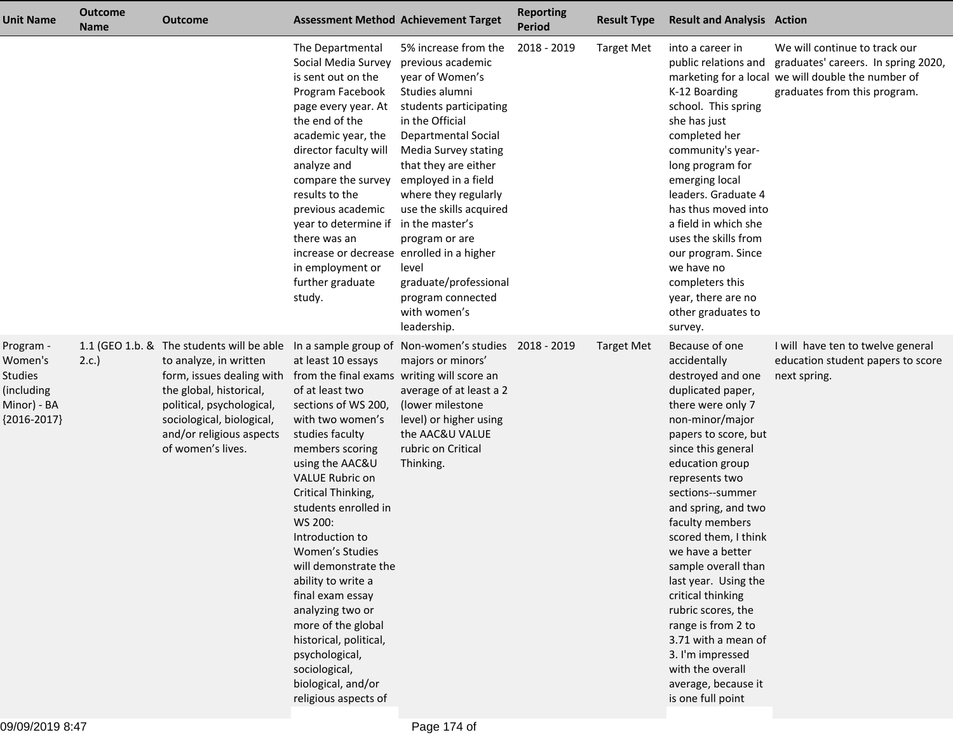| <b>Unit Name</b>                                                                     | <b>Outcome</b><br><b>Name</b> | <b>Outcome</b>                                                                                                                                                                                                                         |                                                                                                                                                                                                                                                                                                                                                                                                                                                                                                                                                                 | <b>Assessment Method Achievement Target</b>                                                                                                                                                                                                                                                                                                                                                                    | <b>Reporting</b><br><b>Period</b> | <b>Result Type</b> | <b>Result and Analysis Action</b>                                                                                                                                                                                                                                                                                                                                                                                                                                                                                                        |                                                                                                                                                            |
|--------------------------------------------------------------------------------------|-------------------------------|----------------------------------------------------------------------------------------------------------------------------------------------------------------------------------------------------------------------------------------|-----------------------------------------------------------------------------------------------------------------------------------------------------------------------------------------------------------------------------------------------------------------------------------------------------------------------------------------------------------------------------------------------------------------------------------------------------------------------------------------------------------------------------------------------------------------|----------------------------------------------------------------------------------------------------------------------------------------------------------------------------------------------------------------------------------------------------------------------------------------------------------------------------------------------------------------------------------------------------------------|-----------------------------------|--------------------|------------------------------------------------------------------------------------------------------------------------------------------------------------------------------------------------------------------------------------------------------------------------------------------------------------------------------------------------------------------------------------------------------------------------------------------------------------------------------------------------------------------------------------------|------------------------------------------------------------------------------------------------------------------------------------------------------------|
|                                                                                      |                               |                                                                                                                                                                                                                                        | The Departmental<br>Social Media Survey<br>is sent out on the<br>Program Facebook<br>page every year. At<br>the end of the<br>academic year, the<br>director faculty will<br>analyze and<br>compare the survey<br>results to the<br>previous academic<br>year to determine if<br>there was an<br>increase or decrease enrolled in a higher<br>in employment or<br>further graduate<br>study.                                                                                                                                                                    | 5% increase from the<br>previous academic<br>year of Women's<br>Studies alumni<br>students participating<br>in the Official<br><b>Departmental Social</b><br>Media Survey stating<br>that they are either<br>employed in a field<br>where they regularly<br>use the skills acquired<br>in the master's<br>program or are<br>level<br>graduate/professional<br>program connected<br>with women's<br>leadership. | 2018 - 2019                       | <b>Target Met</b>  | into a career in<br>public relations and<br>K-12 Boarding<br>school. This spring<br>she has just<br>completed her<br>community's year-<br>long program for<br>emerging local<br>leaders. Graduate 4<br>has thus moved into<br>a field in which she<br>uses the skills from<br>our program. Since<br>we have no<br>completers this<br>year, there are no<br>other graduates to<br>survey.                                                                                                                                                 | We will continue to track our<br>graduates' careers. In spring 2020,<br>marketing for a local we will double the number of<br>graduates from this program. |
| Program -<br>Women's<br><b>Studies</b><br>(including<br>Minor) - BA<br>${2016-2017}$ | 2.c.                          | 1.1 (GEO 1.b. & The students will be able<br>to analyze, in written<br>form, issues dealing with<br>the global, historical,<br>political, psychological,<br>sociological, biological,<br>and/or religious aspects<br>of women's lives. | In a sample group of<br>at least 10 essays<br>from the final exams writing will score an<br>of at least two<br>sections of WS 200,<br>with two women's<br>studies faculty<br>members scoring<br>using the AAC&U<br><b>VALUE Rubric on</b><br>Critical Thinking,<br>students enrolled in<br>WS 200:<br>Introduction to<br>Women's Studies<br>will demonstrate the<br>ability to write a<br>final exam essay<br>analyzing two or<br>more of the global<br>historical, political,<br>psychological,<br>sociological,<br>biological, and/or<br>religious aspects of | Non-women's studies 2018 - 2019<br>majors or minors'<br>average of at least a 2<br>(lower milestone<br>level) or higher using<br>the AAC&U VALUE<br>rubric on Critical<br>Thinking.                                                                                                                                                                                                                            |                                   | <b>Target Met</b>  | Because of one<br>accidentally<br>destroyed and one<br>duplicated paper,<br>there were only 7<br>non-minor/major<br>papers to score, but<br>since this general<br>education group<br>represents two<br>sections--summer<br>and spring, and two<br>faculty members<br>scored them, I think<br>we have a better<br>sample overall than<br>last year. Using the<br>critical thinking<br>rubric scores, the<br>range is from 2 to<br>3.71 with a mean of<br>3. I'm impressed<br>with the overall<br>average, because it<br>is one full point | I will have ten to twelve general<br>education student papers to score<br>next spring.                                                                     |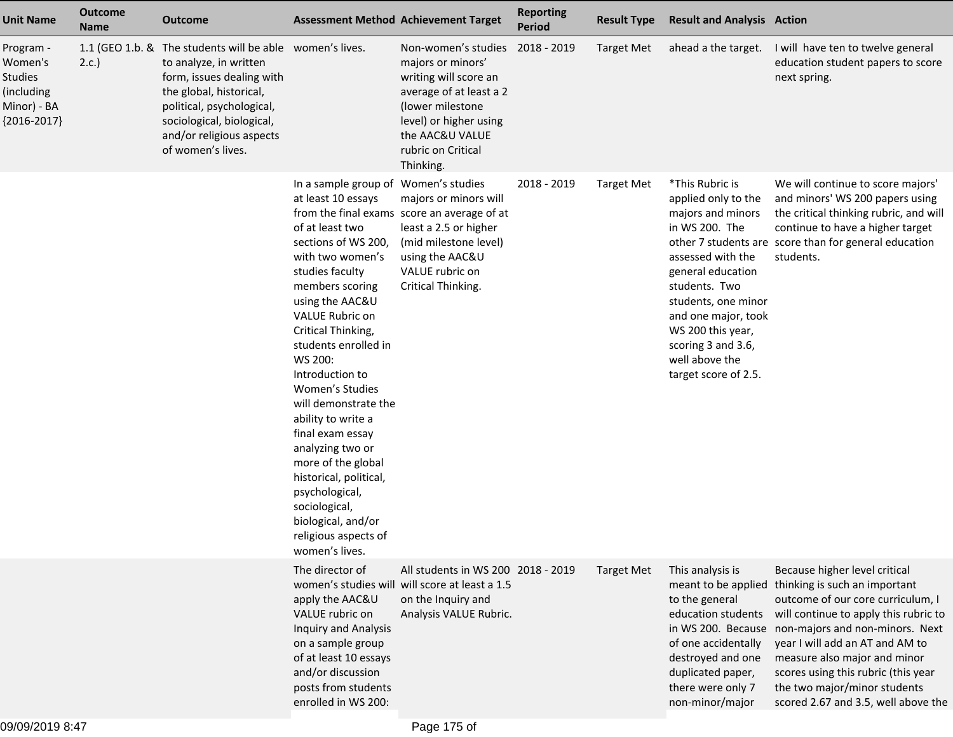| <b>Unit Name</b>                                                                     | <b>Outcome</b><br><b>Name</b> | <b>Outcome</b>                                                                                                                                                                                                                                        |                                                                                                                                                                                                                                                                                                                                                                                                                                                                                                                                              | <b>Assessment Method Achievement Target</b>                                                                                                                                                      | <b>Reporting</b><br><b>Period</b> | <b>Result Type</b> | <b>Result and Analysis Action</b>                                                                                                                                                                                                                                           |                                                                                                                                                                                                                                                                                                                                                                                     |
|--------------------------------------------------------------------------------------|-------------------------------|-------------------------------------------------------------------------------------------------------------------------------------------------------------------------------------------------------------------------------------------------------|----------------------------------------------------------------------------------------------------------------------------------------------------------------------------------------------------------------------------------------------------------------------------------------------------------------------------------------------------------------------------------------------------------------------------------------------------------------------------------------------------------------------------------------------|--------------------------------------------------------------------------------------------------------------------------------------------------------------------------------------------------|-----------------------------------|--------------------|-----------------------------------------------------------------------------------------------------------------------------------------------------------------------------------------------------------------------------------------------------------------------------|-------------------------------------------------------------------------------------------------------------------------------------------------------------------------------------------------------------------------------------------------------------------------------------------------------------------------------------------------------------------------------------|
| Program -<br>Women's<br><b>Studies</b><br>(including<br>Minor) - BA<br>${2016-2017}$ | 2.c.                          | 1.1 (GEO 1.b. & The students will be able women's lives.<br>to analyze, in written<br>form, issues dealing with<br>the global, historical,<br>political, psychological,<br>sociological, biological,<br>and/or religious aspects<br>of women's lives. |                                                                                                                                                                                                                                                                                                                                                                                                                                                                                                                                              | Non-women's studies<br>majors or minors'<br>writing will score an<br>average of at least a 2<br>(lower milestone<br>level) or higher using<br>the AAC&U VALUE<br>rubric on Critical<br>Thinking. | 2018 - 2019                       | <b>Target Met</b>  | ahead a the target.                                                                                                                                                                                                                                                         | I will have ten to twelve general<br>education student papers to score<br>next spring.                                                                                                                                                                                                                                                                                              |
|                                                                                      |                               |                                                                                                                                                                                                                                                       | In a sample group of Women's studies<br>at least 10 essays<br>of at least two<br>sections of WS 200,<br>with two women's<br>studies faculty<br>members scoring<br>using the AAC&U<br>VALUE Rubric on<br>Critical Thinking,<br>students enrolled in<br>WS 200:<br>Introduction to<br>Women's Studies<br>will demonstrate the<br>ability to write a<br>final exam essay<br>analyzing two or<br>more of the global<br>historical, political,<br>psychological,<br>sociological,<br>biological, and/or<br>religious aspects of<br>women's lives. | majors or minors will<br>from the final exams score an average of at<br>least a 2.5 or higher<br>(mid milestone level)<br>using the AAC&U<br>VALUE rubric on<br>Critical Thinking.               | 2018 - 2019                       | <b>Target Met</b>  | *This Rubric is<br>applied only to the<br>majors and minors<br>in WS 200. The<br>assessed with the<br>general education<br>students. Two<br>students, one minor<br>and one major, took<br>WS 200 this year,<br>scoring 3 and 3.6,<br>well above the<br>target score of 2.5. | We will continue to score majors'<br>and minors' WS 200 papers using<br>the critical thinking rubric, and will<br>continue to have a higher target<br>other 7 students are score than for general education<br>students.                                                                                                                                                            |
|                                                                                      |                               |                                                                                                                                                                                                                                                       | The director of<br>apply the AAC&U<br>VALUE rubric on<br><b>Inquiry and Analysis</b><br>on a sample group<br>of at least 10 essays<br>and/or discussion<br>posts from students<br>enrolled in WS 200:                                                                                                                                                                                                                                                                                                                                        | All students in WS 200 2018 - 2019<br>women's studies will will score at least a 1.5<br>on the Inquiry and<br>Analysis VALUE Rubric.                                                             |                                   | <b>Target Met</b>  | This analysis is<br>meant to be applied<br>to the general<br>education students<br>of one accidentally<br>destroyed and one<br>duplicated paper,<br>there were only 7<br>non-minor/major                                                                                    | Because higher level critical<br>thinking is such an important<br>outcome of our core curriculum, I<br>will continue to apply this rubric to<br>in WS 200. Because non-majors and non-minors. Next<br>year I will add an AT and AM to<br>measure also major and minor<br>scores using this rubric (this year<br>the two major/minor students<br>scored 2.67 and 3.5, well above the |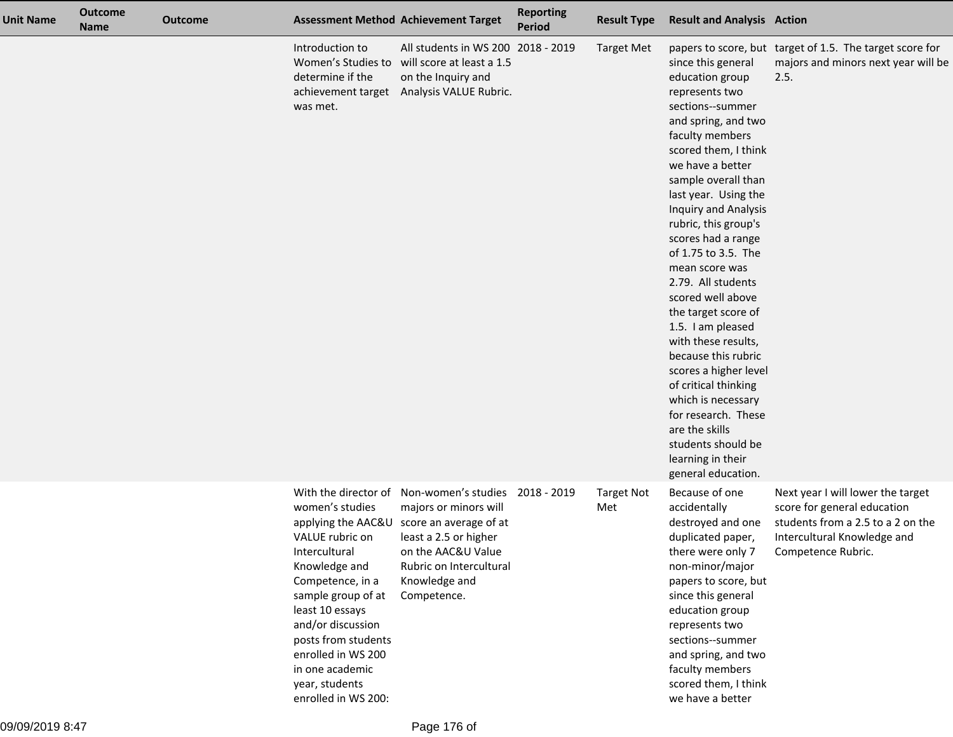| <b>Unit Name</b> | <b>Outcome</b><br><b>Name</b> | <b>Outcome</b> |                                                                                                                                                                                                                                                                 | <b>Assessment Method Achievement Target</b>                                                                                                                                                                                          | <b>Reporting</b><br><b>Period</b> | <b>Result Type</b>       | <b>Result and Analysis Action</b>                                                                                                                                                                                                                                                                                                                                                                                                                                                                                                                                                                                                                            |                                                                                                                                                            |
|------------------|-------------------------------|----------------|-----------------------------------------------------------------------------------------------------------------------------------------------------------------------------------------------------------------------------------------------------------------|--------------------------------------------------------------------------------------------------------------------------------------------------------------------------------------------------------------------------------------|-----------------------------------|--------------------------|--------------------------------------------------------------------------------------------------------------------------------------------------------------------------------------------------------------------------------------------------------------------------------------------------------------------------------------------------------------------------------------------------------------------------------------------------------------------------------------------------------------------------------------------------------------------------------------------------------------------------------------------------------------|------------------------------------------------------------------------------------------------------------------------------------------------------------|
|                  |                               |                | Introduction to<br>Women's Studies to<br>determine if the<br>was met.                                                                                                                                                                                           | All students in WS 200 2018 - 2019<br>will score at least a 1.5<br>on the Inquiry and<br>achievement target Analysis VALUE Rubric.                                                                                                   |                                   | <b>Target Met</b>        | since this general<br>education group<br>represents two<br>sections--summer<br>and spring, and two<br>faculty members<br>scored them, I think<br>we have a better<br>sample overall than<br>last year. Using the<br><b>Inquiry and Analysis</b><br>rubric, this group's<br>scores had a range<br>of 1.75 to 3.5. The<br>mean score was<br>2.79. All students<br>scored well above<br>the target score of<br>1.5. I am pleased<br>with these results,<br>because this rubric<br>scores a higher level<br>of critical thinking<br>which is necessary<br>for research. These<br>are the skills<br>students should be<br>learning in their<br>general education. | papers to score, but target of 1.5. The target score for<br>majors and minors next year will be<br>2.5.                                                    |
|                  |                               |                | women's studies<br>VALUE rubric on<br>Intercultural<br>Knowledge and<br>Competence, in a<br>sample group of at<br>least 10 essays<br>and/or discussion<br>posts from students<br>enrolled in WS 200<br>in one academic<br>year, students<br>enrolled in WS 200: | With the director of Non-women's studies 2018 - 2019<br>majors or minors will<br>applying the AAC&U score an average of at<br>least a 2.5 or higher<br>on the AAC&U Value<br>Rubric on Intercultural<br>Knowledge and<br>Competence. |                                   | <b>Target Not</b><br>Met | Because of one<br>accidentally<br>destroyed and one<br>duplicated paper,<br>there were only 7<br>non-minor/major<br>papers to score, but<br>since this general<br>education group<br>represents two<br>sections--summer<br>and spring, and two<br>faculty members<br>scored them, I think<br>we have a better                                                                                                                                                                                                                                                                                                                                                | Next year I will lower the target<br>score for general education<br>students from a 2.5 to a 2 on the<br>Intercultural Knowledge and<br>Competence Rubric. |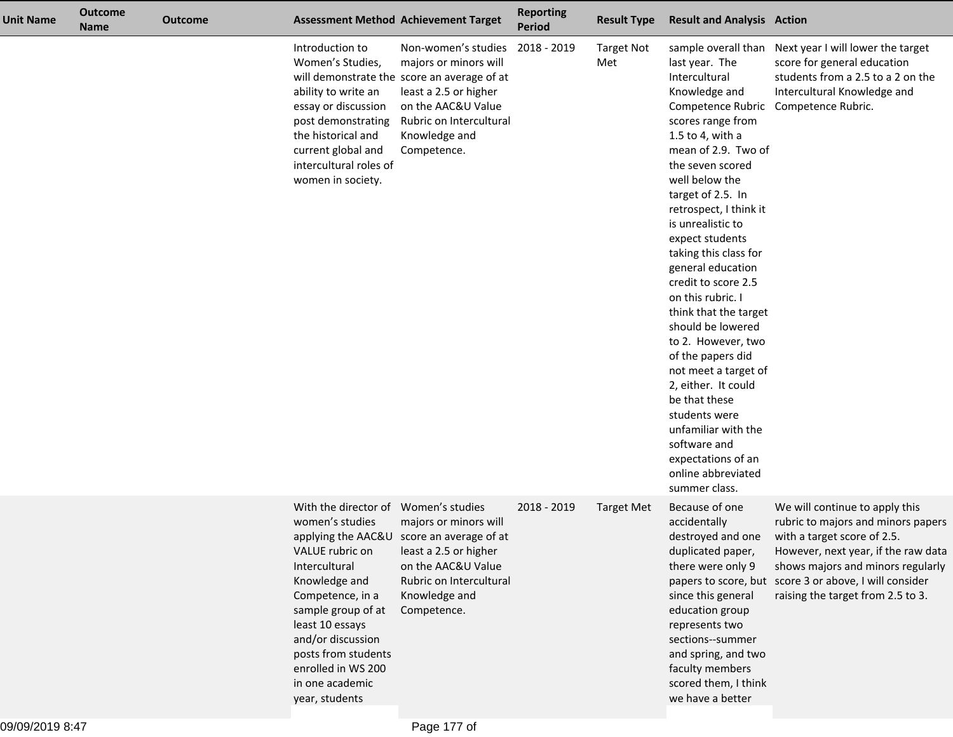| <b>Unit Name</b> | <b>Outcome</b><br><b>Name</b> | <b>Outcome</b> |                                                                                                                                                                                                                                                                                  | <b>Assessment Method Achievement Target</b>                                                                                                                                                           | <b>Reporting</b><br><b>Period</b> | <b>Result Type</b>       | <b>Result and Analysis Action</b>                                                                                                                                                                                                                                                                                                                                                                                                                                                                                                                                                                                     |                                                                                                                                                                                                                                                                                |
|------------------|-------------------------------|----------------|----------------------------------------------------------------------------------------------------------------------------------------------------------------------------------------------------------------------------------------------------------------------------------|-------------------------------------------------------------------------------------------------------------------------------------------------------------------------------------------------------|-----------------------------------|--------------------------|-----------------------------------------------------------------------------------------------------------------------------------------------------------------------------------------------------------------------------------------------------------------------------------------------------------------------------------------------------------------------------------------------------------------------------------------------------------------------------------------------------------------------------------------------------------------------------------------------------------------------|--------------------------------------------------------------------------------------------------------------------------------------------------------------------------------------------------------------------------------------------------------------------------------|
|                  |                               |                | Introduction to<br>Women's Studies,<br>ability to write an<br>essay or discussion<br>post demonstrating<br>the historical and<br>current global and<br>intercultural roles of<br>women in society.                                                                               | Non-women's studies<br>majors or minors will<br>will demonstrate the score an average of at<br>least a 2.5 or higher<br>on the AAC&U Value<br>Rubric on Intercultural<br>Knowledge and<br>Competence. | 2018 - 2019                       | <b>Target Not</b><br>Met | last year. The<br>Intercultural<br>Knowledge and<br>scores range from<br>1.5 to 4, with a<br>mean of 2.9. Two of<br>the seven scored<br>well below the<br>target of 2.5. In<br>retrospect, I think it<br>is unrealistic to<br>expect students<br>taking this class for<br>general education<br>credit to score 2.5<br>on this rubric. I<br>think that the target<br>should be lowered<br>to 2. However, two<br>of the papers did<br>not meet a target of<br>2, either. It could<br>be that these<br>students were<br>unfamiliar with the<br>software and<br>expectations of an<br>online abbreviated<br>summer class. | sample overall than Next year I will lower the target<br>score for general education<br>students from a 2.5 to a 2 on the<br>Intercultural Knowledge and<br>Competence Rubric Competence Rubric.                                                                               |
|                  |                               |                | With the director of Women's studies<br>women's studies<br>VALUE rubric on<br>Intercultural<br>Knowledge and<br>Competence, in a<br>sample group of at<br>least 10 essays<br>and/or discussion<br>posts from students<br>enrolled in WS 200<br>in one academic<br>year, students | majors or minors will<br>applying the AAC&U score an average of at<br>least a 2.5 or higher<br>on the AAC&U Value<br>Rubric on Intercultural<br>Knowledge and<br>Competence.                          | 2018 - 2019                       | <b>Target Met</b>        | Because of one<br>accidentally<br>destroyed and one<br>duplicated paper,<br>there were only 9<br>since this general<br>education group<br>represents two<br>sections--summer<br>and spring, and two<br>faculty members<br>scored them, I think<br>we have a better                                                                                                                                                                                                                                                                                                                                                    | We will continue to apply this<br>rubric to majors and minors papers<br>with a target score of 2.5.<br>However, next year, if the raw data<br>shows majors and minors regularly<br>papers to score, but score 3 or above, I will consider<br>raising the target from 2.5 to 3. |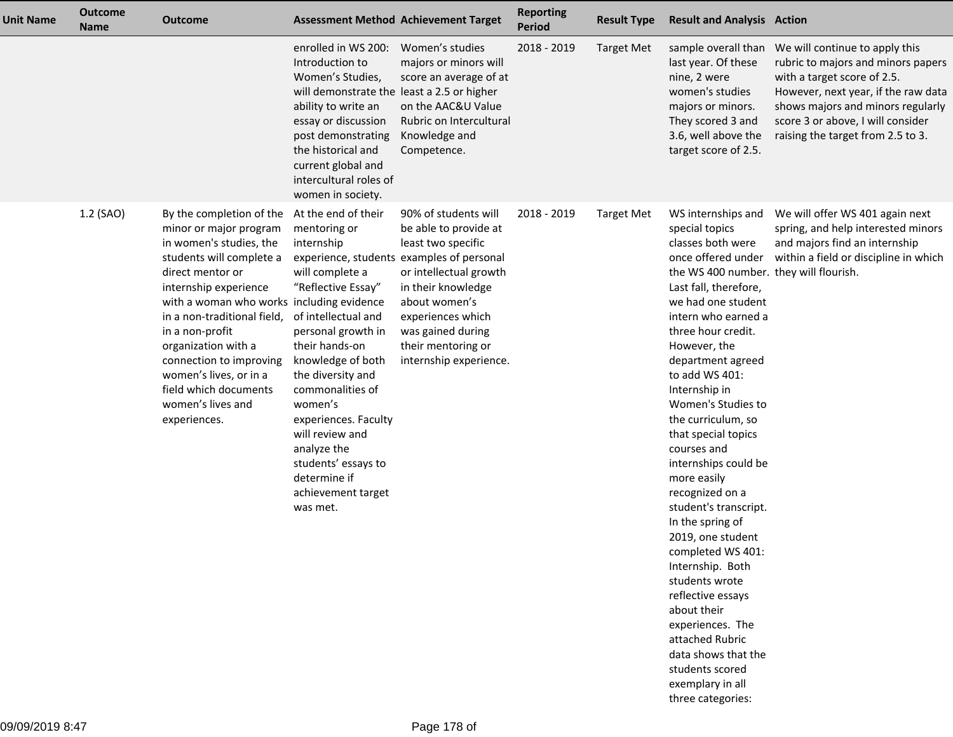| <b>Unit Name</b> | <b>Outcome</b><br><b>Name</b> | <b>Outcome</b>                                                                                                                                                                                                                                                                                                                                                                                                      |                                                                                                                                                                                                                                                                                                                                                | <b>Assessment Method Achievement Target</b>                                                                                                                                                                                                                                 | <b>Reporting</b><br><b>Period</b> | <b>Result Type</b> | <b>Result and Analysis Action</b>                                                                                                                                                                                                                                                                                                                                                                                                                                                                                                                                                                                                                                                                                                    |                                                                                                                                                                                                                                                                               |
|------------------|-------------------------------|---------------------------------------------------------------------------------------------------------------------------------------------------------------------------------------------------------------------------------------------------------------------------------------------------------------------------------------------------------------------------------------------------------------------|------------------------------------------------------------------------------------------------------------------------------------------------------------------------------------------------------------------------------------------------------------------------------------------------------------------------------------------------|-----------------------------------------------------------------------------------------------------------------------------------------------------------------------------------------------------------------------------------------------------------------------------|-----------------------------------|--------------------|--------------------------------------------------------------------------------------------------------------------------------------------------------------------------------------------------------------------------------------------------------------------------------------------------------------------------------------------------------------------------------------------------------------------------------------------------------------------------------------------------------------------------------------------------------------------------------------------------------------------------------------------------------------------------------------------------------------------------------------|-------------------------------------------------------------------------------------------------------------------------------------------------------------------------------------------------------------------------------------------------------------------------------|
|                  |                               |                                                                                                                                                                                                                                                                                                                                                                                                                     | enrolled in WS 200:<br>Introduction to<br>Women's Studies,<br>will demonstrate the least a 2.5 or higher<br>ability to write an<br>essay or discussion<br>post demonstrating<br>the historical and<br>current global and<br>intercultural roles of<br>women in society.                                                                        | Women's studies<br>majors or minors will<br>score an average of at<br>on the AAC&U Value<br>Rubric on Intercultural<br>Knowledge and<br>Competence.                                                                                                                         | 2018 - 2019                       | <b>Target Met</b>  | last year. Of these<br>nine, 2 were<br>women's studies<br>majors or minors.<br>They scored 3 and<br>3.6, well above the<br>target score of 2.5.                                                                                                                                                                                                                                                                                                                                                                                                                                                                                                                                                                                      | sample overall than We will continue to apply this<br>rubric to majors and minors papers<br>with a target score of 2.5.<br>However, next year, if the raw data<br>shows majors and minors regularly<br>score 3 or above, I will consider<br>raising the target from 2.5 to 3. |
|                  | 1.2 (SAO)                     | By the completion of the At the end of their<br>minor or major program<br>in women's studies, the<br>students will complete a<br>direct mentor or<br>internship experience<br>with a woman who works including evidence<br>in a non-traditional field,<br>in a non-profit<br>organization with a<br>connection to improving<br>women's lives, or in a<br>field which documents<br>women's lives and<br>experiences. | mentoring or<br>internship<br>will complete a<br>"Reflective Essay"<br>of intellectual and<br>personal growth in<br>their hands-on<br>knowledge of both<br>the diversity and<br>commonalities of<br>women's<br>experiences. Faculty<br>will review and<br>analyze the<br>students' essays to<br>determine if<br>achievement target<br>was met. | 90% of students will<br>be able to provide at<br>least two specific<br>experience, students examples of personal<br>or intellectual growth<br>in their knowledge<br>about women's<br>experiences which<br>was gained during<br>their mentoring or<br>internship experience. | 2018 - 2019                       | <b>Target Met</b>  | WS internships and<br>special topics<br>classes both were<br>once offered under<br>the WS 400 number. they will flourish.<br>Last fall, therefore,<br>we had one student<br>intern who earned a<br>three hour credit.<br>However, the<br>department agreed<br>to add WS 401:<br>Internship in<br>Women's Studies to<br>the curriculum, so<br>that special topics<br>courses and<br>internships could be<br>more easily<br>recognized on a<br>student's transcript.<br>In the spring of<br>2019, one student<br>completed WS 401:<br>Internship. Both<br>students wrote<br>reflective essays<br>about their<br>experiences. The<br>attached Rubric<br>data shows that the<br>students scored<br>exemplary in all<br>three categories: | We will offer WS 401 again next<br>spring, and help interested minors<br>and majors find an internship<br>within a field or discipline in which                                                                                                                               |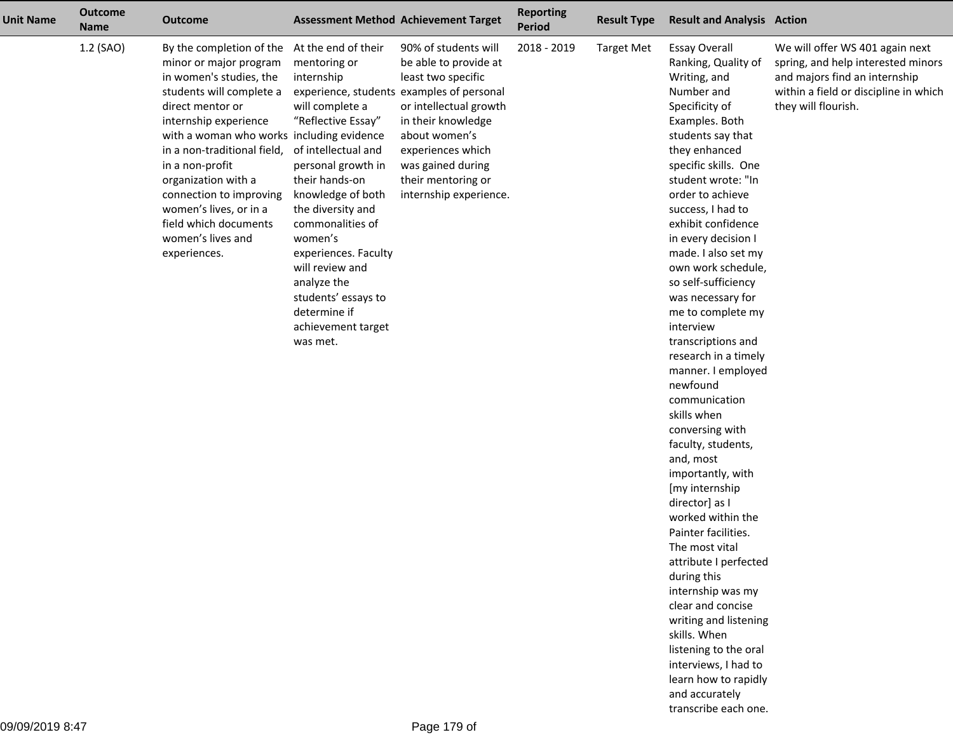| <b>Unit Name</b> | <b>Outcome</b><br><b>Name</b> | <b>Outcome</b>                                                                                                                                                                                                                                                                                                                                                                                                      |                                                                                                                                                                                                                                                                                                                                                | <b>Assessment Method Achievement Target</b>                                                                                                                                                                                                                                 | <b>Reporting</b><br>Period | <b>Result Type</b> | <b>Result and Analysis Action</b>                                                                                                                                                                                                                                                                                                                                                                                                                                                                                                                                                                                                                                                                                                                                                                                                                                                                                                                             |                                                                                                                                                                        |
|------------------|-------------------------------|---------------------------------------------------------------------------------------------------------------------------------------------------------------------------------------------------------------------------------------------------------------------------------------------------------------------------------------------------------------------------------------------------------------------|------------------------------------------------------------------------------------------------------------------------------------------------------------------------------------------------------------------------------------------------------------------------------------------------------------------------------------------------|-----------------------------------------------------------------------------------------------------------------------------------------------------------------------------------------------------------------------------------------------------------------------------|----------------------------|--------------------|---------------------------------------------------------------------------------------------------------------------------------------------------------------------------------------------------------------------------------------------------------------------------------------------------------------------------------------------------------------------------------------------------------------------------------------------------------------------------------------------------------------------------------------------------------------------------------------------------------------------------------------------------------------------------------------------------------------------------------------------------------------------------------------------------------------------------------------------------------------------------------------------------------------------------------------------------------------|------------------------------------------------------------------------------------------------------------------------------------------------------------------------|
|                  | 1.2 (SAO)                     | By the completion of the At the end of their<br>minor or major program<br>in women's studies, the<br>students will complete a<br>direct mentor or<br>internship experience<br>with a woman who works including evidence<br>in a non-traditional field,<br>in a non-profit<br>organization with a<br>connection to improving<br>women's lives, or in a<br>field which documents<br>women's lives and<br>experiences. | mentoring or<br>internship<br>will complete a<br>"Reflective Essay"<br>of intellectual and<br>personal growth in<br>their hands-on<br>knowledge of both<br>the diversity and<br>commonalities of<br>women's<br>experiences. Faculty<br>will review and<br>analyze the<br>students' essays to<br>determine if<br>achievement target<br>was met. | 90% of students will<br>be able to provide at<br>least two specific<br>experience, students examples of personal<br>or intellectual growth<br>in their knowledge<br>about women's<br>experiences which<br>was gained during<br>their mentoring or<br>internship experience. | 2018 - 2019                | <b>Target Met</b>  | <b>Essay Overall</b><br>Ranking, Quality of<br>Writing, and<br>Number and<br>Specificity of<br>Examples. Both<br>students say that<br>they enhanced<br>specific skills. One<br>student wrote: "In<br>order to achieve<br>success, I had to<br>exhibit confidence<br>in every decision I<br>made. I also set my<br>own work schedule,<br>so self-sufficiency<br>was necessary for<br>me to complete my<br>interview<br>transcriptions and<br>research in a timely<br>manner. I employed<br>newfound<br>communication<br>skills when<br>conversing with<br>faculty, students,<br>and, most<br>importantly, with<br>[my internship<br>director] as I<br>worked within the<br>Painter facilities.<br>The most vital<br>attribute I perfected<br>during this<br>internship was my<br>clear and concise<br>writing and listening<br>skills. When<br>listening to the oral<br>interviews, I had to<br>learn how to rapidly<br>and accurately<br>transcribe each one. | We will offer WS 401 again next<br>spring, and help interested minors<br>and majors find an internship<br>within a field or discipline in which<br>they will flourish. |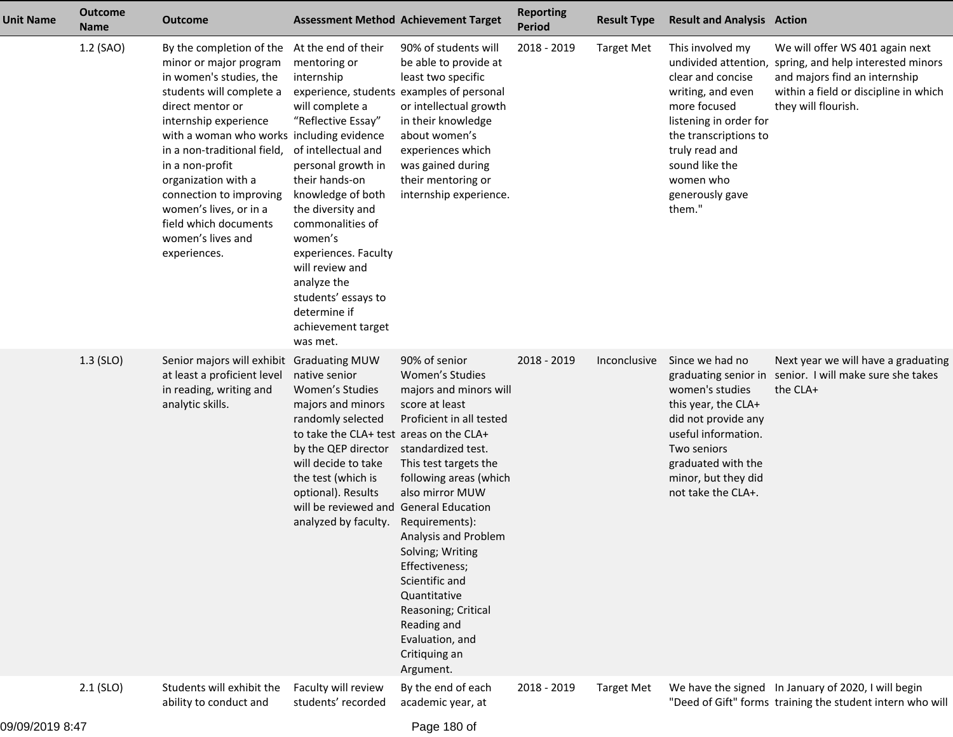| <b>Unit Name</b> | <b>Outcome</b><br><b>Name</b> | <b>Outcome</b>                                                                                                                                                                                                                                                                                                                                                                                  | <b>Assessment Method Achievement Target</b>                                                                                                                                                                                                                                                                                                                                                                        |                                                                                                                                                                                                                                                                                                                                                                                                               | <b>Reporting</b><br><b>Period</b> | <b>Result Type</b> | <b>Result and Analysis Action</b>                                                                                                                                                                           |                                                                                                                                                                                             |
|------------------|-------------------------------|-------------------------------------------------------------------------------------------------------------------------------------------------------------------------------------------------------------------------------------------------------------------------------------------------------------------------------------------------------------------------------------------------|--------------------------------------------------------------------------------------------------------------------------------------------------------------------------------------------------------------------------------------------------------------------------------------------------------------------------------------------------------------------------------------------------------------------|---------------------------------------------------------------------------------------------------------------------------------------------------------------------------------------------------------------------------------------------------------------------------------------------------------------------------------------------------------------------------------------------------------------|-----------------------------------|--------------------|-------------------------------------------------------------------------------------------------------------------------------------------------------------------------------------------------------------|---------------------------------------------------------------------------------------------------------------------------------------------------------------------------------------------|
|                  | 1.2 (SAO)                     | By the completion of the<br>minor or major program<br>in women's studies, the<br>students will complete a<br>direct mentor or<br>internship experience<br>with a woman who works including evidence<br>in a non-traditional field,<br>in a non-profit<br>organization with a<br>connection to improving<br>women's lives, or in a<br>field which documents<br>women's lives and<br>experiences. | At the end of their<br>mentoring or<br>internship<br>experience, students examples of personal<br>will complete a<br>"Reflective Essay"<br>of intellectual and<br>personal growth in<br>their hands-on<br>knowledge of both<br>the diversity and<br>commonalities of<br>women's<br>experiences. Faculty<br>will review and<br>analyze the<br>students' essays to<br>determine if<br>achievement target<br>was met. | 90% of students will<br>be able to provide at<br>least two specific<br>or intellectual growth<br>in their knowledge<br>about women's<br>experiences which<br>was gained during<br>their mentoring or<br>internship experience.                                                                                                                                                                                | 2018 - 2019                       | <b>Target Met</b>  | This involved my<br>clear and concise<br>writing, and even<br>more focused<br>listening in order for<br>the transcriptions to<br>truly read and<br>sound like the<br>women who<br>generously gave<br>them." | We will offer WS 401 again next<br>undivided attention, spring, and help interested minors<br>and majors find an internship<br>within a field or discipline in which<br>they will flourish. |
|                  | $1.3$ (SLO)                   | Senior majors will exhibit Graduating MUW<br>at least a proficient level<br>in reading, writing and<br>analytic skills.                                                                                                                                                                                                                                                                         | native senior<br>Women's Studies<br>majors and minors<br>randomly selected<br>to take the CLA+ test areas on the CLA+<br>by the QEP director<br>will decide to take<br>the test (which is<br>optional). Results<br>will be reviewed and General Education<br>analyzed by faculty.                                                                                                                                  | 90% of senior<br>Women's Studies<br>majors and minors will<br>score at least<br>Proficient in all tested<br>standardized test.<br>This test targets the<br>following areas (which<br>also mirror MUW<br>Requirements):<br>Analysis and Problem<br>Solving; Writing<br>Effectiveness;<br>Scientific and<br>Quantitative<br>Reasoning; Critical<br>Reading and<br>Evaluation, and<br>Critiquing an<br>Argument. | 2018 - 2019                       | Inconclusive       | Since we had no<br>women's studies<br>this year, the CLA+<br>did not provide any<br>useful information.<br>Two seniors<br>graduated with the<br>minor, but they did<br>not take the CLA+.                   | Next year we will have a graduating<br>graduating senior in senior. I will make sure she takes<br>the CLA+                                                                                  |
|                  | $2.1$ (SLO)                   | Students will exhibit the<br>ability to conduct and                                                                                                                                                                                                                                                                                                                                             | Faculty will review<br>students' recorded                                                                                                                                                                                                                                                                                                                                                                          | By the end of each<br>academic year, at                                                                                                                                                                                                                                                                                                                                                                       | 2018 - 2019                       | <b>Target Met</b>  |                                                                                                                                                                                                             | We have the signed In January of 2020, I will begin<br>"Deed of Gift" forms training the student intern who will                                                                            |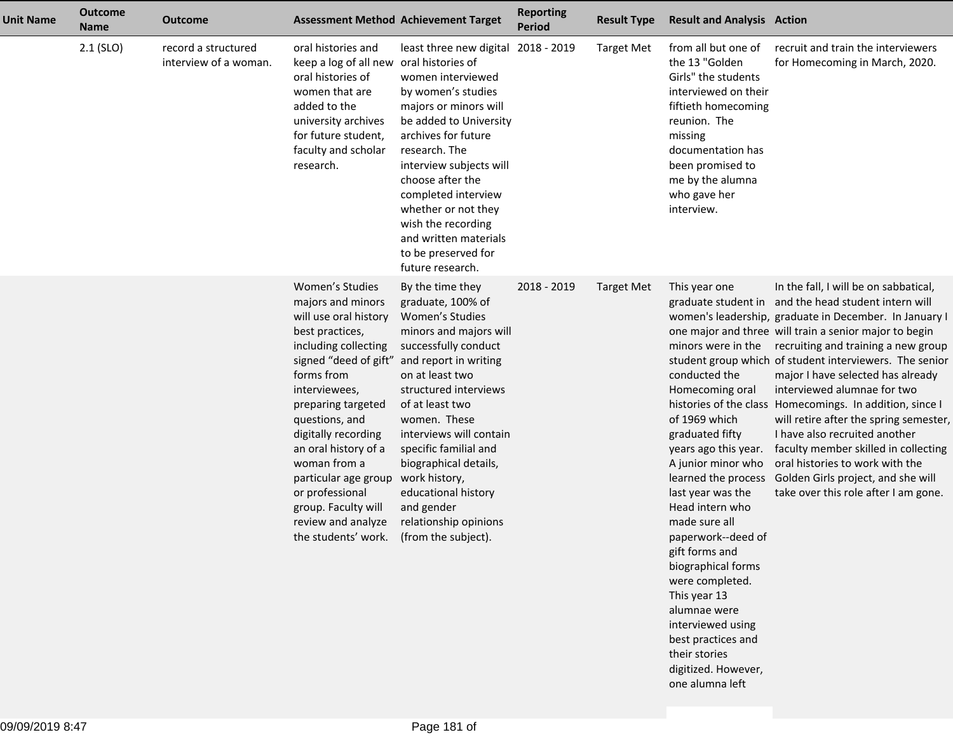| <b>Unit Name</b> | <b>Outcome</b><br><b>Name</b> | <b>Outcome</b>                               |                                                                                                                                                                                                                                                                                                                                                               | <b>Assessment Method Achievement Target</b>                                                                                                                                                                                                                                                                                                                                                                                 | <b>Reporting</b><br><b>Period</b> | <b>Result Type</b> | <b>Result and Analysis Action</b>                                                                                                                                                                                                                                                                                                                                                                                                                                |                                                                                                                                                                                                                                                                                                                                                                                                                                                                                                                                                                                                                                                                                         |
|------------------|-------------------------------|----------------------------------------------|---------------------------------------------------------------------------------------------------------------------------------------------------------------------------------------------------------------------------------------------------------------------------------------------------------------------------------------------------------------|-----------------------------------------------------------------------------------------------------------------------------------------------------------------------------------------------------------------------------------------------------------------------------------------------------------------------------------------------------------------------------------------------------------------------------|-----------------------------------|--------------------|------------------------------------------------------------------------------------------------------------------------------------------------------------------------------------------------------------------------------------------------------------------------------------------------------------------------------------------------------------------------------------------------------------------------------------------------------------------|-----------------------------------------------------------------------------------------------------------------------------------------------------------------------------------------------------------------------------------------------------------------------------------------------------------------------------------------------------------------------------------------------------------------------------------------------------------------------------------------------------------------------------------------------------------------------------------------------------------------------------------------------------------------------------------------|
|                  | $2.1$ (SLO)                   | record a structured<br>interview of a woman. | oral histories and<br>keep a log of all new oral histories of<br>oral histories of<br>women that are<br>added to the<br>university archives<br>for future student,<br>faculty and scholar<br>research.                                                                                                                                                        | least three new digital<br>women interviewed<br>by women's studies<br>majors or minors will<br>be added to University<br>archives for future<br>research. The<br>interview subjects will<br>choose after the<br>completed interview<br>whether or not they<br>wish the recording<br>and written materials<br>to be preserved for<br>future research.                                                                        | 2018 - 2019                       | <b>Target Met</b>  | from all but one of<br>the 13 "Golden<br>Girls" the students<br>interviewed on their<br>fiftieth homecoming<br>reunion. The<br>missing<br>documentation has<br>been promised to<br>me by the alumna<br>who gave her<br>interview.                                                                                                                                                                                                                                | recruit and train the interviewers<br>for Homecoming in March, 2020.                                                                                                                                                                                                                                                                                                                                                                                                                                                                                                                                                                                                                    |
|                  |                               |                                              | Women's Studies<br>majors and minors<br>will use oral history<br>best practices,<br>including collecting<br>forms from<br>interviewees,<br>preparing targeted<br>questions, and<br>digitally recording<br>an oral history of a<br>woman from a<br>particular age group<br>or professional<br>group. Faculty will<br>review and analyze<br>the students' work. | By the time they<br>graduate, 100% of<br>Women's Studies<br>minors and majors will<br>successfully conduct<br>signed "deed of gift" and report in writing<br>on at least two<br>structured interviews<br>of at least two<br>women. These<br>interviews will contain<br>specific familial and<br>biographical details,<br>work history,<br>educational history<br>and gender<br>relationship opinions<br>(from the subject). | 2018 - 2019                       | <b>Target Met</b>  | This year one<br>minors were in the<br>conducted the<br>Homecoming oral<br>of 1969 which<br>graduated fifty<br>years ago this year.<br>A junior minor who<br>learned the process<br>last year was the<br>Head intern who<br>made sure all<br>paperwork--deed of<br>gift forms and<br>biographical forms<br>were completed.<br>This year 13<br>alumnae were<br>interviewed using<br>best practices and<br>their stories<br>digitized. However,<br>one alumna left | In the fall, I will be on sabbatical,<br>graduate student in and the head student intern will<br>women's leadership, graduate in December. In January I<br>one major and three will train a senior major to begin<br>recruiting and training a new group<br>student group which of student interviewers. The senior<br>major I have selected has already<br>interviewed alumnae for two<br>histories of the class Homecomings. In addition, since I<br>will retire after the spring semester,<br>I have also recruited another<br>faculty member skilled in collecting<br>oral histories to work with the<br>Golden Girls project, and she will<br>take over this role after I am gone. |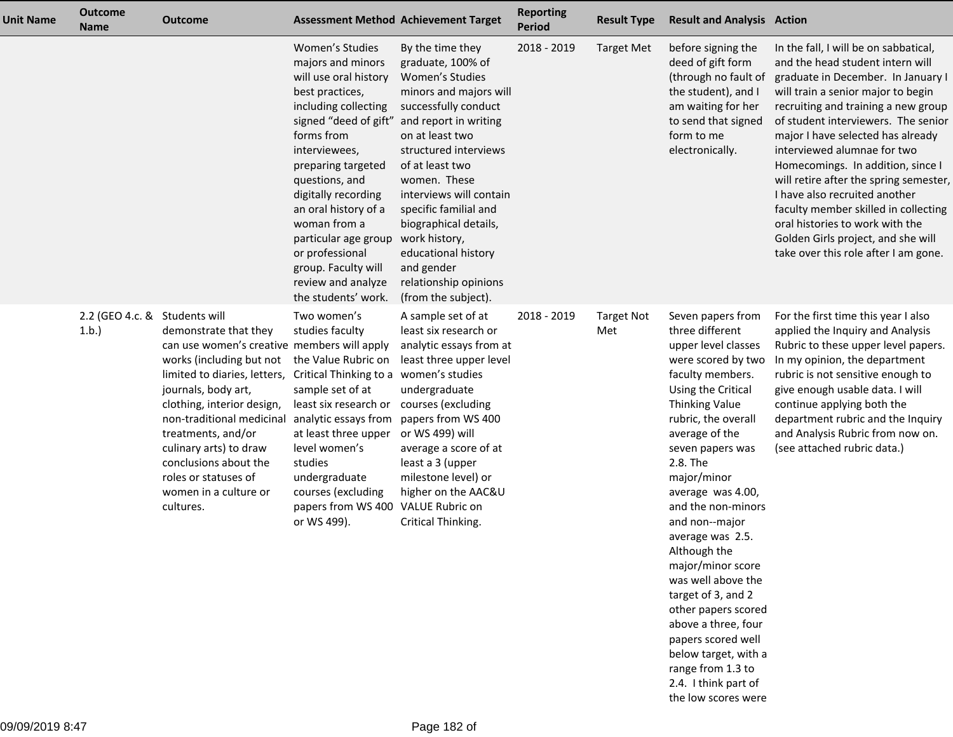| <b>Unit Name</b> | <b>Outcome</b><br><b>Name</b>         | <b>Outcome</b>                                                                                                                                                                                                                                                                                                                                                                 |                                                                                                                                                                                                                                                                                                                                                                                        | <b>Assessment Method Achievement Target</b>                                                                                                                                                                                                                                                                                                                                                           | <b>Reporting</b><br><b>Period</b> | <b>Result Type</b>       | <b>Result and Analysis Action</b>                                                                                                                                                                                                                                                                                                                                                                                                                                                  |                                                                                                                                                                                                                                                                                                                                                                                                                                                                                                                                                                                  |
|------------------|---------------------------------------|--------------------------------------------------------------------------------------------------------------------------------------------------------------------------------------------------------------------------------------------------------------------------------------------------------------------------------------------------------------------------------|----------------------------------------------------------------------------------------------------------------------------------------------------------------------------------------------------------------------------------------------------------------------------------------------------------------------------------------------------------------------------------------|-------------------------------------------------------------------------------------------------------------------------------------------------------------------------------------------------------------------------------------------------------------------------------------------------------------------------------------------------------------------------------------------------------|-----------------------------------|--------------------------|------------------------------------------------------------------------------------------------------------------------------------------------------------------------------------------------------------------------------------------------------------------------------------------------------------------------------------------------------------------------------------------------------------------------------------------------------------------------------------|----------------------------------------------------------------------------------------------------------------------------------------------------------------------------------------------------------------------------------------------------------------------------------------------------------------------------------------------------------------------------------------------------------------------------------------------------------------------------------------------------------------------------------------------------------------------------------|
|                  |                                       |                                                                                                                                                                                                                                                                                                                                                                                | Women's Studies<br>majors and minors<br>will use oral history<br>best practices,<br>including collecting<br>signed "deed of gift"<br>forms from<br>interviewees,<br>preparing targeted<br>questions, and<br>digitally recording<br>an oral history of a<br>woman from a<br>particular age group<br>or professional<br>group. Faculty will<br>review and analyze<br>the students' work. | By the time they<br>graduate, 100% of<br>Women's Studies<br>minors and majors will<br>successfully conduct<br>and report in writing<br>on at least two<br>structured interviews<br>of at least two<br>women. These<br>interviews will contain<br>specific familial and<br>biographical details,<br>work history,<br>educational history<br>and gender<br>relationship opinions<br>(from the subject). | 2018 - 2019                       | <b>Target Met</b>        | before signing the<br>deed of gift form<br>(through no fault of<br>the student), and I<br>am waiting for her<br>to send that signed<br>form to me<br>electronically.                                                                                                                                                                                                                                                                                                               | In the fall, I will be on sabbatical,<br>and the head student intern will<br>graduate in December. In January I<br>will train a senior major to begin<br>recruiting and training a new group<br>of student interviewers. The senior<br>major I have selected has already<br>interviewed alumnae for two<br>Homecomings. In addition, since I<br>will retire after the spring semester,<br>I have also recruited another<br>faculty member skilled in collecting<br>oral histories to work with the<br>Golden Girls project, and she will<br>take over this role after I am gone. |
|                  | 2.2 (GEO 4.c. & Students will<br>1.b. | demonstrate that they<br>can use women's creative members will apply<br>works (including but not<br>limited to diaries, letters,<br>journals, body art,<br>clothing, interior design,<br>non-traditional medicinal analytic essays from<br>treatments, and/or<br>culinary arts) to draw<br>conclusions about the<br>roles or statuses of<br>women in a culture or<br>cultures. | Two women's<br>studies faculty<br>the Value Rubric on<br>Critical Thinking to a<br>sample set of at<br>least six research or<br>at least three upper<br>level women's<br>studies<br>undergraduate<br>courses (excluding<br>papers from WS 400<br>or WS 499).                                                                                                                           | A sample set of at<br>least six research or<br>analytic essays from at<br>least three upper level<br>women's studies<br>undergraduate<br>courses (excluding<br>papers from WS 400<br>or WS 499) will<br>average a score of at<br>least a 3 (upper<br>milestone level) or<br>higher on the AAC&U<br>VALUE Rubric on<br>Critical Thinking.                                                              | 2018 - 2019                       | <b>Target Not</b><br>Met | Seven papers from<br>three different<br>upper level classes<br>were scored by two<br>faculty members.<br>Using the Critical<br><b>Thinking Value</b><br>rubric, the overall<br>average of the<br>seven papers was<br>2.8. The<br>major/minor<br>average was 4.00,<br>and the non-minors<br>and non--major<br>average was 2.5.<br>Although the<br>major/minor score<br>was well above the<br>target of 3, and 2<br>other papers scored<br>above a three, four<br>papers scored well | For the first time this year I also<br>applied the Inquiry and Analysis<br>Rubric to these upper level papers.<br>In my opinion, the department<br>rubric is not sensitive enough to<br>give enough usable data. I will<br>continue applying both the<br>department rubric and the Inquiry<br>and Analysis Rubric from now on.<br>(see attached rubric data.)                                                                                                                                                                                                                    |

below target, with arange from 1.3 to 2.4. I think part ofthe low scores were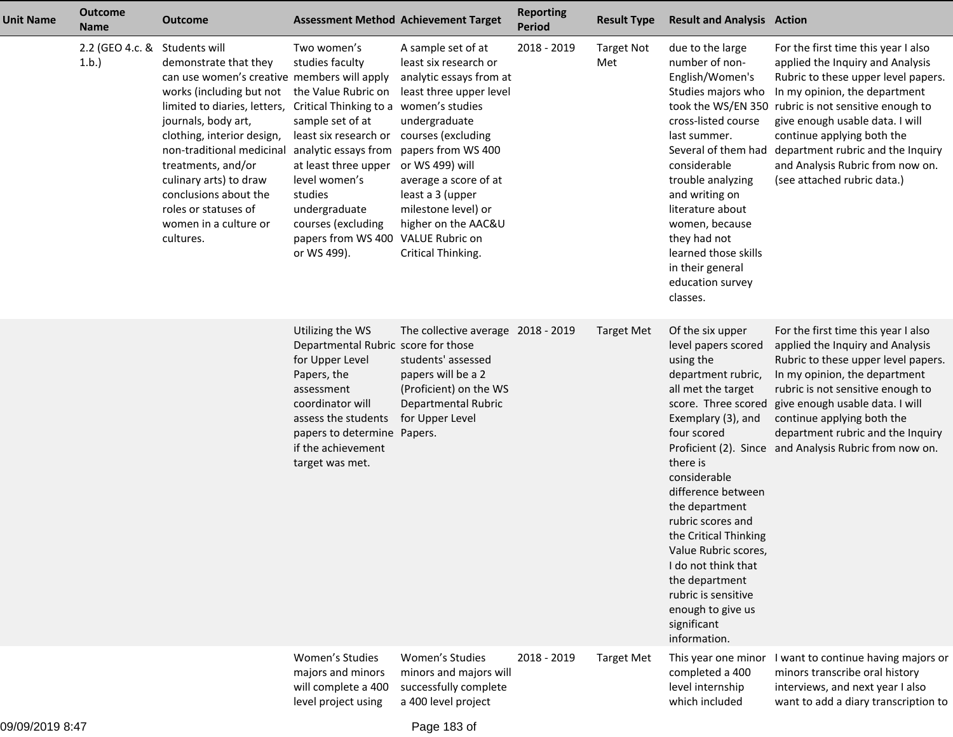| <b>Unit Name</b> | <b>Outcome</b><br><b>Name</b> | <b>Outcome</b>                                                                                                                                                                                                                                                                                                                                                             | <b>Assessment Method Achievement Target</b>                                                                                                                                                                                                                                                                                             |                                                                                                                                                                                                                                                                              | <b>Reporting</b><br><b>Period</b> | <b>Result Type</b>       | <b>Result and Analysis Action</b>                                                                                                                                                                                                                                                                                                                                                                                          |                                                                                                                                                                                                                                                                                                                                                                                                      |
|------------------|-------------------------------|----------------------------------------------------------------------------------------------------------------------------------------------------------------------------------------------------------------------------------------------------------------------------------------------------------------------------------------------------------------------------|-----------------------------------------------------------------------------------------------------------------------------------------------------------------------------------------------------------------------------------------------------------------------------------------------------------------------------------------|------------------------------------------------------------------------------------------------------------------------------------------------------------------------------------------------------------------------------------------------------------------------------|-----------------------------------|--------------------------|----------------------------------------------------------------------------------------------------------------------------------------------------------------------------------------------------------------------------------------------------------------------------------------------------------------------------------------------------------------------------------------------------------------------------|------------------------------------------------------------------------------------------------------------------------------------------------------------------------------------------------------------------------------------------------------------------------------------------------------------------------------------------------------------------------------------------------------|
|                  | 2.2 (GEO 4.c. &<br>1.b.       | Students will<br>demonstrate that they<br>can use women's creative members will apply<br>works (including but not<br>limited to diaries, letters,<br>journals, body art,<br>clothing, interior design,<br>non-traditional medicinal<br>treatments, and/or<br>culinary arts) to draw<br>conclusions about the<br>roles or statuses of<br>women in a culture or<br>cultures. | Two women's<br>studies faculty<br>the Value Rubric on<br>Critical Thinking to a women's studies<br>sample set of at<br>least six research or courses (excluding<br>analytic essays from<br>at least three upper<br>level women's<br>studies<br>undergraduate<br>courses (excluding<br>papers from WS 400 VALUE Rubric on<br>or WS 499). | A sample set of at<br>least six research or<br>analytic essays from at<br>least three upper level<br>undergraduate<br>papers from WS 400<br>or WS 499) will<br>average a score of at<br>least a 3 (upper<br>milestone level) or<br>higher on the AAC&U<br>Critical Thinking. | 2018 - 2019                       | <b>Target Not</b><br>Met | due to the large<br>number of non-<br>English/Women's<br>Studies majors who<br>cross-listed course<br>last summer.<br>considerable<br>trouble analyzing<br>and writing on<br>literature about<br>women, because<br>they had not<br>learned those skills<br>in their general<br>education survey<br>classes.                                                                                                                | For the first time this year I also<br>applied the Inquiry and Analysis<br>Rubric to these upper level papers.<br>In my opinion, the department<br>took the WS/EN 350 rubric is not sensitive enough to<br>give enough usable data. I will<br>continue applying both the<br>Several of them had department rubric and the Inquiry<br>and Analysis Rubric from now on.<br>(see attached rubric data.) |
|                  |                               |                                                                                                                                                                                                                                                                                                                                                                            | Utilizing the WS<br>Departmental Rubric score for those<br>for Upper Level<br>Papers, the<br>assessment<br>coordinator will<br>assess the students<br>papers to determine Papers.<br>if the achievement<br>target was met.                                                                                                              | The collective average 2018 - 2019<br>students' assessed<br>papers will be a 2<br>(Proficient) on the WS<br>Departmental Rubric<br>for Upper Level                                                                                                                           |                                   | <b>Target Met</b>        | Of the six upper<br>level papers scored<br>using the<br>department rubric,<br>all met the target<br>score. Three scored<br>Exemplary (3), and<br>four scored<br>there is<br>considerable<br>difference between<br>the department<br>rubric scores and<br>the Critical Thinking<br>Value Rubric scores,<br>I do not think that<br>the department<br>rubric is sensitive<br>enough to give us<br>significant<br>information. | For the first time this year I also<br>applied the Inquiry and Analysis<br>Rubric to these upper level papers.<br>In my opinion, the department<br>rubric is not sensitive enough to<br>give enough usable data. I will<br>continue applying both the<br>department rubric and the Inquiry<br>Proficient (2). Since and Analysis Rubric from now on.                                                 |
|                  |                               |                                                                                                                                                                                                                                                                                                                                                                            | Women's Studies<br>majors and minors<br>will complete a 400<br>level project using                                                                                                                                                                                                                                                      | Women's Studies<br>minors and majors will<br>successfully complete<br>a 400 level project                                                                                                                                                                                    | 2018 - 2019                       | <b>Target Met</b>        | This year one minor<br>completed a 400<br>level internship<br>which included                                                                                                                                                                                                                                                                                                                                               | I want to continue having majors or<br>minors transcribe oral history<br>interviews, and next year I also<br>want to add a diary transcription to                                                                                                                                                                                                                                                    |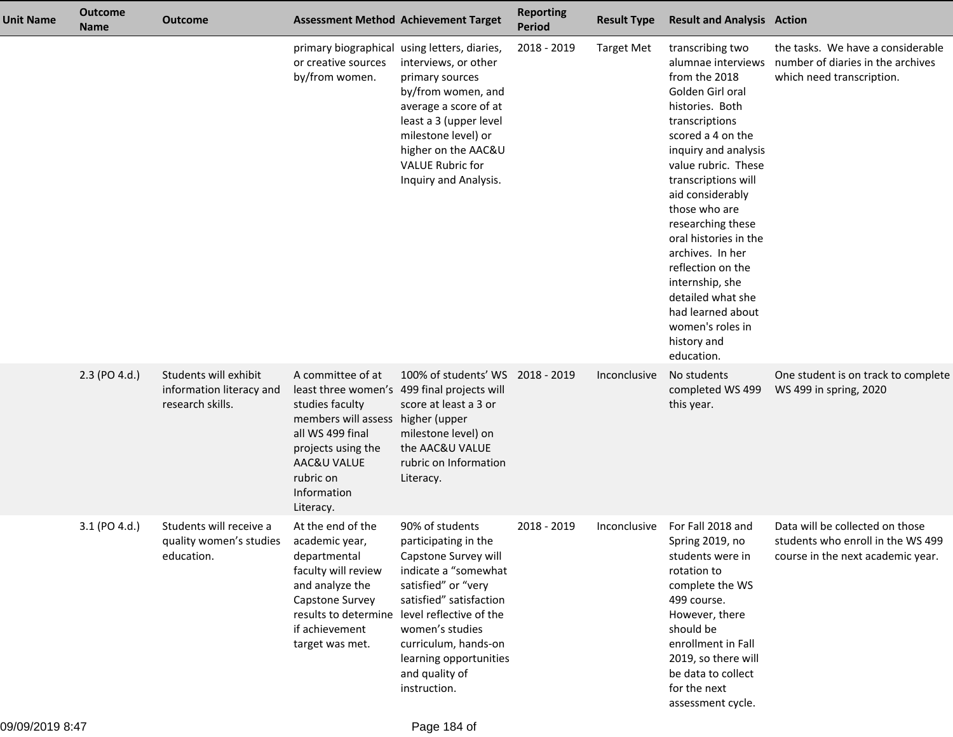| Unit Name | <b>Outcome</b><br><b>Name</b> | <b>Outcome</b>                                                        |                                                                                                                                                               | <b>Assessment Method Achievement Target</b>                                                                                                                                                                                                                                                      | <b>Reporting</b><br><b>Period</b> | <b>Result Type</b> | <b>Result and Analysis Action</b>                                                                                                                                                                                                                                                                                                                                                                                                                     |                                                                                                           |
|-----------|-------------------------------|-----------------------------------------------------------------------|---------------------------------------------------------------------------------------------------------------------------------------------------------------|--------------------------------------------------------------------------------------------------------------------------------------------------------------------------------------------------------------------------------------------------------------------------------------------------|-----------------------------------|--------------------|-------------------------------------------------------------------------------------------------------------------------------------------------------------------------------------------------------------------------------------------------------------------------------------------------------------------------------------------------------------------------------------------------------------------------------------------------------|-----------------------------------------------------------------------------------------------------------|
|           |                               |                                                                       | or creative sources<br>by/from women.                                                                                                                         | primary biographical using letters, diaries,<br>interviews, or other<br>primary sources<br>by/from women, and<br>average a score of at<br>least a 3 (upper level<br>milestone level) or<br>higher on the AAC&U<br><b>VALUE Rubric for</b><br>Inquiry and Analysis.                               | 2018 - 2019                       | <b>Target Met</b>  | transcribing two<br>alumnae interviews<br>from the 2018<br>Golden Girl oral<br>histories. Both<br>transcriptions<br>scored a 4 on the<br>inquiry and analysis<br>value rubric. These<br>transcriptions will<br>aid considerably<br>those who are<br>researching these<br>oral histories in the<br>archives. In her<br>reflection on the<br>internship, she<br>detailed what she<br>had learned about<br>women's roles in<br>history and<br>education. | the tasks. We have a considerable<br>number of diaries in the archives<br>which need transcription.       |
|           | 2.3 (PO 4.d.)                 | Students will exhibit<br>information literacy and<br>research skills. | A committee of at<br>studies faculty<br>members will assess<br>all WS 499 final<br>projects using the<br>AAC&U VALUE<br>rubric on<br>Information<br>Literacy. | 100% of students' WS 2018 - 2019<br>least three women's 499 final projects will<br>score at least a 3 or<br>higher (upper<br>milestone level) on<br>the AAC&U VALUE<br>rubric on Information<br>Literacy.                                                                                        |                                   | Inconclusive       | No students<br>completed WS 499<br>this year.                                                                                                                                                                                                                                                                                                                                                                                                         | One student is on track to complete<br>WS 499 in spring, 2020                                             |
|           | 3.1 (PO 4.d.)                 | Students will receive a<br>quality women's studies<br>education.      | At the end of the<br>academic year,<br>departmental<br>faculty will review<br>and analyze the<br>Capstone Survey<br>if achievement<br>target was met.         | 90% of students<br>participating in the<br>Capstone Survey will<br>indicate a "somewhat<br>satisfied" or "very<br>satisfied" satisfaction<br>results to determine level reflective of the<br>women's studies<br>curriculum, hands-on<br>learning opportunities<br>and quality of<br>instruction. | 2018 - 2019                       | Inconclusive       | For Fall 2018 and<br>Spring 2019, no<br>students were in<br>rotation to<br>complete the WS<br>499 course.<br>However, there<br>should be<br>enrollment in Fall<br>2019, so there will<br>be data to collect<br>for the next<br>assessment cycle.                                                                                                                                                                                                      | Data will be collected on those<br>students who enroll in the WS 499<br>course in the next academic year. |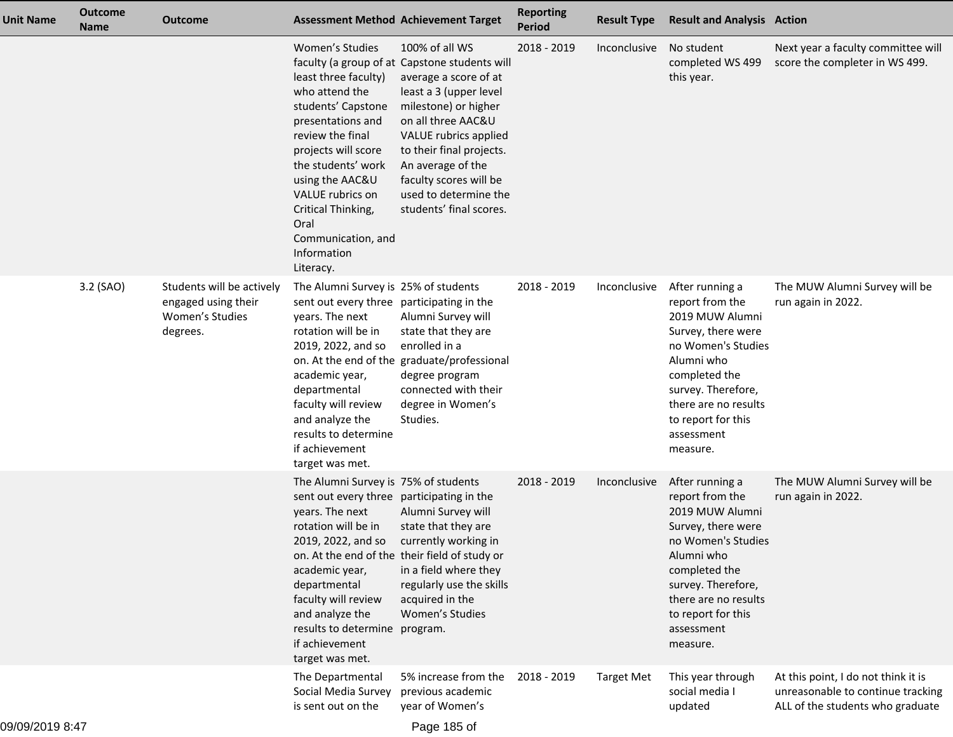| <b>Unit Name</b> | <b>Outcome</b><br><b>Name</b> | Outcome                                                                         |                                                                                                                                                                                                                                                                                                     | <b>Assessment Method Achievement Target</b>                                                                                                                                                                                                                                                                              | <b>Reporting</b><br><b>Period</b> | <b>Result Type</b> | <b>Result and Analysis Action</b>                                                                                                                                                                                              |                                                                                                              |
|------------------|-------------------------------|---------------------------------------------------------------------------------|-----------------------------------------------------------------------------------------------------------------------------------------------------------------------------------------------------------------------------------------------------------------------------------------------------|--------------------------------------------------------------------------------------------------------------------------------------------------------------------------------------------------------------------------------------------------------------------------------------------------------------------------|-----------------------------------|--------------------|--------------------------------------------------------------------------------------------------------------------------------------------------------------------------------------------------------------------------------|--------------------------------------------------------------------------------------------------------------|
|                  |                               |                                                                                 | Women's Studies<br>least three faculty)<br>who attend the<br>students' Capstone<br>presentations and<br>review the final<br>projects will score<br>the students' work<br>using the AAC&U<br>VALUE rubrics on<br>Critical Thinking,<br>Oral<br>Communication, and<br>Information<br>Literacy.        | 100% of all WS<br>faculty (a group of at Capstone students will<br>average a score of at<br>least a 3 (upper level<br>milestone) or higher<br>on all three AAC&U<br>VALUE rubrics applied<br>to their final projects.<br>An average of the<br>faculty scores will be<br>used to determine the<br>students' final scores. | 2018 - 2019                       | Inconclusive       | No student<br>completed WS 499<br>this year.                                                                                                                                                                                   | Next year a faculty committee will<br>score the completer in WS 499.                                         |
|                  | 3.2 (SAO)                     | Students will be actively<br>engaged using their<br>Women's Studies<br>degrees. | The Alumni Survey is 25% of students<br>sent out every three participating in the<br>years. The next<br>rotation will be in<br>2019, 2022, and so<br>academic year,<br>departmental<br>faculty will review<br>and analyze the<br>results to determine<br>if achievement<br>target was met.          | Alumni Survey will<br>state that they are<br>enrolled in a<br>on. At the end of the graduate/professional<br>degree program<br>connected with their<br>degree in Women's<br>Studies.                                                                                                                                     | 2018 - 2019                       | Inconclusive       | After running a<br>report from the<br>2019 MUW Alumni<br>Survey, there were<br>no Women's Studies<br>Alumni who<br>completed the<br>survey. Therefore,<br>there are no results<br>to report for this<br>assessment<br>measure. | The MUW Alumni Survey will be<br>run again in 2022.                                                          |
|                  |                               |                                                                                 | The Alumni Survey is 75% of students<br>sent out every three participating in the<br>years. The next<br>rotation will be in<br>2019, 2022, and so<br>academic year,<br>departmental<br>faculty will review<br>and analyze the<br>results to determine program.<br>if achievement<br>target was met. | Alumni Survey will<br>state that they are<br>currently working in<br>on. At the end of the their field of study or<br>in a field where they<br>regularly use the skills<br>acquired in the<br>Women's Studies                                                                                                            | 2018 - 2019                       | Inconclusive       | After running a<br>report from the<br>2019 MUW Alumni<br>Survey, there were<br>no Women's Studies<br>Alumni who<br>completed the<br>survey. Therefore,<br>there are no results<br>to report for this<br>assessment<br>measure. | The MUW Alumni Survey will be<br>run again in 2022.                                                          |
|                  |                               |                                                                                 | The Departmental<br>Social Media Survey<br>is sent out on the                                                                                                                                                                                                                                       | 5% increase from the<br>previous academic<br>year of Women's                                                                                                                                                                                                                                                             | 2018 - 2019                       | <b>Target Met</b>  | This year through<br>social media I<br>updated                                                                                                                                                                                 | At this point, I do not think it is<br>unreasonable to continue tracking<br>ALL of the students who graduate |
|                  |                               |                                                                                 |                                                                                                                                                                                                                                                                                                     |                                                                                                                                                                                                                                                                                                                          |                                   |                    |                                                                                                                                                                                                                                |                                                                                                              |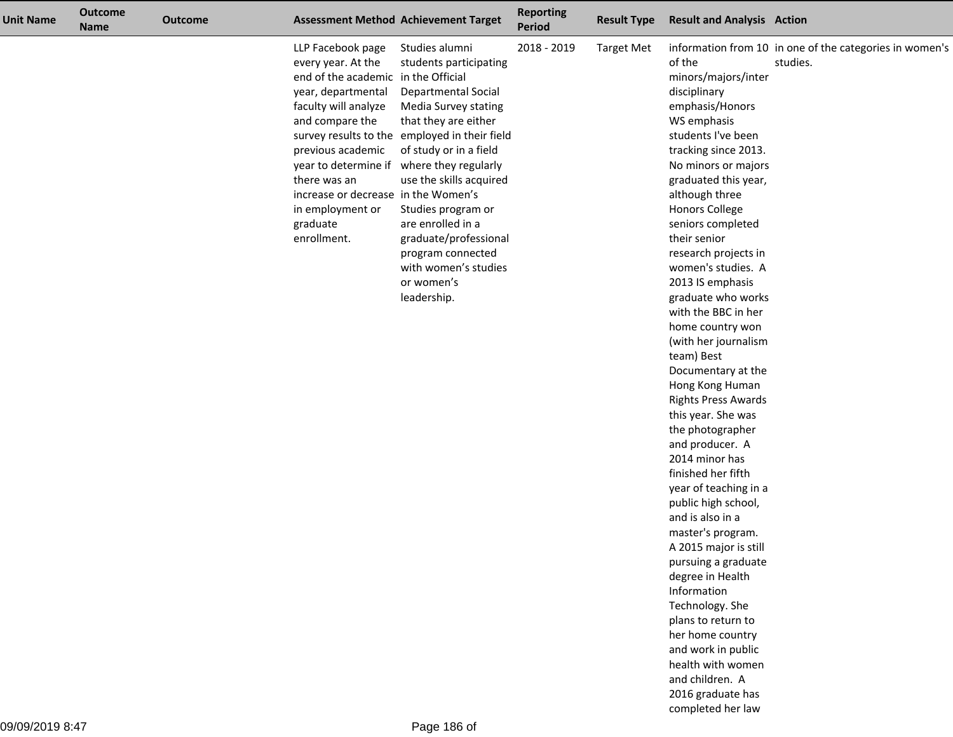| <b>Unit Name</b> | <b>Outcome</b><br><b>Name</b> | <b>Outcome</b> |                                                                                                                                                                                                                                                                                                                         | <b>Assessment Method Achievement Target</b>                                                                                                                                                                                                                                                                                                                                | <b>Reporting</b><br>Period | <b>Result Type</b> | <b>Result and Analysis Action</b>                                                                                                                                                                                                                                                                                                                                                                                                                                                                                                                                                                                                                                                                                                                                                                                                                                                                                                                                  |                                                                     |
|------------------|-------------------------------|----------------|-------------------------------------------------------------------------------------------------------------------------------------------------------------------------------------------------------------------------------------------------------------------------------------------------------------------------|----------------------------------------------------------------------------------------------------------------------------------------------------------------------------------------------------------------------------------------------------------------------------------------------------------------------------------------------------------------------------|----------------------------|--------------------|--------------------------------------------------------------------------------------------------------------------------------------------------------------------------------------------------------------------------------------------------------------------------------------------------------------------------------------------------------------------------------------------------------------------------------------------------------------------------------------------------------------------------------------------------------------------------------------------------------------------------------------------------------------------------------------------------------------------------------------------------------------------------------------------------------------------------------------------------------------------------------------------------------------------------------------------------------------------|---------------------------------------------------------------------|
|                  |                               |                | LLP Facebook page<br>every year. At the<br>end of the academic in the Official<br>year, departmental<br>faculty will analyze<br>and compare the<br>previous academic<br>year to determine if where they regularly<br>there was an<br>increase or decrease in the Women's<br>in employment or<br>graduate<br>enrollment. | Studies alumni<br>students participating<br><b>Departmental Social</b><br>Media Survey stating<br>that they are either<br>survey results to the employed in their field<br>of study or in a field<br>use the skills acquired<br>Studies program or<br>are enrolled in a<br>graduate/professional<br>program connected<br>with women's studies<br>or women's<br>leadership. | 2018 - 2019                | <b>Target Met</b>  | of the<br>minors/majors/inter<br>disciplinary<br>emphasis/Honors<br>WS emphasis<br>students I've been<br>tracking since 2013.<br>No minors or majors<br>graduated this year,<br>although three<br><b>Honors College</b><br>seniors completed<br>their senior<br>research projects in<br>women's studies. A<br>2013 IS emphasis<br>graduate who works<br>with the BBC in her<br>home country won<br>(with her journalism<br>team) Best<br>Documentary at the<br>Hong Kong Human<br><b>Rights Press Awards</b><br>this year. She was<br>the photographer<br>and producer. A<br>2014 minor has<br>finished her fifth<br>year of teaching in a<br>public high school,<br>and is also in a<br>master's program.<br>A 2015 major is still<br>pursuing a graduate<br>degree in Health<br>Information<br>Technology. She<br>plans to return to<br>her home country<br>and work in public<br>health with women<br>and children. A<br>2016 graduate has<br>completed her law | information from 10 in one of the categories in women's<br>studies. |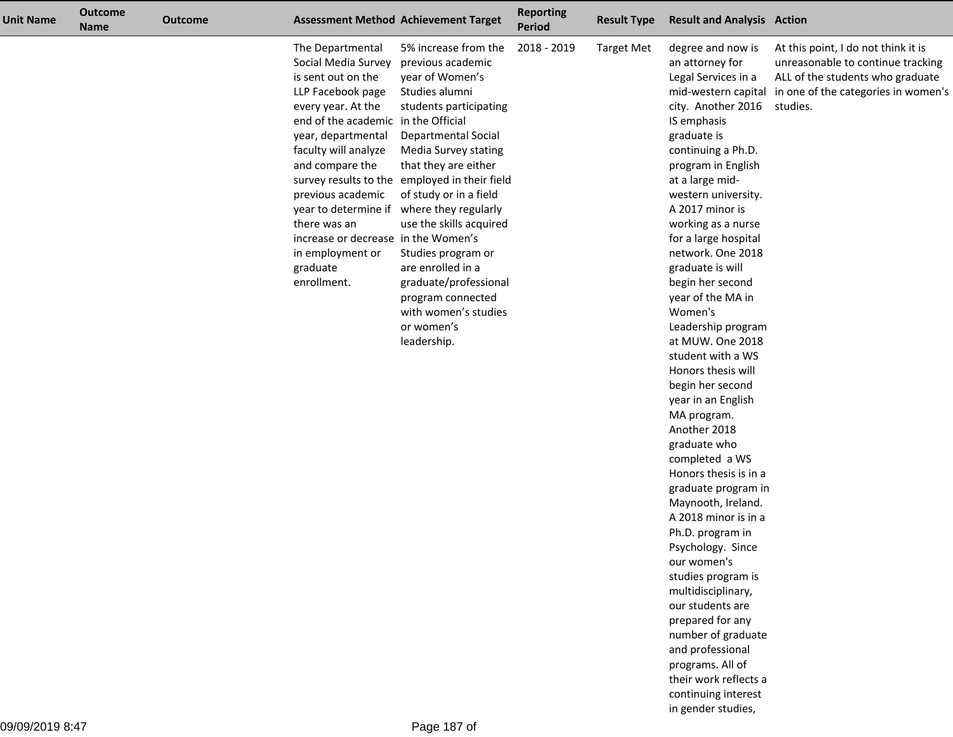| <b>Unit Name</b> | <b>Outcome</b><br><b>Name</b> | <b>Outcome</b> |                                                                                                                                                                                                                                                                                                                                             | <b>Assessment Method Achievement Target</b>                                                                                                                                                                                                                                                                                                                                                                                                                                      | <b>Reporting</b><br>Period | <b>Result Type</b> | <b>Result and Analysis Action</b>                                                                                                                                                                                                                                                                                                                                                                                                                                                                                                                                                                                                                                                                                                                                                                                                                                                                                           |                                                                                                                                                                                     |
|------------------|-------------------------------|----------------|---------------------------------------------------------------------------------------------------------------------------------------------------------------------------------------------------------------------------------------------------------------------------------------------------------------------------------------------|----------------------------------------------------------------------------------------------------------------------------------------------------------------------------------------------------------------------------------------------------------------------------------------------------------------------------------------------------------------------------------------------------------------------------------------------------------------------------------|----------------------------|--------------------|-----------------------------------------------------------------------------------------------------------------------------------------------------------------------------------------------------------------------------------------------------------------------------------------------------------------------------------------------------------------------------------------------------------------------------------------------------------------------------------------------------------------------------------------------------------------------------------------------------------------------------------------------------------------------------------------------------------------------------------------------------------------------------------------------------------------------------------------------------------------------------------------------------------------------------|-------------------------------------------------------------------------------------------------------------------------------------------------------------------------------------|
|                  |                               |                | The Departmental<br>Social Media Survey<br>is sent out on the<br>LLP Facebook page<br>every year. At the<br>end of the academic in the Official<br>year, departmental<br>faculty will analyze<br>and compare the<br>previous academic<br>there was an<br>increase or decrease in the Women's<br>in employment or<br>graduate<br>enrollment. | 5% increase from the<br>previous academic<br>year of Women's<br>Studies alumni<br>students participating<br>Departmental Social<br>Media Survey stating<br>that they are either<br>survey results to the employed in their field<br>of study or in a field<br>year to determine if where they regularly<br>use the skills acquired<br>Studies program or<br>are enrolled in a<br>graduate/professional<br>program connected<br>with women's studies<br>or women's<br>leadership. | 2018 - 2019                | <b>Target Met</b>  | degree and now is<br>an attorney for<br>Legal Services in a<br>city. Another 2016<br>IS emphasis<br>graduate is<br>continuing a Ph.D.<br>program in English<br>at a large mid-<br>western university.<br>A 2017 minor is<br>working as a nurse<br>for a large hospital<br>network. One 2018<br>graduate is will<br>begin her second<br>year of the MA in<br>Women's<br>Leadership program<br>at MUW. One 2018<br>student with a WS<br>Honors thesis will<br>begin her second<br>year in an English<br>MA program.<br>Another 2018<br>graduate who<br>completed a WS<br>Honors thesis is in a<br>graduate program in<br>Maynooth, Ireland.<br>A 2018 minor is in a<br>Ph.D. program in<br>Psychology. Since<br>our women's<br>studies program is<br>multidisciplinary,<br>our students are<br>prepared for any<br>number of graduate<br>and professional<br>programs. All of<br>their work reflects a<br>continuing interest | At this point, I do not think it is<br>unreasonable to continue tracking<br>ALL of the students who graduate<br>mid-western capital in one of the categories in women's<br>studies. |

in gender studies,